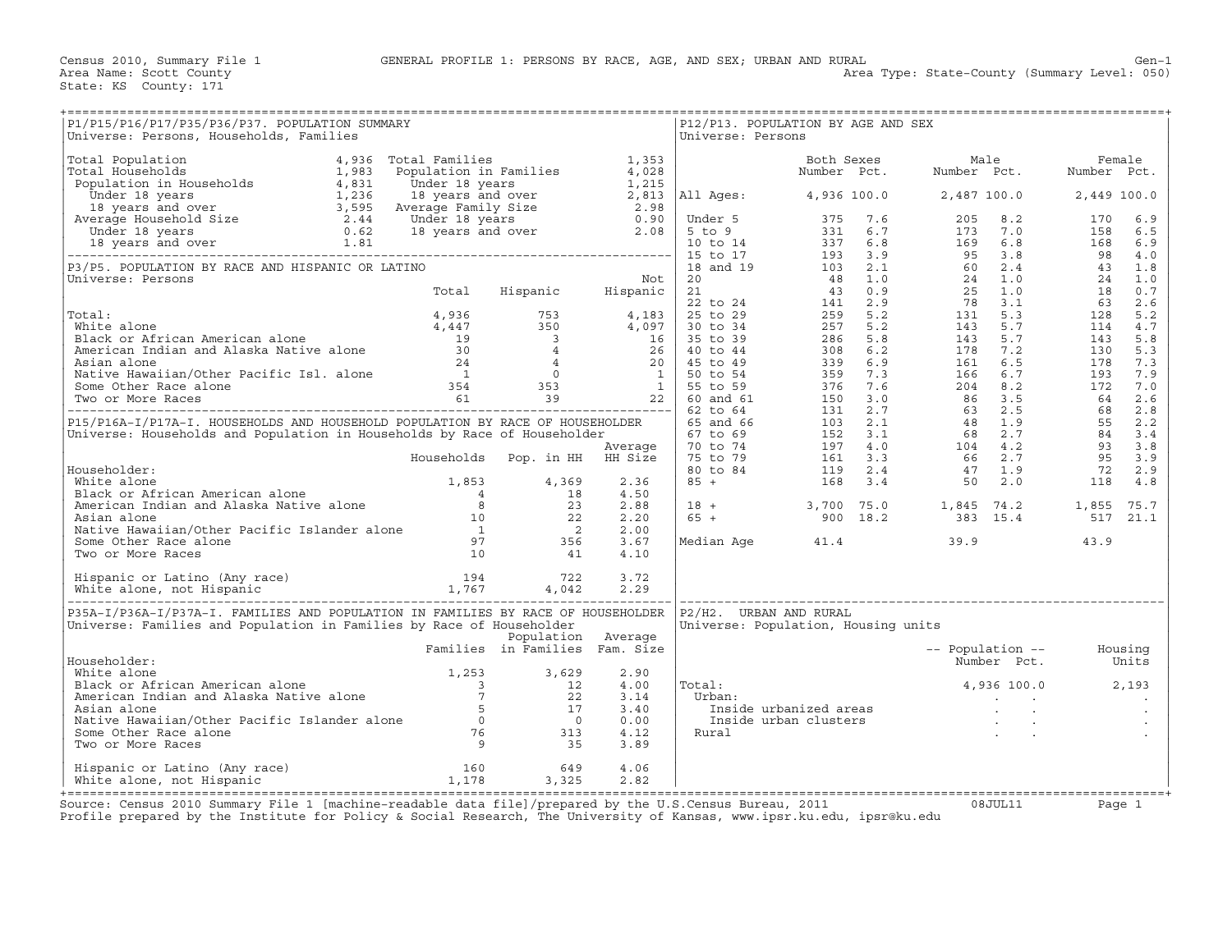| P1/P15/P16/P17/P35/P36/P37. POPULATION SUMMARY<br>Universe: Persons, Households, Families                                                                                                                                                        | :====================================<br>RY<br>RY |                    |                      | Universe: Persons         | P12/P13. POPULATION BY AGE AND SEX                               |  |  |
|--------------------------------------------------------------------------------------------------------------------------------------------------------------------------------------------------------------------------------------------------|---------------------------------------------------|--------------------|----------------------|---------------------------|------------------------------------------------------------------|--|--|
| Universe: Personal Moulekton, Tamilies (1983) Distribution in Pamilies (1983) Moulekton, Moulekton, Moulekton, Moulekton, Moulekton, Moulekton, Moulekton, Moulekton, Moulekton, Moulekton, Moulekton, Moulekton, Moulekton,                     |                                                   |                    |                      |                           |                                                                  |  |  |
|                                                                                                                                                                                                                                                  |                                                   |                    |                      |                           |                                                                  |  |  |
|                                                                                                                                                                                                                                                  |                                                   |                    |                      |                           |                                                                  |  |  |
|                                                                                                                                                                                                                                                  |                                                   |                    |                      |                           |                                                                  |  |  |
|                                                                                                                                                                                                                                                  |                                                   |                    |                      |                           |                                                                  |  |  |
|                                                                                                                                                                                                                                                  |                                                   |                    |                      |                           |                                                                  |  |  |
|                                                                                                                                                                                                                                                  |                                                   |                    |                      |                           |                                                                  |  |  |
|                                                                                                                                                                                                                                                  |                                                   |                    |                      |                           |                                                                  |  |  |
|                                                                                                                                                                                                                                                  |                                                   |                    |                      |                           |                                                                  |  |  |
|                                                                                                                                                                                                                                                  |                                                   |                    |                      |                           |                                                                  |  |  |
|                                                                                                                                                                                                                                                  |                                                   |                    |                      |                           |                                                                  |  |  |
|                                                                                                                                                                                                                                                  |                                                   |                    |                      |                           |                                                                  |  |  |
|                                                                                                                                                                                                                                                  |                                                   |                    |                      |                           |                                                                  |  |  |
|                                                                                                                                                                                                                                                  |                                                   |                    | 4.50<br>2.88         |                           |                                                                  |  |  |
|                                                                                                                                                                                                                                                  |                                                   |                    | 2.20<br>2.00         |                           |                                                                  |  |  |
| Householder:<br>White alone<br>Black or African American alone<br>Marican Indian and Alaska Native alone<br>American Indian and Alaska Native alone<br>Asian alone<br>Native Hawaiian/Other Pacific Islander alone<br>Some Other Race alone<br>  |                                                   |                    | 3.67<br>4.10         |                           |                                                                  |  |  |
|                                                                                                                                                                                                                                                  |                                                   |                    |                      |                           |                                                                  |  |  |
|                                                                                                                                                                                                                                                  |                                                   |                    |                      |                           |                                                                  |  |  |
| P35A-I/P36A-I/P37A-I. FAMILIES AND POPULATION IN FAMILIES BY RACE OF HOUSEHOLDER<br>Universe: Families and Population in Families by Race of Householder                                                                                         |                                                   | Population Average |                      | $P2/H2$ . URBAN AND RURAL | Universe: Population, Housing units                              |  |  |
| Householder:                                                                                                                                                                                                                                     | Families in Families Fam. Size                    |                    |                      |                           | -- Population -- Housing<br>Number Pct. Units                    |  |  |
|                                                                                                                                                                                                                                                  |                                                   |                    | 2.90<br>4.00         | Total:                    | $4,936$ 100.0 $2,193$                                            |  |  |
|                                                                                                                                                                                                                                                  |                                                   |                    | 3.14<br>3.40         | Urban:                    | rban:<br>Inside urbanized areas<br>Inside urban clusters<br>ural |  |  |
| Mitte alone<br>White alone<br>Black or African American alone<br>Black or African Indian and Alaska Native alone<br>American Indian and Alaska Native alone<br>7 22<br>Asian alone<br>Native Hawaiian/Other Pacific Islander alone<br>5 17<br>So |                                                   |                    | 0.00<br>4.12<br>3.89 | Rural                     |                                                                  |  |  |
|                                                                                                                                                                                                                                                  |                                                   |                    |                      |                           |                                                                  |  |  |
|                                                                                                                                                                                                                                                  |                                                   |                    |                      |                           |                                                                  |  |  |

Source: Census 2010 Summary File 1 [machine-readable data file]/prepared by the U.S.Census Bureau, 2011 Page 1<br>Profile prepared by the Institute for Policy & Social Research, The University of Kansas, www.ip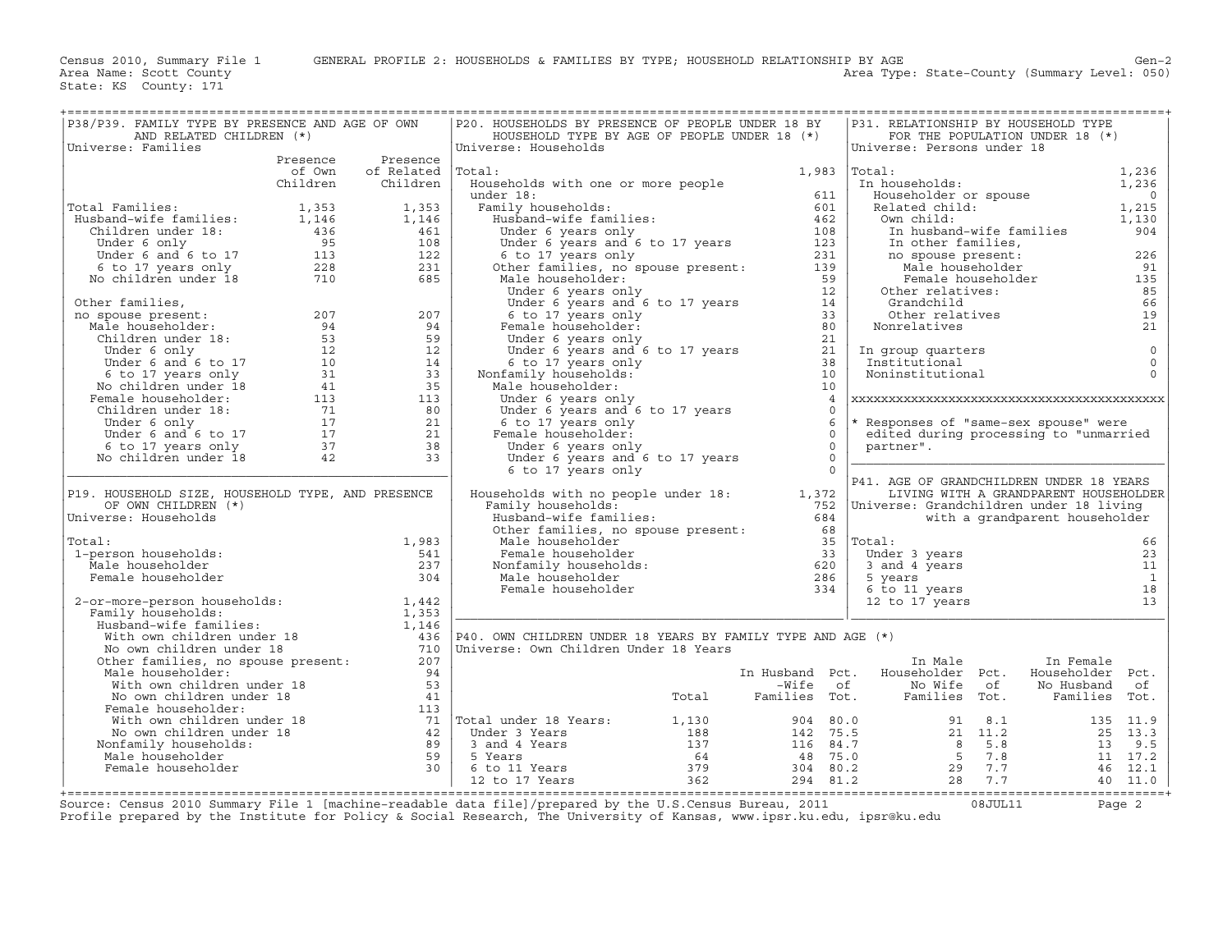Area Type: State-County (Summary Level: 050)

| ======================================<br>P38/P39. FAMILY TYPE BY PRESENCE AND AGE OF OWN<br>AND RELATED CHILDREN (*)                                                                                                                                |          |                    | P20. HOUSEHOLDS BY PRESENCE OF PEOPLE UNDER 18 BY<br>HOUSEHOLD TYPE BY AGE OF PEOPLE UNDER 18 (*)                                                                                                                                                                                                 |                | P31. RELATIONSHIP BY HOUSEHOLD TYPE                                                                                                                                                                                                    |                                       |                |
|------------------------------------------------------------------------------------------------------------------------------------------------------------------------------------------------------------------------------------------------------|----------|--------------------|---------------------------------------------------------------------------------------------------------------------------------------------------------------------------------------------------------------------------------------------------------------------------------------------------|----------------|----------------------------------------------------------------------------------------------------------------------------------------------------------------------------------------------------------------------------------------|---------------------------------------|----------------|
| Universe: Families                                                                                                                                                                                                                                   |          |                    | Universe: Households                                                                                                                                                                                                                                                                              |                | Universe: Persons under 18                                                                                                                                                                                                             | FOR THE POPULATION UNDER 18 (*)       |                |
|                                                                                                                                                                                                                                                      | Presence | Presence           |                                                                                                                                                                                                                                                                                                   |                |                                                                                                                                                                                                                                        |                                       |                |
|                                                                                                                                                                                                                                                      | of Own   | of Related  Total: |                                                                                                                                                                                                                                                                                                   | 1,983          | Total:                                                                                                                                                                                                                                 |                                       |                |
|                                                                                                                                                                                                                                                      | Children | Children           | Households with one or more people                                                                                                                                                                                                                                                                |                | rotal:<br>In households:                                                                                                                                                                                                               |                                       | 1,236<br>1,236 |
|                                                                                                                                                                                                                                                      |          |                    |                                                                                                                                                                                                                                                                                                   |                | Householder or spouse<br>Related child:<br>0 1,215<br>1,130<br>1,130                                                                                                                                                                   |                                       |                |
| Total Families:                                                                                                                                                                                                                                      |          |                    |                                                                                                                                                                                                                                                                                                   |                |                                                                                                                                                                                                                                        |                                       |                |
|                                                                                                                                                                                                                                                      |          |                    |                                                                                                                                                                                                                                                                                                   |                |                                                                                                                                                                                                                                        |                                       |                |
|                                                                                                                                                                                                                                                      |          |                    |                                                                                                                                                                                                                                                                                                   |                |                                                                                                                                                                                                                                        | In husband-wife families              | 904            |
|                                                                                                                                                                                                                                                      |          |                    |                                                                                                                                                                                                                                                                                                   |                |                                                                                                                                                                                                                                        |                                       |                |
|                                                                                                                                                                                                                                                      |          |                    |                                                                                                                                                                                                                                                                                                   |                | no spouse present:<br>Male householder                                                                                                                                                                                                 |                                       | 226            |
| Total Families:<br>Husband-wife families:<br>Husband-wife families:<br>Children under 18:<br>1,146<br>1,146<br>236<br>1,146<br>1,146<br>1,146<br>1,146<br>1,146<br>1,146<br>1,146<br>1,146<br>1,146<br>1,146<br>108<br>108<br>108<br>108<br>108<br>2 |          |                    |                                                                                                                                                                                                                                                                                                   |                |                                                                                                                                                                                                                                        |                                       | 91             |
|                                                                                                                                                                                                                                                      |          |                    |                                                                                                                                                                                                                                                                                                   |                |                                                                                                                                                                                                                                        | Female householder                    | 135            |
| Other families,                                                                                                                                                                                                                                      |          |                    |                                                                                                                                                                                                                                                                                                   |                |                                                                                                                                                                                                                                        |                                       | 85<br>66       |
|                                                                                                                                                                                                                                                      |          |                    |                                                                                                                                                                                                                                                                                                   |                | Im husband-wife fami<br>In husband-wife families,<br>no spouse present:<br>Male householder<br>Female huseholder<br>Other relatives:<br>Grandchild<br>Other relatives<br>Nonrelatives<br>Nonrelatives<br>Grandchlid<br>Other relatives |                                       | 19             |
|                                                                                                                                                                                                                                                      |          |                    |                                                                                                                                                                                                                                                                                                   |                |                                                                                                                                                                                                                                        |                                       | 21             |
|                                                                                                                                                                                                                                                      |          |                    |                                                                                                                                                                                                                                                                                                   |                |                                                                                                                                                                                                                                        |                                       |                |
|                                                                                                                                                                                                                                                      |          |                    |                                                                                                                                                                                                                                                                                                   |                | In group quarters                                                                                                                                                                                                                      |                                       | $\circ$        |
|                                                                                                                                                                                                                                                      |          |                    |                                                                                                                                                                                                                                                                                                   |                | Institutional                                                                                                                                                                                                                          |                                       | $\circ$        |
|                                                                                                                                                                                                                                                      |          |                    |                                                                                                                                                                                                                                                                                                   |                | Noninstitutional                                                                                                                                                                                                                       |                                       | $\Omega$       |
|                                                                                                                                                                                                                                                      |          |                    |                                                                                                                                                                                                                                                                                                   |                |                                                                                                                                                                                                                                        |                                       |                |
|                                                                                                                                                                                                                                                      |          |                    | Under 6 years only                                                                                                                                                                                                                                                                                | $\overline{4}$ |                                                                                                                                                                                                                                        |                                       |                |
|                                                                                                                                                                                                                                                      |          |                    | Under 6 years and 6 to 17 years                                                                                                                                                                                                                                                                   | $\cap$         |                                                                                                                                                                                                                                        |                                       |                |
|                                                                                                                                                                                                                                                      |          |                    | 6 to 17 years only                                                                                                                                                                                                                                                                                | 6              | * Responses of "same-sex spouse" were                                                                                                                                                                                                  |                                       |                |
|                                                                                                                                                                                                                                                      |          |                    | Female householder:                                                                                                                                                                                                                                                                               | $\Omega$       | edited during processing to "unmarried                                                                                                                                                                                                 |                                       |                |
|                                                                                                                                                                                                                                                      |          |                    | Under 6 years only                                                                                                                                                                                                                                                                                | $\Omega$       | partner".                                                                                                                                                                                                                              |                                       |                |
|                                                                                                                                                                                                                                                      |          |                    | $\frac{1}{2}$ of $\frac{1}{2}$ of $\frac{1}{2}$ or $\frac{1}{2}$ for $\frac{1}{2}$ in $\frac{1}{2}$ is $\frac{1}{2}$ if $\frac{1}{2}$ is $\frac{1}{2}$ if $\frac{1}{2}$ is $\frac{1}{2}$ if $\frac{1}{2}$ is $\frac{1}{2}$ if $\frac{1}{2}$ is $\frac{1}{2}$ if $\frac{1}{2}$ if $\frac{1}{2}$ is | $\Omega$       |                                                                                                                                                                                                                                        |                                       |                |
|                                                                                                                                                                                                                                                      |          |                    | 6 to 17 years only                                                                                                                                                                                                                                                                                | $\Omega$       | P41. AGE OF GRANDCHILDREN UNDER 18 YEARS                                                                                                                                                                                               |                                       |                |
| P19. HOUSEHOLD SIZE, HOUSEHOLD TYPE, AND PRESENCE                                                                                                                                                                                                    |          |                    | Households with no people under $18:$ [1,372]<br>Family households:                                                                                                                                                                                                                               |                |                                                                                                                                                                                                                                        | LIVING WITH A GRANDPARENT HOUSEHOLDER |                |
| OF OWN CHILDREN (*)                                                                                                                                                                                                                                  |          |                    | Family households:                                                                                                                                                                                                                                                                                |                | 752   Universe: Grandchildren under 18 living                                                                                                                                                                                          |                                       |                |
| Universe: Households                                                                                                                                                                                                                                 |          |                    | 7 amily households:<br>Husband-wife families: 684<br>Other families, no spouse present: 68<br>Male householder 33                                                                                                                                                                                 | 684            |                                                                                                                                                                                                                                        | with a grandparent householder        |                |
|                                                                                                                                                                                                                                                      |          |                    |                                                                                                                                                                                                                                                                                                   |                |                                                                                                                                                                                                                                        |                                       |                |
| Total:                                                                                                                                                                                                                                               |          | 1,983              |                                                                                                                                                                                                                                                                                                   |                |                                                                                                                                                                                                                                        |                                       | 66             |
| 1-person households:                                                                                                                                                                                                                                 |          | 541                |                                                                                                                                                                                                                                                                                                   |                | Under 3 years                                                                                                                                                                                                                          |                                       | 23             |
| Male householder                                                                                                                                                                                                                                     |          | 237                |                                                                                                                                                                                                                                                                                                   |                | onder 3 years<br>3 and 4 years<br>5 years                                                                                                                                                                                              |                                       | 11             |
| Female householder                                                                                                                                                                                                                                   |          | 304                |                                                                                                                                                                                                                                                                                                   |                | 5 years                                                                                                                                                                                                                                |                                       | $\mathbf{1}$   |
|                                                                                                                                                                                                                                                      |          |                    | A contract the male householder<br>Monfamily householder<br>Monfamily households:<br>Male householder<br>Male householder<br>Female householder<br>The contract of the contract of the contract of the contract of the contract of the con                                                        |                | 6 to 11 years<br>12 to 17 years                                                                                                                                                                                                        |                                       | 18<br>13       |
|                                                                                                                                                                                                                                                      |          |                    |                                                                                                                                                                                                                                                                                                   |                |                                                                                                                                                                                                                                        |                                       |                |
|                                                                                                                                                                                                                                                      |          |                    | Femaly households:<br>Family households:<br>Husband-wife families:<br>With own children under 18<br>No own children under 18<br>No own children under 18<br>No own children under 18<br>Other families, no spouse present:<br>207<br>Male househ                                                  |                |                                                                                                                                                                                                                                        |                                       |                |
|                                                                                                                                                                                                                                                      |          |                    |                                                                                                                                                                                                                                                                                                   |                |                                                                                                                                                                                                                                        |                                       |                |
|                                                                                                                                                                                                                                                      |          |                    |                                                                                                                                                                                                                                                                                                   |                |                                                                                                                                                                                                                                        |                                       |                |
|                                                                                                                                                                                                                                                      |          |                    |                                                                                                                                                                                                                                                                                                   |                | In Male                                                                                                                                                                                                                                | In Female                             |                |
|                                                                                                                                                                                                                                                      |          |                    |                                                                                                                                                                                                                                                                                                   |                |                                                                                                                                                                                                                                        |                                       |                |
|                                                                                                                                                                                                                                                      |          |                    |                                                                                                                                                                                                                                                                                                   |                |                                                                                                                                                                                                                                        |                                       |                |
|                                                                                                                                                                                                                                                      |          |                    |                                                                                                                                                                                                                                                                                                   |                |                                                                                                                                                                                                                                        |                                       |                |
|                                                                                                                                                                                                                                                      |          |                    |                                                                                                                                                                                                                                                                                                   |                |                                                                                                                                                                                                                                        |                                       |                |
|                                                                                                                                                                                                                                                      |          |                    |                                                                                                                                                                                                                                                                                                   |                |                                                                                                                                                                                                                                        |                                       |                |
|                                                                                                                                                                                                                                                      |          |                    |                                                                                                                                                                                                                                                                                                   |                |                                                                                                                                                                                                                                        |                                       |                |
|                                                                                                                                                                                                                                                      |          |                    |                                                                                                                                                                                                                                                                                                   |                |                                                                                                                                                                                                                                        |                                       |                |
|                                                                                                                                                                                                                                                      |          |                    |                                                                                                                                                                                                                                                                                                   |                |                                                                                                                                                                                                                                        |                                       |                |
|                                                                                                                                                                                                                                                      |          |                    | 7 (1991)<br>Male householder:<br>With own children under 18<br>No own children under 18<br>Female householder:<br>Mo own children under 18<br>We own children under 18<br>We own children under 18<br>Mo own children under 18<br>Mo own childr                                                   |                |                                                                                                                                                                                                                                        |                                       |                |
|                                                                                                                                                                                                                                                      |          |                    |                                                                                                                                                                                                                                                                                                   |                |                                                                                                                                                                                                                                        |                                       |                |

+===================================================================================================================================================+Source: Census 2010 Summary File 1 [machine−readable data file]/prepared by the U.S.Census Bureau, 2011 08JUL11 Page 2 Profile prepared by the Institute for Policy & Social Research, The University of Kansas, www.ipsr.ku.edu, ipsr@ku.edu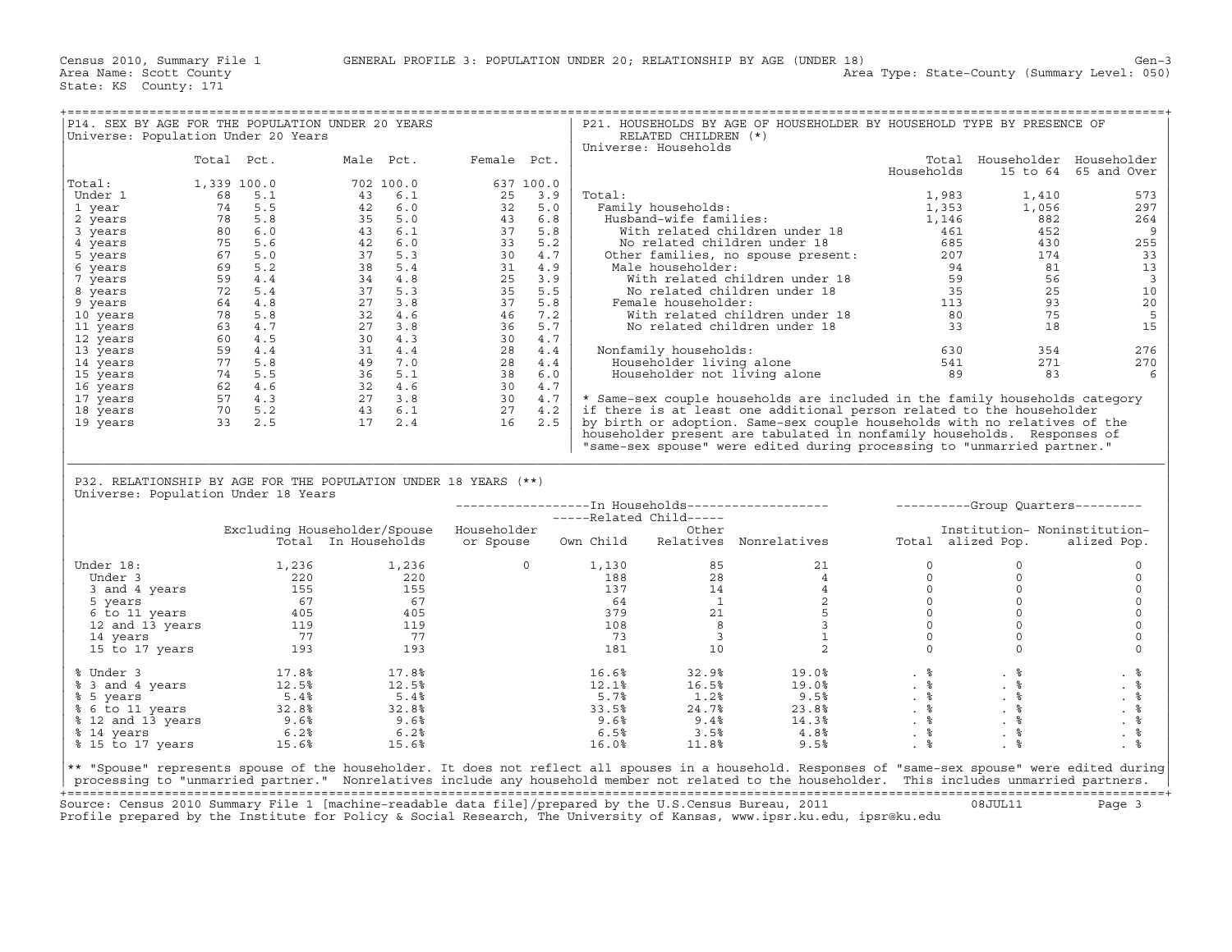|                                                                                                                                                     |                                                                                                                                                                                                                                                                            |                                                                                                                                                                                                                                                                      | ============================ |                |       |                            |                                                                                                                                                                                                                                                  |                                                                 |                               |                         |
|-----------------------------------------------------------------------------------------------------------------------------------------------------|----------------------------------------------------------------------------------------------------------------------------------------------------------------------------------------------------------------------------------------------------------------------------|----------------------------------------------------------------------------------------------------------------------------------------------------------------------------------------------------------------------------------------------------------------------|------------------------------|----------------|-------|----------------------------|--------------------------------------------------------------------------------------------------------------------------------------------------------------------------------------------------------------------------------------------------|-----------------------------------------------------------------|-------------------------------|-------------------------|
| Universe: Population Under 20 Years                                                                                                                 |                                                                                                                                                                                                                                                                            | P14. SEX BY AGE FOR THE POPULATION UNDER 20 YEARS                                                                                                                                                                                                                    |                              |                |       | RELATED CHILDREN (*)       | P21. HOUSEHOLDS BY AGE OF HOUSEHOLDER BY HOUSEHOLD TYPE BY PRESENCE OF                                                                                                                                                                           |                                                                 |                               |                         |
|                                                                                                                                                     |                                                                                                                                                                                                                                                                            |                                                                                                                                                                                                                                                                      |                              |                |       | Universe: Households       |                                                                                                                                                                                                                                                  |                                                                 |                               |                         |
|                                                                                                                                                     | Total Pct.                                                                                                                                                                                                                                                                 | Male Pct. Female Pct.                                                                                                                                                                                                                                                |                              |                |       |                            |                                                                                                                                                                                                                                                  |                                                                 | Total Householder Householder |                         |
|                                                                                                                                                     |                                                                                                                                                                                                                                                                            |                                                                                                                                                                                                                                                                      |                              |                |       |                            |                                                                                                                                                                                                                                                  | Households                                                      |                               | 15 to 64 65 and Over    |
| Total:                                                                                                                                              | 1,339 100.0                                                                                                                                                                                                                                                                | 702 100.0                                                                                                                                                                                                                                                            |                              | 637 100.0      |       |                            | 1, 353<br>Family households:<br>Husband-wife families:<br>With related children under 18<br>No related children under 18<br>No related children under 18<br>Other families, no spouse present:<br>Male householder:<br>Male householder:<br>With |                                                                 |                               |                         |
| Under 1                                                                                                                                             |                                                                                                                                                                                                                                                                            |                                                                                                                                                                                                                                                                      |                              |                |       |                            |                                                                                                                                                                                                                                                  |                                                                 | 1,410                         | 573                     |
| 1 year                                                                                                                                              |                                                                                                                                                                                                                                                                            |                                                                                                                                                                                                                                                                      |                              |                |       |                            |                                                                                                                                                                                                                                                  |                                                                 | 1,056                         | 297                     |
| 2 years                                                                                                                                             |                                                                                                                                                                                                                                                                            |                                                                                                                                                                                                                                                                      |                              |                |       |                            |                                                                                                                                                                                                                                                  |                                                                 | 882                           | 264                     |
| 3 years                                                                                                                                             |                                                                                                                                                                                                                                                                            |                                                                                                                                                                                                                                                                      |                              |                |       |                            |                                                                                                                                                                                                                                                  |                                                                 | 452                           | 9                       |
|                                                                                                                                                     |                                                                                                                                                                                                                                                                            |                                                                                                                                                                                                                                                                      |                              |                |       |                            |                                                                                                                                                                                                                                                  |                                                                 | 430                           | 255                     |
| 4 years                                                                                                                                             |                                                                                                                                                                                                                                                                            |                                                                                                                                                                                                                                                                      |                              |                |       |                            |                                                                                                                                                                                                                                                  |                                                                 |                               |                         |
| 5 years                                                                                                                                             |                                                                                                                                                                                                                                                                            |                                                                                                                                                                                                                                                                      |                              |                |       |                            |                                                                                                                                                                                                                                                  |                                                                 | 174                           | 33                      |
| 6 years                                                                                                                                             |                                                                                                                                                                                                                                                                            |                                                                                                                                                                                                                                                                      |                              |                |       |                            |                                                                                                                                                                                                                                                  |                                                                 | 81                            | 13                      |
| 7 years                                                                                                                                             |                                                                                                                                                                                                                                                                            |                                                                                                                                                                                                                                                                      |                              |                |       |                            |                                                                                                                                                                                                                                                  |                                                                 | 56                            | $\overline{\mathbf{3}}$ |
| 8 years                                                                                                                                             |                                                                                                                                                                                                                                                                            |                                                                                                                                                                                                                                                                      |                              |                |       |                            |                                                                                                                                                                                                                                                  |                                                                 | 25                            | 10                      |
| 9 years                                                                                                                                             |                                                                                                                                                                                                                                                                            |                                                                                                                                                                                                                                                                      |                              |                |       |                            |                                                                                                                                                                                                                                                  |                                                                 | 93                            | 20                      |
| 10 years                                                                                                                                            |                                                                                                                                                                                                                                                                            |                                                                                                                                                                                                                                                                      |                              |                |       |                            |                                                                                                                                                                                                                                                  |                                                                 | 75                            | 5                       |
| 11 years                                                                                                                                            |                                                                                                                                                                                                                                                                            |                                                                                                                                                                                                                                                                      |                              |                |       |                            |                                                                                                                                                                                                                                                  |                                                                 | 18                            | 15                      |
| 12 years                                                                                                                                            |                                                                                                                                                                                                                                                                            |                                                                                                                                                                                                                                                                      |                              |                |       |                            |                                                                                                                                                                                                                                                  |                                                                 |                               |                         |
| 13 years                                                                                                                                            |                                                                                                                                                                                                                                                                            |                                                                                                                                                                                                                                                                      |                              |                |       | Nonfamily households:      |                                                                                                                                                                                                                                                  |                                                                 | 354                           | 276                     |
| 14 years                                                                                                                                            |                                                                                                                                                                                                                                                                            |                                                                                                                                                                                                                                                                      |                              |                |       |                            |                                                                                                                                                                                                                                                  |                                                                 | 271                           | 270                     |
|                                                                                                                                                     |                                                                                                                                                                                                                                                                            |                                                                                                                                                                                                                                                                      |                              |                |       |                            |                                                                                                                                                                                                                                                  |                                                                 | 83                            | 6                       |
| 15 years                                                                                                                                            |                                                                                                                                                                                                                                                                            |                                                                                                                                                                                                                                                                      |                              |                |       |                            |                                                                                                                                                                                                                                                  |                                                                 |                               |                         |
| 16 years                                                                                                                                            |                                                                                                                                                                                                                                                                            |                                                                                                                                                                                                                                                                      |                              |                |       |                            |                                                                                                                                                                                                                                                  |                                                                 |                               |                         |
| 17 years                                                                                                                                            | $\begin{array}{r} 1,339\ \ 100.0\\ 68\ \ 5.1\\ 74\ \ 5.8\\ 80\ \ 6.0\\ 75\ \ 5.6\\ 80\\ 75\ \ 5.6\\ 69\ \ 5.2\\ 4\ \ 4\\ 4\\ 8\\ 72\ \ 4\\ 4\\ 8\\ 60\\ 4\\ 7\\ 8\\ 60\\ 4\\ 1\\ 5\\ 7\\ 62\\ 4\\ 6\\ 5\\ 7\\ 7\\ 4\\ 5\\ 5\\ 6\\ 2\\ 7\\ 7\\ 9\\ 3\\ 2\\ 5\\ \end{array}$ | $\begin{array}{cccc} 702&100.0\\ 43&6.1\\ 42&6.0\\ 35&5.0\\ 43&6.1\\ 43&6.1\\ 44&6.0\\ 43&6.1\\ 42&6.0\\ 43&6.1\\ 44&6.8\\ 42&6.0\\ 33&5.2\\ 37&5.3\\ 38&5.4\\ 34&4.8\\ 35&5.4\\ 37&5.3\\ 38&4.7\\ 39&4.3\\ 30&4.7\\ 31&4.4\\ 49&7&5.8\\ 30&4.3\\ 30&4.7\\ 31&4.4\\$ |                              |                |       |                            | * Same-sex couple households are included in the family households category                                                                                                                                                                      |                                                                 |                               |                         |
| 18 years                                                                                                                                            |                                                                                                                                                                                                                                                                            |                                                                                                                                                                                                                                                                      |                              |                |       |                            | if there is at least one additional person related to the householder                                                                                                                                                                            |                                                                 |                               |                         |
| 19 years                                                                                                                                            |                                                                                                                                                                                                                                                                            |                                                                                                                                                                                                                                                                      |                              |                |       |                            | by birth or adoption. Same-sex couple households with no relatives of the                                                                                                                                                                        |                                                                 |                               |                         |
|                                                                                                                                                     |                                                                                                                                                                                                                                                                            |                                                                                                                                                                                                                                                                      |                              |                |       |                            | householder present are tabulated in nonfamily households. Responses of                                                                                                                                                                          |                                                                 |                               |                         |
|                                                                                                                                                     |                                                                                                                                                                                                                                                                            |                                                                                                                                                                                                                                                                      |                              |                |       |                            | "same-sex spouse" were edited during processing to "unmarried partner."                                                                                                                                                                          |                                                                 |                               |                         |
|                                                                                                                                                     |                                                                                                                                                                                                                                                                            |                                                                                                                                                                                                                                                                      |                              |                |       |                            |                                                                                                                                                                                                                                                  |                                                                 |                               |                         |
|                                                                                                                                                     |                                                                                                                                                                                                                                                                            |                                                                                                                                                                                                                                                                      |                              |                |       |                            |                                                                                                                                                                                                                                                  |                                                                 |                               |                         |
|                                                                                                                                                     |                                                                                                                                                                                                                                                                            |                                                                                                                                                                                                                                                                      |                              |                |       |                            |                                                                                                                                                                                                                                                  |                                                                 |                               |                         |
|                                                                                                                                                     |                                                                                                                                                                                                                                                                            | P32. RELATIONSHIP BY AGE FOR THE POPULATION UNDER 18 YEARS (**)                                                                                                                                                                                                      |                              |                |       |                            |                                                                                                                                                                                                                                                  |                                                                 |                               |                         |
|                                                                                                                                                     |                                                                                                                                                                                                                                                                            |                                                                                                                                                                                                                                                                      |                              |                |       |                            |                                                                                                                                                                                                                                                  |                                                                 |                               |                         |
|                                                                                                                                                     | Universe: Population Under 18 Years                                                                                                                                                                                                                                        |                                                                                                                                                                                                                                                                      |                              |                |       |                            |                                                                                                                                                                                                                                                  |                                                                 |                               |                         |
|                                                                                                                                                     |                                                                                                                                                                                                                                                                            |                                                                                                                                                                                                                                                                      |                              |                |       |                            | ------------------ Tn Households-------------------- ---------Group Quarters--------                                                                                                                                                             |                                                                 |                               |                         |
|                                                                                                                                                     |                                                                                                                                                                                                                                                                            |                                                                                                                                                                                                                                                                      |                              |                |       | -----Related Child-----    |                                                                                                                                                                                                                                                  |                                                                 |                               |                         |
|                                                                                                                                                     |                                                                                                                                                                                                                                                                            | Excluding Householder/Spouse Householder                                                                                                                                                                                                                             |                              |                |       | Other                      |                                                                                                                                                                                                                                                  |                                                                 | Institution- Noninstitution-  |                         |
|                                                                                                                                                     |                                                                                                                                                                                                                                                                            | Total In Households or Spouse Own Child Relatives Nonrelatives                                                                                                                                                                                                       |                              |                |       |                            |                                                                                                                                                                                                                                                  |                                                                 | Total alized Pop. alized Pop. |                         |
|                                                                                                                                                     |                                                                                                                                                                                                                                                                            |                                                                                                                                                                                                                                                                      |                              |                |       |                            |                                                                                                                                                                                                                                                  |                                                                 |                               |                         |
| Under 18:                                                                                                                                           | 1,236                                                                                                                                                                                                                                                                      | 1,236                                                                                                                                                                                                                                                                |                              | $\overline{0}$ | 1,130 |                            |                                                                                                                                                                                                                                                  | $\circ$                                                         | $\circ$                       | $\circ$                 |
|                                                                                                                                                     |                                                                                                                                                                                                                                                                            |                                                                                                                                                                                                                                                                      |                              |                |       |                            |                                                                                                                                                                                                                                                  |                                                                 | $\circ$                       | $\mathbf 0$             |
|                                                                                                                                                     |                                                                                                                                                                                                                                                                            |                                                                                                                                                                                                                                                                      |                              |                |       |                            |                                                                                                                                                                                                                                                  |                                                                 | $\circ$                       | 0                       |
|                                                                                                                                                     |                                                                                                                                                                                                                                                                            |                                                                                                                                                                                                                                                                      |                              |                |       |                            |                                                                                                                                                                                                                                                  |                                                                 | $\circ$                       | $\circ$                 |
|                                                                                                                                                     |                                                                                                                                                                                                                                                                            |                                                                                                                                                                                                                                                                      |                              |                |       |                            |                                                                                                                                                                                                                                                  |                                                                 | $\circ$                       | $\mathbf 0$             |
|                                                                                                                                                     |                                                                                                                                                                                                                                                                            |                                                                                                                                                                                                                                                                      |                              |                |       |                            |                                                                                                                                                                                                                                                  |                                                                 | $\circ$                       | $\mathsf O$             |
|                                                                                                                                                     |                                                                                                                                                                                                                                                                            |                                                                                                                                                                                                                                                                      |                              |                |       |                            |                                                                                                                                                                                                                                                  |                                                                 | $\circ$                       | $\mathbf 0$             |
|                                                                                                                                                     |                                                                                                                                                                                                                                                                            |                                                                                                                                                                                                                                                                      |                              |                |       |                            |                                                                                                                                                                                                                                                  | $\Omega$                                                        | $\Omega$                      | $\Omega$                |
|                                                                                                                                                     |                                                                                                                                                                                                                                                                            |                                                                                                                                                                                                                                                                      |                              |                |       |                            | $\begin{array}{cccc} 1,130 \\ 188 \\ 137 \\ 64 \\ 137 \\ 108 \\ 73 \\ 73 \\ 181 \\ 11 \\ 10 \\ \end{array} \hspace{0.5in} \begin{array}{cccc} 85 \\ 28 \\ 4 \\ 1 \\ 1 \\ 2 \\ 1 \\ 3 \\ 3 \\ 3 \\ 1 \\ 10 \\ \end{array}$                        | $\begin{bmatrix} 0 \\ 0 \\ 0 \\ 0 \\ 0 \\ 0 \\ 0 \end{bmatrix}$ |                               |                         |
|                                                                                                                                                     |                                                                                                                                                                                                                                                                            |                                                                                                                                                                                                                                                                      |                              |                |       |                            |                                                                                                                                                                                                                                                  |                                                                 |                               |                         |
| % Under 3                                                                                                                                           |                                                                                                                                                                                                                                                                            | 17.8%                                                                                                                                                                                                                                                                |                              |                | 16.6% | 32.9%                      |                                                                                                                                                                                                                                                  |                                                                 |                               | . 응                     |
| % 3 and 4 years                                                                                                                                     | $17.8%$<br>$12.5%$                                                                                                                                                                                                                                                         | 12.5%                                                                                                                                                                                                                                                                |                              |                | 12.1% | 16.5%                      | 19.0%<br>19.0%<br>19.0%<br>19.0%                                                                                                                                                                                                                 |                                                                 |                               | . 응                     |
|                                                                                                                                                     | 5.4%                                                                                                                                                                                                                                                                       |                                                                                                                                                                                                                                                                      |                              |                | 5.7%  | 1.2%                       |                                                                                                                                                                                                                                                  |                                                                 |                               | $. \circ$               |
|                                                                                                                                                     |                                                                                                                                                                                                                                                                            |                                                                                                                                                                                                                                                                      |                              |                | 33.5% |                            |                                                                                                                                                                                                                                                  |                                                                 |                               | $\frac{9}{6}$           |
|                                                                                                                                                     |                                                                                                                                                                                                                                                                            |                                                                                                                                                                                                                                                                      |                              |                | 9.6%  | $24.7%$<br>$24.7%$<br>9.4% |                                                                                                                                                                                                                                                  |                                                                 |                               |                         |
|                                                                                                                                                     |                                                                                                                                                                                                                                                                            |                                                                                                                                                                                                                                                                      |                              |                | 6.5%  | 3.5%                       | $-9.5$<br>23.8 %<br>23.8 %<br>14.3 %                                                                                                                                                                                                             | $\frac{6}{6}$                                                   | . $\frac{6}{6}$               | $. \circ$               |
| % 5 years<br>% 6 to 11 years<br>% 12 and 13 years<br>% 14 years<br>% 14 years<br>% 6.2%<br>% 6.2%<br>% 6.2%<br>% 15 to 17 years                     | 15.6%                                                                                                                                                                                                                                                                      | 15.6%                                                                                                                                                                                                                                                                |                              |                | 16.0% | 11.8%                      | 9.5%                                                                                                                                                                                                                                             | . $\frac{6}{6}$                                                 | $. \circ$                     | $. \circ$               |
|                                                                                                                                                     |                                                                                                                                                                                                                                                                            |                                                                                                                                                                                                                                                                      |                              |                |       |                            |                                                                                                                                                                                                                                                  |                                                                 |                               |                         |
| ** "Spouse" represents spouse of the householder. It does not reflect all spouses in a household. Responses of "same-sex spouse" were edited during |                                                                                                                                                                                                                                                                            | processing to "unmarried partner." Nonrelatives include any household member not related to the householder. This includes unmarried partners.                                                                                                                       |                              |                |       |                            |                                                                                                                                                                                                                                                  |                                                                 |                               |                         |

+===================================================================================================================================================+ Source: Census 2010 Summary File 1 [machine−readable data file]/prepared by the U.S.Census Bureau, 2011 08JUL11 Page 3 Profile prepared by the Institute for Policy & Social Research, The University of Kansas, www.ipsr.ku.edu, ipsr@ku.edu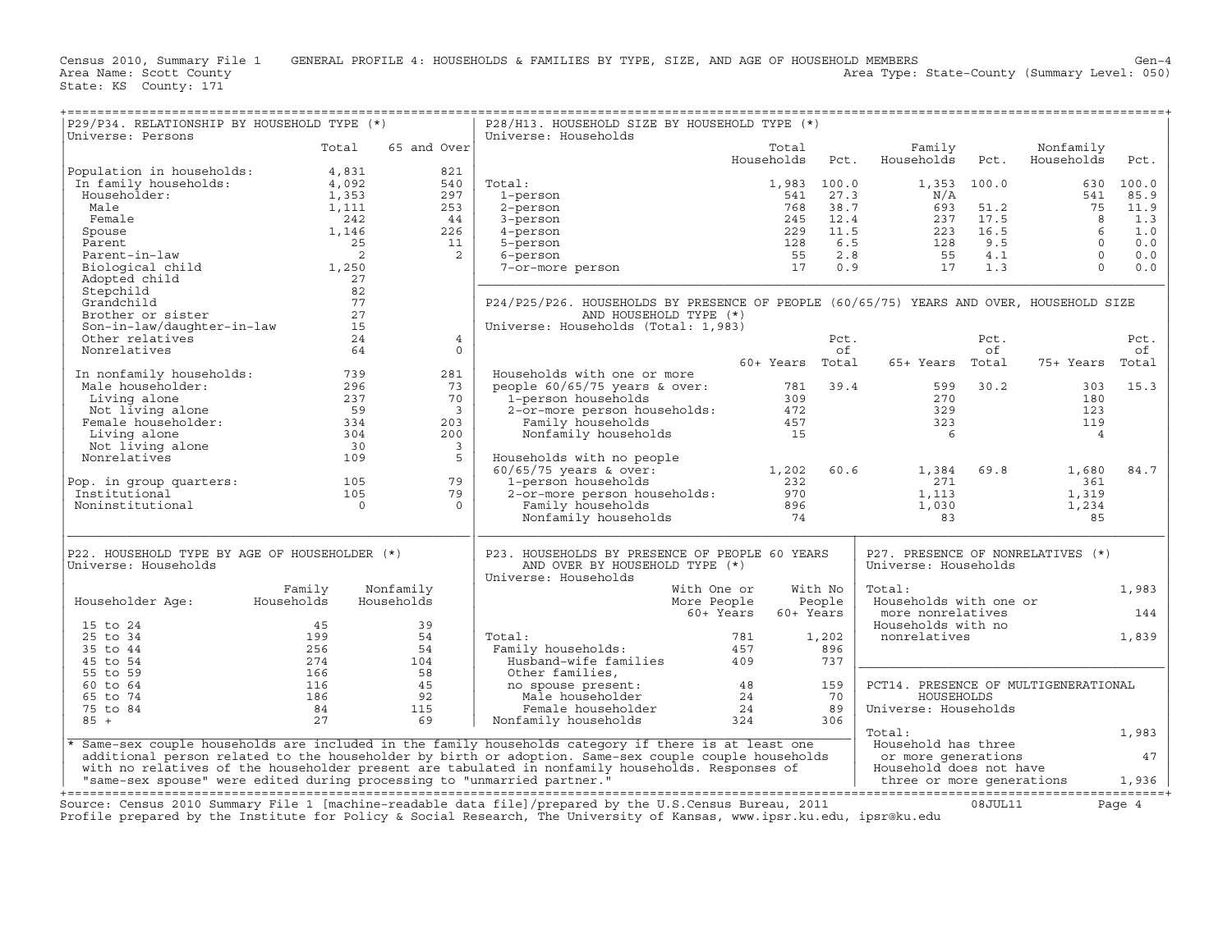| P29/P34. RELATIONSHIP BY HOUSEHOLD TYPE (*)<br>Universe: Persons                                                                                                                                                                                                                                                                                                                                                                        |                                                                                                     |                            | P28/H13. HOUSEHOLD SIZE BY HOUSEHOLD TYPE (*)<br>Universe: Households                                                                                                             |                          |         |                                                                                                                                                                                                                                                                                                              |             |                         |           |
|-----------------------------------------------------------------------------------------------------------------------------------------------------------------------------------------------------------------------------------------------------------------------------------------------------------------------------------------------------------------------------------------------------------------------------------------|-----------------------------------------------------------------------------------------------------|----------------------------|-----------------------------------------------------------------------------------------------------------------------------------------------------------------------------------|--------------------------|---------|--------------------------------------------------------------------------------------------------------------------------------------------------------------------------------------------------------------------------------------------------------------------------------------------------------------|-------------|-------------------------|-----------|
|                                                                                                                                                                                                                                                                                                                                                                                                                                         | Total                                                                                               | 65 and Over                |                                                                                                                                                                                   | Total<br>Households Pct. |         | Family<br>Households Pct.                                                                                                                                                                                                                                                                                    |             | Nonfamily<br>Households | Pct.      |
| $\begin{tabular}{ l l } \hline Population in households: & \begin{tabular}{ l l } \hline 4,831 \\ In family households: & \begin{tabular}{ l l } \hline 4,092 \\ Householder: & \begin{tabular}{ l l } \hline 4,092 \\ 1,353 \\ Male & \multicolumn{3}{ l l } \hline 1,115 \\ People & \begin{tabular}{ l l } \hline 1,111 \\ Spouse & \begin{tabular}{ l l } \hline 1,212 \\ 2,222 \\ 2,522 \\ 2,522 \\ 2,622 \\ 2,722 \\ 2,822 \\ 2,$ |                                                                                                     | 821                        |                                                                                                                                                                                   |                          |         |                                                                                                                                                                                                                                                                                                              |             |                         |           |
|                                                                                                                                                                                                                                                                                                                                                                                                                                         |                                                                                                     | 540                        | Total:                                                                                                                                                                            | 1,983 100.0              |         |                                                                                                                                                                                                                                                                                                              | 1,353 100.0 |                         | 630 100.0 |
|                                                                                                                                                                                                                                                                                                                                                                                                                                         |                                                                                                     | 297                        |                                                                                                                                                                                   |                          |         |                                                                                                                                                                                                                                                                                                              |             | 541                     | 85.9      |
|                                                                                                                                                                                                                                                                                                                                                                                                                                         |                                                                                                     | 253                        |                                                                                                                                                                                   |                          |         |                                                                                                                                                                                                                                                                                                              |             |                         | 11.9      |
|                                                                                                                                                                                                                                                                                                                                                                                                                                         |                                                                                                     | 44                         | 141:<br>1-person<br>2-person<br>3-person<br>4-person<br>5-person<br>5-person<br>5-person<br>7-or-more person<br>7-or-more person<br>17                                            |                          |         | 541 27.3<br>541 27.3<br>768 38.7<br>245 12.4<br>229 11.5<br>229 11.5<br>55 2.8<br>55 2.8<br>55 17 1.3<br>8<br>76.5<br>56 2.7<br>77.5<br>8<br>8<br>8<br>77.5<br>8<br>8<br>8<br>9.5<br>9.5<br>12.5<br>8<br>9.5<br>8<br>9.5<br>12.5<br>8<br>9.5<br>9.5<br>8<br>9.5<br>9.5<br>8<br>9.5<br>9.5<br>0.6<br>9.5<br>0 |             |                         | 1.3       |
|                                                                                                                                                                                                                                                                                                                                                                                                                                         |                                                                                                     | 226                        |                                                                                                                                                                                   |                          |         |                                                                                                                                                                                                                                                                                                              |             |                         | 1.0       |
|                                                                                                                                                                                                                                                                                                                                                                                                                                         |                                                                                                     | 11                         |                                                                                                                                                                                   |                          |         |                                                                                                                                                                                                                                                                                                              |             |                         | 0.0       |
|                                                                                                                                                                                                                                                                                                                                                                                                                                         |                                                                                                     | $\overline{\phantom{0}}$ 2 |                                                                                                                                                                                   |                          |         |                                                                                                                                                                                                                                                                                                              |             |                         | 0.0       |
| Biological child 1,250                                                                                                                                                                                                                                                                                                                                                                                                                  |                                                                                                     |                            |                                                                                                                                                                                   |                          |         |                                                                                                                                                                                                                                                                                                              |             |                         | 0.0       |
| Adopted child                                                                                                                                                                                                                                                                                                                                                                                                                           | 27                                                                                                  |                            |                                                                                                                                                                                   |                          |         |                                                                                                                                                                                                                                                                                                              |             |                         |           |
| Stepchild                                                                                                                                                                                                                                                                                                                                                                                                                               | 82                                                                                                  |                            |                                                                                                                                                                                   |                          |         |                                                                                                                                                                                                                                                                                                              |             |                         |           |
| Grandchild                                                                                                                                                                                                                                                                                                                                                                                                                              | 77                                                                                                  |                            | P24/P25/P26. HOUSEHOLDS BY PRESENCE OF PEOPLE (60/65/75) YEARS AND OVER, HOUSEHOLD SIZE                                                                                           |                          |         |                                                                                                                                                                                                                                                                                                              |             |                         |           |
| Brother or sister                                                                                                                                                                                                                                                                                                                                                                                                                       | 27                                                                                                  |                            | AND HOUSEHOLD TYPE (*)                                                                                                                                                            |                          |         |                                                                                                                                                                                                                                                                                                              |             |                         |           |
| Son-in-law/daughter-in-law 15                                                                                                                                                                                                                                                                                                                                                                                                           |                                                                                                     |                            | Universe: Households (Total: 1,983)                                                                                                                                               |                          |         |                                                                                                                                                                                                                                                                                                              |             |                         |           |
| Other relatives                                                                                                                                                                                                                                                                                                                                                                                                                         | 24<br>64                                                                                            | $\overline{4}$             |                                                                                                                                                                                   |                          | Pct.    |                                                                                                                                                                                                                                                                                                              | Pct.        |                         | Pct.      |
| Nonrelatives                                                                                                                                                                                                                                                                                                                                                                                                                            |                                                                                                     | $\Omega$                   |                                                                                                                                                                                   | 60+ Years Total          | of      |                                                                                                                                                                                                                                                                                                              | of          |                         | of        |
| 10 nonfamily households:<br>Male householder:<br>296 Living alone<br>Not living alone<br>Female householder:<br>237<br>Female householder:<br>237<br>59<br>Female bouseholder:<br>234<br>234<br>Not living alone<br>201<br>201<br>201<br>201<br>201<br>201<br>201<br>2                                                                                                                                                                  |                                                                                                     |                            |                                                                                                                                                                                   |                          |         | 65+ Years Total                                                                                                                                                                                                                                                                                              |             | 75+ Years Total         |           |
|                                                                                                                                                                                                                                                                                                                                                                                                                                         |                                                                                                     | 281<br>73                  | Households with one or more                                                                                                                                                       |                          |         |                                                                                                                                                                                                                                                                                                              | 599 30.2    | 303                     | 15.3      |
|                                                                                                                                                                                                                                                                                                                                                                                                                                         |                                                                                                     | 70                         |                                                                                                                                                                                   |                          |         |                                                                                                                                                                                                                                                                                                              |             | 180                     |           |
|                                                                                                                                                                                                                                                                                                                                                                                                                                         |                                                                                                     | $\overline{\phantom{a}}$   |                                                                                                                                                                                   |                          |         |                                                                                                                                                                                                                                                                                                              |             | 123                     |           |
|                                                                                                                                                                                                                                                                                                                                                                                                                                         |                                                                                                     | 203                        |                                                                                                                                                                                   |                          |         | $\frac{270}{329}$<br>329<br>323                                                                                                                                                                                                                                                                              |             | 119                     |           |
|                                                                                                                                                                                                                                                                                                                                                                                                                                         |                                                                                                     | 200                        |                                                                                                                                                                                   |                          |         |                                                                                                                                                                                                                                                                                                              |             | $\overline{4}$          |           |
|                                                                                                                                                                                                                                                                                                                                                                                                                                         |                                                                                                     | $\overline{\mathbf{3}}$    |                                                                                                                                                                                   |                          |         |                                                                                                                                                                                                                                                                                                              |             |                         |           |
|                                                                                                                                                                                                                                                                                                                                                                                                                                         |                                                                                                     | 5                          | Households with no people                                                                                                                                                         |                          |         |                                                                                                                                                                                                                                                                                                              |             |                         |           |
|                                                                                                                                                                                                                                                                                                                                                                                                                                         |                                                                                                     |                            |                                                                                                                                                                                   |                          |         | 1,384                                                                                                                                                                                                                                                                                                        | 69.8        | 1,680                   | 84.7      |
|                                                                                                                                                                                                                                                                                                                                                                                                                                         |                                                                                                     | 79                         |                                                                                                                                                                                   |                          |         | 271                                                                                                                                                                                                                                                                                                          |             | 361                     |           |
|                                                                                                                                                                                                                                                                                                                                                                                                                                         |                                                                                                     | 79                         |                                                                                                                                                                                   |                          |         |                                                                                                                                                                                                                                                                                                              |             | 1,319                   |           |
| Pop. in group quarters: 105<br>Institutional 105<br>Noninstitutional 0                                                                                                                                                                                                                                                                                                                                                                  |                                                                                                     | $\Omega$                   |                                                                                                                                                                                   |                          |         |                                                                                                                                                                                                                                                                                                              |             | 1,234                   |           |
|                                                                                                                                                                                                                                                                                                                                                                                                                                         |                                                                                                     |                            | Households with no people<br>60/65/75 years & over: 1,202 60.6<br>1-person households 232<br>2-or-more person households: 970<br>Family households 896<br>Nonfamily households 74 |                          |         | $1,113$<br>$1,030$<br>83<br>83                                                                                                                                                                                                                                                                               |             | 85                      |           |
| P22. HOUSEHOLD TYPE BY AGE OF HOUSEHOLDER (*)                                                                                                                                                                                                                                                                                                                                                                                           |                                                                                                     |                            | P23. HOUSEHOLDS BY PRESENCE OF PEOPLE 60 YEARS                                                                                                                                    |                          |         | P27. PRESENCE OF NONRELATIVES (*)                                                                                                                                                                                                                                                                            |             |                         |           |
| Universe: Households                                                                                                                                                                                                                                                                                                                                                                                                                    |                                                                                                     |                            | AND OVER BY HOUSEHOLD TYPE (*)<br>Universe: Households                                                                                                                            |                          |         | Universe: Households                                                                                                                                                                                                                                                                                         |             |                         |           |
|                                                                                                                                                                                                                                                                                                                                                                                                                                         | Family                                                                                              | Nonfamily                  | With One or                                                                                                                                                                       |                          | With No | Total:                                                                                                                                                                                                                                                                                                       |             |                         | 1,983     |
| Householder Age: Households                                                                                                                                                                                                                                                                                                                                                                                                             |                                                                                                     | Households                 | More People                                                                                                                                                                       | People                   |         | Households with one or                                                                                                                                                                                                                                                                                       |             |                         |           |
|                                                                                                                                                                                                                                                                                                                                                                                                                                         |                                                                                                     |                            | 60+ Years                                                                                                                                                                         | 60+ Years                |         | more nonrelatives                                                                                                                                                                                                                                                                                            |             |                         | 144       |
| 15 to 24                                                                                                                                                                                                                                                                                                                                                                                                                                | 45                                                                                                  | 39                         |                                                                                                                                                                                   |                          |         | Households with no                                                                                                                                                                                                                                                                                           |             |                         |           |
| 25 to 34                                                                                                                                                                                                                                                                                                                                                                                                                                | $\frac{199}{256}$                                                                                   | 54                         | Total:                                                                                                                                                                            |                          | 1,202   | nonrelatives                                                                                                                                                                                                                                                                                                 |             |                         | 1,839     |
| 35 to 44                                                                                                                                                                                                                                                                                                                                                                                                                                |                                                                                                     | 54                         |                                                                                                                                                                                   |                          | 896     |                                                                                                                                                                                                                                                                                                              |             |                         |           |
| 45 to 54                                                                                                                                                                                                                                                                                                                                                                                                                                | $256$ $34$<br>274 $104$                                                                             |                            |                                                                                                                                                                                   |                          | 737     |                                                                                                                                                                                                                                                                                                              |             |                         |           |
| 55 to 59                                                                                                                                                                                                                                                                                                                                                                                                                                | $\begin{array}{ccc} 1.7 & 1.04 \\ 166 & & 58 \\ 116 & & 45 \\ 186 & & 92 \\ 84 & & 115 \end{array}$ |                            | Other families,                                                                                                                                                                   |                          |         |                                                                                                                                                                                                                                                                                                              |             |                         |           |
| 60 to 64                                                                                                                                                                                                                                                                                                                                                                                                                                |                                                                                                     |                            | Other families,<br>no spouse present:<br>Male householder 24<br>Female householder 24<br>Nonfamily households 324                                                                 |                          | 159     | PCT14. PRESENCE OF MULTIGENERATIONAL                                                                                                                                                                                                                                                                         |             |                         |           |
| 65 to 74                                                                                                                                                                                                                                                                                                                                                                                                                                |                                                                                                     |                            |                                                                                                                                                                                   |                          | 70      | HOUSEHOLDS                                                                                                                                                                                                                                                                                                   |             |                         |           |
| 75 to 84                                                                                                                                                                                                                                                                                                                                                                                                                                |                                                                                                     |                            |                                                                                                                                                                                   |                          | 89      | Universe: Households                                                                                                                                                                                                                                                                                         |             |                         |           |
| $85 +$                                                                                                                                                                                                                                                                                                                                                                                                                                  | 27                                                                                                  | 69                         |                                                                                                                                                                                   |                          | 306     |                                                                                                                                                                                                                                                                                                              |             |                         |           |
|                                                                                                                                                                                                                                                                                                                                                                                                                                         |                                                                                                     |                            |                                                                                                                                                                                   |                          |         | Total:                                                                                                                                                                                                                                                                                                       |             |                         | 1,983     |
|                                                                                                                                                                                                                                                                                                                                                                                                                                         |                                                                                                     |                            | Same-sex couple households are included in the family households category if there is at least one                                                                                |                          |         | Household has three                                                                                                                                                                                                                                                                                          |             |                         |           |
|                                                                                                                                                                                                                                                                                                                                                                                                                                         |                                                                                                     |                            | additional person related to the householder by birth or adoption. Same-sex couple couple households                                                                              |                          |         | or more generations                                                                                                                                                                                                                                                                                          |             |                         | 47        |
|                                                                                                                                                                                                                                                                                                                                                                                                                                         |                                                                                                     |                            | with no relatives of the householder present are tabulated in nonfamily households. Responses of                                                                                  |                          |         | Household does not have                                                                                                                                                                                                                                                                                      |             |                         |           |
| "same-sex spouse" were edited during processing to "unmarried partner."                                                                                                                                                                                                                                                                                                                                                                 |                                                                                                     |                            |                                                                                                                                                                                   |                          |         | three or more generations                                                                                                                                                                                                                                                                                    |             |                         | 1,936     |
|                                                                                                                                                                                                                                                                                                                                                                                                                                         |                                                                                                     |                            | Course: Consus 2010 Summary File 1 [maghine-readable data file] (prepared by the II S Census Bureau 2011 (1981) 11 08:1111.11 Dage 1                                              |                          |         |                                                                                                                                                                                                                                                                                                              |             |                         |           |

Source: Census 2010 Summary File 1 [machine-readable data file]/prepared by the U.S.Census Bureau, 2011 Page 4<br>Profile prepared by the Institute for Policy & Social Research, The University of Kansas, www.ip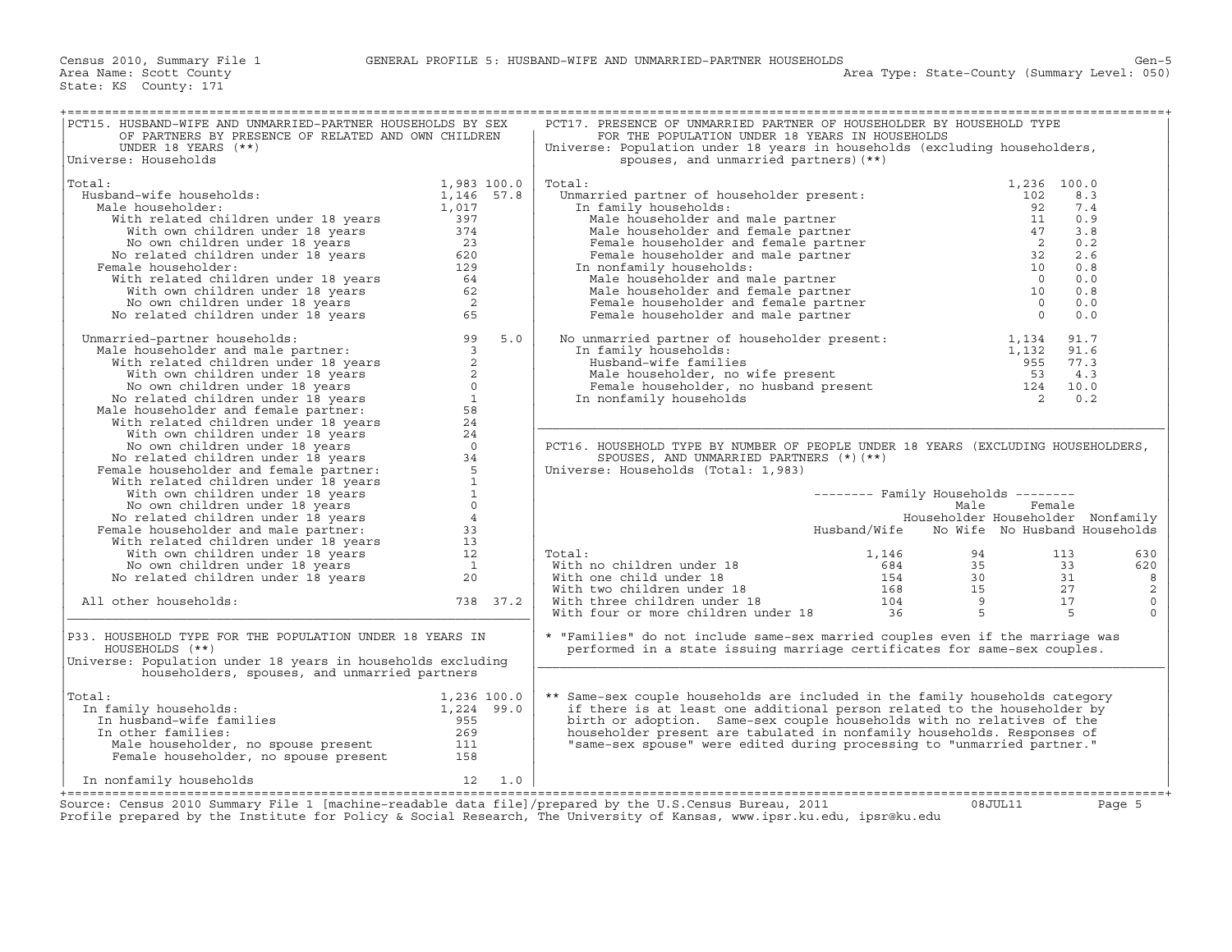| PCT15. HUSBAND-WIFE AND UNMARRIED-PARTNER HOUSEHOLDS BY SEX<br>OF PARTNERS BY PRESENCE OF RELATED AND OWN CHILDREN                                                                                                                                                           |             | PCT17. PRESENCE OF UNMARRIED PARTNER OF HOUSEHOLDER BY HOUSEHOLD TYPE<br>FOR THE POPULATION UNDER 18 YEARS IN HOUSEHOLDS                                                                                                                   |                                            |          |
|------------------------------------------------------------------------------------------------------------------------------------------------------------------------------------------------------------------------------------------------------------------------------|-------------|--------------------------------------------------------------------------------------------------------------------------------------------------------------------------------------------------------------------------------------------|--------------------------------------------|----------|
| UNDER 18 YEARS $(**)$<br>Universe: Households                                                                                                                                                                                                                                |             | Universe: Population under 18 years in households (excluding householders,<br>spouses, and unmarried partners) (**)                                                                                                                        |                                            |          |
| Total:                                                                                                                                                                                                                                                                       | 1,983 100.0 | %<br>otal: Unmarried partner of householder present: 1,236 10<br>In family households: 92<br>Male householder and male partner 11<br>Male householder and female partner 17<br>Female householder and female partner 2<br>Female household | 1,236 100.0                                |          |
| Husband-wife households:                                                                                                                                                                                                                                                     |             |                                                                                                                                                                                                                                            |                                            | 8.3      |
| Male householder:                                                                                                                                                                                                                                                            |             |                                                                                                                                                                                                                                            |                                            | 7.4      |
|                                                                                                                                                                                                                                                                              |             |                                                                                                                                                                                                                                            |                                            | 0.9      |
|                                                                                                                                                                                                                                                                              |             |                                                                                                                                                                                                                                            |                                            | 3.8      |
|                                                                                                                                                                                                                                                                              |             |                                                                                                                                                                                                                                            |                                            | 0.2      |
|                                                                                                                                                                                                                                                                              |             |                                                                                                                                                                                                                                            |                                            | 2.6      |
| Female householder:                                                                                                                                                                                                                                                          |             |                                                                                                                                                                                                                                            |                                            | 0.8      |
|                                                                                                                                                                                                                                                                              |             |                                                                                                                                                                                                                                            |                                            | 0.0      |
|                                                                                                                                                                                                                                                                              |             |                                                                                                                                                                                                                                            |                                            | 0.8      |
|                                                                                                                                                                                                                                                                              |             |                                                                                                                                                                                                                                            |                                            | 0.0      |
|                                                                                                                                                                                                                                                                              |             |                                                                                                                                                                                                                                            |                                            | 0.0      |
| % 1,983 100.0<br>ale householder:<br>ale householder:<br>With related children under 18 years<br>With wm children under 18 years<br>397<br>With own children under 18 years<br>23<br>No own children under 18 years<br>23<br>No related children u                           |             |                                                                                                                                                                                                                                            |                                            |          |
| No related children under 18 years 65<br>Mamarried-partner households:<br>Male householder and male partner: 99 5.0<br>With related children under 18 years 2<br>With won children under 18 years 2<br>No own children under 18 years 2<br><br>Unmarried-partner households: |             | No unmarried partner of householder present: 1,134 91.7<br>In family households: 1,132 91.6<br>Husband-wife families 1,132 97.3<br>Male householder, no wife present 53 4.3<br>Female householder, no husband present 124 10.0<br>In non   |                                            |          |
|                                                                                                                                                                                                                                                                              |             |                                                                                                                                                                                                                                            |                                            |          |
|                                                                                                                                                                                                                                                                              |             |                                                                                                                                                                                                                                            |                                            |          |
|                                                                                                                                                                                                                                                                              |             |                                                                                                                                                                                                                                            |                                            |          |
|                                                                                                                                                                                                                                                                              |             |                                                                                                                                                                                                                                            |                                            |          |
|                                                                                                                                                                                                                                                                              |             |                                                                                                                                                                                                                                            |                                            |          |
|                                                                                                                                                                                                                                                                              |             |                                                                                                                                                                                                                                            |                                            |          |
|                                                                                                                                                                                                                                                                              |             |                                                                                                                                                                                                                                            |                                            |          |
|                                                                                                                                                                                                                                                                              |             |                                                                                                                                                                                                                                            |                                            |          |
|                                                                                                                                                                                                                                                                              |             | PCT16. HOUSEHOLD TYPE BY NUMBER OF PEOPLE UNDER 18 YEARS (EXCLUDING HOUSEHOLDERS,                                                                                                                                                          |                                            |          |
|                                                                                                                                                                                                                                                                              |             | SPOUSES, AND UNMARRIED PARTNERS $(*)$ (**)                                                                                                                                                                                                 |                                            |          |
|                                                                                                                                                                                                                                                                              |             | Universe: Households (Total: 1,983)                                                                                                                                                                                                        |                                            |          |
|                                                                                                                                                                                                                                                                              |             |                                                                                                                                                                                                                                            |                                            |          |
|                                                                                                                                                                                                                                                                              |             |                                                                                                                                                                                                                                            | -------- Family Households --------        |          |
|                                                                                                                                                                                                                                                                              |             |                                                                                                                                                                                                                                            | Male<br>Householder Householder Nonfamily  | Female   |
|                                                                                                                                                                                                                                                                              |             |                                                                                                                                                                                                                                            | Husband/Wife No Wife No Husband Households |          |
|                                                                                                                                                                                                                                                                              |             |                                                                                                                                                                                                                                            |                                            |          |
|                                                                                                                                                                                                                                                                              |             | Total:                                                                                                                                                                                                                                     |                                            | 630      |
|                                                                                                                                                                                                                                                                              |             |                                                                                                                                                                                                                                            |                                            | 620      |
|                                                                                                                                                                                                                                                                              |             |                                                                                                                                                                                                                                            |                                            | 8        |
|                                                                                                                                                                                                                                                                              |             |                                                                                                                                                                                                                                            |                                            | 2        |
| All other households:                                                                                                                                                                                                                                                        | 738 37.2    |                                                                                                                                                                                                                                            |                                            | $\circ$  |
|                                                                                                                                                                                                                                                                              |             |                                                                                                                                                                                                                                            |                                            | $\Omega$ |
| P33. HOUSEHOLD TYPE FOR THE POPULATION UNDER 18 YEARS IN<br>HOUSEHOLDS (**)<br>Universe: Population under 18 years in households excluding<br>householders, spouses, and unmarried partners                                                                                  |             | * "Families" do not include same-sex married couples even if the marriage was<br>performed in a state issuing marriage certificates for same-sex couples.                                                                                  |                                            |          |
| 1,236 100.0<br>In husband-wife families<br>In other families:<br>Male households:<br>Male households:<br>Male households:<br>Male and the set of the set of the set of the set of the set of the set of the set of the set of the set of t<br>Total:                         |             | ** Same-sex couple households are included in the family households category                                                                                                                                                               |                                            |          |
| In family households:                                                                                                                                                                                                                                                        |             | if there is at least one additional person related to the householder by                                                                                                                                                                   |                                            |          |
|                                                                                                                                                                                                                                                                              |             | birth or adoption. Same-sex couple households with no relatives of the                                                                                                                                                                     |                                            |          |
|                                                                                                                                                                                                                                                                              |             | householder present are tabulated in nonfamily households. Responses of                                                                                                                                                                    |                                            |          |
|                                                                                                                                                                                                                                                                              |             | "same-sex spouse" were edited during processing to "unmarried partner."                                                                                                                                                                    |                                            |          |
|                                                                                                                                                                                                                                                                              |             |                                                                                                                                                                                                                                            |                                            |          |
| A CONSIDER THE LAMILLES<br>m other families: 955<br>Male householder, no spouse present<br>Temale householder, no spouse present<br>158<br>Monfamily bessel in the construction of the constant of the 158<br>$12 \qquad 1.0$<br>In nonfamily households                     |             |                                                                                                                                                                                                                                            |                                            |          |
|                                                                                                                                                                                                                                                                              |             |                                                                                                                                                                                                                                            |                                            |          |
|                                                                                                                                                                                                                                                                              |             | Source: Census 2010 Summary File 1 [machine-readable data file]/prepared by the U.S.Census Bureau, 2011<br>Profile prepared by the Institute for Policy & Social Research, The University of Kansas, www.ipsr.ku.edu, ipsr@ku.edu          | 08JUL11                                    | Page 5   |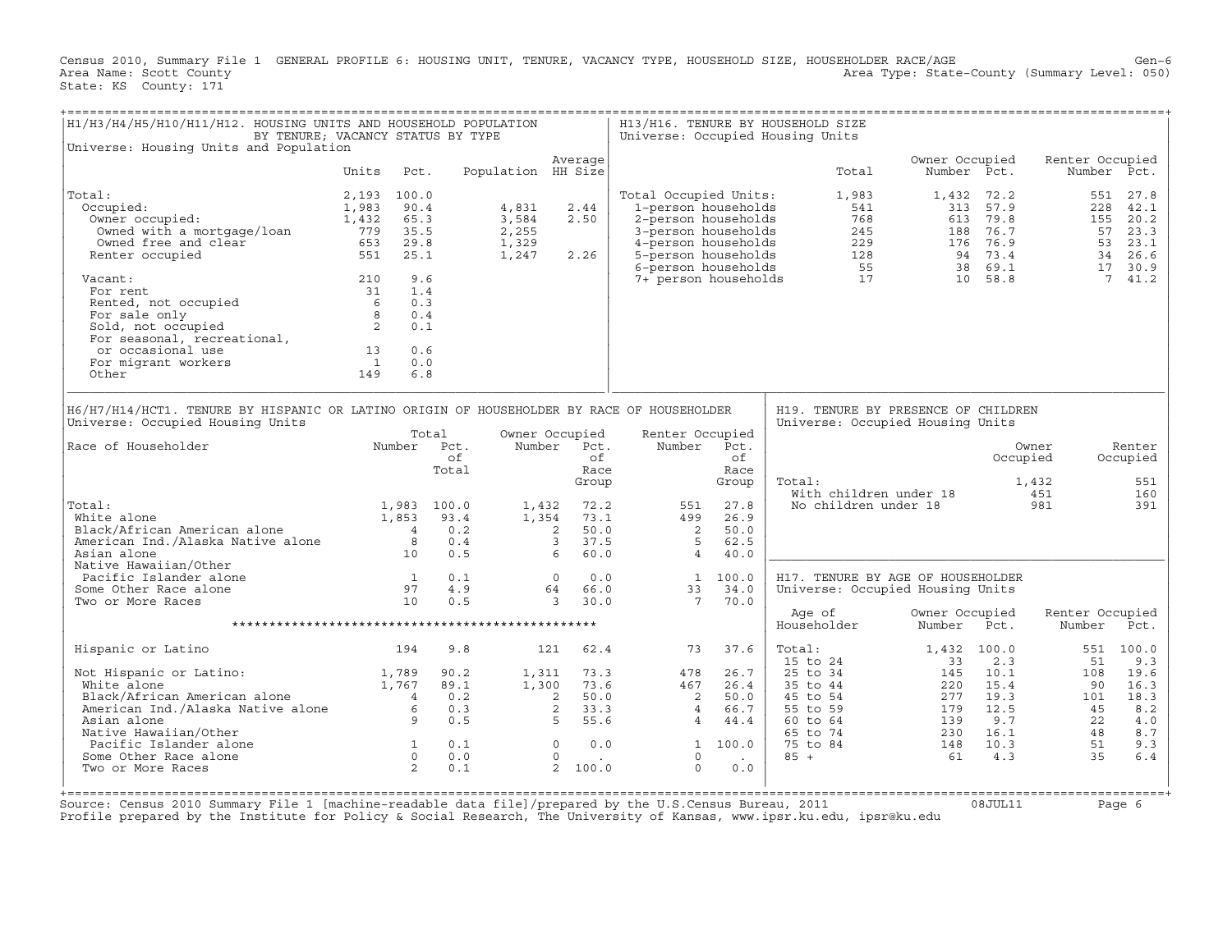Census 2010, Summary File 1 GENERAL PROFILE 6: HOUSING UNIT, TENURE, VACANCY TYPE, HOUSEHOLD SIZE, HOUSEHOLDER RACE/AGE Gen−6<br>Area Name: Scott County (summary Level: 050) Area Type: State-County (Summary Level: 050) State: KS County: 171

| H1/H3/H4/H5/H10/H11/H12. HOUSING UNITS AND HOUSEHOLD POPULATION                                                                                                                                                              | BY TENURE; VACANCY STATUS BY TYPE                                 |                                                      |                                           |                                                                                                                         |                                                                                                                                          |                                                             | H13/H16. TENURE BY HOUSEHOLD SIZE<br>Universe: Occupied Housing Units                                                                                        |                                                           |                                                                   |                                                      |                                                                  |
|------------------------------------------------------------------------------------------------------------------------------------------------------------------------------------------------------------------------------|-------------------------------------------------------------------|------------------------------------------------------|-------------------------------------------|-------------------------------------------------------------------------------------------------------------------------|------------------------------------------------------------------------------------------------------------------------------------------|-------------------------------------------------------------|--------------------------------------------------------------------------------------------------------------------------------------------------------------|-----------------------------------------------------------|-------------------------------------------------------------------|------------------------------------------------------|------------------------------------------------------------------|
| Universe: Housing Units and Population                                                                                                                                                                                       |                                                                   |                                                      |                                           | Average                                                                                                                 |                                                                                                                                          |                                                             |                                                                                                                                                              | Owner Occupied                                            |                                                                   | Renter Occupied                                      |                                                                  |
|                                                                                                                                                                                                                              | Units                                                             | Pct.                                                 | Population HH Size                        |                                                                                                                         |                                                                                                                                          |                                                             | Total                                                                                                                                                        | Number Pct.                                               |                                                                   |                                                      | Number Pct.                                                      |
| Total:<br>Occupied:<br>Owner occupied:<br>Owned with a mortgage/loan<br>Owned free and clear<br>Renter occupied                                                                                                              | 2,193 100.0<br>1,983<br>1,432 65.3<br>779 35.5<br>653 29.8<br>551 | 90.4<br>25.1                                         | 4,831<br>3,584<br>2,255<br>1,329<br>1,247 | 2.44<br>2.50<br>2.26                                                                                                    | Total Occupied Units:<br>1-person households<br>2-person households<br>3-person households<br>4-person households<br>5-person households |                                                             | 1,983<br>541<br>768<br>245<br>$\begin{array}{cccc} 1129 & 116 & 76.9 \\ 229 & 176 & 76.9 \\ 128 & 94 & 73.4 \\ 55 & 38 & 69.1 \\ 17 & 10 & 58.8 \end{array}$ |                                                           | 1,432 72.2<br>313 57.9<br>613 79.8<br>188 76.7                    | 551<br>228<br>155<br>57<br>53                        | 27.8<br>42.1<br>20.2<br>23.3<br>23.1<br>34<br>26.6               |
| Vacant:<br>For rent<br>Rented, not occupied<br>For sale only<br>Sold, not occupied<br>For seasonal, recreational,<br>or occasional use<br>For migrant workers<br>Other                                                       | 210<br>31<br>13<br>$\overline{1}$<br>149                          | 9.6<br>1.4<br>0.3<br>0.4<br>0.1<br>0.6<br>0.0<br>6.8 |                                           |                                                                                                                         | 6-person households<br>7+ person households                                                                                              |                                                             |                                                                                                                                                              |                                                           |                                                                   | 17                                                   | 30.9<br>7 41.2                                                   |
| H6/H7/H14/HCT1. TENURE BY HISPANIC OR LATINO ORIGIN OF HOUSEHOLDER BY RACE OF HOUSEHOLDER<br>Universe: Occupied Housing Units                                                                                                |                                                                   | Total                                                |                                           | Owner Occupied                                                                                                          | Renter Occupied                                                                                                                          |                                                             | H19. TENURE BY PRESENCE OF CHILDREN<br>Universe: Occupied Housing Units                                                                                      |                                                           |                                                                   |                                                      |                                                                  |
| Race of Householder                                                                                                                                                                                                          |                                                                   | Number Pct.<br>of<br>Total                           |                                           | Number Pct.<br>of.<br>Race<br>Group                                                                                     | Number                                                                                                                                   | Pct.<br>оf<br>Race<br>Group                                 | Total:<br>With children under 18                                                                                                                             |                                                           | Occupied                                                          | Owner<br>1,432<br>451                                | Renter<br>Occupied<br>551<br>160                                 |
| Total:<br>ista.<br>White alone<br>Black/African American alone<br>Browista Ind. (10)<br>American Ind./Alaska Native alone<br>Asian alone                                                                                     | 1,853<br>$\overline{4}$<br>$_{\rm 8}$<br>10                       | 1,983 100.0<br>93.4<br>0.2<br>0.4<br>0.5             | 1,432<br>1,354                            | 72.2<br>73.1<br>$\overline{2}$<br>50.0<br>37.5<br>$\overline{3}$<br>60.0<br>6                                           | 551<br>499<br>$\overline{\phantom{0}}$ 2<br>$5^{\circ}$<br>$\overline{4}$                                                                | 27.8<br>26.9<br>50.0<br>62.5<br>40.0                        | No children under 18                                                                                                                                         |                                                           |                                                                   | 981                                                  | 391                                                              |
| Native Hawaiian/Other<br>Pacific Islander alone<br>Some Other Race alone<br>Two or More Races                                                                                                                                | 1<br>$\begin{array}{c} 1 \\ 10 \end{array}$<br>97                 | 0.1<br>4.9<br>0.5                                    |                                           | 0.0<br>$\overline{0}$<br>64<br>66.0<br>$\overline{3}$<br>30.0                                                           | 33<br>$7\overline{ }$                                                                                                                    | 1 100.0<br>34.0<br>70.0                                     | H17. TENURE BY AGE OF HOUSEHOLDER<br>Universe: Occupied Housing Units                                                                                        |                                                           |                                                                   |                                                      |                                                                  |
|                                                                                                                                                                                                                              |                                                                   |                                                      |                                           |                                                                                                                         |                                                                                                                                          |                                                             | Age of<br>Householder                                                                                                                                        | Owner Occupied<br>Number                                  | Pct.                                                              | Renter Occupied<br>Number                            | Pct.                                                             |
| Hispanic or Latino                                                                                                                                                                                                           | 194                                                               | 9.8                                                  |                                           | 62.4<br>121                                                                                                             | 73                                                                                                                                       | 37.6                                                        | Total:                                                                                                                                                       | 1,432 100.0                                               |                                                                   |                                                      | 551 100.0                                                        |
| Not Hispanic or Latino: 1,789<br>White alone 1,767<br>Black/African American alone 1,767<br>American Ind./Alaska Native alone 6<br>Asian alone 9<br>Native Hawaiian/Other<br>Pacific Islander alone<br>Some Other Race alone | $\begin{array}{c} 1 \\ 0 \end{array}$                             | 90.2<br>89.1<br>0.2<br>0.3<br>0.5<br>0.1<br>0.0      | 1,311                                     | 73.3<br>1,300 73.6<br>50.0<br>$2^{\circ}$<br>$\overline{a}$<br>33.3<br>$5 -$<br>55.6<br>$\Omega$<br>0.0<br>$\mathbf{0}$ | 478<br>467<br>$\overline{\phantom{0}}^2$<br>$\overline{4}$<br>$\overline{4}$<br>$\mathbf{1}$<br>$\circ$                                  | 26.7<br>26.4<br>50.0<br>66.7<br>44.4<br>100.0<br>$\sim 100$ | 15 to 24<br>25 to 34<br>35 to 44<br>45 to 54<br>55 to 59<br>60 to 64<br>65 to 74<br>75 to 84<br>$85 +$                                                       | 33<br>145<br>220<br>277<br>179<br>139<br>230<br>148<br>61 | 2.3<br>10.1<br>15.4<br>19.3<br>12.5<br>9.7<br>16.1<br>10.3<br>4.3 | 51<br>108<br>90<br>101<br>45<br>22<br>48<br>51<br>35 | 9.3<br>19.6<br>16.3<br>18.3<br>8.2<br>4.0<br>8.7<br>9.3<br>$6.4$ |

+===================================================================================================================================================+ Source: Census 2010 Summary File 1 [machine−readable data file]/prepared by the U.S.Census Bureau, 2011 08JUL11 Page 6 Profile prepared by the Institute for Policy & Social Research, The University of Kansas, www.ipsr.ku.edu, ipsr@ku.edu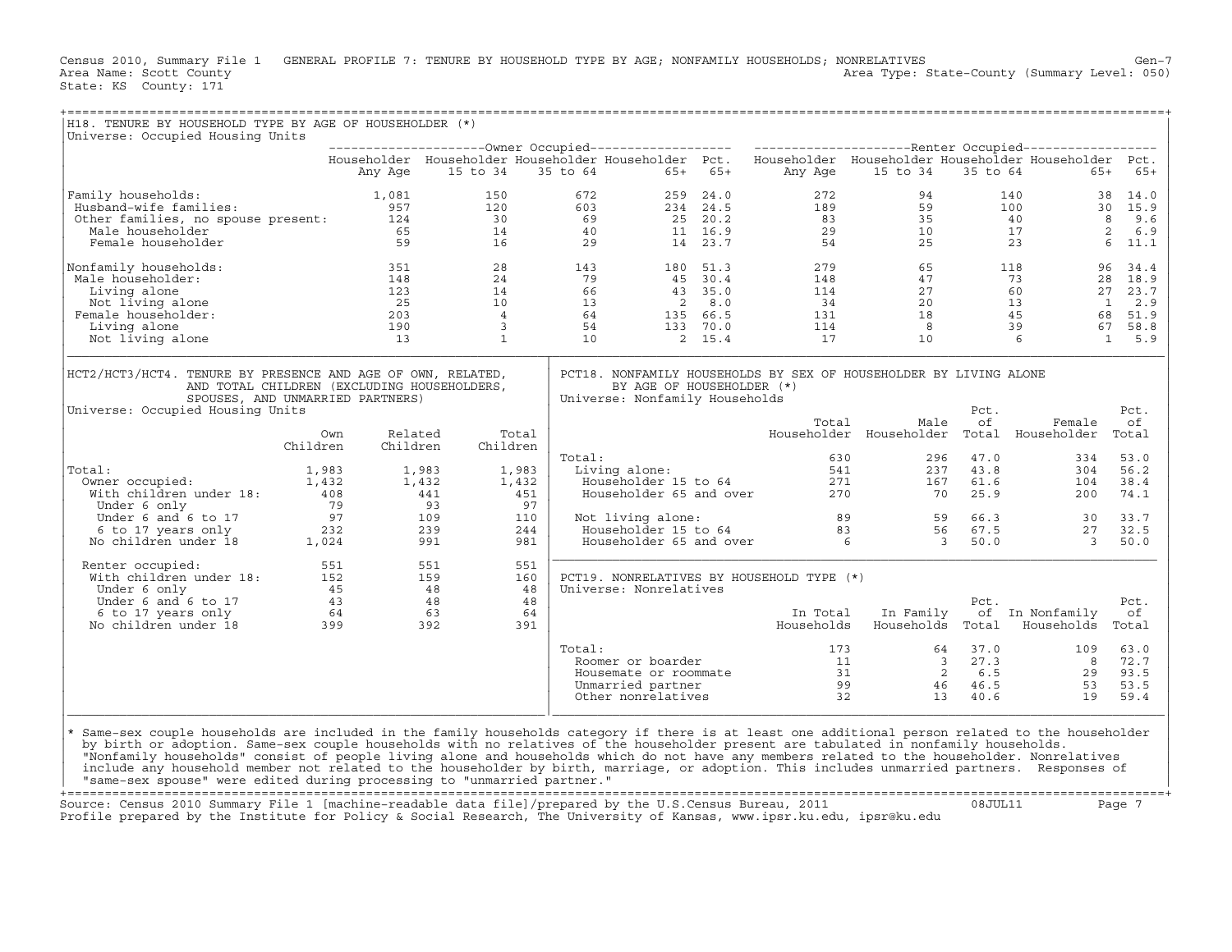Census 2010, Summary File 1 GENERAL PROFILE 7: TENURE BY HOUSEHOLD TYPE BY AGE; NONFAMILY HOUSEHOLDS; NONRELATIVES<br>Area Name: Scott County Level: 050) Area Type: State-County (Summary Level: 050) Area Type: State-County (Summary Level: 050) State: KS County: 171

| H18. TENURE BY HOUSEHOLD TYPE BY AGE OF HOUSEHOLDER (*)<br>Universe: Occupied Housing Units                                                                                                                                                                                         |          |          |          |            |        | ======================================                      |  |                                           |                                                                                                                                                                                                                                                                                                                                          |          |                 |           |
|-------------------------------------------------------------------------------------------------------------------------------------------------------------------------------------------------------------------------------------------------------------------------------------|----------|----------|----------|------------|--------|-------------------------------------------------------------|--|-------------------------------------------|------------------------------------------------------------------------------------------------------------------------------------------------------------------------------------------------------------------------------------------------------------------------------------------------------------------------------------------|----------|-----------------|-----------|
|                                                                                                                                                                                                                                                                                     |          |          |          |            |        |                                                             |  |                                           |                                                                                                                                                                                                                                                                                                                                          |          |                 |           |
|                                                                                                                                                                                                                                                                                     |          |          |          |            |        |                                                             |  |                                           | Householder Householder Householder Householder Pct. Householder Householder Householder Householder Pct.                                                                                                                                                                                                                                |          |                 |           |
|                                                                                                                                                                                                                                                                                     |          | Any Age  | 15 to 34 |            |        | 35 to 64 65+ 65+                                            |  |                                           | Any Age 15 to 34                                                                                                                                                                                                                                                                                                                         |          | 35 to 64        | $65+ 65+$ |
| Family households:                                                                                                                                                                                                                                                                  |          |          |          |            |        |                                                             |  |                                           |                                                                                                                                                                                                                                                                                                                                          |          |                 |           |
|                                                                                                                                                                                                                                                                                     |          |          |          |            |        |                                                             |  |                                           |                                                                                                                                                                                                                                                                                                                                          |          |                 |           |
|                                                                                                                                                                                                                                                                                     |          |          |          |            |        |                                                             |  |                                           |                                                                                                                                                                                                                                                                                                                                          |          |                 |           |
|                                                                                                                                                                                                                                                                                     |          |          |          |            |        |                                                             |  |                                           |                                                                                                                                                                                                                                                                                                                                          |          |                 |           |
| 957 120 672 259 24.0 272 94 140 38 14.0<br>272 94 140 38 14.0<br>273 95 100 30 15.9<br>274 140 38 14.0<br>274 140 38 14.0<br>274 140 38 14.0<br>275 120 603 234 24.5 189 59 100 30 15.9<br>276 15.9<br>277 94 140 38 14.0<br>277 94 140 38 14.0<br>                                 |          |          |          |            |        |                                                             |  |                                           |                                                                                                                                                                                                                                                                                                                                          |          |                 |           |
| Nonfamily households:                                                                                                                                                                                                                                                               |          |          |          |            |        |                                                             |  |                                           | $\begin{array}{cccccccccc} 351 && 28 && 143 && 180 && 51.3 && 279 && 65 && 118 && 96 && 34.4 && 148 && 24 && 79 && 45 && 30.4 && 148 && 47 && 73 && 28 && 18.9 && 123 && 14 && 66 && 43 && 35.0 && 114 && 27 && 60 && 27 && 23.7 && 23.4 && 203 && 4 && 64 && 135 && 66.5 && 34.4 && 20 && 13 && 1 && 2.9 && 45 && 68 && 51.9 && 149 &&$ |          |                 |           |
| Male householder:                                                                                                                                                                                                                                                                   |          |          |          |            |        |                                                             |  |                                           |                                                                                                                                                                                                                                                                                                                                          |          |                 |           |
| Living alone                                                                                                                                                                                                                                                                        |          |          |          |            |        |                                                             |  |                                           |                                                                                                                                                                                                                                                                                                                                          |          |                 |           |
| Not living alone                                                                                                                                                                                                                                                                    |          |          |          |            |        |                                                             |  |                                           |                                                                                                                                                                                                                                                                                                                                          |          |                 |           |
| Female householder:                                                                                                                                                                                                                                                                 |          |          |          |            |        |                                                             |  |                                           |                                                                                                                                                                                                                                                                                                                                          |          |                 |           |
| Living alone                                                                                                                                                                                                                                                                        |          |          |          |            |        |                                                             |  |                                           |                                                                                                                                                                                                                                                                                                                                          |          |                 |           |
| Not living alone                                                                                                                                                                                                                                                                    |          |          |          |            |        |                                                             |  |                                           |                                                                                                                                                                                                                                                                                                                                          |          |                 |           |
| HCT2/HCT3/HCT4. TENURE BY PRESENCE AND AGE OF OWN, RELATED,<br>AND TOTAL CHILDREN (EXCLUDING HOUSEHOLDERS,<br>SPOUSES, AND UNMARRIED PARTNERS)<br>Universe: Occupied Housing Units                                                                                                  |          |          |          |            |        | BY AGE OF HOUSEHOLDER (*)<br>Universe: Nonfamily Households |  |                                           | PCT18. NONFAMILY HOUSEHOLDS BY SEX OF HOUSEHOLDER BY LIVING ALONE                                                                                                                                                                                                                                                                        | Pct.     |                 | Pct.      |
|                                                                                                                                                                                                                                                                                     |          |          |          |            |        |                                                             |  | Total                                     | Male                                                                                                                                                                                                                                                                                                                                     | оf       | Female          | оf        |
|                                                                                                                                                                                                                                                                                     | Own      | Related  |          | Total      |        |                                                             |  |                                           | Householder Householder Total Householder Total                                                                                                                                                                                                                                                                                          |          |                 |           |
|                                                                                                                                                                                                                                                                                     | Children | Children |          | Children   |        |                                                             |  |                                           |                                                                                                                                                                                                                                                                                                                                          |          |                 |           |
|                                                                                                                                                                                                                                                                                     |          |          |          |            | Total: |                                                             |  |                                           | 0tal: 630 296 47.0<br>Living alone: 541 237 43.8<br>Householder 15 to 64 271 167 61.6<br>Householder 65 and over 270 70 25.9                                                                                                                                                                                                             | 296 47.0 | 334             | 53.0      |
| Total:                                                                                                                                                                                                                                                                              |          |          |          | 1,983      |        |                                                             |  |                                           |                                                                                                                                                                                                                                                                                                                                          |          | 304             | 56.2      |
|                                                                                                                                                                                                                                                                                     |          |          |          | 1,432      |        |                                                             |  |                                           |                                                                                                                                                                                                                                                                                                                                          |          | 104             | 38.4      |
|                                                                                                                                                                                                                                                                                     |          |          |          | 451        |        |                                                             |  |                                           |                                                                                                                                                                                                                                                                                                                                          |          | 200             | 74.1      |
|                                                                                                                                                                                                                                                                                     |          |          |          | 97         |        |                                                             |  |                                           |                                                                                                                                                                                                                                                                                                                                          |          |                 |           |
|                                                                                                                                                                                                                                                                                     |          |          |          | 110        |        |                                                             |  |                                           | Not living alone: 89 59 66.3 30<br>Householder 15 to 64 83 56 67.5 27<br>Householder 65 and over 6 3 50.0 3                                                                                                                                                                                                                              |          |                 | 33.7      |
|                                                                                                                                                                                                                                                                                     |          |          |          | 244        |        |                                                             |  |                                           |                                                                                                                                                                                                                                                                                                                                          |          |                 | 32.5      |
| 0011: 1,983 1,983 1,983<br>0011: 1,432 1,432 1,432<br>1,432 1,432 1,432<br>1,432 1,432 1,432<br>1,432 1,432 1,432<br>1,432 1,432<br>1,983 1,983<br>1,432 1,432<br>1,432 1,432<br>1,432<br>1,432<br>1,432<br>1,432<br>1,432<br>1,432<br>1,432<br>1,432<br>1,432<br>                  |          |          |          | 981        |        |                                                             |  |                                           |                                                                                                                                                                                                                                                                                                                                          |          |                 | 50.0      |
| Renter occupied:                                                                                                                                                                                                                                                                    |          |          |          | 551<br>160 |        |                                                             |  | PCT19. NONRELATIVES BY HOUSEHOLD TYPE (*) |                                                                                                                                                                                                                                                                                                                                          |          |                 |           |
|                                                                                                                                                                                                                                                                                     |          |          |          | 48         |        | Universe: Nonrelatives                                      |  |                                           |                                                                                                                                                                                                                                                                                                                                          |          |                 |           |
|                                                                                                                                                                                                                                                                                     |          |          |          | 48         |        |                                                             |  |                                           |                                                                                                                                                                                                                                                                                                                                          | Pct.     |                 | Pct.      |
|                                                                                                                                                                                                                                                                                     |          |          |          | 64         |        |                                                             |  |                                           | In Total In Family                                                                                                                                                                                                                                                                                                                       |          | of In Nonfamily | оf        |
| Renter occupied: 551<br>With children under 18: 551<br>Under 6 only 45<br>159<br>Under 6 and 6 to 17<br>6 to 17 years only 64<br>16 to 17 years only 64<br>16 63<br>No children under 18<br>18 399<br>18 392                                                                        |          |          |          | 391        |        |                                                             |  |                                           | Households Households Total Households                                                                                                                                                                                                                                                                                                   |          |                 | Total     |
|                                                                                                                                                                                                                                                                                     |          |          |          |            | Total: |                                                             |  |                                           |                                                                                                                                                                                                                                                                                                                                          |          |                 |           |
|                                                                                                                                                                                                                                                                                     |          |          |          |            |        |                                                             |  |                                           |                                                                                                                                                                                                                                                                                                                                          |          |                 |           |
|                                                                                                                                                                                                                                                                                     |          |          |          |            |        |                                                             |  |                                           |                                                                                                                                                                                                                                                                                                                                          |          |                 |           |
|                                                                                                                                                                                                                                                                                     |          |          |          |            |        |                                                             |  |                                           |                                                                                                                                                                                                                                                                                                                                          |          |                 |           |
|                                                                                                                                                                                                                                                                                     |          |          |          |            |        |                                                             |  |                                           | 0121:<br>27.3 109 63.0<br>27.3 109 63.0<br>27.3 1000 63.0<br>27.7<br>27.3 1000 63.0<br>27.7<br>27.3 27.3 8<br>27.7<br>27.7<br>27.7<br>27.7<br>27.7<br>27.7<br>29 93.5<br>29 93.5<br>29 93.5<br>29 93.5<br>29 93.5<br>29 93.5<br>29 93.5<br>29 93.5<br>29 93.5                                                                            |          |                 |           |
| * Same-sex couple households are included in the family households category if there is at least one additional person related to the householder                                                                                                                                   |          |          |          |            |        |                                                             |  |                                           |                                                                                                                                                                                                                                                                                                                                          |          |                 |           |
| by birth or adoption. Same-sex couple households with no relatives of the householder present are tabulated in nonfamily households.<br>"Nonfamily households" consist of people living alone and households which do not have any members related to the householder. Nonrelatives |          |          |          |            |        |                                                             |  |                                           |                                                                                                                                                                                                                                                                                                                                          |          |                 |           |
| include any household member not related to the householder by birth, marriage, or adoption. This includes unmarried partners. Responses of                                                                                                                                         |          |          |          |            |        |                                                             |  |                                           |                                                                                                                                                                                                                                                                                                                                          |          |                 |           |
| "same-sex spouse" were edited during processing to "unmarried partner."                                                                                                                                                                                                             |          |          |          |            |        |                                                             |  |                                           |                                                                                                                                                                                                                                                                                                                                          |          |                 |           |

+===================================================================================================================================================+ Source: Census 2010 Summary File 1 [machine−readable data file]/prepared by the U.S.Census Bureau, 2011 08JUL11 Page 7 Profile prepared by the Institute for Policy & Social Research, The University of Kansas, www.ipsr.ku.edu, ipsr@ku.edu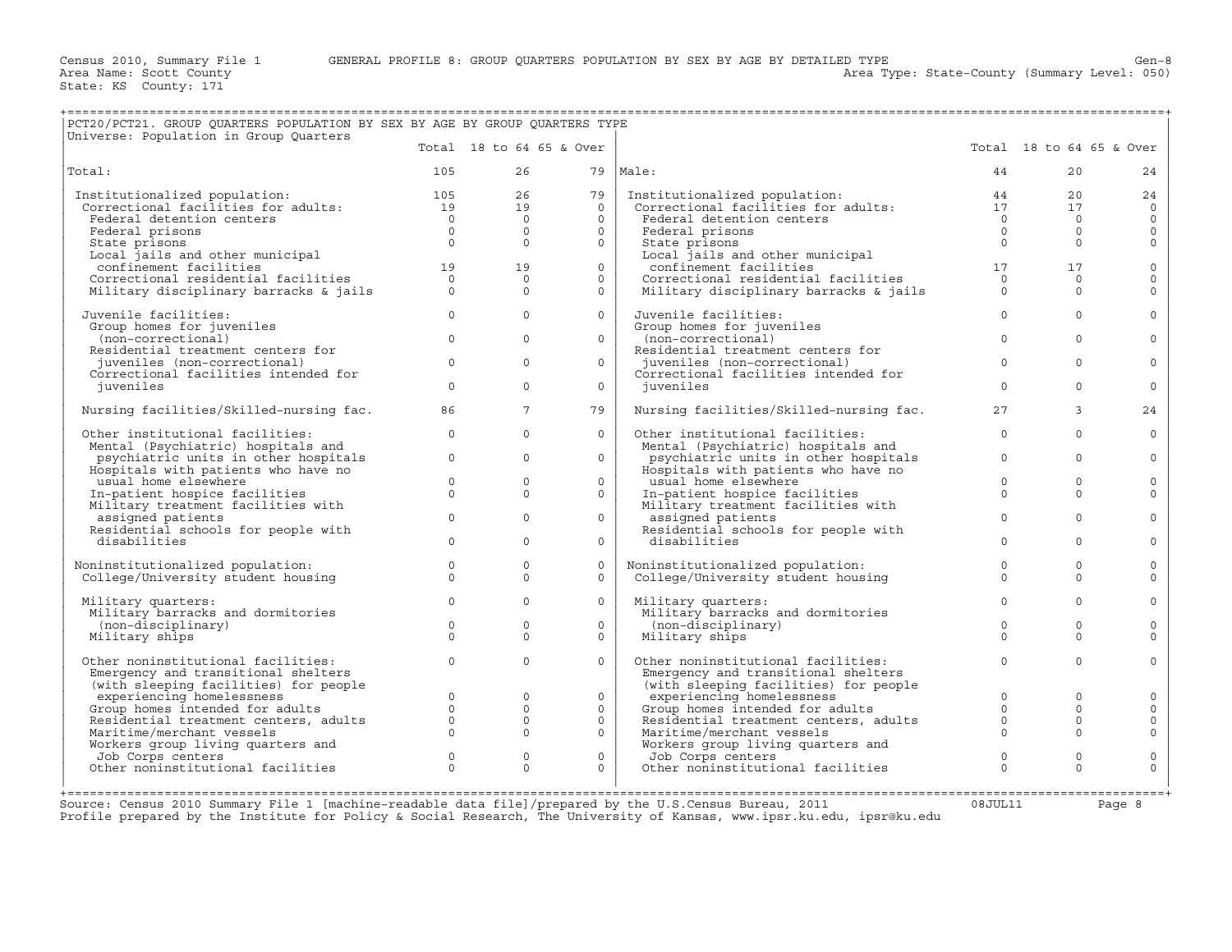Area Type: State-County (Summary Level: 050)

| PCT20/PCT21. GROUP QUARTERS POPULATION BY SEX BY AGE BY GROUP QUARTERS TYPE                                                                                                                                                                    |          |                                |                          |                                                                                                                                                                                                                 |                     |                          |              |
|------------------------------------------------------------------------------------------------------------------------------------------------------------------------------------------------------------------------------------------------|----------|--------------------------------|--------------------------|-----------------------------------------------------------------------------------------------------------------------------------------------------------------------------------------------------------------|---------------------|--------------------------|--------------|
| Universe: Population in Group Quarters                                                                                                                                                                                                         |          |                                | Total 18 to 64 65 & Over |                                                                                                                                                                                                                 |                     | Total 18 to 64 65 & Over |              |
| Total:                                                                                                                                                                                                                                         | 105      | 26                             |                          | 79   Male:                                                                                                                                                                                                      | 44                  | 20                       | 24           |
|                                                                                                                                                                                                                                                |          |                                | $\frac{26}{10}$<br>79    | Institutionalized population: 44<br>Correctional facilities for adults: 17                                                                                                                                      |                     | 20                       | 24           |
|                                                                                                                                                                                                                                                |          |                                | $\Omega$                 |                                                                                                                                                                                                                 |                     | 17                       | $\circ$      |
|                                                                                                                                                                                                                                                |          |                                | $\Omega$                 | Federal detention centers                                                                                                                                                                                       | $\overline{0}$      | $\Omega$                 | $\mathbf 0$  |
|                                                                                                                                                                                                                                                |          |                                | $\Omega$                 | Federal prisons                                                                                                                                                                                                 | $\overline{0}$      | $\Omega$                 | $\mathbf{0}$ |
|                                                                                                                                                                                                                                                |          |                                | $\circ$                  | State prisons                                                                                                                                                                                                   | $\bigcap$           | $\Omega$                 | $\mathbf 0$  |
|                                                                                                                                                                                                                                                |          |                                |                          |                                                                                                                                                                                                                 |                     |                          |              |
|                                                                                                                                                                                                                                                |          |                                | $\Omega$                 |                                                                                                                                                                                                                 |                     | 17                       | $\mathbf 0$  |
|                                                                                                                                                                                                                                                |          |                                | $\overline{0}$           |                                                                                                                                                                                                                 |                     | $\Omega$                 | $\mathbf 0$  |
| Institutionalized population: $105$<br>Correctional facilities for adults: $19$<br>Federal detention centers $0$<br>Federal prisons $0$<br>State prisons $0$<br>Local jails and other municipal<br>confinement facilities $19$<br>Correction   |          |                                | $\Omega$                 | State prisons<br>Local jails and other municipal $\begin{array}{ccc} 0 & 0 \ \text{Ror} & 17 \end{array}$<br>Correctional residential facilities $\begin{array}{ccc} 17 & 17 \ \text{Military} & 0 \end{array}$ | $\overline{0}$      | $\Omega$                 | $\Omega$     |
| Juvenile facilities:                                                                                                                                                                                                                           |          | $\overline{0}$<br>$\mathbf{0}$ | $\overline{0}$           | Juvenile facilities:                                                                                                                                                                                            | $\sim$ 0            | $\Omega$                 | $\Omega$     |
| Group homes for juveniles                                                                                                                                                                                                                      |          | $\Omega$                       |                          | Group homes for juveniles                                                                                                                                                                                       |                     |                          |              |
| (non-correctional)                                                                                                                                                                                                                             | $\Omega$ |                                | $\Omega$                 | (non-correctional)                                                                                                                                                                                              | $\Omega$            | $\Omega$                 | $\Omega$     |
| Residential treatment centers for                                                                                                                                                                                                              | $\Omega$ | $\Omega$                       | $\Omega$                 | Residential treatment centers for                                                                                                                                                                               | $\Omega$            | $\Omega$                 | $\Omega$     |
| juveniles (non-correctional)<br>Correctional facilities intended for                                                                                                                                                                           |          |                                |                          | juveniles (non-correctional)<br>Correctional facilities intended for                                                                                                                                            |                     |                          |              |
| juveniles                                                                                                                                                                                                                                      | $\Omega$ | $\Omega$                       | $\overline{0}$           | juveniles                                                                                                                                                                                                       | $\Omega$            | $\Omega$                 | $\Omega$     |
|                                                                                                                                                                                                                                                |          |                                |                          |                                                                                                                                                                                                                 |                     |                          |              |
| Nursing facilities/Skilled-nursing fac.                                                                                                                                                                                                        | 86       | $7^{\circ}$                    | 79                       | Nursing facilities/Skilled-nursing fac.                                                                                                                                                                         | 27                  | 3                        | 24           |
| Other institutional facilities:                                                                                                                                                                                                                | $\Omega$ | $\Omega$                       | $\Omega$                 | Other institutional facilities:                                                                                                                                                                                 | $\Omega$            | $\Omega$                 | $\Omega$     |
| Mental (Psychiatric) hospitals and                                                                                                                                                                                                             |          |                                |                          | Mental (Psychiatric) hospitals and                                                                                                                                                                              |                     |                          |              |
| psychiatric units in other hospitals                                                                                                                                                                                                           |          | $0 \qquad \qquad$<br>$\Omega$  | $\Omega$                 | psychiatric units in other hospitals                                                                                                                                                                            | $\Omega$            | $\Omega$                 | $\mathbf 0$  |
| Hospitals with patients who have no                                                                                                                                                                                                            | $\Omega$ | $\Omega$                       | $\Omega$                 | Hospitals with patients who have no                                                                                                                                                                             | $\Omega$            | $\Omega$                 |              |
| usual home elsewhere                                                                                                                                                                                                                           |          | $0 \qquad \qquad$<br>$\Omega$  | $\Omega$                 | usual home elsewhere                                                                                                                                                                                            | $\Omega$            | $\Omega$                 | $\mathbf 0$  |
| In-patient hospice facilities<br>Military treatment facilities with                                                                                                                                                                            |          |                                |                          | In-patient hospice facilities<br>Military treatment facilities with                                                                                                                                             |                     |                          | $\mathbf 0$  |
| assigned patients                                                                                                                                                                                                                              | $\Omega$ | $\Omega$                       | $\Omega$                 | assigned patients                                                                                                                                                                                               | $\Omega$            | $\Omega$                 | $\Omega$     |
| Residential schools for people with                                                                                                                                                                                                            |          |                                |                          | Residential schools for people with                                                                                                                                                                             |                     |                          |              |
| disabilities                                                                                                                                                                                                                                   | $\Omega$ | $\Omega$                       | $\Omega$                 | disabilities                                                                                                                                                                                                    | $\Omega$            | $\Omega$                 | $\Omega$     |
| Noninstitutionalized population:                                                                                                                                                                                                               | $\Omega$ | $\Omega$                       | $\Omega$                 |                                                                                                                                                                                                                 | $\Omega$            | $\Omega$                 | $\mathbf 0$  |
| College/University student housing                                                                                                                                                                                                             | $\Omega$ | $\Omega$                       | $\Omega$                 | Noninstitutionalized population:<br>College/University student housing                                                                                                                                          | $\Omega$            | $\Omega$                 | $\Omega$     |
|                                                                                                                                                                                                                                                |          |                                |                          |                                                                                                                                                                                                                 |                     |                          |              |
| Military quarters:                                                                                                                                                                                                                             | $\Omega$ | $\Omega$                       | $\Omega$                 | Military quarters:                                                                                                                                                                                              | $\Omega$            | $\Omega$                 | $\Omega$     |
| Military barracks and dormitories                                                                                                                                                                                                              |          |                                |                          | Military barracks and dormitories                                                                                                                                                                               |                     |                          |              |
| (non-disciplinary)                                                                                                                                                                                                                             | $\circ$  | $\Omega$                       | $\Omega$                 | (non-disciplinary)                                                                                                                                                                                              | $\Omega$            | $\Omega$                 | $\Omega$     |
| Military ships                                                                                                                                                                                                                                 | $\Omega$ | $\Omega$                       | $\Omega$                 | Military ships                                                                                                                                                                                                  | $\Omega$            | $\Omega$                 | $\Omega$     |
| Other noninstitutional facilities:                                                                                                                                                                                                             | $\Omega$ | $\Omega$                       | $\Omega$                 | Other noninstitutional facilities:                                                                                                                                                                              | $\Omega$            | $\Omega$                 | $\Omega$     |
| Emergency and transitional shelters                                                                                                                                                                                                            |          |                                |                          | Emergency and transitional shelters                                                                                                                                                                             |                     |                          |              |
|                                                                                                                                                                                                                                                |          |                                |                          | (with sleeping facilities) for people                                                                                                                                                                           |                     |                          |              |
|                                                                                                                                                                                                                                                |          | $\Omega$                       | $\Omega$                 | experiencing homelessness                                                                                                                                                                                       | $\Omega$            | $\Omega$                 | $\Omega$     |
|                                                                                                                                                                                                                                                |          | $\circ$                        | $\overline{0}$           | University internated for adults<br>Residential treatment centers, adults<br>Maritime/merchant vessels                                                                                                          |                     | $\mathbf{0}$             | $\mathbf 0$  |
|                                                                                                                                                                                                                                                |          | $\circ$                        | $\Omega$                 |                                                                                                                                                                                                                 |                     | $\Omega$                 | $\mathsf{O}$ |
|                                                                                                                                                                                                                                                |          | $\Omega$                       | $\overline{0}$           | Maritime/merchant vessels                                                                                                                                                                                       |                     | $\Omega$                 | $\Omega$     |
|                                                                                                                                                                                                                                                |          |                                |                          | Norkers group living quarters and<br>Job Corps centers<br>Other noninstitutional facilities                                                                                                                     |                     |                          |              |
|                                                                                                                                                                                                                                                |          | $\circ$<br>$\Omega$            | $\circ$                  |                                                                                                                                                                                                                 | $\circ$<br>$\Omega$ | $\mathbf 0$              | $\mathsf{O}$ |
| Emergency and transitional shelters<br>(with sleeping facilities) for people<br>experiencing homelessness<br>Group homes intended for adults<br>0<br>Residential treatment centers, adults<br>0<br>Morkers group living quarters and<br>Job Co |          |                                | $\Omega$                 |                                                                                                                                                                                                                 |                     | $\Omega$                 | $\Omega$     |
|                                                                                                                                                                                                                                                |          |                                |                          |                                                                                                                                                                                                                 |                     |                          |              |

+===================================================================================================================================================+Source: Census 2010 Summary File 1 [machine−readable data file]/prepared by the U.S.Census Bureau, 2011 08JUL11 Page 8 Profile prepared by the Institute for Policy & Social Research, The University of Kansas, www.ipsr.ku.edu, ipsr@ku.edu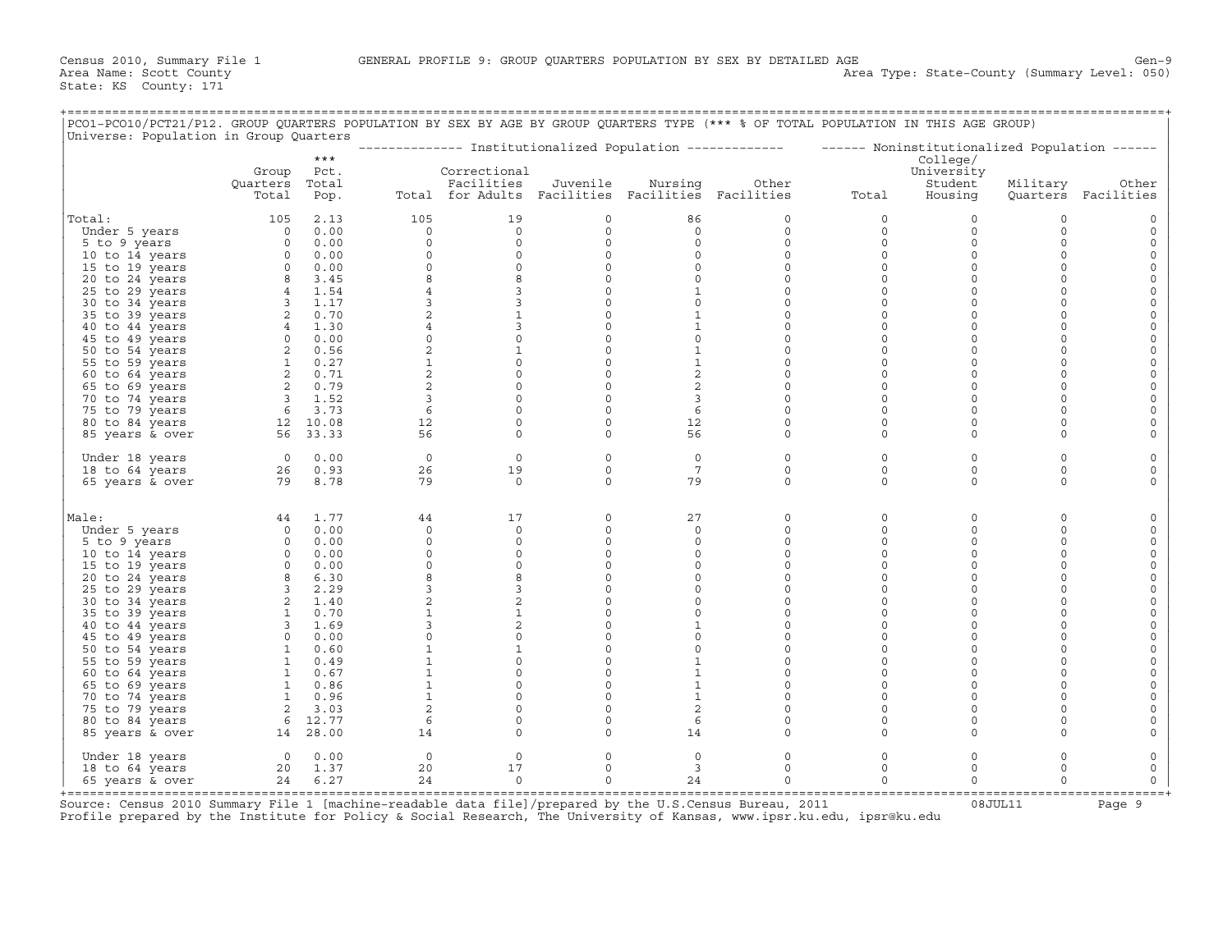| PCO1-PCO10/PCT21/P12. GROUP QUARTERS POPULATION BY SEX BY AGE BY GROUP QUARTERS TYPE (*** % OF TOTAL POPULATION IN THIS AGE GROUP)<br>Universe: Population in Group Quarters |                                                                              |                                                                        |                     |                                                   |                     |                     |                    |                                                                                                         |                         |                      |                        |
|------------------------------------------------------------------------------------------------------------------------------------------------------------------------------|------------------------------------------------------------------------------|------------------------------------------------------------------------|---------------------|---------------------------------------------------|---------------------|---------------------|--------------------|---------------------------------------------------------------------------------------------------------|-------------------------|----------------------|------------------------|
|                                                                                                                                                                              |                                                                              | $***$                                                                  |                     |                                                   |                     |                     |                    | -------------- Institutionalized Population ------------- ------ Noninstitutionalized Population ------ | College/                |                      |                        |
|                                                                                                                                                                              | Group<br>Quarters                                                            | Pct.<br>Total                                                          |                     | Correctional<br>Facilities                        | Juvenile            | Nursing             | Other              |                                                                                                         | University<br>Student   | Military             | Other                  |
|                                                                                                                                                                              | Total                                                                        | Pop.                                                                   |                     | Total for Adults Facilities Facilities Facilities |                     |                     |                    | Total                                                                                                   | Housing                 |                      | Quarters Facilities    |
| Total:                                                                                                                                                                       | 105                                                                          | 2.13                                                                   | 105                 | 19                                                | $\mathsf{O}$        | 86                  | 0                  | $\circ$                                                                                                 | $\mathbf 0$             | $\mathbf 0$          |                        |
| Under 5 years                                                                                                                                                                |                                                                              | $0 \t 0.00$                                                            | $\circ$             | $\circ$                                           | $\circ$             | $\mathbf 0$         | $\circ$            | $\circ$                                                                                                 | $\circ$                 | $\circ$              | $\mathbf 0$            |
| 5 to 9 years                                                                                                                                                                 |                                                                              | $0 \t 0.00$                                                            | $\mathbf 0$         | $\circ$                                           | $\mathsf{O}\xspace$ | $\circ$             | 0                  | $\circ$                                                                                                 | $\circ$                 | $\Omega$             | $\Omega$               |
| 10 to 14 years                                                                                                                                                               |                                                                              | $\begin{matrix} 0 && 0 & 00 \\ 0 && 0 & 00 \\ 0 && 0 & 0 \end{matrix}$ | 0                   | $\circ$                                           | $\circ$             | $\circ$             | $\circ$            | $\mathbf 0$                                                                                             | $\circ$                 | $\Omega$             | $\Omega$               |
| 15 to 19 years                                                                                                                                                               |                                                                              |                                                                        | $\mathbf 0$         | $\circ$                                           | $\circ$             | $\circ$             | $\circ$            | $\mathbf 0$                                                                                             | $\circ$                 | $\Omega$             | $\circ$                |
| 20 to 24 years                                                                                                                                                               | $\begin{array}{cc} 8 & 3.45 \\ 4 & 1.54 \\ 3 & 1.17 \end{array}$             |                                                                        | 8                   | 8                                                 | $\mathsf{O}\xspace$ | $\circ$             | $\circ$            | $\mathbf 0$                                                                                             | $\mathsf O$             | $\Omega$             |                        |
| 25 to 29 years                                                                                                                                                               |                                                                              |                                                                        | $\overline{4}$      | 3                                                 | $\circ$             | $\mathbf{1}$        | $\circ$            | $\mathbf 0$                                                                                             | $\mathbf 0$             | $\Omega$             |                        |
| 30 to 34 years                                                                                                                                                               |                                                                              |                                                                        | 3                   | $\mathbf{3}$                                      | $\mathsf{O}\xspace$ | $\circ$             | 0                  | $\mathbf 0$                                                                                             | $\mathsf O$             | $\Omega$             |                        |
| 35 to 39 years                                                                                                                                                               |                                                                              | 20.70                                                                  | $\mathbf{2}$        | $\mathbf{1}$                                      | $\circ$             | $\mathbf{1}$        | $\circ$            | $\Omega$                                                                                                | $\Omega$                | $\Omega$             |                        |
| 40 to 44 years                                                                                                                                                               | $\frac{2}{4}$ 1.30                                                           |                                                                        | 4                   | 3                                                 | $\circ$             | $\mathbf{1}$        | $\Omega$           | $\mathbf 0$                                                                                             | $\mathbf 0$             | $\Omega$             | $\Omega$               |
| 45 to 49 years                                                                                                                                                               | 0 0.00                                                                       |                                                                        | $\circ$             | $\mathsf{O}\xspace$                               | $\mathsf{O}\xspace$ | $\circ$             | $\circ$            | $\mathbf 0$                                                                                             | $\mathsf O$             | $\Omega$             | $\Omega$               |
| 50 to 54 years                                                                                                                                                               | $\begin{array}{ccc} 2& 0.56\ 1& 0.27\ 2& 0.71\ 2& 0.79 \end{array}$          |                                                                        | 2                   | $\mathbf{1}$                                      | $\circ$             | $\mathbf{1}$        | $\circ$            | $\mathbf 0$                                                                                             | $\mathbf 0$             | $\Omega$             |                        |
| 55 to 59 years                                                                                                                                                               |                                                                              |                                                                        | $\mathbf{1}$        | $\circ$                                           | $\circ$             | $\mathbf{1}$        | $\circ$            | $\mathbf 0$                                                                                             | $\mathbf 0$             | $\Omega$             | $\Omega$               |
| 60 to 64 years                                                                                                                                                               |                                                                              |                                                                        | $\overline{a}$      | $\mathsf 0$                                       | $\mathsf{O}\xspace$ | $\sqrt{2}$          | 0                  | $\mathsf{O}$                                                                                            | $\mathsf O$             | $\Omega$             | $\Omega$               |
| 65 to 69 years                                                                                                                                                               |                                                                              |                                                                        | 2                   | $\circ$                                           | $\circ$             | 2                   | $\circ$            | $\mathbf 0$                                                                                             | $\mathbf 0$             | $\Omega$             |                        |
| 70 to 74 years                                                                                                                                                               | $\begin{array}{ccc} & 3 & 1.52 \\ \hline 6 & 3.73 \\ 12 & 10.08 \end{array}$ |                                                                        | $\overline{3}$      | $\circ$                                           | $\circ$             | $\overline{3}$      | $\circ$            | $\mathbf 0$                                                                                             | $\circ$                 | $\Omega$             |                        |
| 75 to 79 years                                                                                                                                                               |                                                                              |                                                                        | 6                   | $\mathbb O$                                       | $\circ$             | 6                   | 0                  | $\mathsf{O}$                                                                                            | $\mathbf 0$             | $\Omega$             | $\Omega$               |
| 80 to 84 years                                                                                                                                                               |                                                                              |                                                                        | 12                  | $\circ$                                           | $\circ$             | 12                  | $\circ$            | $\mathbf 0$                                                                                             | $\mathbf 0$             | $\Omega$             |                        |
| 85 years & over                                                                                                                                                              | 56 33.33                                                                     |                                                                        | 56                  | $\circ$                                           | $\circ$             | 56                  | $\circ$            | $\mathbf 0$                                                                                             | $\Omega$                | $\Omega$             |                        |
| Under 18 years                                                                                                                                                               | $0 \qquad 0.00$                                                              |                                                                        | $\Omega$            | $\Omega$                                          | $\circ$             | $\Omega$            | $\circ$            | $\mathbf 0$                                                                                             | $\mathbf 0$             | $\Omega$             |                        |
| 18 to 64 years                                                                                                                                                               |                                                                              | 26 0.93                                                                | 26                  | 19                                                | $\mathsf{O}\xspace$ | $7\phantom{.0}$     | 0                  | $\mathsf O$                                                                                             | $\circ$                 | $\mathbf 0$          | $\Omega$               |
| 65 years & over                                                                                                                                                              |                                                                              | 79 8.78                                                                | 79                  | $\Omega$                                          | $\Omega$            | 79                  | $\Omega$           | $\Omega$                                                                                                | $\Omega$                | $\Omega$             |                        |
|                                                                                                                                                                              |                                                                              |                                                                        |                     |                                                   |                     |                     |                    |                                                                                                         |                         |                      |                        |
| Male:                                                                                                                                                                        | 44                                                                           | 1.77                                                                   | 44                  | 17                                                | $\circ$             | 27                  | 0                  | $\mathbf 0$                                                                                             | $\mathsf O$             | $\Omega$             |                        |
| Under 5 years                                                                                                                                                                |                                                                              | $0 \t 0.00$                                                            | $\Omega$            | $\Omega$                                          | $\circ$             | $\Omega$            | $\circ$            | $\mathbf 0$                                                                                             | $\mathbf 0$             | $\Omega$             |                        |
| 5 to 9 years                                                                                                                                                                 |                                                                              | $0 \t 0.00$                                                            | $\circ$             | $\mathbf 0$                                       | $\circ$             | 0                   | 0                  | $\mathsf{O}$                                                                                            | $\mathbf 0$             | $\Omega$<br>$\Omega$ | $\Omega$               |
| 10 to 14 years                                                                                                                                                               |                                                                              | $\begin{matrix} 0 && 0 & 00 \\ 0 && 0 & 00 \end{matrix}$               | $\circ$<br>$\Omega$ | $\circ$                                           | $\circ$<br>$\Omega$ | $\circ$             | 0<br>$\Omega$      | $\mathbf 0$<br>$\Omega$                                                                                 | $\mathbf 0$<br>$\Omega$ | $\Omega$             | $\Omega$               |
| 15 to 19 years                                                                                                                                                               |                                                                              |                                                                        |                     | $\circ$                                           |                     | $\Omega$<br>$\circ$ |                    |                                                                                                         | $\mathbf 0$             | $\Omega$             |                        |
| 20 to 24 years                                                                                                                                                               |                                                                              | 8 6.30                                                                 | 8                   | 8                                                 | $\mathsf O$         |                     | 0                  | $\mathsf{O}$                                                                                            |                         |                      |                        |
| 25 to 29 years                                                                                                                                                               |                                                                              | 3 2.29                                                                 | 3<br>$\overline{2}$ | 3<br>$\overline{a}$                               | $\circ$             | $\circ$             | $\circ$            | $\mathbf 0$                                                                                             | $\mathbf 0$             | $\Omega$<br>$\Omega$ |                        |
| 30 to 34 years                                                                                                                                                               |                                                                              | 2 1.40                                                                 |                     |                                                   | $\circ$             | $\circ$             | $\circ$            | $\mathbf 0$<br>$\Omega$                                                                                 | $\mathbf 0$             |                      |                        |
| 35 to 39 years                                                                                                                                                               |                                                                              | 1 0.70                                                                 | $\mathbf{1}$        | $1\,$                                             | $\mathsf O$         | $\circ$             | $\circ$            |                                                                                                         | $\mathbf 0$             | $\Omega$<br>$\Omega$ | $\Omega$               |
| 40 to 44 years                                                                                                                                                               |                                                                              | 3 1.69                                                                 | 3                   | 2                                                 | $\circ$             | 1                   | 0                  | $\Omega$                                                                                                | $\mathbf 0$             |                      | $\Omega$               |
| 45 to 49 years                                                                                                                                                               |                                                                              | $0 \t 0.00$                                                            | $\mathbf{0}$        | $\circ$                                           | $\circ$             | $\circ$             | $\circ$            | $\mathbf 0$                                                                                             | $\Omega$<br>$\Omega$    | $\Omega$<br>$\Omega$ |                        |
| 50 to 54 years                                                                                                                                                               |                                                                              | 1 0.60                                                                 |                     | $\mathbf{1}$                                      | $\circ$             | $\circ$             | $\circ$            | $\mathbf 0$                                                                                             |                         | $\Omega$             |                        |
| 55 to 59 years                                                                                                                                                               |                                                                              | 1 0.49                                                                 | $\mathbf{1}$        | $\circ$                                           | $\circ$             | 1                   | $\circ$            | $\mathbf 0$                                                                                             | $\mathbf 0$             |                      | $\Omega$               |
| 60 to 64 years                                                                                                                                                               | $1 \t 0.67$                                                                  |                                                                        | $\mathbf{1}$        | $\mathbf 0$                                       | $\mathsf{O}\xspace$ | $\mathbf{1}$        | 0<br>$\circ$       | $\mathsf{O}$                                                                                            | $\mathbf 0$<br>$\Omega$ | $\Omega$<br>$\Omega$ | $\Omega$               |
| 65 to 69 years                                                                                                                                                               |                                                                              | 1 0.86                                                                 | $\mathbf{1}$        | $\mathbf 0$                                       | $\mathsf{O}\xspace$ | $\mathbf{1}$        |                    | $\mathbf 0$                                                                                             |                         |                      |                        |
| 70 to 74 years                                                                                                                                                               |                                                                              | 1 0.96                                                                 | $\mathbf{1}$        | $\circ$                                           | $\circ$             | $\mathbf{1}$        | $\circ$            | $\mathbf 0$                                                                                             | $\mathbf 0$             | $\Omega$             |                        |
| 75 to 79 years                                                                                                                                                               |                                                                              | 2 3.03                                                                 | $\overline{a}$      | $\mathbf 0$                                       | $\circ$             | $\overline{c}$      | 0                  | $\mathsf{O}$                                                                                            | 0<br>$\Omega$           | $\mathbf 0$          |                        |
| 80 to 84 years<br>85 years & over                                                                                                                                            | 14 28.00                                                                     | 6 12.77                                                                | 6<br>14             | $\mathbf 0$<br>$\circ$                            | $\circ$<br>$\circ$  | 6<br>14             | $\circ$<br>0       | $\mathbf 0$<br>$\Omega$                                                                                 | $\Omega$                | $\Omega$<br>$\Omega$ |                        |
|                                                                                                                                                                              |                                                                              |                                                                        |                     |                                                   |                     |                     |                    |                                                                                                         |                         |                      |                        |
| Under 18 years                                                                                                                                                               |                                                                              | $0 \t 0.00$                                                            | $\circ$             | $\circ$                                           | $\circ$             | 0                   | 0                  | $\mathsf{O}$                                                                                            | $\mathsf O$<br>$\Omega$ | $\Omega$<br>$\Omega$ |                        |
| 18 to 64 years                                                                                                                                                               |                                                                              | 20 1.37                                                                | 20<br>24            | 17<br>$\Omega$                                    | $\circ$<br>$\Omega$ | 3                   | $\circ$<br>$\circ$ | $\mathbf 0$<br>$\mathbf 0$                                                                              | $\Omega$                | $\Omega$             | $\mathbf 0$<br>$\circ$ |
| 65 years & over                                                                                                                                                              |                                                                              | 24 6.27                                                                |                     |                                                   |                     | 24                  |                    |                                                                                                         |                         |                      |                        |

+===================================================================================================================================================+ Source: Census 2010 Summary File 1 [machine-readable data file]/prepared by the U.S.Census Bureau, 2011 Page 9<br>Profile prepared by the Institute for Policy & Social Research, The University of Kansas, www.ip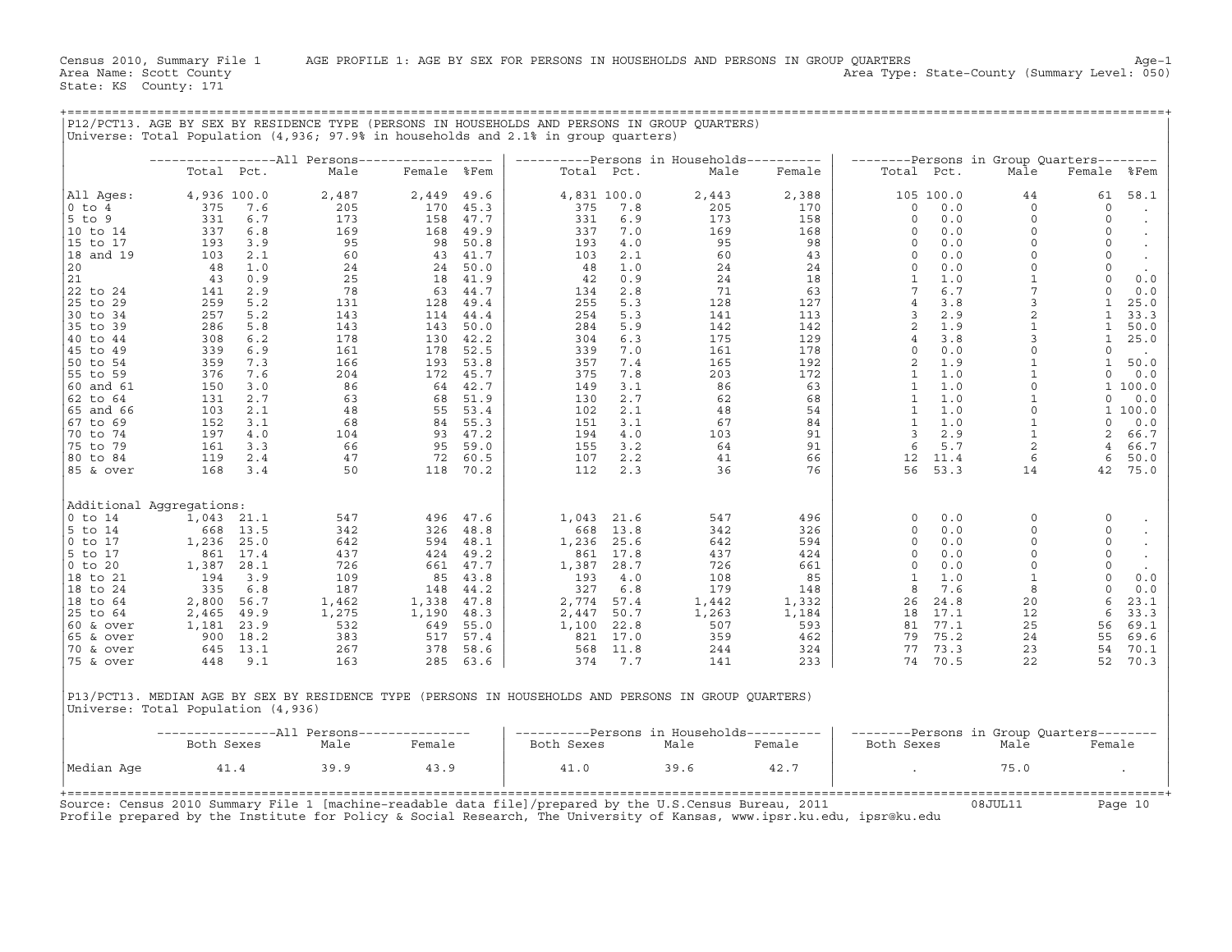|                        |                                    |              | Universe: Total Population (4,936; 97.9% in households and 2.1% in group quarters) |             |                  |            |                    | P12/PCT13. AGE BY SEX BY RESIDENCE TYPE (PERSONS IN HOUSEHOLDS AND PERSONS IN GROUP QUARTERS)        |            |                         |            |                                           |                          |                             |
|------------------------|------------------------------------|--------------|------------------------------------------------------------------------------------|-------------|------------------|------------|--------------------|------------------------------------------------------------------------------------------------------|------------|-------------------------|------------|-------------------------------------------|--------------------------|-----------------------------|
|                        |                                    |              | -----------------All Persons------------------                                     |             |                  |            |                    | ----------Persons in Households----------                                                            |            |                         |            | --------Persons in Group Quarters-------- |                          |                             |
|                        | Total Pct.                         |              | Male                                                                               | Female %Fem |                  | Total Pct. |                    | Male                                                                                                 | Female     | Total Pct.              |            | Male                                      | Female %Fem              |                             |
| All Ages:              | 4,936 100.0                        |              | 2,487                                                                              | 2,449       | 49.6             |            | 4,831 100.0        | 2,443                                                                                                | 2,388      |                         | 105 100.0  | 44                                        | 61                       | 58.1                        |
| 0 to 4                 | 375                                | 7.6          | 205                                                                                | 170         | 45.3             | 375        | 7.8                | 205                                                                                                  | 170        | $\circ$                 | 0.0        | $\circ$<br>$\Omega$                       | $\circ$                  |                             |
| 5 to 9<br>10 to 14     | 331<br>337                         | $6.7$<br>6.8 | 173<br>169                                                                         | 158<br>168  | 47.7<br>49.9     | 331<br>337 | 6.9<br>7.0         | 173<br>169                                                                                           | 158<br>168 | $\circ$<br>$\circ$      | 0.0<br>0.0 | $\circ$                                   | $\circ$<br>$\circ$       | $\bullet$                   |
| 15 to 17               | 193                                | 3.9          | 95                                                                                 | 98          | 50.8             | 193        | 4.0                | 95                                                                                                   | 98         | $\circ$                 | 0.0        | $\circ$                                   | 0                        |                             |
| 18 and 19              | 103                                | 2.1          | 60                                                                                 |             | 43 41.7          | 103        | 2.1                | 60                                                                                                   | 43         | $\circ$                 | 0.0        | $\circ$                                   | $\circ$                  | $\sim$<br>$\sim$            |
| 20                     | 48                                 | 1.0          | 24                                                                                 |             | 24 50.0          | 48         | 1.0                | 24                                                                                                   | 24         | $\circ$                 | 0.0        | $\circ$                                   | $\circ$                  |                             |
| $ 21$                  | 43                                 | 0.9          | 25                                                                                 |             | 18 41.9          | 42         | 0.9                | 24                                                                                                   | 18         | $\mathbf{1}$            | 1.0        | $\mathbf{1}$                              | $\circ$                  | 0.0                         |
| 22 to 24               | 141                                | 2.9          | 78                                                                                 |             | 63 44.7          | 134        | 2.8                | 71                                                                                                   | 63         | $7^{\circ}$             | 6.7        | $\overline{7}$                            | $\circ$                  | 0.0                         |
| 25 to 29               | 259                                | 5.2          | 131                                                                                |             | 128 49.4         | 255        | 5.3                | 128                                                                                                  | 127        | $\overline{4}$          | 3.8        | $\mathbf{3}$                              | $\mathbf{1}$             | 25.0                        |
| 30 to 34               | 257                                | 5.2          | 143                                                                                | 114         | 44.4             | 254        | 5.3                | 141                                                                                                  | 113        | $\overline{\mathbf{3}}$ | 2.9        | $\sqrt{2}$                                | $\mathbf{1}$             | 33.3                        |
| 35 to 39               | 286                                | 5.8          | 143                                                                                | 143         | 50.0             | 284        | 5.9                | 142                                                                                                  | 142        | 2                       | 1.9        | $\mathbf{1}$                              | $\mathbf{1}$             | 50.0                        |
| 40 to 44               | 308                                | 6.2          | 178                                                                                |             | 130 42.2         | 304        | 6.3                | 175                                                                                                  | 129        | $\overline{4}$          | 3.8        | $\mathbf{3}$                              | $\mathbf{1}$             | 25.0                        |
| 45 to 49<br>50 to 54   | 339<br>359                         | 6.9<br>7.3   | 161<br>166                                                                         | 178<br>193  | 52.5<br>53.8     | 339<br>357 | 7.0<br>7.4         | 161<br>165                                                                                           | 178<br>192 | $\circ$<br>2            | 0.0<br>1.9 | $\circ$<br>$\mathbf{1}$                   | $\Omega$<br>$\mathbf{1}$ | 50.0                        |
| 55 to 59               | 376                                | 7.6          | 204                                                                                | 172         | 45.7             | 375        | 7.8                | 203                                                                                                  | 172        | $\mathbf{1}$            | 1.0        | $\mathbf{1}$                              | $\Omega$                 | 0.0                         |
| 60 and 61              | 150                                | 3.0          | 86                                                                                 |             | 64 42.7          | 149        | 3.1                | 86                                                                                                   | 63         | $\mathbf{1}$            | 1.0        | $\circ$                                   |                          | 1 100.0                     |
| 62 to 64               | 131                                | 2.7          | 63                                                                                 | 68          | 51.9             | 130        | 2.7                | 62                                                                                                   | 68         | $\mathbf{1}$            | 1.0        |                                           | $\circ$                  | 0.0                         |
| 65 and 66              | 103                                | 2.1          | 48                                                                                 |             | 55 53.4          | 102        | 2.1                | 48                                                                                                   | 54         | $\mathbf{1}$            | 1.0        | $\circ$                                   |                          | 1 100.0                     |
| 67 to 69               | 152                                | 3.1          | 68                                                                                 |             | 84 55.3          | 151        | 3.1                | 67                                                                                                   | 84         | $\mathbf{1}$            | 1.0        |                                           | $\Omega$                 | 0.0                         |
| 70 to 74               | 197                                | 4.0          | 104                                                                                |             | 93 47.2          | 194        | 4.0                | 103                                                                                                  | 91         | $\overline{\mathbf{3}}$ | 2.9        | $\mathbf{1}$                              | 2                        | 66.7                        |
| 75 to 79               | 161                                | 3.3          | 66                                                                                 |             | 95 59.0          | 155        | 3.2                | 64                                                                                                   | 91         | 6                       | 5.7        |                                           | $\overline{4}$           | 66.7                        |
| 80 to 84               | 119                                | 2.4          | 47                                                                                 |             | 72 60.5          | 107        | 2.2                | 41                                                                                                   | 66         |                         | 12 11.4    |                                           | 6                        | 50.0                        |
| 85 & over              | 168                                | 3.4          | 50                                                                                 |             | 118 70.2         | 112        | 2.3                | 36                                                                                                   | 76         | 56                      | 53.3       | 14                                        | 42                       | 75.0                        |
|                        | Additional Aqqreqations:           |              |                                                                                    |             |                  |            |                    |                                                                                                      |            |                         |            |                                           |                          |                             |
| $0$ to $14$            | 1,043 21.1                         |              | 547                                                                                | 496         | 47.6             | 1,043      | 21.6               | 547                                                                                                  | 496        | $\circ$                 | 0.0        | $\mathbf 0$                               | 0                        |                             |
| 5 to 14                | 668                                | 13.5         | 342                                                                                | 326         | 48.8             | 668        | 13.8               | 342                                                                                                  | 326        | $\circ$                 | 0.0        | $\Omega$                                  | $\circ$                  | $\blacksquare$              |
| 0 to 17                | 1,236                              | 25.0         | 642                                                                                | 594         | 48.1             | 1,236      | 25.6               | 642                                                                                                  | 594        | $\circ$                 | 0.0<br>0.0 | $\Omega$                                  | 0                        | $\bullet$                   |
| 5 to 17<br>$0$ to $20$ | 861<br>1,387                       | 17.4<br>28.1 | 437<br>726                                                                         | 424         | 49.2<br>661 47.7 | 861        | 17.8<br>1,387 28.7 | 437<br>726                                                                                           | 424<br>661 | $\circ$<br>$\circ$      | 0.0        | 0<br>$\Omega$                             | $\circ$<br>$\circ$       | $\sim$                      |
| 18 to 21               | 194                                | 3.9          | 109                                                                                | 85          | 43.8             | 193        | 4.0                | 108                                                                                                  | 85         | $\mathbf{1}$            | 1.0        | $\mathbf{1}$                              | $\circ$                  | $\ddot{\phantom{1}}$<br>0.0 |
| 18 to 24               | 335                                | 6.8          | 187                                                                                | 148         | 44.2             | 327        | 6.8                | 179                                                                                                  | 148        | 8                       | 7.6        | 8                                         | $\circ$                  | 0.0                         |
| 18 to 64               | 2,800                              | 56.7         | 1,462                                                                              | 1,338       | 47.8             |            | 2,774 57.4         | 1,442                                                                                                | 1,332      | 26                      | 24.8       | 20 <sub>o</sub>                           | 6                        | 23.1                        |
| 25 to 64               | 2,465                              | 49.9         | 1,275                                                                              | 1,190       | 48.3             | 2,447      | 50.7               | 1,263                                                                                                | 1,184      |                         | 18 17.1    | 12                                        | 6                        | 33.3                        |
| $60$ & over            | 1,181                              | 23.9         | 532                                                                                | 649         | 55.0             |            | 1,100 22.8         | 507                                                                                                  | 593        |                         | 81 77.1    | 25                                        | 56                       | 69.1                        |
| 65 & over              | 900                                | 18.2         | 383                                                                                | 517         | 57.4             | 821        | 17.0               | 359                                                                                                  | 462        |                         | 79 75.2    | 24                                        | 55                       | 69.6                        |
| 70 & over              | 645                                | 13.1         | 267                                                                                |             | 378 58.6         | 568        | 11.8               | 244                                                                                                  | 324        |                         | 77 73.3    | 23                                        | 54                       | 70.1                        |
| 75 & over              | 448                                | 9.1          | 163                                                                                | 285         | 63.6             | 374        | 7.7                | 141                                                                                                  | 233        |                         | 74 70.5    | 22                                        | 52                       | 70.3                        |
|                        | Universe: Total Population (4,936) |              |                                                                                    |             |                  |            |                    | P13/PCT13. MEDIAN AGE BY SEX BY RESIDENCE TYPE (PERSONS IN HOUSEHOLDS AND PERSONS IN GROUP QUARTERS) |            |                         |            |                                           |                          |                             |
|                        |                                    |              | -----------------All Persons---------------                                        |             |                  |            |                    | ----------Persons in Households----------                                                            |            |                         |            | --------Persons in Group Quarters-------- |                          |                             |
|                        | Both Sexes                         |              | Male                                                                               | Female      |                  | Both Sexes |                    | Male                                                                                                 | Female     | Both Sexes              |            | Male                                      | Female                   |                             |
| Median Age             |                                    | 41.4         | 39.9                                                                               | 43.9        |                  | 41.0       |                    | 39.6                                                                                                 | 42.7       |                         |            | 75.0                                      |                          |                             |
|                        |                                    |              |                                                                                    |             |                  |            |                    |                                                                                                      |            |                         |            |                                           |                          |                             |

+===================================================================================================================================================+

+===================================================================================================================================================+Source: Census 2010 Summary File 1 [machine−readable data file]/prepared by the U.S.Census Bureau, 2011 08JUL11 Page 10 Profile prepared by the Institute for Policy & Social Research, The University of Kansas, www.ipsr.ku.edu, ipsr@ku.edu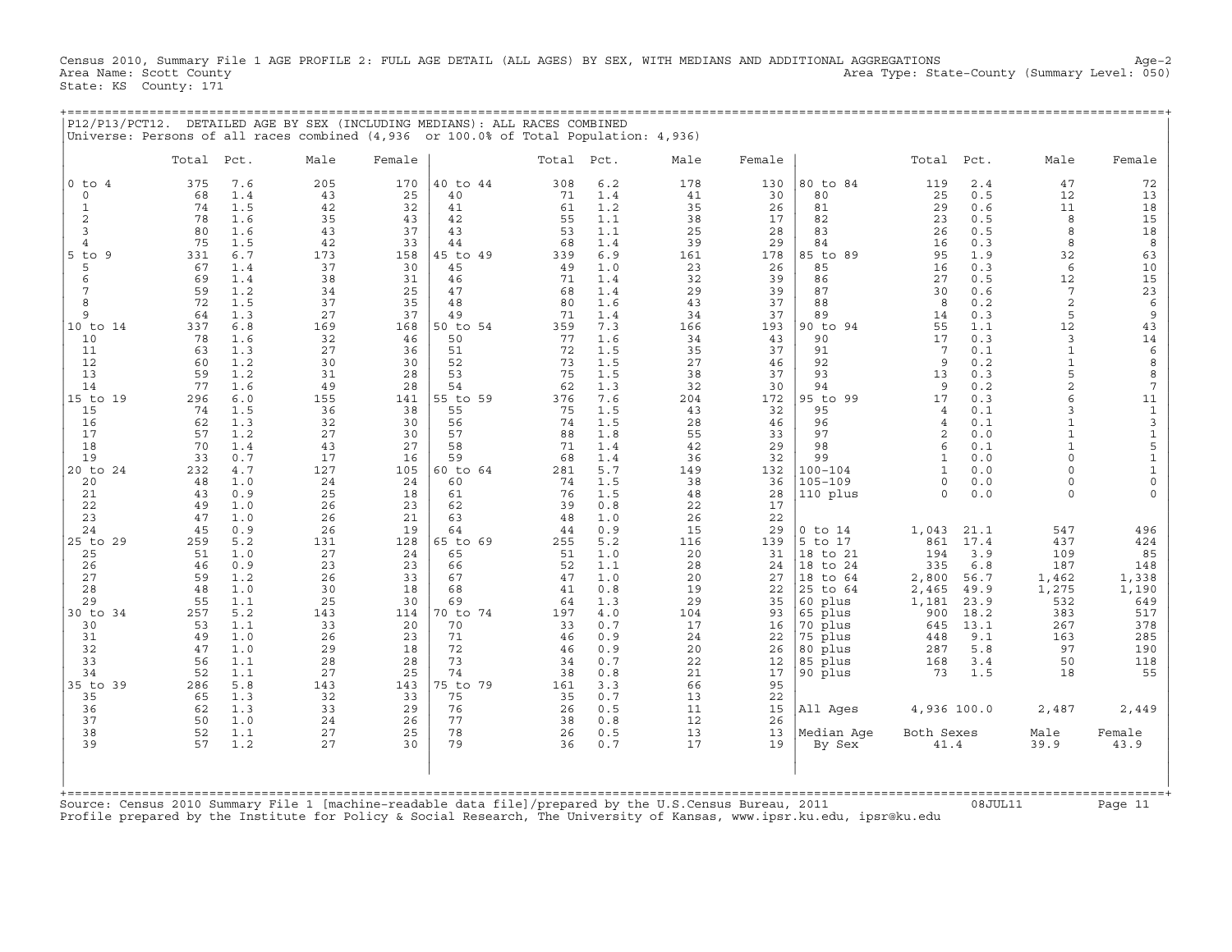Census 2010, Summary File 1 AGE PROFILE 2: FULL AGE DETAIL (ALL AGES) BY SEX, WITH MEDIANS AND ADDITIONAL AGGREGATIONS Age−2 Area Name: Scott County Area Type: State−County (Summary Level: 050) State: KS County: 171

+===================================================================================================================================================+

|                          |           |            | P12/P13/PCT12. DETAILED AGE BY SEX (INCLUDING MEDIANS): ALL RACES COMBINED<br>Universe: Persons of all races combined (4,936 or 100.0% of Total Population: 4,936) |           |                |           |            |           |           |                      |                   |             |                          |                           |
|--------------------------|-----------|------------|--------------------------------------------------------------------------------------------------------------------------------------------------------------------|-----------|----------------|-----------|------------|-----------|-----------|----------------------|-------------------|-------------|--------------------------|---------------------------|
|                          | Total     | Pct.       | Male                                                                                                                                                               | Female    |                | Total     | Pct.       | Male      | Female    |                      | Total             | Pct.        | Male                     | Female                    |
| $0$ to<br>$\overline{4}$ | 375       | 7.6        | 205                                                                                                                                                                | 170       | 40 to 44       | 308       | 6.2        | 178       | 130       | 80 to 84             | 119               | 2.4         | 47                       | 72                        |
| $\circ$<br>$\mathbf{1}$  | 68<br>74  | 1.4<br>1.5 | 43<br>42                                                                                                                                                           | 25<br>32  | 40<br>41       | 71<br>61  | 1.4<br>1.2 | 41<br>35  | 30<br>26  | 80<br>81             | 25<br>29          | 0.5<br>0.6  | 12<br>11                 | 13<br>18                  |
| $\overline{c}$           | 78        | 1.6        | 35                                                                                                                                                                 | 43        | 42             | 55        | 1.1        | 38        | 17        | 82                   | 23                | 0.5         | 8                        | 15                        |
| 3                        | 80        | 1.6        | 43                                                                                                                                                                 | 37        | 43             | 53        | 1.1        | 25        | 28        | 83                   | 26                | 0.5         | 8                        | 18                        |
| $\overline{4}$           | 75        | 1.5        | 42                                                                                                                                                                 | 33        | 44             | 68        | 1.4        | 39        | 29        | 84                   | 16                | 0.3         | 8                        | 8                         |
| 5<br>9<br>to             | 331       | 6.7        | 173                                                                                                                                                                | 158       | 45 to 49       | 339       | 6.9        | 161       | 178       | 85 to 89             | 95                | 1.9         | 32                       | 63                        |
| 5                        | 67        | 1.4        | 37                                                                                                                                                                 | 30        | 45             | 49        | 1.0        | 23        | 26        | 85                   | 16                | 0.3         | 6                        | 10                        |
| 6                        | 69        | 1.4        | 38                                                                                                                                                                 | 31        | 46             | 71        | 1.4        | 32        | 39        | 86                   | 27                | 0.5         | 12                       | 15                        |
| 7                        | 59        | 1.2        | 34                                                                                                                                                                 | 25        | 47             | 68        | 1.4        | 29        | 39        | 87                   | 30                | 0.6         | 7                        | 23                        |
| 8                        | 72        | 1.5        | 37                                                                                                                                                                 | 35        | 48             | 80        | 1.6        | 43        | 37        | 88                   | 8                 | 0.2         | $\overline{2}$           | 6                         |
| 9                        | 64        | 1.3        | 27<br>169                                                                                                                                                          | 37        | 49             | 71        | 1.4        | 34        | 37        | 89                   | 14                | 0.3         | 5<br>12                  | 9                         |
| 10 to 14<br>10           | 337<br>78 | 6.8<br>1.6 | 32                                                                                                                                                                 | 168<br>46 | 50 to 54<br>50 | 359<br>77 | 7.3<br>1.6 | 166<br>34 | 193<br>43 | 90 to 94<br>90       | 55<br>17          | 1.1<br>0.3  | 3                        | 43<br>14                  |
| 11                       | 63        | 1.3        | 27                                                                                                                                                                 | 36        | 51             | 72        | 1.5        | 35        | 37        | 91                   | $7\phantom{.0}$   | 0.1         | $\mathbf{1}$             | $\epsilon$                |
| 12                       | 60        | 1.2        | 30                                                                                                                                                                 | 30        | 52             | 73        | 1.5        | 27        | 46        | 92                   | 9                 | 0.2         | $\mathbf{1}$             | 8                         |
| 13                       | 59        | 1.2        | 31                                                                                                                                                                 | 28        | 53             | 75        | 1.5        | 38        | 37        | 93                   | 13                | 0.3         | 5                        | 8                         |
| 14                       | 77        | 1.6        | 49                                                                                                                                                                 | 28        | 54             | 62        | 1.3        | 32        | 30        | 94                   | 9                 | 0.2         | $\overline{c}$           | 7                         |
| $15$ to<br>19            | 296       | 6.0        | 155                                                                                                                                                                | 141       | 55 to 59       | 376       | 7.6        | 204       | 172       | 95 to<br>99          | 17                | 0.3         | 6                        | 11                        |
| 15                       | 74        | 1.5        | 36                                                                                                                                                                 | 38        | 55             | 75        | 1.5        | 43        | 32        | 95                   | 4                 | 0.1         | 3                        | $\mathbf{1}$              |
| 16                       | 62        | 1.3        | 32                                                                                                                                                                 | 30        | 56             | 74        | 1.5        | 28        | 46        | 96                   | 4                 | $0.1$       | $\mathbf{1}$             | $\ensuremath{\mathsf{3}}$ |
| 17                       | 57        | 1.2        | 27                                                                                                                                                                 | 30        | 57             | 88        | 1.8        | 55        | 33        | 97                   | $\mathbf{2}$      | 0.0         | $\mathbf{1}$             | $\mathbf 1$               |
| 18<br>19                 | 70<br>33  | 1.4<br>0.7 | 43<br>17                                                                                                                                                           | 27<br>16  | 58<br>59       | 71<br>68  | 1.4<br>1.4 | 42<br>36  | 29<br>32  | 98<br>99             | 6<br>$\mathbf{1}$ | 0.1<br>0.0  | $\mathbf{1}$<br>$\Omega$ | 5<br>$\mathbf 1$          |
| $20$ to<br>24            | 232       | 4.7        | 127                                                                                                                                                                | 105       | 60 to 64       | 281       | 5.7        | 149       | 132       | $100 - 104$          | $\mathbf{1}$      | 0.0         | $\Omega$                 | $\mathbf 1$               |
| 20                       | 48        | 1.0        | 24                                                                                                                                                                 | 24        | 60             | 74        | 1.5        | 38        | 36        | $105 - 109$          | $\circ$           | 0.0         | $\Omega$                 | $\mathsf{O}\xspace$       |
| 21                       | 43        | 0.9        | 25                                                                                                                                                                 | 18        | 61             | 76        | 1.5        | 48        | 28        | 110 plus             | $\Omega$          | 0.0         | $\Omega$                 | $\Omega$                  |
| 22                       | 49        | 1.0        | 26                                                                                                                                                                 | 23        | 62             | 39        | 0.8        | 22        | 17        |                      |                   |             |                          |                           |
| 23                       | 47        | 1.0        | 26                                                                                                                                                                 | 21        | 63             | 48        | 1.0        | 26        | 22        |                      |                   |             |                          |                           |
| 24                       | 45        | 0.9        | 26                                                                                                                                                                 | 19        | 64             | 44        | 0.9        | 15        | 29        | $0$ to $14$          | 1,043             | 21.1        | 547                      | 496                       |
| 25 to 29                 | 259       | 5.2        | 131                                                                                                                                                                | 128       | 65 to 69       | 255       | 5.2        | 116       | 139       | 5 to 17              | 861               | 17.4        | 437                      | 424                       |
| 25                       | 51        | 1.0        | 27                                                                                                                                                                 | 24        | 65             | 51        | 1.0        | 20        | 31        | 18 to 21             | 194               | 3.9         | 109                      | 85                        |
| 26<br>27                 | 46<br>59  | 0.9<br>1.2 | 23<br>26                                                                                                                                                           | 23<br>33  | 66<br>67       | 52<br>47  | 1.1<br>1.0 | 28<br>20  | 24<br>27  | 18 to 24<br>18 to 64 | 335<br>2,800      | 6.8<br>56.7 | 187<br>1,462             | 148<br>1,338              |
| 28                       | 48        | 1.0        | 30                                                                                                                                                                 | 18        | 68             | 41        | 0.8        | 19        | 22        | 25 to 64             | 2,465             | 49.9        | 1,275                    | 1,190                     |
| 29                       | 55        | 1.1        | 25                                                                                                                                                                 | 30        | 69             | 64        | 1.3        | 29        | 35        | 60 plus              | 1,181             | 23.9        | 532                      | 649                       |
| 30 to 34                 | 257       | 5.2        | 143                                                                                                                                                                | 114       | 70 to 74       | 197       | 4.0        | 104       | 93        | 65 plus              | 900               | 18.2        | 383                      | 517                       |
| 30                       | 53        | 1.1        | 33                                                                                                                                                                 | 20        | 70             | 33        | 0.7        | 17        | 16        | 70 plus              | 645               | 13.1        | 267                      | 378                       |
| 31                       | 49        | 1.0        | 26                                                                                                                                                                 | 23        | 71             | 46        | 0.9        | 24        | 22        | 75 plus              | 448               | 9.1         | 163                      | 285                       |
| 32                       | 47        | 1.0        | 29                                                                                                                                                                 | 18        | 72             | 46        | 0.9        | 20        | 26        | 80 plus              | 287               | 5.8         | 97                       | 190                       |
| 33                       | 56        | 1.1        | 28                                                                                                                                                                 | 28        | 73             | 34        | 0.7        | 22        | 12        | 85 plus              | 168               | 3.4         | 50                       | 118                       |
| 34                       | 52        | 1.1        | 27                                                                                                                                                                 | 25        | 74             | 38        | 0.8        | 21        | 17        | 90 plus              | 73                | 1.5         | 18                       | 55                        |
| 35 to<br>39<br>35        | 286<br>65 | 5.8<br>1.3 | 143<br>32                                                                                                                                                          | 143<br>33 | 75 to 79<br>75 | 161<br>35 | 3.3<br>0.7 | 66<br>13  | 95<br>22  |                      |                   |             |                          |                           |
| 36                       | 62        | 1.3        | 33                                                                                                                                                                 | 29        | 76             | 26        | 0.5        | 11        | 15        | All Ages             | 4,936 100.0       |             | 2,487                    | 2,449                     |
| 37                       | 50        | 1.0        | 24                                                                                                                                                                 | 26        | 77             | 38        | 0.8        | 12        | 26        |                      |                   |             |                          |                           |
| 38                       | 52        | 1.1        | 27                                                                                                                                                                 | 25        | 78             | 26        | 0.5        | 13        | 13        | Median Age           | Both Sexes        |             | Male                     | Female                    |
| 39                       | 57        | 1.2        | 27                                                                                                                                                                 | 30        | 79             | 36        | 0.7        | 17        | 19        | By Sex               | 41.4              |             | 39.9                     | 43.9                      |
| +===========             |           |            |                                                                                                                                                                    |           |                |           |            |           |           |                      |                   |             |                          |                           |

Source: Census 2010 Summary File 1 [machine−readable data file]/prepared by the U.S.Census Bureau, 2011 08JUL11 Page 11 Profile prepared by the Institute for Policy & Social Research, The University of Kansas, www.ipsr.ku.edu, ipsr@ku.edu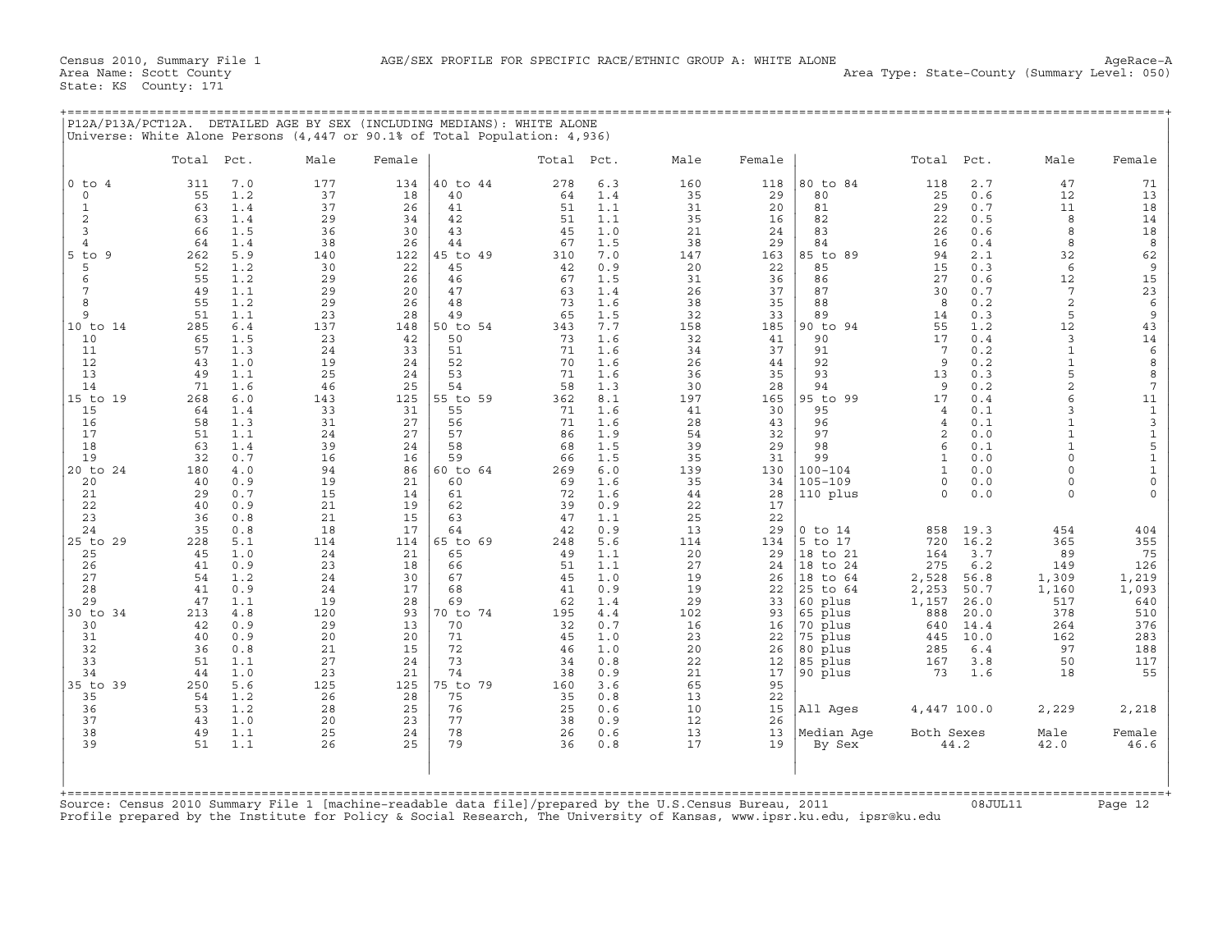|                | Total     | Pct.       | Male      | Female    |                | Total Pct. |            | Male      | Female    |                      | Total             | Pct.         | Male                 | Female                       |
|----------------|-----------|------------|-----------|-----------|----------------|------------|------------|-----------|-----------|----------------------|-------------------|--------------|----------------------|------------------------------|
| $0$ to $4$     | 311       | 7.0        | 177       | 134       | 40 to 44       | 278        | 6.3        | 160       | 118       | 80 to 84             | 118               | 2.7          | 47                   | 71                           |
| $\circ$<br>1   | 55<br>63  | 1.2<br>1.4 | 37<br>37  | 18<br>26  | 40<br>41       | 64<br>51   | 1.4<br>1.1 | 35<br>31  | 29<br>20  | 80<br>81             | 25<br>29          | 0.6<br>0.7   | 12<br>11             | 13<br>18                     |
| 2              | 63        | 1.4        | 29        | 34        | 42             | 51         | 1.1        | 35        | 16        | 82                   | 22                | 0.5          | 8                    | 14                           |
| 3              | 66        | 1.5        | 36        | 30        | 43             | 45         | 1.0        | 21        | 24        | 83                   | 26                | 0.6          | 8                    | 18                           |
| $\overline{4}$ | 64        | 1.4        | 38        | 26        | 44             | 67         | 1.5        | 38        | 29        | 84                   | 16                | 0.4          | 8                    | 8                            |
| $5$ to $9$     | 262       | 5.9        | 140       | 122       | 45 to 49       | 310        | 7.0        | 147       | 163       | 85 to 89             | 94                | 2.1          | 32                   | 62                           |
| 5<br>6         | 52<br>55  | 1.2<br>1.2 | 30<br>29  | 22<br>26  | 45<br>46       | 42<br>67   | 0.9<br>1.5 | 20<br>31  | 22<br>36  | 85<br>86             | 15<br>27          | 0.3<br>0.6   | 6<br>12              | $\overline{9}$<br>15         |
| 7              | 49        | 1.1        | 29        | 20        | 47             | 63         | 1.4        | 26        | 37        | 87                   | 30                | 0.7          | 7                    | 23                           |
| 8              | 55        | 1.2        | 29        | 26        | 48             | 73         | 1.6        | 38        | 35        | 88                   | 8                 | 0.2          | $\overline{a}$       | 6                            |
| 9              | 51        | 1.1        | 23        | 28        | 49             | 65         | 1.5        | 32        | 33        | 89                   | 14                | 0.3          | 5                    | $\overline{9}$               |
| 10 to 14<br>10 | 285<br>65 | 6.4<br>1.5 | 137<br>23 | 148<br>42 | 50 to 54<br>50 | 343<br>73  | 7.7<br>1.6 | 158<br>32 | 185<br>41 | 90 to 94<br>90       | 55<br>17          | 1.2<br>0.4   | 12<br>$\overline{3}$ | 43<br>14                     |
| 11             | 57        | 1.3        | 24        | 33        | 51             | 71         | 1.6        | 34        | 37        | 91                   | 7                 | 0.2          | $\mathbf{1}$         | 6                            |
| 12             | 43        | 1.0        | 19        | 24        | 52             | 70         | 1.6        | 26        | 44        | 92                   | 9                 | 0.2          | $\mathbf{1}$         | 8                            |
| 13             | 49        | 1.1        | 25        | 24        | 53             | 71         | 1.6        | 36        | 35        | 93                   | 13                | 0.3          | 5                    | 8                            |
| 14<br>15 to 19 | 71<br>268 | 1.6<br>6.0 | 46<br>143 | 25<br>125 | 54<br>55 to 59 | 58<br>362  | 1.3<br>8.1 | 30<br>197 | 28<br>165 | 94<br>95 to<br>99    | 9<br>17           | 0.2<br>0.4   | $\overline{a}$<br>6  | $\overline{7}$<br>11         |
| 15             | 64        | 1.4        | 33        | 31        | 55             | 71         | 1.6        | 41        | 30        | 95                   | 4                 | 0.1          | 3                    | $1\,$                        |
| 16             | 58        | 1.3        | 31        | 27        | 56             | 71         | 1.6        | 28        | 43        | 96                   | $\overline{4}$    | 0.1          |                      | $\overline{3}$               |
| 17             | 51        | 1.1        | 24        | 27        | 57             | 86         | 1.9        | 54        | 32        | 97                   | 2                 | 0.0          | $\mathbf{1}$         | $\frac{1}{5}$                |
| 18             | 63        | 1.4        | 39        | 24        | 58             | 68         | 1.5        | 39        | 29        | 98                   | $\epsilon$        | 0.1          | $\Omega$             |                              |
| 19<br>20 to 24 | 32<br>180 | 0.7<br>4.0 | 16<br>94  | 16<br>86  | 59<br>60 to 64 | 66<br>269  | 1.5<br>6.0 | 35<br>139 | 31<br>130 | 99<br>$100 - 104$    | 1<br>$\mathbf{1}$ | 0.0<br>0.0   | $\Omega$             | $\mathbf{1}$<br>$\mathbf{1}$ |
| 20             | 40        | 0.9        | 19        | 21        | 60             | 69         | 1.6        | 35        | 34        | $105 - 109$          | $\circ$           | 0.0          | $\Omega$             | $\mathsf{O}\xspace$          |
| 21             | 29        | 0.7        | 15        | 14        | 61             | 72         | 1.6        | 44        | 28        | 110 plus             | $\Omega$          | $0.0$        | $\Omega$             | $\Omega$                     |
| 22             | 40        | 0.9        | 21        | 19        | 62             | 39         | 0.9        | 22        | 17        |                      |                   |              |                      |                              |
| 23<br>24       | 36<br>35  | 0.8<br>0.8 | 21<br>18  | 15<br>17  | 63<br>64       | 47<br>42   | 1.1<br>0.9 | 25<br>13  | 22<br>29  | $0$ to $14$          | 858               | 19.3         | 454                  | 404                          |
| 25 to 29       | 228       | 5.1        | 114       | 114       | 65 to 69       | 248        | 5.6        | 114       | 134       | 5 to 17              | 720               | 16.2         | 365                  | 355                          |
| 25             | 45        | 1.0        | 24        | 21        | 65             | 49         | 1.1        | 20        | 29        | 18 to 21             | 164               | 3.7          | 89                   | 75                           |
| 26             | 41        | 0.9        | 23        | 18        | 66             | 51         | 1.1        | 27        | 24        | 18 to 24             | 275               | 6.2          | 149                  | 126                          |
| 27<br>28       | 54<br>41  | 1.2<br>0.9 | 24<br>24  | 30<br>17  | 67<br>68       | 45<br>41   | 1.0<br>0.9 | 19<br>19  | 26<br>22  | 18 to 64<br>25 to 64 | 2,528<br>2,253    | 56.8<br>50.7 | 1,309<br>1,160       | 1,219<br>1,093               |
| 29             | 47        | 1.1        | 19        | 28        | 69             | 62         | 1.4        | 29        | 33        | 60 plus              | 1,157             | 26.0         | 517                  | 640                          |
| 30 to 34       | 213       | 4.8        | 120       | 93        | 70 to 74       | 195        | 4.4        | 102       | 93        | 65 plus              | 888               | 20.0         | 378                  | 510                          |
| 30             | 42        | 0.9        | 29        | 13        | 70             | 32         | 0.7        | 16        | 16        | 70 plus              | 640               | 14.4         | 264                  | 376                          |
| 31             | 40        | 0.9        | 20        | 20        | 71<br>72       | 45         | 1.0        | 23        | 22        | 75 plus              | 445               | 10.0         | 162                  | 283                          |
| 32<br>33       | 36<br>51  | 0.8<br>1.1 | 21<br>27  | 15<br>24  | 73             | 46<br>34   | 1.0<br>0.8 | 20<br>22  | 26<br>12  | 80 plus<br>85 plus   | 285<br>167        | 6.4<br>3.8   | 97<br>50             | 188<br>117                   |
| 34             | 44        | 1.0        | 23        | 21        | 74             | 38         | 0.9        | 21        | 17        | 90 plus              | 73                | 1.6          | 18                   | 55                           |
| 35 to 39       | 250       | 5.6        | 125       | 125       | 75 to 79       | 160        | 3.6        | 65        | 95        |                      |                   |              |                      |                              |
| 35             | 54        | 1.2        | 26        | 28        | 75             | 35         | 0.8        | 13        | 22        |                      |                   |              |                      |                              |
| 36<br>37       | 53<br>43  | 1.2<br>1.0 | 28<br>20  | 25<br>23  | 76<br>77       | 25<br>38   | 0.6<br>0.9 | 10<br>12  | 15<br>26  | All Ages             | 4,447 100.0       |              | 2,229                | 2,218                        |
| 38             | 49        | 1.1        | 25        | 24        | 78             | 26         | 0.6        | 13        | 13        | Median Age           | Both Sexes        |              | Male                 | Female                       |
| 39             | 51        | 1.1        | 26        | 25        | 79             | 36         | 0.8        | 17        | 19        | By Sex               |                   | 44.2         | 42.0                 | 46.6                         |
|                |           |            |           |           |                |            |            |           |           |                      |                   |              |                      |                              |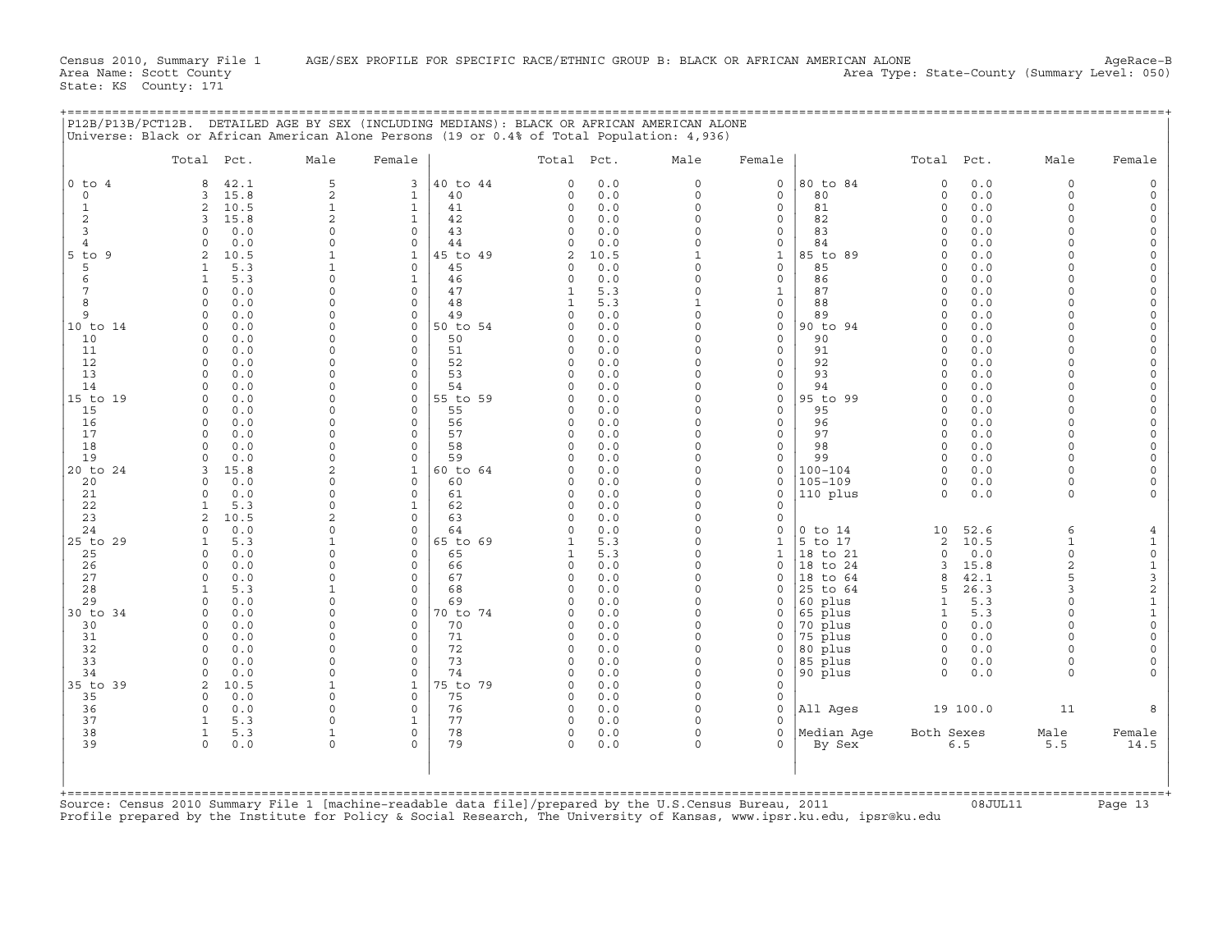| $0$ to $4$<br>42.1<br>8<br>15.8<br>$\mathbf 0$<br>$\overline{3}$<br>$\overline{2}$<br>10.5<br>1<br>$\overline{c}$<br>3<br>15.8<br>3<br>0.0<br>$\Omega$<br>0.0<br>$\Omega$<br>4<br>$5$ to<br>9<br>2<br>10.5<br>5<br>5.3<br>1<br>5.3<br>6<br>$\mathbf{1}$<br>7<br>0<br>0.0<br>8<br>0.0<br>$\mathbf 0$<br>0.0<br>9<br>$\mathbf 0$<br>10 to 14<br>$\mathbf 0$<br>0.0<br>0.0<br>10<br>$\mathbf 0$<br>11<br>0.0<br>0<br>12<br>$\mathbf 0$<br>0.0<br>13<br>0.0<br>$\mathbf 0$<br>14<br>0.0<br>$\Omega$<br>0.0<br>15 to 19<br>$\mathbf 0$<br>15<br>0<br>0.0<br>0.0<br>16<br>$\Omega$<br>17<br>0.0<br>$\mathbf 0$<br>18<br>$\mathbf 0$<br>0.0<br>19<br>$\mathbf 0$<br>0.0<br>15.8<br>20 to 24<br>3<br>20<br>$\mathbf 0$<br>0.0<br>21<br>$\mathbf 0$<br>0.0<br>22<br>5.3<br>-1<br>23<br>10.5<br>2<br>0.0<br>24<br>$\mathbf 0$<br>25 to 29<br>5.3<br>$\mathbf{1}$<br>25<br>$\Omega$<br>0.0<br>26<br>$\mathbf 0$<br>0.0<br>27<br>$\mathbf 0$<br>0.0<br>5.3<br>28<br>1<br>29<br>$\mathbf 0$<br>0.0<br>30 to 34<br>$\mathsf{O}$<br>0.0 | 5<br>3<br>$\overline{2}$<br>$\mathbf{1}$<br>$\mathbf{1}$<br>$\mathbf{1}$<br>$\overline{2}$<br>$\mathbf{1}$<br>0<br>$\Omega$<br>$\Omega$<br>$\mathbf{1}$<br>$\mathbf{1}$<br>1<br>$\Omega$<br>$\Omega$<br>$\mathbf{1}$<br>$\Omega$<br>$\mathbf 0$<br>$\Omega$<br>$\Omega$<br>$\Omega$<br>$\Omega$<br>$\Omega$<br>$\Omega$<br>$\Omega$<br>$\Omega$<br>$\Omega$<br>$\mathbf 0$<br>$\Omega$<br>$\Omega$<br>$\Omega$<br>$\Omega$<br>$\Omega$<br>O<br>$\Omega$<br>$\Omega$<br>$\Omega$<br>$\Omega$<br>$\Omega$<br>$\Omega$<br>$\Omega$<br>$\Omega$<br>$\Omega$<br>$\Omega$<br>$\mathbf 0$ | 40 to 44<br>40<br>41<br>42<br>$\mathbf 0$<br>43<br>44<br>45 to 49<br>45<br>46<br>47<br>48<br>49<br>50 to 54<br>50<br>51<br>52<br>53<br>54<br>55 to 59<br>$\mathbf 0$<br>55<br>56<br>57<br>58<br>59 | $\Omega$<br>$\circ$<br>$\Omega$<br>$\Omega$<br>$\Omega$<br>$\Omega$<br>2<br>$\cap$<br>$\Omega$<br>1<br>$\Omega$<br>$\Omega$<br>$\Omega$<br>$\Omega$<br>$\Omega$<br>$\Omega$<br>∩<br>$\Omega$<br>$\Omega$<br>$\Omega$<br>$\Omega$ | 0.0<br>0.0<br>0.0<br>0.0<br>0.0<br>0.0<br>10.5<br>0.0<br>0.0<br>5.3<br>5.3<br>0.0<br>0.0<br>0.0<br>0.0<br>0.0<br>0.0<br>0.0<br>0.0<br>0.0<br>0.0<br>0.0<br>0.0 | $\Omega$<br>$\Omega$<br>$\Omega$<br>$\Omega$<br>$\Omega$<br>$\Omega$<br>$\mathbf{1}$<br>$\Omega$<br>$\Omega$<br>$\mathbf 0$<br>$\Omega$<br>0<br>$\Omega$<br>$\Omega$<br>$\Omega$<br>$\Omega$<br>0<br>$\Omega$<br>$\Omega$<br>$\Omega$<br>O<br>$\Omega$ | $\mathsf{O}\xspace$<br>$\circ$<br>$\mathbf{0}$<br>0<br>0<br>0<br>$\mathbf{1}$<br>0<br>0<br>$\mathbf{1}$<br>0<br>0<br>0<br>0<br>0<br>0<br>0<br>0<br>$\mathbf 0$<br>0<br>0<br>0 | 80 to 84<br>80<br>81<br>82<br>83<br>84<br>85 to 89<br>85<br>86<br>87<br>88<br>89<br>90 to<br>94<br>90<br>91<br>92<br>93<br>94<br>95 to 99<br>95<br>96<br>97 | $\mathbf 0$<br>$\mathbf 0$<br>$\Omega$<br>$\mathbf 0$<br>0<br>$\Omega$<br>0<br>$\Omega$<br>$\Omega$<br>0<br>$\Omega$<br>$\Omega$<br>$\Omega$<br>$\mathbf 0$<br>0<br>$\Omega$<br>$\Omega$<br>$\Omega$<br>$\mathbf 0$<br>0<br>$\Omega$<br>$\Omega$ | 0.0<br>0.0<br>0.0<br>0.0<br>0.0<br>0.0<br>0.0<br>0.0<br>0.0<br>0.0<br>0.0<br>0.0<br>0.0<br>$0.0$<br>0.0<br>0.0<br>$0.0$<br>0.0<br>$0.0$<br>0.0<br>0.0 | $\Omega$<br>$\Omega$<br>$\Omega$<br>$\Omega$<br>$\Omega$<br>$\Omega$<br>$\Omega$<br>$\Omega$<br>$\Omega$<br>$\Omega$<br>$\Omega$<br>$\Omega$<br>$\cap$<br>$\Omega$<br>$\Omega$<br>$\Omega$<br>$\Omega$<br>$\Omega$<br>$\Omega$<br>$\Omega$<br>$\Omega$ | $\Omega$<br>$\Omega$<br>$\cap$<br>$\Omega$<br>$\Omega$<br>$\Omega$<br>$\Omega$<br>$\Omega$<br>$\Omega$<br>$\Omega$<br>$\Omega$ |
|--------------------------------------------------------------------------------------------------------------------------------------------------------------------------------------------------------------------------------------------------------------------------------------------------------------------------------------------------------------------------------------------------------------------------------------------------------------------------------------------------------------------------------------------------------------------------------------------------------------------------------------------------------------------------------------------------------------------------------------------------------------------------------------------------------------------------------------------------------------------------------------------------------------------------------------------------------------------------------------------------------------------------|------------------------------------------------------------------------------------------------------------------------------------------------------------------------------------------------------------------------------------------------------------------------------------------------------------------------------------------------------------------------------------------------------------------------------------------------------------------------------------------------------------------------------------------------------------------------------------|----------------------------------------------------------------------------------------------------------------------------------------------------------------------------------------------------|----------------------------------------------------------------------------------------------------------------------------------------------------------------------------------------------------------------------------------|----------------------------------------------------------------------------------------------------------------------------------------------------------------|--------------------------------------------------------------------------------------------------------------------------------------------------------------------------------------------------------------------------------------------------------|-------------------------------------------------------------------------------------------------------------------------------------------------------------------------------|-------------------------------------------------------------------------------------------------------------------------------------------------------------|--------------------------------------------------------------------------------------------------------------------------------------------------------------------------------------------------------------------------------------------------|-------------------------------------------------------------------------------------------------------------------------------------------------------|--------------------------------------------------------------------------------------------------------------------------------------------------------------------------------------------------------------------------------------------------------|--------------------------------------------------------------------------------------------------------------------------------|
|                                                                                                                                                                                                                                                                                                                                                                                                                                                                                                                                                                                                                                                                                                                                                                                                                                                                                                                                                                                                                          |                                                                                                                                                                                                                                                                                                                                                                                                                                                                                                                                                                                    |                                                                                                                                                                                                    |                                                                                                                                                                                                                                  |                                                                                                                                                                |                                                                                                                                                                                                                                                        |                                                                                                                                                                               |                                                                                                                                                             |                                                                                                                                                                                                                                                  |                                                                                                                                                       |                                                                                                                                                                                                                                                        |                                                                                                                                |
|                                                                                                                                                                                                                                                                                                                                                                                                                                                                                                                                                                                                                                                                                                                                                                                                                                                                                                                                                                                                                          |                                                                                                                                                                                                                                                                                                                                                                                                                                                                                                                                                                                    |                                                                                                                                                                                                    |                                                                                                                                                                                                                                  |                                                                                                                                                                |                                                                                                                                                                                                                                                        |                                                                                                                                                                               |                                                                                                                                                             |                                                                                                                                                                                                                                                  |                                                                                                                                                       |                                                                                                                                                                                                                                                        |                                                                                                                                |
|                                                                                                                                                                                                                                                                                                                                                                                                                                                                                                                                                                                                                                                                                                                                                                                                                                                                                                                                                                                                                          |                                                                                                                                                                                                                                                                                                                                                                                                                                                                                                                                                                                    |                                                                                                                                                                                                    |                                                                                                                                                                                                                                  |                                                                                                                                                                |                                                                                                                                                                                                                                                        |                                                                                                                                                                               |                                                                                                                                                             |                                                                                                                                                                                                                                                  |                                                                                                                                                       |                                                                                                                                                                                                                                                        |                                                                                                                                |
|                                                                                                                                                                                                                                                                                                                                                                                                                                                                                                                                                                                                                                                                                                                                                                                                                                                                                                                                                                                                                          |                                                                                                                                                                                                                                                                                                                                                                                                                                                                                                                                                                                    |                                                                                                                                                                                                    |                                                                                                                                                                                                                                  |                                                                                                                                                                |                                                                                                                                                                                                                                                        |                                                                                                                                                                               |                                                                                                                                                             |                                                                                                                                                                                                                                                  |                                                                                                                                                       |                                                                                                                                                                                                                                                        |                                                                                                                                |
|                                                                                                                                                                                                                                                                                                                                                                                                                                                                                                                                                                                                                                                                                                                                                                                                                                                                                                                                                                                                                          |                                                                                                                                                                                                                                                                                                                                                                                                                                                                                                                                                                                    |                                                                                                                                                                                                    |                                                                                                                                                                                                                                  |                                                                                                                                                                |                                                                                                                                                                                                                                                        |                                                                                                                                                                               |                                                                                                                                                             |                                                                                                                                                                                                                                                  |                                                                                                                                                       |                                                                                                                                                                                                                                                        |                                                                                                                                |
|                                                                                                                                                                                                                                                                                                                                                                                                                                                                                                                                                                                                                                                                                                                                                                                                                                                                                                                                                                                                                          |                                                                                                                                                                                                                                                                                                                                                                                                                                                                                                                                                                                    |                                                                                                                                                                                                    |                                                                                                                                                                                                                                  |                                                                                                                                                                |                                                                                                                                                                                                                                                        |                                                                                                                                                                               |                                                                                                                                                             |                                                                                                                                                                                                                                                  |                                                                                                                                                       |                                                                                                                                                                                                                                                        |                                                                                                                                |
|                                                                                                                                                                                                                                                                                                                                                                                                                                                                                                                                                                                                                                                                                                                                                                                                                                                                                                                                                                                                                          |                                                                                                                                                                                                                                                                                                                                                                                                                                                                                                                                                                                    |                                                                                                                                                                                                    |                                                                                                                                                                                                                                  |                                                                                                                                                                |                                                                                                                                                                                                                                                        |                                                                                                                                                                               |                                                                                                                                                             |                                                                                                                                                                                                                                                  |                                                                                                                                                       |                                                                                                                                                                                                                                                        |                                                                                                                                |
|                                                                                                                                                                                                                                                                                                                                                                                                                                                                                                                                                                                                                                                                                                                                                                                                                                                                                                                                                                                                                          |                                                                                                                                                                                                                                                                                                                                                                                                                                                                                                                                                                                    |                                                                                                                                                                                                    |                                                                                                                                                                                                                                  |                                                                                                                                                                |                                                                                                                                                                                                                                                        |                                                                                                                                                                               |                                                                                                                                                             |                                                                                                                                                                                                                                                  |                                                                                                                                                       |                                                                                                                                                                                                                                                        |                                                                                                                                |
|                                                                                                                                                                                                                                                                                                                                                                                                                                                                                                                                                                                                                                                                                                                                                                                                                                                                                                                                                                                                                          |                                                                                                                                                                                                                                                                                                                                                                                                                                                                                                                                                                                    |                                                                                                                                                                                                    |                                                                                                                                                                                                                                  |                                                                                                                                                                |                                                                                                                                                                                                                                                        |                                                                                                                                                                               |                                                                                                                                                             |                                                                                                                                                                                                                                                  |                                                                                                                                                       |                                                                                                                                                                                                                                                        |                                                                                                                                |
|                                                                                                                                                                                                                                                                                                                                                                                                                                                                                                                                                                                                                                                                                                                                                                                                                                                                                                                                                                                                                          |                                                                                                                                                                                                                                                                                                                                                                                                                                                                                                                                                                                    |                                                                                                                                                                                                    |                                                                                                                                                                                                                                  |                                                                                                                                                                |                                                                                                                                                                                                                                                        |                                                                                                                                                                               |                                                                                                                                                             |                                                                                                                                                                                                                                                  |                                                                                                                                                       |                                                                                                                                                                                                                                                        |                                                                                                                                |
|                                                                                                                                                                                                                                                                                                                                                                                                                                                                                                                                                                                                                                                                                                                                                                                                                                                                                                                                                                                                                          |                                                                                                                                                                                                                                                                                                                                                                                                                                                                                                                                                                                    |                                                                                                                                                                                                    |                                                                                                                                                                                                                                  |                                                                                                                                                                |                                                                                                                                                                                                                                                        |                                                                                                                                                                               |                                                                                                                                                             |                                                                                                                                                                                                                                                  |                                                                                                                                                       |                                                                                                                                                                                                                                                        |                                                                                                                                |
|                                                                                                                                                                                                                                                                                                                                                                                                                                                                                                                                                                                                                                                                                                                                                                                                                                                                                                                                                                                                                          |                                                                                                                                                                                                                                                                                                                                                                                                                                                                                                                                                                                    |                                                                                                                                                                                                    |                                                                                                                                                                                                                                  |                                                                                                                                                                |                                                                                                                                                                                                                                                        |                                                                                                                                                                               |                                                                                                                                                             |                                                                                                                                                                                                                                                  |                                                                                                                                                       |                                                                                                                                                                                                                                                        |                                                                                                                                |
|                                                                                                                                                                                                                                                                                                                                                                                                                                                                                                                                                                                                                                                                                                                                                                                                                                                                                                                                                                                                                          |                                                                                                                                                                                                                                                                                                                                                                                                                                                                                                                                                                                    |                                                                                                                                                                                                    |                                                                                                                                                                                                                                  |                                                                                                                                                                |                                                                                                                                                                                                                                                        |                                                                                                                                                                               |                                                                                                                                                             |                                                                                                                                                                                                                                                  |                                                                                                                                                       |                                                                                                                                                                                                                                                        |                                                                                                                                |
|                                                                                                                                                                                                                                                                                                                                                                                                                                                                                                                                                                                                                                                                                                                                                                                                                                                                                                                                                                                                                          |                                                                                                                                                                                                                                                                                                                                                                                                                                                                                                                                                                                    |                                                                                                                                                                                                    |                                                                                                                                                                                                                                  |                                                                                                                                                                |                                                                                                                                                                                                                                                        |                                                                                                                                                                               |                                                                                                                                                             |                                                                                                                                                                                                                                                  |                                                                                                                                                       |                                                                                                                                                                                                                                                        |                                                                                                                                |
|                                                                                                                                                                                                                                                                                                                                                                                                                                                                                                                                                                                                                                                                                                                                                                                                                                                                                                                                                                                                                          |                                                                                                                                                                                                                                                                                                                                                                                                                                                                                                                                                                                    |                                                                                                                                                                                                    |                                                                                                                                                                                                                                  |                                                                                                                                                                |                                                                                                                                                                                                                                                        |                                                                                                                                                                               |                                                                                                                                                             |                                                                                                                                                                                                                                                  |                                                                                                                                                       |                                                                                                                                                                                                                                                        |                                                                                                                                |
|                                                                                                                                                                                                                                                                                                                                                                                                                                                                                                                                                                                                                                                                                                                                                                                                                                                                                                                                                                                                                          |                                                                                                                                                                                                                                                                                                                                                                                                                                                                                                                                                                                    |                                                                                                                                                                                                    |                                                                                                                                                                                                                                  |                                                                                                                                                                |                                                                                                                                                                                                                                                        |                                                                                                                                                                               |                                                                                                                                                             |                                                                                                                                                                                                                                                  |                                                                                                                                                       |                                                                                                                                                                                                                                                        |                                                                                                                                |
|                                                                                                                                                                                                                                                                                                                                                                                                                                                                                                                                                                                                                                                                                                                                                                                                                                                                                                                                                                                                                          |                                                                                                                                                                                                                                                                                                                                                                                                                                                                                                                                                                                    |                                                                                                                                                                                                    |                                                                                                                                                                                                                                  |                                                                                                                                                                |                                                                                                                                                                                                                                                        |                                                                                                                                                                               |                                                                                                                                                             |                                                                                                                                                                                                                                                  |                                                                                                                                                       |                                                                                                                                                                                                                                                        |                                                                                                                                |
|                                                                                                                                                                                                                                                                                                                                                                                                                                                                                                                                                                                                                                                                                                                                                                                                                                                                                                                                                                                                                          |                                                                                                                                                                                                                                                                                                                                                                                                                                                                                                                                                                                    |                                                                                                                                                                                                    |                                                                                                                                                                                                                                  |                                                                                                                                                                |                                                                                                                                                                                                                                                        |                                                                                                                                                                               |                                                                                                                                                             |                                                                                                                                                                                                                                                  |                                                                                                                                                       |                                                                                                                                                                                                                                                        |                                                                                                                                |
|                                                                                                                                                                                                                                                                                                                                                                                                                                                                                                                                                                                                                                                                                                                                                                                                                                                                                                                                                                                                                          |                                                                                                                                                                                                                                                                                                                                                                                                                                                                                                                                                                                    |                                                                                                                                                                                                    |                                                                                                                                                                                                                                  |                                                                                                                                                                |                                                                                                                                                                                                                                                        |                                                                                                                                                                               |                                                                                                                                                             |                                                                                                                                                                                                                                                  |                                                                                                                                                       |                                                                                                                                                                                                                                                        |                                                                                                                                |
|                                                                                                                                                                                                                                                                                                                                                                                                                                                                                                                                                                                                                                                                                                                                                                                                                                                                                                                                                                                                                          |                                                                                                                                                                                                                                                                                                                                                                                                                                                                                                                                                                                    |                                                                                                                                                                                                    |                                                                                                                                                                                                                                  |                                                                                                                                                                |                                                                                                                                                                                                                                                        |                                                                                                                                                                               | 98                                                                                                                                                          | $\Omega$                                                                                                                                                                                                                                         | 0.0<br>0.0                                                                                                                                            | $\Omega$<br>$\Omega$                                                                                                                                                                                                                                   |                                                                                                                                |
|                                                                                                                                                                                                                                                                                                                                                                                                                                                                                                                                                                                                                                                                                                                                                                                                                                                                                                                                                                                                                          |                                                                                                                                                                                                                                                                                                                                                                                                                                                                                                                                                                                    |                                                                                                                                                                                                    |                                                                                                                                                                                                                                  | 0.0                                                                                                                                                            | $\Omega$                                                                                                                                                                                                                                               | 0<br>0                                                                                                                                                                        | 99                                                                                                                                                          | $\mathbf 0$                                                                                                                                                                                                                                      | 0.0                                                                                                                                                   | $\Omega$                                                                                                                                                                                                                                               | $\Omega$                                                                                                                       |
|                                                                                                                                                                                                                                                                                                                                                                                                                                                                                                                                                                                                                                                                                                                                                                                                                                                                                                                                                                                                                          | $\mathbf{1}$<br>$\overline{c}$                                                                                                                                                                                                                                                                                                                                                                                                                                                                                                                                                     | 60 to 64                                                                                                                                                                                           |                                                                                                                                                                                                                                  | 0.0                                                                                                                                                            | $\Omega$                                                                                                                                                                                                                                               | $\mathbf{0}$                                                                                                                                                                  | $100 - 104$                                                                                                                                                 | $\Omega$                                                                                                                                                                                                                                         | 0.0                                                                                                                                                   | $\Omega$                                                                                                                                                                                                                                               |                                                                                                                                |
|                                                                                                                                                                                                                                                                                                                                                                                                                                                                                                                                                                                                                                                                                                                                                                                                                                                                                                                                                                                                                          | $\Omega$<br>$\Omega$                                                                                                                                                                                                                                                                                                                                                                                                                                                                                                                                                               | 60                                                                                                                                                                                                 | $\Omega$                                                                                                                                                                                                                         | 0.0                                                                                                                                                            | $\Omega$                                                                                                                                                                                                                                               | 0                                                                                                                                                                             | $105 - 109$                                                                                                                                                 | $\mathbf 0$                                                                                                                                                                                                                                      | 0.0                                                                                                                                                   | $\Omega$                                                                                                                                                                                                                                               |                                                                                                                                |
|                                                                                                                                                                                                                                                                                                                                                                                                                                                                                                                                                                                                                                                                                                                                                                                                                                                                                                                                                                                                                          | $\mathbf 0$<br>0                                                                                                                                                                                                                                                                                                                                                                                                                                                                                                                                                                   | 61                                                                                                                                                                                                 | $\Omega$                                                                                                                                                                                                                         | 0.0                                                                                                                                                            | $\Omega$                                                                                                                                                                                                                                               | 0                                                                                                                                                                             | 110 plus                                                                                                                                                    | $\Omega$                                                                                                                                                                                                                                         | 0.0                                                                                                                                                   | $\Omega$                                                                                                                                                                                                                                               |                                                                                                                                |
|                                                                                                                                                                                                                                                                                                                                                                                                                                                                                                                                                                                                                                                                                                                                                                                                                                                                                                                                                                                                                          | $\Omega$<br>1                                                                                                                                                                                                                                                                                                                                                                                                                                                                                                                                                                      | 62                                                                                                                                                                                                 | $\Omega$                                                                                                                                                                                                                         | 0.0                                                                                                                                                            | $\Omega$                                                                                                                                                                                                                                               | $\mathbf 0$                                                                                                                                                                   |                                                                                                                                                             |                                                                                                                                                                                                                                                  |                                                                                                                                                       |                                                                                                                                                                                                                                                        |                                                                                                                                |
|                                                                                                                                                                                                                                                                                                                                                                                                                                                                                                                                                                                                                                                                                                                                                                                                                                                                                                                                                                                                                          | $\overline{a}$<br>$\Omega$                                                                                                                                                                                                                                                                                                                                                                                                                                                                                                                                                         | 63                                                                                                                                                                                                 | $\Omega$                                                                                                                                                                                                                         | 0.0                                                                                                                                                            | $\Omega$                                                                                                                                                                                                                                               | $\Omega$                                                                                                                                                                      |                                                                                                                                                             |                                                                                                                                                                                                                                                  |                                                                                                                                                       |                                                                                                                                                                                                                                                        |                                                                                                                                |
|                                                                                                                                                                                                                                                                                                                                                                                                                                                                                                                                                                                                                                                                                                                                                                                                                                                                                                                                                                                                                          | 0                                                                                                                                                                                                                                                                                                                                                                                                                                                                                                                                                                                  | $\mathbf 0$<br>64                                                                                                                                                                                  | $\Omega$                                                                                                                                                                                                                         | 0.0                                                                                                                                                            | $\Omega$                                                                                                                                                                                                                                               | 0                                                                                                                                                                             | $0$ to $14$                                                                                                                                                 | 10                                                                                                                                                                                                                                               | 52.6                                                                                                                                                  | 6                                                                                                                                                                                                                                                      | 4                                                                                                                              |
|                                                                                                                                                                                                                                                                                                                                                                                                                                                                                                                                                                                                                                                                                                                                                                                                                                                                                                                                                                                                                          | $\mathbf 0$<br>$\Omega$<br>$\Omega$                                                                                                                                                                                                                                                                                                                                                                                                                                                                                                                                                | 65 to 69<br>65                                                                                                                                                                                     |                                                                                                                                                                                                                                  | 5.3<br>5.3                                                                                                                                                     | $\Omega$<br>$\Omega$                                                                                                                                                                                                                                   | $\mathbf{1}$<br>$\mathbf 1$                                                                                                                                                   | 5 to 17<br>18 to 21                                                                                                                                         | 2<br>$\mathbf 0$                                                                                                                                                                                                                                 | 10.5<br>0.0                                                                                                                                           | $\mathbf{1}$<br>$\Omega$                                                                                                                                                                                                                               | $\mathbf{1}$<br>$\mathsf{O}\xspace$                                                                                            |
|                                                                                                                                                                                                                                                                                                                                                                                                                                                                                                                                                                                                                                                                                                                                                                                                                                                                                                                                                                                                                          | $\Omega$<br>$\Omega$                                                                                                                                                                                                                                                                                                                                                                                                                                                                                                                                                               | 66                                                                                                                                                                                                 | $\Omega$                                                                                                                                                                                                                         | 0.0                                                                                                                                                            | $\Omega$                                                                                                                                                                                                                                               | 0                                                                                                                                                                             | 18 to 24                                                                                                                                                    | 3                                                                                                                                                                                                                                                | 15.8                                                                                                                                                  | $\overline{a}$                                                                                                                                                                                                                                         | $1\,$                                                                                                                          |
|                                                                                                                                                                                                                                                                                                                                                                                                                                                                                                                                                                                                                                                                                                                                                                                                                                                                                                                                                                                                                          | $\Omega$<br>$\Omega$                                                                                                                                                                                                                                                                                                                                                                                                                                                                                                                                                               | 67                                                                                                                                                                                                 | $\Omega$                                                                                                                                                                                                                         | 0.0                                                                                                                                                            | $\Omega$                                                                                                                                                                                                                                               | 0                                                                                                                                                                             | 18 to 64                                                                                                                                                    | 8                                                                                                                                                                                                                                                | 42.1                                                                                                                                                  | 5                                                                                                                                                                                                                                                      | 3                                                                                                                              |
|                                                                                                                                                                                                                                                                                                                                                                                                                                                                                                                                                                                                                                                                                                                                                                                                                                                                                                                                                                                                                          | $\mathbf 0$                                                                                                                                                                                                                                                                                                                                                                                                                                                                                                                                                                        | 68                                                                                                                                                                                                 | ∩                                                                                                                                                                                                                                | 0.0                                                                                                                                                            | O                                                                                                                                                                                                                                                      | 0                                                                                                                                                                             | 25 to 64                                                                                                                                                    | 5                                                                                                                                                                                                                                                | 26.3                                                                                                                                                  | 3                                                                                                                                                                                                                                                      | $\sqrt{2}$                                                                                                                     |
|                                                                                                                                                                                                                                                                                                                                                                                                                                                                                                                                                                                                                                                                                                                                                                                                                                                                                                                                                                                                                          | $\Omega$<br>$\Omega$                                                                                                                                                                                                                                                                                                                                                                                                                                                                                                                                                               | 69                                                                                                                                                                                                 | $\Omega$                                                                                                                                                                                                                         | 0.0                                                                                                                                                            | $\Omega$                                                                                                                                                                                                                                               | 0                                                                                                                                                                             | 60 plus                                                                                                                                                     | $\mathbf{1}$                                                                                                                                                                                                                                     | 5.3                                                                                                                                                   | $\Omega$                                                                                                                                                                                                                                               | $\mathbf 1$                                                                                                                    |
|                                                                                                                                                                                                                                                                                                                                                                                                                                                                                                                                                                                                                                                                                                                                                                                                                                                                                                                                                                                                                          | $\mathbf 0$<br>$\Omega$                                                                                                                                                                                                                                                                                                                                                                                                                                                                                                                                                            | 70 to 74                                                                                                                                                                                           | ∩                                                                                                                                                                                                                                | 0.0                                                                                                                                                            | $\Omega$                                                                                                                                                                                                                                               | 0                                                                                                                                                                             | 65 plus                                                                                                                                                     | $\mathbf{1}$                                                                                                                                                                                                                                     | 5.3                                                                                                                                                   | $\Omega$                                                                                                                                                                                                                                               | $\mathbf{1}$                                                                                                                   |
| 30<br>$\mathbf 0$                                                                                                                                                                                                                                                                                                                                                                                                                                                                                                                                                                                                                                                                                                                                                                                                                                                                                                                                                                                                        | 0.0<br>$\Omega$<br>$\Omega$                                                                                                                                                                                                                                                                                                                                                                                                                                                                                                                                                        | 70                                                                                                                                                                                                 | $\Omega$                                                                                                                                                                                                                         | 0.0                                                                                                                                                            | $\Omega$                                                                                                                                                                                                                                               | 0                                                                                                                                                                             | 70 plus                                                                                                                                                     | $\Omega$                                                                                                                                                                                                                                         | 0.0                                                                                                                                                   | $\Omega$                                                                                                                                                                                                                                               | $\Omega$                                                                                                                       |
| 31<br>$\mathbf 0$<br>0.0                                                                                                                                                                                                                                                                                                                                                                                                                                                                                                                                                                                                                                                                                                                                                                                                                                                                                                                                                                                                 | $\Omega$<br>$\Omega$                                                                                                                                                                                                                                                                                                                                                                                                                                                                                                                                                               | 71                                                                                                                                                                                                 | $\Omega$                                                                                                                                                                                                                         | 0.0                                                                                                                                                            | $\Omega$                                                                                                                                                                                                                                               | 0                                                                                                                                                                             | 75 plus                                                                                                                                                     | $\Omega$                                                                                                                                                                                                                                         | 0.0                                                                                                                                                   | $\Omega$<br>$\Omega$                                                                                                                                                                                                                                   |                                                                                                                                |
| 32<br>0<br>0.0<br>33<br>0.0<br>$\Omega$                                                                                                                                                                                                                                                                                                                                                                                                                                                                                                                                                                                                                                                                                                                                                                                                                                                                                                                                                                                  | $\Omega$<br>$\Omega$<br>$\Omega$<br>$\Omega$                                                                                                                                                                                                                                                                                                                                                                                                                                                                                                                                       | 72<br>73                                                                                                                                                                                           | $\Omega$<br>$\Omega$                                                                                                                                                                                                             | 0.0<br>0.0                                                                                                                                                     | $\Omega$<br>$\Omega$                                                                                                                                                                                                                                   | 0<br>0                                                                                                                                                                        | 80 plus<br>85 plus                                                                                                                                          | 0<br>$\circ$                                                                                                                                                                                                                                     | 0.0<br>0.0                                                                                                                                            | $\Omega$                                                                                                                                                                                                                                               | $\Omega$<br>$\Omega$                                                                                                           |
| 34<br>$\mathbf 0$<br>0.0                                                                                                                                                                                                                                                                                                                                                                                                                                                                                                                                                                                                                                                                                                                                                                                                                                                                                                                                                                                                 | $\Omega$<br>$\Omega$                                                                                                                                                                                                                                                                                                                                                                                                                                                                                                                                                               | 74                                                                                                                                                                                                 | $\Omega$                                                                                                                                                                                                                         | 0.0                                                                                                                                                            | $\Omega$                                                                                                                                                                                                                                               | 0                                                                                                                                                                             | 90 plus                                                                                                                                                     | $\Omega$                                                                                                                                                                                                                                         | 0.0                                                                                                                                                   | $\Omega$                                                                                                                                                                                                                                               |                                                                                                                                |
| 35 to 39<br>2<br>10.5                                                                                                                                                                                                                                                                                                                                                                                                                                                                                                                                                                                                                                                                                                                                                                                                                                                                                                                                                                                                    | $\mathbf{1}$<br>1                                                                                                                                                                                                                                                                                                                                                                                                                                                                                                                                                                  | 75 to 79                                                                                                                                                                                           | $\Omega$                                                                                                                                                                                                                         | 0.0                                                                                                                                                            | $\Omega$                                                                                                                                                                                                                                               | $\mathbf 0$                                                                                                                                                                   |                                                                                                                                                             |                                                                                                                                                                                                                                                  |                                                                                                                                                       |                                                                                                                                                                                                                                                        |                                                                                                                                |
| 35<br>0.0<br>$\mathbf 0$                                                                                                                                                                                                                                                                                                                                                                                                                                                                                                                                                                                                                                                                                                                                                                                                                                                                                                                                                                                                 | $\mathbf 0$<br>$\Omega$                                                                                                                                                                                                                                                                                                                                                                                                                                                                                                                                                            | 75                                                                                                                                                                                                 | $\Omega$                                                                                                                                                                                                                         | 0.0                                                                                                                                                            | $\Omega$                                                                                                                                                                                                                                               | 0                                                                                                                                                                             |                                                                                                                                                             |                                                                                                                                                                                                                                                  |                                                                                                                                                       |                                                                                                                                                                                                                                                        |                                                                                                                                |
| 0.0<br>36<br>$\mathbf 0$                                                                                                                                                                                                                                                                                                                                                                                                                                                                                                                                                                                                                                                                                                                                                                                                                                                                                                                                                                                                 | $\mathbf 0$<br>$\Omega$                                                                                                                                                                                                                                                                                                                                                                                                                                                                                                                                                            | 76                                                                                                                                                                                                 | $\Omega$                                                                                                                                                                                                                         | 0.0                                                                                                                                                            | $\Omega$                                                                                                                                                                                                                                               | 0                                                                                                                                                                             | All Ages                                                                                                                                                    |                                                                                                                                                                                                                                                  | 19 100.0                                                                                                                                              | 11                                                                                                                                                                                                                                                     | 8                                                                                                                              |
| 37<br>5.3<br>$\mathbf{1}$                                                                                                                                                                                                                                                                                                                                                                                                                                                                                                                                                                                                                                                                                                                                                                                                                                                                                                                                                                                                | $\mathbf{1}$<br>$\Omega$                                                                                                                                                                                                                                                                                                                                                                                                                                                                                                                                                           | 77                                                                                                                                                                                                 | $\Omega$                                                                                                                                                                                                                         | 0.0                                                                                                                                                            | $\Omega$                                                                                                                                                                                                                                               | $\Omega$                                                                                                                                                                      |                                                                                                                                                             |                                                                                                                                                                                                                                                  |                                                                                                                                                       |                                                                                                                                                                                                                                                        |                                                                                                                                |
| 38<br>$\mathbf{1}$<br>5.3                                                                                                                                                                                                                                                                                                                                                                                                                                                                                                                                                                                                                                                                                                                                                                                                                                                                                                                                                                                                | $\mathbf 0$<br>1<br>$\Omega$                                                                                                                                                                                                                                                                                                                                                                                                                                                                                                                                                       | 78                                                                                                                                                                                                 | $\circ$                                                                                                                                                                                                                          | 0.0                                                                                                                                                            | $\Omega$                                                                                                                                                                                                                                               | $\mathbf{0}$                                                                                                                                                                  | Median Aqe                                                                                                                                                  | Both Sexes                                                                                                                                                                                                                                       |                                                                                                                                                       | Male                                                                                                                                                                                                                                                   | Female                                                                                                                         |
| 39<br>$\Omega$<br>0.0                                                                                                                                                                                                                                                                                                                                                                                                                                                                                                                                                                                                                                                                                                                                                                                                                                                                                                                                                                                                    |                                                                                                                                                                                                                                                                                                                                                                                                                                                                                                                                                                                    | 79<br>$\Omega$                                                                                                                                                                                     | $\Omega$                                                                                                                                                                                                                         | $0.0$                                                                                                                                                          | $\Omega$                                                                                                                                                                                                                                               | 0                                                                                                                                                                             | By Sex                                                                                                                                                      |                                                                                                                                                                                                                                                  | 6.5                                                                                                                                                   | 5.5                                                                                                                                                                                                                                                    | 14.5                                                                                                                           |

+===================================================================================================================================================+

Source: Census 2010 Summary File 1 [machine−readable data file]/prepared by the U.S.Census Bureau, 2011 08JUL11 Page 13 Profile prepared by the Institute for Policy & Social Research, The University of Kansas, www.ipsr.ku.edu, ipsr@ku.edu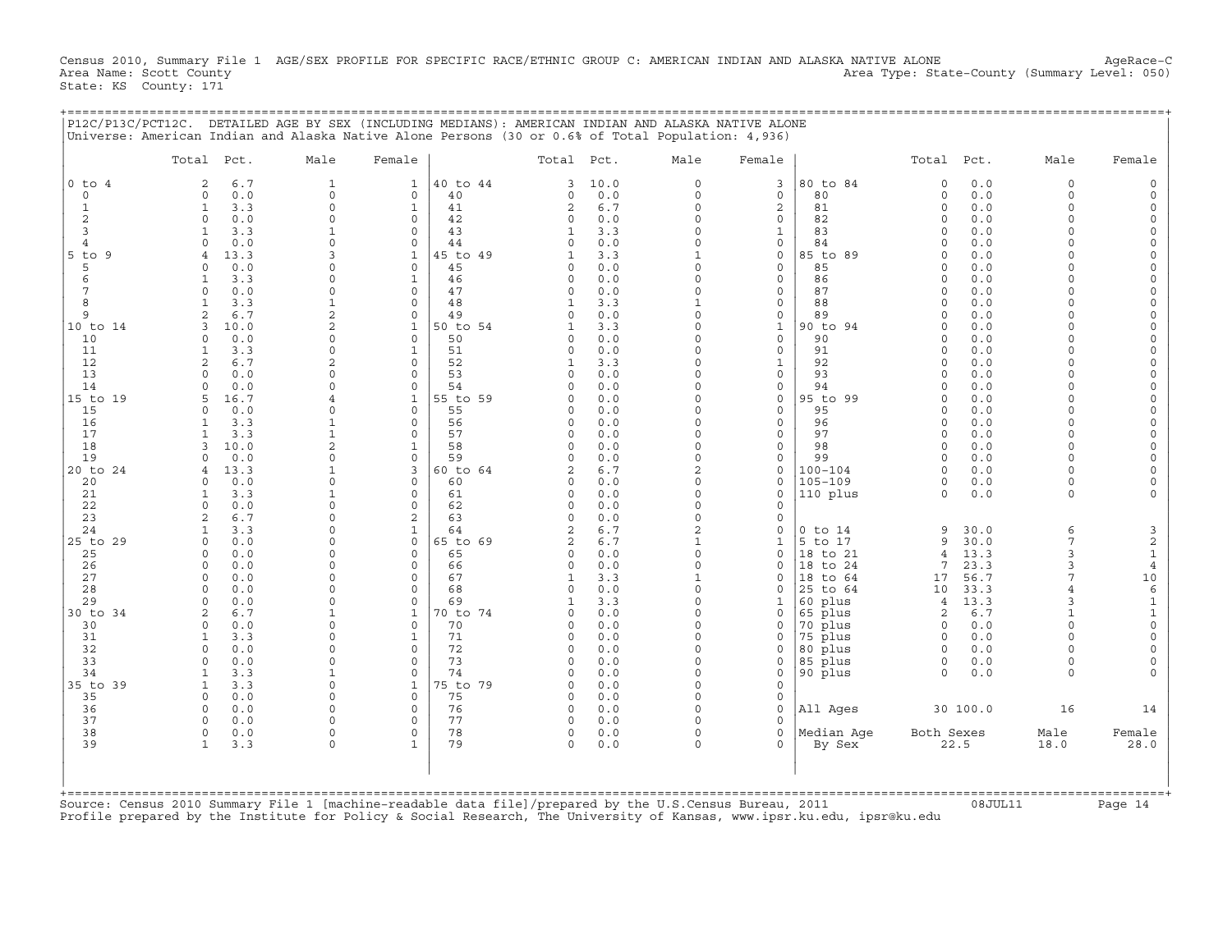Census 2010, Summary File 1 AGE/SEX PROFILE FOR SPECIFIC RACE/ETHNIC GROUP C: AMERICAN INDIAN AND ALASKA NATIVE ALONE AgeRace-C<br>Area Name: Scott County (summary Level: 050) Area Type: State-County (Summary Level: 050) State: KS County: 171

+===================================================================================================================================================+

|                          | Total Pct.                           | Male                         | Female                   |                | Total Pct.                 |            | Male                     | Female                       |                     | Total Pct.           |              | Male                 | Female                     |
|--------------------------|--------------------------------------|------------------------------|--------------------------|----------------|----------------------------|------------|--------------------------|------------------------------|---------------------|----------------------|--------------|----------------------|----------------------------|
| $0$ to<br>$\overline{4}$ | 6.7<br>$\overline{2}$                | $\mathbf{1}$                 | $\mathbf{1}$             | 40 to 44       | 3                          | 10.0       | $\Omega$                 | 3                            | 80 to 84            | $\circ$              | 0.0          | $\Omega$             |                            |
| $\circ$                  | 0.0<br>$\Omega$                      | $\Omega$                     | $\circ$                  | 40             | $\Omega$                   | 0.0        | $\Omega$                 | $\mathbf{0}$                 | 80                  | $\Omega$             | 0.0          | $\Omega$             |                            |
| $\mathbf{1}$             | 3.3<br>$\mathbf{1}$                  | $\circ$                      | $\mathbf{1}$             | 41             | $\overline{c}$             | 6.7        | $\Omega$                 | $\overline{c}$               | 81                  | $\circ$              | 0.0          | $\Omega$             |                            |
| $\overline{c}$<br>3      | 0.0<br>$\circ$<br>3.3<br>-1          | $\Omega$<br>$\mathbf{1}$     | $\circ$<br>$\Omega$      | 42<br>43       | $\Omega$<br>1              | 0.0<br>3.3 | 0<br>$\Omega$            | 0<br>1                       | 82<br>83            | $\Omega$<br>$\Omega$ | 0.0<br>0.0   | $\Omega$<br>$\Omega$ | $\Omega$<br>$\Omega$       |
| $\overline{4}$           | 0.0<br>$\Omega$                      | $\Omega$                     | $\circ$                  | 44             | $\Omega$                   | 0.0        | $\Omega$                 | 0                            | 84                  | $\Omega$             | 0.0          |                      | $\Omega$                   |
| $5$ to<br>9              | 13.3<br>$\overline{4}$               | 3                            | $\mathbf{1}$             | 5 to 49        |                            | 3.3        | 1                        | 0                            | 85 to 89            | $\cap$               | 0.0          |                      | $\Omega$                   |
| 5                        | 0.0<br>$\Omega$                      | $\Omega$                     | $\circ$                  | 45             | $\Omega$                   | 0.0        | $\Omega$                 | 0                            | 85                  | $\Omega$             | 0.0          | $\Omega$             | $\Omega$                   |
| 6                        | 3.3<br>$\mathbf{1}$                  | $\Omega$                     | $\mathbf{1}$             | 46             | $\Omega$                   | 0.0        | $\Omega$                 | 0                            | 86                  | $\cap$               | 0.0          | $\cap$               | $\Omega$                   |
| $\overline{7}$           | 0.0<br>$\circ$                       | $\Omega$                     | $\circ$                  | 47             | $\Omega$                   | 0.0        | $\Omega$                 | 0                            | 87                  | $\Omega$             | 0.0          | $\Omega$             | $\overline{0}$             |
| 8                        | 3.3<br>$\mathbf{1}$                  | $\mathbf{1}$                 | $\Omega$                 | 48             |                            | 3.3        |                          | 0                            | 88                  | $\Omega$             | 0.0          | $\Omega$             | $\Omega$                   |
| 9                        | 6.7                                  | $\overline{c}$               | $\mathbf 0$              | 49             |                            | 0.0        | $\Omega$                 | 0                            | 89                  | $\Omega$             | 0.0          | $\Omega$<br>$\Omega$ |                            |
| 10 to 14<br>10           | 3<br>10.0<br>0.0<br>$\Omega$         | $\overline{a}$<br>$\Omega$   | $\mathbf{1}$<br>$\Omega$ | 50 to 54<br>50 |                            | 3.3<br>0.0 | $\Omega$<br>$\Omega$     | $\mathbf{1}$<br>$\mathsf{O}$ | 90 to 94<br>90      | $\Omega$<br>$\Omega$ | 0.0<br>0.0   |                      | $\Omega$                   |
| 11                       | $\mathbf{1}$<br>3.3                  | $\Omega$                     | $\mathbf{1}$             | 51             | $\Omega$                   | 0.0        | $\Omega$                 | $\mathbf{0}$                 | 91                  | $\Omega$             | 0.0          | $\Omega$             |                            |
| 12                       | $\overline{2}$<br>6.7                | $\overline{2}$               | $\Omega$                 | 52             | $\mathbf{1}$               | 3.3        | $\Omega$                 | $\mathbf{1}$                 | 92                  | $\Omega$             | 0.0          | $\Omega$             |                            |
| 13                       | 0.0<br>$\cap$                        | $\Omega$                     | $\Omega$                 | 53             | $\Omega$                   | 0.0        | $\Omega$                 | 0                            | 93                  | $\Omega$             | 0.0          |                      | $\Omega$                   |
| 14                       | 0.0<br>$\Omega$                      |                              | $\Omega$                 | 54             | O                          | 0.0        | $\Omega$                 | 0                            | 94                  | $\Omega$             | 0.0          |                      |                            |
| 15 to 19                 | 5<br>16.7                            |                              | $\mathbf{1}$             | 55 to 59       | $\Omega$                   | 0.0        | 0                        | 0                            | 95 to 99            | $\Omega$             | 0.0          | $\Omega$             | $\Omega$                   |
| 15                       | 0.0<br>$\Omega$                      | $\Omega$                     | $\mathbf 0$              | 55             | $\Omega$                   | 0.0        | $\Omega$                 | 0                            | 95                  | $\Omega$             | 0.0          | $\Omega$             | $\Omega$                   |
| 16                       | 3.3<br>1                             | $\mathbf{1}$<br>$\mathbf{1}$ | $\Omega$                 | 56             | $\Omega$<br>$\Omega$       | 0.0        | $\Omega$<br>$\Omega$     | 0                            | 96                  | $\Omega$             | 0.0          | $\Omega$<br>$\Omega$ | $\Omega$<br>$\Omega$       |
| 17<br>18                 | $\mathbf{1}$<br>3.3<br>3<br>10.0     | 2                            | $\Omega$<br>$\mathbf{1}$ | 57<br>58       | $\Omega$                   | 0.0<br>0.0 | $\Omega$                 | $\mathbf{0}$<br>0            | 97<br>98            | $\Omega$<br>$\Omega$ | 0.0<br>0.0   | $\Omega$             | $\Omega$                   |
| 19                       | 0.0<br>$\Omega$                      | $\Omega$                     | $\circ$                  | 59             | $\Omega$                   | 0.0        | $\Omega$                 | 0                            | 99                  | $\Omega$             | 0.0          | $\Omega$             | $\Omega$                   |
| 20 to 24                 | 13.3<br>$\overline{4}$               | $\mathbf{1}$                 | 3                        | 60 to 64       | 2                          | 6.7        | $\overline{2}$           | 0                            | $100 - 104$         | $\Omega$             | 0.0          | $\Omega$             |                            |
| 20                       | 0.0<br>$\circ$                       | $\Omega$                     | $\Omega$                 | 60             | $\Omega$                   | 0.0        | $\Omega$                 | $\Omega$                     | $105 - 109$         | $\Omega$             | 0.0          | $\Omega$             |                            |
| 21                       | 3.3<br>1                             | $\mathbf{1}$                 | $\mathbf 0$              | 61             | $\Omega$                   | $0.0$      | $\Omega$                 | $\Omega$                     | 110 plus            | $\circ$              | 0.0          | $\Omega$             |                            |
| 22                       | 0.0<br>$\Omega$                      | $\Omega$                     | $\Omega$                 | 62             | $\Omega$                   | 0.0        | $\Omega$                 | $\Omega$                     |                     |                      |              |                      |                            |
| 23                       | 6.7<br>$\overline{a}$                | $\Omega$                     | 2                        | 63             | $\Omega$                   | 0.0        | $\Omega$                 | $\Omega$                     |                     |                      |              |                      |                            |
| 24                       | $\mathbf{1}$<br>3.3                  | $\Omega$                     | $\mathbf{1}$             | 64             | 2                          | 6.7        | $\overline{2}$           | $\Omega$                     | $0$ to $14$         | 9                    | 30.0         | 6                    | 3                          |
| 25 to 29<br>25           | 0.0<br>$\Omega$<br>$0.0$<br>$\Omega$ | $\Omega$<br>$\Omega$         | $\Omega$<br>$\Omega$     | 65 to 69<br>65 | $\overline{c}$<br>$\Omega$ | 6.7<br>0.0 | $\mathbf{1}$<br>$\Omega$ | $\mathbf 1$<br>0             | 5 to 17<br>18 to 21 | 9<br>$\overline{4}$  | 30.0<br>13.3 | 7<br>3               | $\mathbf 2$<br>$\mathbf 1$ |
| 26                       | 0.0<br>$\circ$                       | $\Omega$                     | $\mathbf 0$              | 66             | $\Omega$                   | 0.0        | $\Omega$                 | $\Omega$                     | 18 to 24            | 7                    | 23.3         | 3                    | $\overline{4}$             |
| 27                       | $\circ$<br>0.0                       | $\Omega$                     | 0                        | 67             | 1                          | 3.3        | $\mathbf{1}$             | $\Omega$                     | 18 to 64            | 17                   | 56.7         | 7                    | 10                         |
| 28                       | 0.0<br>$\Omega$                      | $\Omega$                     | $\Omega$                 | 68             | $\Omega$                   | 0.0        | $\Omega$                 | $\Omega$                     | 25 to 64            | 10                   | 33.3         |                      | $\epsilon$                 |
| 29                       | 0.0<br>$\Omega$                      | $\Omega$                     | $\Omega$                 | 69             |                            | 3.3        | $\Omega$                 | 1                            | 60 plus             | 4                    | 13.3         | $\mathbf{z}$         | $\mathbf 1$                |
| 30 to 34                 | $\overline{2}$<br>6.7                | $\mathbf{1}$                 | $\mathbf{1}$             | 0 to 74        | $\Omega$                   | 0.0        | $\Omega$                 | $\Omega$                     | 65 plus             | 2                    | 6.7          |                      | $\mathbf 1$                |
| 30                       | 0.0<br>$\Omega$                      | $\Omega$                     | $\Omega$                 | 70             | $\Omega$                   | 0.0        | $\Omega$                 | $\Omega$                     | 70 plus             | $\Omega$             | 0.0          | $\Omega$             | $\Omega$                   |
| 31                       | 3.3<br>$\overline{1}$                | $\Omega$                     | $\mathbf{1}$             | 71             | $\Omega$                   | 0.0        | $\Omega$                 | $\Omega$                     | 75 plus             | $\cap$               | 0.0          |                      | $\Omega$                   |
| 32<br>33                 | 0.0<br>$\Omega$<br>$\Omega$<br>0.0   | $\Omega$<br>$\Omega$         | $\mathbf 0$<br>$\Omega$  | 72<br>73       | $\Omega$<br>$\Omega$       | 0.0<br>0.0 | $\Omega$<br>0            | $\Omega$<br>0                | 80 plus<br>85 plus  | $\Omega$<br>$\circ$  | 0.0<br>0.0   | $\Omega$             | $\Omega$<br>$\Omega$       |
| 34                       | 3.3<br>1                             | $\mathbf{1}$                 | $\Omega$                 | 74             | $\Omega$                   | 0.0        | $\Omega$                 | 0                            | 90 plus             | $\Omega$             | 0.0          | $\Omega$             |                            |
| 35 to 39                 | $\mathbf{1}$<br>3.3                  | $\Omega$                     | $\mathbf{1}$             | 75 to 79       | $\Omega$                   | 0.0        | $\Omega$                 | 0                            |                     |                      |              |                      |                            |
| 35                       | $\Omega$<br>0.0                      | $\Omega$                     | $\Omega$                 | 75             | $\Omega$                   | 0.0        | $\Omega$                 | 0                            |                     |                      |              |                      |                            |
| 36                       | $\Omega$<br>0.0                      | $\Omega$                     | $\mathbf 0$              | 76             | 0                          | 0.0        | $\Omega$                 | 0                            | All Ages            |                      | 30 100.0     | 16                   | 14                         |
| 37                       | $\Omega$<br>0.0                      | $\Omega$                     | $\Omega$                 | 77             | $\Omega$                   | 0.0        | $\Omega$                 | $\Omega$                     |                     |                      |              |                      |                            |
| 38                       | $\circ$<br>0.0                       | $\mathbf 0$                  | $\mathbf 0$              | 78             | 0                          | 0.0        | $\Omega$                 | 0                            | Median Aqe          | Both Sexes           |              | Male                 | Female                     |
| 39                       | $\mathbf{1}$<br>3.3                  | $\Omega$                     | $\mathbf{1}$             | 79             | $\Omega$                   | 0.0        | $\Omega$                 | 0                            | By Sex              |                      | 22.5         | 18.0                 | 28.0                       |
|                          |                                      |                              |                          |                |                            |            |                          |                              |                     |                      |              |                      |                            |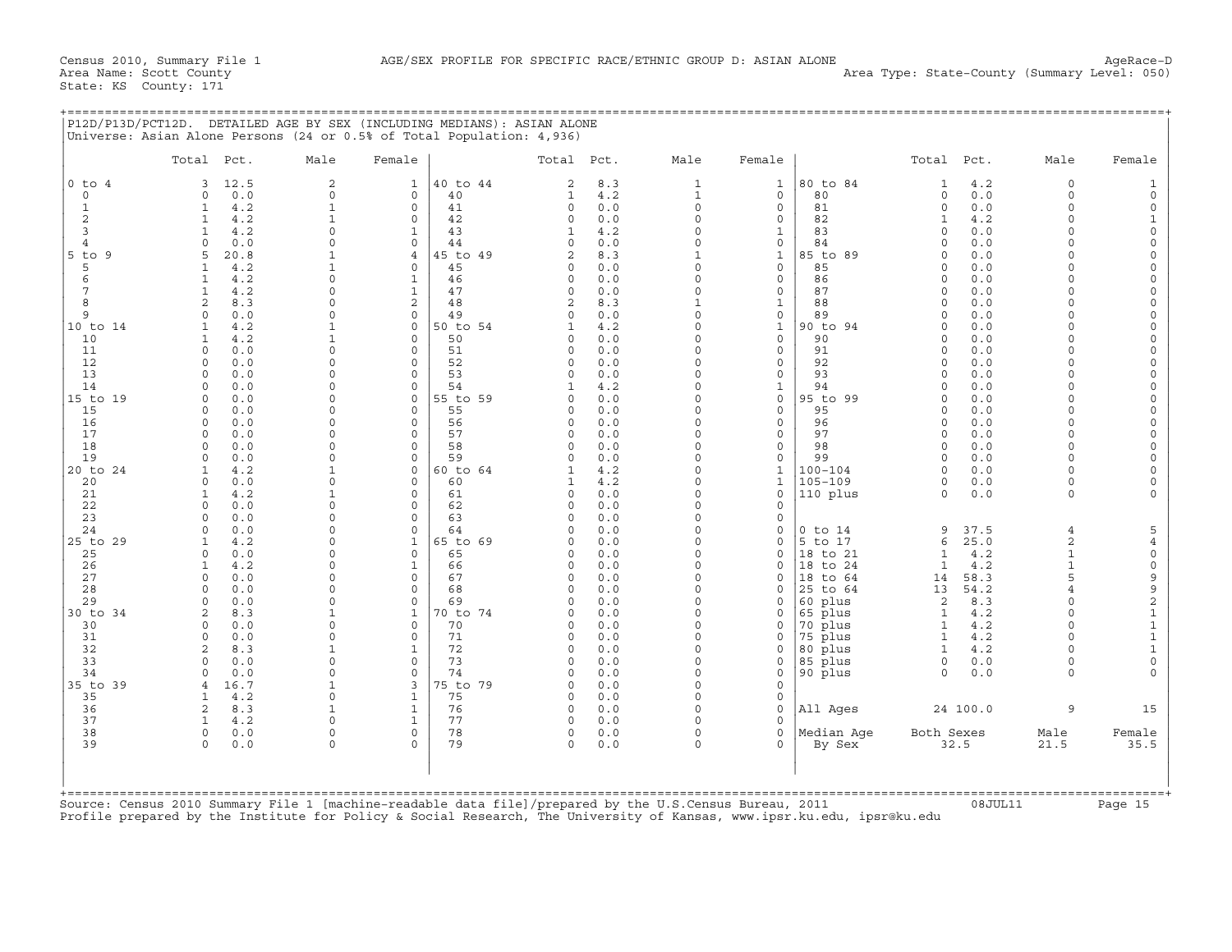+===================================================================================================================================================+

|                       | Total Pct.                      | Male                 | Female                   |          | Total Pct.           |            | Male                 | Female                     |                      | Total Pct.           |            | Male           | Female                                     |
|-----------------------|---------------------------------|----------------------|--------------------------|----------|----------------------|------------|----------------------|----------------------------|----------------------|----------------------|------------|----------------|--------------------------------------------|
| $0$ to $4$            | 12.5<br>3                       | 2                    | $\mathbf{1}$             | 40 to 44 | $\overline{2}$       | 8.3        | $\mathbf{1}$         | $\mathbf{1}$               | 80 to 84             | $\mathbf 1$          | 4.2        | $\Omega$       | 1                                          |
| $\circ$               | 0.0<br>$\Omega$                 | $\mathsf{O}\xspace$  | $\circ$                  | 40       | $\mathbf{1}$         | 4.2        | $\mathbf{1}$         | $\mathbf 0$                | 80                   | 0                    | 0.0        | $\Omega$       | $\circ$                                    |
| 1                     | 4.2<br>1                        | $\mathbf{1}$         | $\mathbf{0}$             | 41       | $\circ$              | 0.0        | $\Omega$             | $\mathbf 0$                | 81                   | $\Omega$             | 0.0        | $\Omega$       | $\mathsf O$                                |
| 2                     | 4.2<br>1                        | $\mathbf{1}$         | $\mathbf 0$              | 42       | 0                    | 0.0        | 0                    | $\mathsf{O}$               | 82                   | $\mathbf 1$          | 4.2        | $\Omega$       | $\mathbf{1}$                               |
| 3                     | $\mathbf{1}$<br>4.2             | $\Omega$             | $\mathbf{1}$             | 43       | $\mathbf{1}$         | 4.2        | $\Omega$             | $\mathbf{1}$               | 83                   | $\Omega$             | 0.0        | $\Omega$       | $\circ$                                    |
| $\overline{4}$        | 0.0<br>$\Omega$                 | $\Omega$             | $\circ$                  | 44       | $\Omega$             | 0.0        | $\Omega$             | $\mathbf 0$                | 84                   | $\Omega$             | 0.0        | $\cap$         | $\circ$                                    |
| $5$ to $9$            | 20.8<br>5                       | $\mathbf{1}$         | $\overline{4}$           | 45 to 49 | $\mathfrak{D}$       | 8.3        | $\mathbf{1}$         | $\mathbf{1}$               | 85 to 89             | $\Omega$             | 0.0        | $\cap$         | $\circ$                                    |
| 5                     | 4.2<br>$\mathbf{1}$             | $\mathbf{1}$         | $\Omega$                 | 45       | $\Omega$             | 0.0        | $\Omega$             | $\Omega$                   | 85                   | $\Omega$             | 0.0        | $\cap$         | $\Omega$                                   |
| 6                     | 4.2<br>1                        | 0                    | $\mathbf{1}$             | 46       | 0                    | 0.0        | $\Omega$             | $\mathbf 0$                | 86                   | $\Omega$             | 0.0        | $\cap$         | $\mathsf O$                                |
| 7                     | 4.2                             | $\Omega$             | $\mathbf{1}$             | 47       | 0                    | 0.0        | $\Omega$             | $\mathbf 0$                | 87                   | $\Omega$             | 0.0        |                | $\mathbf 0$                                |
| $\mathsf{R}$          | 2<br>8.3                        | $\Omega$             | $\overline{a}$           | 48       | $\overline{2}$       | 8.3        | $\mathbf{1}$         | $\mathbf{1}$               | 88                   | $\Omega$             | 0.0        |                | $\circ$                                    |
| 9                     | 0.0<br>$\Omega$                 | $\Omega$             | $\Omega$                 | 49       | $\Omega$             | 0.0        | $\circ$              | $\mathbf 0$                | 89                   | $\Omega$             | 0.0        | $\Omega$       | $\mathsf{O}\xspace$                        |
| 10 to 14              | 4.2<br>1                        | $\mathbf{1}$<br>1    | $\Omega$                 | 50 to 54 | 1                    | 4.2        | $\Omega$<br>$\Omega$ | $\mathbf{1}$               | 90 to 94<br>90       | $\Omega$<br>$\Omega$ | 0.0<br>0.0 | $\Omega$       | $\mathbf 0$                                |
| 10                    | 4.2<br>$\mathbf{1}$             |                      | $\Omega$                 | 50       | $\Omega$             | 0.0        | $\Omega$             | $\Omega$                   |                      |                      |            | $\Omega$       | $\Omega$<br>$\mathbf 0$                    |
| 11<br>12              | $\circ$<br>0.0<br>$\Omega$      | $\circ$<br>$\Omega$  | $\circ$<br>$\mathbf 0$   | 51<br>52 | 0<br>0               | 0.0<br>0.0 | $\Omega$             | $\mathbf 0$<br>$\mathbf 0$ | 91<br>92             | $\Omega$<br>$\Omega$ | 0.0        | $\cap$         |                                            |
| 13                    | 0.0<br>$\Omega$                 | $\Omega$             | $\mathbf 0$              | 53       | $\Omega$             | 0.0        | $\Omega$             | $\mathsf{O}$               | 93                   | $\Omega$             | 0.0<br>0.0 | U              | $\mathsf O$<br>$\mathbf 0$                 |
| 14                    | 0.0<br>0.0<br>$\Omega$          | $\Omega$             | $\Omega$                 | 54       | 1                    | 4.2        | $\Omega$             | $\mathbf{1}$               | 94                   | $\Omega$             | 0.0        | $\Omega$       | $\Omega$                                   |
| 15 to 19              | $\circ$<br>0.0                  | $\Omega$             | $\circ$                  | 55 to 59 | $\Omega$             | 0.0        | $\circ$              | $\mathbf 0$                | 95 to 99             | $\Omega$             | 0.0        | $\cap$         | $\Omega$                                   |
| 15                    | 0.0<br>$\Omega$                 | 0                    | $\Omega$                 | 55       | $\Omega$             | 0.0        | $\Omega$             | $\Omega$                   | 95                   | $\Omega$             | 0.0        | $\cap$         | $\mathsf{O}\xspace$                        |
| 16                    | 0.0<br>$\Omega$                 | $\Omega$             | $\Omega$                 | 56       | $\Omega$             | 0.0        | $\Omega$             | $\Omega$                   | 96                   | $\Omega$             | 0.0        | $\Omega$       | $\circ$                                    |
| 17                    | 0.0<br>$\Omega$                 | $\Omega$             | $\circ$                  | 57       | $\circ$              | 0.0        | $\Omega$             | $\mathbf 0$                | 97                   | $\Omega$             | 0.0        | $\cap$         | $\mathbf 0$                                |
| 18                    | $\circ$<br>0.0                  | $\Omega$             | $\mathbf 0$              | 58       | 0                    | 0.0        | $\circ$              | $\mathbf 0$                | 98                   | $\Omega$             | 0.0        | $\Omega$       | $\mathbf 0$                                |
| 19                    | 0.0<br>$\Omega$                 | 0                    | $\mathbf 0$              | 59       | 0                    | 0.0        | $\circ$              | $\mathbf 0$                | 99                   | $\Omega$             | 0.0        | $\Omega$       | $\circ$                                    |
| 20 to 24              | 4.2<br>$\mathbf{1}$             | 1                    | $\Omega$                 | 60 to 64 |                      | 4.2        | $\Omega$             | $\mathbf{1}$               | $100 - 104$          | $\Omega$             | 0.0        | $\cap$         | $\Omega$                                   |
| 20                    | $\Omega$<br>0.0                 | $\circ$              | $\Omega$                 | 60       | 1                    | 4.2        | $\Omega$             | $\mathbf{1}$               | $105 - 109$          | $\Omega$             | 0.0        | $\Omega$       | $\Omega$                                   |
| 21                    | 4.2<br>$\mathbf{1}$             | $\mathbf{1}$         | $\Omega$                 | 61       | $\Omega$             | 0.0        | $\Omega$             | $\Omega$                   | 110 plus             | $\Omega$             | 0.0        | $\Omega$       | $\Omega$                                   |
| 22                    | $\Omega$<br>0.0                 | 0                    | $\circ$                  | 62       | 0                    | 0.0        | $\Omega$             | $\mathbf 0$                |                      |                      |            |                |                                            |
| 23                    | 0.0<br>$\cap$                   | $\Omega$             | $\Omega$                 | 63       | $\Omega$             | 0.0        | $\Omega$             | $\mathbf 0$                |                      |                      |            |                |                                            |
| 24                    | 0.0<br>$\Omega$                 | 0                    | $\Omega$                 | 64       | $\Omega$             | 0.0        | $\circ$              | $\mathsf{O}$               | $0$ to $14$          | 9                    | 37.5       | $\overline{4}$ | 5                                          |
| 25 to 29              | 4.2<br>$\mathbf{1}$             | $\Omega$             | $\mathbf{1}$             | 65 to 69 | $\Omega$             | 0.0        | $\circ$              | $\mathbf 0$                | 5 to 17              | 6                    | 25.0       | 2              | $\,4$                                      |
| 25                    | $\Omega$<br>0.0                 | $\Omega$             | $\mathbf{0}$             | 65       | $\Omega$             | 0.0        | $\circ$              | $\mathbf 0$                | 18 to 21             | $\mathbf{1}$         | 4.2        | $\mathbf{1}$   | $\mathsf{O}\xspace$                        |
| 26                    | 4.2<br>$\mathbf{1}$             | $\Omega$             | $\mathbf{1}$             | 66       | $\Omega$             | 0.0        | $\Omega$             | $\Omega$                   | 18 to 24             | $\mathbf{1}$         | 4.2        |                | $\mathsf{O}\xspace$                        |
| 27                    | $\Omega$<br>0.0                 | $\Omega$             | $\circ$                  | 67       | $\Omega$             | 0.0        | $\Omega$             | $\mathbf 0$                | 18 to 64             | 14                   | 58.3       | 5              |                                            |
| 28                    | 0.0<br>$\Omega$                 | $\Omega$             | $\circ$                  | 68       | $\Omega$             | 0.0        | $\Omega$             | $\mathbf 0$                | 25 to 64             | 13                   | 54.2       |                | $\begin{array}{c} 9 \\ 9 \\ 2 \end{array}$ |
| 29                    | 0.0<br>$\Omega$                 | $\Omega$             | $\mathbf 0$              | 69       | O                    | 0.0        | $\Omega$             | $\mathbf 0$                | 60 plus              | 2                    | 8.3        | $\Omega$       |                                            |
| 30 to 34              | 2<br>8.3                        | $\mathbf{1}$         | $\mathbf{1}$             | 70 to 74 | $\Omega$             | 0.0        | $\Omega$             | $\Omega$                   | 65 plus              | $\mathbf{1}$         | 4.2        |                | $\begin{smallmatrix}1\\1\end{smallmatrix}$ |
| 30                    | 0.0<br>$\Omega$                 | $\Omega$             | $\Omega$                 | 70       | $\Omega$             | 0.0        | $\Omega$             | $\mathbf 0$                | 70 plus              | $\mathbf{1}$         | 4.2        | $\Omega$       |                                            |
| 31                    | 0.0<br>$\Omega$                 | $\Omega$             | $\circ$                  | 71       | $\Omega$             | 0.0        | $\Omega$             | $\mathbf 0$                | 75 plus              | $\mathbf{1}$         | 4.2        |                | $\mathbf 1$                                |
| 32                    | 8.3<br>2                        | $\mathbf{1}$         | $\mathbf{1}$             | 72       | $\Omega$             | 0.0        | $\Omega$             | $\Omega$                   | 80 plus              | $\mathbf{1}$         | 4.2        | $\cap$         | $\mathbf 1$                                |
| 33                    | $\cap$<br>0.0                   | $\Omega$             | $\Omega$                 | 73       | $\cap$               | 0.0        | $\Omega$             | $\mathbf 0$                | 85 plus              | $\Omega$             | 0.0        | $\Omega$       | $\mathbf 0$                                |
| 34                    | 0.0<br>$\Omega$                 | 0                    | $\Omega$                 | 74       | $\Omega$             | 0.0        | $\circ$              | $\mathbf 0$                | 90 plus              | $\Omega$             | 0.0        | $\Omega$       |                                            |
| 35 to 39              | 16.7<br>$\overline{4}$          | $\mathbf 1$          | 3                        | 75 to 79 | 0                    | 0.0        | $\circ$              | $\mathbf 0$                |                      |                      |            |                |                                            |
| 35                    | 4.2<br>$\mathbf{1}$             | $\Omega$             | $\mathbf{1}$             | 75       | $\Omega$             | 0.0        | $\Omega$             | $\mathbf 0$                |                      |                      |            |                |                                            |
| 36                    | 2<br>8.3                        | $\mathbf{1}$         | $\mathbf{1}$             | 76       | 0                    | 0.0        | $\circ$              | $\mathbf 0$                | All Aqes             |                      | 24 100.0   | 9              | 15                                         |
| 37<br>38              | 4.2<br>$\mathbf{1}$<br>$\Omega$ | $\Omega$<br>$\Omega$ | $\mathbf{1}$<br>$\Omega$ | 77<br>78 | $\Omega$<br>$\Omega$ | 0.0<br>0.0 | $\Omega$<br>$\Omega$ | $\Omega$<br>$\Omega$       |                      |                      |            | Male           |                                            |
| 39                    | 0.0<br>$\Omega$<br>0.0          | $\Omega$             | $\Omega$                 | 79       | $\Omega$             | 0.0        | $\Omega$             | $\Omega$                   | Median Age<br>By Sex | Both Sexes           | 32.5       | 21.5           | Female<br>35.5                             |
|                       |                                 |                      |                          |          |                      |            |                      |                            |                      |                      |            |                |                                            |
| $+$ = = = = = = = = = |                                 |                      |                          |          |                      |            |                      |                            |                      |                      |            |                |                                            |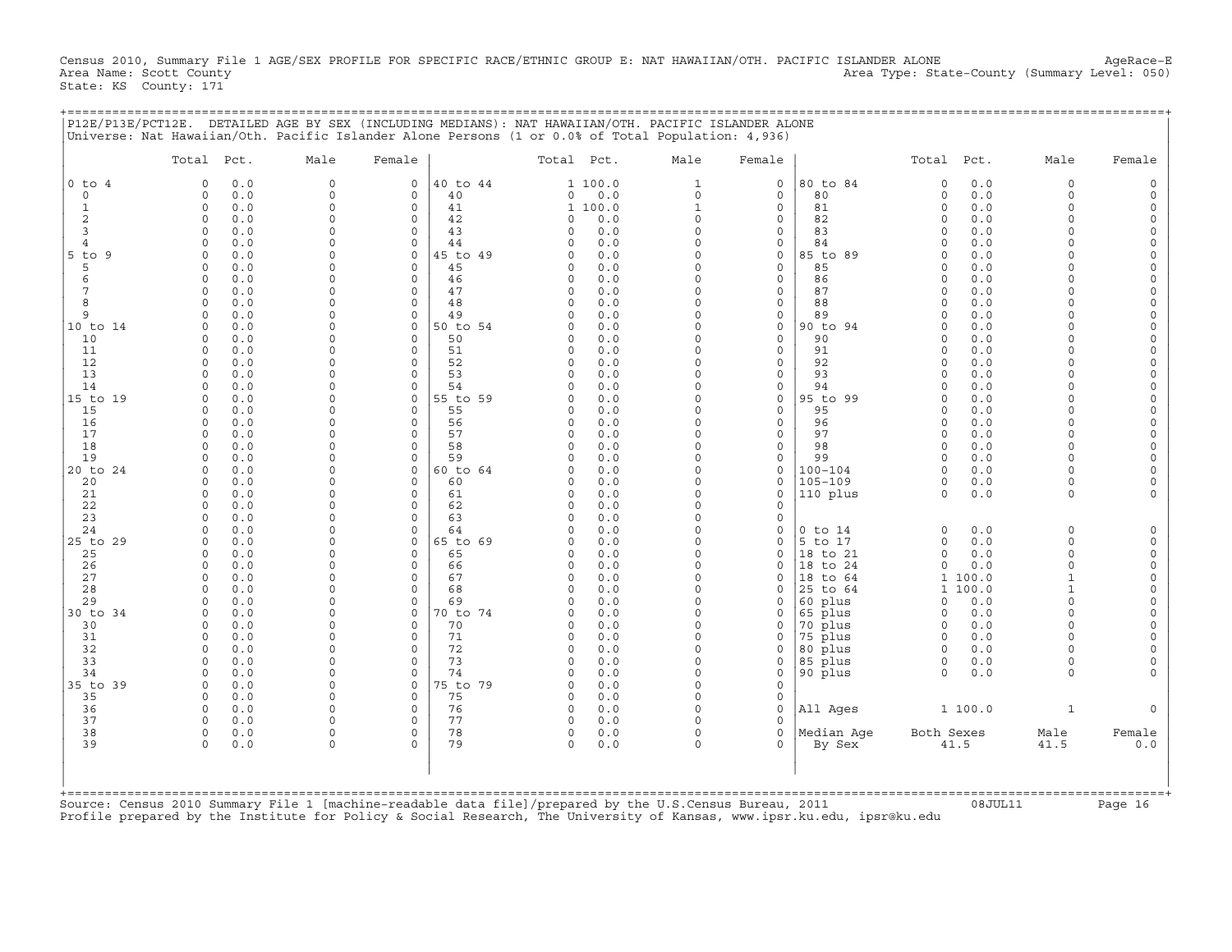Census 2010, Summary File 1 AGE/SEX PROFILE FOR SPECIFIC RACE/ETHNIC GROUP E: NAT HAWAIIAN/OTH. PACIFIC ISLANDER ALONE AgeRace−E<br>Area Name: Scott County (summary Level: 050) Area Type: State-County (Summary Level: 050) State: KS County: 171

+===================================================================================================================================================+

|P12E/P13E/PCT12E. DETAILED AGE BY SEX (INCLUDING MEDIANS): NAT HAWAIIAN/OTH. PACIFIC ISLANDER ALONE | |Universe: Nat Hawaiian/Oth. Pacific Islander Alone Persons (1 or 0.0% of Total Population: 4,936) | | | | Total Pct. Male Female | Total Pct. Male Female | Total Pct. Male Female | | | | | |0 to 4 0 0.0 0 0 |40 to 44 1 100.0 1 0 |80 to 84 0 0.0 0 0 | | 0 0 0.0 0 0 | 40 0 0.0 0 0 | 80 0 0.0 0 0 | | 1 0 0.0 0 0 | 41 1 100.0 1 0 | 81 0 0.0 0 0 | | 2 0 0.0 0 0 | 42 0 0.0 0 0 | 82 0 0.0 0 0 | | 3 0 0.0 0 0 | 43 0 0.0 0 0 | 83 0 0.0 0 0 | | 4 0 0.0 0 0 | 44 0 0.0 0 0 | 84 0 0.0 0 0 | |5 to 9 0 0.0 0 0 |45 to 49 0 0.0 0 0 |85 to 89 0 0.0 0 0 | | 5 0 0.0 0 0 | 45 0 0.0 0 0 | 85 0 0.0 0 0 | | 6 0 0.0 0 0 | 46 0 0.0 0 0 | 86 0 0.0 0 0 | | 7 0 0.0 0 0 | 47 0 0.0 0 0 | 87 0 0.0 0 0 | | 8 0 0.0 0 0 | 48 0 0.0 0 0 | 88 0 0.0 0 0 | | 9 0 0.0 0 0 | 49 0 0.0 0 0 | 89 0 0.0 0 0 | |10 to 14 0 0.0 0 0 |50 to 54 0 0.0 0 0 |90 to 94 0 0.0 0 0 | | 10 0 0.0 0 0 | 50 0 0.0 0 0 | 90 0 0.0 0 0 | | 11 0 0.0 0 0 | 51 0 0.0 0 0 | 91 0 0.0 0 0 | | 12 0 0.0 0 0 | 52 0 0.0 0 0 | 92 0 0.0 0 0 | | 13 0 0.0 0 0 | 53 0 0.0 0 0 | 93 0 0.0 0 0 | | 14 0 0.0 0 0 | 54 0 0.0 0 0 | 94 0 0.0 0 0 | |15 to 19 0 0.0 0 0 |55 to 59 0 0.0 0 0 |95 to 99 0 0.0 0 0 | | 15 0 0.0 0 0 | 55 0 0.0 0 0 | 95 0 0.0 0 0 | | 16 0 0.0 0 0 | 56 0 0.0 0 0 | 96 0 0.0 0 0 | | 17 0 0.0 0 0 | 57 0 0.0 0 0 | 97 0 0.0 0 0 | | 18 0 0.0 0 0 | 58 0 0.0 0 0 | 98 0 0.0 0 0 | | 19 0 0.0 0 0 | 59 0 0.0 0 0 | 99 0 0.0 0 0 | |20 to 24 0 0.0 0 0 |60 to 64 0 0.0 0 0 |100−104 0 0.0 0 0 | | 20 0 0.0 0 0 | 60 0 0.0 0 0 |105−109 0 0.0 0 0 | | 21 0 0.0 0 0 | 61 0 0.0 0 0 |110 plus 0 0.0 0 0 | | 22 0 0.0 0 0 | 62 0 0.0 0 0 | | | 23 0 0.0 0 0 | 63 0 0.0 0 0 | | | 24 0 0.0 0 0 | 64 0 0.0 0 0 |0 to 14 0 0.0 0 0 | |25 to 29 0 0.0 0 0 |65 to 69 0 0.0 0 0 |5 to 17 0 0.0 0 0 | | 25 0 0.0 0 0 | 65 0 0.0 0 0 |18 to 21 0 0.0 0 0 | | 26 0 0.0 0 0 | 66 0 0.0 0 0 |18 to 24 0 0.0 0 0 | | 27 0 0.0 0 0 | 67 0 0.0 0 0 |18 to 64 1 100.0 1 0 | | 28 0 0.0 0 0 | 68 0 0.0 0 0 |25 to 64 1 100.0 1 0 | | 29 0 0.0 0 0 | 69 0 0.0 0 0 |60 plus 0 0.0 0 0 | |30 to 34 0 0.0 0 0 |70 to 74 0 0.0 0 0 |65 plus 0 0.0 0 0 | | 30 0 0.0 0 0 | 70 0 0.0 0 0 |70 plus 0 0.0 0 0 | | 31 0 0.0 0 0 | 71 0 0.0 0 0 |75 plus 0 0.0 0 0 | | 32 0 0.0 0 0 | 72 0 0.0 0 0 |80 plus 0 0.0 0 0 | | 33 0 0.0 0 0 | 73 0 0.0 0 0 |85 plus 0 0.0 0 0 | | 34 0 0.0 0 0 | 74 0 0.0 0 0 |90 plus 0 0.0 0 0 | |35 to 39 0 0.0 0 0 |75 to 79 0 0.0 0 0 | | | 35 0 0.0 0 0 | 75 0 0.0 0 0 | | | 36 0 0.0 0 0 | 76 0 0.0 0 0 |All Ages 1 100.0 1 0 | | 37 0 0.0 0 0 | 77 0 0.0 0 0 | | | 38 0 0.0 0 0 | 78 0 0.0 0 0 |Median Age Both Sexes Male Female | | 39 0 0.0 0 0 | 79 0 0.0 0 0 | By Sex 41.5 41.5 0.0 | | | | | | | | | | | +===================================================================================================================================================+Source: Census 2010 Summary File 1 [machine−readable data file]/prepared by the U.S.Census Bureau, 2011 08JUL11 Page 16

Profile prepared by the Institute for Policy & Social Research, The University of Kansas, www.ipsr.ku.edu, ipsr@ku.edu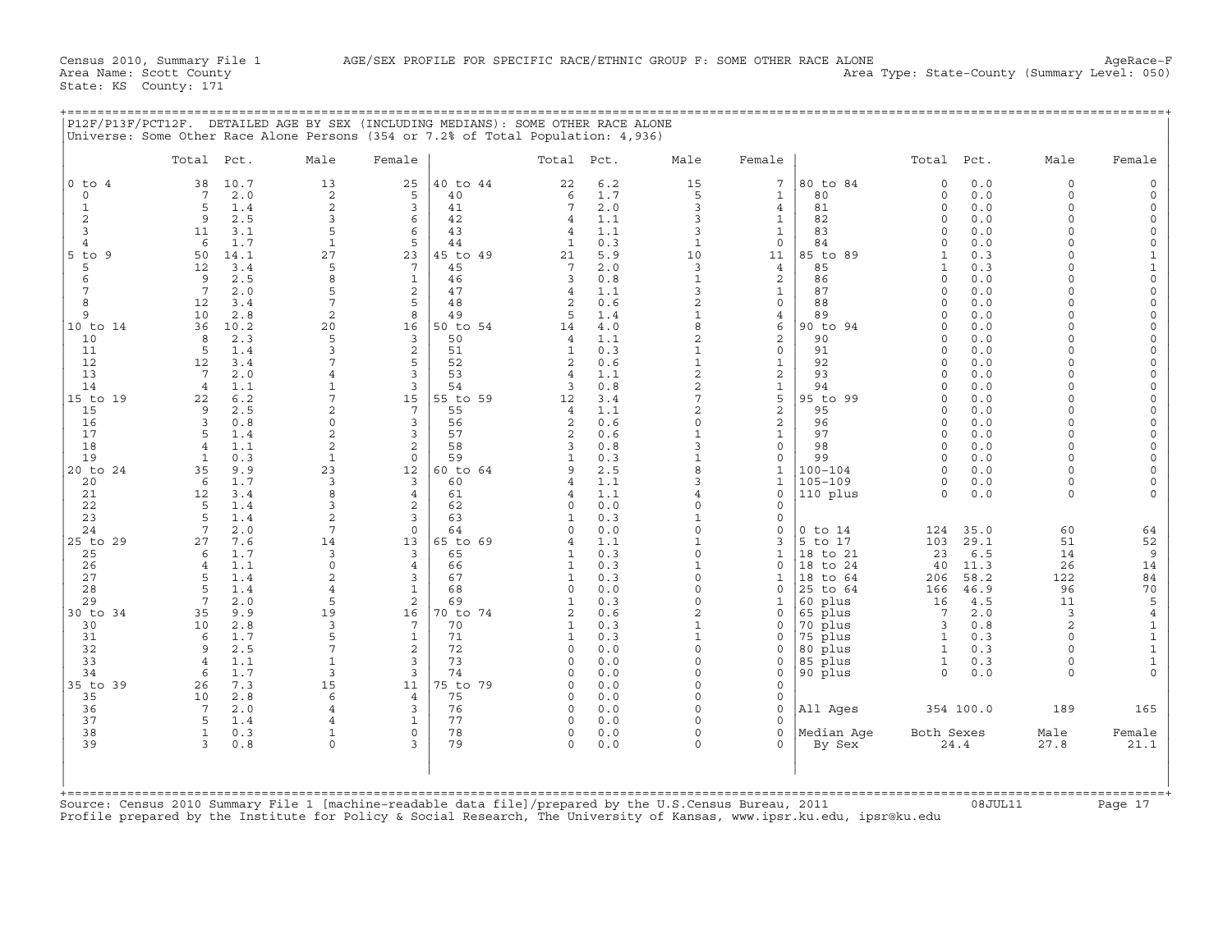+===================================================================================================================================================+

State: KS County: 171

Census 2010, Summary File 1 AGE/SEX PROFILE FOR SPECIFIC RACE/ETHNIC GROUP F: SOME OTHER RACE ALONE AgeRace−F<br>Area Name: Scott County (summary Level: 050) Area Type: State-County (Summary Level: 050)

|                     | Total Pct.            |            | Male                 | Female              |          | Total Pct.                       |            | Male                         | Female                   |                    | Total Pct.           |            | Male                       | Female      |
|---------------------|-----------------------|------------|----------------------|---------------------|----------|----------------------------------|------------|------------------------------|--------------------------|--------------------|----------------------|------------|----------------------------|-------------|
| $0$ to $4$          | 38                    | 10.7       | 13                   | 25                  | 40 to 44 | 22                               | 6.2        | 15                           | $\overline{7}$           | 80 to 84           | $\circ$              | 0.0        | $\Omega$                   | $\circ$     |
| 0                   | 7                     | 2.0        | 2                    | 5                   | 40       | 6                                | 1.7        | 5                            | $\mathbf{1}$             | 80                 | $\circ$              | 0.0        | $\Omega$                   | 0           |
| $\mathbf{1}$        | 5                     | 1.4        | $\overline{c}$       | 3                   | 41       | 7                                | 2.0        | 3                            | 4                        | 81                 | $\Omega$             | 0.0        | $\Omega$                   | 0           |
| $\overline{c}$<br>3 | 9<br>11               | 2.5<br>3.1 | 3<br>5               | 6<br>6              | 42<br>43 | $\overline{4}$<br>$\overline{4}$ | 1.1<br>1.1 | 3<br>3                       | $\mathbf{1}$<br>1        | 82<br>83           | 0<br>$\Omega$        | 0.0<br>0.0 | $\Omega$<br>$\Omega$       | 0<br>0      |
| 4                   | 6                     | 1.7        | $\mathbf{1}$         | 5                   | 44       | $\mathbf{1}$                     | 0.3        | $\mathbf{1}$                 | $\Omega$                 | 84                 | $\Omega$             | 0.0        | $\Omega$                   | $\mathbf 0$ |
| $5$ to<br>9         | 50                    | 14.1       | 27                   | 23                  | 45 to 49 | 21                               | 5.9        | 10                           | 11                       | 85 to 89           | 1                    | 0.3        | $\Omega$                   | $\mathbf 1$ |
| 5                   | 12                    | 3.4        | 5                    | $7\phantom{.0}$     | 45       | 7                                | 2.0        | $\overline{3}$               | $\overline{4}$           | 85                 |                      | 0.3        | $\Omega$                   |             |
| 6                   | 9                     | 2.5        | 8                    | $\mathbf{1}$        | 46       | 3                                | 0.8        | $\mathbf{1}$                 | 2                        | 86                 | $\Omega$             | 0.0        | O                          |             |
| 7                   | 7                     | 2.0        | 5                    | 2                   | 47       | $\overline{4}$                   | 1.1        | 3                            | $\mathbf 1$              | 87                 | $\Omega$             | 0.0        | $\Omega$                   |             |
| 8                   | 12                    | 3.4        | $7\phantom{.0}$      | 5                   | 48       | $\overline{2}$                   | 0.6        | 2                            | 0                        | 88                 | $\circ$              | 0.0        | $\Omega$                   |             |
| 9                   | 10                    | 2.8        | $\overline{c}$       | 8                   | 49       | 5                                | 1.4        | $\mathbf{1}$                 | 4                        | 89                 | $\Omega$             | 0.0        | $\Omega$                   |             |
| 10 to 14            | 36                    | 10.2       | 20                   | 16                  | 50 to 54 | 14                               | 4.0        | 8                            | 6                        | 90 to 94           | $\Omega$             | 0.0        | $\Omega$                   |             |
| 10                  | 8                     | 2.3        | 5                    | 3                   | 50       | $\overline{4}$                   | 1.1        | 2                            | 2                        | 90                 | $\circ$              | 0.0        | $\Omega$                   |             |
| 11                  | 5                     | 1.4        | 3<br>$\overline{7}$  | $\overline{c}$<br>5 | 51<br>52 | 1<br>2                           | 0.3<br>0.6 | $\mathbf{1}$<br>$\mathbf{1}$ | $\Omega$<br>$\mathbf{1}$ | 91<br>92           | $\Omega$<br>$\Omega$ | 0.0        | $\cap$<br>$\Omega$         |             |
| 12<br>13            | 12<br>$7\phantom{.0}$ | 3.4<br>2.0 | $\overline{4}$       | $\overline{3}$      | 53       | $\overline{4}$                   | 1.1        | $\overline{c}$               | 2                        | 93                 | $\Omega$             | 0.0<br>0.0 | $\cap$                     |             |
| 14                  | $\overline{4}$        | 1.1        | $\mathbf{1}$         | 3                   | 54       | 3                                | 0.8        | 2                            | $\mathbf{1}$             | 94                 | $\Omega$             | 0.0        | $\Omega$                   |             |
| 15 to 19            | 22                    | 6.2        | 7                    | 15                  | 55 to 59 | 12                               | 3.4        | 7                            | 5                        | 95 to 99           | $\Omega$             | 0.0        | $\Omega$                   |             |
| 15                  | 9                     | 2.5        | $\overline{2}$       | $7\phantom{.0}$     | 55       | $\overline{4}$                   | 1.1        | $\overline{2}$               | 2                        | 95                 | $\Omega$             | 0.0        | $\Omega$                   |             |
| 16                  | 3                     | 0.8        | $\mathsf{O}$         | 3                   | 56       | $\overline{2}$                   | 0.6        | $\Omega$                     | 2                        | 96                 | $\Omega$             | 0.0        | $\Omega$                   |             |
| 17                  | 5                     | 1.4        | $\sqrt{2}$           | 3                   | 57       | $\overline{c}$                   | 0.6        | $\mathbf{1}$                 | $\mathbf{1}$             | 97                 | $\Omega$             | 0.0        | $\Omega$                   |             |
| 18                  | $\overline{4}$        | 1.1        | $\overline{c}$       | $\overline{c}$      | 58       | 3                                | 0.8        | 3                            | 0                        | 98                 | $\Omega$             | 0.0        | $\Omega$                   |             |
| 19                  | $\mathbf{1}$          | 0.3        | $\mathbf{1}$         | $\mathbf 0$         | 59       | 1                                | 0.3        |                              | $\Omega$                 | 99                 | $\Omega$             | 0.0        | $\cap$                     |             |
| 20 to 24            | 35                    | 9.9        | 23                   | 12                  | 60 to 64 | 9                                | 2.5        | 8                            | 1                        | 100-104            | $\Omega$             | 0.0        | $\Omega$                   |             |
| 20                  | 6                     | 1.7        | 3                    | $\overline{3}$      | 60       | $\overline{4}$                   | 1.1        | 3                            | $\mathbf{1}$             | $105 - 109$        | $\Omega$             | 0.0        | $\Omega$                   |             |
| 21                  | 12<br>5               | 3.4        | 8<br>3               | $\overline{4}$      | 61       | $\overline{4}$<br>$\Omega$       | 1.1        | 4<br>$\Omega$                | $\Omega$<br>$\Omega$     | 110 plus           | $\Omega$             | 0.0        | $\Omega$                   |             |
| 22<br>23            | 5                     | 1.4<br>1.4 | $\overline{c}$       | 2<br>3              | 62<br>63 | $\mathbf{1}$                     | 0.0<br>0.3 | $\mathbf{1}$                 | $\Omega$                 |                    |                      |            |                            |             |
| 24                  | 7                     | 2.0        | $7\phantom{.0}$      | $\mathbf 0$         | 64       | $\Omega$                         | 0.0        | $\Omega$                     | $\Omega$                 | $0$ to $14$        | 124                  | 35.0       | 60                         | 64          |
| 25 to 29            | 27                    | 7.6        | 14                   | 13                  | 65 to 69 |                                  | 1.1        | $\mathbf{1}$                 |                          | 5 to 17            | 103                  | 29.1       | 51                         |             |
| 25                  | 6                     | 1.7        | 3                    | 3                   | 65       | 1                                | 0.3        | $\circ$                      | 1                        | 18 to 21           | 23                   | 6.5        | 14                         |             |
| 26                  | 4                     | 1.1        | $\mathsf{O}$         | 4                   | 66       | -1                               | 0.3        |                              | $\Omega$                 | to 24<br>18        | 40                   | 11.3       | 26                         | 14          |
| 27                  | 5                     | 1.4        | 2                    | 3                   | 67       | 1                                | 0.3        | $\Omega$                     | $\mathbf{1}$             | 18 to 64           | 206                  | 58.2       | 122                        |             |
| 28                  | 5                     | 1.4        | $\overline{4}$       | $\mathbf{1}$        | 68       | $\Omega$                         | 0.0        | $\Omega$                     | $\cap$                   | 25 to 64           | 166                  | 46.9       | 96                         |             |
| 29                  | $\overline{7}$        | 2.0        | 5                    | 2                   | 69       | $\overline{1}$                   | 0.3        | $\Omega$                     | 1                        | 60 plus            | 16                   | 4.5        | 11                         |             |
| 30 to 34            | 35                    | 9.9        | 19                   | 16                  | 70 to 74 | $\overline{c}$                   | 0.6        |                              | $\Omega$                 | 65 plus            | 7                    | 2.0        | 3                          |             |
| 30                  | 10                    | 2.8        | 3                    | $7\phantom{.0}$     | 70       | 1                                | 0.3        | $\mathbf{1}$                 |                          | 70 plus            | 3                    | 0.8        | $\overline{c}$<br>$\Omega$ |             |
| 31<br>32            | 6<br>9                | 1.7<br>2.5 | 5<br>$7\phantom{.0}$ | $\mathbf{1}$<br>2   | 71<br>72 | 1<br>$\Omega$                    | 0.3        | $\mathbf{1}$<br>$\Omega$     | 0<br><sup>0</sup>        | 75 plus            | $\mathbf{1}$<br>1    | 0.3        | $\Omega$                   |             |
| 33                  | $\overline{4}$        | 1.1        | $\mathbf{1}$         | $\overline{3}$      | 73       | $\Omega$                         | 0.0<br>0.0 | $\Omega$                     | 0                        | 80 plus<br>85 plus | $\mathbf{1}$         | 0.3<br>0.3 | $\circ$                    |             |
| 34                  | 6                     | 1.7        | 3                    | 3                   | 74       | O                                | 0.0        | $\Omega$                     | $\Omega$                 | 90 plus            | 0                    | 0.0        | $\Omega$                   |             |
| 35 to 39            | 26                    | 7.3        | 15                   | 11                  | 75 to 79 | $\Omega$                         | 0.0        | $\Omega$                     | <sup>0</sup>             |                    |                      |            |                            |             |
| 35                  | 10                    | 2.8        | 6                    | $\overline{4}$      | 75       | $\Omega$                         | 0.0        | $\Omega$                     | <sup>0</sup>             |                    |                      |            |                            |             |
| 36                  | 7                     | 2.0        | $\overline{4}$       | $\overline{3}$      | 76       | $\Omega$                         | 0.0        | $\Omega$                     |                          | All Ages           |                      | 354 100.0  | 189                        | 165         |
| 37                  | 5                     | 1.4        | $\overline{4}$       | $\mathbf{1}$        | 77       | $\Omega$                         | 0.0        | $\Omega$                     | $\cap$                   |                    |                      |            |                            |             |
| 38                  | $\mathbf{1}$          | 0.3        | 1                    | $\mathbf 0$         | 78       | $\Omega$                         | 0.0        | $\Omega$                     | $\cap$                   | Median Aqe         | Both Sexes           |            | Male                       | Female      |
| 39                  | 3                     | 0.8        | $\Omega$             | 3                   | 79       | $\Omega$                         | 0.0        | $\cap$                       | $\Omega$                 | By Sex             |                      | 24.4       | 27.8                       | 21.1        |
|                     |                       |            |                      |                     |          |                                  |            |                              |                          |                    |                      |            |                            |             |
|                     |                       |            |                      |                     |          |                                  |            |                              |                          |                    |                      |            |                            |             |

Profile prepared by the Institute for Policy & Social Research, The University of Kansas, www.ipsr.ku.edu, ipsr@ku.edu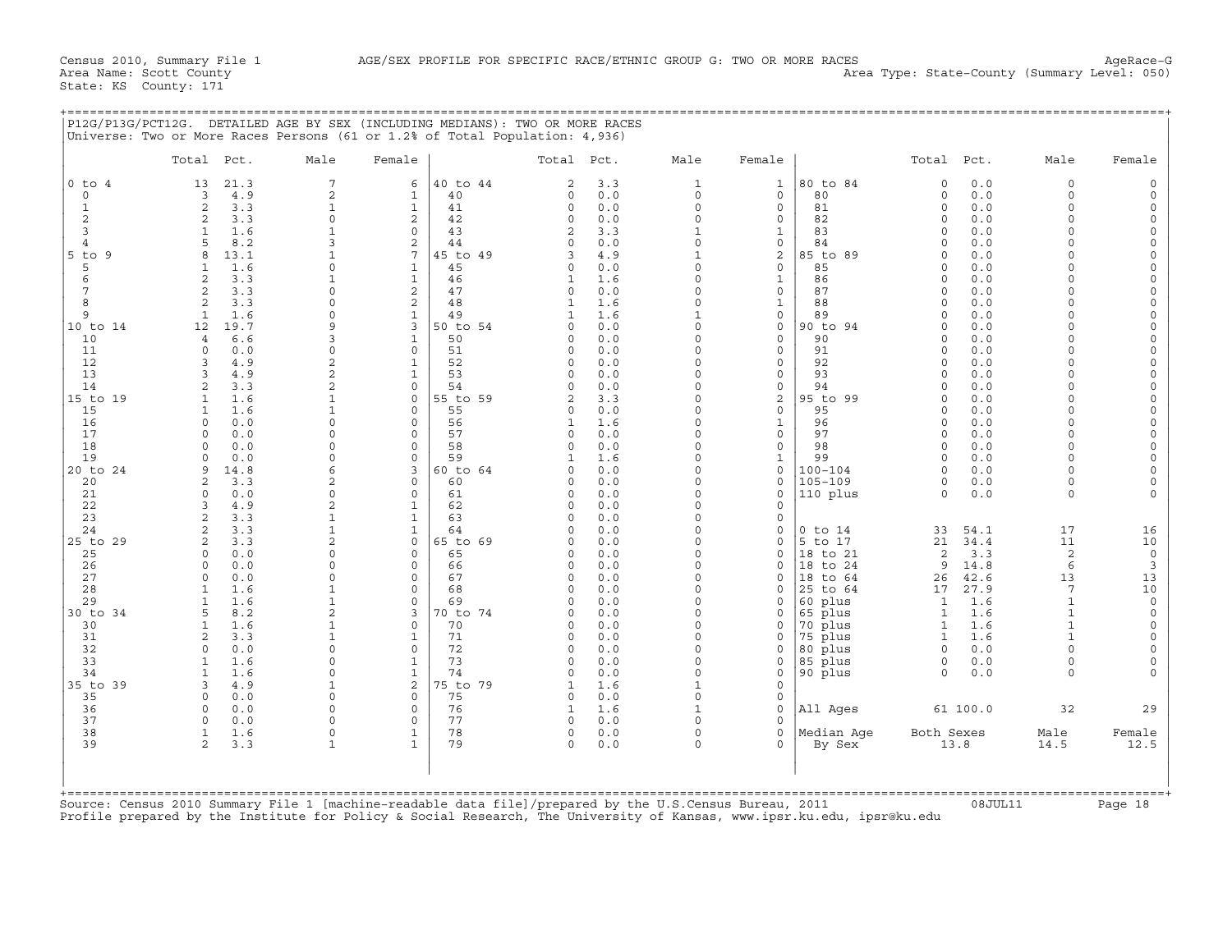+===================================================================================================================================================+

State: KS County: 171

|                 | Total Pct.                                  | Male                 | Female               |                | Total Pct.              |            | Male                     | Female                        |                     | Total Pct.           |             | Male               | Female               |
|-----------------|---------------------------------------------|----------------------|----------------------|----------------|-------------------------|------------|--------------------------|-------------------------------|---------------------|----------------------|-------------|--------------------|----------------------|
| $0$ to $4$      | 21.3<br>13                                  | 7                    | 6                    | 40 to 44       | 2                       | 3.3        | $\mathbf{1}$             | $\mathbf{1}$                  | 80 to 84            | $\Omega$             | 0.0         | $\Omega$           | $\Omega$             |
| $\Omega$        | 4.9<br>3                                    | $\overline{a}$       | $\mathbf{1}$         | 40             | $\Omega$                | 0.0        | $\Omega$                 | $\Omega$                      | 80                  | $\Omega$             | 0.0         | $\Omega$           | $\Omega$             |
| $\mathbf{1}$    | 2<br>3.3                                    | $\mathbf{1}$         | $\mathbf{1}$         | 41             | $\circ$                 | 0.0        | $\circ$                  | $\circ$                       | 81                  | $\Omega$             | 0.0         | $\Omega$           | $\Omega$             |
| 2               | 2<br>3.3                                    | $\Omega$             | $\overline{2}$       | 42             | $\circ$                 | 0.0        | $\Omega$                 | 0                             | 82                  | $\Omega$             | 0.0         | $\Omega$           | $\Omega$             |
| 3               | 1.6<br>$\mathbf{1}$                         | $\mathbf{1}$         | $\Omega$             | 43             | 2                       | 3.3        | $\mathbf{1}$             | $\mathbf{1}$                  | 83                  | $\Omega$             | 0.0         | $\cap$             | $\circ$              |
| $\overline{4}$  | 5<br>8.2                                    | 3                    | $\overline{2}$       | 44             | $\Omega$                | 0.0        | $\Omega$<br>$\mathbf{1}$ | 0                             | 84                  | $\Omega$<br>$\Omega$ | 0.0         |                    | $\Omega$<br>$\Omega$ |
| $5$ to $9$<br>5 | $\mathsf{R}$<br>13.1<br>1.6<br>$\mathbf{1}$ | 1<br>$\Omega$        | 7<br>$\mathbf{1}$    | 45 to 49<br>45 | ς<br>$\circ$            | 4.9<br>0.0 | $\circ$                  | $\overline{c}$<br>$\mathbf 0$ | 85 to 89<br>85      | $\Omega$             | 0.0<br>0.0  | $\cap$             | $\Omega$             |
| 6               | 3.3<br>$\overline{a}$                       | $\mathbf{1}$         | $\mathbf{1}$         | 46             | $\mathbf{1}$            | 1.6        | $\Omega$                 | $\mathbf{1}$                  | 86                  | $\Omega$             | 0.0         | $\cap$             | $\circ$              |
| 7               | $\overline{2}$<br>3.3                       | $\Omega$             | $\overline{c}$       | 47             | $\circ$                 | 0.0        | $\Omega$                 | $\mathsf{O}\xspace$           | 87                  | $\Omega$             | 0.0         | $\cap$             | $\overline{0}$       |
| 8               | $\overline{a}$<br>3.3                       | 0                    | 2                    | 48             | 1                       | 1.6        | $\Omega$                 | $\mathbf{1}$                  | 88                  | $\Omega$             | 0.0         |                    | $\Omega$             |
| 9               | $\mathbf{1}$<br>1.6                         | $\Omega$             | $\mathbf{1}$         | 49             | $\mathbf{1}$            | 1.6        | $\mathbf{1}$             | $\mathsf{O}\xspace$           | 89                  | $\Omega$             | 0.0         |                    | $\mathbf 0$          |
| 10 to 14        | 12<br>19.7                                  | 9                    | 3                    | 50 to 54       | $\Omega$                | 0.0        | $\Omega$                 | $\mathsf{O}\xspace$           | 90 to 94            | $\Omega$             | 0.0         |                    | $\circ$              |
| 10              | 6.6<br>$\overline{4}$                       | 3                    | $\mathbf 1$          | 50             | $\Omega$                | 0.0        | $\Omega$                 | $\Omega$                      | 90                  | $\Omega$             | 0.0         |                    | $\Omega$             |
| 11              | $\Omega$<br>0.0                             | $\Omega$             | $\Omega$             | 51             | $\Omega$                | 0.0        | $\Omega$                 | $\mathbf 0$                   | 91                  | $\Omega$             | 0.0         |                    | $\Omega$             |
| 12              | 4.9<br>3                                    | $\overline{c}$       | $\mathbf{1}$         | 52             | $\Omega$                | 0.0        | $\Omega$                 | $\Omega$                      | 92                  | $\Omega$             | 0.0         |                    | $\Omega$             |
| 13              | 4.9<br>$\mathbf{R}$                         | $\overline{c}$       | $\mathbf{1}$         | 53             | $\Omega$                | 0.0        | $\Omega$                 | $\mathbf 0$                   | 93                  | $\Omega$             | 0.0         |                    | $\Omega$             |
| 14              | $\overline{2}$<br>3.3                       | $\overline{a}$       | $\Omega$             | 54             | $\Omega$                | 0.0        | $\Omega$                 | $\circ$                       | 94                  | $\Omega$             | 0.0         |                    | $\Omega$             |
| 15 to 19        | $\mathbf{1}$<br>1.6                         | $\mathbf{1}$         | 0                    | 55 to 59       | $\overline{a}$          | 3.3        | $\Omega$                 | $\overline{c}$                | 95 to 99            | $\Omega$             | 0.0         | $\cap$             | $\Omega$             |
| 15              | 1.6<br>1                                    | $\mathbf{1}$         | $\Omega$             | 55             | 0                       | 0.0        | $\Omega$                 | $\mathbf 0$                   | 95                  | $\Omega$             | 0.0         | $\cap$             | $\Omega$             |
| 16<br>17        | $\Omega$<br>0.0<br>$\cap$<br>0.0            | $\Omega$<br>$\Omega$ | $\Omega$<br>$\Omega$ | 56<br>57       | $\mathbf{1}$<br>$\circ$ | 1.6<br>0.0 | $\Omega$<br>$\Omega$     | $\mathbf{1}$<br>$\mathbf{0}$  | 96<br>97            | $\Omega$<br>$\Omega$ | 0.0<br>0.0  | $\Omega$<br>$\cap$ | $\Omega$<br>$\Omega$ |
| 18              | $\Omega$<br>0.0                             | $\Omega$             | $\Omega$             | 58             | $\Omega$                | 0.0        | $\Omega$                 | $\mathbf 0$                   | 98                  | $\Omega$             | 0.0         | $\Omega$           | $\Omega$             |
| 19              | 0.0<br>$\cap$                               | $\Omega$             | $\Omega$             | 59             | $\mathbf{1}$            | 1.6        | $\Omega$                 | $\mathbf{1}$                  | 99                  | $\Omega$             | 0.0         | $\cap$             | $\Omega$             |
| 20 to 24        | 9<br>14.8                                   | 6                    | 3                    | 60 to 64       |                         | 0.0        | $\Omega$                 | $\mathbf 0$                   | $100 - 104$         | $\Omega$             | 0.0         |                    |                      |
| 20              | 3.3<br>$\mathfrak{D}$                       | $\overline{2}$       | $\Omega$             | 60             | 0                       | 0.0        | $\Omega$                 | $\mathbf 0$                   | $105 - 109$         | $\Omega$             | 0.0         | $\Omega$           | $\Omega$             |
| 21              | 0.0<br>$\Omega$                             | $\Omega$             | $\Omega$             | 61             | $\circ$                 | 0.0        | $\Omega$                 | $\mathbf 0$                   | 110 plus            | $\Omega$             | 0.0         | $\Omega$           |                      |
| 22              | 4.9<br>3                                    | $\overline{c}$       | 1                    | 62             | $\Omega$                | 0.0        | $\Omega$                 | $\mathbf 0$                   |                     |                      |             |                    |                      |
| 23              | 3.3<br>$\overline{2}$                       | $\mathbf{1}$         | $\mathbf{1}$         | 63             | $\Omega$                | 0.0        | $\cap$                   | $\mathbf 0$                   |                     |                      |             |                    |                      |
| 24              | $\overline{a}$<br>3.3                       | $\mathbf{1}$         | $\mathbf{1}$         | 64             | $\Omega$                | 0.0        | $\Omega$                 | $\mathsf{O}\xspace$           | $0$ to $14$         | 33                   | 54.1        | 17                 | 16                   |
| 25 to 29        | $\overline{a}$<br>3.3                       | $\overline{a}$       | $\Omega$             | 65 to 69       | $\Omega$                | 0.0        | $\Omega$                 | $\mathbf 0$                   | 5 to 17             | 21                   | 34.4        | 11                 | 10                   |
| 25              | 0.0<br>$\Omega$                             | $\Omega$             | $\Omega$             | 65             | $\Omega$                | 0.0        | $\Omega$                 | $\mathbf 0$                   | 18 to 21            | 2                    | 3.3         | $\overline{c}$     | $\circ$              |
| 26              | $\Omega$<br>0.0                             | $\Omega$             | $\Omega$             | 66             | 0                       | 0.0        | $\Omega$                 | $\mathbf 0$                   | 18 to 24            | 9                    | 14.8        | 6                  | 3                    |
| 27              | 0.0<br>$\mathbf 0$                          | $\Omega$             | 0                    | 67             | $\circ$                 | 0.0        | $\circ$<br>$\Omega$      | $\mathbf 0$                   | 18 to 64            | 26                   | 42.6        | 13                 | 13                   |
| 28<br>29        | 1.6<br>1.6<br>$\mathbf{1}$                  | $\mathbf{1}$<br>1    | $\Omega$<br>$\Omega$ | 68<br>69       | $\circ$<br>$\Omega$     | 0.0<br>0.0 | $\Omega$                 | $\mathbf 0$<br>$\mathbf 0$    | 25 to 64<br>60 plus | 17<br>$\mathbf{1}$   | 27.9<br>1.6 | 7<br>$\mathbf{1}$  | 10<br>$\circ$        |
| 30 to 34        | 8.2<br>5                                    | $\overline{c}$       | 3                    | 70 to 74       | $\Omega$                | 0.0        | $\Omega$                 | $\Omega$                      | 65 plus             | $\mathbf{1}$         | 1.6         | $\mathbf{1}$       | $\mathsf{O}\xspace$  |
| 30              | 1.6<br>$\mathbf{1}$                         | $\mathbf{1}$         | $\Omega$             | 70             | $\Omega$                | 0.0        | $\Omega$                 | $\mathbf 0$                   | 70 plus             | $\mathbf{1}$         | 1.6         | $\mathbf{1}$       | $\Omega$             |
| 31              | 3.3<br>$\overline{2}$                       | $\mathbf{1}$         | $\mathbf{1}$         | 71             | $\Omega$                | 0.0        | $\cap$                   | $\Omega$                      | 75 plus             | $\mathbf{1}$         | 1.6         | $\mathbf{1}$       | $\Omega$             |
| 32              | 0.0<br>$\Omega$                             | $\Omega$             | $\Omega$             | 72             | $\Omega$                | 0.0        | $\Omega$                 | $\Omega$                      | 80 plus             | $\Omega$             | 0.0         | $\Omega$           | $\circ$              |
| 33              | 1.6<br>$\mathbf{1}$                         | $\Omega$             | $\mathbf{1}$         | 73             | $\Omega$                | 0.0        | $\Omega$                 | 0                             | 85 plus             | 0                    | 0.0         | $\Omega$           | $\Omega$             |
| 34              | 1.6<br>1                                    | $\Omega$             | $\mathbf{1}$         | 74             | $\circ$                 | 0.0        | $\Omega$                 | $\mathbf 0$                   | 90 plus             | $\Omega$             | 0.0         | $\Omega$           |                      |
| 35 to 39        | 3<br>4.9                                    | $\mathbf{1}$         | $\overline{a}$       | 75 to 79       | $\mathbf{1}$            | 1.6        | $\mathbf{1}$             | $\mathbf 0$                   |                     |                      |             |                    |                      |
| 35              | 0.0<br>$\Omega$                             | $\Omega$             | $\Omega$             | 75             | $\Omega$                | 0.0        | $\cap$                   | $\mathbf 0$                   |                     |                      |             |                    |                      |
| 36              | $\circ$<br>0.0                              | $\Omega$             | $\Omega$             | 76             | $\mathbf{1}$            | 1.6        | $\mathbf{1}$             | $\mathbf 0$                   | All Ages            |                      | 61 100.0    | 32                 | 29                   |
| 37              | 0.0<br>$\Omega$                             | $\Omega$             | $\Omega$             | 77             | $\Omega$                | 0.0        | $\cap$                   | $\Omega$                      |                     |                      |             |                    |                      |
| 38<br>39        | $\mathbf{1}$<br>1.6<br>$\overline{2}$       | 0                    | $\mathbf{1}$         | 78<br>79       | $\circ$<br>$\Omega$     | 0.0        | $\Omega$<br>$\Omega$     | $\mathbf 0$<br>$\Omega$       | Median Aqe          | Both Sexes           |             | Male               | Female               |
|                 | 3.3                                         | $\mathbf{1}$         | 1                    |                |                         | 0.0        |                          |                               | By Sex              |                      | 13.8        | 14.5               | 12.5                 |
|                 |                                             |                      |                      |                |                         |            |                          |                               |                     |                      |             |                    |                      |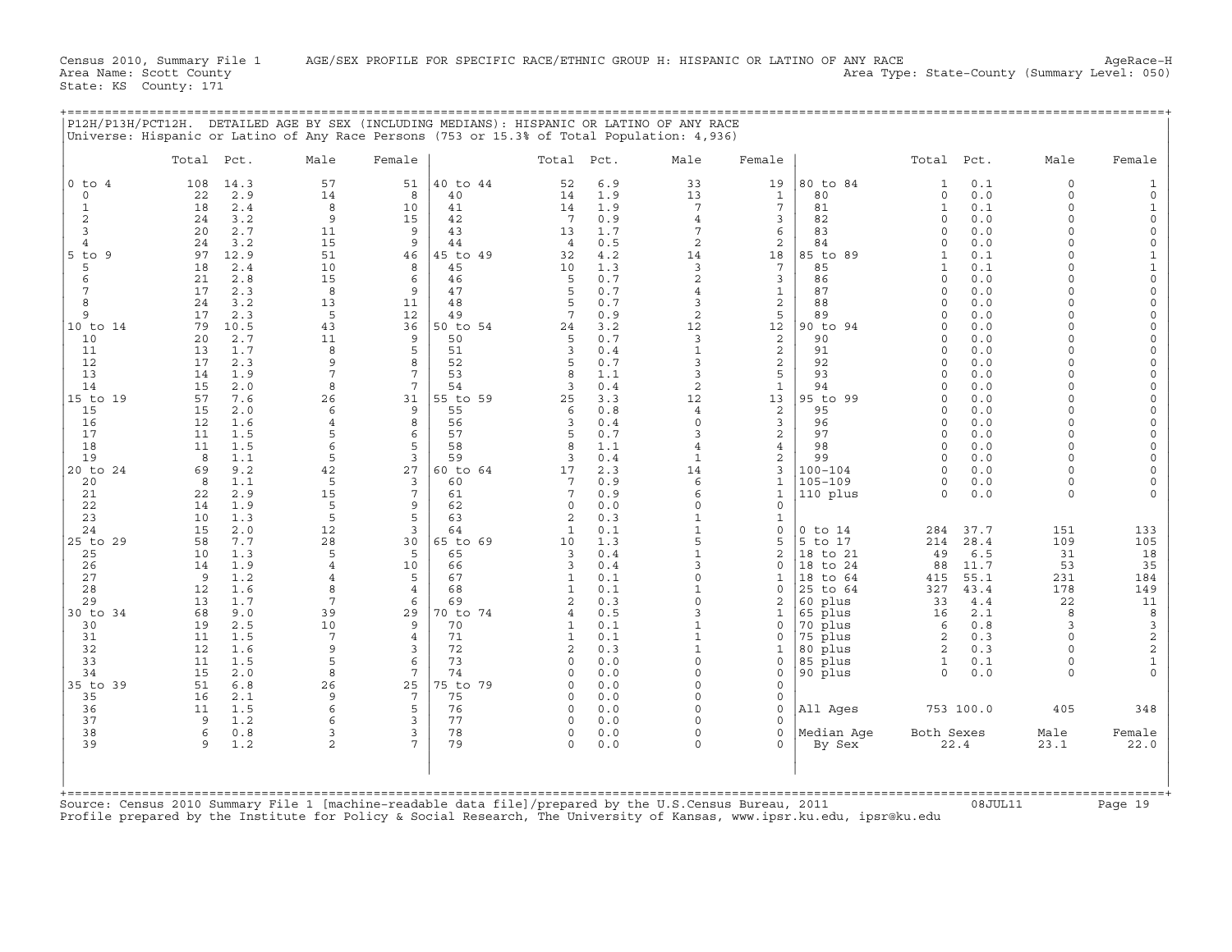|              | Total Pct. |            | Male                | Female                |                | Total Pct.        |            | Male                | Female                     |                      | Total Pct.           |               | Male                 | Female                  |
|--------------|------------|------------|---------------------|-----------------------|----------------|-------------------|------------|---------------------|----------------------------|----------------------|----------------------|---------------|----------------------|-------------------------|
| $0$ to $4$   | 108        | 14.3       | 57                  | 51                    | 40 to 44       | 52                | 6.9        | 33                  | 19                         | 80 to 84             | $\mathbf{1}$         | 0.1           | $\Omega$             |                         |
| $\Omega$     | 22         | 2.9        | 14                  | 8                     | 40             | 14                | 1.9        | 13                  | $\mathbf{1}$               | 80                   | $\circ$              | 0.0           | $\Omega$             |                         |
| $\mathbf{1}$ | 18         | 2.4        | 8                   | 10                    | 41             | 14                | 1.9        | 7                   | $\overline{7}$             | 81                   | $\mathbf 1$          | 0.1           | $\Omega$             |                         |
| 2            | 24         | 3.2        | 9                   | 15                    | 42             | $7\phantom{.0}$   | 0.9        | $\overline{4}$      | 3                          | 82                   | $\Omega$             | 0.0           | $\Omega$<br>$\Omega$ | $\Omega$                |
| 3<br>4       | 20<br>24   | 2.7<br>3.2 | 11<br>15            | 9<br>9                | 43<br>44       | 13<br>4           | 1.7<br>0.5 | 7<br>$\overline{a}$ | 6<br>2                     | 83<br>84             | $\Omega$<br>$\Omega$ | 0.0<br>0.0    | $\Omega$             | $\Omega$<br>$\Omega$    |
| 5<br>to 9    | 97         | 12.9       | 51                  | 46                    | 45 to 49       | 32                | 4.2        | 14                  | 18                         | 85 to 89             | $\mathbf{1}$         | 0.1           | $\Omega$             |                         |
| 5            | 18         | 2.4        | 10                  | 8                     | 45             | 10                | 1.3        | 3                   | $7\phantom{.0}$            | 85                   | $\mathbf{1}$         | 0.1           | $\Omega$             | $\mathbf{1}$            |
| 6            | 21         | 2.8        | 15                  | 6                     | 46             | 5                 | 0.7        | $\overline{a}$      | 3                          | 86                   | $\Omega$             | 0.0           | $\Omega$             | $\Omega$                |
| 7<br>8       | 17<br>24   | 2.3<br>3.2 | 8<br>13             | 9<br>11               | 47<br>48       | 5<br>5            | 0.7<br>0.7 | 3                   | $\mathbf{1}$<br>2          | 87<br>88             | $\Omega$<br>$\Omega$ | 0.0<br>0.0    | $\Omega$<br>$\Omega$ | $\Omega$<br>$\Omega$    |
| 9            | 17         | 2.3        | 5                   | 12                    | 49             | 7                 | 0.9        | 2                   | 5                          | 89                   | $\Omega$             | 0.0           | $\Omega$             |                         |
| 10 to 14     | 79         | 10.5       | 43                  | 36                    | 50 to 54       | 24                | 3.2        | 12                  | 12                         | 90 to 94             | $\Omega$             | 0.0           | $\Omega$             | $\Omega$                |
| 10           | 20         | 2.7        | 11                  | 9                     | 50             | 5                 | 0.7        | 3                   | 2                          | 90                   |                      | 0.0           | $\Omega$             |                         |
| 11<br>12     | 13<br>17   | 1.7<br>2.3 | 8<br>9              | 5<br>8                | 51<br>52       | 3<br>5            | 0.4        | 3                   | 2<br>2                     | 91<br>92             | $\Omega$<br>$\Omega$ | 0.0<br>0.0    | $\Omega$<br>$\Omega$ |                         |
| 13           | 14         | 1.9        | $\overline{7}$      | 7                     | 53             |                   | 0.7<br>1.1 | 3                   | 5                          | 93                   | $\Omega$             | 0.0           |                      | $\Omega$                |
| 14           | 15         | 2.0        | 8                   | $7\phantom{.0}$       | 54             | 3                 | 0.4        | 2                   | $\mathbf{1}$               | 94                   | $\Omega$             | 0.0           | $\Omega$             |                         |
| 15 to 19     | 57         | 7.6        | 26                  | 31                    | 55 to 59       | 25                | 3.3        | 12                  | 13                         | 95 to 99             | 0                    | 0.0           | $\Omega$             | $\Omega$                |
| 15           | 15         | 2.0        | 6                   | 9                     | 55             | 6                 | 0.8        | $\overline{4}$      | 2                          | 95                   | $\Omega$             | 0.0           | $\Omega$             | $\Omega$                |
| 16<br>17     | 12<br>11   | 1.6<br>1.5 | $\overline{4}$<br>5 | 8<br>6                | 56<br>57       | 3                 | 0.4<br>0.7 | $\Omega$            | 3<br>2                     | 96<br>97             | $\Omega$<br>$\Omega$ | 0.0<br>0.0    | $\Omega$<br>$\Omega$ |                         |
| 18           | 11         | 1.5        | 6                   | 5                     | 58             | 8                 | 1.1        | $\overline{4}$      | 4                          | 98                   | $\Omega$             | 0.0           | $\Omega$             |                         |
| 19           | 8          | 1.1        | 5                   | 3                     | 59             | 3                 | 0.4        |                     | 2                          | 99                   | $\cap$               | 0.0           | $\cap$               |                         |
| 20 to 24     | 69         | 9.2        | 42                  | 27                    | 60 to 64       | 17                | 2.3        | 14                  | 3                          | $100 - 104$          | $\Omega$             | 0.0           | $\Omega$             |                         |
| 20           | 8          | 1.1        | 5                   | 3<br>$7\phantom{.0}$  | 60             | 7<br>7            | 0.9        | 6                   | 1                          | $105 - 109$          | 0                    | 0.0           | $\Omega$             |                         |
| 21<br>22     | 22<br>14   | 2.9<br>1.9 | 15<br>5             | 9                     | 61<br>62       | $\Omega$          | 0.9<br>0.0 | 6<br>$\Omega$       | $\mathbf{1}$<br>$\Omega$   | 110 plus             | $\Omega$             | 0.0           | $\Omega$             |                         |
| 23           | 10         | 1.3        | 5                   | 5                     | 63             | 2                 | 0.3        |                     | 1                          |                      |                      |               |                      |                         |
| 24           | 15         | 2.0        | 12                  | 3                     | 64             | 1                 | 0.1        | $\mathbf{1}$        | $\mathbf 0$                | $0$ to $14$          | 284                  | 37.7          | 151                  | 133                     |
| 25 to 29     | 58         | 7.7        | 28                  | 30                    | 65 to 69       | 10                | 1.3        | 5                   | 5                          | 5 to 17              | 214                  | 28.4          | 109                  | 105                     |
| 25<br>26     | 10<br>14   | 1.3<br>1.9 | 5<br>$\overline{4}$ | 5<br>10               | 65<br>66       | 3<br>3            | 0.4<br>0.4 |                     | $\overline{2}$<br>$\Omega$ | 18 to 21<br>18 to 24 | 49<br>88             | $6.5$<br>11.7 | 31<br>53             | 18<br>35                |
| 27           | 9          | 1.2        | $\overline{4}$      | 5                     | 67             | 1                 | 0.1        |                     | 1                          | 18 to 64             | 415                  | 55.1          | 231                  | 184                     |
| 28           | 12         | 1.6        | 8                   | $\overline{4}$        | 68             | $\mathbf{1}$      | 0.1        |                     | $\mathbf 0$                | 25 to 64             | 327                  | 43.4          | 178                  | 149                     |
| 29           | 13         | 1.7        | 7                   | 6                     | 69             | $\mathcal{D}$     | 0.3        |                     | $\overline{a}$             | 60 plus              | 33                   | 4.4           | 22                   | 11                      |
| 30 to 34     | 68         | 9.0<br>2.5 | 39<br>10            | 29<br>9               | 70 to 74<br>70 | $\overline{4}$    | 0.5        |                     | $\mathbf{1}$<br>$\Omega$   | 65 plus              | 16                   | 2.1           | 8<br>$\mathbf{3}$    | 8                       |
| 30<br>31     | 19<br>11   | 1.5        | 7                   | $\overline{4}$        | 71             | 1<br>$\mathbf{1}$ | 0.1<br>0.1 |                     | $\Omega$                   | 70 plus<br>75 plus   | 6<br>2               | 0.8<br>0.3    | $\Omega$             | 3<br>$\mathbf 2$        |
| 32           | 12         | 1.6        | 9                   | 3                     | 72             | $\overline{2}$    | 0.3        |                     | $\mathbf{1}$               | 80 plus              | 2                    | 0.3           | $\Omega$             | $\overline{\mathbf{c}}$ |
| 33           | 11         | 1.5        | 5                   | 6                     | 73             | $\Omega$          | 0.0        | $\Omega$            | $\Omega$                   | 85 plus              | 1                    | 0.1           | $\Omega$             | $\mathbf 1$             |
| 34           | 15         | 2.0        | 8                   | $7\phantom{.0}$       | 74             | $\cap$            | 0.0        | $\cap$              | $\Omega$                   | 90 plus              | $\Omega$             | 0.0           | $\Omega$             |                         |
| 35 to 39     | 51<br>16   | 6.8        | 26<br>9             | 25<br>$7\phantom{.0}$ | 75 to 79<br>75 | $\cap$            | 0.0        | $\Omega$            | $\Omega$                   |                      |                      |               |                      |                         |
| 35<br>36     | 11         | 2.1<br>1.5 | 6                   | 5                     | 76             | $\Omega$          | 0.0<br>0.0 | $\cap$              | $\mathbf 0$<br>$\mathbf 0$ | All Ages             |                      | 753 100.0     | 405                  | 348                     |
| 37           | 9          | 1.2        | 6                   | 3                     | 77             | $\cap$            | 0.0        |                     | $\Omega$                   |                      |                      |               |                      |                         |
| 38           | 6          | 0.8        | 3                   | 3                     | 78             | $\circ$           | 0.0        | $\Omega$            | $\mathbf 0$                | Median Aqe           | Both Sexes           |               | Male                 | Female                  |
| 39           | 9          | 1.2        | $\overline{a}$      | 7                     | 79             | $\Omega$          | 0.0        |                     | $\Omega$                   | By Sex               |                      | 22.4          | 23.1                 | 22.0                    |
|              |            |            |                     |                       |                |                   |            |                     |                            |                      |                      |               |                      |                         |

+===================================================================================================================================================+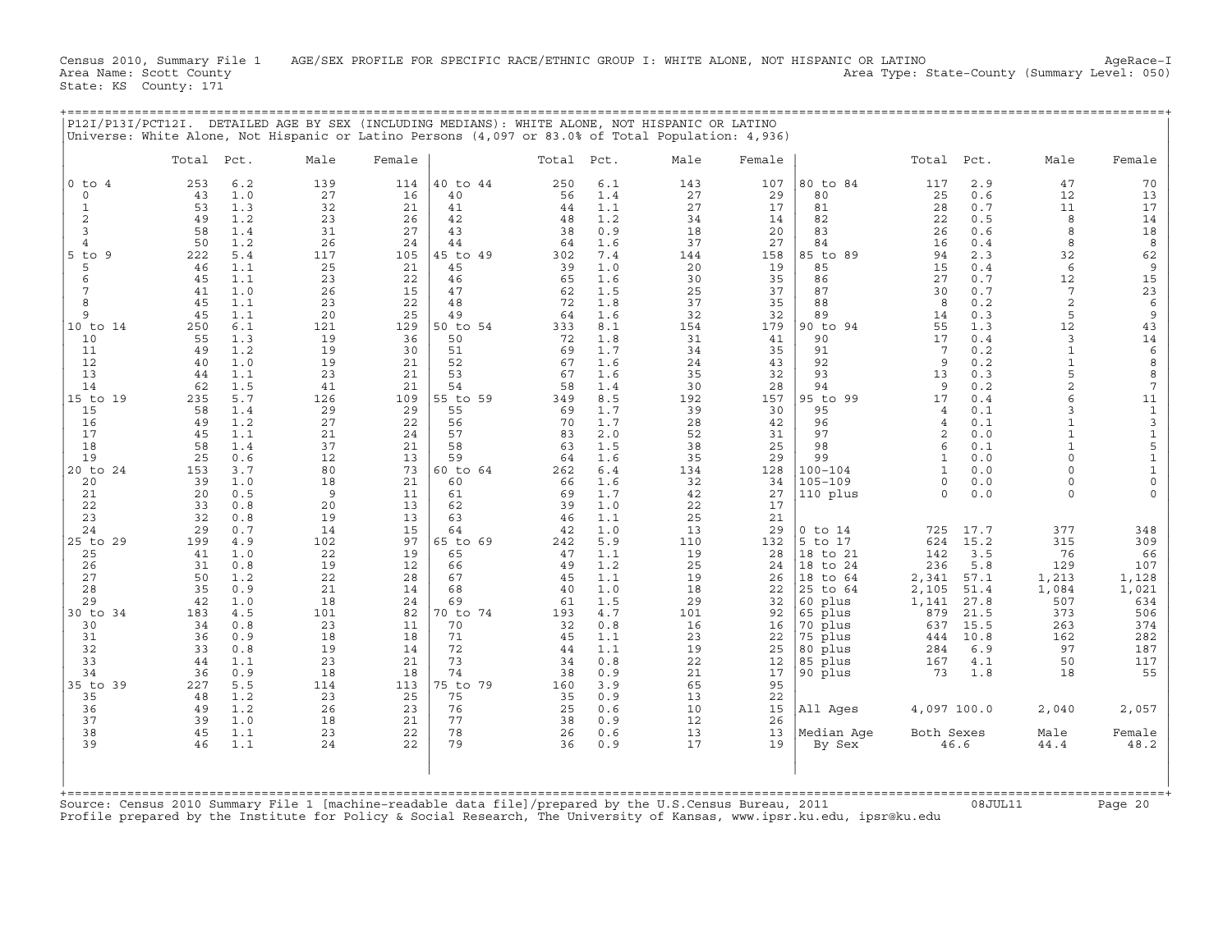Census 2010, Summary File 1 AGE/SEX PROFILE FOR SPECIFIC RACE/ETHNIC GROUP I: WHITE ALONE, NOT HISPANIC OR LATINO AgeRace−I<br>Area Name: Scott County (summary Level: 050) Area Type: State-County (Summary Level: 050) State: KS County: 171

+===================================================================================================================================================+

|                          | Total     | Pct.       | Male      | Female    |                | Total     | Pct.       | Male      | Female    |                        | Total        | Pct.        | Male                         | Female                                   |
|--------------------------|-----------|------------|-----------|-----------|----------------|-----------|------------|-----------|-----------|------------------------|--------------|-------------|------------------------------|------------------------------------------|
| $0$ to $4$               | 253       | 6.2        | 139       | 114       | 40 to 44       | 250       | 6.1        | 143       | 107       | 80 to 84               | 117          | 2.9         | 47                           | 70                                       |
| $\mathsf O$              | 43        | 1.0        | 27        | 16        | 40             | 56        | 1.4        | 27        | 29        | 80                     | 25           | 0.6         | 12                           | 13                                       |
| 1<br>2                   | 53<br>49  | 1.3        | 32<br>23  | 21<br>26  | 41             | 44        | 1.1<br>1.2 | 27<br>34  | 17        | 81<br>82               | 28           | 0.7<br>0.5  | 11<br>8                      | 17                                       |
| 3                        | 58        | 1.2<br>1.4 | 31        | 27        | 42<br>43       | 48<br>38  | 0.9        | 18        | 14<br>20  | 83                     | 22<br>26     | 0.6         | 8                            | 14<br>18                                 |
| $\overline{4}$           | 50        | 1.2        | 26        | 24        | 44             | 64        | 1.6        | 37        | 27        | 84                     | 16           | 0.4         | 8                            | 8                                        |
| $5$ to<br>9              | 222       | 5.4        | 117       | 105       | 45 to 49       | 302       | 7.4        | 144       | 158       | 85 to<br>89            | 94           | 2.3         | 32                           | 62                                       |
| 5                        | 46        | 1.1        | 25        | 21        | 45             | 39        | 1.0        | 20        | 19        | 85                     | 15           | 0.4         | 6                            | 9                                        |
| 6                        | 45        | 1.1        | 23        | 22        | 46             | 65        | 1.6        | 30        | 35        | 86                     | 27           | 0.7         | 12                           | 15                                       |
| 7                        | 41        | 1.0        | 26        | 15        | 47             | 62        | 1.5        | 25        | 37        | 87                     | 30           | 0.7         | 7                            | 23                                       |
| 8                        | 45        | 1.1        | 23        | 22        | 48             | 72        | 1.8        | 37        | 35        | 88                     | 8            | 0.2         | $\overline{c}$               | $\epsilon$                               |
| $\mathsf{Q}$<br>10 to 14 | 45<br>250 | 1.1<br>6.1 | 20<br>121 | 25<br>129 | 49<br>50 to 54 | 64<br>333 | 1.6<br>8.1 | 32<br>154 | 32<br>179 | 89<br>90 to 94         | 14<br>55     | 0.3<br>1.3  | 5<br>12                      | 9<br>43                                  |
| 10                       | 55        | 1.3        | 19        | 36        | 50             | 72        | 1.8        | 31        | 41        | 90                     | 17           | 0.4         | 3                            | 14                                       |
| 11                       | 49        | 1.2        | 19        | 30        | 51             | 69        | 1.7        | 34        | 35        | 91                     | 7            | 0.2         | $\mathbf{1}$                 | 6                                        |
| 12                       | 40        | 1.0        | 19        | 21        | 52             | 67        | 1.6        | 24        | 43        | 92                     | 9            | 0.2         | $\mathbf{1}$                 | 8                                        |
| 13                       | 44        | 1.1        | 23        | 21        | 53             | 67        | 1.6        | 35        | 32        | 93                     | 13           | 0.3         | 5                            | 8                                        |
| 14                       | 62        | 1.5        | 41        | 21        | 54             | 58        | 1.4        | 30        | 28        | 94                     | 9            | 0.2         | $\overline{2}$               | 7                                        |
| 15 to 19                 | 235       | 5.7        | 126       | 109       | 55 to 59       | 349       | 8.5        | 192       | 157       | 95 to 99               | 17           | 0.4         | 6                            | 11                                       |
| 15                       | 58        | 1.4        | 29        | 29        | 55             | 69        | 1.7        | 39        | 30        | 95                     | 4            | 0.1         | 3                            | $\mathbf{1}$                             |
| 16<br>17                 | 49<br>45  | 1.2<br>1.1 | 27<br>21  | 22<br>24  | 56<br>57       | 70<br>83  | 1.7<br>2.0 | 28<br>52  | 42<br>31  | 96<br>97               | 4<br>2       | 0.1<br>0.0  | $\mathbf{1}$<br>$\mathbf{1}$ | $\ensuremath{\mathsf{3}}$<br>$\mathtt 1$ |
| 18                       | 58        | 1.4        | 37        | 21        | 58             | 63        | 1.5        | 38        | 25        | 98                     | 6            | 0.1         | $\mathbf{1}$                 | 5                                        |
| 19                       | 25        | 0.6        | 12        | 13        | 59             | 64        | 1.6        | 35        | 29        | 99                     | $\mathbf{1}$ | 0.0         | $\Omega$                     | $\mathbf{1}$                             |
| 20 to 24                 | 153       | 3.7        | 80        | 73        | 60 to 64       | 262       | 6.4        | 134       | 128       | $100 - 104$            | $\mathbf{1}$ | 0.0         | $\Omega$                     | $\mathbf{1}$                             |
| 20                       | 39        | 1.0        | 18        | 21        | 60             | 66        | 1.6        | 32        | 34        | $105 - 109$            | $\circ$      | 0.0         | $\Omega$                     | $\mathbf 0$                              |
| 21                       | 20        | 0.5        | 9         | 11        | 61             | 69        | 1.7        | 42        | 27        | 110 plus               | $\Omega$     | 0.0         | $\Omega$                     | $\Omega$                                 |
| 22                       | 33        | 0.8        | 20        | 13        | 62             | 39        | 1.0        | 22        | 17        |                        |              |             |                              |                                          |
| 23                       | 32        | 0.8        | 19        | 13        | 63             | 46        | 1.1        | 25        | 21        |                        |              |             |                              |                                          |
| 24                       | 29        | 0.7        | 14        | 15        | 64             | 42        | 1.0        | 13        | 29        | $0$ to $14$            | 725          | 17.7        | 377                          | 348                                      |
| 25 to 29<br>25           | 199<br>41 | 4.9<br>1.0 | 102<br>22 | 97<br>19  | 65 to 69<br>65 | 242<br>47 | 5.9<br>1.1 | 110<br>19 | 132<br>28 | 5 to<br>17<br>18 to 21 | 624<br>142   | 15.2<br>3.5 | 315<br>76                    | 309<br>66                                |
| 26                       | 31        | 0.8        | 19        | 12        | 66             | 49        | 1.2        | 25        | 24        | 18 to 24               | 236          | 5.8         | 129                          | 107                                      |
| 27                       | 50        | 1.2        | 22        | 28        | 67             | 45        | 1.1        | 19        | 26        | 18 to 64               | 2,341        | 57.1        | 1,213                        | 1,128                                    |
| 28                       | 35        | 0.9        | 21        | 14        | 68             | 40        | 1.0        | 18        | 22        | 25 to 64               | 2,105        | 51.4        | 1,084                        | 1,021                                    |
| 29                       | 42        | 1.0        | 18        | 24        | 69             | 61        | 1.5        | 29        | 32        | 60 plus                | 1,141        | 27.8        | 507                          | 634                                      |
| 30 to 34                 | 183       | 4.5        | 101       | 82        | 70 to 74       | 193       | 4.7        | 101       | 92        | 65 plus                | 879          | 21.5        | 373                          | 506                                      |
| 30                       | 34        | 0.8        | 23        | 11        | 70             | 32        | 0.8        | 16        | 16        | 70 plus                | 637          | 15.5        | 263                          | 374                                      |
| 31                       | 36        | 0.9        | 18        | 18        | 71             | 45        | 1.1        | 23        | 22        | 75 plus                | 444          | 10.8        | 162                          | 282                                      |
| 32<br>33                 | 33<br>44  | 0.8<br>1.1 | 19<br>23  | 14<br>21  | 72<br>73       | 44<br>34  | 1.1<br>0.8 | 19<br>22  | 25<br>12  | 80 plus<br>85 plus     | 284<br>167   | 6.9<br>4.1  | 97<br>50                     | 187<br>117                               |
| 34                       | 36        | 0.9        | 18        | 18        | 74             | 38        | 0.9        | 21        | 17        | 90 plus                | 73           | 1.8         | 18                           | 55                                       |
| 35 to 39                 | 227       | 5.5        | 114       | 113       | 75 to 79       | 160       | 3.9        | 65        | 95        |                        |              |             |                              |                                          |
| 35                       | 48        | 1.2        | 23        | 25        | 75             | 35        | 0.9        | 13        | 22        |                        |              |             |                              |                                          |
| 36                       | 49        | 1.2        | 26        | 23        | 76             | 25        | 0.6        | 10        | 15        | All Ages               | 4,097 100.0  |             | 2,040                        | 2,057                                    |
| 37                       | 39        | 1.0        | 18        | 21        | 77             | 38        | 0.9        | 12        | 26        |                        |              |             |                              |                                          |
| 38                       | 45        | 1.1        | 23        | 22        | 78             | 26        | 0.6        | 13        | 13        | Median Age             | Both Sexes   |             | Male                         | Female                                   |
| 39                       | 46        | 1.1        | 24        | 22        | 79             | 36        | 0.9        | 17        | 19        | By Sex                 |              | 46.6        | 44.4                         | 48.2                                     |
|                          |           |            |           |           |                |           |            |           |           |                        |              |             |                              |                                          |

Source: Census 2010 Summary File 1 [machine−readable data file]/prepared by the U.S.Census Bureau, 2011 08JUL11 Page 20 Profile prepared by the Institute for Policy & Social Research, The University of Kansas, www.ipsr.ku.edu, ipsr@ku.edu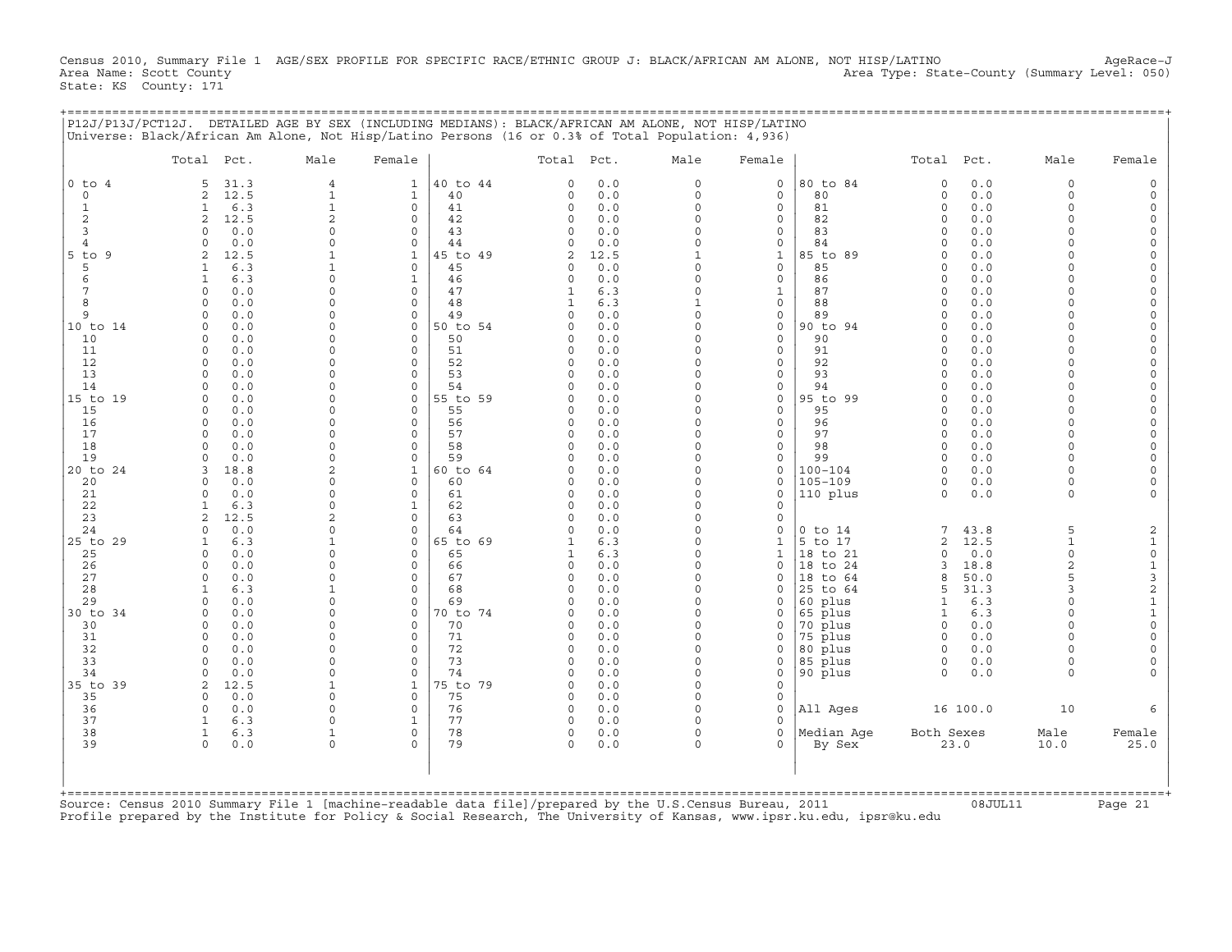Census 2010, Summary File 1 AGE/SEX PROFILE FOR SPECIFIC RACE/ETHNIC GROUP J: BLACK/AFRICAN AM ALONE, NOT HISP/LATINO AgeRace-J<br>Area Name: Scott County (summary Level: 050) Area Type: State-County (Summary Level: 050) State: KS County: 171

| P12J/P13J/PCT12J. DETAILED AGE BY SEX (INCLUDING MEDIANS): BLACK/AFRICAN AM ALONE, NOT HISP/LATINO<br>Universe: Black/African Am Alone, Not Hisp/Latino Persons (16 or 0.3% of Total Population: 4,936) |      |        |            |      |        |            |      |        |
|---------------------------------------------------------------------------------------------------------------------------------------------------------------------------------------------------------|------|--------|------------|------|--------|------------|------|--------|
| Total Pct.                                                                                                                                                                                              | Male | Female | Total Pct. | Male | Female | Total Pct. | Male | Female |

|                      | Total Pct.                         | Male                 | Female                   |                | Total Pct.           |             | Male                     | Female                      |                    | Total Pct.           |            | Male           | Female                                     |
|----------------------|------------------------------------|----------------------|--------------------------|----------------|----------------------|-------------|--------------------------|-----------------------------|--------------------|----------------------|------------|----------------|--------------------------------------------|
| $0$ to $4$           | 31.3<br>5                          | $\overline{4}$       | $\mathbf{1}$             | 40 to 44       | $\Omega$             | 0.0         | $\circ$                  | $\mathbf 0$                 | 80 to 84           | $\Omega$             | 0.0        | $\mathbf 0$    | $\Omega$                                   |
| $\Omega$             | 12.5<br>2                          | $\mathbf 1$          | $\mathbf{1}$             | 40             | $\Omega$             | 0.0         | $\circ$                  | $\Omega$                    | 80                 | $\Omega$             | 0.0        | $\Omega$       |                                            |
| $\mathbf{1}$         | 6.3<br>$\mathbf{1}$                | $1\,$                | $\circ$                  | 41             | 0                    | 0.0         | $\circ$                  | $\mathbf 0$                 | 81                 | $\Omega$             | 0.0        | $\Omega$       |                                            |
| 2                    | 2<br>12.5                          | $\overline{2}$       | $\mathbf 0$              | 42             | 0                    | 0.0         | $\Omega$                 | $\Omega$                    | 82                 | $\Omega$             | 0.0        | $\Omega$       | $\Omega$                                   |
| 3                    | 0.0<br>$\Omega$                    | 0                    | $\mathbf 0$              | 43             | $\Omega$             | 0.0         | $\Omega$                 | $\mathbf 0$                 | 83                 | $\Omega$             | 0.0        | $\cap$         | $\Omega$                                   |
| $\overline{4}$<br>-9 | 0.0<br>U                           | 0<br>1               | $\Omega$<br>$\mathbf{1}$ | 44<br>45 to 49 | C)<br>2              | 0.0         | $\Omega$<br>$\mathbf{1}$ | $\mathsf{O}$<br>$\mathbf 1$ | 84                 | $\Omega$<br>$\Omega$ | 0.0<br>0.0 |                | $\Omega$<br>$\Omega$                       |
| $5$ to<br>5          | 12.5<br>2<br>6.3<br>$\mathbf{1}$   | $\mathbf 1$          | $\circ$                  | 45             | 0                    | 12.5<br>0.0 | $\circ$                  | $\mathbf 0$                 | 85 to 89<br>85     | $\Omega$             | 0.0        | $\cap$         | $\Omega$                                   |
| 6                    | 6.3<br>$\mathbf{1}$                | $\Omega$             | $\mathbf{1}$             | 46             | $\Omega$             | 0.0         | $\Omega$                 | $\mathbf 0$                 | 86                 | $\Omega$             | 0.0        | $\cap$         | $\Omega$                                   |
| 7                    | 0.0<br>$\circ$                     | $\Omega$             | $\circ$                  | 47             | 1                    | 6.3         | $\Omega$                 | $\mathbf{1}$                | 87                 | $\Omega$             | 0.0        | $\cap$         | $\Omega$                                   |
| 8                    | 0.0<br>$\Omega$                    | 0                    | $\mathbf 0$              | 48             | 1                    | 6.3         | $\mathbf{1}$             | $\mathbf 0$                 | 88                 | $\Omega$             | 0.0        | $\cap$         | $\Omega$                                   |
| 9                    | 0.0<br>0                           | 0                    | $\mathbf 0$              | 49             | $\Omega$             | 0.0         | $\circ$                  | $\mathbf 0$                 | 89                 | $\Omega$             | 0.0        | $\Omega$       | $\mathbf 0$                                |
| 10 to 14             | 0.0<br>$\Omega$                    | $\Omega$             | $\mathbf 0$              | 50 to 54       | O                    | 0.0         | $\Omega$                 | $\circ$                     | 90 to 94           | $\Omega$             | 0.0        | $\Omega$       | $\circ$                                    |
| 10                   | 0.0<br>$\Omega$                    | $\Omega$             | $\Omega$                 | 50             | O                    | 0.0         | $\Omega$                 | $\mathbf 0$                 | 90                 | $\Omega$             | 0.0        |                | $\Omega$                                   |
| 11                   | 0.0<br>$\Omega$                    | $\Omega$             | $\Omega$                 | 51             | $\Omega$             | 0.0         | $\Omega$                 | $\mathbf 0$                 | 91                 | $\Omega$             | 0.0        |                | $\Omega$                                   |
| 12<br>13             | $\Omega$<br>0.0                    | $\Omega$<br>$\Omega$ | $\Omega$                 | 52<br>53       | $\Omega$<br>$\cap$   | 0.0<br>0.0  | $\Omega$<br>$\Omega$     | $\mathbf 0$                 | 92<br>93           | $\Omega$<br>$\Omega$ | 0.0        | $\cap$         | $\Omega$<br>$\Omega$                       |
| 14                   | 0.0<br>$\Omega$<br>$\Omega$<br>0.0 | $\Omega$             | $\Omega$<br>$\Omega$     | 54             | $\Omega$             | 0.0         | $\Omega$                 | $\mathbf 0$<br>$\mathbf 0$  | 94                 | $\Omega$             | 0.0<br>0.0 |                | $\Omega$                                   |
| 15 to 19             | 0.0<br>$\Omega$                    | 0                    | $\mathbf 0$              | 55 to 59       | $\Omega$             | 0.0         | 0                        | $\mathsf{O}$                | 95 to 99           | $\Omega$             | 0.0        | $\cap$         | $\Omega$                                   |
| 15                   | 0.0<br>$\Omega$                    | $\Omega$             | $\Omega$                 | 55             | O                    | 0.0         | $\Omega$                 | $\mathbf 0$                 | 95                 | $\Omega$             | 0.0        | $\cap$         | $\Omega$                                   |
| 16                   | 0.0<br>$\Omega$                    | $\Omega$             | $\mathbf 0$              | 56             | $\Omega$             | 0.0         | $\Omega$                 | $\mathbf 0$                 | 96                 | $\Omega$             | 0.0        | $\Omega$       | $\Omega$                                   |
| 17                   | 0.0<br>$\Omega$                    | $\Omega$             | $\Omega$                 | 57             | $\Omega$             | 0.0         | $\Omega$                 | $\mathbf 0$                 | 97                 | $\Omega$             | 0.0        | $\cap$         | $\Omega$                                   |
| 18                   | $\Omega$<br>0.0                    | $\Omega$             | $\circ$                  | 58             | $\Omega$             | 0.0         | $\circ$                  | $\mathbf 0$                 | 98                 | $\Omega$             | 0.0        | $\Omega$       | $\Omega$                                   |
| 19                   | 0.0<br>$\Omega$                    | $\Omega$             | $\Omega$                 | 59             | $\Omega$             | 0.0         | $\Omega$                 | $\mathbf 0$                 | 99                 | $\Omega$             | 0.0        | $\Omega$       | $\Omega$                                   |
| 20 to 24             | 18.8<br>3                          | $\overline{2}$       | $\mathbf{1}$             | 60 to 64       | $\Omega$             | 0.0         | $\Omega$                 | $\mathbf 0$                 | $100 - 104$        | $\Omega$             | 0.0        | $\Omega$       |                                            |
| 20                   | 0.0<br>$\Omega$                    | $\circ$              | $\Omega$                 | 60             | 0                    | 0.0         | $\Omega$                 | $\mathbf 0$                 | $105 - 109$        | 0                    | 0.0        | $\Omega$       |                                            |
| 21                   | 0.0<br>$\Omega$                    | $\Omega$<br>$\Omega$ | $\mathbf 0$              | 61             | $\Omega$             | 0.0         | $\Omega$                 | $\mathbf 0$                 | 110 plus           | $\Omega$             | 0.0        | $\mathbf 0$    |                                            |
| 22<br>23             | 6.3<br>-1.<br>12.5<br>2            | $\overline{2}$       | $\mathbf{1}$<br>$\Omega$ | 62<br>63       | $\Omega$<br>$\cap$   | 0.0<br>0.0  | $\Omega$<br>$\Omega$     | $\mathbf 0$<br>$\Omega$     |                    |                      |            |                |                                            |
| 24                   | 0.0<br>$\cap$                      | $\Omega$             | $\Omega$                 | 64             | $\Omega$             | 0.0         | $\circ$                  | $\mathbf 0$                 | $0$ to $14$        | 7                    | 43.8       | 5              | $\overline{c}$                             |
| 25 to 29             | 6.3<br>$\mathbf{1}$                | 1                    | $\Omega$                 | 65 to 69       | $\mathbf{1}$         | 6.3         | $\Omega$                 | $\mathbf{1}$                | 5 to 17            | $\overline{c}$       | 12.5       | $\mathbf{1}$   | $\mathbf 1$                                |
| 25                   | $\Omega$<br>0.0                    | 0                    | $\Omega$                 | 65             | 1                    | 6.3         | $\circ$                  | $\mathbf{1}$                | 18 to 21           | $\Omega$             | 0.0        | $\Omega$       | $\mathsf{O}\xspace$                        |
| 26                   | 0.0<br>$\Omega$                    | $\Omega$             | $\mathbf 0$              | 66             | 0                    | 0.0         | $\Omega$                 | $\mathbf 0$                 | 18 to 24           | 3                    | 18.8       | $\overline{2}$ |                                            |
| 27                   | 0<br>0.0                           | 0                    | $\mathbf 0$              | 67             | 0                    | 0.0         | $\circ$                  | $\mathbf 0$                 | 18 to 64           | 8                    | 50.0       | 5              | $\begin{array}{c} 1 \\ 3 \\ 2 \end{array}$ |
| 28                   | 6.3                                | 1                    | $\mathbf 0$              | 68             | $\Omega$             | 0.0         | $\Omega$                 | $\mathbf 0$                 | 25 to 64           | 5                    | 31.3       |                |                                            |
| 29                   | 0.0<br>$\Omega$                    | $\Omega$             | $\Omega$                 | 69             | O                    | 0.0         | $\Omega$                 | $\mathbf 0$                 | 60 plus            | $\mathbf{1}$         | 6.3        | $\Omega$       | $\mathbf 1$                                |
| 30 to 34             | 0.0<br>$\Omega$                    | $\Omega$             | $\Omega$                 | 70 to 74       | O                    | 0.0         | $\Omega$                 | $\Omega$                    | 65 plus            | $\mathbf{1}$         | 6.3        |                | $\mathbf 1$                                |
| 30                   | 0.0<br>$\Omega$                    | $\Omega$<br>$\Omega$ | $\Omega$                 | 70             | $\Omega$             | 0.0         | $\Omega$<br>$\Omega$     | $\mathbf 0$                 | 70 plus            | $\Omega$             | 0.0        | $\Omega$       | $\mathsf{O}\xspace$<br>$\Omega$            |
| 31<br>32             | 0.0<br>$\Omega$<br>$\Omega$<br>0.0 | $\Omega$             | $\circ$<br>$\circ$       | 71<br>72       | $\Omega$<br>$\Omega$ | 0.0<br>0.0  | $\Omega$                 | $\Omega$<br>$\Omega$        | 75 plus<br>80 plus | $\Omega$<br>$\Omega$ | 0.0<br>0.0 | $\cap$         | $\Omega$                                   |
| 33                   | $\Omega$<br>0.0                    | $\Omega$             | $\mathbf 0$              | 73             | $\Omega$             | 0.0         | $\Omega$                 | 0                           | 85 plus            | 0                    | 0.0        | $\Omega$       | $\Omega$                                   |
| 34                   | 0.0<br>$\Omega$                    | $\Omega$             | $\Omega$                 | 74             | $\Omega$             | 0.0         | $\Omega$                 | $\mathbf 0$                 | 90 plus            | $\Omega$             | 0.0        | $\Omega$       |                                            |
| 35 to 39             | 12.5<br>2                          | $\mathbf 1$          | $\mathbf{1}$             | 75 to 79       | $\Omega$             | 0.0         | $\Omega$                 | $\mathbf 0$                 |                    |                      |            |                |                                            |
| 35                   | 0.0<br>$\Omega$                    | $\Omega$             | $\Omega$                 | 75             | $\Omega$             | 0.0         | $\Omega$                 | $\mathbf 0$                 |                    |                      |            |                |                                            |
| 36                   | 0.0<br>$\circ$                     | 0                    | $\mathbf 0$              | 76             | 0                    | 0.0         | $\circ$                  | $\mathbf 0$                 | All Ages           |                      | 16 100.0   | 10             |                                            |
| 37                   | 6.3                                | $\Omega$             | $\mathbf{1}$             | 77             | $\Omega$             | 0.0         | $\Omega$                 | $\Omega$                    |                    |                      |            |                |                                            |
| 38                   | 6.3<br>$\mathbf{1}$                | $\mathbf 1$          | $\mathbf 0$              | 78             | 0                    | 0.0         | $\circ$                  | $\mathbf 0$                 | Median Aqe         | Both Sexes           |            | Male           | Female                                     |
| 39                   | $\Omega$<br>0.0                    | $\Omega$             | $\Omega$                 | 79             | $\Omega$             | 0.0         | $\Omega$                 | $\Omega$                    | By Sex             |                      | 23.0       | 10.0           | 25.0                                       |
| $+$ = = = = = = = =  |                                    |                      |                          |                |                      |             |                          |                             |                    |                      |            |                | ==========+                                |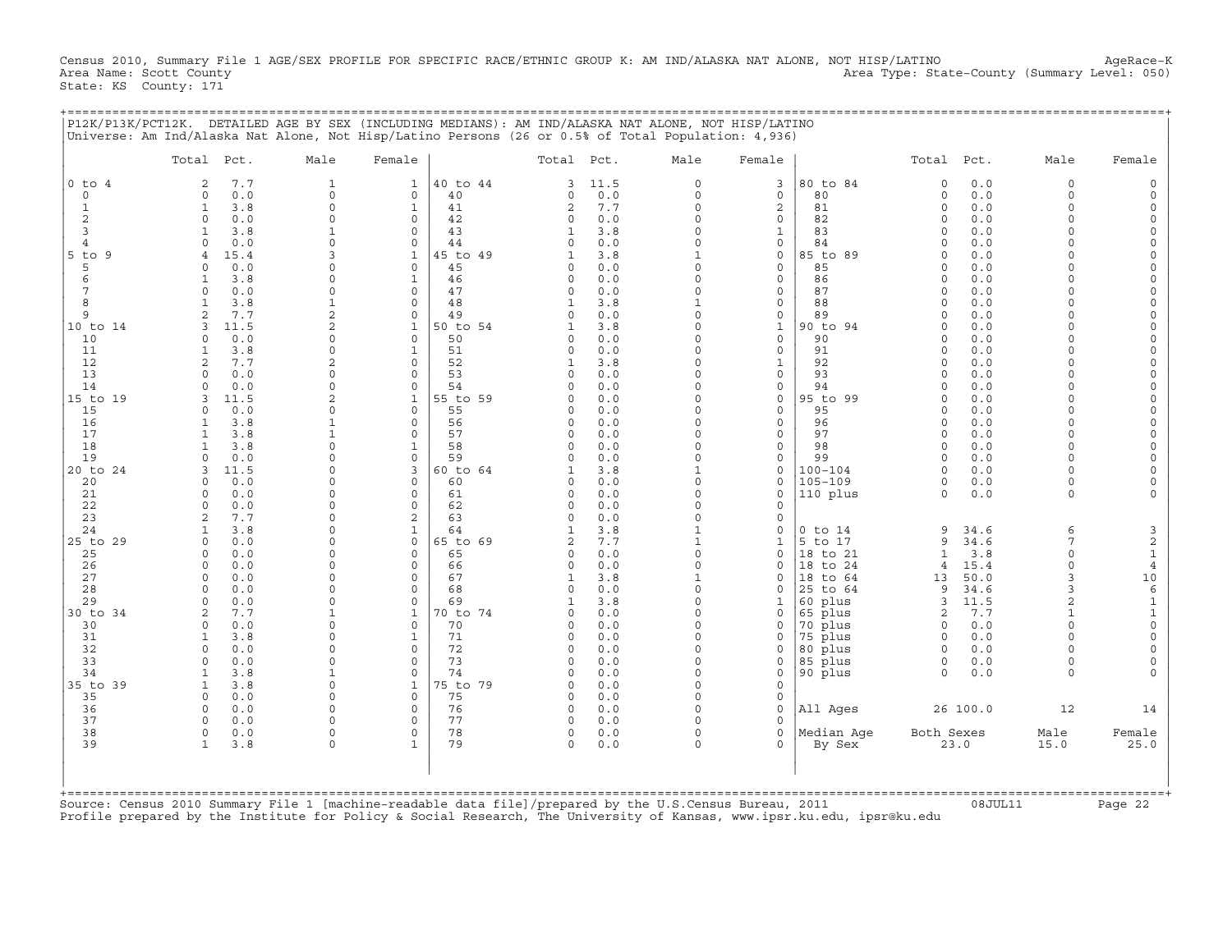Census 2010, Summary File 1 AGE/SEX PROFILE FOR SPECIFIC RACE/ETHNIC GROUP K: AM IND/ALASKA NAT ALONE, NOT HISP/LATINO AgeRace-K<br>Area Name: Scott County (summary Level: 050) Area Type: State-County (Summary Level: 050) State: KS County: 171

+===================================================================================================================================================+

|                          | Total Pct.                             | Male                       | Female                   |          | Total Pct.                 |            | Male                     | Female            |                      | Total Pct.           |             | Male                 | Female                        |
|--------------------------|----------------------------------------|----------------------------|--------------------------|----------|----------------------------|------------|--------------------------|-------------------|----------------------|----------------------|-------------|----------------------|-------------------------------|
| $0$ to<br>$\overline{4}$ | 7.7<br>$\overline{2}$                  | $\mathbf{1}$               | $\mathbf{1}$             | 40 to 44 | 3                          | 11.5       | $\Omega$                 | 3                 | 80 to 84             | $\circ$              | 0.0         | $\Omega$             |                               |
| $\circ$                  | 0.0<br>$\Omega$                        | $\Omega$                   | $\circ$                  | 40       | $\Omega$                   | 0.0        | $\Omega$                 | $\mathbf{0}$      | 80                   | $\Omega$             | 0.0         | $\Omega$             |                               |
| $\mathbf{1}$             | $\mathbf{1}$<br>3.8                    | $\circ$                    | $\mathbf{1}$             | 41       | $\overline{c}$             | 7.7        | $\Omega$                 | $\overline{c}$    | 81                   | $\circ$              | 0.0         | $\Omega$             |                               |
| $\overline{c}$           | $\circ$<br>0.0<br>-1                   | $\Omega$<br>$\mathbf{1}$   | $\circ$<br>$\Omega$      | 42<br>43 | $\Omega$                   | 0.0        | 0<br>$\Omega$            | 0                 | 82                   | $\Omega$<br>$\Omega$ | 0.0         | $\Omega$<br>$\Omega$ | $\Omega$                      |
| 3<br>$\overline{4}$      | 3.8<br>0.0<br>$\Omega$                 | $\Omega$                   | $\circ$                  | 44       | 1<br>$\Omega$              | 3.8<br>0.0 | $\Omega$                 | 1<br>0            | 83<br>84             | $\Omega$             | 0.0<br>0.0  | $\Omega$             | $\Omega$                      |
| $5$ to<br>9              | 15.4<br>$\overline{4}$                 | 3                          | $\mathbf{1}$             | 5 to 49  |                            | 3.8        | 1                        | 0                 | 85 to 89             | $\cap$               | 0.0         |                      | $\Omega$                      |
| 5                        | 0.0<br>$\Omega$                        | $\Omega$                   | $\mathbf 0$              | 45       | $\Omega$                   | 0.0        | $\Omega$                 | 0                 | 85                   | $\Omega$             | 0.0         | $\Omega$             | $\Omega$                      |
| 6                        | 3.8<br>$\mathbf{1}$                    | $\Omega$                   | $\mathbf{1}$             | 46       | $\Omega$                   | 0.0        | $\Omega$                 | 0                 | 86                   | $\cap$               | 0.0         | $\cap$               | $\Omega$                      |
| 7                        | 0.0<br>$\circ$                         | $\Omega$                   | $\circ$                  | 47       | $\Omega$                   | 0.0        | $\Omega$                 | 0                 | 87                   | $\Omega$             | 0.0         | $\Omega$             | $\Omega$                      |
| 8                        | 3.8<br>$\mathbf{1}$                    | $\mathbf{1}$               | $\Omega$                 | 48       |                            | 3.8        |                          | 0                 | 88                   | $\Omega$             | 0.0         | $\Omega$             |                               |
| 9                        | 7.7                                    | $\mathbf{2}$               | $\mathbf 0$              | 49       |                            | $0.0$      | $\Omega$                 | 0                 | 89                   | $\Omega$             | 0.0         | $\Omega$             |                               |
| 10 to 14                 | 3<br>11.5                              | $\mathfrak{D}$<br>$\Omega$ | $\mathbf{1}$<br>$\Omega$ | 50 to 54 |                            | 3.8        | $\Omega$<br>$\Omega$     | $\mathbf{1}$      | 90 to 94<br>90       | $\Omega$<br>$\cap$   | 0.0         | $\Omega$             | $\Omega$                      |
| 10<br>11                 | $\Omega$<br>0.0<br>3.8<br>1            | $\Omega$                   | $\mathbf{1}$             | 50<br>51 | $\Omega$                   | 0.0<br>0.0 | $\Omega$                 | 0<br>$\mathbf{0}$ | 91                   | $\Omega$             | 0.0<br>0.0  | $\Omega$             |                               |
| 12                       | $\overline{2}$<br>7.7                  | $\overline{c}$             | $\Omega$                 | 52       | $\mathbf{1}$               | 3.8        | $\Omega$                 | $\mathbf{1}$      | 92                   | $\Omega$             | 0.0         | $\Omega$             |                               |
| 13                       | 0.0<br>$\cap$                          | $\Omega$                   | $\Omega$                 | 53       | $\Omega$                   | 0.0        | $\Omega$                 | 0                 | 93                   | $\Omega$             | 0.0         |                      | $\Omega$                      |
| 14                       | 0.0<br>$\Omega$                        | $\Omega$                   | $\Omega$                 | 54       | O                          | 0.0        | $\Omega$                 | 0                 | 94                   |                      | 0.0         |                      |                               |
| 15 to 19                 | 11.5<br>3                              | $\overline{2}$             | $\mathbf{1}$             | 55 to 59 | $\Omega$                   | 0.0        | 0                        | 0                 | 95 to 99             | $\Omega$             | 0.0         | $\cap$               | $\Omega$                      |
| 15                       | 0.0<br>$\Omega$                        | $\Omega$                   | 0                        | 55       | O                          | 0.0        | $\Omega$                 | 0                 | 95                   | $\Omega$             | 0.0         | $\Omega$             | $\Omega$                      |
| 16                       | 3.8<br>1                               | $\mathbf{1}$               | $\Omega$                 | 56       | $\Omega$                   | 0.0        | $\Omega$                 | 0                 | 96                   | $\Omega$             | 0.0         | $\Omega$             | $\Omega$                      |
| 17                       | $\mathbf{1}$<br>3.8                    | $\mathbf{1}$<br>$\Omega$   | $\Omega$                 | 57       | $\Omega$<br>$\Omega$       | 0.0        | $\Omega$<br>$\Omega$     | $\mathbf{0}$      | 97<br>98             | $\Omega$             | 0.0         | $\Omega$<br>$\Omega$ | $\Omega$                      |
| 18<br>19                 | 3.8<br>$\mathbf{1}$<br>$\Omega$<br>0.0 | $\Omega$                   | $\mathbf{1}$<br>$\circ$  | 58<br>59 | $\Omega$                   | 0.0<br>0.0 | $\Omega$                 | 0<br>0            | 99                   | $\Omega$<br>$\Omega$ | 0.0<br>0.0  | $\Omega$             | $\Omega$                      |
| 20 to 24                 | 11.5<br>3                              | $\Omega$                   | 3                        | 60 to 64 | 1                          | 3.8        | $\mathbf{1}$             | 0                 | $100 - 104$          | $\Omega$             | 0.0         | $\Omega$             |                               |
| 20                       | 0.0<br>$\circ$                         | $\Omega$                   | $\Omega$                 | 60       | $\Omega$                   | 0.0        | $\Omega$                 | $\Omega$          | $105 - 109$          | $\Omega$             | 0.0         | $\Omega$             |                               |
| 21                       | 0.0<br>$\Omega$                        | $\Omega$                   | $\circ$                  | 61       | $\Omega$                   | 0.0        | $\Omega$                 | $\Omega$          | 110 plus             | $\circ$              | 0.0         | $\Omega$             |                               |
| 22                       | $\Omega$<br>0.0                        | $\Omega$                   | $\Omega$                 | 62       | $\Omega$                   | 0.0        | $\Omega$                 | $\Omega$          |                      |                      |             |                      |                               |
| 23                       | $\overline{a}$<br>7.7                  | $\Omega$                   | 2                        | 63       | $\Omega$                   | 0.0        | $\Omega$                 | $\Omega$          |                      |                      |             |                      |                               |
| 24                       | 3.8<br>-1                              | $\Omega$                   | $\mathbf{1}$             | 64       | $\mathbf{1}$               | 3.8        | $\mathbf{1}$             | $\Omega$          | $0$ to $14$          | 9                    | 34.6        | 6                    | 3                             |
| 25 to 29                 | $\Omega$<br>0.0                        | $\Omega$<br>$\Omega$       | $\Omega$                 | 65 to 69 | $\overline{a}$<br>$\Omega$ | 7.7        | $\mathbf{1}$<br>$\Omega$ | $\mathbf 1$       | 5 to 17              | 9                    | 34.6        | 7<br>$\Omega$        | $\sqrt{2}$                    |
| 25<br>26                 | 0.0<br>$\Omega$<br>0.0<br>$\circ$      | $\Omega$                   | $\Omega$<br>$\mathbf 0$  | 65<br>66 | $\Omega$                   | 0.0<br>0.0 | $\Omega$                 | 0<br>$\Omega$     | 18 to 21<br>18 to 24 | $\mathbf{1}$<br>4    | 3.8<br>15.4 | $\Omega$             | $\mathbf 1$<br>$\overline{4}$ |
| 27                       | $\circ$<br>0.0                         | $\Omega$                   | 0                        | 67       | 1                          | 3.8        | $\mathbf{1}$             | $\Omega$          | 18 to 64             | 13                   | 50.0        | 3                    | 10                            |
| 28                       | 0.0<br>$\Omega$                        | $\Omega$                   | $\Omega$                 | 68       | $\Omega$                   | 0.0        | $\Omega$                 | $\Omega$          | 25 to 64             | 9                    | 34.6        | 3                    | $\epsilon$                    |
| 29                       | 0.0<br>$\Omega$                        | $\Omega$                   | $\Omega$                 | 69       |                            | 3.8        | $\Omega$                 | 1                 | 60 plus              | 3                    | 11.5        | $\overline{a}$       | $\mathbf 1$                   |
| 30 to 34                 | $\overline{2}$<br>7.7                  | $\mathbf{1}$               | $\mathbf{1}$             | 0 to 74  | $\Omega$                   | 0.0        | $\Omega$                 | $\Omega$          | 65 plus              | $\mathbf{2}$         | 7.7         | $\mathbf{1}$         | $\mathbf 1$                   |
| 30                       | 0.0<br>$\Omega$                        | $\Omega$                   | $\Omega$                 | 70       | $\Omega$                   | 0.0        | $\Omega$                 | $\Omega$          | 70 plus              | $\Omega$             | 0.0         | $\Omega$             | $\Omega$                      |
| 31                       | $\overline{1}$<br>3.8                  | $\Omega$                   | $\mathbf{1}$             | 71       | $\Omega$                   | 0.0        | $\Omega$                 | $\Omega$          | 75 plus              | $\Omega$             | 0.0         |                      | $\Omega$                      |
| 32                       | $\Omega$<br>0.0<br>$\Omega$            | $\Omega$<br>$\Omega$       | $\mathbf 0$              | 72       | $\Omega$                   | 0.0        | $\Omega$                 | $\Omega$          | 80 plus              | $\Omega$             | 0.0         | $\Omega$             | $\Omega$                      |
| 33<br>34                 | 0.0<br>3.8<br>1                        | $\mathbf{1}$               | $\Omega$<br>$\Omega$     | 73<br>74 | $\Omega$<br>$\Omega$       | 0.0<br>0.0 | 0<br>$\Omega$            | 0<br>0            | 85 plus<br>90 plus   | $\circ$<br>$\Omega$  | 0.0<br>0.0  | $\Omega$<br>$\Omega$ | $\Omega$                      |
| 35 to 39                 | 3.8<br>1                               | $\Omega$                   | $\mathbf{1}$             | 75 to 79 | $\Omega$                   | 0.0        | $\Omega$                 | $\Omega$          |                      |                      |             |                      |                               |
| 35                       | $\Omega$<br>0.0                        | $\Omega$                   | $\Omega$                 | 75       | $\Omega$                   | 0.0        | $\Omega$                 | 0                 |                      |                      |             |                      |                               |
| 36                       | $\Omega$<br>0.0                        | $\Omega$                   | $\mathbf 0$              | 76       | 0                          | 0.0        | $\Omega$                 | 0                 | All Ages             |                      | 26 100.0    | 12                   | 14                            |
| 37                       | $\Omega$<br>0.0                        | $\Omega$                   | $\Omega$                 | 77       | $\Omega$                   | 0.0        | $\Omega$                 | $\Omega$          |                      |                      |             |                      |                               |
| 38                       | $\circ$<br>0.0                         | $\mathbf 0$                | $\mathbf 0$              | 78       | 0                          | 0.0        | $\Omega$                 | 0                 | Median Aqe           | Both Sexes           |             | Male                 | Female                        |
| 39                       | $\mathbf{1}$<br>3.8                    | $\Omega$                   | $\mathbf{1}$             | 79       | $\Omega$                   | 0.0        | $\Omega$                 | 0                 | By Sex               |                      | 23.0        | 15.0                 | 25.0                          |
|                          |                                        |                            |                          |          |                            |            |                          |                   |                      |                      |             |                      |                               |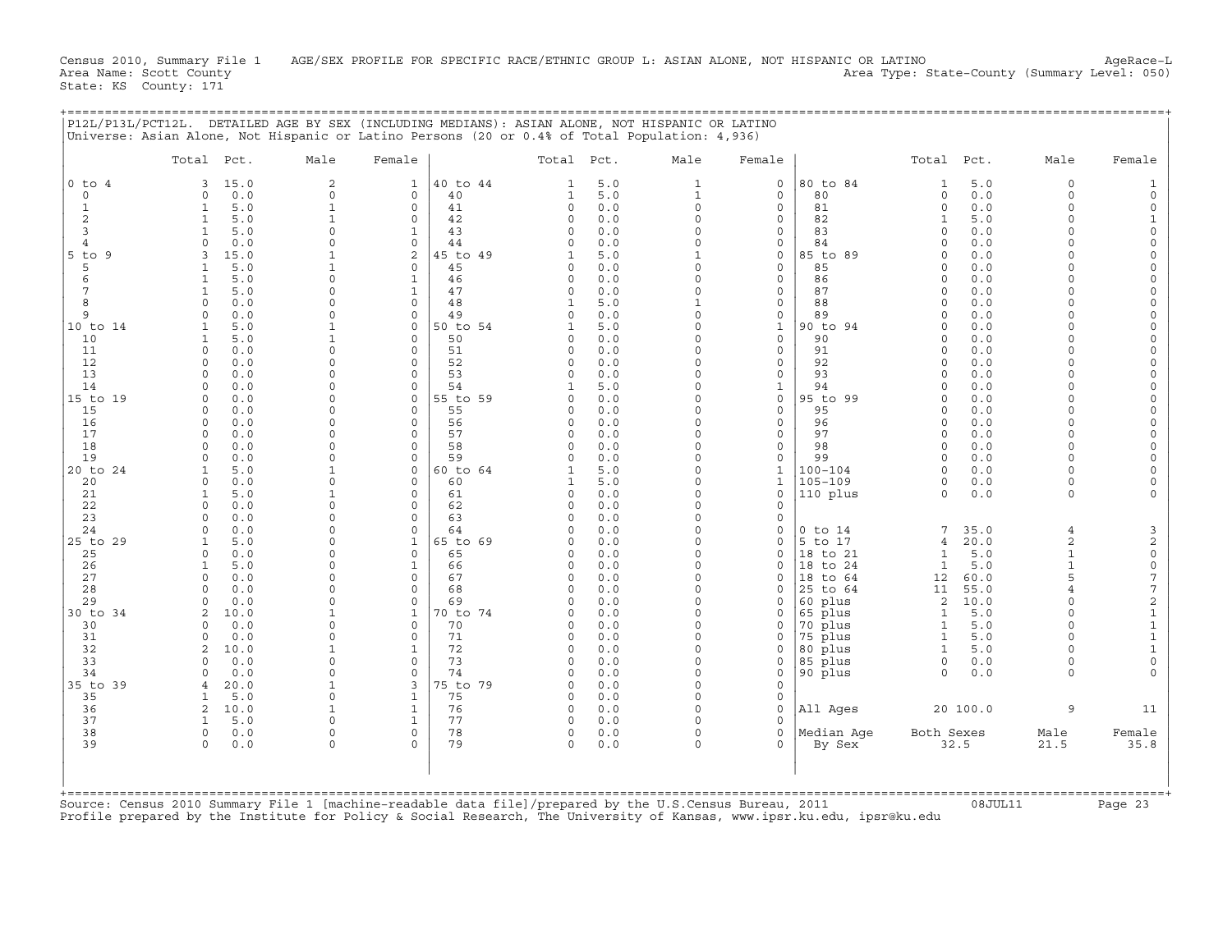Census 2010, Summary File 1 AGE/SEX PROFILE FOR SPECIFIC RACE/ETHNIC GROUP L: ASIAN ALONE, NOT HISPANIC OR LATINO AgeRace-L<br>Area Name: Scott County (summary Level: 050) Area Type: State-County (Summary Level: 050) State: KS County: 171

+===================================================================================================================================================+

|                     | Total Pct.                 |             | Male                       | Female                      |                | Total Pct.           |            | Male                 | Female                       |                            | Total Pct.               |             | Male                 | Female                                |
|---------------------|----------------------------|-------------|----------------------------|-----------------------------|----------------|----------------------|------------|----------------------|------------------------------|----------------------------|--------------------------|-------------|----------------------|---------------------------------------|
| $0$ to $4$          | 3                          | 15.0        | $\overline{c}$             | $\mathbf{1}$                | 40 to 44       | $\mathbf{1}$         | 5.0        | 1                    | $\circ$                      | 80 to 84                   | $\mathbf{1}$             | 5.0         | $\Omega$             |                                       |
| $\Omega$            | $\Omega$                   | 0.0         | $\Omega$                   | $\Omega$                    | 40             | 1                    | 5.0        | $\mathbf{1}$         | $\mathbf 0$                  | 80                         | $\mathbf 0$              | 0.0         | $\Omega$             |                                       |
| $\mathbf{1}$        | $\mathbf{1}$               | 5.0         | $\mathbf{1}$               | $\mathbf 0$                 | 41             | $\circ$              | 0.0        | $\Omega$             | $\circ$                      | 81                         | $\circ$                  | 0.0         | $\Omega$<br>$\Omega$ |                                       |
| $\overline{c}$<br>3 | 1<br>1                     | 5.0<br>5.0  | $\mathbf{1}$<br>$\Omega$   | $\mathbf 0$<br>$\mathbf{1}$ | 42<br>43       | $\Omega$<br>$\Omega$ | 0.0<br>0.0 | $\Omega$<br>$\Omega$ | 0<br>$\mathbf 0$             | 82<br>83                   | $\mathbf{1}$<br>$\Omega$ | 5.0<br>0.0  | $\Omega$             | 1<br>$\Omega$                         |
| $\overline{4}$      | $\Omega$                   | 0.0         | $\Omega$                   | $\mathbf 0$                 | 44             |                      | 0.0        |                      | 0                            | 84                         | $\Omega$                 | 0.0         | $\Omega$             | $\Omega$                              |
| $5$ to<br>9         | 3                          | 15.0        | $\mathbf{1}$               | $\overline{2}$              | $.5$ to $49$   | $\mathbf{1}$         | 5.0        |                      | $\mathbf 0$                  | 85 to 89                   | $\Omega$                 | 0.0         | $\Omega$             | $\Omega$                              |
| 5                   | $\mathbf{1}$               | 5.0         | $\mathbf{1}$               | $\mathbf 0$                 | 45             | $\Omega$             | 0.0        | $\Omega$             | $\mathbf{0}$                 | 85                         | $\Omega$                 | 0.0         | $\Omega$             | $\Omega$                              |
| 6                   | $\mathbf{1}$               | 5.0         | $\Omega$                   | $\mathbf{1}$                | 46             | $\Omega$             | 0.0        | $\Omega$             | $\mathbf{0}$                 | 86                         | $\Omega$                 | 0.0         | $\Omega$             | $\Omega$                              |
| $\overline{7}$      | $\mathbf{1}$               | 5.0         | $\Omega$                   | $\mathbf{1}$                | 47             | $\mathbf 0$          | 0.0        | $\Omega$             | $\circ$                      | 87                         | $\Omega$                 | 0.0         | $\Omega$             | $\Omega$                              |
| 8<br>9              | $\mathbf 0$<br>$\mathbf 0$ | 0.0<br>0.0  | $\Omega$<br>$\Omega$       | $\mathbf 0$<br>$\mathbf 0$  | 48<br>49       | 1<br>$\Omega$        | 5.0<br>0.0 | $\Omega$             | 0<br>$\mathsf{O}$            | 88<br>89                   | $\Omega$<br>0            | 0.0<br>0.0  | $\Omega$<br>$\Omega$ | $\Omega$<br>$\Omega$                  |
| 10 to 14            | 1                          | 5.0         | $\mathbf{1}$               | $\mathbf 0$                 | 50 to 54       |                      | 5.0        | $\Omega$             | $\mathbf{1}$                 | 90 to 94                   | $\Omega$                 | 0.0         | $\Omega$             | $\Omega$                              |
| 10                  | 1                          | 5.0         | $\mathbf{1}$               | $\Omega$                    | 50             | $\Omega$             | 0.0        | $\Omega$             | 0                            | 90                         | $\Omega$                 | 0.0         | $\Omega$             |                                       |
| 11                  | $\Omega$                   | 0.0         | $\Omega$                   | $\Omega$                    | 51             | $\Omega$             | 0.0        | $\Omega$             | $\circ$                      | 91                         | $\Omega$                 | 0.0         | $\Omega$             |                                       |
| 12                  | $\Omega$                   | 0.0         | $\Omega$                   | $\Omega$                    | 52             | $\Omega$             | 0.0        | $\Omega$             | $\mathbf 0$                  | 92                         | $\Omega$                 | 0.0         | $\Omega$             |                                       |
| 13                  | $\Omega$                   | 0.0         | $\Omega$                   | $\Omega$                    | 53             | $\Omega$             | 0.0        |                      | 0                            | 93                         | $\cap$                   | 0.0         |                      | $\Omega$                              |
| 14<br>15 to 19      | $\Omega$<br>$\mathbf 0$    | 0.0<br>0.0  | $\Omega$<br>$\Omega$       | $\Omega$<br>$\mathbf 0$     | 54<br>55 to 59 | -1<br>0              | 5.0<br>0.0 | $\Omega$<br>$\Omega$ | $\mathbf{1}$<br>$\mathsf{O}$ | 94<br>95 to 99             | $\Omega$<br>$\mathbf 0$  | 0.0<br>0.0  | $\Omega$<br>$\Omega$ | $\Omega$<br>$\Omega$                  |
| 15                  | $\Omega$                   | 0.0         | $\Omega$                   | $\Omega$                    | 55             | $\Omega$             | 0.0        | $\Omega$             | 0                            | 95                         | $\Omega$                 | 0.0         | $\Omega$             | $\Omega$                              |
| 16                  | $\mathbf 0$                | 0.0         | $\Omega$                   | $\mathbf 0$                 | 56             | 0                    | 0.0        |                      | $\mathsf{O}$                 | 96                         | $\Omega$                 | 0.0         | $\Omega$             | $\Omega$                              |
| 17                  | $\Omega$                   | 0.0         | $\Omega$                   | $\Omega$                    | 57             | $\Omega$             | 0.0        | $\Omega$             | $\circ$                      | 97                         | $\Omega$                 | 0.0         | $\Omega$             |                                       |
| 18                  | $\Omega$                   | 0.0         | $\Omega$                   | $\Omega$                    | 58             | $\Omega$             | 0.0        | $\Omega$             | $\circ$                      | 98                         | $\Omega$                 | 0.0         | $\Omega$             |                                       |
| 19                  | $\Omega$                   | 0.0         | $\Omega$                   | $\Omega$                    | 59             | $\Omega$             | 0.0        | $\Omega$             | $\circ$                      | 99                         | $\Omega$                 | 0.0         | $\Omega$             | $\Omega$                              |
| 20 to 24            | $\mathbf{1}$               | 5.0         | $\mathbf{1}$<br>$\Omega$   | $\mathbf 0$<br>$\Omega$     | 60 to 64       |                      | 5.0        | $\Omega$<br>$\Omega$ | $\mathbf{1}$                 | $100 - 104$<br>$105 - 109$ | $\Omega$                 | 0.0         | $\Omega$<br>$\Omega$ |                                       |
| 20<br>21            | $\mathbf 0$<br>1           | 0.0<br>5.0  | $\mathbf{1}$               | $\Omega$                    | 60<br>61       | 1<br>$\Omega$        | 5.0<br>0.0 | $\Omega$             | 1<br>0                       | 110 plus                   | 0<br>$\Omega$            | 0.0<br>0.0  | $\Omega$             |                                       |
| 22                  | $\Omega$                   | 0.0         | $\Omega$                   | 0                           | 62             | $\Omega$             | 0.0        |                      | 0                            |                            |                          |             |                      |                                       |
| 23                  | $\Omega$                   | 0.0         | $\Omega$                   | $\Omega$                    | 63             | $\Omega$             | 0.0        | $\Omega$             | $\mathbf 0$                  |                            |                          |             |                      |                                       |
| 24                  | $\Omega$                   | 0.0         | $\Omega$                   | $\mathbf 0$                 | 64             | $\Omega$             | 0.0        | $\Omega$             | 0                            | $0$ to $14$                | 7                        | 35.0        | $\overline{4}$       | 3                                     |
| 25 to 29            | $\mathbf{1}$               | 5.0         | $\Omega$                   | $\mathbf{1}$                | 65 to 69       | $\Omega$             | 0.0        | $\Omega$             | $\circ$                      | 5 to 17                    | 4                        | 20.0        | $\overline{a}$       | $\boldsymbol{2}$                      |
| 25                  | $\Omega$                   | 0.0         | $\Omega$<br>$\Omega$       | $\Omega$                    | 65             | $\Omega$             | 0.0        | $\Omega$<br>$\Omega$ | $\mathbf{0}$<br>$\Omega$     | 18 to 21                   | $\mathbf{1}$             | 5.0         | $\mathbf{1}$         | $\mathsf{O}\xspace$                   |
| 26<br>27            | 1<br>$\circ$               | 5.0<br>0.0  | $\Omega$                   | $\mathbf{1}$<br>$\mathbf 0$ | 66<br>67       | $\Omega$<br>0        | 0.0<br>0.0 | $\Omega$             | 0                            | 18 to 24<br>18 to 64       | $\mathbf{1}$<br>12       | 5.0<br>60.0 | 5                    | $\mathsf{O}\xspace$<br>$\overline{7}$ |
| 28                  | $\Omega$                   | 0.0         | $\Omega$                   | $\mathbf 0$                 | 68             | $\Omega$             | 0.0        |                      | 0                            | 25 to 64                   | 11                       | 55.0        |                      | $\sqrt{ }$                            |
| 29                  | $\Omega$                   | 0.0         | $\Omega$                   | $\mathbf 0$                 | 69             |                      | 0.0        | $\Omega$             | $\Omega$                     | 60 plus                    | 2                        | 10.0        | $\Omega$             | $\sqrt{2}$                            |
| 30 to 34            | $\overline{2}$             | 10.0        | $\mathbf{1}$               | $\mathbf{1}$                | 70 to 74       |                      | 0.0        | $\Omega$             | 0                            | 65 plus                    | $\mathbf{1}$             | 5.0         |                      | $\mathbf 1$                           |
| 30                  | $\Omega$                   | 0.0         | $\Omega$                   | $\Omega$                    | 70             | $\Omega$             | 0.0        | $\Omega$             | 0                            | 70 plus                    | $\mathbf{1}$             | 5.0         | $\Omega$             | $\mathbf{1}$                          |
| 31                  | $\Omega$                   | 0.0         | $\Omega$<br>$\overline{1}$ | $\Omega$                    | 71             | $\Omega$<br>$\Omega$ | 0.0        | $\Omega$<br>$\Omega$ | $\Omega$                     | 75 plus                    | $\mathbf{1}$             | 5.0         |                      | $\mathbf 1$                           |
| 32<br>33            | $\overline{2}$<br>$\Omega$ | 10.0<br>0.0 | $\Omega$                   | $\mathbf{1}$<br>$\mathbf 0$ | 72<br>73       | $\Omega$             | 0.0<br>0.0 | $\Omega$             | $\Omega$<br>0                | 80 plus<br>85 plus         | $\mathbf{1}$<br>0        | 5.0<br>0.0  | $\Omega$             | $\mathbf{1}$<br>$\mathbf 0$           |
| 34                  | $\Omega$                   | 0.0         | $\Omega$                   | $\mathbf 0$                 | 74             | $\Omega$             | 0.0        | $\Omega$             | 0                            | 90 plus                    | $\Omega$                 | 0.0         | $\cap$               |                                       |
| 35 to 39            | $\overline{4}$             | 20.0        | $\mathbf{1}$               | 3                           | 75 to 79       | $\Omega$             | 0.0        | $\Omega$             | $\circ$                      |                            |                          |             |                      |                                       |
| 35                  | $\mathbf{1}$               | 5.0         | $\Omega$                   | $\mathbf{1}$                | 75             | $\Omega$             | 0.0        | $\Omega$             | $\circ$                      |                            |                          |             |                      |                                       |
| 36                  | 2                          | 10.0        | $\mathbf{1}$               | $\mathbf{1}$                | 76             | $\Omega$             | 0.0        | $\Omega$             | $\mathbf 0$                  | All Ages                   |                          | 20 100.0    | 9                    | 11                                    |
| 37                  | $\mathbf{1}$               | 5.0         | $\Omega$                   | $\mathbf{1}$                | 77             | $\Omega$             | 0.0        |                      | $\Omega$                     |                            |                          |             |                      |                                       |
| 38<br>39            | $\circ$<br>$\circ$         | 0.0<br>0.0  | $\Omega$<br>$\Omega$       | $\mathbf 0$<br>$\Omega$     | 78<br>79       | 0<br>$\Omega$        | 0.0<br>0.0 | $\Omega$<br>$\Omega$ | $\circ$<br>0                 | Median Aqe<br>By Sex       | Both Sexes               | 32.5        | Male<br>21.5         | Female<br>35.8                        |
|                     |                            |             |                            |                             |                |                      |            |                      |                              |                            |                          |             |                      |                                       |
| +===========        |                            |             |                            |                             |                |                      |            |                      |                              |                            |                          |             |                      |                                       |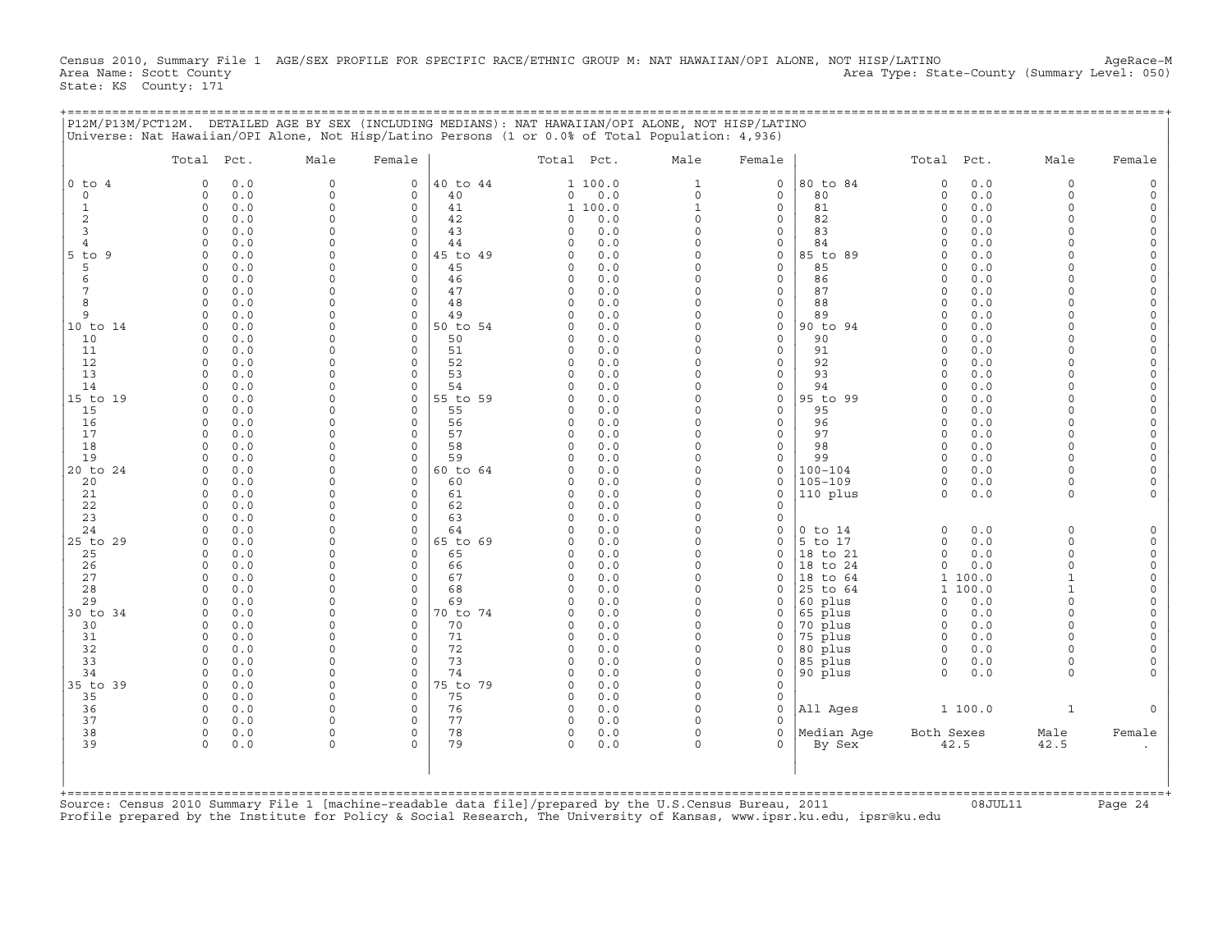Census 2010, Summary File 1 AGE/SEX PROFILE FOR SPECIFIC RACE/ETHNIC GROUP M: NAT HAWAIIAN/OPI ALONE, NOT HISP/LATINO AgeRace-M<br>Area Name: Scott County (summary Level: 050) Area Type: State-County (Summary Level: 050) State: KS County: 171

+===================================================================================================================================================+

|                     | Total Pct.              |            | Male                    | Female                  |                | Total Pct.           |            | Male                 | Female                     |                    | Total Pct.           |            | Male                 | Female               |
|---------------------|-------------------------|------------|-------------------------|-------------------------|----------------|----------------------|------------|----------------------|----------------------------|--------------------|----------------------|------------|----------------------|----------------------|
| $0$ to $4$          | $\Omega$                | 0.0        | $\circ$                 | 0                       | 40 to 44       |                      | 1 100.0    | $\mathbf{1}$         | 0                          | 80 to 84           | $\mathbf 0$          | 0.0        | $\Omega$             | $\Omega$             |
| 0                   | $\mathbf 0$             | 0.0        | $\mathbf 0$             | 0                       | 40             | 0                    | 0.0        | 0                    | 0                          | 80                 | $\circ$              | 0.0        | $\Omega$             |                      |
| 1                   | $\mathbf 0$             | 0.0        | $\circ$                 | $\circ$                 | 41             |                      | 1 100.0    | 1                    | 0                          | 81                 | $\circ$              | 0.0        | $\Omega$             | $\Omega$             |
| 2                   | $\Omega$                | 0.0        | $\Omega$                | $\circ$                 | 42             | $\Omega$             | 0.0        | $\circ$              | $\mathbf 0$                | 82                 | $\Omega$             | 0.0        | $\Omega$<br>$\Omega$ | $\Omega$             |
| 3<br>$\overline{4}$ | $\Omega$<br>$\Omega$    | 0.0<br>0.0 | $\Omega$<br>$\Omega$    | $\mathbf 0$<br>$\Omega$ | 43<br>44       | $\Omega$<br>$\Omega$ | 0.0<br>0.0 | $\Omega$<br>$\Omega$ | $\mathbf 0$<br>$\mathbf 0$ | 83<br>84           | $\Omega$<br>$\Omega$ | 0.0<br>0.0 | $\Omega$             | $\circ$<br>$\Omega$  |
| $5$ to $9$          | $\Omega$                | 0.0        | $\Omega$                | $\mathbf 0$             | 45 to 49       | $\Omega$             | 0.0        | $\Omega$             | 0                          | 85 to 89           | $\Omega$             | 0.0        |                      | $\Omega$             |
| 5                   | $\Omega$                | 0.0        | $\Omega$                | $\circ$                 | 45             | $\Omega$             | 0.0        | $\Omega$             | $\mathbf 0$                | 85                 | $\Omega$             | 0.0        | $\cap$               | $\Omega$             |
| 6                   | $\Omega$                | 0.0        | $\Omega$                | $\circ$                 | 46             | $\Omega$             | 0.0        | $\Omega$             | 0                          | 86                 | $\Omega$             | 0.0        | U                    | $\Omega$             |
| 7                   | $\Omega$                | 0.0        | $\Omega$                | $\circ$                 | 47             | $\Omega$             | 0.0        | $\Omega$             | 0                          | 87                 | $\Omega$             | 0.0        | $\cap$               | $\Omega$             |
| 8                   | $\mathbf 0$             | 0.0        | $\mathbf 0$             | $\mathsf O$             | 48             | 0                    | 0.0        | 0                    | 0                          | 88                 | $\Omega$             | 0.0        | $\cap$               | 0                    |
| 9                   |                         | 0.0        | $\Omega$                | $\Omega$                | 49             | <sup>0</sup>         | 0.0        | $\Omega$             | 0                          | 89                 | $\Omega$             | 0.0        |                      | $\Omega$             |
| 10 to 14            | $\Omega$                | 0.0        | $\Omega$                | $\Omega$                | 50 to 54       | $\Omega$             | 0.0        | $\Omega$             | $\circ$                    | 90 to 94           | $\Omega$             | 0.0        | $\Omega$             |                      |
| 10                  | $\Omega$                | 0.0        | $\Omega$                | $\circ$                 | 50             | $\Omega$             | 0.0        | $\Omega$             | 0                          | 90                 | $\Omega$             | 0.0        | $\Omega$             | $\Omega$             |
| 11                  | $\Omega$                | 0.0        | $\Omega$                | $\circ$                 | 51             | $\Omega$             | 0.0        | $\Omega$             | $\mathbf{0}$               | 91                 | $\Omega$             | 0.0        | $\cap$               | $\Omega$             |
| 12<br>13            | $\mathbf 0$<br>$\Omega$ | 0.0        | $\Omega$<br>$\Omega$    | $\Omega$<br>$\Omega$    | 52<br>53       | $\Omega$<br>$\Omega$ | 0.0<br>0.0 | $\Omega$<br>$\Omega$ | 0<br>$\mathbf{0}$          | 92<br>93           | $\Omega$<br>$\Omega$ | 0.0<br>0.0 | $\cap$<br>$\cap$     | $\Omega$<br>$\Omega$ |
| 14                  | $\mathbf 0$             | 0.0<br>0.0 | $\mathbf 0$             | $\mathsf O$             | 54             | 0                    | 0.0        | $\Omega$             | 0                          | 94                 | $\Omega$             | 0.0        | $\cap$               | $\mathbf 0$          |
| 15 to 19            | $\Omega$                | 0.0        | $\Omega$                | $\mathbf 0$             | 55 to 59       | 0                    | 0.0        | $\Omega$             | 0                          | 95 to 99           | $\Omega$             | 0.0        | $\cap$               | $\Omega$             |
| 15                  | <sup>0</sup>            | 0.0        | $\Omega$                | 0                       | 55             | 0                    | 0.0        | $\Omega$             | 0                          | 95                 | $\Omega$             | 0.0        | $\cap$               |                      |
| 16                  | $\Omega$                | 0.0        | $\Omega$                | $\circ$                 | 56             | $\mathbf 0$          | 0.0        | $\Omega$             | $\circ$                    | 96                 | $\Omega$             | 0.0        | $\Omega$             | $\Omega$             |
| 17                  | $\Omega$                | 0.0        | $\Omega$                | $\Omega$                | 57             | $\Omega$             | 0.0        | $\Omega$             | $\mathbf{0}$               | 97                 | $\Omega$             | 0.0        | $\Omega$             | $\Omega$             |
| 18                  | $\Omega$                | 0.0        | $\Omega$                | $\Omega$                | 58             | $\Omega$             | 0.0        | $\Omega$             | $\mathbf{0}$               | 98                 | $\Omega$             | 0.0        | $\Omega$             | $\Omega$             |
| 19                  | $\Omega$                | 0.0        | $\Omega$                | $\circ$                 | 59             | $\Omega$             | 0.0        | $\Omega$             | $\mathbf{0}$               | 99                 | $\Omega$             | 0.0        | $\cap$               | $\Omega$             |
| 20 to 24            | $\Omega$                | 0.0        | $\Omega$                | $\mathbf 0$             | 60 to 64       | $\Omega$             | 0.0        | $\Omega$             | 0                          | $100 - 104$        | $\Omega$             | 0.0        | $\Omega$             | $\Omega$             |
| 20                  | <sup>0</sup>            | 0.0        | $\mathbf 0$             | 0                       | 60             | 0                    | 0.0        | $\Omega$             | 0                          | $105 - 109$        | $\mathbf 0$          | 0.0        | $\Omega$             | $\Omega$             |
| 21                  | $\Omega$<br>$\mathbf 0$ | 0.0        | $\Omega$<br>$\mathbf 0$ | $\circ$<br>0            | 61             | $\Omega$             | 0.0        | $\Omega$<br>0        | $\mathbf 0$<br>0           | 110 plus           | $\Omega$             | 0.0        | $\Omega$             |                      |
| 22<br>23            | $\cap$                  | 0.0<br>0.0 | $\Omega$                | $\Omega$                | 62<br>63       | 0<br>$\Omega$        | 0.0<br>0.0 | $\Omega$             | 0                          |                    |                      |            |                      |                      |
| 24                  | $\Omega$                | 0.0        | $\Omega$                | $\Omega$                | 64             | $\Omega$             | 0.0        | $\Omega$             | 0                          | $0$ to $14$        | $\mathbf 0$          | 0.0        | $\Omega$             | $\Omega$             |
| 25 to 29            | $\Omega$                | 0.0        | $\Omega$                | 0                       | 65 to 69       | $\Omega$             | 0.0        | $\Omega$             | $\circ$                    | 5 to 17            | $\circ$              | 0.0        | $\Omega$             | $\circ$              |
| 25                  | $\Omega$                | 0.0        | $\Omega$                | $\mathbf 0$             | 65             | 0                    | 0.0        | $\circ$              | $\mathbf 0$                | 18 to 21           | $\circ$              | 0.0        | $\Omega$             | $\Omega$             |
| 26                  | $\Omega$                | 0.0        | $\Omega$                | $\Omega$                | 66             | 0                    | 0.0        | $\Omega$             | 0                          | 18 to 24           | $\circ$              | 0.0        | $\Omega$             | $\Omega$             |
| 27                  | $\Omega$                | 0.0        | $\Omega$                | $\circ$                 | 67             | $\Omega$             | 0.0        | $\Omega$             | 0                          | 18 to 64           |                      | 1 100.0    | $\mathbf{1}$         | $\Omega$             |
| 28                  | $\Omega$                | 0.0        | $\mathbf 0$             | $\mathsf O$             | 68             | 0                    | 0.0        | 0                    | 0                          | 25 to 64           |                      | 1 100.0    | $\mathbf{1}$         | $\Omega$             |
| 29                  | $\cap$                  | 0.0        | $\Omega$                | $\Omega$                | 69             | $\Omega$             | 0.0        | $\Omega$             | 0                          | 60 plus            | 0                    | 0.0        | $\Omega$             | $\Omega$             |
| 30 to 34<br>30      | $\Omega$<br>$\Omega$    | 0.0<br>0.0 | $\Omega$<br>$\Omega$    | 0<br>$\Omega$           | 70 to 74<br>70 | $\Omega$<br>$\Omega$ | 0.0<br>0.0 | $\Omega$<br>$\Omega$ | 0<br>$\mathbf 0$           | 65 plus            | $\Omega$<br>$\Omega$ | 0.0<br>0.0 | $\Omega$<br>$\cap$   | $\Omega$<br>$\Omega$ |
| 31                  | $\Omega$                | 0.0        | $\Omega$                | $\Omega$                | 71             | $\mathbf 0$          | 0.0        | $\Omega$             | $\mathbf 0$                | 70 plus<br>75 plus | $\Omega$             | 0.0        | $\Omega$             |                      |
| 32                  | $\Omega$                | 0.0        | $\Omega$                | $\circ$                 | 72             | $\Omega$             | 0.0        | $\Omega$             | 0                          | 80 plus            | $\Omega$             | 0.0        | $\cap$               |                      |
| 33                  | $\Omega$                | 0.0        | $\Omega$                | $\Omega$                | 73             | $\Omega$             | 0.0        | $\Omega$             | $\mathbf 0$                | 85 plus            | $\Omega$             | 0.0        | $\Omega$             |                      |
| 34                  | $\Omega$                | 0.0        | $\mathbf 0$             | $\circ$                 | 74             | $\Omega$             | 0.0        | 0                    | 0                          | 90 plus            | $\Omega$             | 0.0        | $\Omega$             |                      |
| 35 to 39            | $\Omega$                | 0.0        | $\Omega$                | $\circ$                 | 75 to 79       | $\Omega$             | $0.0$      | $\Omega$             | $\mathbf 0$                |                    |                      |            |                      |                      |
| 35                  | $\mathbf 0$             | 0.0        | $\Omega$                | 0                       | 75             | $\Omega$             | 0.0        | $\Omega$             | 0                          |                    |                      |            |                      |                      |
| 36                  | $\mathbf 0$             | 0.0        | $\mathbf 0$             | $\mathbf 0$             | 76             | 0                    | 0.0        | $\Omega$             | 0                          | All Ages           |                      | 1 100.0    | 1                    |                      |
| 37                  | $\Omega$                | 0.0        | $\Omega$                | $\Omega$                | 77             | $\mathbf 0$          | $0.0$      | $\Omega$             | $\Omega$                   |                    |                      |            |                      |                      |
| 38                  | $\mathbf 0$             | 0.0        | $\Omega$                | $\circ$                 | 78             | $\circ$              | 0.0        | $\Omega$             | $\mathbf 0$                | Median Age         | Both Sexes           |            | Male                 | Female               |
| 39                  | $\Omega$                | 0.0        | $\Omega$                | $\Omega$                | 79             | $\Omega$             | 0.0        | $\Omega$             | $\Omega$                   | By Sex             |                      | 42.5       | 42.5                 |                      |
|                     |                         |            |                         |                         |                |                      |            |                      |                            |                    |                      |            |                      |                      |
|                     |                         |            |                         |                         |                |                      |            |                      |                            |                    |                      |            |                      |                      |

Profile prepared by the Institute for Policy & Social Research, The University of Kansas, www.ipsr.ku.edu, ipsr@ku.edu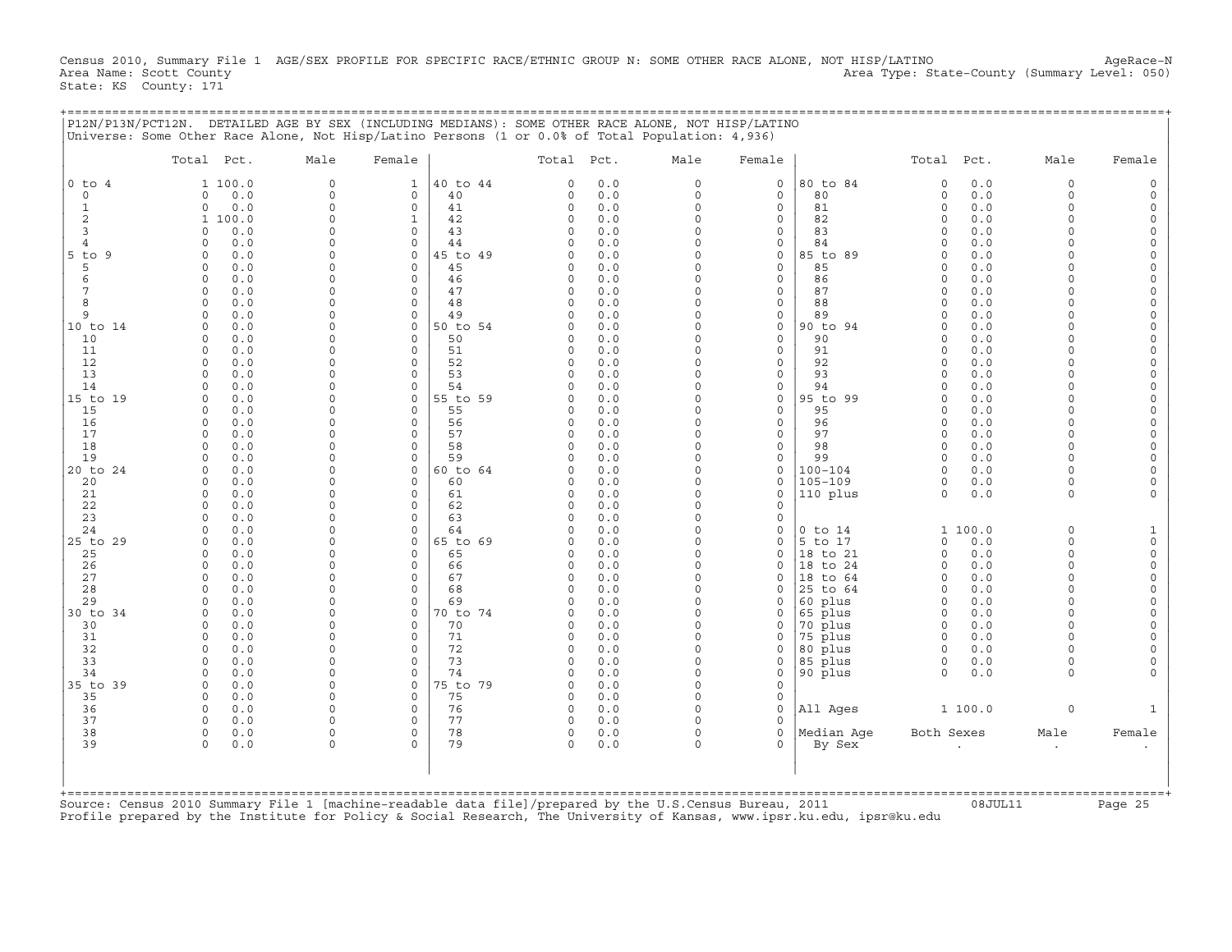Census 2010, Summary File 1 AGE/SEX PROFILE FOR SPECIFIC RACE/ETHNIC GROUP N: SOME OTHER RACE ALONE, NOT HISP/LATINO AgeRace-N<br>Area Name: Scott County (evel: 050) Area Type: State-County (Summary Level: 050) Area Type: State-County (Summary Level: 050) State: KS County: 171

+===================================================================================================================================================+

|P12N/P13N/PCT12N. DETAILED AGE BY SEX (INCLUDING MEDIANS): SOME OTHER RACE ALONE, NOT HISP/LATINO | |Universe: Some Other Race Alone, Not Hisp/Latino Persons (1 or 0.0% of Total Population: 4,936) | | | | Total Pct. Male Female | Total Pct. Male Female | Total Pct. Male Female | | | | | |0 to 4 1 100.0 0 1 |40 to 44 0 0.0 0 0 |80 to 84 0 0.0 0 0 | | 0 0 0.0 0 0 | 40 0 0.0 0 0 | 80 0 0.0 0 0 | | 1 0 0.0 0 0 | 41 0 0.0 0 0 | 81 0 0.0 0 0 | | 2 1 100.0 0 1 | 42 0 0.0 0 0 | 82 0 0.0 0 0 | | 3 0 0.0 0 0 | 43 0 0.0 0 0 | 83 0 0.0 0 0 | | 4 0 0.0 0 0 | 44 0 0.0 0 0 | 84 0 0.0 0 0 | |5 to 9 0 0.0 0 0 |45 to 49 0 0.0 0 0 |85 to 89 0 0.0 0 0 | | 5 0 0.0 0 0 | 45 0 0.0 0 0 | 85 0 0.0 0 0 | | 6 0 0.0 0 0 | 46 0 0.0 0 0 | 86 0 0.0 0 0 | | 7 0 0.0 0 0 | 47 0 0.0 0 0 | 87 0 0.0 0 0 | | 8 0 0.0 0 0 | 48 0 0.0 0 0 | 88 0 0.0 0 0 | | 9 0 0.0 0 0 | 49 0 0.0 0 0 | 89 0 0.0 0 0 | |10 to 14 0 0.0 0 0 |50 to 54 0 0.0 0 0 |90 to 94 0 0.0 0 0 | | 10 0 0.0 0 0 | 50 0 0.0 0 0 | 90 0 0.0 0 0 | | 11 0 0.0 0 0 | 51 0 0.0 0 0 | 91 0 0.0 0 0 | | 12 0 0.0 0 0 | 52 0 0.0 0 0 | 92 0 0.0 0 0 | | 13 0 0.0 0 0 | 53 0 0.0 0 0 | 93 0 0.0 0 0 | | 14 0 0.0 0 0 | 54 0 0.0 0 0 | 94 0 0.0 0 0 | |15 to 19 0 0.0 0 0 |55 to 59 0 0.0 0 0 |95 to 99 0 0.0 0 0 | | 15 0 0.0 0 0 | 55 0 0.0 0 0 | 95 0 0.0 0 0 | | 16 0 0.0 0 0 | 56 0 0.0 0 0 | 96 0 0.0 0 0 | | 17 0 0.0 0 0 | 57 0 0.0 0 0 | 97 0 0.0 0 0 | | 18 0 0.0 0 0 | 58 0 0.0 0 0 | 98 0 0.0 0 0 | | 19 0 0.0 0 0 | 59 0 0.0 0 0 | 99 0 0.0 0 0 | |20 to 24 0 0.0 0 0 |60 to 64 0 0.0 0 0 |100−104 0 0.0 0 0 | | 20 0 0.0 0 0 | 60 0 0.0 0 0 |105−109 0 0.0 0 0 | | 21 0 0.0 0 0 | 61 0 0.0 0 0 |110 plus 0 0.0 0 0 | | 22 0 0.0 0 0 | 62 0 0.0 0 0 | | | 23 0 0.0 0 0 | 63 0 0.0 0 0 | | | 24 0 0.0 0 0 | 64 0 0.0 0 0 |0 to 14 1 100.0 0 1 | |25 to 29 0 0.0 0 0 |65 to 69 0 0.0 0 0 |5 to 17 0 0.0 0 0 | | 25 0 0.0 0 0 | 65 0 0.0 0 0 |18 to 21 0 0.0 0 0 | | 26 0 0.0 0 0 | 66 0 0.0 0 0 |18 to 24 0 0.0 0 0 | | 27 0 0.0 0 0 | 67 0 0.0 0 0 |18 to 64 0 0.0 0 0 | | 28 0 0.0 0 0 | 68 0 0.0 0 0 |25 to 64 0 0.0 0 0 | | 29 0 0.0 0 0 | 69 0 0.0 0 0 |60 plus 0 0.0 0 0 | |30 to 34 0 0.0 0 0 |70 to 74 0 0.0 0 0 |65 plus 0 0.0 0 0 | | 30 0 0.0 0 0 | 70 0 0.0 0 0 |70 plus 0 0.0 0 0 | | 31 0 0.0 0 0 | 71 0 0.0 0 0 |75 plus 0 0.0 0 0 | | 32 0 0.0 0 0 | 72 0 0.0 0 0 |80 plus 0 0.0 0 0 | | 33 0 0.0 0 0 | 73 0 0.0 0 0 |85 plus 0 0.0 0 0 | | 34 0 0.0 0 0 | 74 0 0.0 0 0 |90 plus 0 0.0 0 0 | |35 to 39 0 0.0 0 0 |75 to 79 0 0.0 0 0 | | | 35 0 0.0 0 0 | 75 0 0.0 0 0 | | | 36 0 0.0 0 0 | 76 0 0.0 0 0 |All Ages 1 100.0 0 1 | | 37 0 0.0 0 0 | 77 0 0.0 0 0 | | | 38 0 0.0 0 0 | 78 0 0.0 0 0 |Median Age Both Sexes Male Female | | 39 0 0.0 0 0 | 79 0 0.0 0 0 | By Sex . . . | | | | | | | | | | | +===================================================================================================================================================+Source: Census 2010 Summary File 1 [machine−readable data file]/prepared by the U.S.Census Bureau, 2011 08JUL11 Page 25

Profile prepared by the Institute for Policy & Social Research, The University of Kansas, www.ipsr.ku.edu, ipsr@ku.edu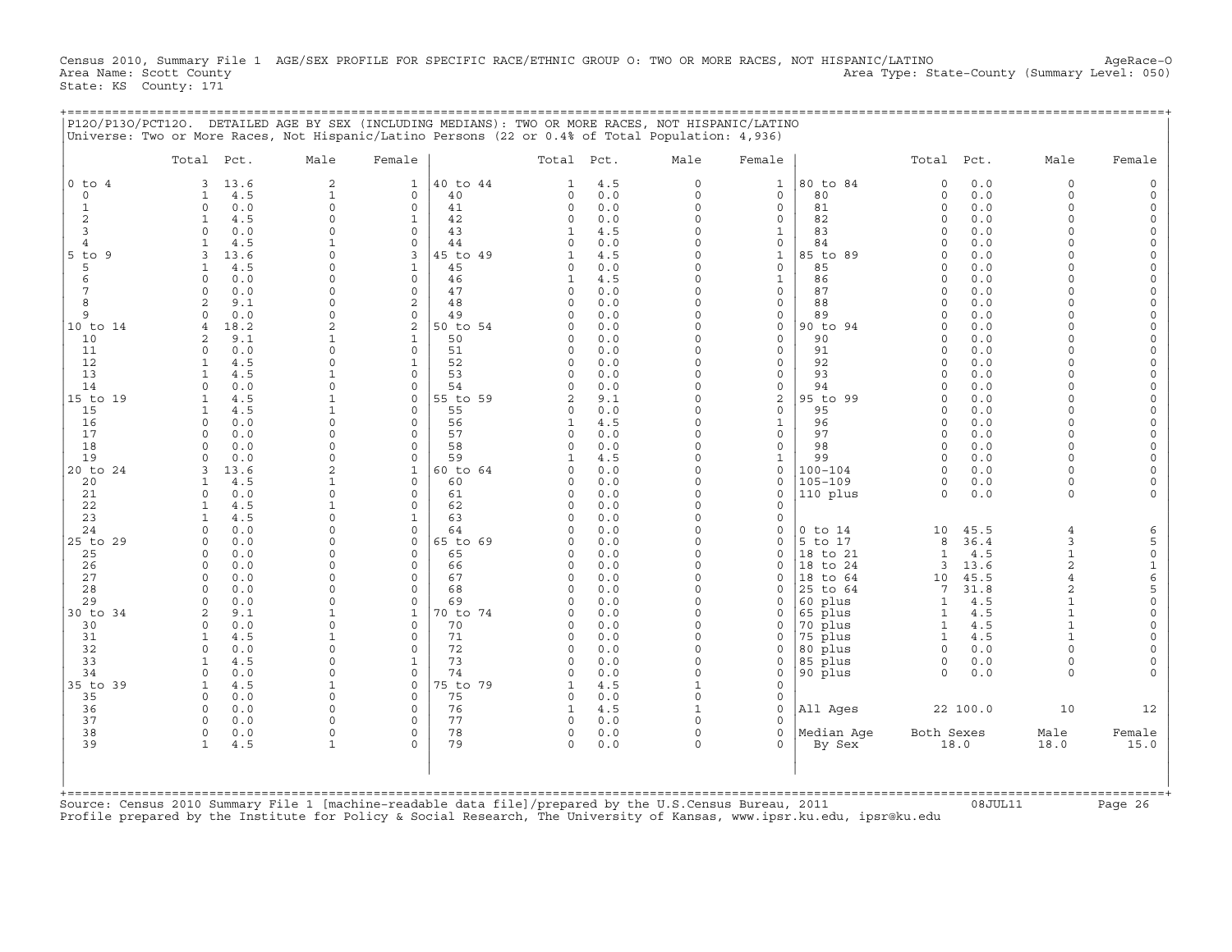Census 2010, Summary File 1 AGE/SEX PROFILE FOR SPECIFIC RACE/ETHNIC GROUP O: TWO OR MORE RACES, NOT HISPANIC/LATINO AgeRace-O<br>Area Name: Scott County (summary Level: 050) Area Type: State-County (Summary Level: 050) State: KS County: 171

+===================================================================================================================================================+

|                             | Total Pct.                         | Male                     | Female                                 |          | Total Pct.             |            | Male                 | Female                      |                     | Total Pct.                   |             | Male                 | Female                   |
|-----------------------------|------------------------------------|--------------------------|----------------------------------------|----------|------------------------|------------|----------------------|-----------------------------|---------------------|------------------------------|-------------|----------------------|--------------------------|
| $0$ to $4$                  | 13.6<br>3                          | $\mathbf{2}$             | 1                                      | 40 to 44 | 1                      | 4.5        | 0                    | 1                           | 80 to 84            | $\circ$                      | 0.0         | $\Omega$             |                          |
| $\mathbf 0$<br>$\mathbf{1}$ | 4.5<br>1<br>$\circ$                | $\mathbf{1}$<br>$\Omega$ | $\mathbf 0$<br>40<br>$\Omega$<br>41    |          | $\mathbf 0$<br>$\circ$ | 0.0        | $\Omega$<br>$\Omega$ | $\mathbf 0$<br>$\mathbf{0}$ | 80<br>81            | $\circ$<br>$\circ$           | 0.0<br>0.0  | $\Omega$<br>$\Omega$ |                          |
| 2                           | 0.0<br>4.5<br>1                    | $\Omega$                 | $\mathbf 1$<br>42                      |          | $\Omega$               | 0.0<br>0.0 | $\Omega$             | 0                           | 82                  | $\Omega$                     | 0.0         | $\Omega$             | $\Omega$                 |
| 3                           | $\Omega$<br>0.0                    | $\Omega$                 | $\Omega$<br>43                         |          | 1                      | 4.5        | $\Omega$             | 1                           | 83                  | $\Omega$                     | 0.0         | $\cap$               | $\cap$                   |
| $\overline{4}$              | 4.5<br>-1                          | $\mathbf{1}$             | 44<br>$\Omega$                         |          | $\Omega$               | 0.0        | $\Omega$             | 0                           | 84                  | $\Omega$                     | 0.0         | $\cap$               |                          |
| $5$ to<br>9                 | 13.6<br>3                          | $\Omega$                 | 3                                      | 45 to 49 | 1                      | 4.5        | 0                    | $\mathbf{1}$                | 85 to 89            | $\circ$                      | 0.0         | $\Omega$             |                          |
| 5                           | 4.5                                |                          | 45<br>1                                |          | $\Omega$               | 0.0        | $\Omega$             | 0                           | 85                  | $\Omega$                     | 0.0         | $\Omega$             |                          |
| 6                           | 0.0<br>$\Omega$                    |                          | $\Omega$<br>46                         |          | -1                     | 4.5        | $\Omega$             | 1                           | 86                  | $\Omega$                     | 0.0         | $\Omega$             |                          |
| 7<br>8                      | 0.0<br>0<br>9.1<br>2               | $\Omega$<br>$\Omega$     | $\mathbf 0$<br>47<br>48<br>2           |          | 0<br>$\Omega$          | 0.0<br>0.0 | 0<br>$\Omega$        | 0<br>0                      | 87<br>88            | $\Omega$<br>$\Omega$         | 0.0<br>0.0  | $\cap$<br>$\cap$     | $\Omega$                 |
| 9                           | 0.0<br>$\Omega$                    | $\Omega$                 | $\Omega$<br>49                         |          | $\Omega$               | 0.0        | $\Omega$             | 0                           | 89                  | $\Omega$                     | 0.0         | $\Omega$             | $\Omega$                 |
| 10 to 14                    | 18.2<br>$\overline{4}$             | $\mathfrak{D}$           | 2                                      | 50 to 54 | $\Omega$               | 0.0        | $\Omega$             | 0                           | 90 to 94            | $\Omega$                     | 0.0         | $\Omega$             |                          |
| 10                          | 9.1<br>2                           | 1                        | 1<br>50                                |          | $\Omega$               | 0.0        | $\Omega$             | 0                           | 90                  | $\Omega$                     | 0.0         | $\Omega$             | $\Omega$                 |
| 11                          | 0.0<br>$\Omega$                    |                          | $\mathbf 0$<br>51                      |          | $\Omega$               | 0.0        | $\Omega$             | 0                           | 91                  | $\Omega$                     | 0.0         | $\cap$               | $\Omega$                 |
| 12                          | 4.5<br>$\mathbf{1}$                | $\cap$                   | 52                                     |          | $\Omega$               | 0.0        | $\Omega$             | 0                           | 92                  | $\cap$                       | 0.0         | $\Omega$             |                          |
| 13<br>14                    | 4.5<br>1<br>$\Omega$<br>0.0        | $\mathbf{1}$<br>$\Omega$ | 53<br>$\mathbf 0$<br>54<br>$\Omega$    |          | $\Omega$<br>$\Omega$   | 0.0<br>0.0 | 0<br>$\Omega$        | 0<br>0                      | 93<br>94            | $\circ$<br>$\Omega$          | 0.0<br>0.0  | $\Omega$<br>$\cap$   | $\Omega$                 |
| 15 to 19                    | 4.5                                |                          | $\Omega$                               | 55 to 59 | $\overline{a}$         | 9.1        | $\Omega$             | 2                           | 95 to 99            | $\Omega$                     | 0.0         | $\Omega$             |                          |
| 15                          | 1<br>4.5                           | 1                        | 55<br>$\mathbf 0$                      |          | $\Omega$               | 0.0        | 0                    | $\mathsf{O}$                | 95                  | $\Omega$                     | 0.0         | $\Omega$             |                          |
| 16                          | 0.0<br>$\Omega$                    | $\cap$                   | 56<br>$\Omega$                         |          | $\mathbf{1}$           | 4.5        | $\Omega$             | 1                           | 96                  | $\Omega$                     | 0.0         | $\cap$               | $\Omega$                 |
| 17                          | 0.0<br>$\Omega$                    | $\Omega$                 | $\mathbf 0$<br>57                      |          | 0                      | 0.0        | $\Omega$             | $\mathbf{0}$                | 97                  | $\Omega$                     | $0.0$       | $\Omega$             |                          |
| 18                          | 0.0<br>$\Omega$                    | $\Omega$                 | 58<br>$\mathbf 0$                      |          | $\Omega$               | 0.0        | $\Omega$             | $\mathbf{0}$                | 98                  | $\Omega$                     | 0.0         | $\Omega$             |                          |
| 19<br>20 to 24              | 0.0<br>$\Omega$<br>3               | $\Omega$                 | 59<br>$\mathbf 0$<br>$\mathbf{1}$      |          | 1<br>$\Omega$          | 4.5        | $\Omega$<br>$\Omega$ | 1                           | 99<br>$100 - 104$   | $\circ$<br>$\Omega$          | 0.0         | $\Omega$<br>$\Omega$ |                          |
| 20                          | 13.6<br>4.5<br>$\mathbf{1}$        | 1                        | $\Omega$<br>60                         | 60 to 64 | $\Omega$               | 0.0<br>0.0 | $\Omega$             | 0<br>0                      | $105 - 109$         | $\Omega$                     | 0.0<br>0.0  | $\Omega$             | $\Omega$                 |
| 21                          | 0<br>0.0                           | $\Omega$                 | $\mathbf 0$<br>61                      |          | $\circ$                | 0.0        | 0                    | 0                           | 110 plus            | $\circ$                      | 0.0         | $\Omega$             |                          |
| 22                          | 4.5<br>$\mathbf{1}$                | $\mathbf{1}$             | 62<br>$\Omega$                         |          | $\Omega$               | 0.0        | $\Omega$             | $\Omega$                    |                     |                              |             |                      |                          |
| 23                          | 4.5                                | $\Omega$                 | 63<br>$\mathbf{1}$                     |          | $\Omega$               | 0.0        | $\Omega$             | $\Omega$                    |                     |                              |             |                      |                          |
| 24                          | $\Omega$<br>0.0                    | $\Omega$                 | $\mathbf 0$<br>64                      |          | $\Omega$               | 0.0        | 0                    | 0                           | $0$ to $14$         | 10                           | 45.5        | $\overline{4}$       | 6                        |
| 25 to 29<br>25              | 0.0<br>$\Omega$<br>0.0<br>$\Omega$ | $\cap$<br>$\Omega$       | $\Omega$<br>$\mathbf 0$<br>65          | 65 to 69 | $\Omega$<br>$\Omega$   | 0.0<br>0.0 | $\Omega$<br>$\Omega$ | 0<br>0                      | 5 to 17<br>18 to 21 | 8<br>$\mathbf{1}$            | 36.4<br>4.5 | 3<br>$\mathbf{1}$    | 5<br>$\mathsf{O}\xspace$ |
| 26                          | 0.0<br>$\Omega$                    | $\Omega$                 | $\mathbf 0$<br>66                      |          | $\Omega$               | 0.0        | $\Omega$             | 0                           | 18 to 24            | 3                            | 13.6        | $\overline{2}$       | $\mathbf{1}$             |
| 27                          | 0.0<br>$\Omega$                    | $\Omega$                 | 67<br>$\Omega$                         |          | $\Omega$               | 0.0        | $\Omega$             | <sup>0</sup>                | 18 to 64            | 10                           | 45.5        | 4                    | 6                        |
| 28                          | 0.0<br>$\Omega$                    |                          | $\mathbf 0$<br>68                      |          | $\Omega$               | 0.0        | $\Omega$             | 0                           | 25 to 64            | 7                            | 31.8        | $\overline{2}$       | 5                        |
| 29                          | 0.0<br>$\Omega$                    | $\cap$                   | $\Omega$<br>69                         |          | $\Omega$               | 0.0        | $\Omega$             | 0                           | 60 plus             | $\mathbf{1}$                 | 4.5         | $\mathbf{1}$         | $\Omega$                 |
| 30 to 34                    | $\overline{a}$<br>9.1              | 1                        | $\mathbf{1}$                           | 70 to 74 | $\Omega$               | 0.0        | $\Omega$             | 0                           | 65 plus             | $\mathbf{1}$                 | 4.5         | $\mathbf{1}$         | $\Omega$                 |
| 30<br>31                    | 0.0<br>0<br>4.5<br>1               | $\Omega$                 | 70<br>$\mathbf 0$<br>71<br>$\Omega$    |          | $\Omega$<br>$\Omega$   | 0.0<br>0.0 | $\Omega$<br>$\Omega$ | 0<br>0                      | 70 plus<br>75 plus  | $\mathbf{1}$<br>$\mathbf{1}$ | 4.5<br>4.5  | $\mathbf{1}$         | $\Omega$                 |
| 32                          | 0<br>0.0                           | $\Omega$                 | $\Omega$<br>72                         |          | $\Omega$               | 0.0        | 0                    | 0                           | 80 plus             | 0                            | 0.0         | $\Omega$             |                          |
| 33                          | 4.5<br>-1                          | $\Omega$                 | 73<br>$\mathbf{1}$                     |          | $\Omega$               | 0.0        | $\Omega$             | 0                           | 85 plus             | $\circ$                      | 0.0         | $\Omega$             | $\Omega$                 |
| 34                          | 0.0<br>$\Omega$                    | $\Omega$                 | $\mathbf 0$<br>74                      |          | $\Omega$               | 0.0        | $\Omega$             | 0                           | 90 plus             | $\circ$                      | 0.0         | $\Omega$             |                          |
| 35 to 39                    | 4.5<br>1                           | 1                        | $\mathbf 0$                            | 75 to 79 | 1                      | 4.5        | 1                    | 0                           |                     |                              |             |                      |                          |
| 35                          | 0.0<br>$\Omega$                    | $\Omega$                 | $\Omega$<br>75                         |          | $\Omega$               | 0.0        | $\Omega$             | $\Omega$                    |                     |                              |             |                      |                          |
| 36<br>37                    | 0.0<br>$\Omega$<br>0.0<br>0        |                          | 76<br>$\mathbf 0$<br>77<br>$\mathbf 0$ |          | 1<br>$\Omega$          | 4.5<br>0.0 | 1<br>$\Omega$        | 0<br>0                      | All Ages            |                              | 22 100.0    | 10                   | 12                       |
| 38                          | $\mathbf 0$<br>0.0                 | $\Omega$                 | 78<br>$\Omega$                         |          | $\mathbf 0$            | 0.0        | $\Omega$             | 0                           | Median Aqe          | Both Sexes                   |             | Male                 | Female                   |
| 39                          | $\mathbf{1}$<br>4.5                | 1                        | 79<br>$\Omega$                         |          | $\Omega$               | 0.0        | $\Omega$             | $\Omega$                    | By Sex              |                              | 18.0        | 18.0                 | 15.0                     |
|                             |                                    |                          |                                        |          |                        |            |                      |                             |                     |                              |             |                      |                          |
|                             |                                    |                          |                                        |          |                        |            |                      |                             |                     |                              |             |                      |                          |

Source: Census 2010 Summary File 1 [machine−readable data file]/prepared by the U.S.Census Bureau, 2011 08JUL11 Page 26 Profile prepared by the Institute for Policy & Social Research, The University of Kansas, www.ipsr.ku.edu, ipsr@ku.edu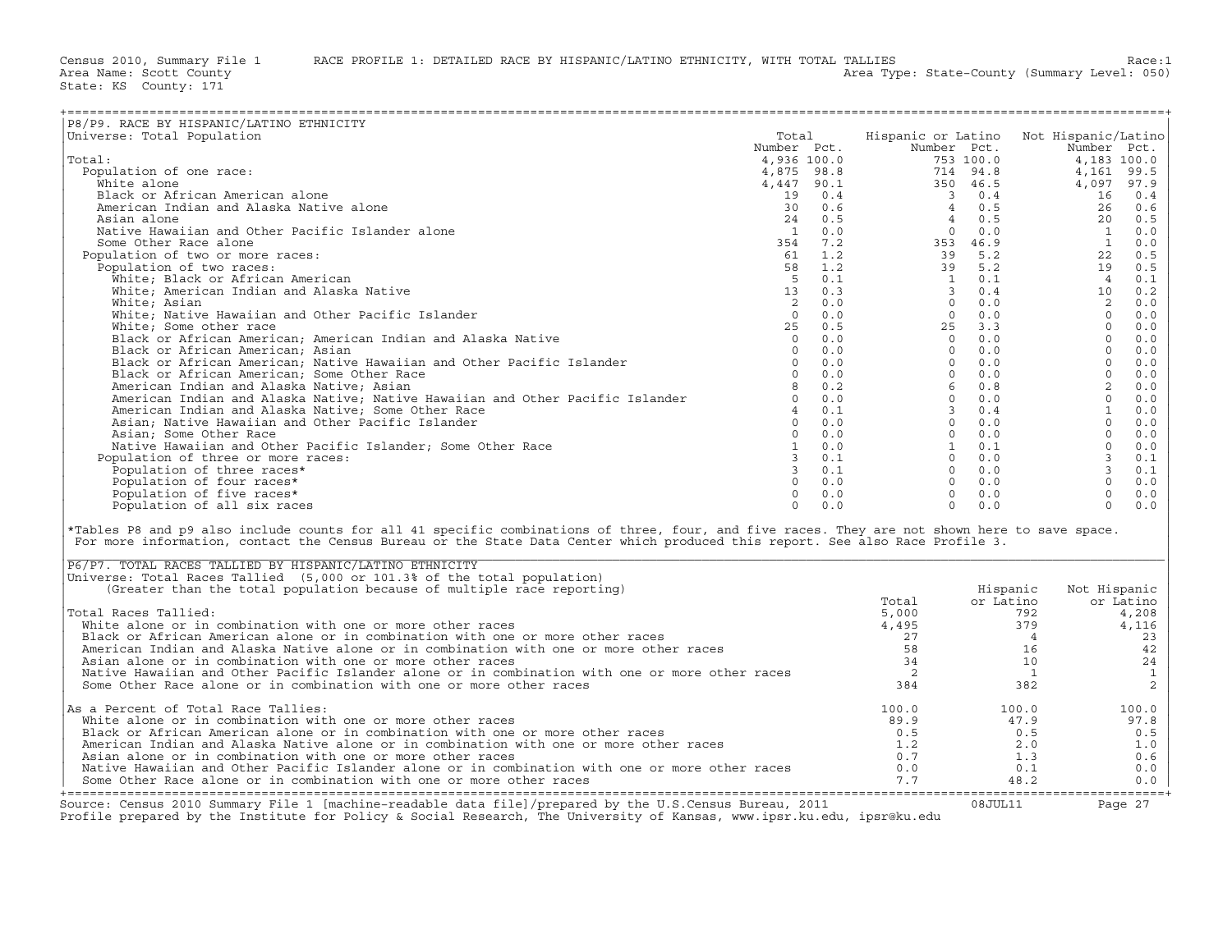| P8/P9. RACE BY HISPANIC/LATINO ETHNICITY                                                                                                      |          |     |                                                                                                                                                                                                                                                                                                                                                                                                                                               |                |                                        |               |
|-----------------------------------------------------------------------------------------------------------------------------------------------|----------|-----|-----------------------------------------------------------------------------------------------------------------------------------------------------------------------------------------------------------------------------------------------------------------------------------------------------------------------------------------------------------------------------------------------------------------------------------------------|----------------|----------------------------------------|---------------|
| Universe: Total Population                                                                                                                    | Total    |     |                                                                                                                                                                                                                                                                                                                                                                                                                                               |                | Hispanic or Latino Not Hispanic/Latino |               |
|                                                                                                                                               |          |     |                                                                                                                                                                                                                                                                                                                                                                                                                                               |                |                                        |               |
| Total:                                                                                                                                        |          |     |                                                                                                                                                                                                                                                                                                                                                                                                                                               |                |                                        |               |
| Population of one race:                                                                                                                       |          |     | $\begin{tabular}{cccccccc} \multicolumn{4}{c}{\textbf{1.67}} \multicolumn{4}{c}{\textbf{1.68}} \multicolumn{4}{c}{\textbf{1.69}} \multicolumn{4}{c}{\textbf{1.69}} \multicolumn{4}{c}{\textbf{1.60}} \multicolumn{4}{c}{\textbf{1.60}} \multicolumn{4}{c}{\textbf{1.61}} \multicolumn{4}{c}{\textbf{1.61}} \multicolumn{4}{c}{\textbf{1.62}} \multicolumn{4}{c}{\textbf{1.63}} \multicolumn{4}{c}{\textbf{1.64}} \multicolumn{4}{c}{\textbf{$ |                |                                        |               |
| White alone                                                                                                                                   |          |     |                                                                                                                                                                                                                                                                                                                                                                                                                                               |                |                                        |               |
| Black or African American alone                                                                                                               |          |     |                                                                                                                                                                                                                                                                                                                                                                                                                                               |                |                                        |               |
| American Indian and Alaska Native alone                                                                                                       |          |     |                                                                                                                                                                                                                                                                                                                                                                                                                                               |                |                                        |               |
| Asian alone                                                                                                                                   |          |     |                                                                                                                                                                                                                                                                                                                                                                                                                                               |                |                                        |               |
| Native Hawaiian and Other Pacific Islander alone                                                                                              |          |     |                                                                                                                                                                                                                                                                                                                                                                                                                                               |                |                                        |               |
| Some Other Race alone                                                                                                                         |          |     |                                                                                                                                                                                                                                                                                                                                                                                                                                               |                |                                        |               |
| Population of two or more races:                                                                                                              |          |     |                                                                                                                                                                                                                                                                                                                                                                                                                                               |                |                                        |               |
| Population of two races:                                                                                                                      |          |     |                                                                                                                                                                                                                                                                                                                                                                                                                                               |                |                                        |               |
| White; Black or African American                                                                                                              |          |     |                                                                                                                                                                                                                                                                                                                                                                                                                                               |                |                                        |               |
| White; American Indian and Alaska Native                                                                                                      |          |     |                                                                                                                                                                                                                                                                                                                                                                                                                                               |                |                                        |               |
| White; Asian                                                                                                                                  |          |     |                                                                                                                                                                                                                                                                                                                                                                                                                                               |                |                                        |               |
| White; Native Hawaiian and Other Pacific Islander                                                                                             |          |     |                                                                                                                                                                                                                                                                                                                                                                                                                                               |                |                                        |               |
| White; Some other race                                                                                                                        |          |     |                                                                                                                                                                                                                                                                                                                                                                                                                                               |                |                                        |               |
| Black or African American; American Indian and Alaska Native                                                                                  |          |     |                                                                                                                                                                                                                                                                                                                                                                                                                                               |                |                                        |               |
| Black or African American; Asian                                                                                                              |          |     |                                                                                                                                                                                                                                                                                                                                                                                                                                               |                |                                        |               |
| Black or African American; Native Hawaiian and Other Pacific Islander                                                                         |          |     |                                                                                                                                                                                                                                                                                                                                                                                                                                               |                |                                        |               |
| Black or African American; Some Other Race                                                                                                    |          |     |                                                                                                                                                                                                                                                                                                                                                                                                                                               |                |                                        |               |
| American Indian and Alaska Native; Asian                                                                                                      |          |     |                                                                                                                                                                                                                                                                                                                                                                                                                                               |                |                                        |               |
| American Indian and Alaska Native; Native Hawaiian and Other Pacific Islander                                                                 |          |     |                                                                                                                                                                                                                                                                                                                                                                                                                                               |                |                                        |               |
| American Indian and Alaska Native; Some Other Race                                                                                            |          |     |                                                                                                                                                                                                                                                                                                                                                                                                                                               |                |                                        |               |
| Asian; Native Hawaiian and Other Pacific Islander                                                                                             |          |     |                                                                                                                                                                                                                                                                                                                                                                                                                                               |                |                                        |               |
| Asian; Some Other Race                                                                                                                        |          |     |                                                                                                                                                                                                                                                                                                                                                                                                                                               |                |                                        |               |
| Native Hawaiian and Other Pacific Islander; Some Other Race                                                                                   |          |     |                                                                                                                                                                                                                                                                                                                                                                                                                                               |                |                                        |               |
| Population of three or more races:                                                                                                            |          |     |                                                                                                                                                                                                                                                                                                                                                                                                                                               |                |                                        |               |
| Population of three races*                                                                                                                    |          |     |                                                                                                                                                                                                                                                                                                                                                                                                                                               |                |                                        |               |
| Population of four races*                                                                                                                     |          |     |                                                                                                                                                                                                                                                                                                                                                                                                                                               |                |                                        |               |
| Population of five races*                                                                                                                     |          |     |                                                                                                                                                                                                                                                                                                                                                                                                                                               |                |                                        |               |
| Population of all six races                                                                                                                   | $\Omega$ | 0.0 | $\Omega$                                                                                                                                                                                                                                                                                                                                                                                                                                      | 0.0            | $\Omega$                               | 0.0           |
|                                                                                                                                               |          |     |                                                                                                                                                                                                                                                                                                                                                                                                                                               |                |                                        |               |
| *Tables P8 and p9 also include counts for all 41 specific combinations of three, four, and five races. They are not shown here to save space. |          |     |                                                                                                                                                                                                                                                                                                                                                                                                                                               |                |                                        |               |
| For more information, contact the Census Bureau or the State Data Center which produced this report. See also Race Profile 3.                 |          |     |                                                                                                                                                                                                                                                                                                                                                                                                                                               |                |                                        |               |
|                                                                                                                                               |          |     |                                                                                                                                                                                                                                                                                                                                                                                                                                               |                |                                        |               |
| P6/P7. TOTAL RACES TALLIED BY HISPANIC/LATINO ETHNICITY                                                                                       |          |     |                                                                                                                                                                                                                                                                                                                                                                                                                                               |                |                                        |               |
| Universe: Total Races Tallied (5,000 or 101.3% of the total population)                                                                       |          |     |                                                                                                                                                                                                                                                                                                                                                                                                                                               |                |                                        |               |
| (Greater than the total population because of multiple race reporting)                                                                        |          |     |                                                                                                                                                                                                                                                                                                                                                                                                                                               | Hispanic       | Not Hispanic                           |               |
|                                                                                                                                               |          |     | Total                                                                                                                                                                                                                                                                                                                                                                                                                                         | or Latino      |                                        | or Latino     |
| Total Races Tallied:                                                                                                                          |          |     | 5,000                                                                                                                                                                                                                                                                                                                                                                                                                                         | 792            |                                        | 4,208         |
| White alone or in combination with one or more other races                                                                                    |          |     | 4,495                                                                                                                                                                                                                                                                                                                                                                                                                                         | 379            |                                        | 4,116         |
| Black or African American alone or in combination with one or more other races                                                                |          |     | 27                                                                                                                                                                                                                                                                                                                                                                                                                                            | $\frac{4}{3}$  |                                        | 23            |
| American Indian and Alaska Native alone or in combination with one or more other races                                                        |          |     | 58                                                                                                                                                                                                                                                                                                                                                                                                                                            | 16             |                                        | 42            |
| Asian alone or in combination with one or more other races                                                                                    |          |     | 34                                                                                                                                                                                                                                                                                                                                                                                                                                            | 10             |                                        | 24            |
| Native Hawaiian and Other Pacific Islander alone or in combination with one or more other races                                               |          |     | $\overline{\phantom{0}}$                                                                                                                                                                                                                                                                                                                                                                                                                      | $\overline{1}$ |                                        | $\frac{1}{2}$ |
| Some Other Race alone or in combination with one or more other races                                                                          |          |     | 384                                                                                                                                                                                                                                                                                                                                                                                                                                           | 382            |                                        |               |
|                                                                                                                                               |          |     |                                                                                                                                                                                                                                                                                                                                                                                                                                               |                |                                        |               |
| As a Percent of Total Race Tallies:                                                                                                           |          |     | 100.0                                                                                                                                                                                                                                                                                                                                                                                                                                         | 100.0          |                                        | 100.0         |
| White alone or in combination with one or more other races                                                                                    |          |     | 89.9                                                                                                                                                                                                                                                                                                                                                                                                                                          | 47.9           |                                        | 97.8          |
| Black or African American alone or in combination with one or more other races                                                                |          |     | 0.5                                                                                                                                                                                                                                                                                                                                                                                                                                           | 0.5            |                                        | 0.5           |
| American Indian and Alaska Native alone or in combination with one or more other races                                                        |          |     | 1.2                                                                                                                                                                                                                                                                                                                                                                                                                                           | 2.0            |                                        | 1.0           |
| Asian alone or in combination with one or more other races                                                                                    |          |     | 0.7                                                                                                                                                                                                                                                                                                                                                                                                                                           | 1.3            |                                        | 0.6           |
| Native Hawaiian and Other Pacific Islander alone or in combination with one or more other races                                               |          |     | 0.0                                                                                                                                                                                                                                                                                                                                                                                                                                           | 0.1            |                                        | 0.0           |
| Some Other Race alone or in combination with one or more other races                                                                          |          |     | 7.7                                                                                                                                                                                                                                                                                                                                                                                                                                           | 48.2           |                                        | 0.0           |

| P6/P7. TOTAL RACES TALLIED BY HISPANIC/LATINO ETHNICITY                                                                                                                                                                           |       |           |              |
|-----------------------------------------------------------------------------------------------------------------------------------------------------------------------------------------------------------------------------------|-------|-----------|--------------|
| Universe: Total Races Tallied (5,000 or 101.3% of the total population)                                                                                                                                                           |       |           |              |
| (Greater than the total population because of multiple race reporting)                                                                                                                                                            |       | Hispanic  | Not Hispanic |
|                                                                                                                                                                                                                                   | Total | or Latino | or Latino    |
| Total Races Tallied:                                                                                                                                                                                                              | 5,000 | 792       | 4,208        |
| White alone or in combination with one or more other races                                                                                                                                                                        | 4,495 | 379       | 4,116        |
| Black or African American alone or in combination with one or more other races                                                                                                                                                    | 27    |           | 23           |
| American Indian and Alaska Native alone or in combination with one or more other races                                                                                                                                            | 58    | 16        | 42           |
| Asian alone or in combination with one or more other races                                                                                                                                                                        | 34    | 10        | 24           |
| Native Hawaiian and Other Pacific Islander alone or in combination with one or more other races                                                                                                                                   |       |           |              |
| Some Other Race alone or in combination with one or more other races                                                                                                                                                              | 384   | 382       |              |
| As a Percent of Total Race Tallies:                                                                                                                                                                                               | 100.0 | 100.0     | 100.0        |
| White alone or in combination with one or more other races                                                                                                                                                                        | 89.9  | 47.9      | 97.8         |
| Black or African American alone or in combination with one or more other races                                                                                                                                                    | 0.5   | 0.5       | 0.5          |
| American Indian and Alaska Native alone or in combination with one or more other races                                                                                                                                            | 1.2   | 2.0       | 1.0          |
| Asian alone or in combination with one or more other races                                                                                                                                                                        | 0.7   | 1.3       | 0.6          |
| Native Hawaiian and Other Pacific Islander alone or in combination with one or more other races                                                                                                                                   | 0.0   | 0.1       | 0.0          |
| Some Other Race alone or in combination with one or more other races                                                                                                                                                              | 7.7   | 48.2      | $0.0$        |
| Source: Census 2010 Summary File 1 [machine-readable data file]/prepared by the U.S.Census Bureau, 2011<br>Profile prepared by the Institute for Policy & Social Research, The University of Kansas, www.ipsr.ku.edu, ipsr@ku.edu |       | 08JUL11   | Page 27      |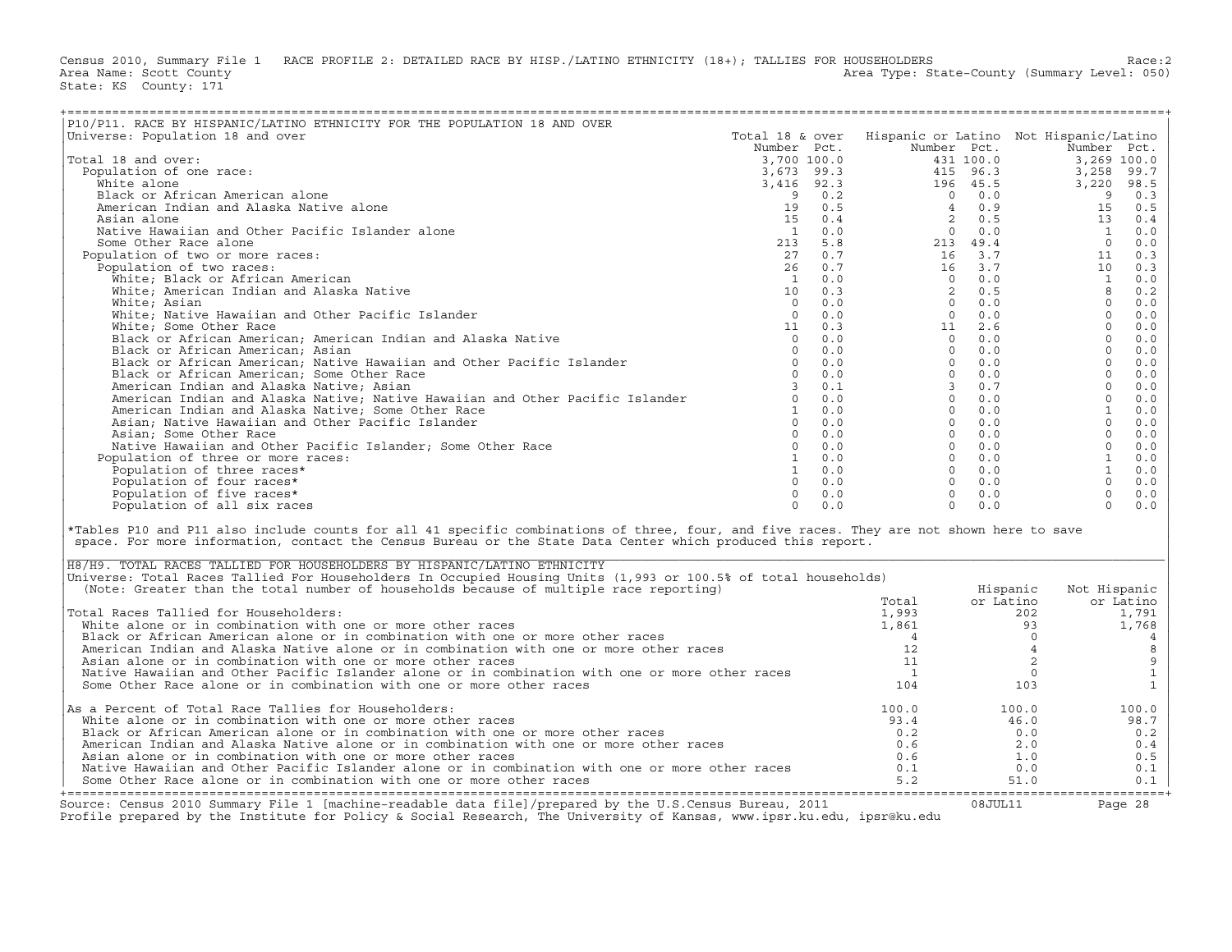Census 2010, Summary File 1 RACE PROFILE 2: DETAILED RACE BY HISP./LATINO ETHNICITY (18+); TALLIES FOR HOUSEHOLDERS<br>Area Name: Scott County (summary Level: 050) Area Type: State-County (Summary Level: 050) State: KS County: 171

| P10/P11. RACE BY HISPANIC/LATINO ETHNICITY FOR THE POPULATION 18 AND OVER                                                                                                                                                                                                                                                                                                                                                                                                                                                                                              |  |                                                                                                                         |                   |                                                        |                                       |
|------------------------------------------------------------------------------------------------------------------------------------------------------------------------------------------------------------------------------------------------------------------------------------------------------------------------------------------------------------------------------------------------------------------------------------------------------------------------------------------------------------------------------------------------------------------------|--|-------------------------------------------------------------------------------------------------------------------------|-------------------|--------------------------------------------------------|---------------------------------------|
| Universe: Population 18 and over                                                                                                                                                                                                                                                                                                                                                                                                                                                                                                                                       |  |                                                                                                                         |                   | Total 18 & over Hispanic or Latino Not Hispanic/Latino |                                       |
|                                                                                                                                                                                                                                                                                                                                                                                                                                                                                                                                                                        |  |                                                                                                                         |                   |                                                        |                                       |
| Total 18 and over:                                                                                                                                                                                                                                                                                                                                                                                                                                                                                                                                                     |  |                                                                                                                         |                   |                                                        |                                       |
| Population of one race:                                                                                                                                                                                                                                                                                                                                                                                                                                                                                                                                                |  |                                                                                                                         |                   |                                                        |                                       |
| White alone                                                                                                                                                                                                                                                                                                                                                                                                                                                                                                                                                            |  |                                                                                                                         |                   |                                                        |                                       |
| Black or African American alone                                                                                                                                                                                                                                                                                                                                                                                                                                                                                                                                        |  |                                                                                                                         |                   |                                                        |                                       |
|                                                                                                                                                                                                                                                                                                                                                                                                                                                                                                                                                                        |  |                                                                                                                         |                   |                                                        |                                       |
| American Indian and Alaska Native alone                                                                                                                                                                                                                                                                                                                                                                                                                                                                                                                                |  |                                                                                                                         |                   |                                                        |                                       |
| Asian alone                                                                                                                                                                                                                                                                                                                                                                                                                                                                                                                                                            |  |                                                                                                                         |                   |                                                        |                                       |
| Native Hawaiian and Other Pacific Islander alone                                                                                                                                                                                                                                                                                                                                                                                                                                                                                                                       |  |                                                                                                                         |                   |                                                        |                                       |
| Some Other Race alone                                                                                                                                                                                                                                                                                                                                                                                                                                                                                                                                                  |  |                                                                                                                         |                   |                                                        |                                       |
| Population of two or more races:                                                                                                                                                                                                                                                                                                                                                                                                                                                                                                                                       |  |                                                                                                                         |                   |                                                        |                                       |
| Population of two races:                                                                                                                                                                                                                                                                                                                                                                                                                                                                                                                                               |  |                                                                                                                         |                   |                                                        |                                       |
|                                                                                                                                                                                                                                                                                                                                                                                                                                                                                                                                                                        |  |                                                                                                                         |                   |                                                        |                                       |
|                                                                                                                                                                                                                                                                                                                                                                                                                                                                                                                                                                        |  |                                                                                                                         |                   |                                                        |                                       |
|                                                                                                                                                                                                                                                                                                                                                                                                                                                                                                                                                                        |  |                                                                                                                         |                   |                                                        |                                       |
|                                                                                                                                                                                                                                                                                                                                                                                                                                                                                                                                                                        |  |                                                                                                                         |                   |                                                        |                                       |
|                                                                                                                                                                                                                                                                                                                                                                                                                                                                                                                                                                        |  |                                                                                                                         |                   |                                                        |                                       |
|                                                                                                                                                                                                                                                                                                                                                                                                                                                                                                                                                                        |  |                                                                                                                         |                   |                                                        |                                       |
|                                                                                                                                                                                                                                                                                                                                                                                                                                                                                                                                                                        |  |                                                                                                                         |                   |                                                        |                                       |
|                                                                                                                                                                                                                                                                                                                                                                                                                                                                                                                                                                        |  |                                                                                                                         |                   |                                                        |                                       |
|                                                                                                                                                                                                                                                                                                                                                                                                                                                                                                                                                                        |  |                                                                                                                         |                   |                                                        |                                       |
|                                                                                                                                                                                                                                                                                                                                                                                                                                                                                                                                                                        |  |                                                                                                                         |                   |                                                        |                                       |
|                                                                                                                                                                                                                                                                                                                                                                                                                                                                                                                                                                        |  |                                                                                                                         |                   |                                                        |                                       |
|                                                                                                                                                                                                                                                                                                                                                                                                                                                                                                                                                                        |  |                                                                                                                         |                   |                                                        |                                       |
|                                                                                                                                                                                                                                                                                                                                                                                                                                                                                                                                                                        |  |                                                                                                                         |                   |                                                        |                                       |
|                                                                                                                                                                                                                                                                                                                                                                                                                                                                                                                                                                        |  |                                                                                                                         |                   |                                                        |                                       |
|                                                                                                                                                                                                                                                                                                                                                                                                                                                                                                                                                                        |  |                                                                                                                         |                   |                                                        |                                       |
|                                                                                                                                                                                                                                                                                                                                                                                                                                                                                                                                                                        |  |                                                                                                                         |                   |                                                        |                                       |
|                                                                                                                                                                                                                                                                                                                                                                                                                                                                                                                                                                        |  |                                                                                                                         |                   |                                                        |                                       |
| Population of three or more races:                                                                                                                                                                                                                                                                                                                                                                                                                                                                                                                                     |  |                                                                                                                         |                   |                                                        |                                       |
|                                                                                                                                                                                                                                                                                                                                                                                                                                                                                                                                                                        |  |                                                                                                                         |                   |                                                        |                                       |
|                                                                                                                                                                                                                                                                                                                                                                                                                                                                                                                                                                        |  |                                                                                                                         |                   |                                                        |                                       |
|                                                                                                                                                                                                                                                                                                                                                                                                                                                                                                                                                                        |  |                                                                                                                         |                   |                                                        |                                       |
|                                                                                                                                                                                                                                                                                                                                                                                                                                                                                                                                                                        |  |                                                                                                                         |                   |                                                        |                                       |
|                                                                                                                                                                                                                                                                                                                                                                                                                                                                                                                                                                        |  |                                                                                                                         |                   |                                                        |                                       |
| Plice by experiment claim and Alexandro ETHRICITY FOR THE FORDING 18 AND OVER<br>The second over the particle of the second of the second of the second of the second of the second of the second of the second of the second o<br>*Tables P10 and P11 also include counts for all 41 specific combinations of three, four, and five races. They are not shown here to save<br>space. For more information, contact the Census Bureau or the State Data Center which produced this report.<br>H8/H9. TOTAL RACES TALLIED FOR HOUSEHOLDERS BY HISPANIC/LATINO ETHNICITY |  |                                                                                                                         |                   |                                                        |                                       |
| Universe: Total Races Tallied For Householders In Occupied Housing Units (1,993 or 100.5% of total households)                                                                                                                                                                                                                                                                                                                                                                                                                                                         |  |                                                                                                                         |                   |                                                        |                                       |
|                                                                                                                                                                                                                                                                                                                                                                                                                                                                                                                                                                        |  |                                                                                                                         |                   |                                                        |                                       |
| (Note: Greater than the total number of households because of multiple race reporting)                                                                                                                                                                                                                                                                                                                                                                                                                                                                                 |  |                                                                                                                         | Hispanic          | Not Hispanic                                           |                                       |
|                                                                                                                                                                                                                                                                                                                                                                                                                                                                                                                                                                        |  |                                                                                                                         |                   | or Latino                                              |                                       |
| Total Races Tallied for Householders:                                                                                                                                                                                                                                                                                                                                                                                                                                                                                                                                  |  |                                                                                                                         |                   | 1,791                                                  |                                       |
| White alone or in combination with one or more other races                                                                                                                                                                                                                                                                                                                                                                                                                                                                                                             |  |                                                                                                                         |                   | 1,768                                                  |                                       |
| White alone or in combination with one or more other races<br>Black or African American alone or in combination with one or more other races<br>American Indian and Alaska Native alone or in combination with one or more other rac                                                                                                                                                                                                                                                                                                                                   |  |                                                                                                                         |                   |                                                        | $\overline{4}$                        |
|                                                                                                                                                                                                                                                                                                                                                                                                                                                                                                                                                                        |  |                                                                                                                         |                   |                                                        | $\,8\,$                               |
| Asian alone or in combination with one or more other races                                                                                                                                                                                                                                                                                                                                                                                                                                                                                                             |  |                                                                                                                         |                   |                                                        |                                       |
| Native Hawaiian and Other Pacific Islander alone or in combination with one or more other races                                                                                                                                                                                                                                                                                                                                                                                                                                                                        |  |                                                                                                                         |                   |                                                        | $\begin{array}{c} 9 \\ 1 \end{array}$ |
| Some Other Race alone or in combination with one or more other races                                                                                                                                                                                                                                                                                                                                                                                                                                                                                                   |  |                                                                                                                         |                   |                                                        | $1\,$                                 |
|                                                                                                                                                                                                                                                                                                                                                                                                                                                                                                                                                                        |  | Hispanic<br>Total or Latino or<br>1,993<br>4 0<br>12<br>11<br>10<br>104<br>103                                          |                   |                                                        |                                       |
|                                                                                                                                                                                                                                                                                                                                                                                                                                                                                                                                                                        |  |                                                                                                                         |                   |                                                        |                                       |
| As a Percent of Total Race Tallies for Householders:                                                                                                                                                                                                                                                                                                                                                                                                                                                                                                                   |  | $\begin{array}{cccc} 100.0 & & & & 100.0 \ 93.4 & & & 46.0 \ 0.2 & & & 0.0 \ 0.6 & & & 2.0 \ 0.6 & & & 1.0 \end{array}$ |                   | 100.0                                                  |                                       |
| White alone or in combination with one or more other races                                                                                                                                                                                                                                                                                                                                                                                                                                                                                                             |  |                                                                                                                         |                   | 98.7                                                   |                                       |
| Black or African American alone or in combination with one or more other races                                                                                                                                                                                                                                                                                                                                                                                                                                                                                         |  |                                                                                                                         |                   | 0.2                                                    |                                       |
| American Indian and Alaska Native alone or in combination with one or more other races                                                                                                                                                                                                                                                                                                                                                                                                                                                                                 |  |                                                                                                                         |                   | 0.4                                                    |                                       |
| Asian alone or in combination with one or more other races                                                                                                                                                                                                                                                                                                                                                                                                                                                                                                             |  |                                                                                                                         | $\overline{1}$ .0 | 0.5                                                    |                                       |
| Native Hawaiian and Other Pacific Islander alone or in combination with one or more other races                                                                                                                                                                                                                                                                                                                                                                                                                                                                        |  | 0.1                                                                                                                     | 0.0               | 0.1                                                    |                                       |
| Some Other Race alone or in combination with one or more other races                                                                                                                                                                                                                                                                                                                                                                                                                                                                                                   |  | 5.2                                                                                                                     | 51.0              | 0.1                                                    |                                       |

| H8/H9. TOTAL RACES TALLIED FOR HOUSEHOLDERS BY HISPANIC/LATINO ETHNICITY                                                                                                                                                          |       |           |              |
|-----------------------------------------------------------------------------------------------------------------------------------------------------------------------------------------------------------------------------------|-------|-----------|--------------|
| Universe: Total Races Tallied For Householders In Occupied Housing Units (1,993 or 100.5% of total households)                                                                                                                    |       |           |              |
| (Note: Greater than the total number of households because of multiple race reporting)                                                                                                                                            |       | Hispanic  | Not Hispanic |
|                                                                                                                                                                                                                                   | Total | or Latino | or Latino    |
| Total Races Tallied for Householders:                                                                                                                                                                                             | 1,993 | 202       | 1,791        |
| White alone or in combination with one or more other races                                                                                                                                                                        | 1,861 | 93        | 1,768        |
| Black or African American alone or in combination with one or more other races                                                                                                                                                    |       |           |              |
| American Indian and Alaska Native alone or in combination with one or more other races                                                                                                                                            |       |           |              |
| Asian alone or in combination with one or more other races                                                                                                                                                                        |       |           |              |
| Native Hawaiian and Other Pacific Islander alone or in combination with one or more other races                                                                                                                                   |       |           |              |
| Some Other Race alone or in combination with one or more other races                                                                                                                                                              | 104   | 103       |              |
| As a Percent of Total Race Tallies for Householders:                                                                                                                                                                              | 100.0 | 100.0     | 100.0        |
| White alone or in combination with one or more other races                                                                                                                                                                        | 93.4  | 46.0      | 98.7         |
| Black or African American alone or in combination with one or more other races                                                                                                                                                    | 0.2   | 0.0       | 0.2          |
| American Indian and Alaska Native alone or in combination with one or more other races                                                                                                                                            | 0.6   | 2.0       | 0.4          |
| Asian alone or in combination with one or more other races                                                                                                                                                                        | 0.6   | 1.0       | 0.5          |
| Native Hawaiian and Other Pacific Islander alone or in combination with one or more other races                                                                                                                                   | 0.1   | 0.0       | 0.1          |
| Some Other Race alone or in combination with one or more other races                                                                                                                                                              | 5.2   | 51.0      | 0.1          |
|                                                                                                                                                                                                                                   |       |           |              |
| Source: Census 2010 Summary File 1 [machine-readable data file]/prepared by the U.S.Census Bureau, 2011<br>Profile prepared by the Institute for Policy & Social Research, The University of Kansas, www.ipsr.ku.edu, ipsr@ku.edu |       | 08JUL11   | Page 28      |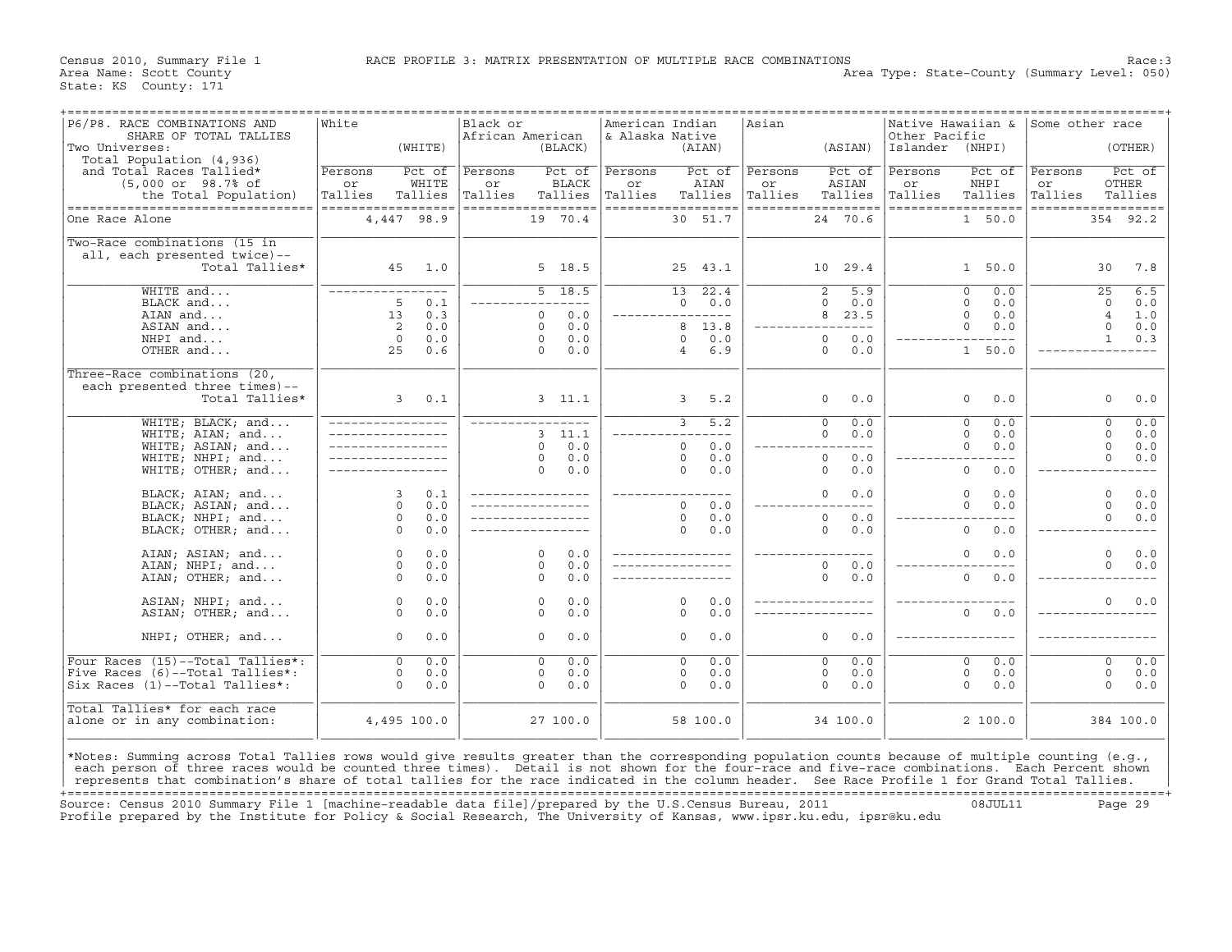Census 2010, Summary File 1 RACE PROFILE 3: MATRIX PRESENTATION OF MULTIPLE RACE COMBINATIONS Race: 3<br>Area Name: Scott County Level: 050) Area Type: State-County (Summary Level: 050)

| P6/P8. RACE COMBINATIONS AND<br>SHARE OF TOTAL TALLIES                                                                                                                                                                                                                                          | White               |                  | Black or<br>African American |                                    | American Indian<br>& Alaska Native |                                    | Asian         |                              | Native Hawaiian &<br>Other Pacific |                                       | Some other race |                                          |
|-------------------------------------------------------------------------------------------------------------------------------------------------------------------------------------------------------------------------------------------------------------------------------------------------|---------------------|------------------|------------------------------|------------------------------------|------------------------------------|------------------------------------|---------------|------------------------------|------------------------------------|---------------------------------------|-----------------|------------------------------------------|
| Two Universes:<br>Total Population (4,936)                                                                                                                                                                                                                                                      |                     | (WHITE)          |                              | (BLACK)                            |                                    | (AIAN)                             |               | (ASIAN)                      | Islander                           | (NHPI)                                |                 | (OTHER)                                  |
| and Total Races Tallied*                                                                                                                                                                                                                                                                        | Persons             | Pct of           | Persons                      | Pct of                             | Persons                            | Pct of                             | Persons       | Pct of                       | Persons                            | Pct of                                | Persons         | Pct of                                   |
| $(5,000$ or $98.7$ % of<br>the Total Population)                                                                                                                                                                                                                                                | or<br>Tallies       | WHITE<br>Tallies | or<br>Tallies                | <b>BLACK</b><br>Tallies            | or<br>Tallies                      | AIAN<br>Tallies                    | or<br>Tallies | ASIAN<br>Tallies             | or<br>Tallies                      | NHPI<br>Tallies                       | or<br>Tallies   | <b>OTHER</b><br>Tallies                  |
| ----------------------------------                                                                                                                                                                                                                                                              | ------------------  |                  |                              | ==================                 |                                    | ==================                 |               | ==================           | ==================                 |                                       |                 | ==================                       |
| One Race Alone                                                                                                                                                                                                                                                                                  |                     | 4,447 98.9       |                              | 19 70.4                            |                                    | 30 51.7                            |               | 24 70.6                      |                                    | 1 50.0                                |                 | 354 92.2                                 |
| Two-Race combinations (15 in                                                                                                                                                                                                                                                                    |                     |                  |                              |                                    |                                    |                                    |               |                              |                                    |                                       |                 |                                          |
| all, each presented twice)--<br>Total Tallies*                                                                                                                                                                                                                                                  | 45                  | 1.0              |                              | 5 18.5                             |                                    | 25<br>43.1                         |               | 10 29.4                      |                                    | 1 50.0                                |                 | 30<br>7.8                                |
|                                                                                                                                                                                                                                                                                                 |                     |                  |                              |                                    |                                    |                                    |               |                              |                                    |                                       |                 |                                          |
| WHITE and                                                                                                                                                                                                                                                                                       |                     |                  |                              | 5 18.5                             |                                    | 13<br>22.4                         |               | 2<br>5.9                     |                                    | $\Omega$<br>0.0                       |                 | 6.5<br>25                                |
| BLACK and<br>AIAN and                                                                                                                                                                                                                                                                           | 5<br>13             | 0.1<br>0.3       |                              | $- - -$<br>0.0<br>$\circ$          |                                    | $\Omega$<br>0.0<br>_________       |               | $\Omega$<br>0.0<br>23.5<br>8 |                                    | $\Omega$<br>0.0<br>$\mathbf 0$<br>0.0 |                 | $\Omega$<br>0.0<br>$\overline{4}$<br>1.0 |
| ASIAN and                                                                                                                                                                                                                                                                                       | 2                   | 0.0              |                              | 0.0<br>$\Omega$                    |                                    | 13.8<br>8                          |               | $- - - -$                    |                                    | $\Omega$<br>0.0                       |                 | $\circ$<br>0.0                           |
| NHPI and                                                                                                                                                                                                                                                                                        | $\Omega$            | 0.0              |                              | 0.0<br>$\circ$                     |                                    | 0.0<br>$\Omega$                    |               | 0.0<br>$\circ$               |                                    |                                       |                 | $\mathbf{1}$<br>0.3                      |
| OTHER and                                                                                                                                                                                                                                                                                       | 25                  | 0.6              |                              | 0.0<br>$\Omega$                    |                                    | 6.9<br>4                           |               | $\Omega$<br>0.0              |                                    | $\mathbf{1}$<br>50.0                  |                 |                                          |
| Three-Race combinations (20,                                                                                                                                                                                                                                                                    |                     |                  |                              |                                    |                                    |                                    |               |                              |                                    |                                       |                 |                                          |
| each presented three times)--                                                                                                                                                                                                                                                                   |                     |                  |                              |                                    |                                    |                                    |               |                              |                                    |                                       |                 |                                          |
| Total Tallies*                                                                                                                                                                                                                                                                                  | $\mathbf{3}$        | 0.1              |                              | 3, 11.1                            |                                    | 3<br>5.2                           |               | $\circ$<br>0.0               |                                    | $\mathbf 0$<br>0.0                    |                 | $\circ$<br>0.0                           |
| WHITE; BLACK; and                                                                                                                                                                                                                                                                               |                     |                  |                              | ________________                   |                                    | 3<br>5.2                           |               | $\circ$<br>0.0               |                                    | $\mathbf 0$<br>0.0                    |                 | 0.0<br>$\circ$                           |
| WHITE; AIAN; and                                                                                                                                                                                                                                                                                |                     |                  |                              | 11.1<br>3                          |                                    |                                    |               | 0.0<br>$\Omega$              |                                    | $\Omega$<br>0.0                       |                 | $\Omega$<br>0.0                          |
| WHITE; ASIAN; and                                                                                                                                                                                                                                                                               |                     |                  |                              | 0.0<br>$\Omega$<br>0.0<br>$\circ$  |                                    | 0.0<br>$\Omega$<br>$\Omega$<br>0.0 |               | $- - -$<br>0.0<br>$\circ$    |                                    | $\Omega$<br>0.0                       |                 | $\circ$<br>0.0<br>$\circ$<br>0.0         |
| WHITE; NHPI; and<br>WHITE; OTHER; $and$                                                                                                                                                                                                                                                         |                     |                  |                              | 0.0<br>$\Omega$                    |                                    | $\Omega$<br>0.0                    |               | 0.0<br>$\Omega$              |                                    | $\circ$<br>0.0                        |                 |                                          |
|                                                                                                                                                                                                                                                                                                 |                     |                  |                              |                                    |                                    |                                    |               |                              |                                    |                                       |                 |                                          |
| BLACK; AIAN; and<br>BLACK; ASIAN; and                                                                                                                                                                                                                                                           | 3<br>$\Omega$       | 0.1<br>0.0       |                              |                                    |                                    | $- - -$<br>$\Omega$<br>0.0         |               | $\circ$<br>0.0               |                                    | 0.0<br>$\Omega$<br>$\Omega$<br>0.0    |                 | $\circ$<br>0.0<br>$\Omega$<br>0.0        |
| BLACK; NHPI; and                                                                                                                                                                                                                                                                                | $\circ$             | 0.0              |                              |                                    |                                    | $\Omega$<br>0.0                    |               | 0.0<br>$\circ$               |                                    |                                       |                 | $\circ$<br>0.0                           |
| BLACK; OTHER; and                                                                                                                                                                                                                                                                               | $\Omega$            | 0.0              |                              |                                    |                                    | $\Omega$<br>0.0                    |               | $\Omega$<br>0.0              |                                    | $\Omega$<br>0.0                       |                 |                                          |
|                                                                                                                                                                                                                                                                                                 |                     |                  |                              |                                    |                                    |                                    |               |                              |                                    |                                       |                 |                                          |
| AIAN; ASIAN; and<br>AIAN; NHPI; and                                                                                                                                                                                                                                                             | $\circ$<br>$\Omega$ | 0.0<br>0.0       |                              | $\Omega$<br>0.0<br>$\Omega$<br>0.0 |                                    |                                    |               | 0.0<br>$\Omega$              |                                    | 0.0<br>0                              |                 | $\circ$<br>0.0<br>$\Omega$<br>0.0        |
| AIAN; OTHER; and                                                                                                                                                                                                                                                                                | $\Omega$            | 0.0              |                              | 0.0<br>$\Omega$                    |                                    |                                    |               | 0<br>0.0                     |                                    | $\mathbf 0$<br>0.0                    |                 |                                          |
|                                                                                                                                                                                                                                                                                                 |                     |                  |                              |                                    |                                    |                                    |               |                              |                                    |                                       |                 |                                          |
| ASIAN; NHPI; and                                                                                                                                                                                                                                                                                | $\circ$             | 0.0              |                              | 0.0<br>$\circ$                     |                                    | 0.0<br>0                           |               |                              |                                    |                                       |                 | $\circ$<br>0.0                           |
| ASIAN; OTHER; and                                                                                                                                                                                                                                                                               | $\Omega$            | 0.0              |                              | 0.0<br>$\Omega$                    |                                    | 0.0<br>$\Omega$                    |               |                              |                                    | $\mathbf 0$<br>0.0                    |                 |                                          |
| NHPI; OTHER; and                                                                                                                                                                                                                                                                                | $\circ$             | 0.0              |                              | 0.0<br>$\circ$                     |                                    | 0.0<br>$\circ$                     |               | $\circ$<br>0.0               |                                    |                                       |                 |                                          |
| Four Races (15)--Total Tallies*:                                                                                                                                                                                                                                                                | $\overline{0}$      | 0.0              |                              | $\overline{0}$<br>0.0              |                                    | 0.0<br>$\overline{0}$              |               | 0.0<br>$\overline{0}$        |                                    | 0.0<br>$\overline{0}$                 |                 | 0.0<br>$\overline{0}$                    |
| Five Races (6)--Total Tallies*:                                                                                                                                                                                                                                                                 | $\circ$             | 0.0              |                              | 0.0<br>$\circ$                     |                                    | 0.0<br>$\Omega$                    |               | $\circ$<br>0.0               |                                    | $\mathbf 0$<br>0.0                    |                 | $\circ$<br>0.0                           |
| Six Races (1)--Total Tallies*:                                                                                                                                                                                                                                                                  | $\Omega$            | 0.0              |                              | $\Omega$<br>0.0                    |                                    | $\Omega$<br>0.0                    |               | $\Omega$<br>0.0              |                                    | $\Omega$<br>0.0                       |                 | $\Omega$<br>0.0                          |
| Total Tallies* for each race                                                                                                                                                                                                                                                                    |                     |                  |                              |                                    |                                    |                                    |               |                              |                                    |                                       |                 |                                          |
| alone or in any combination:                                                                                                                                                                                                                                                                    |                     | 4,495 100.0      |                              | 27 100.0                           |                                    | 58 100.0                           |               | 34 100.0                     |                                    | 2 100.0                               |                 | 384 100.0                                |
| *Notes: Summing across Total Tallies rows would give results greater than the corresponding population counts because of multiple counting (e.g.,                                                                                                                                               |                     |                  |                              |                                    |                                    |                                    |               |                              |                                    |                                       |                 |                                          |
| each person of three races would be counted three times). Detail is not shown for the four-race and five-race combinations. Each Percent shown<br>represents that combination's share of total tallies for the race indicated in the column header. See Race Profile 1 for Grand Total Tallies. |                     |                  |                              |                                    |                                    |                                    |               |                              |                                    |                                       |                 |                                          |
|                                                                                                                                                                                                                                                                                                 |                     |                  |                              |                                    |                                    |                                    |               |                              |                                    |                                       |                 |                                          |

+===================================================================================================================================================+ Source: Census 2010 Summary File 1 [machine−readable data file]/prepared by the U.S.Census Bureau, 2011 08JUL11 Page 29 Profile prepared by the Institute for Policy & Social Research, The University of Kansas, www.ipsr.ku.edu, ipsr@ku.edu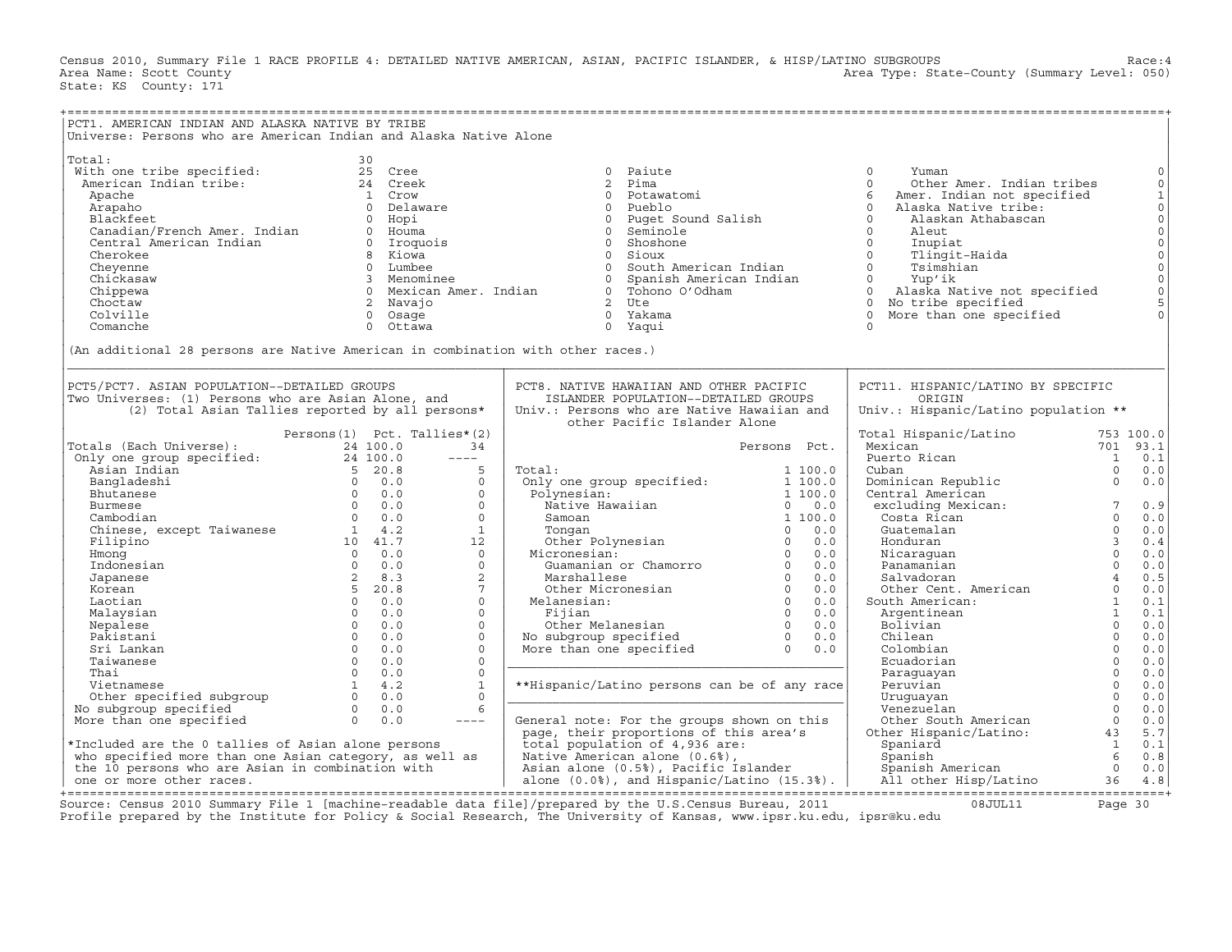Census 2010, Summary File 1 RACE PROFILE 4: DETAILED NATIVE AMERICAN, ASIAN, PACIFIC ISLANDER, & HISP/LATINO SUBGROUPS Race:4<br>Area Name: Scott County (summary Level: 050) Area Type: State-County (Summary Level: 050) State: KS County: 171

| PCT1. AMERICAN INDIAN AND ALASKA NATIVE BY TRIBE                                |                             |                        |                        |                                                  |                       |                                         |                 |                     |
|---------------------------------------------------------------------------------|-----------------------------|------------------------|------------------------|--------------------------------------------------|-----------------------|-----------------------------------------|-----------------|---------------------|
| Universe: Persons who are American Indian and Alaska Native Alone               |                             |                        |                        |                                                  |                       |                                         |                 |                     |
|                                                                                 |                             |                        |                        |                                                  |                       |                                         |                 |                     |
|                                                                                 |                             |                        |                        |                                                  |                       |                                         |                 |                     |
| Total:                                                                          |                             | 30                     |                        |                                                  |                       |                                         |                 |                     |
| With one tribe specified:                                                       |                             | 25 Cree                |                        | $\Omega$<br>Paiute                               |                       | $\Omega$<br>Yuman                       |                 | $\mathbf 0$         |
| American Indian tribe:                                                          |                             | 24 Creek               |                        | $\overline{2}$<br>Pima                           |                       | $\Omega$<br>Other Amer. Indian tribes   |                 | $\mathbf 0$         |
|                                                                                 |                             | 1 Crow                 |                        | $\Omega$<br>Potawatomi                           |                       | 6                                       |                 |                     |
| Apache                                                                          |                             |                        |                        |                                                  |                       | Amer. Indian not specified              |                 | $\mathbf 1$         |
| Arapaho                                                                         |                             | 0 Delaware             |                        | $\circ$<br>Pueblo                                |                       | $\Omega$<br>Alaska Native tribe:        |                 | $\mathsf{O}\xspace$ |
| Blackfeet                                                                       |                             | Hopi<br>$\overline{0}$ |                        | $\circ$<br>Puget Sound Salish                    |                       | $\Omega$<br>Alaskan Athabascan          |                 | $\mathsf{O}\xspace$ |
| Canadian/French Amer. Indian                                                    |                             | 0 Houma                |                        | $\Omega$<br>Seminole                             |                       | $\Omega$<br>Aleut                       |                 | $\mathsf{O}\xspace$ |
| Central American Indian                                                         |                             | 0 Iroquois             |                        | Shoshone<br>$\overline{0}$                       |                       | $\mathbf 0$<br>Inupiat                  |                 | $\mathsf{O}\xspace$ |
| Cherokee                                                                        |                             | 8 Kiowa                |                        | $\Omega$<br>Sioux                                |                       | $\Omega$<br>Tlingit-Haida               |                 | $\circ$             |
| Cheyenne                                                                        |                             | 0 Lumbee               |                        | $\Omega$<br>South American Indian                |                       | $\Omega$<br>Tsimshian                   |                 | $\mathsf{O}$        |
|                                                                                 |                             |                        |                        |                                                  |                       |                                         |                 |                     |
| Chickasaw                                                                       |                             | 3 Menominee            |                        | Spanish American Indian<br>$\circ$               |                       | $0 \qquad \qquad$<br>Yup'ik             |                 | $\mathbb O$         |
| Chippewa                                                                        |                             |                        | 0 Mexican Amer. Indian | 0 Tohono O'Odham                                 |                       | $\Omega$<br>Alaska Native not specified |                 | $\circ$             |
| Choctaw                                                                         |                             | 2 Navajo               |                        | 2 Ute                                            |                       | No tribe specified<br>$\circ$           |                 | 5                   |
| Colville                                                                        |                             | 0 Osage                |                        | 0 Yakama                                         |                       | $\Omega$<br>More than one specified     |                 | $\circ$             |
| Comanche                                                                        |                             | $\Omega$<br>Ottawa     |                        | 0 Yaqui                                          |                       | $\Omega$                                |                 |                     |
|                                                                                 |                             |                        |                        |                                                  |                       |                                         |                 |                     |
| (An additional 28 persons are Native American in combination with other races.) |                             |                        |                        |                                                  |                       |                                         |                 |                     |
|                                                                                 |                             |                        |                        |                                                  |                       |                                         |                 |                     |
|                                                                                 |                             |                        |                        |                                                  |                       |                                         |                 |                     |
|                                                                                 |                             |                        |                        |                                                  |                       |                                         |                 |                     |
| PCT5/PCT7. ASIAN POPULATION--DETAILED GROUPS                                    |                             |                        |                        | PCT8. NATIVE HAWAIIAN AND OTHER PACIFIC          |                       | PCT11. HISPANIC/LATINO BY SPECIFIC      |                 |                     |
| Two Universes: (1) Persons who are Asian Alone, and                             |                             |                        |                        | ISLANDER POPULATION--DETAILED GROUPS             |                       | ORIGIN                                  |                 |                     |
| (2) Total Asian Tallies reported by all persons*                                |                             |                        |                        | Univ.: Persons who are Native Hawaiian and       |                       | Univ.: Hispanic/Latino population **    |                 |                     |
|                                                                                 |                             |                        |                        | other Pacific Islander Alone                     |                       |                                         |                 |                     |
|                                                                                 | Persons(1) Pct. Tallies*(2) |                        |                        |                                                  |                       | Total Hispanic/Latino                   |                 | 753 100.0           |
| Totals (Each Universe):                                                         |                             | 24 100.0               | 34                     |                                                  | Persons Pct.          | Mexican                                 |                 | 701 93.1            |
|                                                                                 |                             |                        |                        |                                                  |                       |                                         |                 |                     |
| Only one group specified:                                                       |                             | 24 100.0               | $\frac{1}{2}$          |                                                  |                       | Puerto Rican                            | $\overline{1}$  | 0.1                 |
| Asian Indian                                                                    |                             | $5\quad 20.8$          | 5                      | Total:                                           | 1 100.0               | Cuban                                   | $\Omega$        | 0.0                 |
| Bangladeshi                                                                     |                             | $0 \t 0.0$             | $\circ$                | Only one group specified:                        | 1 100.0               | Dominican Republic                      | $\mathbf 0$     | 0.0                 |
| Bhutanese                                                                       |                             | $0 \t 0.0$             | $\Omega$               | Polynesian:                                      | 1 100.0               | Central American                        |                 |                     |
| Burmese                                                                         |                             | $0 \t 0.0$             | $\Omega$               | Native Hawaiian                                  | $0 \t 0.0$            | excluding Mexican:                      | $7\phantom{.0}$ | 0.9                 |
| Cambodian                                                                       |                             | $0 \qquad 0.0$         | $\Omega$               | Samoan                                           | 1 100.0               | Costa Rican                             | $\Omega$        | 0.0                 |
|                                                                                 |                             |                        | $\mathbf{1}$           |                                                  | 0.0<br>$\Omega$       | Guatemalan                              | $\Omega$        | 0.0                 |
| Chinese, except Taiwanese 1 4.2<br>Filipino 10 41.7                             |                             |                        |                        | Tonqan                                           |                       |                                         |                 |                     |
|                                                                                 |                             |                        | 12                     | Other Polynesian                                 | $\Omega$<br>0.0       | Honduran                                | $\overline{3}$  | 0.4                 |
| Hmong                                                                           | $0 \t 0.0$                  |                        | $\Omega$               | Micronesian:                                     | $\Omega$<br>0.0       | Nicaraquan                              | $\Omega$        | 0.0                 |
| Indonesian                                                                      |                             | $0 \qquad 0.0$         | $\Omega$               | Guamanian or Chamorro                            | $\Omega$<br>0.0       | Panamanian                              | $\Omega$        | 0.0                 |
| Japanese                                                                        |                             | $2 \t 8.3$             | 2                      | Marshallese                                      | $\Omega$<br>0.0       | Salvadoran                              | $\overline{4}$  | 0.5                 |
| Korean                                                                          |                             | 5 20.8                 | $7\overline{ }$        | Other Micronesian                                | $\Omega$<br>0.0       | Other Cent. American                    | $\Omega$        | 0.0                 |
| Laotian                                                                         |                             | $0 \t 0.0$             | $\mathbf{0}$           | Melanesian:                                      | $\overline{0}$<br>0.0 | South American:                         | $\mathbf{1}$    | 0.1                 |
|                                                                                 | $\Omega$                    | 0.0                    | $\Omega$               | Fijian                                           | $\overline{0}$<br>0.0 | Argentinean                             | <sup>1</sup>    | 0.1                 |
| Malaysian                                                                       | $\Omega$                    | 0.0                    | $\Omega$               | Other Melanesian                                 | $\overline{0}$<br>0.0 |                                         | $\Omega$        | 0.0                 |
| Nepalese                                                                        |                             |                        |                        |                                                  |                       | Bolivian                                |                 |                     |
| Pakistani                                                                       | $\Omega$                    | 0.0                    | $\Omega$               | No subgroup specified                            | $\overline{0}$<br>0.0 | Chilean                                 | $\Omega$        | 0.0                 |
| Sri Lankan                                                                      | $\Omega$                    | 0.0                    | $\Omega$               | More than one specified                          | $\Omega$<br>0.0       | Colombian                               | $\Omega$        | 0.0                 |
| Taiwanese                                                                       | $\overline{0}$              | 0.0                    | $\circ$                |                                                  |                       | Ecuadorian                              | $\Omega$        | 0.0                 |
| Thai                                                                            | $\Omega$                    | 0.0                    | $\Omega$               |                                                  |                       | Paraguayan                              | $\Omega$        | 0.0                 |
| Vietnamese                                                                      | 1                           | 4.2                    | $\mathbf{1}$           | **Hispanic/Latino persons can be of any race     |                       | Peruvian                                | $\Omega$        | 0.0                 |
| Other specified subgroup                                                        | $\Omega$                    | 0.0                    | $\Omega$               |                                                  |                       | Uruquayan                               | $\Omega$        | 0.0                 |
|                                                                                 | $\Omega$                    | 0.0                    | 6                      |                                                  |                       | Venezuelan                              | $\Omega$        | $0.0$               |
| No subgroup specified                                                           |                             |                        |                        |                                                  |                       |                                         |                 |                     |
| More than one specified                                                         | $\Omega$                    | 0.0                    | $---$                  | General note: For the groups shown on this       |                       | Other South American                    | $\Omega$        | 0.0                 |
|                                                                                 |                             |                        |                        | page, their proportions of this area's           |                       | Other Hispanic/Latino:                  | 43              | 5.7                 |
| *Included are the 0 tallies of Asian alone persons                              |                             |                        |                        | total population of 4,936 are:                   |                       | Spaniard                                | $\mathbf{1}$    | 0.1                 |
| who specified more than one Asian category, as well as                          |                             |                        |                        | Native American alone (0.6%),                    |                       | Spanish                                 | 6               | 0.8                 |
| the 10 persons who are Asian in combination with                                |                             |                        |                        | Asian alone (0.5%), Pacific Islander             |                       | Spanish American                        | $\Omega$        | 0.0                 |
| one or more other races.                                                        |                             |                        |                        | alone $(0.0%)$ , and Hispanic/Latino $(15.3%)$ . |                       | All other Hisp/Latino                   | 36              | 4.8                 |
|                                                                                 |                             |                        |                        |                                                  |                       |                                         |                 |                     |

+===================================================================================================================================================+Source: Census 2010 Summary File 1 [machine−readable data file]/prepared by the U.S.Census Bureau, 2011 08JUL11 Page 30 Profile prepared by the Institute for Policy & Social Research, The University of Kansas, www.ipsr.ku.edu, ipsr@ku.edu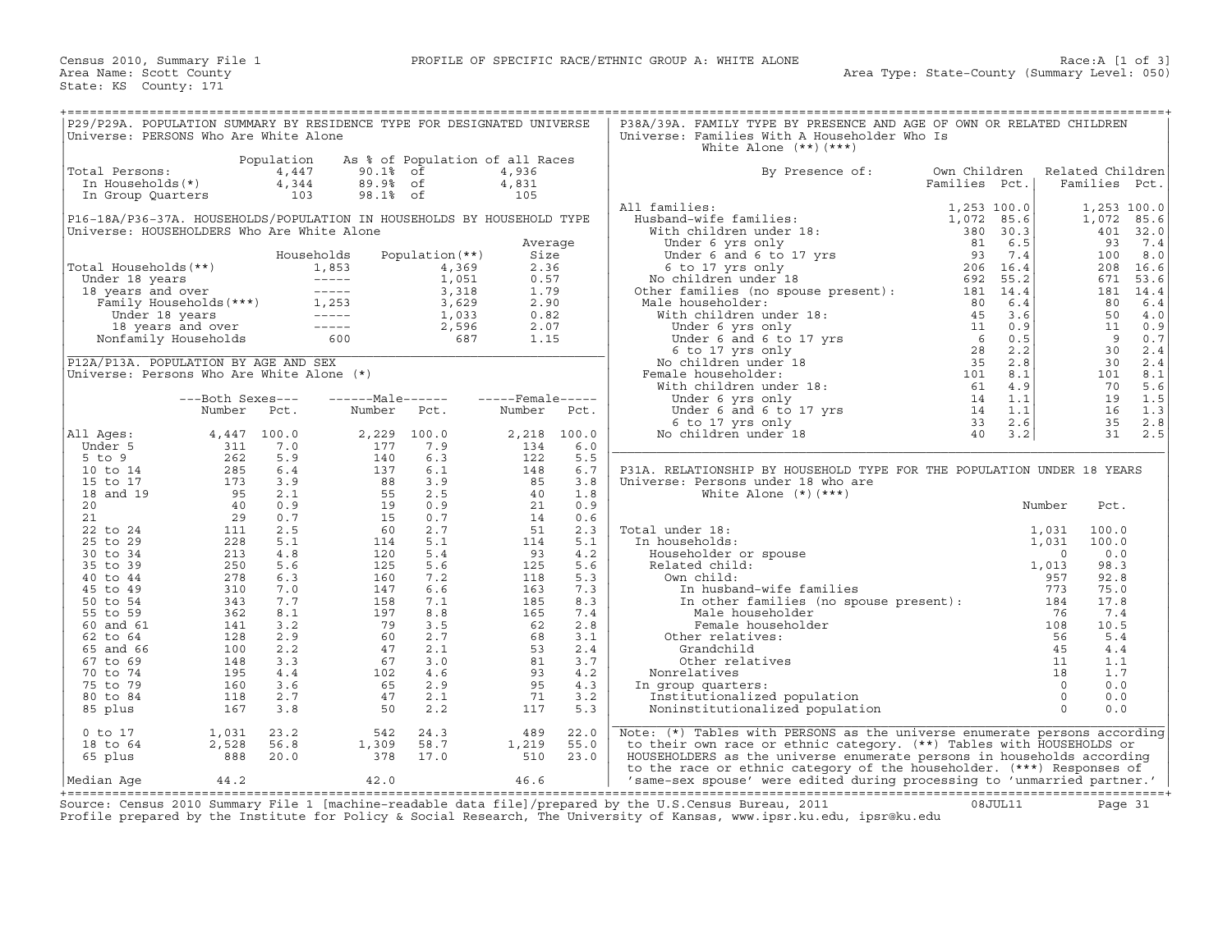| P29/P29A. POPULATION SUMMARY BY RESIDENCE TYPE FOR DESIGNATED UNIVERSE |                                                                                                            |                     |                                                                                                                                                                                                                                                          |                                 |                              |             | P38A/39A. FAMILY TYPE BY PRESENCE AND AGE OF OWN OR RELATED CHILDREN                                                                                                                                                                                                                                                                                                                                                                    |               |                |                           |                  |
|------------------------------------------------------------------------|------------------------------------------------------------------------------------------------------------|---------------------|----------------------------------------------------------------------------------------------------------------------------------------------------------------------------------------------------------------------------------------------------------|---------------------------------|------------------------------|-------------|-----------------------------------------------------------------------------------------------------------------------------------------------------------------------------------------------------------------------------------------------------------------------------------------------------------------------------------------------------------------------------------------------------------------------------------------|---------------|----------------|---------------------------|------------------|
| Universe: PERSONS Who Are White Alone                                  |                                                                                                            |                     |                                                                                                                                                                                                                                                          |                                 |                              |             | Universe: Families With A Householder Who Is<br>White Alone $(**)$ $(***)$                                                                                                                                                                                                                                                                                                                                                              |               |                |                           |                  |
| Total Persons:                                                         |                                                                                                            | Population<br>4,447 | 90.1% of                                                                                                                                                                                                                                                 | As % of Population of all Races | 4,936                        |             | By Presence of:                                                                                                                                                                                                                                                                                                                                                                                                                         | Own Children  |                | Related Children          |                  |
| 'otal Persons:<br>In Households(*)<br>In Group Ouarters                |                                                                                                            | 4,344               | 89.9% of                                                                                                                                                                                                                                                 |                                 | 4,831                        |             |                                                                                                                                                                                                                                                                                                                                                                                                                                         | Families Pct. |                | Families Pct.             |                  |
| In Group Quarters                                                      |                                                                                                            | 103                 | 98.1% of                                                                                                                                                                                                                                                 |                                 | 105                          |             | $\begin{tabular}{ll} \textbf{All families:} & \textbf{1} & \textbf{1} & \textbf{1} & \textbf{1} & \textbf{1} & \textbf{1} & \textbf{1} & \textbf{1} & \textbf{1} & \textbf{1} & \textbf{1} & \textbf{1} & \textbf{1} & \textbf{1} & \textbf{1} & \textbf{1} & \textbf{1} & \textbf{1} & \textbf{1} & \textbf{1} & \textbf{1} & \textbf{1} & \textbf{1} & \textbf{1} & \textbf{1} & \textbf{1} & \textbf{1} & \textbf{1} & \textbf{1} &$ |               |                |                           |                  |
| P16-18A/P36-37A. HOUSEHOLDS/POPULATION IN HOUSEHOLDS BY HOUSEHOLD TYPE |                                                                                                            |                     |                                                                                                                                                                                                                                                          |                                 |                              |             | All families:                                                                                                                                                                                                                                                                                                                                                                                                                           |               |                | 1,253 100.0<br>1,072 85.6 |                  |
| Universe: HOUSEHOLDERS Who Are White Alone                             |                                                                                                            |                     |                                                                                                                                                                                                                                                          |                                 |                              |             |                                                                                                                                                                                                                                                                                                                                                                                                                                         |               |                | 401                       | 32.0             |
|                                                                        |                                                                                                            |                     |                                                                                                                                                                                                                                                          |                                 | Average                      |             |                                                                                                                                                                                                                                                                                                                                                                                                                                         |               |                | 93                        | 7.4              |
|                                                                        |                                                                                                            |                     | Households                                                                                                                                                                                                                                               | Population (**)                 | Size                         |             |                                                                                                                                                                                                                                                                                                                                                                                                                                         |               |                | 100                       | 8.0              |
| Total Households (**)                                                  |                                                                                                            |                     | Votal Households (**)<br>Under 18 years<br>1,853 (1,853)<br>1,853 (1,051)<br>1,951 (1,051)<br>1,953 (1,051)<br>Family Households (***)<br>Under 18 years<br>1,253 (1,033)<br>1,033 (18 years and over<br>1,033<br>18 years and over<br>1,033<br>16 years |                                 | 2.36<br>0.57                 |             |                                                                                                                                                                                                                                                                                                                                                                                                                                         |               |                | 671                       | 208 16.6<br>53.6 |
|                                                                        |                                                                                                            |                     |                                                                                                                                                                                                                                                          |                                 | 1.79                         |             |                                                                                                                                                                                                                                                                                                                                                                                                                                         |               |                |                           | 181 14.4         |
|                                                                        |                                                                                                            |                     |                                                                                                                                                                                                                                                          |                                 | 2.90                         |             |                                                                                                                                                                                                                                                                                                                                                                                                                                         |               |                | 80                        | 6.4              |
|                                                                        |                                                                                                            |                     |                                                                                                                                                                                                                                                          |                                 | 0.82                         |             |                                                                                                                                                                                                                                                                                                                                                                                                                                         |               |                | 50                        | 4.0              |
|                                                                        |                                                                                                            |                     |                                                                                                                                                                                                                                                          |                                 | 2.07<br>1.15                 |             |                                                                                                                                                                                                                                                                                                                                                                                                                                         |               |                | 11<br>- 9                 | 0.9<br>0.7       |
|                                                                        |                                                                                                            |                     |                                                                                                                                                                                                                                                          |                                 |                              |             |                                                                                                                                                                                                                                                                                                                                                                                                                                         |               |                | 30                        | 2.4              |
| P12A/P13A. POPULATION BY AGE AND SEX                                   |                                                                                                            |                     |                                                                                                                                                                                                                                                          |                                 |                              |             |                                                                                                                                                                                                                                                                                                                                                                                                                                         |               |                | 30                        | 2.4              |
| Universe: Persons Who Are White Alone (*)                              |                                                                                                            |                     |                                                                                                                                                                                                                                                          |                                 |                              |             |                                                                                                                                                                                                                                                                                                                                                                                                                                         |               |                | 101                       | 8.1              |
|                                                                        |                                                                                                            |                     |                                                                                                                                                                                                                                                          |                                 |                              |             |                                                                                                                                                                                                                                                                                                                                                                                                                                         |               |                | 70                        | 5.6              |
|                                                                        | ---Both Sexes---<br>Number Pct.                                                                            |                     | ------Male------<br>Number                                                                                                                                                                                                                               | Pct.                            | $---$ Female -----<br>Number | Pct.        |                                                                                                                                                                                                                                                                                                                                                                                                                                         |               |                | 19<br>16                  | 1.5<br>1.3       |
|                                                                        |                                                                                                            |                     |                                                                                                                                                                                                                                                          |                                 |                              |             |                                                                                                                                                                                                                                                                                                                                                                                                                                         |               |                | 35                        | 2.8              |
| All Ages:                                                              | 4,447 100.0                                                                                                |                     | 2,229                                                                                                                                                                                                                                                    | 100.0                           |                              | 2,218 100.0 |                                                                                                                                                                                                                                                                                                                                                                                                                                         |               |                | 31                        | 2.5              |
| Under 5                                                                |                                                                                                            | 7.0                 | 177                                                                                                                                                                                                                                                      | 7.9                             | 134                          | 6.0         |                                                                                                                                                                                                                                                                                                                                                                                                                                         |               |                |                           |                  |
| $5$ to $9$<br>10 to 14                                                 |                                                                                                            | 5.9<br>6.4          | 140                                                                                                                                                                                                                                                      | 6.3<br>6.1                      | 122<br>148                   | 5.5<br>6.7  | P31A. RELATIONSHIP BY HOUSEHOLD TYPE FOR THE POPULATION UNDER 18 YEARS                                                                                                                                                                                                                                                                                                                                                                  |               |                |                           |                  |
| 15 to 17                                                               |                                                                                                            | 3.9                 |                                                                                                                                                                                                                                                          | 3.9                             | 85                           | 3.8         | Universe: Persons under 18 who are                                                                                                                                                                                                                                                                                                                                                                                                      |               |                |                           |                  |
| 18 and 19                                                              |                                                                                                            | 2.1                 |                                                                                                                                                                                                                                                          | 2.5                             | 40                           | 1.8         | White Alone $(*)$ $(***)$                                                                                                                                                                                                                                                                                                                                                                                                               |               |                |                           |                  |
| 20                                                                     | $\begin{array}{r} 711 \\ 311 \\ 262 \\ 285 \\ 173 \\ 95 \\ 40 \\ 23 \end{array}$<br>$\frac{2}{111}$<br>22P | 0.9                 | $\begin{array}{r} 137 \\ 137 \\ 88 \\ 55 \\ 19 \\ 16 \end{array}$                                                                                                                                                                                        | 0.9                             | 21                           | 0.9         |                                                                                                                                                                                                                                                                                                                                                                                                                                         |               | Number         | Pct.                      |                  |
| 21                                                                     |                                                                                                            | 0.7                 |                                                                                                                                                                                                                                                          | 0.7                             | 14                           | 0.6         | nder 18:<br>useholds:<br>seholder or spouse<br>ated child:<br>wn child:<br>In husband-wife families<br>In other families (no spouse present):<br>"<br>and householder"                                                                                                                                                                                                                                                                  |               |                |                           |                  |
| 22 to 24<br>25 to 29                                                   |                                                                                                            | 2.5<br>5.1          | 60<br>114                                                                                                                                                                                                                                                | 2.7<br>5.1                      | 51<br>114                    | 2.3<br>5.1  | Total under 18:<br>In households:                                                                                                                                                                                                                                                                                                                                                                                                       |               | 1,031<br>1,031 | 100.0<br>100.0            |                  |
| 30 to 34                                                               |                                                                                                            | 4.8                 | 120                                                                                                                                                                                                                                                      | 5.4                             | 93                           | 4.2         | Householder or spouse                                                                                                                                                                                                                                                                                                                                                                                                                   |               | $\Omega$       | 0.0                       |                  |
| 35 to 39                                                               | $\begin{array}{c}\n \stackrel{\sim}{2} \\  31 \downarrow \\  343 \\  36 \end{array}$                       | 5.6                 | 125                                                                                                                                                                                                                                                      | 5.6                             | 125                          | 5.6         | Related child:                                                                                                                                                                                                                                                                                                                                                                                                                          |               | 1,013          | 98.3                      |                  |
| 40 to 44                                                               |                                                                                                            | 6.3                 | 160                                                                                                                                                                                                                                                      | 7.2                             | 118                          | 5.3         | Own child:                                                                                                                                                                                                                                                                                                                                                                                                                              |               | 957            | 92.8                      |                  |
| 45 to 49                                                               |                                                                                                            | 7.0<br>7.7          | 147<br>158                                                                                                                                                                                                                                               | 6.6<br>7.1                      | 163<br>185                   | 7.3<br>8.3  |                                                                                                                                                                                                                                                                                                                                                                                                                                         |               | 773<br>184     | 75.0<br>17.8              |                  |
| 50 to 54<br>55 to 59                                                   |                                                                                                            | 8.1                 | 197                                                                                                                                                                                                                                                      | 8.8                             | 165                          | 7.4         | Male householder                                                                                                                                                                                                                                                                                                                                                                                                                        |               | 76             | 7.4                       |                  |
| 60 and 61                                                              | 141                                                                                                        | 3.2                 | 79                                                                                                                                                                                                                                                       | 3.5                             | 62                           | 2.8         | Female householder                                                                                                                                                                                                                                                                                                                                                                                                                      |               | 108            | 10.5                      |                  |
| 62 to 64                                                               | 128                                                                                                        | 2.9                 | 60                                                                                                                                                                                                                                                       | 2.7                             | 68                           | 3.1         | Other relatives:                                                                                                                                                                                                                                                                                                                                                                                                                        |               | 56             | 5.4                       |                  |
| 65 and 66                                                              | 100                                                                                                        | 2.2                 | 47                                                                                                                                                                                                                                                       | 2.1                             | 53                           | 2.4         | Grandchild                                                                                                                                                                                                                                                                                                                                                                                                                              |               | 45             | 4.4                       |                  |
| 67 to 69<br>70 to 74                                                   | 148<br>195                                                                                                 | 3.3<br>4.4          | 67<br>102                                                                                                                                                                                                                                                | 3.0<br>4.6                      | 81<br>93                     | 3.7<br>4.2  | Other relatives<br>Nonrelatives                                                                                                                                                                                                                                                                                                                                                                                                         |               | 11<br>18       | 1.1<br>1.7                |                  |
| 75 to 79                                                               | 160                                                                                                        | 3.6                 | 65                                                                                                                                                                                                                                                       | 2.9                             | 95                           | 4.3         | In group quarters:                                                                                                                                                                                                                                                                                                                                                                                                                      |               | $\bigcirc$     | 0.0                       |                  |
| 80 to 84                                                               | 118                                                                                                        | 2.7                 | 47                                                                                                                                                                                                                                                       | 2.1                             | 71                           | 3.2         | Institutionalized population                                                                                                                                                                                                                                                                                                                                                                                                            |               | $\Omega$       | 0.0                       |                  |
| 85 plus                                                                | $\frac{1}{167}$                                                                                            | 3.8                 | 50                                                                                                                                                                                                                                                       | 2.2                             | 117                          | 5.3         | Noninstitutionalized population                                                                                                                                                                                                                                                                                                                                                                                                         |               | $\Omega$       | 0.0                       |                  |
| $0$ to $17$                                                            | 1,031                                                                                                      | 23.2                | 542                                                                                                                                                                                                                                                      | 24.3                            | 489                          | 22.0        | Note: (*) Tables with PERSONS as the universe enumerate persons according                                                                                                                                                                                                                                                                                                                                                               |               |                |                           |                  |
| 18 to 64                                                               | $2,520$<br>888                                                                                             | 56.8                | 1,309<br>378                                                                                                                                                                                                                                             | 58.7                            | 1,219                        | 55.0        | to their own race or ethnic category. (**) Tables with HOUSEHOLDS or                                                                                                                                                                                                                                                                                                                                                                    |               |                |                           |                  |
| 65 plus                                                                |                                                                                                            | 20.0                |                                                                                                                                                                                                                                                          | 17.0                            | 510                          | 23.0        | HOUSEHOLDERS as the universe enumerate persons in households according                                                                                                                                                                                                                                                                                                                                                                  |               |                |                           |                  |
| Median Aqe                                                             | 44.2                                                                                                       |                     | 42.0                                                                                                                                                                                                                                                     |                                 | 46.6                         |             | to the race or ethnic category of the householder. (***) Responses of<br>'same-sex spouse' were edited during processing to 'unmarried partner.'                                                                                                                                                                                                                                                                                        |               |                |                           |                  |

+===================================================================================================================================================+Source: Census 2010 Summary File 1 [machine−readable data file]/prepared by the U.S.Census Bureau, 2011 08JUL11 Page 31 Profile prepared by the Institute for Policy & Social Research, The University of Kansas, www.ipsr.ku.edu, ipsr@ku.edu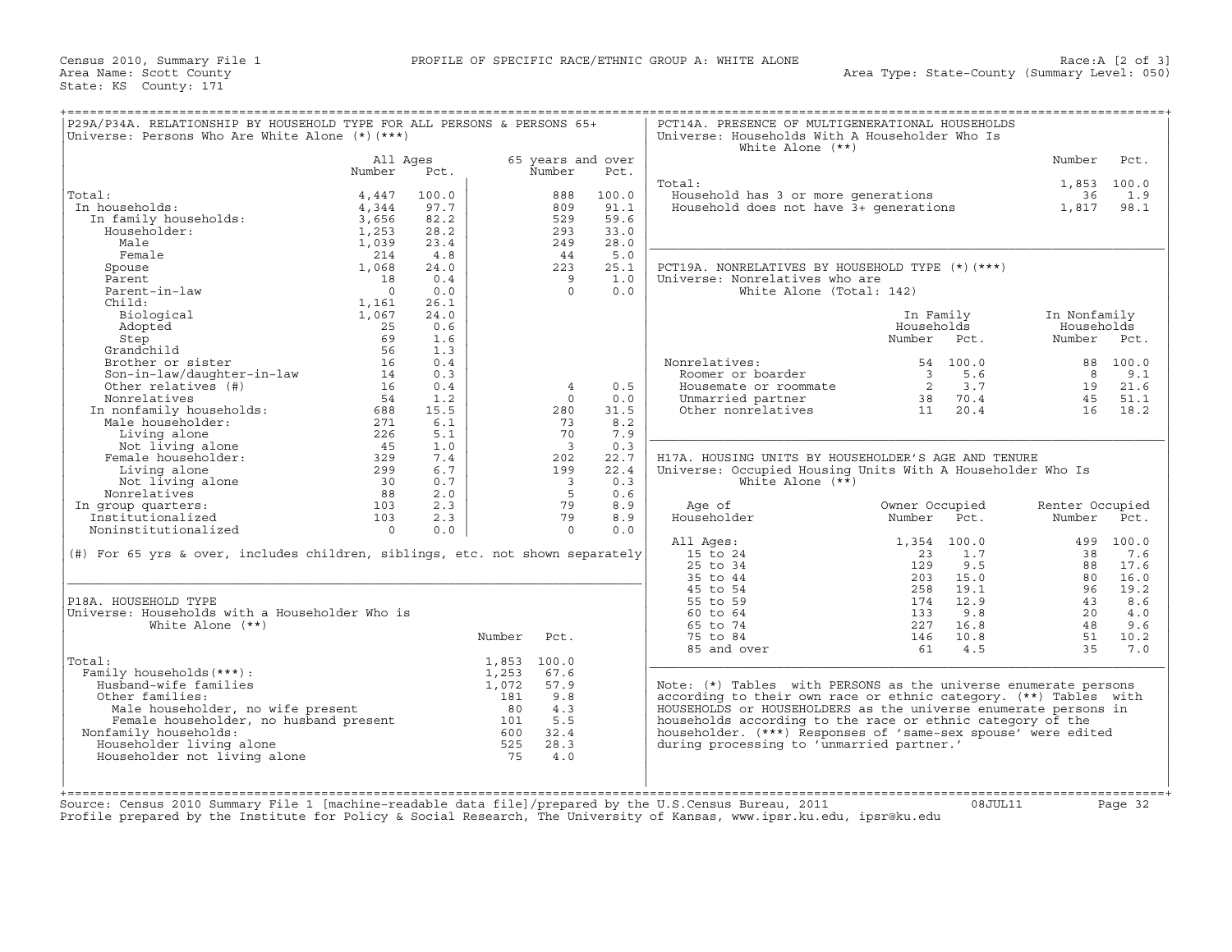Census 2010, Summary File 1 **PROFILE OF SPECIFIC RACE/ETHNIC GROUP A: WHITE ALONE** Area Name: Scott County State: KS County: 171

| P29A/P34A. RELATIONSHIP BY HOUSEHOLD TYPE FOR ALL PERSONS & PERSONS 65+<br>Universe: Persons Who Are White Alone (*) (***)                                                                                                                         |                |       |             |                         |                   | PCT14A. PRESENCE OF MULTIGENERATIONAL HOUSEHOLDS<br>Universe: Households With A Householder Who Is<br>White Alone $(**)$ |                   |                                                                  |                 |           |
|----------------------------------------------------------------------------------------------------------------------------------------------------------------------------------------------------------------------------------------------------|----------------|-------|-------------|-------------------------|-------------------|--------------------------------------------------------------------------------------------------------------------------|-------------------|------------------------------------------------------------------|-----------------|-----------|
|                                                                                                                                                                                                                                                    | All Ages       |       |             |                         | 65 years and over |                                                                                                                          |                   |                                                                  | Number          | Pct.      |
|                                                                                                                                                                                                                                                    | Number         | Pct.  |             | Number                  | Pct.              |                                                                                                                          |                   |                                                                  |                 |           |
|                                                                                                                                                                                                                                                    |                |       |             |                         |                   | Total:                                                                                                                   |                   |                                                                  | 1,853 100.0     |           |
| Total:                                                                                                                                                                                                                                             | 4,447          | 100.0 |             | 888                     | 100.0             | Household has 3 or more generations 36<br>Household does not have 3+ generations 1,817                                   |                   |                                                                  |                 | 1.9       |
| In households:                                                                                                                                                                                                                                     | 4,344          | 97.7  |             | 809                     | 91.1              |                                                                                                                          |                   |                                                                  |                 | 98.1      |
| In family households:<br>Householder:                                                                                                                                                                                                              | 3,656          | 82.2  |             | 529                     | 59.6              |                                                                                                                          |                   |                                                                  |                 |           |
| Householder:                                                                                                                                                                                                                                       | 1,253          | 28.2  |             | 293                     | 33.0              |                                                                                                                          |                   |                                                                  |                 |           |
| Male                                                                                                                                                                                                                                               | 1,039          | 23.4  |             | 249                     | 28.0              |                                                                                                                          |                   |                                                                  |                 |           |
| Female                                                                                                                                                                                                                                             | 214            | 4.8   |             | 44                      | 5.0               |                                                                                                                          |                   |                                                                  |                 |           |
| Spouse                                                                                                                                                                                                                                             | 1,068          | 24.0  |             | 223                     | 25.1              | PCT19A. NONRELATIVES BY HOUSEHOLD TYPE (*) (***)                                                                         |                   |                                                                  |                 |           |
| Parent                                                                                                                                                                                                                                             | 18             | 0.4   |             | - 9                     | 1.0               | Universe: Nonrelatives who are                                                                                           |                   |                                                                  |                 |           |
| Parent-in-law                                                                                                                                                                                                                                      | $\bigcap$      | 0.0   |             | $\Omega$                | 0.0               | White Alone (Total: 142)                                                                                                 |                   |                                                                  |                 |           |
| Child:                                                                                                                                                                                                                                             | 1,161          | 26.1  |             |                         |                   |                                                                                                                          |                   |                                                                  |                 |           |
| Biological                                                                                                                                                                                                                                         | 1,067          | 24.0  |             |                         |                   |                                                                                                                          | In Family         |                                                                  | In Nonfamily    |           |
| Adopted                                                                                                                                                                                                                                            | 25             | 0.6   |             |                         |                   |                                                                                                                          | Households        |                                                                  | Households      |           |
| Step                                                                                                                                                                                                                                               | 69             | 1.6   |             |                         |                   |                                                                                                                          | Number Pct.       |                                                                  | Number Pct.     |           |
| Grandchild                                                                                                                                                                                                                                         | 56             | 1.3   |             |                         |                   |                                                                                                                          |                   |                                                                  |                 |           |
| Brother or sister                                                                                                                                                                                                                                  | 16             | 0.4   |             |                         |                   | Nonrelatives:                                                                                                            |                   | 54 100.0                                                         |                 | 88 100.0  |
| Son-in-law/daughter-in-law 14<br>Other relatives (#) 16                                                                                                                                                                                            |                | 0.3   |             |                         |                   | Roomer or boarder                                                                                                        |                   | $\begin{array}{ccc} 3 & 5.6 \\ 2 & 3.7 \\ 38 & 70.4 \end{array}$ |                 | 8 9.1     |
|                                                                                                                                                                                                                                                    |                | 0.4   |             | $\overline{4}$          | 0.5               | Housemate or roommate                                                                                                    |                   |                                                                  |                 | 19 21.6   |
|                                                                                                                                                                                                                                                    |                | 1.2   |             | $\Omega$                | 0.0               | Unmarried partner                                                                                                        |                   |                                                                  | 45              | 51.1      |
|                                                                                                                                                                                                                                                    |                | 15.5  |             | 280                     | 31.5              | Other nonrelatives                                                                                                       | 11 20.4           |                                                                  |                 | 16 18.2   |
|                                                                                                                                                                                                                                                    |                | 6.1   |             | 73                      | 8.2               |                                                                                                                          |                   |                                                                  |                 |           |
|                                                                                                                                                                                                                                                    |                | 5.1   |             | 70                      | 7.9               |                                                                                                                          |                   |                                                                  |                 |           |
|                                                                                                                                                                                                                                                    |                | 1.0   |             | $\overline{\mathbf{3}}$ | 0.3               |                                                                                                                          |                   |                                                                  |                 |           |
| Son-in-law/daught-1<br>Con-in-law/daught-1<br>Other relatives (#)<br>Nonrelatives 54<br>In nonfamily households: 688<br>Male householder: 271<br>Living alone 226<br>Not living alone 45<br>Female householder: 329<br>Living alone 299<br>Mot liv |                | 7.4   |             | 202                     | 22.7              | H17A. HOUSING UNITS BY HOUSEHOLDER'S AGE AND TENURE                                                                      |                   |                                                                  |                 |           |
|                                                                                                                                                                                                                                                    |                | 6.7   |             | 199                     | 22.4              | Universe: Occupied Housing Units With A Householder Who Is                                                               |                   |                                                                  |                 |           |
|                                                                                                                                                                                                                                                    |                | 0.7   |             | $\overline{\mathbf{3}}$ | 0.3               | White Alone $(**)$                                                                                                       |                   |                                                                  |                 |           |
|                                                                                                                                                                                                                                                    |                | 2.0   |             | $5^{\circ}$             | 0.6               |                                                                                                                          |                   |                                                                  |                 |           |
| In group quarters:                                                                                                                                                                                                                                 | 103            | 2.3   |             | 79                      | 8.9               | Age of                                                                                                                   | Owner Occupied    |                                                                  | Renter Occupied |           |
| Institutionalized                                                                                                                                                                                                                                  | 103            | 2.3   |             | 79                      | 8.9               | Householder                                                                                                              | Number Pct.       |                                                                  | Number Pct.     |           |
| Noninstitutionalized                                                                                                                                                                                                                               | $\overline{0}$ | 0.0   |             | $\circ$                 | 0.0               |                                                                                                                          |                   |                                                                  |                 |           |
|                                                                                                                                                                                                                                                    |                |       |             |                         |                   | All Ages:                                                                                                                |                   | 1,354 100.0                                                      |                 | 499 100.0 |
| (#) For 65 yrs & over, includes children, siblings, etc. not shown separately                                                                                                                                                                      |                |       |             |                         |                   | 15 to 24                                                                                                                 | 23                | 1.7                                                              | 38              | 7.6       |
|                                                                                                                                                                                                                                                    |                |       |             |                         |                   | $25$ to $34$                                                                                                             | 129               | 9.5                                                              | 88              | 17.6      |
|                                                                                                                                                                                                                                                    |                |       |             |                         |                   | 35 to 44                                                                                                                 | 203               | 15.0                                                             | 80              | 16.0      |
|                                                                                                                                                                                                                                                    |                |       |             |                         |                   | 45 to 54                                                                                                                 | 258<br>174<br>133 | 19.1                                                             | 96              | 19.2      |
| P18A. HOUSEHOLD TYPE                                                                                                                                                                                                                               |                |       |             |                         |                   | 55 to 59                                                                                                                 |                   | 12.9                                                             | 43              | 8.6       |
| Universe: Households with a Householder Who is                                                                                                                                                                                                     |                |       |             |                         |                   | 60 to 64                                                                                                                 | 133               | 9.8                                                              | 20              | 4.0       |
| White Alone $(**)$                                                                                                                                                                                                                                 |                |       |             |                         |                   | 65 to 74                                                                                                                 | 227               | 16.8                                                             | 48              | 9.6       |
|                                                                                                                                                                                                                                                    |                |       | Number      | Pct.                    |                   | 75 to 84                                                                                                                 | 146               | 10.8                                                             | 51              | 10.2      |
|                                                                                                                                                                                                                                                    |                |       |             |                         |                   | 85 and over                                                                                                              | 61                | 4.5                                                              | 3.5             | 7.0       |
| Total:                                                                                                                                                                                                                                             |                |       | 1,853 100.0 |                         |                   |                                                                                                                          |                   |                                                                  |                 |           |
| Family households (***) :                                                                                                                                                                                                                          |                |       | 1,253       | 67.6                    |                   |                                                                                                                          |                   |                                                                  |                 |           |
| Husband-wife families                                                                                                                                                                                                                              |                |       | 1,072       | 57.9                    |                   | Note: (*) Tables with PERSONS as the universe enumerate persons                                                          |                   |                                                                  |                 |           |
| Other families:                                                                                                                                                                                                                                    |                |       | 181         | 9.8                     |                   | according to their own race or ethnic category. (**) Tables with                                                         |                   |                                                                  |                 |           |
|                                                                                                                                                                                                                                                    |                |       |             |                         |                   | HOUSEHOLDS or HOUSEHOLDERS as the universe enumerate persons in                                                          |                   |                                                                  |                 |           |
| %181 9.8<br>Male householder, no wife present<br>Female householder, no husband present<br>family households: 101 5.5<br>ouseholder living alone 525 28.3<br>ouseholder not living alone 525 28.3<br>ouseholder not living alone 525 4.0           |                |       |             |                         |                   | households according to the race or ethnic category of the                                                               |                   |                                                                  |                 |           |
| Nonfamily households:                                                                                                                                                                                                                              |                |       |             |                         |                   | householder. (***) Responses of 'same-sex spouse' were edited                                                            |                   |                                                                  |                 |           |
| Householder living alone                                                                                                                                                                                                                           |                |       |             |                         |                   | during processing to 'unmarried partner.'                                                                                |                   |                                                                  |                 |           |
| Householder not living alone                                                                                                                                                                                                                       |                |       | 75          | 4.0                     |                   |                                                                                                                          |                   |                                                                  |                 |           |
|                                                                                                                                                                                                                                                    |                |       |             |                         |                   |                                                                                                                          |                   |                                                                  |                 |           |
|                                                                                                                                                                                                                                                    |                |       |             |                         |                   |                                                                                                                          |                   |                                                                  |                 |           |
|                                                                                                                                                                                                                                                    |                |       |             |                         |                   |                                                                                                                          |                   |                                                                  |                 |           |
| Source: Census 2010 Summary File 1 [machine-readable data file]/prepared by the U.S.Census Bureau, 2011                                                                                                                                            |                |       |             |                         |                   |                                                                                                                          |                   | 08JUL11                                                          |                 | Page 32   |
| Profile prepared by the Institute for Policy & Social Research, The University of Kansas, www.ipsr.ku.edu, ipsr@ku.edu                                                                                                                             |                |       |             |                         |                   |                                                                                                                          |                   |                                                                  |                 |           |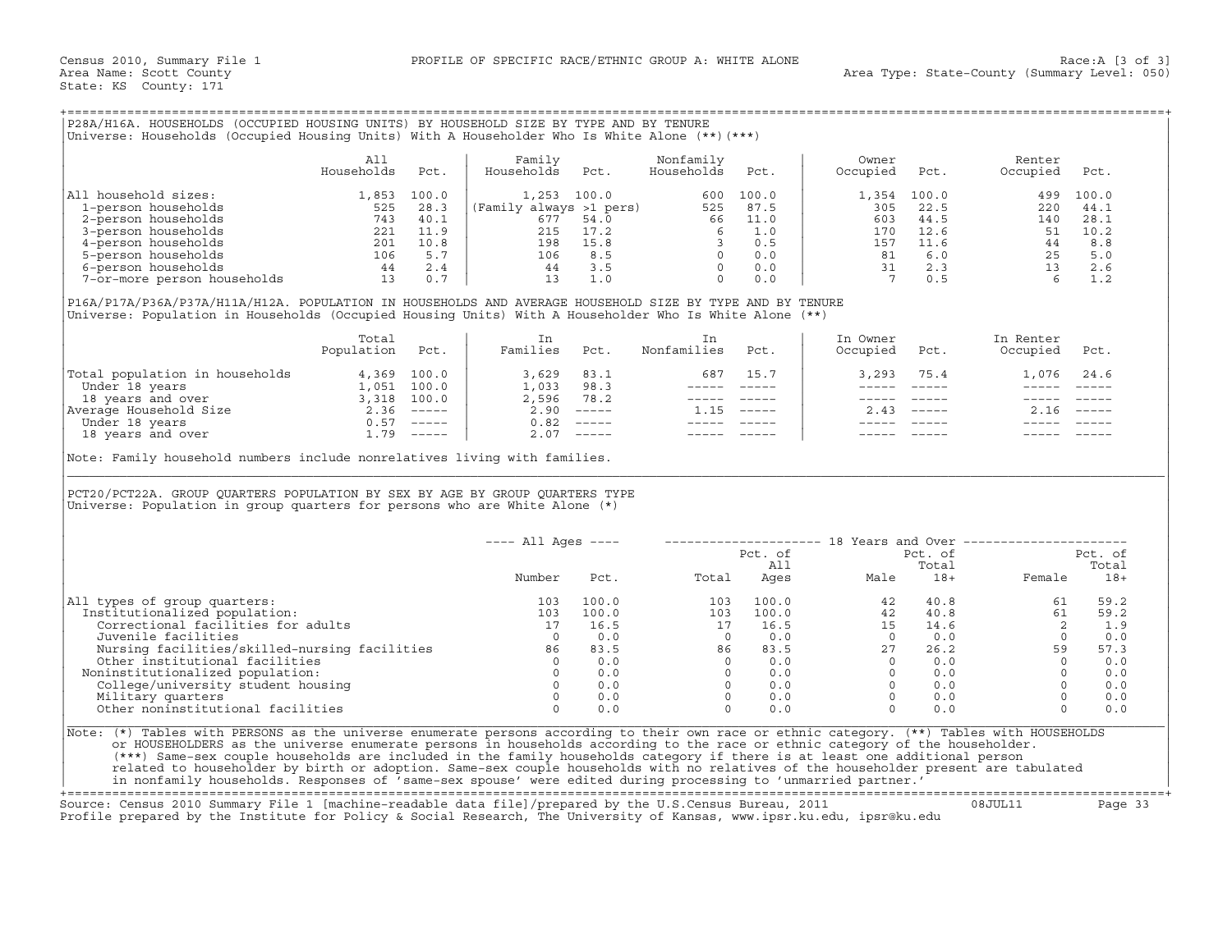## +===================================================================================================================================================+

|                             | All<br>Households | Pct.  | Family<br>Households    | Pct.  | Nonfamily<br>Households | Pct.  | Owner<br>Occupied | Pct.  | Renter<br>Occupied | Pct.  |
|-----------------------------|-------------------|-------|-------------------------|-------|-------------------------|-------|-------------------|-------|--------------------|-------|
| All household sizes:        | 1,853             | 100.0 | 1,253                   | 100.0 | 600                     | 100.0 | 1,354             | 100.0 | 499                | 100.0 |
| 1-person households         | 525               | 28.3  | (Family always >1 pers) |       | 525                     | 87.5  | 305               | 22.5  | 220                | 44.1  |
| 2-person households         | 743               | 40.1  | 677                     | 54.0  | 66                      | 11.0  | 603               | 44.5  | 140                | 28.1  |
| 3-person households         | 221               | 11.9  |                         | 17.2  |                         | 1.0   | 170               | 12.6  | 51                 | 10.2  |
| 4-person households         | 201               | 10.8  | 198                     | 15.8  |                         | 0.5   | 157               | 11.6  | 44                 | 8.8   |
| 5-person households         | 106               | 5.7   | 106                     | 8.5   |                         | 0.0   | 81                | 6.0   | 25                 | 5.0   |
| 6-person households         | 44                | 2.4   | 44                      | 3.5   |                         | 0.0   | 31                | 2.3   |                    | 2.6   |
| 7-or-more person households |                   | 0.7   |                         |       |                         | 0.0   |                   | 0.5   |                    |       |

|                                | Total<br>Population | Pct.     | Families | Pct.                                                                                                                                                                                                                                                                                                                                                                                                                                                                                 | Nonfamilies | Pct.          | In Owner<br>Occupied | Pct.          | In Renter<br>Occupied | Pct.                      |
|--------------------------------|---------------------|----------|----------|--------------------------------------------------------------------------------------------------------------------------------------------------------------------------------------------------------------------------------------------------------------------------------------------------------------------------------------------------------------------------------------------------------------------------------------------------------------------------------------|-------------|---------------|----------------------|---------------|-----------------------|---------------------------|
| Total population in households | 4,369               | 100.0    | 3,629    | 83.1                                                                                                                                                                                                                                                                                                                                                                                                                                                                                 | 687         | 15.7          | 3,293                | 75.4          |                       | 1,076 24.6                |
| Under 18 years                 | ⊥,051               | 100.0    | 1,033    | 98.3                                                                                                                                                                                                                                                                                                                                                                                                                                                                                 |             |               |                      |               |                       |                           |
| 18 years and over              | 3,318               | 100.0    | 2,596    | 78.2                                                                                                                                                                                                                                                                                                                                                                                                                                                                                 |             |               |                      |               |                       |                           |
| Average Household Size         | 2.36                | $------$ | 2.90     | $\qquad \qquad - - - - -$                                                                                                                                                                                                                                                                                                                                                                                                                                                            | 1.15        | $- - - - - -$ | 2.43                 | $- - - - - -$ |                       | $\qquad \qquad - - - - -$ |
| Under 18 years                 | 0.57                | $------$ | 0.82     | $\begin{tabular}{cccccc} \multicolumn{2}{c}{} & \multicolumn{2}{c}{} & \multicolumn{2}{c}{} & \multicolumn{2}{c}{} & \multicolumn{2}{c}{} & \multicolumn{2}{c}{} & \multicolumn{2}{c}{} & \multicolumn{2}{c}{} & \multicolumn{2}{c}{} & \multicolumn{2}{c}{} & \multicolumn{2}{c}{} & \multicolumn{2}{c}{} & \multicolumn{2}{c}{} & \multicolumn{2}{c}{} & \multicolumn{2}{c}{} & \multicolumn{2}{c}{} & \multicolumn{2}{c}{} & \multicolumn{2}{c}{} & \multicolumn{2}{c}{} & \mult$ |             |               |                      |               |                       |                           |
| 18 years and over              | .79                 | $------$ | 2.07     | $------$                                                                                                                                                                                                                                                                                                                                                                                                                                                                             |             |               |                      |               |                       |                           |

| P28A/H16A. HOUSEHOLDS (OCCUPIED HOUSING UNITS) BY HOUSEHOLD SIZE BY TYPE AND BY TENURE<br>Universe: Households (Occupied Housing Units) With A Householder Who Is White Alone (**) (***)                                                                                                                                                                                                                                                                                                                                                                                                                                                                         |                   |       |                                                                                                                                                              |                                                                       |                                                                                                                                                                                                                                                                                                                                                                                                                                                                                 |                                                                                                              |                                                                                                                                                                                                                                                                                                        |                                                                                                                                                                                                                                                                                                                                                                                              |                                                                                                                                                                                                                                                                                                                                                                                              |                |
|------------------------------------------------------------------------------------------------------------------------------------------------------------------------------------------------------------------------------------------------------------------------------------------------------------------------------------------------------------------------------------------------------------------------------------------------------------------------------------------------------------------------------------------------------------------------------------------------------------------------------------------------------------------|-------------------|-------|--------------------------------------------------------------------------------------------------------------------------------------------------------------|-----------------------------------------------------------------------|---------------------------------------------------------------------------------------------------------------------------------------------------------------------------------------------------------------------------------------------------------------------------------------------------------------------------------------------------------------------------------------------------------------------------------------------------------------------------------|--------------------------------------------------------------------------------------------------------------|--------------------------------------------------------------------------------------------------------------------------------------------------------------------------------------------------------------------------------------------------------------------------------------------------------|----------------------------------------------------------------------------------------------------------------------------------------------------------------------------------------------------------------------------------------------------------------------------------------------------------------------------------------------------------------------------------------------|----------------------------------------------------------------------------------------------------------------------------------------------------------------------------------------------------------------------------------------------------------------------------------------------------------------------------------------------------------------------------------------------|----------------|
|                                                                                                                                                                                                                                                                                                                                                                                                                                                                                                                                                                                                                                                                  | All<br>Households | Pct.  | Family<br>Households                                                                                                                                         | Pct.                                                                  | Nonfamily<br>Households                                                                                                                                                                                                                                                                                                                                                                                                                                                         | Pct.                                                                                                         | Owner<br>Occupied                                                                                                                                                                                                                                                                                      | Pct.                                                                                                                                                                                                                                                                                                                                                                                         | Renter<br>Occupied                                                                                                                                                                                                                                                                                                                                                                           | Pct.           |
| All household sizes:                                                                                                                                                                                                                                                                                                                                                                                                                                                                                                                                                                                                                                             | 1,853             | 100.0 | 1,253 100.0 600 100.0<br>(Family always >1 pers) 525 87.5<br>677 54.0 66 11.0<br>215 17.2 6 1.0<br>196 15.8<br>106 8.5 0 0.0<br>44 3.5 0 0.0<br>13 1.0 0 0.0 |                                                                       |                                                                                                                                                                                                                                                                                                                                                                                                                                                                                 |                                                                                                              | 1,354                                                                                                                                                                                                                                                                                                  | 100.0                                                                                                                                                                                                                                                                                                                                                                                        | 499                                                                                                                                                                                                                                                                                                                                                                                          | 100.0          |
|                                                                                                                                                                                                                                                                                                                                                                                                                                                                                                                                                                                                                                                                  |                   |       |                                                                                                                                                              |                                                                       |                                                                                                                                                                                                                                                                                                                                                                                                                                                                                 |                                                                                                              | 305                                                                                                                                                                                                                                                                                                    | 22.5                                                                                                                                                                                                                                                                                                                                                                                         | 220                                                                                                                                                                                                                                                                                                                                                                                          | 44.1           |
|                                                                                                                                                                                                                                                                                                                                                                                                                                                                                                                                                                                                                                                                  |                   |       |                                                                                                                                                              |                                                                       |                                                                                                                                                                                                                                                                                                                                                                                                                                                                                 |                                                                                                              | 603                                                                                                                                                                                                                                                                                                    | 44.5                                                                                                                                                                                                                                                                                                                                                                                         | 140                                                                                                                                                                                                                                                                                                                                                                                          | 28.1           |
|                                                                                                                                                                                                                                                                                                                                                                                                                                                                                                                                                                                                                                                                  |                   |       |                                                                                                                                                              |                                                                       |                                                                                                                                                                                                                                                                                                                                                                                                                                                                                 |                                                                                                              | 170                                                                                                                                                                                                                                                                                                    | 12.6                                                                                                                                                                                                                                                                                                                                                                                         | 51                                                                                                                                                                                                                                                                                                                                                                                           | 10.2           |
|                                                                                                                                                                                                                                                                                                                                                                                                                                                                                                                                                                                                                                                                  |                   |       |                                                                                                                                                              |                                                                       |                                                                                                                                                                                                                                                                                                                                                                                                                                                                                 |                                                                                                              | 157                                                                                                                                                                                                                                                                                                    | 11.6                                                                                                                                                                                                                                                                                                                                                                                         |                                                                                                                                                                                                                                                                                                                                                                                              | 8.8            |
|                                                                                                                                                                                                                                                                                                                                                                                                                                                                                                                                                                                                                                                                  |                   |       |                                                                                                                                                              |                                                                       |                                                                                                                                                                                                                                                                                                                                                                                                                                                                                 |                                                                                                              | 81                                                                                                                                                                                                                                                                                                     | 6.0                                                                                                                                                                                                                                                                                                                                                                                          |                                                                                                                                                                                                                                                                                                                                                                                              | 5.0            |
|                                                                                                                                                                                                                                                                                                                                                                                                                                                                                                                                                                                                                                                                  |                   |       |                                                                                                                                                              |                                                                       |                                                                                                                                                                                                                                                                                                                                                                                                                                                                                 |                                                                                                              |                                                                                                                                                                                                                                                                                                        | 31 2.3                                                                                                                                                                                                                                                                                                                                                                                       |                                                                                                                                                                                                                                                                                                                                                                                              | 2.6            |
| 1 noise<br>1 noise<br>1 noise<br>2 -person households<br>2 -person households<br>3 -person households<br>525 28.3<br>201 11.9<br>221 11.9<br>201 10.8<br>5-person households<br>5.7<br>6 -person households<br>7 -or-more person households<br>7 - 0.7                                                                                                                                                                                                                                                                                                                                                                                                           |                   |       |                                                                                                                                                              |                                                                       |                                                                                                                                                                                                                                                                                                                                                                                                                                                                                 |                                                                                                              | $7\overline{7}$                                                                                                                                                                                                                                                                                        | 0.5                                                                                                                                                                                                                                                                                                                                                                                          | $\begin{array}{c} 44 \\ 25 \\ 13 \\ 6 \end{array}$                                                                                                                                                                                                                                                                                                                                           | 1.2            |
| P16A/P17A/P36A/P37A/H11A/H12A. POPULATION IN HOUSEHOLDS AND AVERAGE HOUSEHOLD SIZE BY TYPE AND BY TENURE<br>Universe: Population in Households (Occupied Housing Units) With A Householder Who Is White Alone (**)                                                                                                                                                                                                                                                                                                                                                                                                                                               |                   |       |                                                                                                                                                              |                                                                       |                                                                                                                                                                                                                                                                                                                                                                                                                                                                                 |                                                                                                              |                                                                                                                                                                                                                                                                                                        |                                                                                                                                                                                                                                                                                                                                                                                              |                                                                                                                                                                                                                                                                                                                                                                                              |                |
|                                                                                                                                                                                                                                                                                                                                                                                                                                                                                                                                                                                                                                                                  | Total             |       | In                                                                                                                                                           |                                                                       | In                                                                                                                                                                                                                                                                                                                                                                                                                                                                              |                                                                                                              | In Owner                                                                                                                                                                                                                                                                                               |                                                                                                                                                                                                                                                                                                                                                                                              | In Renter                                                                                                                                                                                                                                                                                                                                                                                    |                |
|                                                                                                                                                                                                                                                                                                                                                                                                                                                                                                                                                                                                                                                                  | Population Pct.   |       | Families Pct.                                                                                                                                                |                                                                       | Nonfamilies                                                                                                                                                                                                                                                                                                                                                                                                                                                                     | Pct.                                                                                                         | Occupied Pct.                                                                                                                                                                                                                                                                                          |                                                                                                                                                                                                                                                                                                                                                                                              | Occupied Pct.                                                                                                                                                                                                                                                                                                                                                                                |                |
| Total population in households<br>Under 18 years 1,051 100.0<br>18 years and over<br>18 years and over 3,318 100.0<br>Nerage Household Size 2.36 -----<br>Under 18 years and over 1.79 -----<br>18 years and over 1.79 -----                                                                                                                                                                                                                                                                                                                                                                                                                                     |                   |       | $3,629$<br>$1,033$<br>$98.3$<br>$2,596$<br>$78.2$<br>$2.90$<br>-----                                                                                         |                                                                       |                                                                                                                                                                                                                                                                                                                                                                                                                                                                                 | 687 15.7                                                                                                     | 3,293                                                                                                                                                                                                                                                                                                  | 75.4                                                                                                                                                                                                                                                                                                                                                                                         | 1,076 24.6                                                                                                                                                                                                                                                                                                                                                                                   |                |
|                                                                                                                                                                                                                                                                                                                                                                                                                                                                                                                                                                                                                                                                  |                   |       |                                                                                                                                                              |                                                                       |                                                                                                                                                                                                                                                                                                                                                                                                                                                                                 | ----- -----                                                                                                  | $\frac{1}{2}$                                                                                                                                                                                                                                                                                          | $\frac{1}{2} \frac{1}{2} \frac{1}{2} \frac{1}{2} \frac{1}{2} \frac{1}{2} \frac{1}{2} \frac{1}{2} \frac{1}{2} \frac{1}{2} \frac{1}{2} \frac{1}{2} \frac{1}{2} \frac{1}{2} \frac{1}{2} \frac{1}{2} \frac{1}{2} \frac{1}{2} \frac{1}{2} \frac{1}{2} \frac{1}{2} \frac{1}{2} \frac{1}{2} \frac{1}{2} \frac{1}{2} \frac{1}{2} \frac{1}{2} \frac{1}{2} \frac{1}{2} \frac{1}{2} \frac{1}{2} \frac{$ | $\frac{1}{2} \frac{1}{2} \frac{1}{2} \frac{1}{2} \frac{1}{2} \frac{1}{2} \frac{1}{2} \frac{1}{2} \frac{1}{2} \frac{1}{2} \frac{1}{2} \frac{1}{2} \frac{1}{2} \frac{1}{2} \frac{1}{2} \frac{1}{2} \frac{1}{2} \frac{1}{2} \frac{1}{2} \frac{1}{2} \frac{1}{2} \frac{1}{2} \frac{1}{2} \frac{1}{2} \frac{1}{2} \frac{1}{2} \frac{1}{2} \frac{1}{2} \frac{1}{2} \frac{1}{2} \frac{1}{2} \frac{$ |                |
|                                                                                                                                                                                                                                                                                                                                                                                                                                                                                                                                                                                                                                                                  |                   |       |                                                                                                                                                              |                                                                       |                                                                                                                                                                                                                                                                                                                                                                                                                                                                                 | $\begin{array}{cccccc} - & - & - & - & - & - & - \\ & - & - & - & - & - \\ & & - & - & - & - \\ \end{array}$ | $------$                                                                                                                                                                                                                                                                                               | $\qquad \qquad - - - - -$                                                                                                                                                                                                                                                                                                                                                                    | ----- -----                                                                                                                                                                                                                                                                                                                                                                                  |                |
|                                                                                                                                                                                                                                                                                                                                                                                                                                                                                                                                                                                                                                                                  |                   |       |                                                                                                                                                              |                                                                       | $1.15$ -----                                                                                                                                                                                                                                                                                                                                                                                                                                                                    |                                                                                                              |                                                                                                                                                                                                                                                                                                        | $2.43$ -----                                                                                                                                                                                                                                                                                                                                                                                 | $2.16$ -----                                                                                                                                                                                                                                                                                                                                                                                 |                |
|                                                                                                                                                                                                                                                                                                                                                                                                                                                                                                                                                                                                                                                                  |                   |       | $0.82$ -----                                                                                                                                                 |                                                                       |                                                                                                                                                                                                                                                                                                                                                                                                                                                                                 | ______________                                                                                               | $\frac{1}{2}$                                                                                                                                                                                                                                                                                          |                                                                                                                                                                                                                                                                                                                                                                                              |                                                                                                                                                                                                                                                                                                                                                                                              |                |
|                                                                                                                                                                                                                                                                                                                                                                                                                                                                                                                                                                                                                                                                  |                   |       |                                                                                                                                                              | $2.07$ -----                                                          | $\begin{tabular}{lllllllllll} \multicolumn{2}{l}{} & \multicolumn{2}{l}{} & \multicolumn{2}{l}{} & \multicolumn{2}{l}{} & \multicolumn{2}{l}{} & \multicolumn{2}{l}{} & \multicolumn{2}{l}{} & \multicolumn{2}{l}{} & \multicolumn{2}{l}{} & \multicolumn{2}{l}{} & \multicolumn{2}{l}{} & \multicolumn{2}{l}{} & \multicolumn{2}{l}{} & \multicolumn{2}{l}{} & \multicolumn{2}{l}{} & \multicolumn{2}{l}{} & \multicolumn{2}{l}{} & \multicolumn{2}{l}{} & \multicolumn{2}{l}$ |                                                                                                              |                                                                                                                                                                                                                                                                                                        |                                                                                                                                                                                                                                                                                                                                                                                              |                                                                                                                                                                                                                                                                                                                                                                                              |                |
| PCT20/PCT22A. GROUP QUARTERS POPULATION BY SEX BY AGE BY GROUP QUARTERS TYPE<br>Universe: Population in group quarters for persons who are White Alone $(*)$                                                                                                                                                                                                                                                                                                                                                                                                                                                                                                     |                   |       |                                                                                                                                                              |                                                                       |                                                                                                                                                                                                                                                                                                                                                                                                                                                                                 |                                                                                                              |                                                                                                                                                                                                                                                                                                        |                                                                                                                                                                                                                                                                                                                                                                                              |                                                                                                                                                                                                                                                                                                                                                                                              |                |
|                                                                                                                                                                                                                                                                                                                                                                                                                                                                                                                                                                                                                                                                  |                   |       | $---$ All Ages $---$                                                                                                                                         |                                                                       |                                                                                                                                                                                                                                                                                                                                                                                                                                                                                 |                                                                                                              |                                                                                                                                                                                                                                                                                                        |                                                                                                                                                                                                                                                                                                                                                                                              | -------------------- 18 Years and Over ----------------------                                                                                                                                                                                                                                                                                                                                |                |
|                                                                                                                                                                                                                                                                                                                                                                                                                                                                                                                                                                                                                                                                  |                   |       |                                                                                                                                                              |                                                                       |                                                                                                                                                                                                                                                                                                                                                                                                                                                                                 | Pct. of                                                                                                      |                                                                                                                                                                                                                                                                                                        | Pct. of                                                                                                                                                                                                                                                                                                                                                                                      |                                                                                                                                                                                                                                                                                                                                                                                              | Pct. of        |
|                                                                                                                                                                                                                                                                                                                                                                                                                                                                                                                                                                                                                                                                  |                   |       | Number                                                                                                                                                       | Pct.                                                                  | Total                                                                                                                                                                                                                                                                                                                                                                                                                                                                           | All                                                                                                          | AII<br>Ages Male                                                                                                                                                                                                                                                                                       | Total<br>$18+$                                                                                                                                                                                                                                                                                                                                                                               | Female                                                                                                                                                                                                                                                                                                                                                                                       | Total<br>$18+$ |
| All types of group quarters:                                                                                                                                                                                                                                                                                                                                                                                                                                                                                                                                                                                                                                     |                   |       | 103                                                                                                                                                          | 100.0                                                                 | 103                                                                                                                                                                                                                                                                                                                                                                                                                                                                             | 100.0                                                                                                        | 42                                                                                                                                                                                                                                                                                                     | 40.8                                                                                                                                                                                                                                                                                                                                                                                         | 61                                                                                                                                                                                                                                                                                                                                                                                           | 59.2           |
| Institutionalized population:                                                                                                                                                                                                                                                                                                                                                                                                                                                                                                                                                                                                                                    |                   |       | 103                                                                                                                                                          | 100.0                                                                 |                                                                                                                                                                                                                                                                                                                                                                                                                                                                                 |                                                                                                              |                                                                                                                                                                                                                                                                                                        |                                                                                                                                                                                                                                                                                                                                                                                              | 61                                                                                                                                                                                                                                                                                                                                                                                           | 59.2           |
| Correctional facilities for adults                                                                                                                                                                                                                                                                                                                                                                                                                                                                                                                                                                                                                               |                   |       | 17                                                                                                                                                           | 16.5                                                                  |                                                                                                                                                                                                                                                                                                                                                                                                                                                                                 |                                                                                                              |                                                                                                                                                                                                                                                                                                        |                                                                                                                                                                                                                                                                                                                                                                                              |                                                                                                                                                                                                                                                                                                                                                                                              | 1.9            |
| Juvenile facilities                                                                                                                                                                                                                                                                                                                                                                                                                                                                                                                                                                                                                                              |                   |       | $\overline{0}$                                                                                                                                               | 0.0                                                                   |                                                                                                                                                                                                                                                                                                                                                                                                                                                                                 |                                                                                                              |                                                                                                                                                                                                                                                                                                        |                                                                                                                                                                                                                                                                                                                                                                                              | $\begin{array}{c} 2 \\ 0 \\ 59 \end{array}$                                                                                                                                                                                                                                                                                                                                                  | 0.0            |
| Nursing facilities/skilled-nursing facilities<br>Other institutional facilities                                                                                                                                                                                                                                                                                                                                                                                                                                                                                                                                                                                  |                   |       |                                                                                                                                                              | 83.5                                                                  |                                                                                                                                                                                                                                                                                                                                                                                                                                                                                 |                                                                                                              |                                                                                                                                                                                                                                                                                                        |                                                                                                                                                                                                                                                                                                                                                                                              |                                                                                                                                                                                                                                                                                                                                                                                              | 57.3           |
| Other institutional facilities                                                                                                                                                                                                                                                                                                                                                                                                                                                                                                                                                                                                                                   |                   |       |                                                                                                                                                              |                                                                       |                                                                                                                                                                                                                                                                                                                                                                                                                                                                                 |                                                                                                              |                                                                                                                                                                                                                                                                                                        |                                                                                                                                                                                                                                                                                                                                                                                              | $\overline{0}$                                                                                                                                                                                                                                                                                                                                                                               | 0.0            |
| Noninstitutionalized population:                                                                                                                                                                                                                                                                                                                                                                                                                                                                                                                                                                                                                                 |                   |       |                                                                                                                                                              |                                                                       |                                                                                                                                                                                                                                                                                                                                                                                                                                                                                 |                                                                                                              |                                                                                                                                                                                                                                                                                                        |                                                                                                                                                                                                                                                                                                                                                                                              | $\overline{0}$                                                                                                                                                                                                                                                                                                                                                                               | 0.0            |
| College/university student housing                                                                                                                                                                                                                                                                                                                                                                                                                                                                                                                                                                                                                               |                   |       |                                                                                                                                                              | $\begin{bmatrix} 0 & 0.0 \ 0 & 0.0 \ 0 & 0.0 \ 0 & 0.0 \end{bmatrix}$ |                                                                                                                                                                                                                                                                                                                                                                                                                                                                                 |                                                                                                              |                                                                                                                                                                                                                                                                                                        |                                                                                                                                                                                                                                                                                                                                                                                              | $\overline{0}$                                                                                                                                                                                                                                                                                                                                                                               | 0.0            |
| Military quarters                                                                                                                                                                                                                                                                                                                                                                                                                                                                                                                                                                                                                                                |                   |       |                                                                                                                                                              |                                                                       |                                                                                                                                                                                                                                                                                                                                                                                                                                                                                 |                                                                                                              | $\begin{array}{cccc} 103 & 100.0 & 42 & 40.8 \\ 103 & 100.0 & 42 & 40.8 \\ 17 & 16.5 & 15 & 14.6 \\ 0 & 0.0 & 0 & 0 & 0.0 \\ 86 & 83.5 & 27 & 26.2 \\ 0 & 0.0 & 0 & 0 & 0.0 \\ 0 & 0.0 & 0 & 0 & 0.0 \\ 0 & 0.0 & 0 & 0 & 0.0 \\ 0 & 0.0 & 0 & 0 & 0.0 \\ 0 & 0.0 & 0 & 0 & 0.0 \\ 0 & 0.0 & 0 & 0 & $ |                                                                                                                                                                                                                                                                                                                                                                                              | $\Omega$                                                                                                                                                                                                                                                                                                                                                                                     | 0.0            |
| Other noninstitutional facilities                                                                                                                                                                                                                                                                                                                                                                                                                                                                                                                                                                                                                                |                   |       | $\Omega$                                                                                                                                                     | 0.0                                                                   | $\overline{a}$                                                                                                                                                                                                                                                                                                                                                                                                                                                                  | 0.0                                                                                                          | $\overline{0}$                                                                                                                                                                                                                                                                                         | 0.0                                                                                                                                                                                                                                                                                                                                                                                          | $\Omega$                                                                                                                                                                                                                                                                                                                                                                                     | 0.0            |
| Note: (*) Tables with PERSONS as the universe enumerate persons according to their own race or ethnic category. (**) Tables with HOUSEHOLDS<br>or HOUSEHOLDERS as the universe enumerate persons in households according to the race or ethnic category of the householder.<br>(***) Same-sex couple households are included in the family households category if there is at least one additional person<br>related to householder by birth or adoption. Same-sex couple households with no relatives of the householder present are tabulated<br>in nonfamily households. Responses of 'same-sex spouse' were edited during processing to 'unmarried partner.' |                   |       |                                                                                                                                                              |                                                                       |                                                                                                                                                                                                                                                                                                                                                                                                                                                                                 |                                                                                                              |                                                                                                                                                                                                                                                                                                        |                                                                                                                                                                                                                                                                                                                                                                                              |                                                                                                                                                                                                                                                                                                                                                                                              |                |

+===================================================================================================================================================+ Source: Census 2010 Summary File 1 [machine−readable data file]/prepared by the U.S.Census Bureau, 2011 08JUL11 Page 33 Profile prepared by the Institute for Policy & Social Research, The University of Kansas, www.ipsr.ku.edu, ipsr@ku.edu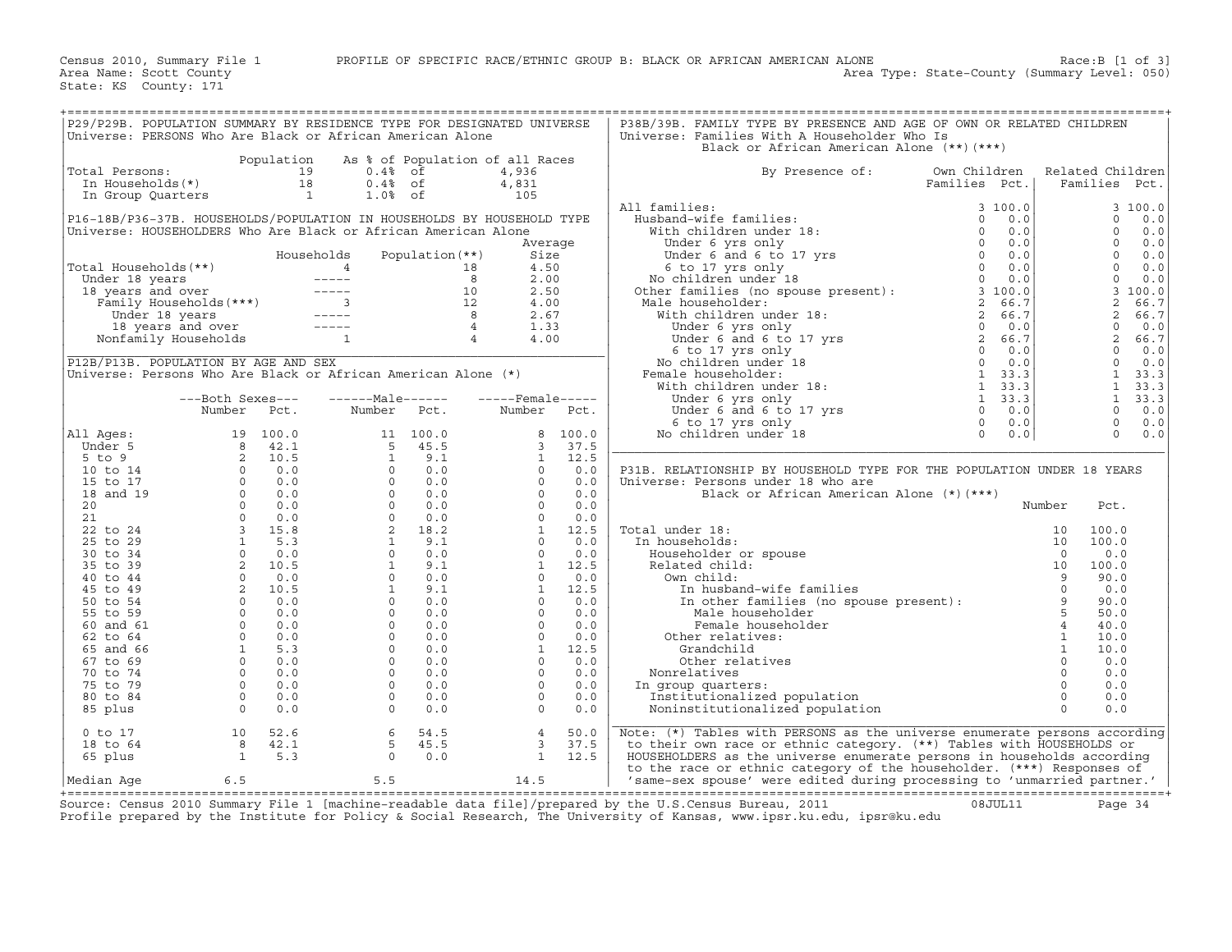| P29/P29B. POPULATION SUMMARY BY RESIDENCE TYPE FOR DESIGNATED UNIVERSE                                                                                                                                                                               |                                                  |            |                                 |                 |                                                                                                                                                                                                                                                                                                                       |         | P38B/39B. FAMILY TYPE BY PRESENCE AND AGE OF OWN OR RELATED CHILDREN                                                                                                                                                                                                                                                                                                                                                                                                          |               |              |                      |
|------------------------------------------------------------------------------------------------------------------------------------------------------------------------------------------------------------------------------------------------------|--------------------------------------------------|------------|---------------------------------|-----------------|-----------------------------------------------------------------------------------------------------------------------------------------------------------------------------------------------------------------------------------------------------------------------------------------------------------------------|---------|-------------------------------------------------------------------------------------------------------------------------------------------------------------------------------------------------------------------------------------------------------------------------------------------------------------------------------------------------------------------------------------------------------------------------------------------------------------------------------|---------------|--------------|----------------------|
| Universe: PERSONS Who Are Black or African American Alone                                                                                                                                                                                            |                                                  |            |                                 |                 |                                                                                                                                                                                                                                                                                                                       |         | Universe: Families With A Householder Who Is                                                                                                                                                                                                                                                                                                                                                                                                                                  |               |              |                      |
|                                                                                                                                                                                                                                                      |                                                  |            |                                 |                 |                                                                                                                                                                                                                                                                                                                       |         | Black or African American Alone (**)(***)                                                                                                                                                                                                                                                                                                                                                                                                                                     |               |              |                      |
|                                                                                                                                                                                                                                                      |                                                  | Population | As % of Population of all Races |                 |                                                                                                                                                                                                                                                                                                                       |         |                                                                                                                                                                                                                                                                                                                                                                                                                                                                               |               |              |                      |
| Total Persons:                                                                                                                                                                                                                                       |                                                  |            | $0.4%$ of                       |                 | 4,936                                                                                                                                                                                                                                                                                                                 |         | By Presence of:                                                                                                                                                                                                                                                                                                                                                                                                                                                               | Own Children  |              | Related Children     |
| otal Persons: 19<br>In Households(*) 18<br>In Group Quarters 1                                                                                                                                                                                       |                                                  |            | $0.4%$ of                       |                 | 4,831                                                                                                                                                                                                                                                                                                                 |         |                                                                                                                                                                                                                                                                                                                                                                                                                                                                               | Families Pct. |              | Families<br>Pct.     |
|                                                                                                                                                                                                                                                      |                                                  |            | $1.0%$ of                       |                 | 105                                                                                                                                                                                                                                                                                                                   |         |                                                                                                                                                                                                                                                                                                                                                                                                                                                                               |               |              |                      |
|                                                                                                                                                                                                                                                      |                                                  |            |                                 |                 |                                                                                                                                                                                                                                                                                                                       |         | All families:                                                                                                                                                                                                                                                                                                                                                                                                                                                                 | 3100.0        |              | 3 100.0              |
|                                                                                                                                                                                                                                                      |                                                  |            |                                 |                 |                                                                                                                                                                                                                                                                                                                       |         |                                                                                                                                                                                                                                                                                                                                                                                                                                                                               |               |              | $\Omega$             |
| P16-18B/P36-37B. HOUSEHOLDS/POPULATION IN HOUSEHOLDS BY HOUSEHOLD TYPE<br>Universe: HOUSEHOLDERS Who Are Black or African American Alone                                                                                                             |                                                  |            |                                 |                 |                                                                                                                                                                                                                                                                                                                       |         |                                                                                                                                                                                                                                                                                                                                                                                                                                                                               |               |              | 0.0<br>$\Omega$      |
|                                                                                                                                                                                                                                                      |                                                  |            |                                 |                 |                                                                                                                                                                                                                                                                                                                       |         |                                                                                                                                                                                                                                                                                                                                                                                                                                                                               |               |              | 0.0<br>$\Omega$      |
|                                                                                                                                                                                                                                                      |                                                  |            |                                 |                 | Average                                                                                                                                                                                                                                                                                                               |         |                                                                                                                                                                                                                                                                                                                                                                                                                                                                               |               |              | 0.0<br>$\Omega$      |
|                                                                                                                                                                                                                                                      |                                                  |            | Households                      | Population (**) | Size                                                                                                                                                                                                                                                                                                                  |         |                                                                                                                                                                                                                                                                                                                                                                                                                                                                               |               |              | 0.0                  |
|                                                                                                                                                                                                                                                      |                                                  |            |                                 |                 | 4.50                                                                                                                                                                                                                                                                                                                  |         |                                                                                                                                                                                                                                                                                                                                                                                                                                                                               |               |              | $\Omega$<br>0.0      |
|                                                                                                                                                                                                                                                      |                                                  |            |                                 |                 | 2.00                                                                                                                                                                                                                                                                                                                  |         |                                                                                                                                                                                                                                                                                                                                                                                                                                                                               |               |              | $\mathbf 0$<br>0.0   |
|                                                                                                                                                                                                                                                      |                                                  |            |                                 |                 | 2.50                                                                                                                                                                                                                                                                                                                  |         |                                                                                                                                                                                                                                                                                                                                                                                                                                                                               |               |              | 3 100.0              |
|                                                                                                                                                                                                                                                      |                                                  |            |                                 |                 | 4.00                                                                                                                                                                                                                                                                                                                  |         |                                                                                                                                                                                                                                                                                                                                                                                                                                                                               |               |              | 2<br>66.7            |
|                                                                                                                                                                                                                                                      |                                                  |            |                                 |                 | 2.67                                                                                                                                                                                                                                                                                                                  |         |                                                                                                                                                                                                                                                                                                                                                                                                                                                                               |               |              | 2<br>66.7            |
|                                                                                                                                                                                                                                                      |                                                  |            |                                 |                 | 1.33                                                                                                                                                                                                                                                                                                                  |         |                                                                                                                                                                                                                                                                                                                                                                                                                                                                               |               |              | $\mathbf 0$<br>0.0   |
| Total Households (**)<br>Under 18 years<br>18 years and over<br>Family Households (***)<br>Under 18 years and over<br>Family Households (***)<br>12<br>Under 18 years and over<br>18 years and over<br>18 years and over<br>Nonfamily Households<br> |                                                  |            |                                 |                 | 4.00                                                                                                                                                                                                                                                                                                                  |         | $\begin{tabular}{ll} \textbf{All families:} & \textbf{3 100.0} \\ \textbf{Hushand-wife families:} & \textbf{0 & 0.0} \\ \textbf{With children under 18:} & \textbf{0 & 0.0} \\ \textbf{Under 6 yrs only} & \textbf{0 & 0.0} \\ \textbf{Under 6 and 6 to 17 yrs} & \textbf{0 & 0.0} \\ \textbf{So to 17 yrs only} & \textbf{0 & 0.0} \\ \textbf{No children under 18} & \textbf{0 & 0.0} \\ \textbf{Note to the 180.0} \\ \textbf{Note to the 190.0} \\ \textbf{Note to the 1$ |               |              | 2<br>66.7            |
|                                                                                                                                                                                                                                                      |                                                  |            |                                 |                 |                                                                                                                                                                                                                                                                                                                       |         |                                                                                                                                                                                                                                                                                                                                                                                                                                                                               |               |              | $\Omega$<br>0.0      |
| P12B/P13B. POPULATION BY AGE AND SEX                                                                                                                                                                                                                 |                                                  |            |                                 |                 |                                                                                                                                                                                                                                                                                                                       |         |                                                                                                                                                                                                                                                                                                                                                                                                                                                                               |               |              | $\Omega$<br>0.0      |
| Universe: Persons Who Are Black or African American Alone (*)                                                                                                                                                                                        |                                                  |            |                                 |                 |                                                                                                                                                                                                                                                                                                                       |         |                                                                                                                                                                                                                                                                                                                                                                                                                                                                               |               |              | $\mathbf{1}$<br>33.3 |
|                                                                                                                                                                                                                                                      |                                                  |            |                                 |                 |                                                                                                                                                                                                                                                                                                                       |         |                                                                                                                                                                                                                                                                                                                                                                                                                                                                               |               |              | 1, 33.3              |
|                                                                                                                                                                                                                                                      | ---Both Sexes---                                 |            | $---Male----$                   |                 | $---$ Female-----                                                                                                                                                                                                                                                                                                     |         |                                                                                                                                                                                                                                                                                                                                                                                                                                                                               |               |              | $\mathbf{1}$<br>33.3 |
|                                                                                                                                                                                                                                                      | Number Pct.                                      |            |                                 |                 | Number                                                                                                                                                                                                                                                                                                                | Pct.    |                                                                                                                                                                                                                                                                                                                                                                                                                                                                               |               |              | $\Omega$<br>0.0      |
|                                                                                                                                                                                                                                                      |                                                  |            |                                 |                 |                                                                                                                                                                                                                                                                                                                       |         |                                                                                                                                                                                                                                                                                                                                                                                                                                                                               |               |              | $\Omega$<br>0.0      |
| All Ages:                                                                                                                                                                                                                                            |                                                  |            |                                 |                 |                                                                                                                                                                                                                                                                                                                       | 8 100.0 |                                                                                                                                                                                                                                                                                                                                                                                                                                                                               |               |              | $\Omega$<br>0.0      |
| Under 5                                                                                                                                                                                                                                              |                                                  |            |                                 |                 | $3^{\circ}$                                                                                                                                                                                                                                                                                                           | 37.5    |                                                                                                                                                                                                                                                                                                                                                                                                                                                                               |               |              |                      |
| $5$ to $9$                                                                                                                                                                                                                                           |                                                  |            |                                 |                 | $\mathbf{1}$                                                                                                                                                                                                                                                                                                          | 12.5    |                                                                                                                                                                                                                                                                                                                                                                                                                                                                               |               |              |                      |
| 10 to 14                                                                                                                                                                                                                                             |                                                  |            |                                 |                 |                                                                                                                                                                                                                                                                                                                       |         | P31B. RELATIONSHIP BY HOUSEHOLD TYPE FOR THE POPULATION UNDER 18 YEARS                                                                                                                                                                                                                                                                                                                                                                                                        |               |              |                      |
| 15 to 17                                                                                                                                                                                                                                             |                                                  |            |                                 |                 |                                                                                                                                                                                                                                                                                                                       |         | Universe: Persons under 18 who are                                                                                                                                                                                                                                                                                                                                                                                                                                            |               |              |                      |
| 18 and 19                                                                                                                                                                                                                                            |                                                  |            |                                 |                 |                                                                                                                                                                                                                                                                                                                       |         | Black or African American Alone (*)(***)                                                                                                                                                                                                                                                                                                                                                                                                                                      |               |              |                      |
| 20                                                                                                                                                                                                                                                   |                                                  |            |                                 |                 |                                                                                                                                                                                                                                                                                                                       |         |                                                                                                                                                                                                                                                                                                                                                                                                                                                                               |               | Number       | Pct.                 |
| 21                                                                                                                                                                                                                                                   |                                                  |            |                                 |                 |                                                                                                                                                                                                                                                                                                                       |         |                                                                                                                                                                                                                                                                                                                                                                                                                                                                               |               |              |                      |
| 22 to 24                                                                                                                                                                                                                                             |                                                  |            |                                 |                 |                                                                                                                                                                                                                                                                                                                       |         | Total under 18:                                                                                                                                                                                                                                                                                                                                                                                                                                                               |               | 10           | 100.0                |
| 25 to 29                                                                                                                                                                                                                                             |                                                  |            |                                 |                 |                                                                                                                                                                                                                                                                                                                       |         | In households:                                                                                                                                                                                                                                                                                                                                                                                                                                                                |               | 10           | 100.0                |
| 30 to 34                                                                                                                                                                                                                                             |                                                  |            |                                 |                 |                                                                                                                                                                                                                                                                                                                       |         | Householder or spouse                                                                                                                                                                                                                                                                                                                                                                                                                                                         |               | $\Omega$     | 0.0                  |
| 35 to 39                                                                                                                                                                                                                                             |                                                  |            |                                 |                 |                                                                                                                                                                                                                                                                                                                       |         | Related child:                                                                                                                                                                                                                                                                                                                                                                                                                                                                |               | 10           | 100.0                |
| 40 to 44                                                                                                                                                                                                                                             |                                                  |            |                                 |                 |                                                                                                                                                                                                                                                                                                                       |         | Own child:                                                                                                                                                                                                                                                                                                                                                                                                                                                                    |               |              | 90.0                 |
| 45 to 49                                                                                                                                                                                                                                             |                                                  |            |                                 |                 |                                                                                                                                                                                                                                                                                                                       |         |                                                                                                                                                                                                                                                                                                                                                                                                                                                                               |               |              | 0.0                  |
| 50 to 54                                                                                                                                                                                                                                             |                                                  |            |                                 |                 |                                                                                                                                                                                                                                                                                                                       |         | wn child:<br>In husband-wife families<br>In other families (no spouse present):<br>5                                                                                                                                                                                                                                                                                                                                                                                          |               |              | 90.0                 |
| 55 to 59                                                                                                                                                                                                                                             |                                                  |            |                                 |                 |                                                                                                                                                                                                                                                                                                                       |         | Male householder                                                                                                                                                                                                                                                                                                                                                                                                                                                              |               | 5            | 50.0                 |
| 60 and 61                                                                                                                                                                                                                                            |                                                  |            |                                 |                 |                                                                                                                                                                                                                                                                                                                       |         | Female householder                                                                                                                                                                                                                                                                                                                                                                                                                                                            |               |              | 40.0                 |
| 62 to 64                                                                                                                                                                                                                                             |                                                  |            |                                 |                 |                                                                                                                                                                                                                                                                                                                       |         | Other relatives:                                                                                                                                                                                                                                                                                                                                                                                                                                                              |               | <sup>1</sup> | 10.0                 |
| 65 and 66                                                                                                                                                                                                                                            |                                                  |            |                                 |                 |                                                                                                                                                                                                                                                                                                                       |         | Grandchild                                                                                                                                                                                                                                                                                                                                                                                                                                                                    |               | $\mathbf{1}$ | 10.0                 |
| 67 to 69                                                                                                                                                                                                                                             |                                                  |            |                                 |                 |                                                                                                                                                                                                                                                                                                                       |         | Other relatives                                                                                                                                                                                                                                                                                                                                                                                                                                                               |               | $\Omega$     | 0.0                  |
| 70 to 74                                                                                                                                                                                                                                             |                                                  |            |                                 |                 |                                                                                                                                                                                                                                                                                                                       |         | Nonrelatives                                                                                                                                                                                                                                                                                                                                                                                                                                                                  |               | $\Omega$     | 0.0                  |
| 75 to 79                                                                                                                                                                                                                                             |                                                  |            |                                 |                 |                                                                                                                                                                                                                                                                                                                       |         | In group quarters:                                                                                                                                                                                                                                                                                                                                                                                                                                                            |               | $\circ$      | 0.0                  |
| 80 to 84                                                                                                                                                                                                                                             |                                                  |            |                                 |                 | $\begin{bmatrix} 1 & 12.5 \\ 0 & 0.0 \\ 0 & 0.0 \\ 0 & 0.0 \\ 0 & 0.0 \\ 0 & 0.0 \\ 0 & 0.0 \\ 0 & 0.0 \\ 1 & 12.5 \\ 0 & 0.0 \\ 1 & 12.5 \\ 0 & 0.0 \\ 1 & 12.5 \\ 0 & 0.0 \\ 0 & 0.0 \\ 0 & 0.0 \\ 0 & 0.0 \\ 0 & 0.0 \\ 0 & 0.0 \\ 0 & 0.0 \\ 0 & 0.0 \\ 0 & 0.0 \\ 0 & 0.0 \\ 0 & 0.0 \\ 0 & 0.0 \\ 0 & 0.0 \\ 0$ |         | Institutionalized population                                                                                                                                                                                                                                                                                                                                                                                                                                                  |               | $\Omega$     | 0.0                  |
| 85 plus                                                                                                                                                                                                                                              | $\begin{array}{ccc} & & 0 & & 0 & 0 \end{array}$ |            |                                 |                 | $\Omega$                                                                                                                                                                                                                                                                                                              | 0.0     | Noninstitutionalized population                                                                                                                                                                                                                                                                                                                                                                                                                                               |               | $\Omega$     | 0.0                  |
|                                                                                                                                                                                                                                                      |                                                  |            |                                 |                 |                                                                                                                                                                                                                                                                                                                       |         |                                                                                                                                                                                                                                                                                                                                                                                                                                                                               |               |              |                      |
| $0$ to $17$                                                                                                                                                                                                                                          | 10                                               | 52.6       | 6                               | 54.5            | $\overline{4}$                                                                                                                                                                                                                                                                                                        | 50.0    | Note: (*) Tables with PERSONS as the universe enumerate persons according                                                                                                                                                                                                                                                                                                                                                                                                     |               |              |                      |
| 18 to 64                                                                                                                                                                                                                                             |                                                  | 8 42.1     | 5                               | 45.5            | $\mathbf{3}$                                                                                                                                                                                                                                                                                                          | 37.5    | to their own race or ethnic category. (**) Tables with HOUSEHOLDS or                                                                                                                                                                                                                                                                                                                                                                                                          |               |              |                      |
| 65 plus                                                                                                                                                                                                                                              | $\sim$ 1                                         | 5.3        | $\Omega$                        | 0.0             | $\mathbf{1}$                                                                                                                                                                                                                                                                                                          | 12.5    | HOUSEHOLDERS as the universe enumerate persons in households according                                                                                                                                                                                                                                                                                                                                                                                                        |               |              |                      |
|                                                                                                                                                                                                                                                      |                                                  |            |                                 |                 |                                                                                                                                                                                                                                                                                                                       |         | to the race or ethnic category of the householder. (***) Responses of                                                                                                                                                                                                                                                                                                                                                                                                         |               |              |                      |
| Median Aqe                                                                                                                                                                                                                                           | 6.5                                              |            | 5.5                             |                 | 14.5                                                                                                                                                                                                                                                                                                                  |         | 'same-sex spouse' were edited during processing to 'unmarried partner.'                                                                                                                                                                                                                                                                                                                                                                                                       |               |              |                      |
|                                                                                                                                                                                                                                                      |                                                  |            |                                 |                 |                                                                                                                                                                                                                                                                                                                       |         |                                                                                                                                                                                                                                                                                                                                                                                                                                                                               |               |              |                      |

+===================================================================================================================================================+ Source: Census 2010 Summary File 1 [machine−readable data file]/prepared by the U.S.Census Bureau, 2011 08JUL11 Page 34 Profile prepared by the Institute for Policy & Social Research, The University of Kansas, www.ipsr.ku.edu, ipsr@ku.edu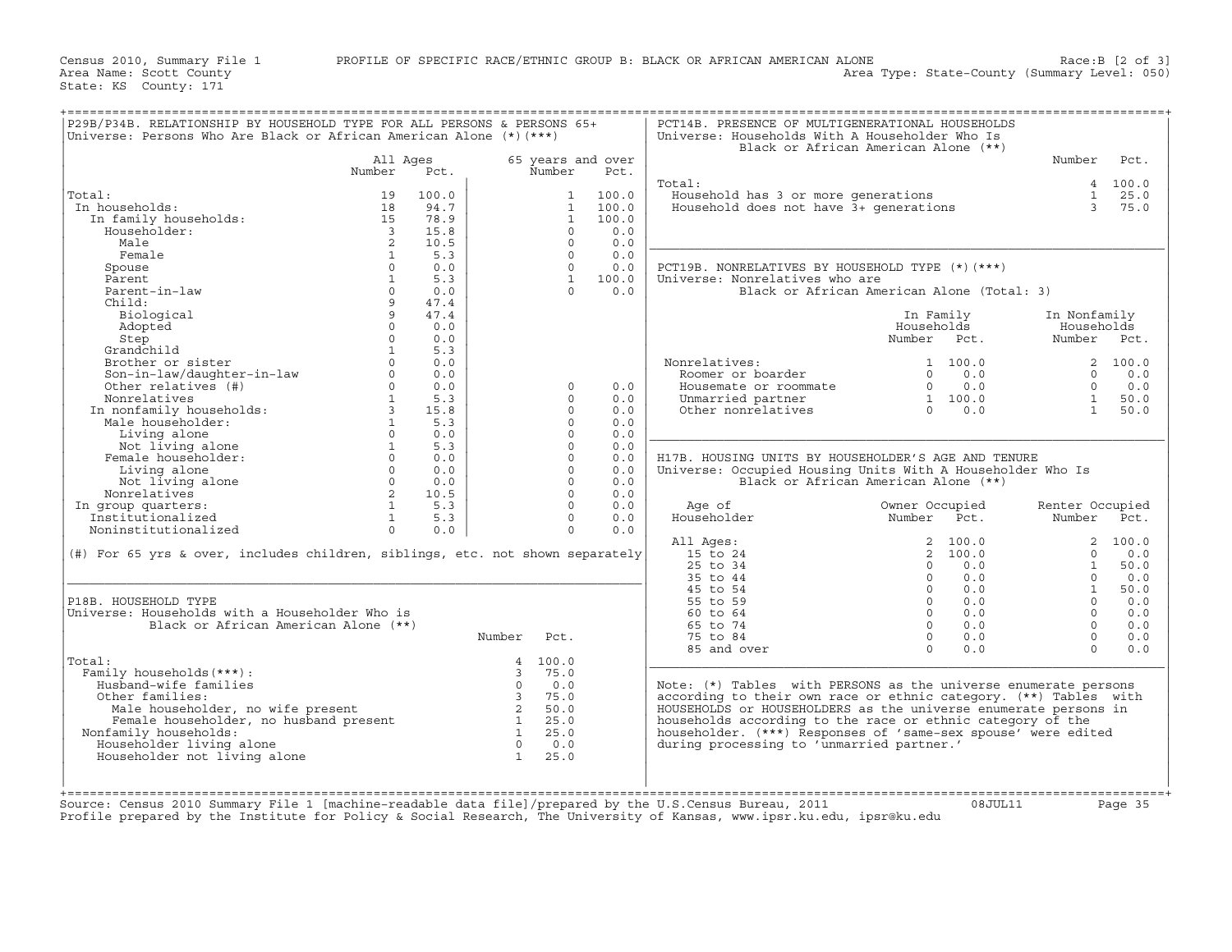| Universe: Persons Who Are Black or African American Alone $(*)$ (***)         |                         |       |                         |              |                   | Universe: Households With A Householder Who Is                   | Black or African American Alone (**)       |                 |             |
|-------------------------------------------------------------------------------|-------------------------|-------|-------------------------|--------------|-------------------|------------------------------------------------------------------|--------------------------------------------|-----------------|-------------|
|                                                                               | All Ages                |       |                         |              | 65 years and over |                                                                  |                                            | Number          | Pct.        |
|                                                                               | Number                  | Pct.  |                         | Number       | Pct.              | Total:                                                           |                                            |                 | 4 100.0     |
| Total:                                                                        | 19                      | 100.0 |                         | $\mathbf{1}$ | 100.0             | Household has 3 or more generations                              |                                            |                 | $1 \t 25.0$ |
| In households:                                                                | 18                      | 94.7  |                         | $\mathbf{1}$ | 100.0             | Household does not have 3+ generations                           |                                            | $\mathcal{E}$   | 75.0        |
|                                                                               |                         |       |                         |              |                   |                                                                  |                                            |                 |             |
| In family households:                                                         | 15                      | 78.9  |                         | $\mathbf{1}$ | 100.0             |                                                                  |                                            |                 |             |
| Householder:                                                                  | $\overline{\mathbf{3}}$ | 15.8  |                         | $\Omega$     | 0.0               |                                                                  |                                            |                 |             |
| Male                                                                          | 2                       | 10.5  |                         | $\Omega$     | 0.0               |                                                                  |                                            |                 |             |
| Female                                                                        | 1                       | 5.3   |                         | $\Omega$     | 0.0               |                                                                  |                                            |                 |             |
| Spouse                                                                        | $\Omega$                | 0.0   |                         | $\Omega$     | 0.0               | PCT19B. NONRELATIVES BY HOUSEHOLD TYPE (*) (***)                 |                                            |                 |             |
| Parent                                                                        | $\mathbf{1}$            | 5.3   |                         | $\mathbf{1}$ | 100.0             | Universe: Nonrelatives who are                                   |                                            |                 |             |
| Parent-in-law                                                                 | $\Omega$                | 0.0   |                         | $\cap$       | 0.0               |                                                                  | Black or African American Alone (Total: 3) |                 |             |
| Child:                                                                        | 9                       | 47.4  |                         |              |                   |                                                                  |                                            |                 |             |
| Biological                                                                    | 9                       | 47.4  |                         |              |                   |                                                                  | In Family                                  | In Nonfamily    |             |
| Adopted                                                                       | $\Omega$                | 0.0   |                         |              |                   |                                                                  | Households                                 | Households      |             |
| Step                                                                          | $\Omega$                | 0.0   |                         |              |                   |                                                                  | Number Pct.                                | Number Pct.     |             |
| Grandchild                                                                    | $\mathbf{1}$            | 5.3   |                         |              |                   |                                                                  |                                            |                 |             |
| Brother or sister                                                             |                         | 0.0   |                         |              |                   | Nonrelatives:                                                    | 1 100.0                                    |                 | 2, 100.0    |
|                                                                               | $\circ$                 | 0.0   |                         |              |                   |                                                                  | 0.0<br>$\Omega$                            | $\Omega$        | 0.0         |
| Son-in-law/daughter-in-law                                                    | $\Omega$                |       |                         |              |                   | Roomer or boarder                                                | $\Omega$                                   | $\Omega$        |             |
| Other relatives (#)                                                           |                         | 0.0   |                         | $\Omega$     | 0.0               | Housemate or roommate                                            | 0.0                                        |                 | 0.0         |
| Nonrelatives                                                                  | 1                       | 5.3   |                         | $\Omega$     | 0.0               | Unmarried partner                                                | 1 100.0                                    | $\mathbf{1}$    | 50.0        |
| In nonfamily households:<br>Male householder:                                 | $\overline{3}$          | 15.8  |                         | $\Omega$     | 0.0               | Other nonrelatives                                               | 0.0<br>$\Omega$                            | $\overline{1}$  | 50.0        |
| Male householder:                                                             | $\mathbf{1}$            | 5.3   |                         | $\Omega$     | 0.0               |                                                                  |                                            |                 |             |
| Living alone                                                                  | $\Omega$                | 0.0   |                         | $\Omega$     | 0.0               |                                                                  |                                            |                 |             |
| Not living alone                                                              | $\mathbf{1}$            | 5.3   |                         | $\Omega$     | 0.0               |                                                                  |                                            |                 |             |
| Female householder:                                                           | $\Omega$                | 0.0   |                         | $\Omega$     | 0.0               | H17B. HOUSING UNITS BY HOUSEHOLDER'S AGE AND TENURE              |                                            |                 |             |
| Living alone                                                                  | $\Omega$                | 0.0   |                         | $\Omega$     | 0.0               | Universe: Occupied Housing Units With A Householder Who Is       |                                            |                 |             |
| Not living alone                                                              | $\Omega$                | 0.0   |                         | $\Omega$     | 0.0               |                                                                  | Black or African American Alone (**)       |                 |             |
| Nonrelatives                                                                  | 2                       | 10.5  |                         | $\Omega$     | 0.0               |                                                                  |                                            |                 |             |
| In group quarters:                                                            | $\mathbf{1}$            | 5.3   |                         | $\Omega$     | 0.0               | Age of                                                           | Owner Occupied                             | Renter Occupied |             |
| Institutionalized                                                             | $\mathbf{1}$            | 5.3   |                         | $\Omega$     | 0.0               | Householder                                                      | Number Pct.                                | Number          | Pct.        |
| Noninstitutionalized                                                          | $\Omega$                | 0.0   |                         | $\Omega$     | 0.0               |                                                                  |                                            |                 |             |
|                                                                               |                         |       |                         |              |                   |                                                                  |                                            |                 |             |
|                                                                               |                         |       |                         |              |                   | All Ages:                                                        | 2 100.0                                    | $\overline{a}$  | 100.0       |
| (#) For 65 yrs & over, includes children, siblings, etc. not shown separately |                         |       |                         |              |                   | 15 to 24                                                         | 2, 100.0                                   | $\Omega$        | 0.0         |
|                                                                               |                         |       |                         |              |                   | 25 to 34                                                         | 0.0<br>$\Omega$                            | 1               | 50.0        |
|                                                                               |                         |       |                         |              |                   | 35 to 44                                                         | $\Omega$<br>0.0                            | $\Omega$        | 0.0         |
|                                                                               |                         |       |                         |              |                   | 45 to 54                                                         | $\Omega$<br>0.0                            | $\mathbf{1}$    | 50.0        |
| P18B. HOUSEHOLD TYPE                                                          |                         |       |                         |              |                   | 55 to 59                                                         | $\Omega$<br>0.0                            | $\Omega$        | 0.0         |
| Universe: Households with a Householder Who is                                |                         |       |                         |              |                   | 60 to 64                                                         | $\Omega$<br>0.0                            | $\Omega$        | 0.0         |
| Black or African American Alone (**)                                          |                         |       |                         |              |                   | 65 to 74                                                         | $\Omega$<br>0.0                            | $\Omega$        | 0.0         |
|                                                                               |                         |       | Number                  | Pct.         |                   | 75 to 84                                                         | 0.0<br>$\Omega$                            | $\Omega$        | 0.0         |
|                                                                               |                         |       |                         |              |                   | 85 and over                                                      | $\Omega$<br>0.0                            | $\Omega$        | 0.0         |
| Total:                                                                        |                         |       |                         | 4 100.0      |                   |                                                                  |                                            |                 |             |
| Family households (***) :                                                     |                         |       | $\mathcal{E}$           | 75.0         |                   |                                                                  |                                            |                 |             |
| Husband-wife families                                                         |                         |       | $\Omega$                | 0.0          |                   | Note: (*) Tables with PERSONS as the universe enumerate persons  |                                            |                 |             |
| Other families:                                                               |                         |       | $\overline{\mathbf{3}}$ | 75.0         |                   | according to their own race or ethnic category. (**) Tables with |                                            |                 |             |
|                                                                               |                         |       | 2                       |              |                   |                                                                  |                                            |                 |             |
| Male householder, no wife present                                             |                         |       |                         | 50.0         |                   | HOUSEHOLDS or HOUSEHOLDERS as the universe enumerate persons in  |                                            |                 |             |
| Female householder, no husband present                                        |                         |       |                         | 25.0         |                   | households according to the race or ethnic category of the       |                                            |                 |             |
| Nonfamily households:                                                         |                         |       | $\mathbf{1}$            | 25.0         |                   | householder. (***) Responses of 'same-sex spouse' were edited    |                                            |                 |             |
| Householder living alone                                                      |                         |       | $\Omega$                | 0.0          |                   | during processing to 'unmarried partner.'                        |                                            |                 |             |
| Householder not living alone                                                  |                         |       | $\mathbf{1}$            | 25.0         |                   |                                                                  |                                            |                 |             |
|                                                                               |                         |       |                         |              |                   |                                                                  |                                            |                 |             |
|                                                                               |                         |       |                         |              |                   |                                                                  |                                            |                 |             |
|                                                                               |                         |       |                         |              |                   |                                                                  |                                            |                 |             |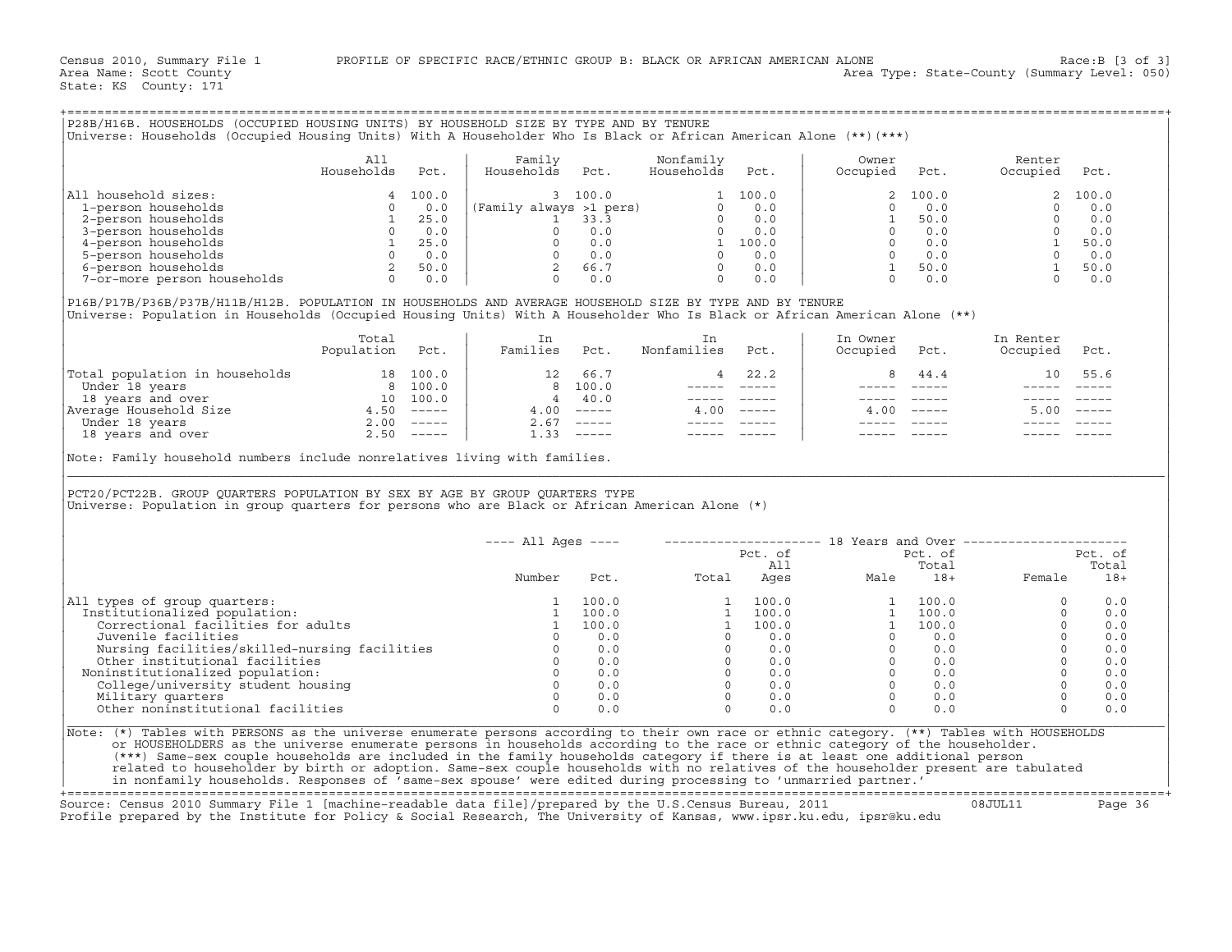|                                                                                                                                                                                                                                                                                                                                                                                                                                                                                                     | A11<br>Households   | Pct. | Family<br>Households Pct. |              | Nonfamily<br>Households Pct.                                                                                                                                                                                                                                                                                               |                | Owner<br>Occupied Pct.                                                                        |                                                                  | Renter<br>Occupied Pct.                                                                                                                   |                                                                                            |
|-----------------------------------------------------------------------------------------------------------------------------------------------------------------------------------------------------------------------------------------------------------------------------------------------------------------------------------------------------------------------------------------------------------------------------------------------------------------------------------------------------|---------------------|------|---------------------------|--------------|----------------------------------------------------------------------------------------------------------------------------------------------------------------------------------------------------------------------------------------------------------------------------------------------------------------------------|----------------|-----------------------------------------------------------------------------------------------|------------------------------------------------------------------|-------------------------------------------------------------------------------------------------------------------------------------------|--------------------------------------------------------------------------------------------|
| All household sizes:                                                                                                                                                                                                                                                                                                                                                                                                                                                                                |                     |      |                           |              |                                                                                                                                                                                                                                                                                                                            |                |                                                                                               | 2 100.0                                                          |                                                                                                                                           |                                                                                            |
|                                                                                                                                                                                                                                                                                                                                                                                                                                                                                                     |                     |      |                           |              |                                                                                                                                                                                                                                                                                                                            |                | $\Omega$                                                                                      | 0.0                                                              |                                                                                                                                           |                                                                                            |
|                                                                                                                                                                                                                                                                                                                                                                                                                                                                                                     |                     |      |                           |              |                                                                                                                                                                                                                                                                                                                            |                | <sup>1</sup>                                                                                  | 50.0                                                             |                                                                                                                                           |                                                                                            |
|                                                                                                                                                                                                                                                                                                                                                                                                                                                                                                     |                     |      |                           |              |                                                                                                                                                                                                                                                                                                                            |                |                                                                                               | $0 \qquad 0.0$                                                   |                                                                                                                                           |                                                                                            |
|                                                                                                                                                                                                                                                                                                                                                                                                                                                                                                     |                     |      |                           |              |                                                                                                                                                                                                                                                                                                                            |                |                                                                                               | $\begin{matrix} 0 && 0 \ldots 0 \\ 0 && 0 \ldots 0 \end{matrix}$ |                                                                                                                                           |                                                                                            |
|                                                                                                                                                                                                                                                                                                                                                                                                                                                                                                     |                     |      |                           |              |                                                                                                                                                                                                                                                                                                                            |                |                                                                                               |                                                                  |                                                                                                                                           |                                                                                            |
|                                                                                                                                                                                                                                                                                                                                                                                                                                                                                                     |                     |      |                           |              |                                                                                                                                                                                                                                                                                                                            |                | $\begin{bmatrix} 1 & 50.0 \\ 0 & 0.0 \end{bmatrix}$                                           |                                                                  | $\begin{array}{cccc} 2 & 100.0 \\ 0 & 0.0 \\ 0 & 0.0 \\ 0 & 0.0 \\ 1 & 50.0 \\ 1 & 60.0 \\ 1 & 50.0 \\ 0 & 0.0 \\ 0 & 0.0 \\ \end{array}$ |                                                                                            |
| Universe: Population in Households (Occupied Housing Units) With A Householder Who Is Black or African American Alone (**)                                                                                                                                                                                                                                                                                                                                                                          | Total<br>Population | Pct. | In<br>Families            | Pct.         | In<br>Nonfamilies Pct.                                                                                                                                                                                                                                                                                                     |                | In Owner<br>Occupied                                                                          | Pct.                                                             | In Renter<br>Occupied Pct.                                                                                                                |                                                                                            |
|                                                                                                                                                                                                                                                                                                                                                                                                                                                                                                     |                     |      |                           | 12 66.7      |                                                                                                                                                                                                                                                                                                                            | $4 \t 22.2$    | 8                                                                                             | 44.4                                                             | 10                                                                                                                                        | 55.6                                                                                       |
|                                                                                                                                                                                                                                                                                                                                                                                                                                                                                                     |                     |      |                           |              |                                                                                                                                                                                                                                                                                                                            |                |                                                                                               |                                                                  |                                                                                                                                           | $\begin{array}{ccccccccc} - & - & - & - & - & - & - \\ & - & - & - & - & - \\ \end{array}$ |
|                                                                                                                                                                                                                                                                                                                                                                                                                                                                                                     |                     |      |                           | 8 100.0      | _______________                                                                                                                                                                                                                                                                                                            |                | $\begin{array}{cccccc} - & - & - & - & - & - \\ & - & - & - & - \\ & & - & - & - \end{array}$ |                                                                  |                                                                                                                                           |                                                                                            |
|                                                                                                                                                                                                                                                                                                                                                                                                                                                                                                     |                     |      | 4 40.0                    |              | and the companion of the companion                                                                                                                                                                                                                                                                                         |                |                                                                                               | _______________                                                  | ----- -----                                                                                                                               |                                                                                            |
|                                                                                                                                                                                                                                                                                                                                                                                                                                                                                                     |                     |      | $4.00$ -----              |              | $4.00$ -----                                                                                                                                                                                                                                                                                                               |                |                                                                                               | $4.00$ -----                                                     | 5.00                                                                                                                                      |                                                                                            |
| $\begin{tabular}{ l l } \hline \texttt{Total population in households} & \texttt{18 } 100.0 \\ \hline \texttt{Under 18 years} & \texttt{8 } 100.0 \\ \texttt{18 years and over} & \texttt{10 } 100.0 \\ \texttt{Average Household Size} & \texttt{4.50} & \texttt{---} \\ \texttt{Under 18 years} & \texttt{2.00} & \texttt{---} \\ \texttt{18 years and over} & \texttt{2.50} & \texttt{---} \\ \hline \end{tabular}$<br>Note: Family household numbers include nonrelatives living with families. |                     |      | $1.33$ -----              | $2.67$ ----- | ------ -----                                                                                                                                                                                                                                                                                                               |                | $\qquad \qquad - - - - -$                                                                     | $------$                                                         | $\frac{1}{2}$                                                                                                                             |                                                                                            |
| PCT20/PCT22B. GROUP OUARTERS POPULATION BY SEX BY AGE BY GROUP OUARTERS TYPE<br>Universe: Population in group quarters for persons who are Black or African American Alone (*)                                                                                                                                                                                                                                                                                                                      |                     |      |                           |              |                                                                                                                                                                                                                                                                                                                            |                |                                                                                               |                                                                  |                                                                                                                                           |                                                                                            |
|                                                                                                                                                                                                                                                                                                                                                                                                                                                                                                     |                     |      |                           |              |                                                                                                                                                                                                                                                                                                                            |                |                                                                                               |                                                                  |                                                                                                                                           |                                                                                            |
|                                                                                                                                                                                                                                                                                                                                                                                                                                                                                                     |                     |      |                           |              | ---- All Ages ----    ---------------------    18 Years and Over ---------------------                                                                                                                                                                                                                                     |                |                                                                                               |                                                                  | Pct. of Pct. of                                                                                                                           |                                                                                            |
|                                                                                                                                                                                                                                                                                                                                                                                                                                                                                                     |                     |      |                           |              |                                                                                                                                                                                                                                                                                                                            | Pct. of<br>All |                                                                                               |                                                                  |                                                                                                                                           | Total                                                                                      |
|                                                                                                                                                                                                                                                                                                                                                                                                                                                                                                     |                     |      | Number                    |              |                                                                                                                                                                                                                                                                                                                            |                |                                                                                               |                                                                  |                                                                                                                                           | $18+$                                                                                      |
|                                                                                                                                                                                                                                                                                                                                                                                                                                                                                                     |                     |      | 1                         | 100.0        | Pot.<br>Potal Ages Male 18+ Female<br>Potal Ages Male 18+ Female                                                                                                                                                                                                                                                           |                |                                                                                               |                                                                  | $\Omega$                                                                                                                                  | 0.0                                                                                        |
| Institutionalized population:                                                                                                                                                                                                                                                                                                                                                                                                                                                                       |                     |      |                           | 1 100.0      |                                                                                                                                                                                                                                                                                                                            |                |                                                                                               |                                                                  | $\Omega$                                                                                                                                  | 0.0                                                                                        |
| Correctional facilities for adults                                                                                                                                                                                                                                                                                                                                                                                                                                                                  |                     |      | $\frac{1}{1}$ 100.0       |              |                                                                                                                                                                                                                                                                                                                            |                |                                                                                               |                                                                  | $\Omega$                                                                                                                                  | 0.0                                                                                        |
|                                                                                                                                                                                                                                                                                                                                                                                                                                                                                                     |                     |      |                           |              |                                                                                                                                                                                                                                                                                                                            |                |                                                                                               |                                                                  | $\Omega$                                                                                                                                  | 0.0                                                                                        |
|                                                                                                                                                                                                                                                                                                                                                                                                                                                                                                     |                     |      |                           |              |                                                                                                                                                                                                                                                                                                                            |                |                                                                                               |                                                                  | $\Omega$                                                                                                                                  | 0.0                                                                                        |
|                                                                                                                                                                                                                                                                                                                                                                                                                                                                                                     |                     |      |                           |              |                                                                                                                                                                                                                                                                                                                            |                |                                                                                               |                                                                  | $\Omega$                                                                                                                                  | 0.0                                                                                        |
| Noninstitutionalized population:                                                                                                                                                                                                                                                                                                                                                                                                                                                                    |                     |      |                           |              |                                                                                                                                                                                                                                                                                                                            |                |                                                                                               |                                                                  | $\Omega$                                                                                                                                  | 0.0                                                                                        |
|                                                                                                                                                                                                                                                                                                                                                                                                                                                                                                     |                     |      |                           |              |                                                                                                                                                                                                                                                                                                                            |                |                                                                                               |                                                                  | $\Omega$                                                                                                                                  | 0.0                                                                                        |
| All types of group quarters:<br>Nursing facilities/skilled-nursing facilities<br>Nursing facilities/skilled-nursing facilities<br>0 0.0<br>0 0.0<br>oninstitutionalized population:<br>College/university student housing<br>Military quarters<br>0 0.0<br>Other noninstitutio                                                                                                                                                                                                                      |                     |      |                           |              | $\begin{array}{cccccc} 1 & 100.0 & & & & 1 & 100.0 \\ 1 & 100.0 & & & 1 & 100.0 \\ 1 & 100.0 & & & 1 & 100.0 \\ 0 & 0.0 & & & 0 & 0.0 \\ 0 & 0.0 & & & 0 & 0.0 \\ 0 & 0.0 & & & 0 & 0.0 \\ 0 & 0.0 & & & 0 & 0.0 \\ 0 & 0.0 & & & 0 & 0.0 \\ 0 & 0.0 & & & 0 & 0.0 \\ 0 & 0.0 & & & 0 & 0.0 \\ 0 & 0.0 & & & 0 & 0.0 \\ \$ |                |                                                                                               |                                                                  | $\Omega$<br>$\Omega$                                                                                                                      | 0.0<br>0.0                                                                                 |

+===================================================================================================================================================+ Source: Census 2010 Summary File 1 [machine−readable data file]/prepared by the U.S.Census Bureau, 2011 08JUL11 Page 36 Profile prepared by the Institute for Policy & Social Research, The University of Kansas, www.ipsr.ku.edu, ipsr@ku.edu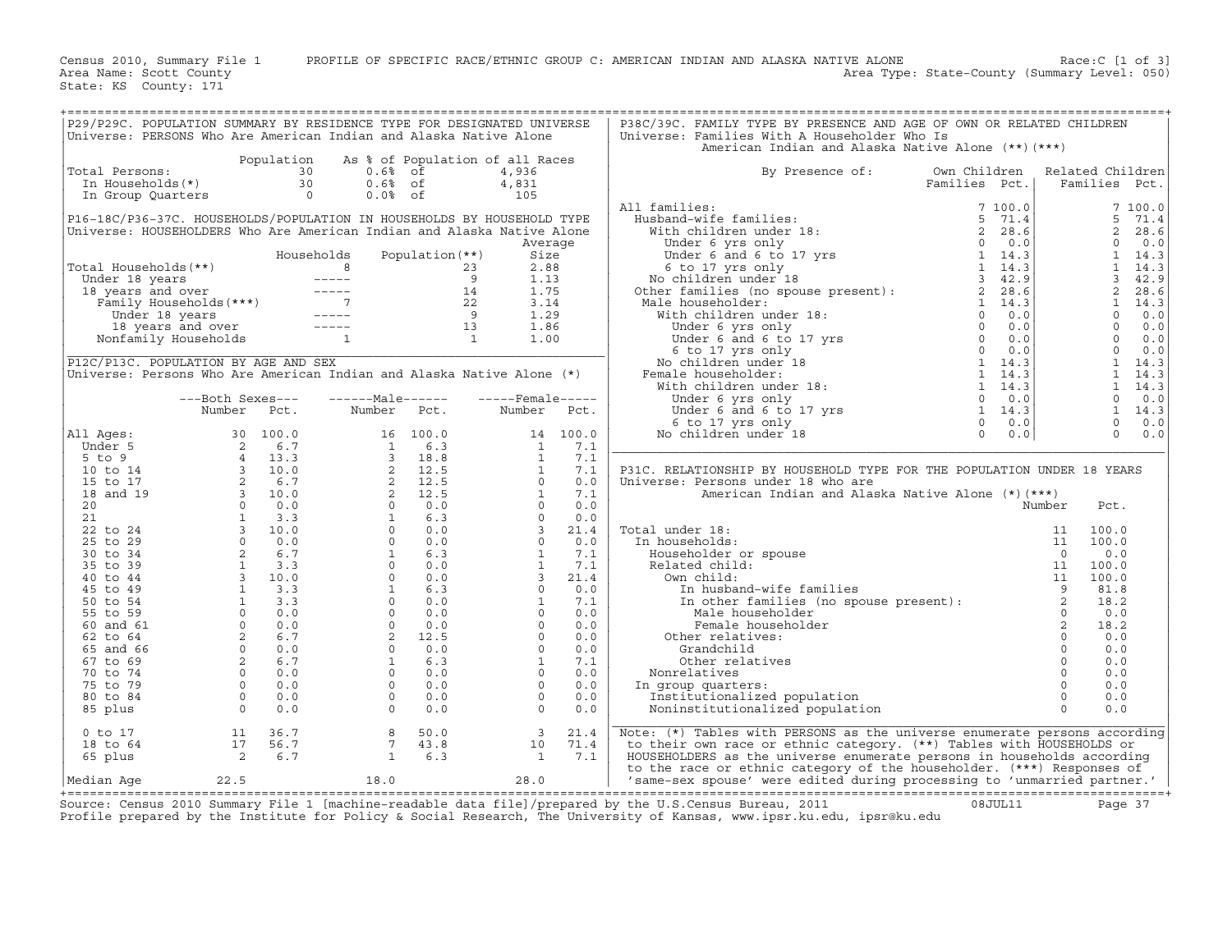Census 2010, Summary File 1 PROFILE OF SPECIFIC RACE/ETHNIC GROUP C: AMERICAN INDIAN AND ALASKA NATIVE ALONE Race:C [1 of 3]<br>Area Name: Scott County Level: 050) Area Type: State-County (Summary Level: 050) Area Type: State-County (Summary Level: 050)

State: KS County: 171

| P29/P29C. POPULATION SUMMARY BY RESIDENCE TYPE FOR DESIGNATED UNIVERSE |                            |                |                 |                 |                                 |             | P38C/39C. FAMILY TYPE BY PRESENCE AND AGE OF OWN OR RELATED CHILDREN                                                                                                                                                                                  |               |                            |                  |                |
|------------------------------------------------------------------------|----------------------------|----------------|-----------------|-----------------|---------------------------------|-------------|-------------------------------------------------------------------------------------------------------------------------------------------------------------------------------------------------------------------------------------------------------|---------------|----------------------------|------------------|----------------|
| Universe: PERSONS Who Are American Indian and Alaska Native Alone      |                            |                |                 |                 |                                 |             | Universe: Families With A Householder Who Is                                                                                                                                                                                                          |               |                            |                  |                |
|                                                                        |                            |                |                 |                 |                                 |             | American Indian and Alaska Native Alone (**) (***)                                                                                                                                                                                                    |               |                            |                  |                |
|                                                                        |                            | Population     |                 |                 | As % of Population of all Races |             |                                                                                                                                                                                                                                                       |               |                            |                  |                |
|                                                                        |                            |                |                 |                 |                                 |             |                                                                                                                                                                                                                                                       |               |                            |                  |                |
| Total Persons:                                                         |                            | 30             |                 | $0.6%$ of       | 4,936                           |             | By Presence of:                                                                                                                                                                                                                                       | Own Children  |                            | Related Children |                |
| In Households(*)                                                       |                            | 30             | $0.6%$ of       |                 | 4,831                           |             |                                                                                                                                                                                                                                                       | Families Pct. |                            | Families Pct.    |                |
| In Group Quarters                                                      |                            | $\overline{a}$ | $0.0%$ of       |                 | 105                             |             |                                                                                                                                                                                                                                                       |               |                            |                  |                |
|                                                                        |                            |                |                 |                 |                                 |             | All families:                                                                                                                                                                                                                                         | 7 100.0       |                            |                  | 7100.0         |
| P16-18C/P36-37C. HOUSEHOLDS/POPULATION IN HOUSEHOLDS BY HOUSEHOLD TYPE |                            |                |                 |                 |                                 |             |                                                                                                                                                                                                                                                       |               |                            | 5                | 71.4           |
| Universe: HOUSEHOLDERS Who Are American Indian and Alaska Native Alone |                            |                |                 |                 |                                 |             |                                                                                                                                                                                                                                                       |               |                            | $\overline{a}$   | 28.6           |
|                                                                        |                            |                |                 |                 |                                 | Average     |                                                                                                                                                                                                                                                       |               |                            | $\Omega$         | 0.0            |
|                                                                        |                            | Households     |                 | Population (**) | Size                            |             |                                                                                                                                                                                                                                                       |               |                            | $\mathbf{1}$     | 14.3           |
| Total Households(**)                                                   |                            |                |                 |                 | 2.88                            |             |                                                                                                                                                                                                                                                       |               |                            | $\mathbf{1}$     | 14.3           |
|                                                                        |                            |                |                 |                 | 1.13                            |             |                                                                                                                                                                                                                                                       |               |                            | $\overline{3}$   | 42.9           |
|                                                                        |                            |                |                 |                 | 1.75                            |             | 11 families:<br>Husband-wife families:<br>With children under 18:<br>Under 6 yrs only<br>Under 6 and 6 to 17 yrs<br>8 to 17 yrs 1 14.3<br>8 other families (no spouse present):<br>An ochildren under 18<br>2 28.6<br>2 28.6<br>2 28.6<br>2 28.6<br>2 |               |                            | $\overline{a}$   | 28.6           |
|                                                                        |                            |                |                 |                 |                                 |             |                                                                                                                                                                                                                                                       |               |                            |                  |                |
|                                                                        |                            |                |                 |                 | 3.14                            |             | Male householder:                                                                                                                                                                                                                                     |               |                            | $\mathbf{1}$     | 14.3           |
|                                                                        |                            |                |                 |                 | 1.29                            |             | 1 and the tem lines (no spouse present):<br>also householder:<br>With children under 18:<br>Under 6 yrs only<br>Under 6 and 6 to 17 yrs<br>0 0.0<br>Under 6 and 6 to 17 yrs<br>0 0.0<br>No children under 18<br>emale householder:<br>With childre    |               |                            | $\Omega$         | 0.0            |
|                                                                        |                            |                |                 |                 | 1.86                            |             |                                                                                                                                                                                                                                                       |               |                            | $\circ$          | 0.0            |
|                                                                        |                            |                |                 |                 | 1.00                            |             |                                                                                                                                                                                                                                                       |               |                            | $\circ$          | 0.0            |
|                                                                        |                            |                |                 |                 |                                 |             |                                                                                                                                                                                                                                                       |               |                            | $\overline{0}$   | 0.0            |
| P12C/P13C. POPULATION BY AGE AND SEX                                   |                            |                |                 |                 |                                 |             |                                                                                                                                                                                                                                                       |               |                            |                  | $1 \quad 14.3$ |
| Universe: Persons Who Are American Indian and Alaska Native Alone (*)  |                            |                |                 |                 |                                 |             | Female householder:                                                                                                                                                                                                                                   |               |                            | 1                | 14.3           |
|                                                                        |                            |                |                 |                 |                                 |             |                                                                                                                                                                                                                                                       |               |                            |                  | $1 \quad 14.3$ |
|                                                                        | ---Both Sexes---           |                | $---Male----$   |                 | $---$ Female-----               |             |                                                                                                                                                                                                                                                       |               |                            | $\circ$          | 0.0            |
|                                                                        | Number                     | Pct.           | Number          | Pct.            |                                 | Number Pct. |                                                                                                                                                                                                                                                       |               |                            |                  | $1 \quad 14.3$ |
|                                                                        |                            |                |                 |                 |                                 |             |                                                                                                                                                                                                                                                       |               |                            | $\Omega$         | 0.0            |
| All Ages:                                                              |                            |                |                 |                 |                                 | 14 100.0    |                                                                                                                                                                                                                                                       |               |                            | $\Omega$         | 0.0            |
|                                                                        |                            |                |                 |                 |                                 | 7.1         |                                                                                                                                                                                                                                                       |               |                            |                  |                |
| Under 5                                                                |                            |                |                 |                 |                                 |             |                                                                                                                                                                                                                                                       |               |                            |                  |                |
| $5$ to $9$                                                             |                            |                |                 |                 |                                 | 7.1         |                                                                                                                                                                                                                                                       |               |                            |                  |                |
| 10 to 14                                                               |                            |                |                 |                 |                                 | 7.1         | P31C. RELATIONSHIP BY HOUSEHOLD TYPE FOR THE POPULATION UNDER 18 YEARS                                                                                                                                                                                |               |                            |                  |                |
| 15 to 17                                                               |                            |                |                 |                 |                                 | 0.0         | Universe: Persons under 18 who are                                                                                                                                                                                                                    |               |                            |                  |                |
| 18 and 19                                                              |                            |                |                 |                 |                                 | 7.1         | American Indian and Alaska Native Alone (*) (***)                                                                                                                                                                                                     |               |                            |                  |                |
| 20                                                                     |                            |                |                 |                 |                                 | 0.0         |                                                                                                                                                                                                                                                       |               | Number                     | Pct.             |                |
| 21                                                                     |                            |                |                 |                 |                                 | 0.0         |                                                                                                                                                                                                                                                       |               |                            |                  |                |
| 22 to 24                                                               |                            |                |                 |                 |                                 | 21.4        | Total under 18:                                                                                                                                                                                                                                       |               |                            | 100.0            |                |
| 25 to 29                                                               |                            |                |                 |                 |                                 | 0.0         | In households:                                                                                                                                                                                                                                        |               |                            | 100.0            |                |
| 30 to 34                                                               |                            |                |                 |                 |                                 | 7.1         | Householder or spouse                                                                                                                                                                                                                                 |               |                            | 0.0              |                |
| 35 to 39                                                               |                            |                |                 |                 |                                 | 7.1         | Related child:                                                                                                                                                                                                                                        |               |                            | 100.0            |                |
| 40 to 44                                                               |                            |                |                 |                 |                                 | 21.4        | Own child:                                                                                                                                                                                                                                            |               |                            | 100.0            |                |
|                                                                        |                            |                |                 |                 |                                 |             |                                                                                                                                                                                                                                                       |               |                            |                  |                |
| 45 to 49                                                               |                            |                |                 |                 |                                 | 0.0         | In husband-wife families                                                                                                                                                                                                                              |               |                            | 81.8             |                |
| 50 to 54                                                               |                            |                |                 |                 |                                 | 7.1         |                                                                                                                                                                                                                                                       |               |                            | 18.2             |                |
| 55 to 59                                                               |                            |                |                 |                 |                                 | 0.0         | Male householder                                                                                                                                                                                                                                      |               | $\Omega$                   | 0.0              |                |
| 60 and 61                                                              |                            |                |                 |                 |                                 | 0.0         | Female householder                                                                                                                                                                                                                                    |               | $\overline{\phantom{0}}$ 2 | 18.2             |                |
| 62 to 64                                                               |                            |                |                 |                 |                                 | 0.0         | Other relatives:                                                                                                                                                                                                                                      |               | $\circ$                    | 0.0              |                |
| 65 and 66                                                              |                            |                |                 |                 |                                 | 0.0         | Grandchild                                                                                                                                                                                                                                            |               | $\circ$                    | 0.0              |                |
| 67 to 69                                                               |                            |                |                 |                 |                                 | 7.1         | Other relatives                                                                                                                                                                                                                                       |               | $\circ$                    | 0.0              |                |
| 70 to 74                                                               |                            |                |                 |                 |                                 | 0.0         | Nonrelatives                                                                                                                                                                                                                                          |               | $\circ$                    | 0.0              |                |
| 75 to 79                                                               |                            |                |                 |                 |                                 | 0.0         | In group quarters:                                                                                                                                                                                                                                    |               | $\circ$                    | 0.0              |                |
| 80 to 84                                                               |                            |                |                 |                 | $\Omega$                        | 0.0         | Institutionalized population                                                                                                                                                                                                                          |               | $\Omega$                   | 0.0              |                |
| 85 plus                                                                |                            |                |                 |                 | $\overline{0}$                  | 0.0         | Noninstitutionalized population                                                                                                                                                                                                                       |               | $\Omega$                   | 0.0              |                |
|                                                                        |                            |                |                 |                 |                                 |             |                                                                                                                                                                                                                                                       |               |                            |                  |                |
|                                                                        |                            |                |                 |                 |                                 |             |                                                                                                                                                                                                                                                       |               |                            |                  |                |
| $0$ to $17$                                                            | 11                         | 36.7           | 8               | 50.0            | $\overline{\mathbf{3}}$         | 21.4        | Note: (*) Tables with PERSONS as the universe enumerate persons according                                                                                                                                                                             |               |                            |                  |                |
| 18 to 64                                                               | 17                         | 56.7           | $7\overline{ }$ | 43.8            | 10                              | 71.4        | to their own race or ethnic category. (**) Tables with HOUSEHOLDS or                                                                                                                                                                                  |               |                            |                  |                |
| 65 plus                                                                | $\overline{\phantom{a}}$ 2 | 6.7            | <sup>1</sup>    | 6.3             | $\mathbf{1}$                    | 7.1         | HOUSEHOLDERS as the universe enumerate persons in households according                                                                                                                                                                                |               |                            |                  |                |
|                                                                        |                            |                |                 |                 |                                 |             | to the race or ethnic category of the householder. (***) Responses of                                                                                                                                                                                 |               |                            |                  |                |
| Median Age                                                             | 22.5                       |                | 18.0            |                 | 28.0                            |             | 'same-sex spouse' were edited during processing to 'unmarried partner.'                                                                                                                                                                               |               |                            |                  |                |
|                                                                        |                            |                |                 |                 |                                 |             |                                                                                                                                                                                                                                                       |               |                            |                  |                |

+===================================================================================================================================================+ Source: Census 2010 Summary File 1 [machine−readable data file]/prepared by the U.S.Census Bureau, 2011 08JUL11 Page 37 Profile prepared by the Institute for Policy & Social Research, The University of Kansas, www.ipsr.ku.edu, ipsr@ku.edu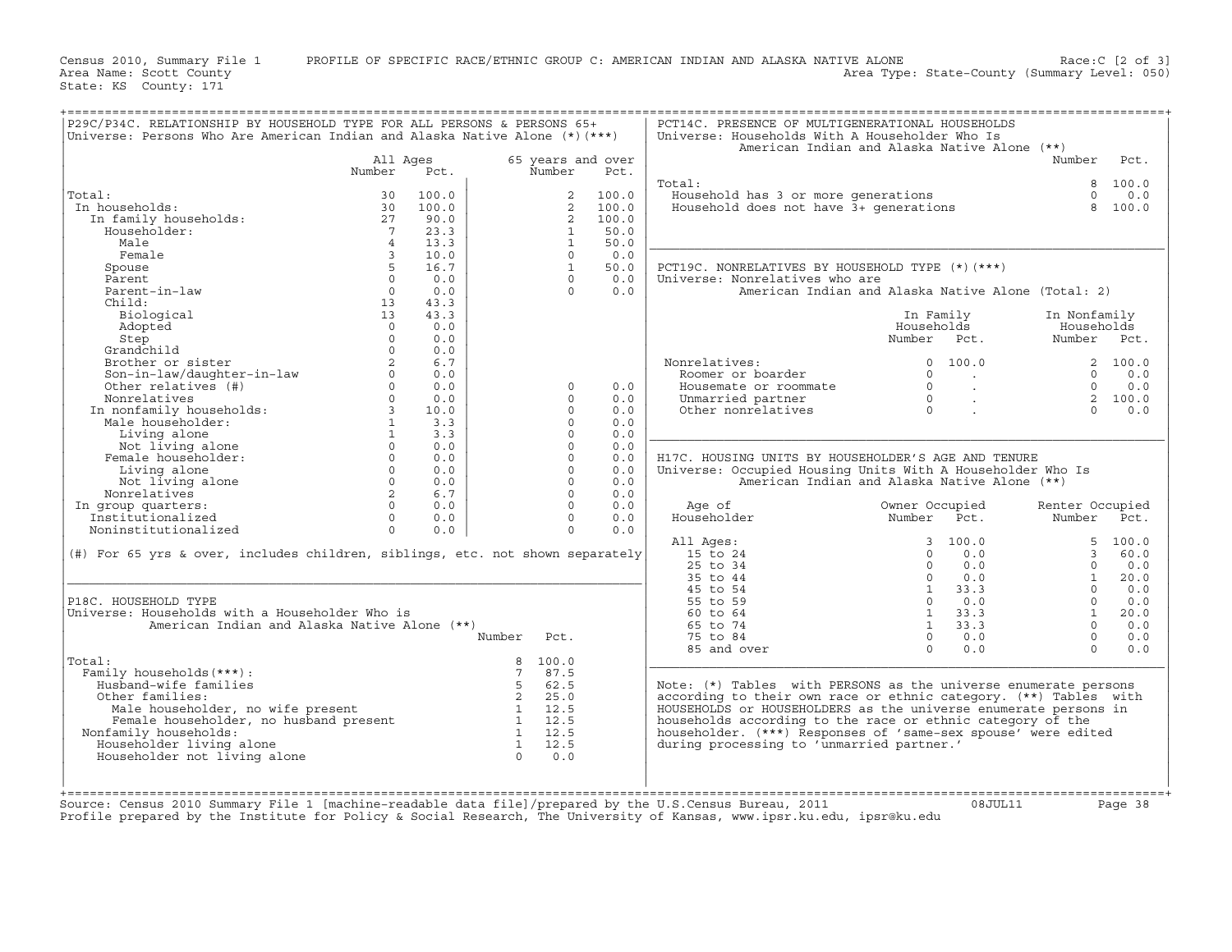Census 2010, Summary File 1 PROFILE OF SPECIFIC RACE/ETHNIC GROUP C: AMERICAN INDIAN AND ALASKA NATIVE ALONE Race:C [2 of 3]<br>Area Name: Scott County Level: 050) Area Type: State-County (Summary Level: 050) Area Type: State-County (Summary Level: 050)

State: KS County: 171

| P29C/P34C. RELATIONSHIP BY HOUSEHOLD TYPE FOR ALL PERSONS & PERSONS 65+<br>Universe: Persons Who Are American Indian and Alaska Native Alone $(*)$ $(***)$                                                                                                                                                                               |                         |       |                |                   |       | PCT14C. PRESENCE OF MULTIGENERATIONAL HOUSEHOLDS<br>Universe: Households With A Householder Who Is |                |                       |                 |          |
|------------------------------------------------------------------------------------------------------------------------------------------------------------------------------------------------------------------------------------------------------------------------------------------------------------------------------------------|-------------------------|-------|----------------|-------------------|-------|----------------------------------------------------------------------------------------------------|----------------|-----------------------|-----------------|----------|
|                                                                                                                                                                                                                                                                                                                                          |                         |       |                |                   |       | American Indian and Alaska Native Alone (**)                                                       |                |                       |                 |          |
|                                                                                                                                                                                                                                                                                                                                          | All Ages                |       |                | 65 years and over |       |                                                                                                    |                |                       | Number          | Pct.     |
|                                                                                                                                                                                                                                                                                                                                          | Number                  | Pct.  |                | Number            | Pct.  |                                                                                                    |                |                       |                 |          |
|                                                                                                                                                                                                                                                                                                                                          |                         |       |                |                   |       | Total:                                                                                             |                |                       | 8               | 100.0    |
| Total:                                                                                                                                                                                                                                                                                                                                   | 30                      | 100.0 |                | 2                 | 100.0 | Household has 3 or more generations                                                                |                |                       | $\Omega$        | 0.0      |
| In households:                                                                                                                                                                                                                                                                                                                           | 30                      | 100.0 |                | 2                 | 100.0 | Household does not have 3+ generations                                                             |                |                       | 8               | 100.0    |
| In family households:                                                                                                                                                                                                                                                                                                                    | 27                      | 90.0  |                | $\overline{2}$    | 100.0 |                                                                                                    |                |                       |                 |          |
| Householder:                                                                                                                                                                                                                                                                                                                             | $\overline{7}$          | 23.3  |                | 1                 | 50.0  |                                                                                                    |                |                       |                 |          |
| Male                                                                                                                                                                                                                                                                                                                                     | $\overline{4}$          | 13.3  |                | 1                 | 50.0  |                                                                                                    |                |                       |                 |          |
| Female                                                                                                                                                                                                                                                                                                                                   | $\overline{3}$          | 10.0  |                | $\Omega$          | 0.0   |                                                                                                    |                |                       |                 |          |
| Spouse                                                                                                                                                                                                                                                                                                                                   | 5                       | 16.7  |                | $\mathbf{1}$      | 50.0  | PCT19C. NONRELATIVES BY HOUSEHOLD TYPE (*) (***)                                                   |                |                       |                 |          |
| Parent                                                                                                                                                                                                                                                                                                                                   | $\Omega$                | 0.0   |                | $\Omega$          | 0.0   | Universe: Nonrelatives who are                                                                     |                |                       |                 |          |
| Parent-in-law                                                                                                                                                                                                                                                                                                                            | $\Omega$                | 0.0   |                | $\cap$            | 0.0   | American Indian and Alaska Native Alone (Total: 2)                                                 |                |                       |                 |          |
| Child:                                                                                                                                                                                                                                                                                                                                   | 13                      | 43.3  |                |                   |       |                                                                                                    |                |                       |                 |          |
| Biological                                                                                                                                                                                                                                                                                                                               | 13                      | 43.3  |                |                   |       |                                                                                                    | In Family      |                       | In Nonfamily    |          |
| Adopted                                                                                                                                                                                                                                                                                                                                  | $\Omega$                | 0.0   |                |                   |       |                                                                                                    | Households     |                       | Households      |          |
| Step                                                                                                                                                                                                                                                                                                                                     | $\Omega$                | 0.0   |                |                   |       |                                                                                                    | Number Pct.    |                       | Number Pct.     |          |
| Grandchild                                                                                                                                                                                                                                                                                                                               | $\Omega$                | 0.0   |                |                   |       |                                                                                                    |                |                       |                 |          |
| Brother or sister                                                                                                                                                                                                                                                                                                                        | 2                       | 6.7   |                |                   |       | Nonrelatives:                                                                                      |                | 0 100.0               |                 | 2, 100.0 |
| Son-in-law/daughter-in-law                                                                                                                                                                                                                                                                                                               | $\circ$                 | 0.0   |                |                   |       | Roomer or boarder                                                                                  | $\Omega$       | $\sim$ 100 $\mu$      | $\Omega$        | 0.0      |
| Other relatives (#)                                                                                                                                                                                                                                                                                                                      | $\Omega$                | 0.0   |                | $\Omega$          | 0.0   | Housemate or roommate                                                                              | $\Omega$       |                       | $\Omega$        | 0.0      |
| Nonrelatives                                                                                                                                                                                                                                                                                                                             | $\circ$                 | 0.0   |                | $\Omega$          | 0.0   | Unmarried partner                                                                                  | $\Omega$       | $\sim 100$ km $^{-1}$ |                 | 2, 100.0 |
| In nonfamily households:<br>Male householder:<br>Timing and the set of the set of the set of the set of the set of the set of the set of the set of the set of the set of the set of the set of the set of the set of the set of the                                                                                                     | $\overline{3}$          | 10.0  |                | $\Omega$          | 0.0   | Other nonrelatives                                                                                 | $\Omega$       | $\blacksquare$        | $\Omega$        | 0.0      |
|                                                                                                                                                                                                                                                                                                                                          | 1                       | 3.3   |                | $\Omega$          | 0.0   |                                                                                                    |                |                       |                 |          |
| Living alone                                                                                                                                                                                                                                                                                                                             | $\overline{\mathbf{1}}$ | 3.3   |                | $\Omega$          | 0.0   |                                                                                                    |                |                       |                 |          |
| Not living alone                                                                                                                                                                                                                                                                                                                         | $\circ$                 | 0.0   |                | $\Omega$          | 0.0   |                                                                                                    |                |                       |                 |          |
| Female householder:                                                                                                                                                                                                                                                                                                                      | $\Omega$                | 0.0   |                | $\Omega$          | 0.0   | H17C. HOUSING UNITS BY HOUSEHOLDER'S AGE AND TENURE                                                |                |                       |                 |          |
| Living alone                                                                                                                                                                                                                                                                                                                             | $\circ$                 | 0.0   |                | $\Omega$          | 0.0   | Universe: Occupied Housing Units With A Householder Who Is                                         |                |                       |                 |          |
| Not living alone                                                                                                                                                                                                                                                                                                                         | $\circ$                 | 0.0   |                | $\Omega$          | 0.0   | American Indian and Alaska Native Alone (**)                                                       |                |                       |                 |          |
| Nonrelatives                                                                                                                                                                                                                                                                                                                             | $2^{\circ}$             | 6.7   |                | $\Omega$          | 0.0   |                                                                                                    |                |                       |                 |          |
| In group quarters:                                                                                                                                                                                                                                                                                                                       | $\Omega$                | 0.0   |                | $\Omega$          | 0.0   | Age of                                                                                             | Owner Occupied |                       | Renter Occupied |          |
| Institutionalized                                                                                                                                                                                                                                                                                                                        | $\circ$                 | 0.0   |                | $\Omega$          | 0.0   | Householder                                                                                        | Number         | Pct.                  | Number          | Pct.     |
| Noninstitutionalized                                                                                                                                                                                                                                                                                                                     | $\Omega$                | 0.0   |                | $\Omega$          | 0.0   |                                                                                                    |                |                       |                 |          |
|                                                                                                                                                                                                                                                                                                                                          |                         |       |                |                   |       | All Ages:                                                                                          |                | 3, 100.0              |                 | 5 100.0  |
| (#) For 65 yrs & over, includes children, siblings, etc. not shown separately                                                                                                                                                                                                                                                            |                         |       |                |                   |       | 15 to 24                                                                                           | $\Omega$       | 0.0                   | $\overline{3}$  | 60.0     |
|                                                                                                                                                                                                                                                                                                                                          |                         |       |                |                   |       | 25 to 34                                                                                           | $\Omega$       | 0.0                   | $\Omega$        | 0.0      |
|                                                                                                                                                                                                                                                                                                                                          |                         |       |                |                   |       | 35 to 44                                                                                           | $\Omega$       | 0.0                   | $\mathbf{1}$    | 20.0     |
|                                                                                                                                                                                                                                                                                                                                          |                         |       |                |                   |       | 45 to 54                                                                                           |                | $1 \t33.3$            | $\Omega$        | 0.0      |
| P18C. HOUSEHOLD TYPE                                                                                                                                                                                                                                                                                                                     |                         |       |                |                   |       | 55 to 59                                                                                           | $\Omega$       | 0.0                   | $\Omega$        | 0.0      |
| Universe: Households with a Householder Who is                                                                                                                                                                                                                                                                                           |                         |       |                |                   |       | 60 to 64                                                                                           | $\mathbf{1}$   | 33.3                  | $\mathbf{1}$    | 20.0     |
| American Indian and Alaska Native Alone (**)                                                                                                                                                                                                                                                                                             |                         |       |                |                   |       | 65 to 74                                                                                           |                | $1 \t33.3$            | $\Omega$        | 0.0      |
|                                                                                                                                                                                                                                                                                                                                          |                         |       | Number         | Pct.              |       | 75 to 84                                                                                           | $\Omega$       | 0.0                   | $\Omega$        | 0.0      |
|                                                                                                                                                                                                                                                                                                                                          |                         |       |                |                   |       | 85 and over                                                                                        | $\Omega$       | 0.0                   | $\Omega$        | 0.0      |
| Total:                                                                                                                                                                                                                                                                                                                                   |                         |       | 8              | 100.0             |       |                                                                                                    |                |                       |                 |          |
| Family households (***) :                                                                                                                                                                                                                                                                                                                |                         |       |                | 87.5              |       |                                                                                                    |                |                       |                 |          |
| Husband-wife families                                                                                                                                                                                                                                                                                                                    |                         |       | 5 <sup>7</sup> | 62.5              |       | Note: (*) Tables with PERSONS as the universe enumerate persons                                    |                |                       |                 |          |
| Other families:                                                                                                                                                                                                                                                                                                                          |                         |       |                |                   |       | according to their own race or ethnic category. (**) Tables with                                   |                |                       |                 |          |
|                                                                                                                                                                                                                                                                                                                                          |                         |       |                |                   |       | HOUSEHOLDS or HOUSEHOLDERS as the universe enumerate persons in                                    |                |                       |                 |          |
|                                                                                                                                                                                                                                                                                                                                          |                         |       |                |                   |       | households according to the race or ethnic category of the                                         |                |                       |                 |          |
| Nonfamily households:                                                                                                                                                                                                                                                                                                                    |                         |       |                |                   |       | householder. (***) Responses of 'same-sex spouse' were edited                                      |                |                       |                 |          |
| Householder living alone                                                                                                                                                                                                                                                                                                                 |                         |       |                |                   |       | during processing to 'unmarried partner.'                                                          |                |                       |                 |          |
| $\frac{1}{2}$<br>Female householder, no wife present<br>Female householder, no husband present<br>$\frac{1}{2}$ , $\frac{2}{12.5}$<br>$\frac{1}{2}$<br>$\frac{1}{2}$ , $\frac{1}{2}$<br>$\frac{1}{2}$ , $\frac{1}{2}$<br>$\frac{1}{2}$ , $\frac{1}{2}$<br>$\frac{1}{2}$ , $\frac{1}{2}$<br>$\frac{1}{2}$<br>Householder not living alone |                         |       |                |                   |       |                                                                                                    |                |                       |                 |          |
|                                                                                                                                                                                                                                                                                                                                          |                         |       |                |                   |       |                                                                                                    |                |                       |                 |          |
|                                                                                                                                                                                                                                                                                                                                          |                         |       |                |                   |       |                                                                                                    |                |                       |                 |          |
|                                                                                                                                                                                                                                                                                                                                          |                         |       |                |                   |       |                                                                                                    |                |                       |                 |          |

+===================================================================================================================================================+

Source: Census 2010 Summary File 1 [machine−readable data file]/prepared by the U.S.Census Bureau, 2011 08JUL11 Page 38 Profile prepared by the Institute for Policy & Social Research, The University of Kansas, www.ipsr.ku.edu, ipsr@ku.edu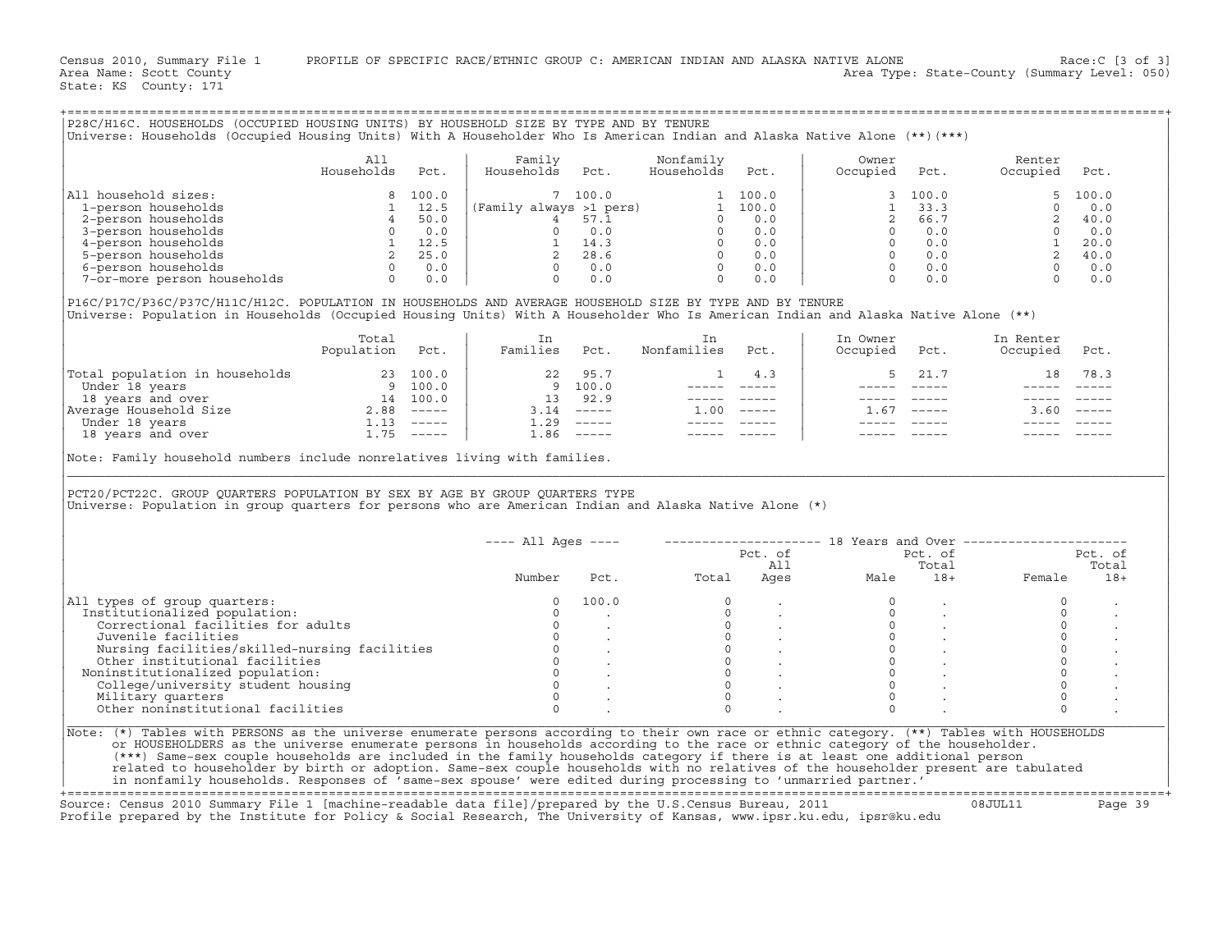Census 2010, Summary File 1 PROFILE OF SPECIFIC RACE/ETHNIC GROUP C: AMERICAN INDIAN AND ALASKA NATIVE ALONE Race:C [3 of 3]<br>Area Name: Scott County Level: 050) Area Type: State-County (Summary Level: 050) Area Type: State-County (Summary Level: 050)

+===================================================================================================================================================+

State: KS County: 171

|                                                                                                                                                                                                                                                | All<br>Households Pct. | Family<br>Households Pct.                         | Nonfamily<br>Households Pct. | Owner<br>Occupied Pct. | Renter<br>Occupied Pct.                                                                                                                                                                                                                                                                                                                                                                                                  |                                     |
|------------------------------------------------------------------------------------------------------------------------------------------------------------------------------------------------------------------------------------------------|------------------------|---------------------------------------------------|------------------------------|------------------------|--------------------------------------------------------------------------------------------------------------------------------------------------------------------------------------------------------------------------------------------------------------------------------------------------------------------------------------------------------------------------------------------------------------------------|-------------------------------------|
| All household sizes:                                                                                                                                                                                                                           |                        |                                                   |                              |                        |                                                                                                                                                                                                                                                                                                                                                                                                                          |                                     |
|                                                                                                                                                                                                                                                |                        |                                                   |                              |                        |                                                                                                                                                                                                                                                                                                                                                                                                                          |                                     |
|                                                                                                                                                                                                                                                |                        |                                                   |                              |                        |                                                                                                                                                                                                                                                                                                                                                                                                                          |                                     |
|                                                                                                                                                                                                                                                |                        |                                                   |                              |                        |                                                                                                                                                                                                                                                                                                                                                                                                                          |                                     |
|                                                                                                                                                                                                                                                |                        |                                                   |                              |                        |                                                                                                                                                                                                                                                                                                                                                                                                                          |                                     |
|                                                                                                                                                                                                                                                |                        |                                                   |                              |                        |                                                                                                                                                                                                                                                                                                                                                                                                                          |                                     |
|                                                                                                                                                                                                                                                |                        |                                                   |                              |                        |                                                                                                                                                                                                                                                                                                                                                                                                                          |                                     |
|                                                                                                                                                                                                                                                |                        |                                                   |                              |                        |                                                                                                                                                                                                                                                                                                                                                                                                                          |                                     |
| Universe: Population in Households (Occupied Housing Units) With A Householder Who Is American Indian and Alaska Native Alone (**)                                                                                                             | Total                  | In<br>Total In<br>Population Pct.   Families Pct. | In<br>Nonfamilies Pct.       | In Owner               | In Renter<br>Occupied Pct. Occupied Pct.                                                                                                                                                                                                                                                                                                                                                                                 |                                     |
|                                                                                                                                                                                                                                                |                        |                                                   |                              |                        | $\begin{array}{c cccc}\n1 & 4.3 & \downarrow & & 5 & 21.7 & & 18 & 78.3\n\end{array}$                                                                                                                                                                                                                                                                                                                                    |                                     |
|                                                                                                                                                                                                                                                |                        |                                                   |                              |                        |                                                                                                                                                                                                                                                                                                                                                                                                                          |                                     |
|                                                                                                                                                                                                                                                |                        |                                                   |                              |                        | $\begin{array}{cccccc} - & - & - & - & - & - & - \\ & - & - & - & - & - \\ & & - & - & - & - \\ \end{array}$                                                                                                                                                                                                                                                                                                             |                                     |
|                                                                                                                                                                                                                                                |                        |                                                   |                              |                        |                                                                                                                                                                                                                                                                                                                                                                                                                          |                                     |
|                                                                                                                                                                                                                                                |                        |                                                   |                              | $1.67$ -----           | $3.60$ -----                                                                                                                                                                                                                                                                                                                                                                                                             |                                     |
|                                                                                                                                                                                                                                                |                        |                                                   |                              |                        |                                                                                                                                                                                                                                                                                                                                                                                                                          |                                     |
| Note: Family household numbers include nonrelatives living with families.                                                                                                                                                                      |                        |                                                   |                              |                        | ----- -----                                                                                                                                                                                                                                                                                                                                                                                                              |                                     |
| PCT20/PCT22C. GROUP QUARTERS POPULATION BY SEX BY AGE BY GROUP QUARTERS TYPE<br>Universe: Population in group quarters for persons who are American Indian and Alaska Native Alone (*)                                                         |                        |                                                   |                              |                        |                                                                                                                                                                                                                                                                                                                                                                                                                          |                                     |
|                                                                                                                                                                                                                                                |                        |                                                   |                              |                        | ---- All Ages ----    --------------------    18 Years and Over ---------------------                                                                                                                                                                                                                                                                                                                                    |                                     |
|                                                                                                                                                                                                                                                |                        |                                                   |                              |                        |                                                                                                                                                                                                                                                                                                                                                                                                                          |                                     |
|                                                                                                                                                                                                                                                |                        |                                                   |                              |                        |                                                                                                                                                                                                                                                                                                                                                                                                                          |                                     |
|                                                                                                                                                                                                                                                |                        |                                                   |                              |                        | Pot. of Pet. of Pet. of Pet. of Pet. of Pet. of Pet. of Pet. of Pet. of Pet. of Pet. of Pet. of Pet. of Pet. of Pet. of Pet. of Pet. of Pet. of Pet. of Pet. of Pet. of Pet. of Pet. of Pet. $\frac{13}{4}$ Total Total Ages Male                                                                                                                                                                                        |                                     |
| All types of group quarters:                                                                                                                                                                                                                   |                        |                                                   |                              |                        | $\circ$                                                                                                                                                                                                                                                                                                                                                                                                                  |                                     |
| Institutionalized population:                                                                                                                                                                                                                  |                        |                                                   |                              |                        | $\Omega$                                                                                                                                                                                                                                                                                                                                                                                                                 |                                     |
|                                                                                                                                                                                                                                                |                        |                                                   |                              |                        |                                                                                                                                                                                                                                                                                                                                                                                                                          | $0 \qquad \qquad$                   |
|                                                                                                                                                                                                                                                |                        |                                                   |                              |                        |                                                                                                                                                                                                                                                                                                                                                                                                                          |                                     |
|                                                                                                                                                                                                                                                |                        |                                                   |                              |                        |                                                                                                                                                                                                                                                                                                                                                                                                                          | $0 \qquad \qquad$<br>$\overline{0}$ |
|                                                                                                                                                                                                                                                |                        |                                                   |                              |                        |                                                                                                                                                                                                                                                                                                                                                                                                                          |                                     |
| Noninstitutionalized population:                                                                                                                                                                                                               |                        |                                                   |                              |                        |                                                                                                                                                                                                                                                                                                                                                                                                                          | $\Omega$<br>$\overline{0}$          |
|                                                                                                                                                                                                                                                |                        |                                                   |                              |                        |                                                                                                                                                                                                                                                                                                                                                                                                                          |                                     |
| % types of group quarters:<br>institutionalized population:<br>Correctional facilities for adults<br>Juvenile facilities<br>Juvenile facilities<br>Nursing facilities/skilled-nursing facilities<br>0 .<br>Other institutional facilities<br>C |                        |                                                   |                              |                        | $\begin{array}{cccccc} 0 & & \cdot & & & & 0 & & \cdot \\ 0 & & \cdot & & & & 0 & & \cdot \\ 0 & & \cdot & & & & 0 & & \cdot \\ 0 & & \cdot & & & & 0 & & \cdot \\ 0 & & \cdot & & & & 0 & & \cdot \\ 0 & & \cdot & & & & 0 & & \cdot \\ 0 & & \cdot & & & & 0 & & \cdot \\ 0 & & & & & & & 0 & & \cdot \\ 0 & & & & & & & 0 & & \cdot \\ 0 & & & & & & & & 0 & & \cdot \\ 0 & & & & & & & & 0 & & \cdot \\ \end{array}$ |                                     |

| All types of group quarters:                  | 100.0 |  |  |  |
|-----------------------------------------------|-------|--|--|--|
| Institutionalized population:                 |       |  |  |  |
| Correctional facilities for adults            |       |  |  |  |
| Juvenile facilities                           |       |  |  |  |
| Nursing facilities/skilled-nursing facilities |       |  |  |  |
| Other institutional facilities                |       |  |  |  |
| Noninstitutionalized population:              |       |  |  |  |
| College/university student housing            |       |  |  |  |
| Military quarters                             |       |  |  |  |
| Other noninstitutional facilities             |       |  |  |  |

+===================================================================================================================================================+ Source: Census 2010 Summary File 1 [machine−readable data file]/prepared by the U.S.Census Bureau, 2011 08JUL11 Page 39

Profile prepared by the Institute for Policy & Social Research, The University of Kansas, www.ipsr.ku.edu, ipsr@ku.edu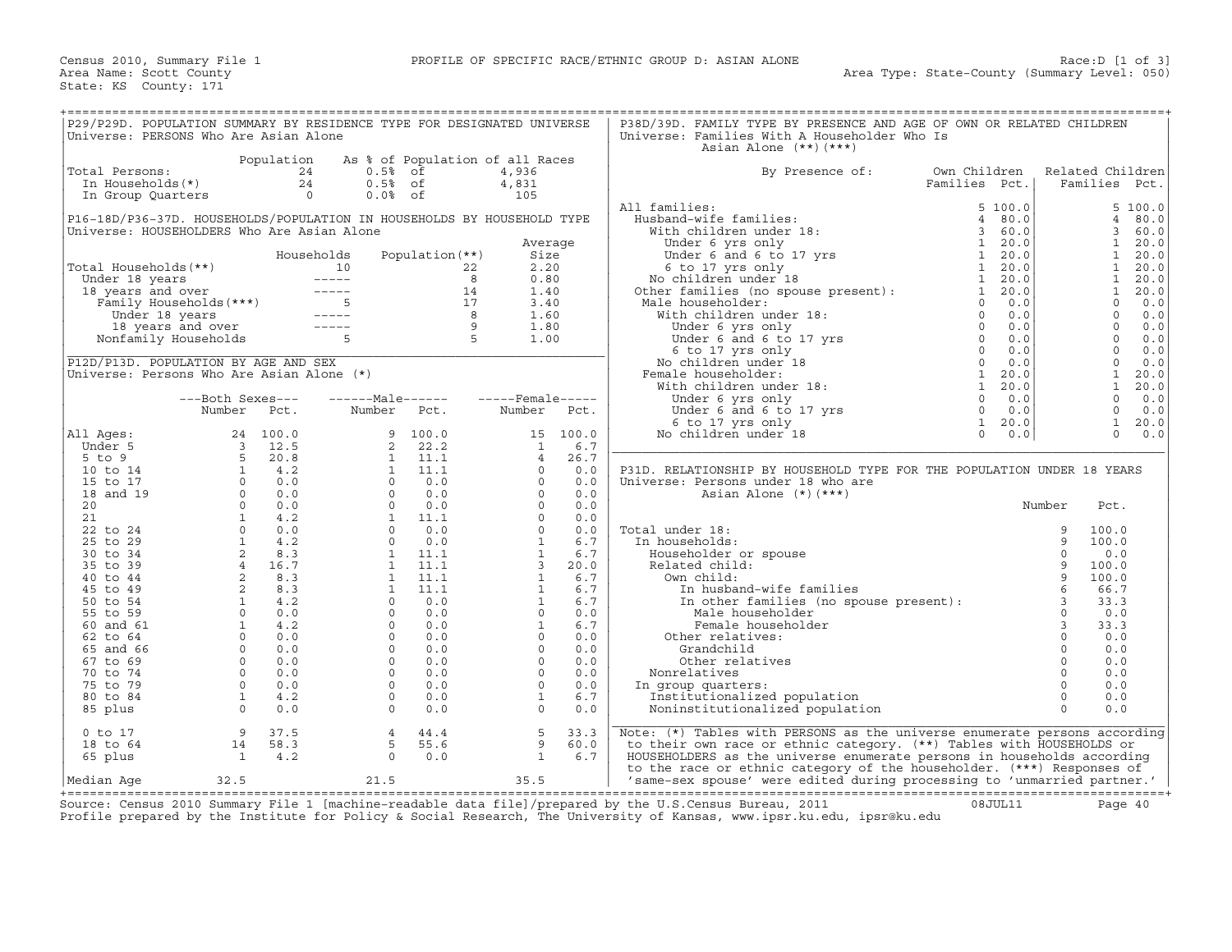| P29/P29D. POPULATION SUMMARY BY RESIDENCE TYPE FOR DESIGNATED UNIVERSE<br>Universe: PERSONS Who Are Asian Alone |                                                                                                 |                  |                      |                        |                                          |             | P38D/39D. FAMILY TYPE BY PRESENCE AND AGE OF OWN OR RELATED CHILDREN<br>Universe: Families With A Householder Who Is                                                                                                                                                   |                   |      |                                   |              |
|-----------------------------------------------------------------------------------------------------------------|-------------------------------------------------------------------------------------------------|------------------|----------------------|------------------------|------------------------------------------|-------------|------------------------------------------------------------------------------------------------------------------------------------------------------------------------------------------------------------------------------------------------------------------------|-------------------|------|-----------------------------------|--------------|
|                                                                                                                 |                                                                                                 |                  |                      |                        |                                          |             | Asian Alone $(**)$ $(***)$                                                                                                                                                                                                                                             |                   |      |                                   |              |
| Total Persons:                                                                                                  |                                                                                                 | Population<br>24 | $0.5%$ of            |                        | As % of Population of all Races<br>4,936 |             | By Presence of:                                                                                                                                                                                                                                                        | Own Children      |      | Related Children                  |              |
| In Households(*)                                                                                                |                                                                                                 | 24               | $0.5%$ of            |                        | 4,831                                    |             |                                                                                                                                                                                                                                                                        | Families Pct.     |      | Families Pct.                     |              |
| In Group Quarters                                                                                               |                                                                                                 | $\overline{0}$   | $0.0%$ of            |                        | 105                                      |             |                                                                                                                                                                                                                                                                        |                   |      |                                   |              |
|                                                                                                                 |                                                                                                 |                  |                      |                        |                                          |             | All families:                                                                                                                                                                                                                                                          | 5, 100.0          |      |                                   | 5 100.0      |
| P16-18D/P36-37D. HOUSEHOLDS/POPULATION IN HOUSEHOLDS BY HOUSEHOLD TYPE                                          |                                                                                                 |                  |                      |                        |                                          |             | Husband-wife families:                                                                                                                                                                                                                                                 | 4 80.0            |      | $\overline{4}$                    | 80.0         |
| Universe: HOUSEHOLDERS Who Are Asian Alone                                                                      |                                                                                                 |                  |                      |                        |                                          |             |                                                                                                                                                                                                                                                                        | 360.0             |      | 3<br>$\mathbf{1}$                 | 60.0         |
|                                                                                                                 |                                                                                                 |                  | Households           | Population $(**)$      | Average<br>Size                          |             |                                                                                                                                                                                                                                                                        | 1, 20.0<br>1 20.0 |      | $\mathbf{1}$                      | 20.0<br>20.0 |
| Total Households(**)                                                                                            |                                                                                                 | 10               |                      |                        | 2.20<br>22                               |             |                                                                                                                                                                                                                                                                        | 1 20.0            |      | $\mathbf{1}$                      | 20.0         |
| Under 18 years                                                                                                  |                                                                                                 |                  |                      |                        | 8<br>0.80                                |             | Misband-wire ramines.<br>With children under 18:<br>Under 6 yrs only<br>Under 6 and 6 to 17 yrs<br>6 to 17 yrs only<br>No children under 18<br>Other families (no spouse present):<br>Misla bancabaldor:                                                               | 1, 20.0           |      | $\mathbf{1}$                      | 20.0         |
| 18 years and over                                                                                               |                                                                                                 |                  |                      |                        | 14<br>1.40                               |             |                                                                                                                                                                                                                                                                        | $\mathbf{1}$      | 20.0 | $\mathbf{1}$                      | 20.0         |
|                                                                                                                 |                                                                                                 |                  |                      |                        | 17<br>3.40                               |             | Male householder:<br>ale householder:<br>With children under 18:<br>Under 6 yrs only<br>Under 6 and 6 to 17 yrs<br>6 to 17 yrs 6 and 6 to 17 yrs<br>6 to 17 yrs 6 and 6 to 17 yrs 0<br>No children under 18:<br>With children under 18:<br>With children under 18:<br> | $\Omega$          | 0.0  | $\Omega$                          | 0.0          |
|                                                                                                                 |                                                                                                 |                  |                      |                        | 1.60                                     |             |                                                                                                                                                                                                                                                                        |                   |      | $\circ$                           | 0.0          |
|                                                                                                                 |                                                                                                 |                  |                      | $\frac{9}{5}$          | 9<br>1.80                                |             |                                                                                                                                                                                                                                                                        |                   |      | $\Omega$                          | 0.0          |
|                                                                                                                 |                                                                                                 |                  |                      |                        | 1.00                                     |             |                                                                                                                                                                                                                                                                        |                   |      | $\mathbf 0$<br>$\Omega$           | 0.0          |
| P12D/P13D. POPULATION BY AGE AND SEX                                                                            |                                                                                                 |                  |                      |                        |                                          |             |                                                                                                                                                                                                                                                                        |                   |      | $\Omega$                          | 0.0<br>0.0   |
| Universe: Persons Who Are Asian Alone (*)                                                                       |                                                                                                 |                  |                      |                        |                                          |             | Female householder:                                                                                                                                                                                                                                                    |                   |      | $\mathbf{1}$                      | 20.0         |
|                                                                                                                 |                                                                                                 |                  |                      |                        |                                          |             |                                                                                                                                                                                                                                                                        |                   |      | $\mathbf{1}$                      | 20.0         |
|                                                                                                                 | ---Both Sexes---                                                                                |                  | ------Male------     |                        | $---$ Female-----                        |             | Under 6 yrs only                                                                                                                                                                                                                                                       | $0 \t 0.0$        |      | $\circ$                           | 0.0          |
|                                                                                                                 | Number Pct.                                                                                     |                  | Number               | Pct.                   | Number                                   | Pct.        | Under 6 yrs only<br>G to 17 yrs onlo to 17 yrs<br>6 to 17 yrs only<br>o children under 18                                                                                                                                                                              | $\Omega$          | 0.0  | $\Omega$                          | 0.0          |
|                                                                                                                 |                                                                                                 |                  |                      |                        |                                          |             |                                                                                                                                                                                                                                                                        | $\mathbf{1}$      | 20.0 | $\mathbf{1}$                      | 20.0         |
| All Ages:                                                                                                       |                                                                                                 | 24 100.0         | 9                    | 100.0                  |                                          | 15 100.0    | No children under 18                                                                                                                                                                                                                                                   | $\circ$           | 0.0  | $\Omega$                          | 0.0          |
| Under 5                                                                                                         |                                                                                                 | 12.5             | 2                    | 22.2                   | $\mathbf{1}$                             | 6.7         |                                                                                                                                                                                                                                                                        |                   |      |                                   |              |
| $5$ to $9$                                                                                                      | $\begin{array}{ccc} & 1 & 1 & 1 \\ 3 & 1 & 1 & 1 \\ 5 & 2 & 1 & 1 \\ 0 & 0 & 0 & 0 \end{array}$ | 20.8<br>4.2      | $\overline{1}$       | $1 \quad 11.1$<br>11.1 | $\overline{4}$<br>$\Omega$               | 26.7<br>0.0 |                                                                                                                                                                                                                                                                        |                   |      |                                   |              |
| 10 to 14<br>15 to 17                                                                                            |                                                                                                 | 0.0              | $\circ$              | 0.0                    | $\circ$                                  | 0.0         | P31D. RELATIONSHIP BY HOUSEHOLD TYPE FOR THE POPULATION UNDER 18 YEARS<br>Universe: Persons under 18 who are                                                                                                                                                           |                   |      |                                   |              |
| 18 and 19                                                                                                       |                                                                                                 | 0.0              | $\Omega$             | 0.0                    | $\Omega$                                 | 0.0         | Asian Alone $(*)$ $(***)$                                                                                                                                                                                                                                              |                   |      |                                   |              |
| 20                                                                                                              | $\Omega$                                                                                        | 0.0              | $\Omega$             | 0.0                    | $\Omega$                                 | 0.0         |                                                                                                                                                                                                                                                                        |                   |      | Number<br>Pct.                    |              |
| 21                                                                                                              | $\begin{array}{c} 1 \\ 1 \\ 2 \\ 4 \\ 2 \\ 2 \\ 3 \end{array}$                                  | 4.2              | $\mathbf{1}$         | 11.1                   | $\Omega$                                 | 0.0         |                                                                                                                                                                                                                                                                        |                   |      |                                   |              |
| 22 to 24                                                                                                        |                                                                                                 | 0.0              | $\Omega$             | 0.0                    | $\circ$                                  | 0.0         | Total under 18:                                                                                                                                                                                                                                                        |                   |      | 9<br>100.0                        |              |
| 25 to 29                                                                                                        |                                                                                                 | 4.2              | $\Omega$             | 0.0                    | $\mathbf{1}$                             | 6.7         | In households:                                                                                                                                                                                                                                                         |                   |      | 9<br>100.0                        |              |
| 30 to 34                                                                                                        |                                                                                                 | 8.3              | $\mathbf{1}$         | 11.1                   | $\mathbf{1}$                             | 6.7         | Householder or spouse                                                                                                                                                                                                                                                  |                   |      | $\Omega$<br>0.0                   |              |
| 35 to 39                                                                                                        |                                                                                                 | 4 16.7<br>8.3    | 1<br>$\mathbf{1}$    | 11.1<br>11.1           | $\overline{\mathbf{3}}$<br>$\mathbf{1}$  | 20.0<br>6.7 | Related child:<br>Own child:                                                                                                                                                                                                                                           |                   |      | 9<br>100.0<br>9<br>100.0          |              |
| 40 to 44<br>45 to 49                                                                                            |                                                                                                 | 8.3              | $\overline{1}$       | 11.1                   | $\mathbf{1}$                             | 6.7         | -… www.and-wife families<br>In other families (no spouse present):<br>Male householder<br>Female householder<br>her ralition                                                                                                                                           |                   |      | 6<br>66.7                         |              |
| 50 to 54                                                                                                        |                                                                                                 | 4.2              | $\circ$              | 0.0                    | $\mathbf{1}$                             | 6.7         |                                                                                                                                                                                                                                                                        |                   |      | $\overline{\mathbf{3}}$<br>33.3   |              |
| 55 to 59                                                                                                        |                                                                                                 | 0.0              | $\Omega$             | 0.0                    | $\Omega$                                 | 0.0         |                                                                                                                                                                                                                                                                        |                   |      | $\circ$<br>0.0                    |              |
| 60 and 61                                                                                                       |                                                                                                 | 4.2              | $\Omega$             | 0.0                    | $\mathbf{1}$                             | 6.7         |                                                                                                                                                                                                                                                                        |                   |      | $\mathbf{3}$<br>33.3              |              |
| 62 to 64                                                                                                        |                                                                                                 | 0.0              | $\Omega$             | 0.0                    | $\Omega$                                 | 0.0         | Other relatives:                                                                                                                                                                                                                                                       |                   |      | 0.0                               |              |
| 65 and 66                                                                                                       |                                                                                                 | 0.0              | $\Omega$             | 0.0                    | $\Omega$                                 | 0.0         | Grandchild                                                                                                                                                                                                                                                             |                   |      | $\Omega$<br>0.0                   |              |
| 67 to 69                                                                                                        |                                                                                                 | 0.0              | $\circ$              | 0.0                    | $\circ$                                  | 0.0         | Other relatives                                                                                                                                                                                                                                                        |                   |      | $\mathbf 0$<br>0.0                |              |
| 70 to 74                                                                                                        | $\Omega$                                                                                        | 0.0              | $\Omega$             | 0.0                    | $\Omega$                                 | 0.0         | Nonrelatives                                                                                                                                                                                                                                                           |                   |      | $\Omega$<br>0.0                   |              |
| 75 to 79<br>80 to 84                                                                                            | $\circ$<br>$\mathbf{1}$                                                                         | 0.0<br>4.2       | $\Omega$<br>$\Omega$ | 0.0<br>0.0             | $\Omega$<br>$\mathbf{1}$                 | 0.0<br>6.7  | In group quarters:                                                                                                                                                                                                                                                     |                   |      | $\Omega$<br>0.0<br>$\circ$<br>0.0 |              |
| 85 plus                                                                                                         | $\Omega$                                                                                        | 0.0              | $\Omega$             | 0.0                    | $\Omega$                                 | 0.0         | Institutionalized population<br>Noninstitutionalized population                                                                                                                                                                                                        |                   |      | $\cap$<br>0.0                     |              |
|                                                                                                                 |                                                                                                 |                  |                      |                        |                                          |             |                                                                                                                                                                                                                                                                        |                   |      |                                   |              |
| $0$ to $17$                                                                                                     | 9                                                                                               | 37.5             | $\overline{4}$       | 44.4                   | 5                                        | 33.3        | Note: (*) Tables with PERSONS as the universe enumerate persons according                                                                                                                                                                                              |                   |      |                                   |              |
| 18 to 64                                                                                                        | 14                                                                                              | 58.3             | 5                    | 55.6                   | 9                                        | 60.0        | to their own race or ethnic category. (**) Tables with HOUSEHOLDS or                                                                                                                                                                                                   |                   |      |                                   |              |
| 65 plus                                                                                                         | $\overline{1}$                                                                                  | 4.2              | $\Omega$             | 0.0                    | $\mathbf{1}$                             | 6.7         | HOUSEHOLDERS as the universe enumerate persons in households according                                                                                                                                                                                                 |                   |      |                                   |              |
|                                                                                                                 |                                                                                                 |                  |                      |                        |                                          |             | to the race or ethnic category of the householder. (***) Responses of                                                                                                                                                                                                  |                   |      |                                   |              |
| Median Aqe                                                                                                      | 32.5                                                                                            |                  | 21.5                 |                        | 35.5                                     |             | 'same-sex spouse' were edited during processing to 'unmarried partner.'                                                                                                                                                                                                |                   |      |                                   |              |

+===================================================================================================================================================+Source: Census 2010 Summary File 1 [machine−readable data file]/prepared by the U.S.Census Bureau, 2011 08JUL11 Page 40 Profile prepared by the Institute for Policy & Social Research, The University of Kansas, www.ipsr.ku.edu, ipsr@ku.edu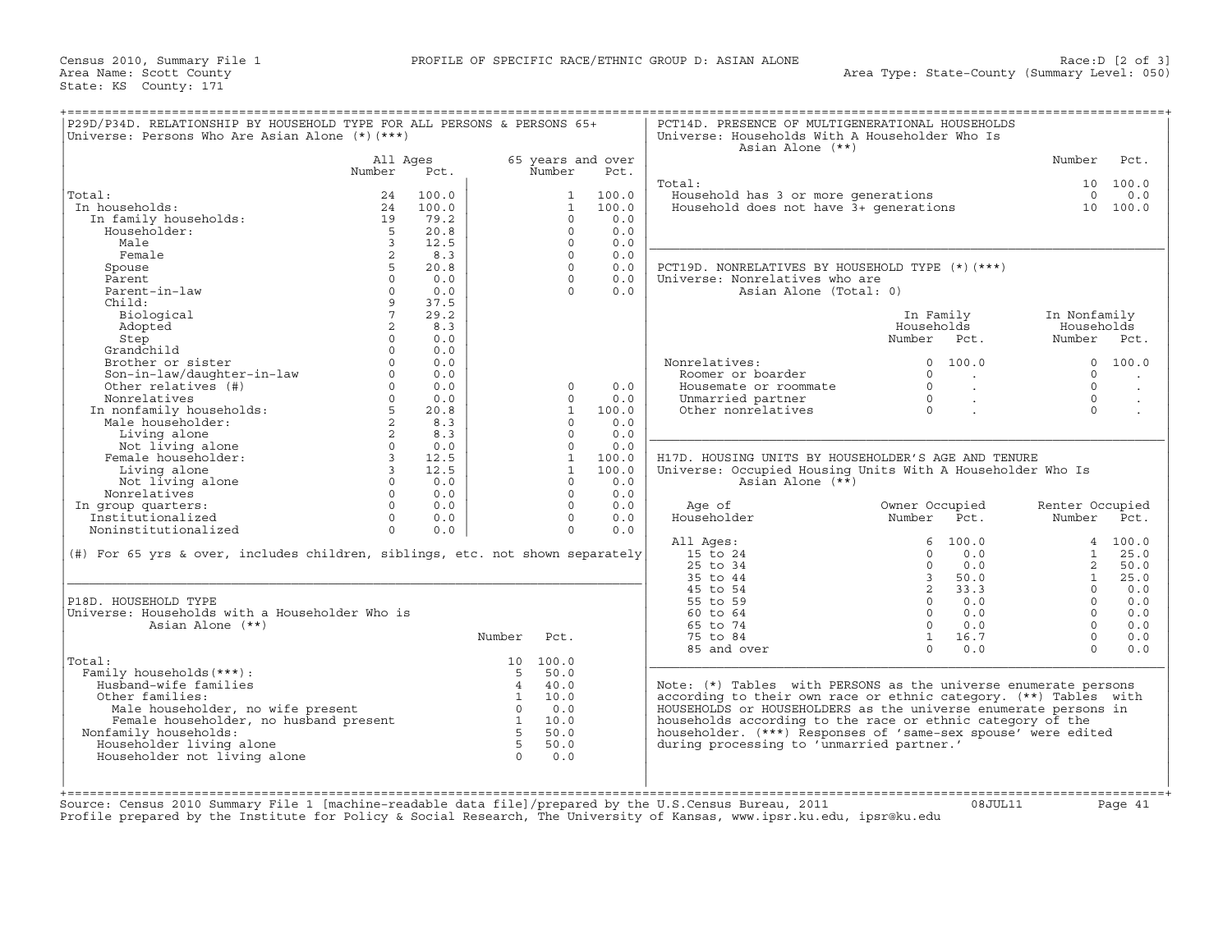| P29D/P34D. RELATIONSHIP BY HOUSEHOLD TYPE FOR ALL PERSONS & PERSONS 65+<br>Universe: Persons Who Are Asian Alone (*) (***)                      |                |       |                 |              |                   | PCT14D. PRESENCE OF MULTIGENERATIONAL HOUSEHOLDS<br>Universe: Households With A Householder Who Is<br>Asian Alone (**) |                |                |                 |               |
|-------------------------------------------------------------------------------------------------------------------------------------------------|----------------|-------|-----------------|--------------|-------------------|------------------------------------------------------------------------------------------------------------------------|----------------|----------------|-----------------|---------------|
|                                                                                                                                                 | All Ages       |       |                 |              | 65 years and over |                                                                                                                        |                |                | Number          | Pct.          |
|                                                                                                                                                 | Number         | Pct.  |                 | Number       | Pct.              |                                                                                                                        |                |                |                 |               |
|                                                                                                                                                 |                |       |                 |              |                   | Total:                                                                                                                 |                |                |                 | 10 100.0      |
| Total:                                                                                                                                          | 24             | 100.0 |                 | 1            | 100.0             | Household has 3 or more generations                                                                                    |                |                | $\Omega$        | 0.0           |
| In households:                                                                                                                                  | 24             | 100.0 |                 | $\mathbf{1}$ | 100.0             | Household does not have 3+ generations                                                                                 |                |                |                 | 10 100.0      |
| In family households:                                                                                                                           | 19             | 79.2  |                 | $\Omega$     | 0.0               |                                                                                                                        |                |                |                 |               |
| Householder:                                                                                                                                    | $-5$           | 20.8  |                 | $\Omega$     | 0.0               |                                                                                                                        |                |                |                 |               |
| Male                                                                                                                                            | $\overline{3}$ | 12.5  |                 | $\Omega$     | 0.0               |                                                                                                                        |                |                |                 |               |
| Female                                                                                                                                          | 2              | 8.3   |                 | $\Omega$     | 0.0               |                                                                                                                        |                |                |                 |               |
| Spouse                                                                                                                                          |                | 20.8  |                 | $\Omega$     | 0.0               | PCT19D. NONRELATIVES BY HOUSEHOLD TYPE (*) (***)                                                                       |                |                |                 |               |
| Parent                                                                                                                                          | $\Omega$       | 0.0   |                 | $\Omega$     | 0.0               | Universe: Nonrelatives who are                                                                                         |                |                |                 |               |
| Parent-in-law                                                                                                                                   | $\Omega$       | 0.0   |                 | $\Omega$     | 0.0               | Asian Alone (Total: 0)                                                                                                 |                |                |                 |               |
| Child:                                                                                                                                          | 9              | 37.5  |                 |              |                   |                                                                                                                        |                |                |                 |               |
|                                                                                                                                                 | $7^{\circ}$    | 29.2  |                 |              |                   |                                                                                                                        |                |                |                 |               |
| Biological                                                                                                                                      |                |       |                 |              |                   |                                                                                                                        | In Family      |                | In Nonfamily    |               |
| Adopted                                                                                                                                         | 2              | 8.3   |                 |              |                   |                                                                                                                        | Households     |                | Households      |               |
| Step                                                                                                                                            | $\Omega$       | 0.0   |                 |              |                   |                                                                                                                        | Number Pct.    |                | Number          | Pct.          |
| Grandchild                                                                                                                                      | $\Omega$       | 0.0   |                 |              |                   |                                                                                                                        |                |                |                 |               |
| Brother or sister                                                                                                                               | $\Omega$       | 0.0   |                 |              |                   | Nonrelatives:                                                                                                          | $\Omega$       | 100.0          | $\Omega$        | 100.0         |
| $Son-in-law/day/daughter-in-law$                                                                                                                | $\Omega$       | 0.0   |                 |              |                   | Roomer or boarder                                                                                                      | $\Omega$       | $\sim 10^{-1}$ | $\Omega$        |               |
| Other relatives (#)                                                                                                                             | $\Omega$       | 0.0   |                 | $\Omega$     | 0.0               | Housemate or roommate                                                                                                  | $\Omega$       | $\sim$         | $\Omega$        | $\sim$        |
| Nonrelatives                                                                                                                                    | $\Omega$       | 0.0   |                 | $\Omega$     | 0.0               | Unmarried partner                                                                                                      | $\Omega$       | $\sim$         | $\Omega$        | $\mathcal{L}$ |
|                                                                                                                                                 | 5              | 20.8  |                 | $\mathbf{1}$ | 100.0             | Other nonrelatives                                                                                                     | $\Omega$       |                | $\Omega$        |               |
|                                                                                                                                                 | $\overline{a}$ | 8.3   |                 | $\Omega$     | 0.0               |                                                                                                                        |                |                |                 |               |
|                                                                                                                                                 | $\overline{2}$ | 8.3   |                 | $\Omega$     | 0.0               |                                                                                                                        |                |                |                 |               |
|                                                                                                                                                 | $\Omega$       | 0.0   |                 | $\Omega$     | 0.0               |                                                                                                                        |                |                |                 |               |
| Nonrelatives<br>In nonfamily households:<br>Male householder:<br>Living alone<br>Not living alone<br>Female householder:<br>Female householder: | $3^{\circ}$    | 12.5  |                 | 1            | 100.0             | H17D. HOUSING UNITS BY HOUSEHOLDER'S AGE AND TENURE                                                                    |                |                |                 |               |
| Living alone                                                                                                                                    | $3^{\circ}$    | 12.5  |                 | $\mathbf{1}$ | 100.0             | Universe: Occupied Housing Units With A Householder Who Is                                                             |                |                |                 |               |
| Not living alone                                                                                                                                | $\Omega$       | 0.0   |                 | $\Omega$     | 0.0               | Asian Alone $(**)$                                                                                                     |                |                |                 |               |
| Nonrelatives                                                                                                                                    | $\Omega$       | 0.0   |                 | $\Omega$     | 0.0               |                                                                                                                        |                |                |                 |               |
| In group quarters:                                                                                                                              | $\Omega$       | 0.0   |                 | $\Omega$     | 0.0               | Age of                                                                                                                 | Owner Occupied |                | Renter Occupied |               |
| Institutionalized                                                                                                                               | $\Omega$       | 0.0   |                 | $\Omega$     | 0.0               | Householder                                                                                                            | Number         | Pct.           | Number Pct.     |               |
| Noninstitutionalized                                                                                                                            | $\Omega$       |       |                 | $\Omega$     | 0.0               |                                                                                                                        |                |                |                 |               |
|                                                                                                                                                 |                | 0.0   |                 |              |                   |                                                                                                                        |                |                |                 |               |
|                                                                                                                                                 |                |       |                 |              |                   | All Ages:                                                                                                              |                | 6 100.0        |                 | 4 100.0       |
| (#) For 65 yrs & over, includes children, siblings, etc. not shown separately                                                                   |                |       |                 |              |                   | 15 to 24                                                                                                               | $\Omega$       | 0.0            | $\mathbf{1}$    | 25.0          |
|                                                                                                                                                 |                |       |                 |              |                   | 25 to 34                                                                                                               | $\Omega$       | 0.0            | $\overline{2}$  | 50.0          |
|                                                                                                                                                 |                |       |                 |              |                   | 35 to 44                                                                                                               | $\overline{3}$ | 50.0           | 1               | 25.0          |
|                                                                                                                                                 |                |       |                 |              |                   | 45 to 54                                                                                                               | $\overline{2}$ | 33.3           | $\Omega$        | 0.0           |
| P18D. HOUSEHOLD TYPE                                                                                                                            |                |       |                 |              |                   | 55 to 59                                                                                                               | $\Omega$       | 0.0            | $\Omega$        | 0.0           |
| Universe: Households with a Householder Who is                                                                                                  |                |       |                 |              |                   | 60 to 64                                                                                                               | $\Omega$       | 0.0            | $\Omega$        | 0.0           |
| Asian Alone (**)                                                                                                                                |                |       |                 |              |                   | 65 to 74                                                                                                               | $\Omega$       | 0.0            | $\Omega$        | 0.0           |
|                                                                                                                                                 |                |       | Number          | Pct.         |                   | 75 to 84                                                                                                               | $\mathbf{1}$   | 16.7           | $\Omega$        | 0.0           |
|                                                                                                                                                 |                |       |                 |              |                   | 85 and over                                                                                                            | $\Omega$       | 0.0            | $\Omega$        | 0.0           |
| Total:                                                                                                                                          |                |       |                 | 10 100.0     |                   |                                                                                                                        |                |                |                 |               |
| Family households (***) :                                                                                                                       |                |       | $5^{\circ}$     | 50.0         |                   |                                                                                                                        |                |                |                 |               |
| Husband-wife families                                                                                                                           |                |       | $\overline{4}$  | 40.0         |                   | Note: (*) Tables with PERSONS as the universe enumerate persons                                                        |                |                |                 |               |
| Other families:                                                                                                                                 |                |       |                 | $1 \t 10.0$  |                   | according to their own race or ethnic category. (**) Tables with                                                       |                |                |                 |               |
| Male householder, no wife present                                                                                                               |                |       | $\Omega$        | 0.0          |                   | HOUSEHOLDS or HOUSEHOLDERS as the universe enumerate persons in                                                        |                |                |                 |               |
|                                                                                                                                                 |                |       |                 |              |                   | households according to the race or ethnic category of the                                                             |                |                |                 |               |
|                                                                                                                                                 |                |       | $1 \qquad 10.0$ | 5 50.0       |                   | householder. (***) Responses of 'same-sex spouse' were edited                                                          |                |                |                 |               |
| Male householder, no wife present<br>Female householder, no husband present                                                                     |                |       | $-5$            | 50.0         |                   |                                                                                                                        |                |                |                 |               |
| Nonfamily households:                                                                                                                           |                |       |                 |              |                   | during processing to 'unmarried partner.'                                                                              |                |                |                 |               |
| Householder living alone                                                                                                                        |                |       |                 |              |                   |                                                                                                                        |                |                |                 |               |
| Householder not living alone                                                                                                                    |                |       | $\Omega$        | 0.0          |                   |                                                                                                                        |                |                |                 |               |
|                                                                                                                                                 |                |       |                 |              |                   |                                                                                                                        |                |                |                 |               |
|                                                                                                                                                 |                |       |                 |              |                   |                                                                                                                        |                |                |                 |               |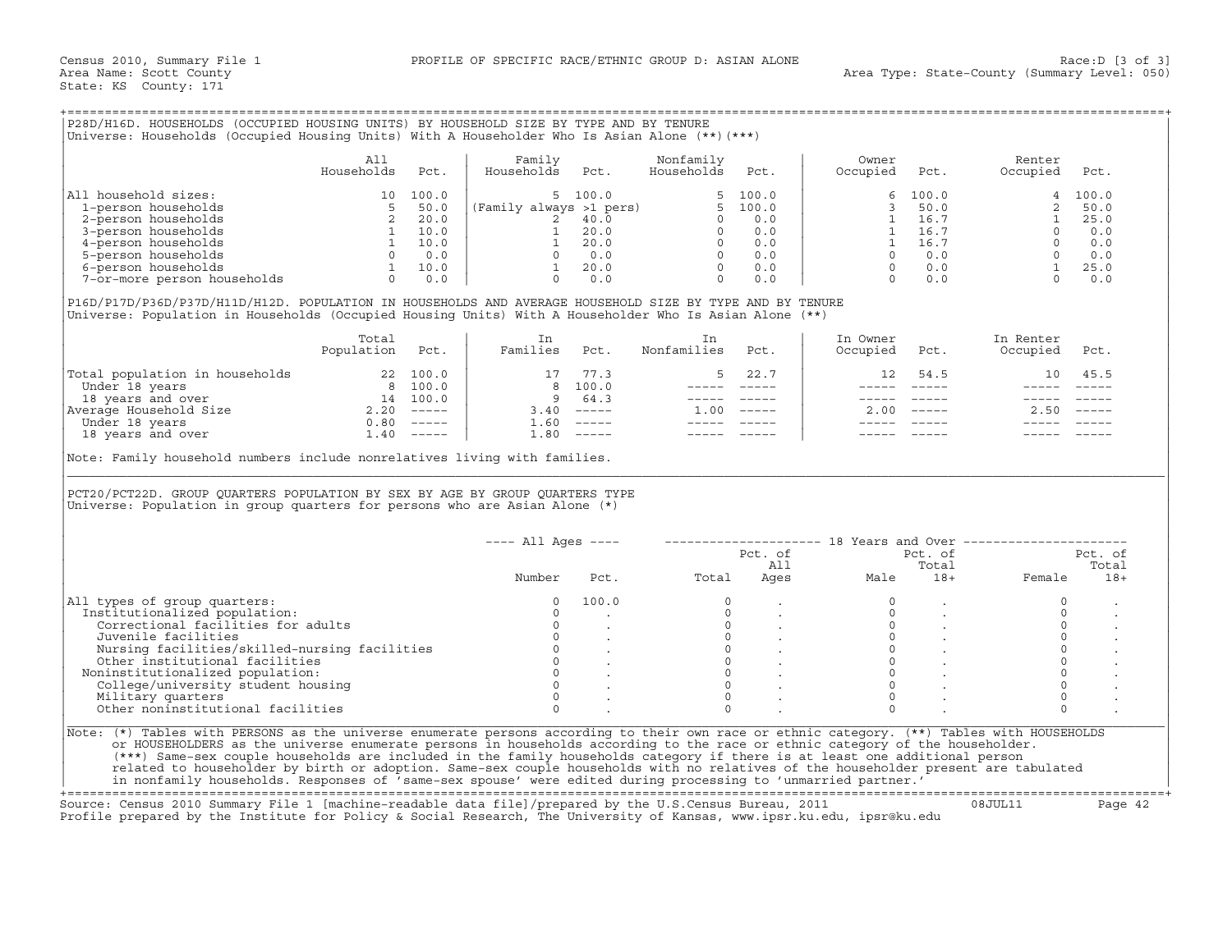|  |  |  | P28D/H16D. HOUSEHOLDS (OCCUPIED HOUSING UNITS) BY HOUSEHOLD SIZE BY TYPE AND BY TENURE         |
|--|--|--|------------------------------------------------------------------------------------------------|
|  |  |  |                                                                                                |
|  |  |  | Universe: Households (Occupied Housing Units) With A Householder Who Is Asian Alone (**) (***) |
|  |  |  |                                                                                                |

|                             | All<br>Households | Pct.  | Family<br>Households    | Pct.    | Nonfamily<br>Households | Pct.     | Owner<br>Occupied | Pct.  | Renter<br>Occupied | Pct.  |
|-----------------------------|-------------------|-------|-------------------------|---------|-------------------------|----------|-------------------|-------|--------------------|-------|
| All household sizes:        |                   | 100.0 |                         | 5 100.0 |                         | 5, 100.0 |                   | 100.0 |                    | 100.0 |
| 1-person households         |                   | 50.0  | (Family always >1 pers) |         | ь —                     | 100.0    |                   | 50.0  |                    | 50.0  |
| 2-person households         |                   | 20.0  |                         | 40.0    |                         | 0.0      |                   | 16.7  |                    | 25.0  |
| 3-person households         |                   | 10.0  |                         | 20.0    |                         | 0.0      |                   | 16.7  |                    | 0.0   |
| 4-person households         |                   | 10.0  |                         | 20.0    |                         | 0.0      |                   | 16.7  |                    | 0.0   |
| 5-person households         |                   | 0.0   |                         | 0.0     |                         | 0.0      |                   | 0.0   |                    | 0.0   |
| 6-person households         |                   | 10.0  |                         | 20.0    |                         | 0.0      |                   | 0.0   |                    | 25.0  |
| 7-or-more person households |                   | 0.0   |                         | 0.0     |                         | 0.0      |                   |       |                    | 0.0   |

|                                | Total<br>Population | Pct.          | Families | Pct.         | Nonfamilies | Pct.          | In Owner<br>Occupied | Pct.   | In Renter<br>Occupied | Pct.     |
|--------------------------------|---------------------|---------------|----------|--------------|-------------|---------------|----------------------|--------|-----------------------|----------|
| Total population in households |                     | 22 100.0      |          | 77.3         |             | 22.7          | 12 <sup>°</sup>      | 54.5   | 10                    | 45.5     |
| Under 18 years                 | 8                   | 100.0         |          | 8 100.0      |             |               |                      |        |                       |          |
| 18 years and over              | 14                  | 100.0         | 9.       | 64.3         |             |               |                      |        |                       |          |
| Average Household Size         | 2.20                | $- - - - - -$ | 3.40     | ______       | .00         | $- - - - - -$ | 2.00                 | ______ | 2.50                  | $------$ |
| Under 18 years                 | 0.80                | $------$      |          | $1.60$ ----- |             |               |                      |        |                       |          |
| 18 years and over              | $\overline{1}$ .40  | $------$      | 80       | $------$     |             |               |                      |        |                       |          |

| Family<br>All<br>Nonfamily<br>Owner<br>Renter<br>Households<br>Households<br>Households<br>Pct.<br>Pct.<br>Occupied<br>Occupied<br>Pct.<br>Pct.<br>Pct.<br>5, 100.0<br>5, 100.0<br>100.0<br>100.0<br>10 100.0<br>5 50.0<br>2 20.0<br>1 10.0<br>1 10.0<br>1 10.0<br>1 10.0<br>6<br>4<br>(Family always >1 pers)<br>2 40.0 0 0.0<br>2 40.0 0 0.0<br>1 20.0 0 0.0<br>1 20.0 0 0.0<br>1 20.0 0 0.0<br>0 0.0<br>0 0.0<br>0 0.0<br>50.0<br>3<br>$\begin{bmatrix} 2 & 50.0 \\ 1 & 25.0 \\ 0 & 0.0 \\ 0 & 0.0 \\ 0 & 0.0 \\ 1 & 25.0 \\ 0 & 0.0 \\ \end{bmatrix}$<br>1<br>16.7<br>1 16.7<br>4-person households<br>1 16.7<br>5-person households<br>$0 \t 0.0$<br>6-person households<br>7-or-more person households<br>0 0.0<br>$\overline{0}$<br>0.0<br>$\Omega$<br>0.0<br>P16D/P17D/P36D/P37D/H11D/H12D. POPULATION IN HOUSEHOLDS AND AVERAGE HOUSEHOLD SIZE BY TYPE AND BY TENURE<br>Universe: Population in Households (Occupied Housing Units) With A Householder Who Is Asian Alone (**)<br>Total<br>In<br>In Owner<br>In Renter<br>In<br>Population Pct.<br>Families Pct.<br>Nonfamilies<br>Pct.<br>Occupied<br>Occupied<br>Pct.<br>Pct.<br>$\begin{tabular}{ l l } \hline \texttt{Total population in households} & 22 100.0 \\ \hline \texttt{Under 18 years} & 8 100.0 \\ \hline 18 years and over & 14 100.0 \\ \hline \texttt{Average House} & 2.20 ----- \\ \hline \texttt{Under 18 years} & 0.80 ----- \\ \hline \texttt{18 years} & 1.40 ----- \\ \hline \end{tabular}$<br>17 77.3<br>5<br>22.7<br>54.5<br>10<br>45.5<br>12<br>8 100.0<br>----- -----<br>9 64.3<br>----- -----<br>$3.40$ -----<br>$1.00$ -----<br>$2.00$ -----<br>$2.50$ -----<br>$1.60$ -----<br>_______________<br>$1.80$ -----<br>----- -----<br>Note: Family household numbers include nonrelatives living with families.<br>PCT20/PCT22D. GROUP QUARTERS POPULATION BY SEX BY AGE BY GROUP QUARTERS TYPE<br>Universe: Population in group quarters for persons who are Asian Alone $(*)$<br>$--- All Aqes ---$<br>-------------------- 18 Years and Over ----------------------<br>Pct. of<br>Pct. of<br>Pct. of<br>Total<br>Total<br>All<br>Ages<br>Number<br>Total<br>Pct.<br>Male<br>$18+$<br>Female<br>$18+$<br>100.0<br>$\circ$<br>$\circ$<br>$\mathbf 0$<br>$\circ$<br>$\Omega$<br>$\Omega$<br>$\Omega$<br>$\Omega$<br>$\begin{matrix} 0 \\ 0 \\ 0 \\ 0 \\ 0 \end{matrix}$<br>$\circ$<br>$\circ$<br>Correctional facilities for adults<br>$\circ$<br>$0 \qquad \qquad$<br>$\circ$<br>$\circ$<br>Juvenile facilities<br>$\sim$<br>$\circ$<br>$\circ$<br>$\Omega$<br>Nursing facilities/skilled-nursing facilities<br>$\begin{matrix} 0 & & \cdot \\ 0 & & \cdot \end{matrix}$<br>$\circ$<br>$\circ$<br>Other institutional facilities<br>$\Omega$<br>$\mathsf{O}\xspace$<br>$\circ$<br>Noninstitutionalized population:<br>$\Omega$<br>$\Omega$<br>$\Omega$<br>$\Omega$<br>College/university student housing<br>$\circ$<br>$\Omega$<br>$\Omega$<br>$\Omega$<br>Military quarters<br>Other noninstitutional facilities<br>$\Omega$<br>$\Omega$<br>$\cap$<br>$\Omega$<br>Note: (*) Tables with PERSONS as the universe enumerate persons according to their own race or ethnic category. (**) Tables with HOUSEHOLDS<br>or HOUSEHOLDERS as the universe enumerate persons in households according to the race or ethnic category of the householder.<br>(***) Same-sex couple households are included in the family households category if there is at least one additional person<br>related to householder by birth or adoption. Same-sex couple households with no relatives of the householder present are tabulated | Universe: Households (Occupied Housing Units) With A Householder Who Is Asian Alone (**) (***) |  |  |  |  |  |
|-----------------------------------------------------------------------------------------------------------------------------------------------------------------------------------------------------------------------------------------------------------------------------------------------------------------------------------------------------------------------------------------------------------------------------------------------------------------------------------------------------------------------------------------------------------------------------------------------------------------------------------------------------------------------------------------------------------------------------------------------------------------------------------------------------------------------------------------------------------------------------------------------------------------------------------------------------------------------------------------------------------------------------------------------------------------------------------------------------------------------------------------------------------------------------------------------------------------------------------------------------------------------------------------------------------------------------------------------------------------------------------------------------------------------------------------------------------------------------------------------------------------------------------------------------------------------------------------------------------------------------------------------------------------------------------------------------------------------------------------------------------------------------------------------------------------------------------------------------------------------------------------------------------------------------------------------------------------------------------------------------------------------------------------------------------------------------------------------------------------------------------------------------------------------------------------------------------------------------------------------------------------------------------------------------------------------------------------------------------------------------------------------------------------------------------------------------------------------------------------------------------------------------------------------------------------------------------------------------------------------------------------------------------------------------------------------------------------------------------------------------------------------------------------------------------------------------------------------------------------------------------------------------------------------------------------------------------------------------------------------------------------------------------------------------------------------------------------------------------------------------------------------------------------------------------------------------------------------------------------------------------------------------------------------------------------------------------------------------------------------------------------------------------------------------------------------------------------------------------------------------------------------------------------------------------------------------------------------------------|------------------------------------------------------------------------------------------------|--|--|--|--|--|
|                                                                                                                                                                                                                                                                                                                                                                                                                                                                                                                                                                                                                                                                                                                                                                                                                                                                                                                                                                                                                                                                                                                                                                                                                                                                                                                                                                                                                                                                                                                                                                                                                                                                                                                                                                                                                                                                                                                                                                                                                                                                                                                                                                                                                                                                                                                                                                                                                                                                                                                                                                                                                                                                                                                                                                                                                                                                                                                                                                                                                                                                                                                                                                                                                                                                                                                                                                                                                                                                                                                                                                                                           |                                                                                                |  |  |  |  |  |
|                                                                                                                                                                                                                                                                                                                                                                                                                                                                                                                                                                                                                                                                                                                                                                                                                                                                                                                                                                                                                                                                                                                                                                                                                                                                                                                                                                                                                                                                                                                                                                                                                                                                                                                                                                                                                                                                                                                                                                                                                                                                                                                                                                                                                                                                                                                                                                                                                                                                                                                                                                                                                                                                                                                                                                                                                                                                                                                                                                                                                                                                                                                                                                                                                                                                                                                                                                                                                                                                                                                                                                                                           | All household sizes:                                                                           |  |  |  |  |  |
|                                                                                                                                                                                                                                                                                                                                                                                                                                                                                                                                                                                                                                                                                                                                                                                                                                                                                                                                                                                                                                                                                                                                                                                                                                                                                                                                                                                                                                                                                                                                                                                                                                                                                                                                                                                                                                                                                                                                                                                                                                                                                                                                                                                                                                                                                                                                                                                                                                                                                                                                                                                                                                                                                                                                                                                                                                                                                                                                                                                                                                                                                                                                                                                                                                                                                                                                                                                                                                                                                                                                                                                                           | 1-person households                                                                            |  |  |  |  |  |
|                                                                                                                                                                                                                                                                                                                                                                                                                                                                                                                                                                                                                                                                                                                                                                                                                                                                                                                                                                                                                                                                                                                                                                                                                                                                                                                                                                                                                                                                                                                                                                                                                                                                                                                                                                                                                                                                                                                                                                                                                                                                                                                                                                                                                                                                                                                                                                                                                                                                                                                                                                                                                                                                                                                                                                                                                                                                                                                                                                                                                                                                                                                                                                                                                                                                                                                                                                                                                                                                                                                                                                                                           | 2-person households                                                                            |  |  |  |  |  |
|                                                                                                                                                                                                                                                                                                                                                                                                                                                                                                                                                                                                                                                                                                                                                                                                                                                                                                                                                                                                                                                                                                                                                                                                                                                                                                                                                                                                                                                                                                                                                                                                                                                                                                                                                                                                                                                                                                                                                                                                                                                                                                                                                                                                                                                                                                                                                                                                                                                                                                                                                                                                                                                                                                                                                                                                                                                                                                                                                                                                                                                                                                                                                                                                                                                                                                                                                                                                                                                                                                                                                                                                           | 3-person households                                                                            |  |  |  |  |  |
|                                                                                                                                                                                                                                                                                                                                                                                                                                                                                                                                                                                                                                                                                                                                                                                                                                                                                                                                                                                                                                                                                                                                                                                                                                                                                                                                                                                                                                                                                                                                                                                                                                                                                                                                                                                                                                                                                                                                                                                                                                                                                                                                                                                                                                                                                                                                                                                                                                                                                                                                                                                                                                                                                                                                                                                                                                                                                                                                                                                                                                                                                                                                                                                                                                                                                                                                                                                                                                                                                                                                                                                                           |                                                                                                |  |  |  |  |  |
|                                                                                                                                                                                                                                                                                                                                                                                                                                                                                                                                                                                                                                                                                                                                                                                                                                                                                                                                                                                                                                                                                                                                                                                                                                                                                                                                                                                                                                                                                                                                                                                                                                                                                                                                                                                                                                                                                                                                                                                                                                                                                                                                                                                                                                                                                                                                                                                                                                                                                                                                                                                                                                                                                                                                                                                                                                                                                                                                                                                                                                                                                                                                                                                                                                                                                                                                                                                                                                                                                                                                                                                                           |                                                                                                |  |  |  |  |  |
|                                                                                                                                                                                                                                                                                                                                                                                                                                                                                                                                                                                                                                                                                                                                                                                                                                                                                                                                                                                                                                                                                                                                                                                                                                                                                                                                                                                                                                                                                                                                                                                                                                                                                                                                                                                                                                                                                                                                                                                                                                                                                                                                                                                                                                                                                                                                                                                                                                                                                                                                                                                                                                                                                                                                                                                                                                                                                                                                                                                                                                                                                                                                                                                                                                                                                                                                                                                                                                                                                                                                                                                                           |                                                                                                |  |  |  |  |  |
|                                                                                                                                                                                                                                                                                                                                                                                                                                                                                                                                                                                                                                                                                                                                                                                                                                                                                                                                                                                                                                                                                                                                                                                                                                                                                                                                                                                                                                                                                                                                                                                                                                                                                                                                                                                                                                                                                                                                                                                                                                                                                                                                                                                                                                                                                                                                                                                                                                                                                                                                                                                                                                                                                                                                                                                                                                                                                                                                                                                                                                                                                                                                                                                                                                                                                                                                                                                                                                                                                                                                                                                                           |                                                                                                |  |  |  |  |  |
|                                                                                                                                                                                                                                                                                                                                                                                                                                                                                                                                                                                                                                                                                                                                                                                                                                                                                                                                                                                                                                                                                                                                                                                                                                                                                                                                                                                                                                                                                                                                                                                                                                                                                                                                                                                                                                                                                                                                                                                                                                                                                                                                                                                                                                                                                                                                                                                                                                                                                                                                                                                                                                                                                                                                                                                                                                                                                                                                                                                                                                                                                                                                                                                                                                                                                                                                                                                                                                                                                                                                                                                                           |                                                                                                |  |  |  |  |  |
|                                                                                                                                                                                                                                                                                                                                                                                                                                                                                                                                                                                                                                                                                                                                                                                                                                                                                                                                                                                                                                                                                                                                                                                                                                                                                                                                                                                                                                                                                                                                                                                                                                                                                                                                                                                                                                                                                                                                                                                                                                                                                                                                                                                                                                                                                                                                                                                                                                                                                                                                                                                                                                                                                                                                                                                                                                                                                                                                                                                                                                                                                                                                                                                                                                                                                                                                                                                                                                                                                                                                                                                                           |                                                                                                |  |  |  |  |  |
|                                                                                                                                                                                                                                                                                                                                                                                                                                                                                                                                                                                                                                                                                                                                                                                                                                                                                                                                                                                                                                                                                                                                                                                                                                                                                                                                                                                                                                                                                                                                                                                                                                                                                                                                                                                                                                                                                                                                                                                                                                                                                                                                                                                                                                                                                                                                                                                                                                                                                                                                                                                                                                                                                                                                                                                                                                                                                                                                                                                                                                                                                                                                                                                                                                                                                                                                                                                                                                                                                                                                                                                                           |                                                                                                |  |  |  |  |  |
|                                                                                                                                                                                                                                                                                                                                                                                                                                                                                                                                                                                                                                                                                                                                                                                                                                                                                                                                                                                                                                                                                                                                                                                                                                                                                                                                                                                                                                                                                                                                                                                                                                                                                                                                                                                                                                                                                                                                                                                                                                                                                                                                                                                                                                                                                                                                                                                                                                                                                                                                                                                                                                                                                                                                                                                                                                                                                                                                                                                                                                                                                                                                                                                                                                                                                                                                                                                                                                                                                                                                                                                                           |                                                                                                |  |  |  |  |  |
|                                                                                                                                                                                                                                                                                                                                                                                                                                                                                                                                                                                                                                                                                                                                                                                                                                                                                                                                                                                                                                                                                                                                                                                                                                                                                                                                                                                                                                                                                                                                                                                                                                                                                                                                                                                                                                                                                                                                                                                                                                                                                                                                                                                                                                                                                                                                                                                                                                                                                                                                                                                                                                                                                                                                                                                                                                                                                                                                                                                                                                                                                                                                                                                                                                                                                                                                                                                                                                                                                                                                                                                                           |                                                                                                |  |  |  |  |  |
|                                                                                                                                                                                                                                                                                                                                                                                                                                                                                                                                                                                                                                                                                                                                                                                                                                                                                                                                                                                                                                                                                                                                                                                                                                                                                                                                                                                                                                                                                                                                                                                                                                                                                                                                                                                                                                                                                                                                                                                                                                                                                                                                                                                                                                                                                                                                                                                                                                                                                                                                                                                                                                                                                                                                                                                                                                                                                                                                                                                                                                                                                                                                                                                                                                                                                                                                                                                                                                                                                                                                                                                                           |                                                                                                |  |  |  |  |  |
|                                                                                                                                                                                                                                                                                                                                                                                                                                                                                                                                                                                                                                                                                                                                                                                                                                                                                                                                                                                                                                                                                                                                                                                                                                                                                                                                                                                                                                                                                                                                                                                                                                                                                                                                                                                                                                                                                                                                                                                                                                                                                                                                                                                                                                                                                                                                                                                                                                                                                                                                                                                                                                                                                                                                                                                                                                                                                                                                                                                                                                                                                                                                                                                                                                                                                                                                                                                                                                                                                                                                                                                                           |                                                                                                |  |  |  |  |  |
|                                                                                                                                                                                                                                                                                                                                                                                                                                                                                                                                                                                                                                                                                                                                                                                                                                                                                                                                                                                                                                                                                                                                                                                                                                                                                                                                                                                                                                                                                                                                                                                                                                                                                                                                                                                                                                                                                                                                                                                                                                                                                                                                                                                                                                                                                                                                                                                                                                                                                                                                                                                                                                                                                                                                                                                                                                                                                                                                                                                                                                                                                                                                                                                                                                                                                                                                                                                                                                                                                                                                                                                                           |                                                                                                |  |  |  |  |  |
|                                                                                                                                                                                                                                                                                                                                                                                                                                                                                                                                                                                                                                                                                                                                                                                                                                                                                                                                                                                                                                                                                                                                                                                                                                                                                                                                                                                                                                                                                                                                                                                                                                                                                                                                                                                                                                                                                                                                                                                                                                                                                                                                                                                                                                                                                                                                                                                                                                                                                                                                                                                                                                                                                                                                                                                                                                                                                                                                                                                                                                                                                                                                                                                                                                                                                                                                                                                                                                                                                                                                                                                                           |                                                                                                |  |  |  |  |  |
|                                                                                                                                                                                                                                                                                                                                                                                                                                                                                                                                                                                                                                                                                                                                                                                                                                                                                                                                                                                                                                                                                                                                                                                                                                                                                                                                                                                                                                                                                                                                                                                                                                                                                                                                                                                                                                                                                                                                                                                                                                                                                                                                                                                                                                                                                                                                                                                                                                                                                                                                                                                                                                                                                                                                                                                                                                                                                                                                                                                                                                                                                                                                                                                                                                                                                                                                                                                                                                                                                                                                                                                                           |                                                                                                |  |  |  |  |  |
|                                                                                                                                                                                                                                                                                                                                                                                                                                                                                                                                                                                                                                                                                                                                                                                                                                                                                                                                                                                                                                                                                                                                                                                                                                                                                                                                                                                                                                                                                                                                                                                                                                                                                                                                                                                                                                                                                                                                                                                                                                                                                                                                                                                                                                                                                                                                                                                                                                                                                                                                                                                                                                                                                                                                                                                                                                                                                                                                                                                                                                                                                                                                                                                                                                                                                                                                                                                                                                                                                                                                                                                                           |                                                                                                |  |  |  |  |  |
|                                                                                                                                                                                                                                                                                                                                                                                                                                                                                                                                                                                                                                                                                                                                                                                                                                                                                                                                                                                                                                                                                                                                                                                                                                                                                                                                                                                                                                                                                                                                                                                                                                                                                                                                                                                                                                                                                                                                                                                                                                                                                                                                                                                                                                                                                                                                                                                                                                                                                                                                                                                                                                                                                                                                                                                                                                                                                                                                                                                                                                                                                                                                                                                                                                                                                                                                                                                                                                                                                                                                                                                                           |                                                                                                |  |  |  |  |  |
|                                                                                                                                                                                                                                                                                                                                                                                                                                                                                                                                                                                                                                                                                                                                                                                                                                                                                                                                                                                                                                                                                                                                                                                                                                                                                                                                                                                                                                                                                                                                                                                                                                                                                                                                                                                                                                                                                                                                                                                                                                                                                                                                                                                                                                                                                                                                                                                                                                                                                                                                                                                                                                                                                                                                                                                                                                                                                                                                                                                                                                                                                                                                                                                                                                                                                                                                                                                                                                                                                                                                                                                                           |                                                                                                |  |  |  |  |  |
|                                                                                                                                                                                                                                                                                                                                                                                                                                                                                                                                                                                                                                                                                                                                                                                                                                                                                                                                                                                                                                                                                                                                                                                                                                                                                                                                                                                                                                                                                                                                                                                                                                                                                                                                                                                                                                                                                                                                                                                                                                                                                                                                                                                                                                                                                                                                                                                                                                                                                                                                                                                                                                                                                                                                                                                                                                                                                                                                                                                                                                                                                                                                                                                                                                                                                                                                                                                                                                                                                                                                                                                                           |                                                                                                |  |  |  |  |  |
|                                                                                                                                                                                                                                                                                                                                                                                                                                                                                                                                                                                                                                                                                                                                                                                                                                                                                                                                                                                                                                                                                                                                                                                                                                                                                                                                                                                                                                                                                                                                                                                                                                                                                                                                                                                                                                                                                                                                                                                                                                                                                                                                                                                                                                                                                                                                                                                                                                                                                                                                                                                                                                                                                                                                                                                                                                                                                                                                                                                                                                                                                                                                                                                                                                                                                                                                                                                                                                                                                                                                                                                                           |                                                                                                |  |  |  |  |  |
|                                                                                                                                                                                                                                                                                                                                                                                                                                                                                                                                                                                                                                                                                                                                                                                                                                                                                                                                                                                                                                                                                                                                                                                                                                                                                                                                                                                                                                                                                                                                                                                                                                                                                                                                                                                                                                                                                                                                                                                                                                                                                                                                                                                                                                                                                                                                                                                                                                                                                                                                                                                                                                                                                                                                                                                                                                                                                                                                                                                                                                                                                                                                                                                                                                                                                                                                                                                                                                                                                                                                                                                                           |                                                                                                |  |  |  |  |  |
|                                                                                                                                                                                                                                                                                                                                                                                                                                                                                                                                                                                                                                                                                                                                                                                                                                                                                                                                                                                                                                                                                                                                                                                                                                                                                                                                                                                                                                                                                                                                                                                                                                                                                                                                                                                                                                                                                                                                                                                                                                                                                                                                                                                                                                                                                                                                                                                                                                                                                                                                                                                                                                                                                                                                                                                                                                                                                                                                                                                                                                                                                                                                                                                                                                                                                                                                                                                                                                                                                                                                                                                                           |                                                                                                |  |  |  |  |  |
|                                                                                                                                                                                                                                                                                                                                                                                                                                                                                                                                                                                                                                                                                                                                                                                                                                                                                                                                                                                                                                                                                                                                                                                                                                                                                                                                                                                                                                                                                                                                                                                                                                                                                                                                                                                                                                                                                                                                                                                                                                                                                                                                                                                                                                                                                                                                                                                                                                                                                                                                                                                                                                                                                                                                                                                                                                                                                                                                                                                                                                                                                                                                                                                                                                                                                                                                                                                                                                                                                                                                                                                                           |                                                                                                |  |  |  |  |  |
|                                                                                                                                                                                                                                                                                                                                                                                                                                                                                                                                                                                                                                                                                                                                                                                                                                                                                                                                                                                                                                                                                                                                                                                                                                                                                                                                                                                                                                                                                                                                                                                                                                                                                                                                                                                                                                                                                                                                                                                                                                                                                                                                                                                                                                                                                                                                                                                                                                                                                                                                                                                                                                                                                                                                                                                                                                                                                                                                                                                                                                                                                                                                                                                                                                                                                                                                                                                                                                                                                                                                                                                                           |                                                                                                |  |  |  |  |  |
|                                                                                                                                                                                                                                                                                                                                                                                                                                                                                                                                                                                                                                                                                                                                                                                                                                                                                                                                                                                                                                                                                                                                                                                                                                                                                                                                                                                                                                                                                                                                                                                                                                                                                                                                                                                                                                                                                                                                                                                                                                                                                                                                                                                                                                                                                                                                                                                                                                                                                                                                                                                                                                                                                                                                                                                                                                                                                                                                                                                                                                                                                                                                                                                                                                                                                                                                                                                                                                                                                                                                                                                                           |                                                                                                |  |  |  |  |  |
|                                                                                                                                                                                                                                                                                                                                                                                                                                                                                                                                                                                                                                                                                                                                                                                                                                                                                                                                                                                                                                                                                                                                                                                                                                                                                                                                                                                                                                                                                                                                                                                                                                                                                                                                                                                                                                                                                                                                                                                                                                                                                                                                                                                                                                                                                                                                                                                                                                                                                                                                                                                                                                                                                                                                                                                                                                                                                                                                                                                                                                                                                                                                                                                                                                                                                                                                                                                                                                                                                                                                                                                                           |                                                                                                |  |  |  |  |  |
|                                                                                                                                                                                                                                                                                                                                                                                                                                                                                                                                                                                                                                                                                                                                                                                                                                                                                                                                                                                                                                                                                                                                                                                                                                                                                                                                                                                                                                                                                                                                                                                                                                                                                                                                                                                                                                                                                                                                                                                                                                                                                                                                                                                                                                                                                                                                                                                                                                                                                                                                                                                                                                                                                                                                                                                                                                                                                                                                                                                                                                                                                                                                                                                                                                                                                                                                                                                                                                                                                                                                                                                                           |                                                                                                |  |  |  |  |  |
|                                                                                                                                                                                                                                                                                                                                                                                                                                                                                                                                                                                                                                                                                                                                                                                                                                                                                                                                                                                                                                                                                                                                                                                                                                                                                                                                                                                                                                                                                                                                                                                                                                                                                                                                                                                                                                                                                                                                                                                                                                                                                                                                                                                                                                                                                                                                                                                                                                                                                                                                                                                                                                                                                                                                                                                                                                                                                                                                                                                                                                                                                                                                                                                                                                                                                                                                                                                                                                                                                                                                                                                                           |                                                                                                |  |  |  |  |  |
|                                                                                                                                                                                                                                                                                                                                                                                                                                                                                                                                                                                                                                                                                                                                                                                                                                                                                                                                                                                                                                                                                                                                                                                                                                                                                                                                                                                                                                                                                                                                                                                                                                                                                                                                                                                                                                                                                                                                                                                                                                                                                                                                                                                                                                                                                                                                                                                                                                                                                                                                                                                                                                                                                                                                                                                                                                                                                                                                                                                                                                                                                                                                                                                                                                                                                                                                                                                                                                                                                                                                                                                                           | Institutionalized population:                                                                  |  |  |  |  |  |
|                                                                                                                                                                                                                                                                                                                                                                                                                                                                                                                                                                                                                                                                                                                                                                                                                                                                                                                                                                                                                                                                                                                                                                                                                                                                                                                                                                                                                                                                                                                                                                                                                                                                                                                                                                                                                                                                                                                                                                                                                                                                                                                                                                                                                                                                                                                                                                                                                                                                                                                                                                                                                                                                                                                                                                                                                                                                                                                                                                                                                                                                                                                                                                                                                                                                                                                                                                                                                                                                                                                                                                                                           | All types of group quarters:                                                                   |  |  |  |  |  |
|                                                                                                                                                                                                                                                                                                                                                                                                                                                                                                                                                                                                                                                                                                                                                                                                                                                                                                                                                                                                                                                                                                                                                                                                                                                                                                                                                                                                                                                                                                                                                                                                                                                                                                                                                                                                                                                                                                                                                                                                                                                                                                                                                                                                                                                                                                                                                                                                                                                                                                                                                                                                                                                                                                                                                                                                                                                                                                                                                                                                                                                                                                                                                                                                                                                                                                                                                                                                                                                                                                                                                                                                           |                                                                                                |  |  |  |  |  |
|                                                                                                                                                                                                                                                                                                                                                                                                                                                                                                                                                                                                                                                                                                                                                                                                                                                                                                                                                                                                                                                                                                                                                                                                                                                                                                                                                                                                                                                                                                                                                                                                                                                                                                                                                                                                                                                                                                                                                                                                                                                                                                                                                                                                                                                                                                                                                                                                                                                                                                                                                                                                                                                                                                                                                                                                                                                                                                                                                                                                                                                                                                                                                                                                                                                                                                                                                                                                                                                                                                                                                                                                           |                                                                                                |  |  |  |  |  |
|                                                                                                                                                                                                                                                                                                                                                                                                                                                                                                                                                                                                                                                                                                                                                                                                                                                                                                                                                                                                                                                                                                                                                                                                                                                                                                                                                                                                                                                                                                                                                                                                                                                                                                                                                                                                                                                                                                                                                                                                                                                                                                                                                                                                                                                                                                                                                                                                                                                                                                                                                                                                                                                                                                                                                                                                                                                                                                                                                                                                                                                                                                                                                                                                                                                                                                                                                                                                                                                                                                                                                                                                           |                                                                                                |  |  |  |  |  |
| in nonfamily households. Responses of 'same-sex spouse' were edited during processing to 'unmarried partner.'                                                                                                                                                                                                                                                                                                                                                                                                                                                                                                                                                                                                                                                                                                                                                                                                                                                                                                                                                                                                                                                                                                                                                                                                                                                                                                                                                                                                                                                                                                                                                                                                                                                                                                                                                                                                                                                                                                                                                                                                                                                                                                                                                                                                                                                                                                                                                                                                                                                                                                                                                                                                                                                                                                                                                                                                                                                                                                                                                                                                                                                                                                                                                                                                                                                                                                                                                                                                                                                                                             |                                                                                                |  |  |  |  |  |

+===================================================================================================================================================+ Source: Census 2010 Summary File 1 [machine−readable data file]/prepared by the U.S.Census Bureau, 2011 08JUL11 Page 42

Profile prepared by the Institute for Policy & Social Research, The University of Kansas, www.ipsr.ku.edu, ipsr@ku.edu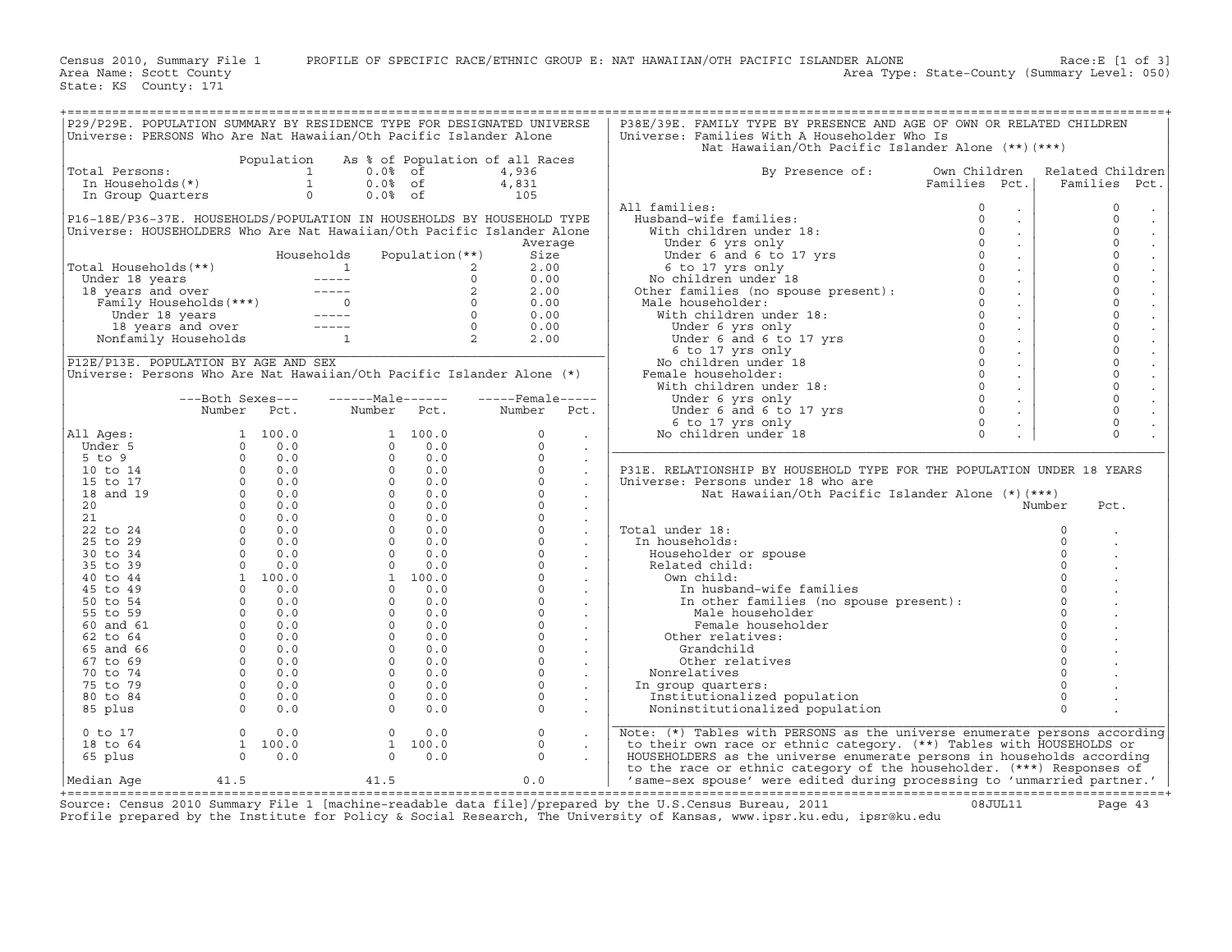Census 2010, Summary File 1 PROFILE OF SPECIFIC RACE/ETHNIC GROUP E: NAT HAWAIIAN/OTH PACIFIC ISLANDER ALONE Race:E [1 of 3]<br>Area Name: Scott County Level: 050) Area Type: State-County (Summary Level: 050) Area Type: State-County (Summary Level: 050)

State: KS County: 171

| P29/P29E. POPULATION SUMMARY BY RESIDENCE TYPE FOR DESIGNATED UNIVERSE<br>Universe: PERSONS Who Are Nat Hawaiian/Oth Pacific Islander Alone                                                                                         |                                                                  |            |                  |                                 |                  |                      | P38E/39E. FAMILY TYPE BY PRESENCE AND AGE OF OWN OR RELATED CHILDREN<br>Universe: Families With A Householder Who Is                                                                                                                                                                                                             |                 |                |                                           |
|-------------------------------------------------------------------------------------------------------------------------------------------------------------------------------------------------------------------------------------|------------------------------------------------------------------|------------|------------------|---------------------------------|------------------|----------------------|----------------------------------------------------------------------------------------------------------------------------------------------------------------------------------------------------------------------------------------------------------------------------------------------------------------------------------|-----------------|----------------|-------------------------------------------|
|                                                                                                                                                                                                                                     |                                                                  | Population |                  | As % of Population of all Races |                  |                      | Nat Hawaiian/Oth Pacific Islander Alone (**) (***)                                                                                                                                                                                                                                                                               |                 |                |                                           |
| Total Persons:                                                                                                                                                                                                                      |                                                                  |            | $0.0%$ of        |                                 | 4,936            |                      | By Presence of:                                                                                                                                                                                                                                                                                                                  | Own Children    |                | Related Children                          |
|                                                                                                                                                                                                                                     |                                                                  |            | $0.0%$ of        |                                 | 4,831            |                      |                                                                                                                                                                                                                                                                                                                                  | Families Pct.   |                | Families Pct.                             |
|                                                                                                                                                                                                                                     |                                                                  |            | $0.0%$ of        |                                 | 105              |                      |                                                                                                                                                                                                                                                                                                                                  |                 |                |                                           |
|                                                                                                                                                                                                                                     |                                                                  |            |                  |                                 |                  |                      | All families:<br>11 families:<br>Nusband-wife families:<br>0<br>With children under 18:<br>0<br>Under 6 yrs only<br>0<br>Under 6 and 6 to 17 yrs<br>6 to 17 yrs only<br>6 to 17 yrs only<br>0<br>No children under 18<br>Other families (no spouse present):<br>0<br>Male h                                                      | $\sim$          |                | $\circ$<br>$\bullet$                      |
| P16-18E/P36-37E. HOUSEHOLDS/POPULATION IN HOUSEHOLDS BY HOUSEHOLD TYPE                                                                                                                                                              |                                                                  |            |                  |                                 |                  |                      |                                                                                                                                                                                                                                                                                                                                  | $\sim$          |                | $\Omega$<br>$\bullet$                     |
| Universe: HOUSEHOLDERS Who Are Nat Hawaiian/Oth Pacific Islander Alone                                                                                                                                                              |                                                                  |            |                  |                                 |                  |                      |                                                                                                                                                                                                                                                                                                                                  | $\sim$          |                | $\mathbf{0}$<br>$\Box$                    |
|                                                                                                                                                                                                                                     |                                                                  |            |                  |                                 | Average          |                      |                                                                                                                                                                                                                                                                                                                                  | $\sim$          |                | $\Omega$<br>$\bullet$                     |
|                                                                                                                                                                                                                                     |                                                                  |            | Households       | Population $(**)$               | Size             |                      |                                                                                                                                                                                                                                                                                                                                  | $\sim 10^{-1}$  |                | $\circ$                                   |
|                                                                                                                                                                                                                                     |                                                                  |            |                  |                                 | 2.00             |                      |                                                                                                                                                                                                                                                                                                                                  | $\sim 10^{-11}$ |                | $\mathbf{0}$<br>$\Box$                    |
|                                                                                                                                                                                                                                     |                                                                  |            |                  |                                 | 0.00             |                      |                                                                                                                                                                                                                                                                                                                                  | $\sim$          |                | $\mathbf{0}$<br>$\Box$                    |
|                                                                                                                                                                                                                                     |                                                                  |            |                  |                                 | 2.00             |                      |                                                                                                                                                                                                                                                                                                                                  | $\sim 10^{-11}$ |                | $\mathbf{0}$<br>$\ddot{\phantom{a}}$      |
|                                                                                                                                                                                                                                     |                                                                  |            |                  |                                 | 0.00             |                      |                                                                                                                                                                                                                                                                                                                                  | $\sim 10^{-11}$ |                | $\circ$<br>$\Box$                         |
|                                                                                                                                                                                                                                     |                                                                  |            |                  |                                 | 0.00             |                      |                                                                                                                                                                                                                                                                                                                                  | $\sim$ $\sim$   |                | $\mathbf{0}$<br>$\Box$                    |
|                                                                                                                                                                                                                                     |                                                                  |            |                  |                                 | 0.00             |                      |                                                                                                                                                                                                                                                                                                                                  | $\sim 10^{-1}$  |                | $\mathsf{O}\xspace$<br>$\Box$             |
| Total Households (**)<br>Under 18 years<br>18 years and over<br>Tamily Households (***)<br>18 years and over<br>Tamily Households<br>18 years and over<br>Nonfamily Households<br>18 years and over<br>18 years and over<br>12<br>2 |                                                                  |            |                  |                                 | 2.00             |                      | (ale householder: $\begin{array}{ccc} 0 & 0 & 0 \\ 0 & 0 & 0 \\ 0 & 0 & 0 \\ 0 & 0 & 0 \\ 0 & 0 & 0 \\ 0 & 0 & 0 \\ 0 & 0 & 0 \\ 0 & 0 & 0 \\ 0 & 0 & 0 \\ 0 & 0 & 0 \\ 0 & 0 & 0 \\ 0 & 0 & 0 \\ 0 & 0 & 0 \\ 0 & 0 & 0 \\ 0 & 0 & 0 \\ 0 & 0 & 0 \\ 0 & 0 & 0 \\ 0 & 0 & 0 \\ 0 & 0 & 0 \\ 0 & 0 & 0 \\ 0 & 0 & 0 \\ 0 & 0 & $ | $\sim$          |                | $\Omega$                                  |
|                                                                                                                                                                                                                                     |                                                                  |            |                  |                                 |                  |                      |                                                                                                                                                                                                                                                                                                                                  | $\sim$          |                | $\mathsf{O}\xspace$                       |
| P12E/P13E. POPULATION BY AGE AND SEX                                                                                                                                                                                                |                                                                  |            |                  |                                 |                  |                      |                                                                                                                                                                                                                                                                                                                                  | $\sim$          |                | $\mathbf{0}$<br>$\mathbb{Z}^{\mathbb{Z}}$ |
| Universe: Persons Who Are Nat Hawaiian/Oth Pacific Islander Alone (*)                                                                                                                                                               |                                                                  |            |                  |                                 |                  |                      | Female householder:                                                                                                                                                                                                                                                                                                              | $\sim 10^{-11}$ |                | $\circ$<br>$\Box$                         |
|                                                                                                                                                                                                                                     |                                                                  |            |                  |                                 |                  |                      |                                                                                                                                                                                                                                                                                                                                  | $\sim 10^{-1}$  |                | $\mathsf{O}\xspace$<br>$\Box$             |
|                                                                                                                                                                                                                                     | ---Both Sexes---                                                 |            | ------Male------ |                                 | -----Female----- |                      |                                                                                                                                                                                                                                                                                                                                  | $\sim 10^{-10}$ |                | $\mathbf{0}$<br>$\blacksquare$            |
|                                                                                                                                                                                                                                     | Number Pct.                                                      |            | Number Pct.      |                                 | Number Pct.      |                      |                                                                                                                                                                                                                                                                                                                                  | $\sim 10^{-11}$ |                | $\circ$                                   |
|                                                                                                                                                                                                                                     |                                                                  |            |                  |                                 |                  |                      |                                                                                                                                                                                                                                                                                                                                  | $\sim$          |                | $\Omega$<br>$\mathbb{Z}^2$                |
| All Ages:                                                                                                                                                                                                                           |                                                                  |            |                  |                                 | $\Omega$         | $\sim$               |                                                                                                                                                                                                                                                                                                                                  | $\mathbb{R}^2$  |                | $\Omega$                                  |
|                                                                                                                                                                                                                                     |                                                                  |            |                  |                                 | $\Omega$         | $\ddot{\phantom{a}}$ |                                                                                                                                                                                                                                                                                                                                  |                 |                |                                           |
|                                                                                                                                                                                                                                     |                                                                  |            |                  |                                 | $\Omega$         | $\sim$               |                                                                                                                                                                                                                                                                                                                                  |                 |                |                                           |
|                                                                                                                                                                                                                                     |                                                                  |            |                  |                                 | $\Omega$         | $\sim$               | P31E. RELATIONSHIP BY HOUSEHOLD TYPE FOR THE POPULATION UNDER 18 YEARS                                                                                                                                                                                                                                                           |                 |                |                                           |
|                                                                                                                                                                                                                                     |                                                                  |            |                  |                                 | $\circ$          | $\mathcal{L}$        | Universe: Persons under 18 who are                                                                                                                                                                                                                                                                                               |                 |                |                                           |
|                                                                                                                                                                                                                                     |                                                                  |            |                  |                                 | $\Omega$         | $\sim$               | Nat Hawaiian/Oth Pacific Islander Alone $(*)$ $(***)$                                                                                                                                                                                                                                                                            |                 |                |                                           |
|                                                                                                                                                                                                                                     |                                                                  |            |                  |                                 | $\circ$          | $\sim$               |                                                                                                                                                                                                                                                                                                                                  |                 | Number         | Pct.                                      |
|                                                                                                                                                                                                                                     |                                                                  |            |                  |                                 | $\mathsf{O}$     | $\sim$               |                                                                                                                                                                                                                                                                                                                                  |                 |                |                                           |
|                                                                                                                                                                                                                                     |                                                                  |            |                  |                                 | $\circ$          | $\mathcal{L}$        | Total under 18:                                                                                                                                                                                                                                                                                                                  |                 | $\mathbf{0}$   |                                           |
|                                                                                                                                                                                                                                     |                                                                  |            |                  |                                 | $\circ$          |                      | In households:                                                                                                                                                                                                                                                                                                                   |                 | $\circ$        |                                           |
|                                                                                                                                                                                                                                     |                                                                  |            |                  |                                 | $\circ$          | $\sim$               | Householder or spouse                                                                                                                                                                                                                                                                                                            |                 | $\circ$        |                                           |
|                                                                                                                                                                                                                                     |                                                                  |            |                  |                                 | $\circ$          | $\sim$               | Related child:                                                                                                                                                                                                                                                                                                                   |                 | $\Omega$       |                                           |
|                                                                                                                                                                                                                                     |                                                                  |            |                  |                                 | $\circ$          |                      | Own child:                                                                                                                                                                                                                                                                                                                       |                 | $\circ$        |                                           |
|                                                                                                                                                                                                                                     |                                                                  |            |                  |                                 |                  |                      |                                                                                                                                                                                                                                                                                                                                  |                 |                |                                           |
|                                                                                                                                                                                                                                     |                                                                  |            |                  |                                 | $\overline{0}$   | $\sim$               | wn cniid:<br>In husband-wife families<br>In other families (no spouse present):<br>0                                                                                                                                                                                                                                             |                 |                |                                           |
|                                                                                                                                                                                                                                     |                                                                  |            |                  |                                 | $\overline{0}$   |                      | Male householder                                                                                                                                                                                                                                                                                                                 |                 | $\Omega$       |                                           |
|                                                                                                                                                                                                                                     |                                                                  |            |                  |                                 | $\circ$          | $\sim$               | Female householder                                                                                                                                                                                                                                                                                                               |                 | $\overline{0}$ |                                           |
|                                                                                                                                                                                                                                     |                                                                  |            |                  |                                 | $\overline{0}$   | $\sim$               | Other relatives:                                                                                                                                                                                                                                                                                                                 |                 | $\circ$        |                                           |
|                                                                                                                                                                                                                                     |                                                                  |            |                  |                                 | $\circ$          |                      | Grandchild                                                                                                                                                                                                                                                                                                                       |                 | $\circ$        |                                           |
|                                                                                                                                                                                                                                     |                                                                  |            |                  |                                 | $\circ$          | $\blacksquare$       | Other relatives                                                                                                                                                                                                                                                                                                                  |                 | $\overline{0}$ |                                           |
|                                                                                                                                                                                                                                     |                                                                  |            |                  |                                 | $\circ$          |                      | Nonrelatives                                                                                                                                                                                                                                                                                                                     |                 |                |                                           |
|                                                                                                                                                                                                                                     |                                                                  |            |                  |                                 | $\Omega$         |                      | In group quarters:                                                                                                                                                                                                                                                                                                               |                 | $\Omega$       |                                           |
|                                                                                                                                                                                                                                     |                                                                  |            |                  |                                 | $\Omega$         | $\blacksquare$       | Institutionalized population                                                                                                                                                                                                                                                                                                     |                 | $\Omega$       |                                           |
|                                                                                                                                                                                                                                     |                                                                  |            |                  |                                 | $\circ$          |                      | Noninstitutionalized population                                                                                                                                                                                                                                                                                                  |                 | $\Omega$       |                                           |
| $0$ to $17$                                                                                                                                                                                                                         |                                                                  |            | $\circ$          | 0.0                             | $\circ$          |                      | Note: $(*)$ Tables with PERSONS as the universe enumerate persons according                                                                                                                                                                                                                                                      |                 |                |                                           |
| 18 to 64                                                                                                                                                                                                                            | $\begin{array}{ccc} 0 & 0.0 \\ 1 & 100.0 \\ 0 & 0.0 \end{array}$ |            |                  | 1 100.0                         | $\circ$          | $\cdot$              | to their own race or ethnic category. (**) Tables with HOUSEHOLDS or                                                                                                                                                                                                                                                             |                 |                |                                           |
| 65 plus                                                                                                                                                                                                                             |                                                                  |            | $\Omega$         | 0.0                             | $\Omega$         |                      | HOUSEHOLDERS as the universe enumerate persons in households according                                                                                                                                                                                                                                                           |                 |                |                                           |
|                                                                                                                                                                                                                                     |                                                                  |            |                  |                                 |                  |                      | to the race or ethnic category of the householder. (***) Responses of                                                                                                                                                                                                                                                            |                 |                |                                           |
| Median Aqe                                                                                                                                                                                                                          | 41.5                                                             |            | 41.5             |                                 | 0.0              |                      | 'same-sex spouse' were edited during processing to 'unmarried partner.'                                                                                                                                                                                                                                                          |                 |                |                                           |

+===================================================================================================================================================+ Source: Census 2010 Summary File 1 [machine−readable data file]/prepared by the U.S.Census Bureau, 2011 08JUL11 Page 43 Profile prepared by the Institute for Policy & Social Research, The University of Kansas, www.ipsr.ku.edu, ipsr@ku.edu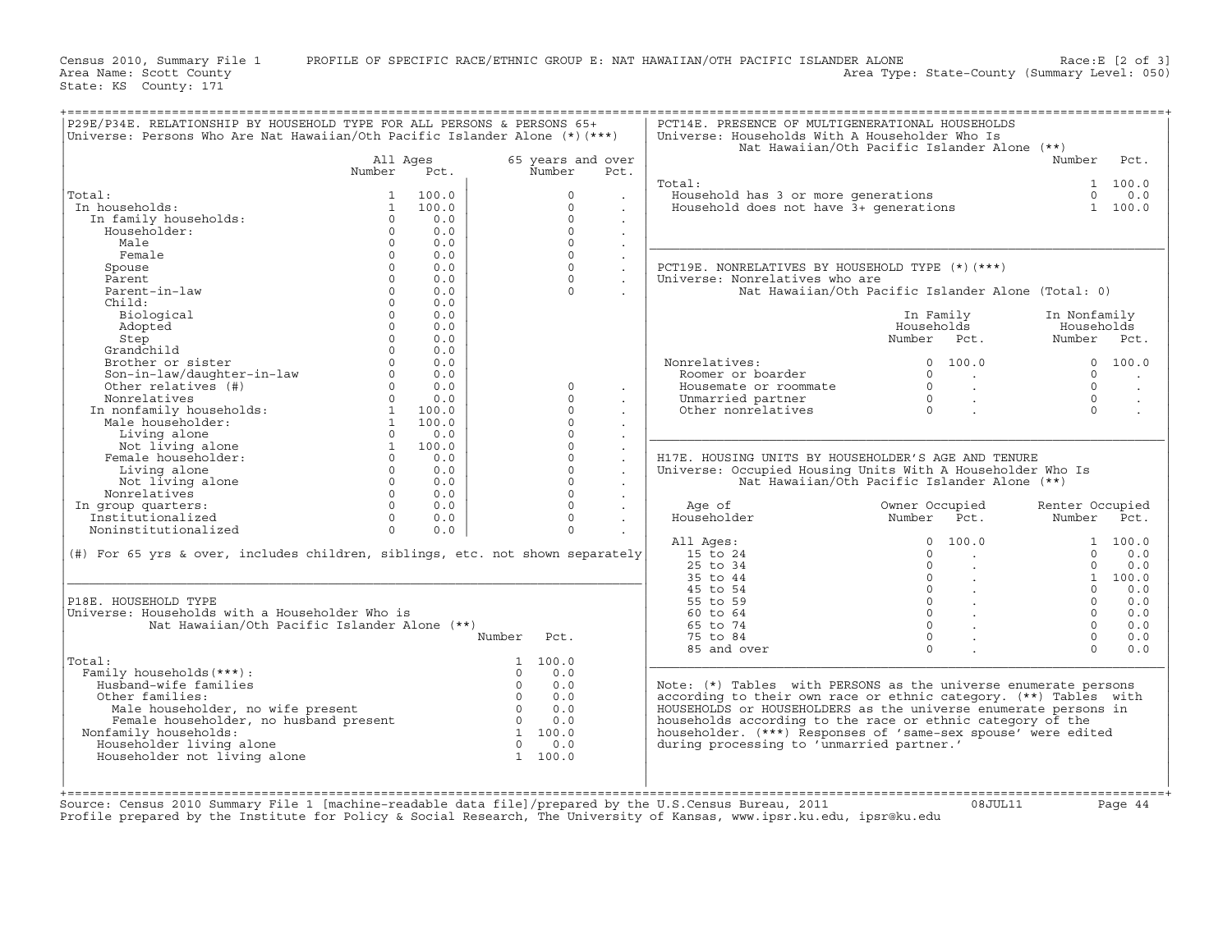Census 2010, Summary File 1 PROFILE OF SPECIFIC RACE/ETHNIC GROUP E: NAT HAWAIIAN/OTH PACIFIC ISLANDER ALONE Race:E [2 of 3]<br>Area Name: Scott County (summary Level: 050) Area Type: State-County (Summary Level: 050)

State: KS County: 171

|                                                                                                              |              |       | Universe: Persons Who Are Nat Hawaiian/Oth Pacific Islander Alone (*) (***) |                      |                                                                  | Nat Hawaiian/Oth Pacific Islander Alone (**)       |                 |                      |
|--------------------------------------------------------------------------------------------------------------|--------------|-------|-----------------------------------------------------------------------------|----------------------|------------------------------------------------------------------|----------------------------------------------------|-----------------|----------------------|
|                                                                                                              | All Ages     |       | 65 years and over                                                           |                      |                                                                  |                                                    | Number          | Pct.                 |
|                                                                                                              | Number       | Pct.  | Number                                                                      | Pct.                 | Total:                                                           |                                                    |                 | 1 100.0              |
| Total:                                                                                                       |              | 100.0 | $\Omega$                                                                    |                      | Household has 3 or more generations                              |                                                    |                 | $0 \t 0.0$           |
| In households:                                                                                               | $\mathbf{1}$ | 100.0 | $\Omega$                                                                    | $\ddot{\phantom{a}}$ | Household does not have 3+ generations                           |                                                    |                 | 1 100.0              |
| In family households:                                                                                        | $\Omega$     | 0.0   | $\Omega$                                                                    | $\mathbf{r}$         |                                                                  |                                                    |                 |                      |
| Householder:                                                                                                 | $\Omega$     | 0.0   | $\Omega$                                                                    | $\ddot{\phantom{a}}$ |                                                                  |                                                    |                 |                      |
|                                                                                                              | $\Omega$     | 0.0   | $\Omega$                                                                    | $\ddot{\phantom{a}}$ |                                                                  |                                                    |                 |                      |
| Male                                                                                                         |              |       |                                                                             | $\sim$               |                                                                  |                                                    |                 |                      |
| Female                                                                                                       | $\Omega$     | 0.0   | $\Omega$                                                                    | $\sim$               |                                                                  |                                                    |                 |                      |
| Spouse                                                                                                       | $\Omega$     | 0.0   | $\Omega$                                                                    | $\sim$               | PCT19E. NONRELATIVES BY HOUSEHOLD TYPE (*)(***)                  |                                                    |                 |                      |
| Parent                                                                                                       | $\Omega$     | 0.0   | $\Omega$                                                                    | $\sim$               | Universe: Nonrelatives who are                                   |                                                    |                 |                      |
| Parent-in-law                                                                                                | $\Omega$     | 0.0   | $\Omega$                                                                    |                      |                                                                  | Nat Hawaiian/Oth Pacific Islander Alone (Total: 0) |                 |                      |
| Child:                                                                                                       | $\Omega$     | 0.0   |                                                                             |                      |                                                                  |                                                    |                 |                      |
| Biological                                                                                                   | $\Omega$     | 0.0   |                                                                             |                      |                                                                  | In Family                                          | In Nonfamily    |                      |
| Adopted                                                                                                      | $\Omega$     | 0.0   |                                                                             |                      |                                                                  | Households                                         | Households      |                      |
| Step                                                                                                         | $\Omega$     | 0.0   |                                                                             |                      |                                                                  | Number Pct.                                        | Number Pct.     |                      |
| Grandchild                                                                                                   | $\Omega$     | 0.0   |                                                                             |                      |                                                                  |                                                    |                 |                      |
| Brother or sister                                                                                            | $\Omega$     | 0.0   |                                                                             |                      | Nonrelatives:                                                    | 0, 100, 0                                          |                 | 0 100.0              |
| Son-in-law/daughter-in-law                                                                                   | $\Omega$     | 0.0   |                                                                             |                      | Roomer or boarder                                                | $\Omega$<br>$\sim$ $\sim$                          | $\Omega$        | $\sim$               |
| Other relatives (#)                                                                                          | $\Omega$     | 0.0   | $\Omega$                                                                    | $\sim$               | Housemate or roommate                                            | $\Omega$<br>$\sim 10^{-11}$                        | $\Omega$        | $\ddot{\phantom{a}}$ |
| Nonrelatives                                                                                                 | $\Omega$     | 0.0   | $\Omega$                                                                    | $\bullet$            | Unmarried partner                                                | $\Omega$<br>$\sim$ $\sim$                          | $\Omega$        | $\cdot$              |
| In nonfamily households:                                                                                     | $\mathbf{1}$ | 100.0 | $\Omega$                                                                    |                      | Other nonrelatives                                               | $\Omega$                                           | $\Omega$        | $\sim$               |
| Male householder:                                                                                            | $\mathbf{1}$ | 100.0 | $\Omega$                                                                    | $\sim$               |                                                                  |                                                    |                 |                      |
| Living alone                                                                                                 | $\Omega$     | 0.0   | $\Omega$                                                                    |                      |                                                                  |                                                    |                 |                      |
| Not living alone                                                                                             | $\mathbf{1}$ | 100.0 | $\Omega$                                                                    |                      |                                                                  |                                                    |                 |                      |
| Female householder:                                                                                          | $\Omega$     | 0.0   | $\Omega$                                                                    |                      | H17E. HOUSING UNITS BY HOUSEHOLDER'S AGE AND TENURE              |                                                    |                 |                      |
|                                                                                                              | $\Omega$     |       | $\Omega$                                                                    |                      |                                                                  |                                                    |                 |                      |
| Living alone                                                                                                 | $\Omega$     | 0.0   | $\Omega$                                                                    | $\sim$               | Universe: Occupied Housing Units With A Householder Who Is       |                                                    |                 |                      |
| Not living alone                                                                                             |              | 0.0   |                                                                             | $\sim$               |                                                                  | Nat Hawaiian/Oth Pacific Islander Alone (**)       |                 |                      |
| Nonrelatives                                                                                                 | $\Omega$     | 0.0   | $\Omega$                                                                    | $\sim$               |                                                                  |                                                    |                 |                      |
| In group quarters:                                                                                           | $\Omega$     | 0.0   | $\Omega$                                                                    |                      | Age of                                                           | Owner Occupied                                     | Renter Occupied |                      |
| Institutionalized                                                                                            | $\Omega$     | 0.0   | $\circ$                                                                     | $\ddot{\phantom{a}}$ | Householder                                                      | Number<br>Pct.                                     | Number          | Pct.                 |
| Noninstitutionalized                                                                                         | $\Omega$     | 0.0   | $\Omega$                                                                    |                      |                                                                  |                                                    |                 |                      |
|                                                                                                              |              |       |                                                                             |                      | All Ages:                                                        | 100.0<br>$\Omega$                                  |                 | 1 100.0              |
| (#) For 65 yrs & over, includes children, siblings, etc. not shown separately                                |              |       |                                                                             |                      | 15 to 24                                                         | $\Omega$<br>$\sim$                                 | $\Omega$        | 0.0                  |
|                                                                                                              |              |       |                                                                             |                      | 25 to 34                                                         | $\Omega$                                           | $\Omega$        | 0.0                  |
|                                                                                                              |              |       |                                                                             |                      | 35 to 44                                                         | $\Omega$                                           |                 | 1 100.0              |
|                                                                                                              |              |       |                                                                             |                      | 45 to 54                                                         | $\Omega$                                           | $\Omega$        | 0.0                  |
|                                                                                                              |              |       |                                                                             |                      | 55 to 59                                                         | $\Omega$                                           | $\Omega$        | 0.0                  |
|                                                                                                              |              |       |                                                                             |                      |                                                                  | $\Omega$<br><b>Contract</b>                        | $\Omega$        | 0.0                  |
|                                                                                                              |              |       |                                                                             |                      | 60 to 64                                                         |                                                    | $\Omega$        | 0.0                  |
|                                                                                                              |              |       |                                                                             |                      |                                                                  | $\Omega$                                           |                 | 0.0                  |
| Nat Hawaiian/Oth Pacific Islander Alone (**)                                                                 |              |       |                                                                             |                      | 65 to 74                                                         |                                                    |                 | 0.0                  |
|                                                                                                              |              |       | Number<br>Pct.                                                              |                      | 75 to 84                                                         | $\Omega$                                           | $\Omega$        |                      |
|                                                                                                              |              |       |                                                                             |                      | 85 and over                                                      | $\Omega$                                           | $\Omega$        |                      |
|                                                                                                              |              |       | 1 100.0                                                                     |                      |                                                                  |                                                    |                 |                      |
| Family households (***) :                                                                                    |              |       | 0.0<br>$\Omega$                                                             |                      |                                                                  |                                                    |                 |                      |
| Husband-wife families                                                                                        |              |       | $\Omega$<br>0.0                                                             |                      | Note: (*) Tables with PERSONS as the universe enumerate persons  |                                                    |                 |                      |
| Other families:                                                                                              |              |       | $\Omega$<br>0.0                                                             |                      | according to their own race or ethnic category. (**) Tables with |                                                    |                 |                      |
| Male householder, no wife present                                                                            |              |       | $\Omega$<br>0.0                                                             |                      | HOUSEHOLDS or HOUSEHOLDERS as the universe enumerate persons in  |                                                    |                 |                      |
| Female householder, no husband present                                                                       |              |       | $\Omega$<br>0.0                                                             |                      | households according to the race or ethnic category of the       |                                                    |                 |                      |
| Nonfamily households:                                                                                        |              |       | 1 100.0                                                                     |                      | householder. (***) Responses of 'same-sex spouse' were edited    |                                                    |                 |                      |
| P18E. HOUSEHOLD TYPE<br>Universe: Households with a Householder Who is<br>Total:<br>Householder living alone |              |       | $\Omega$<br>0.0                                                             |                      | during processing to 'unmarried partner.'                        |                                                    |                 |                      |
| Householder not living alone                                                                                 |              |       | 1 100.0                                                                     |                      |                                                                  |                                                    |                 |                      |
|                                                                                                              |              |       |                                                                             |                      |                                                                  |                                                    |                 |                      |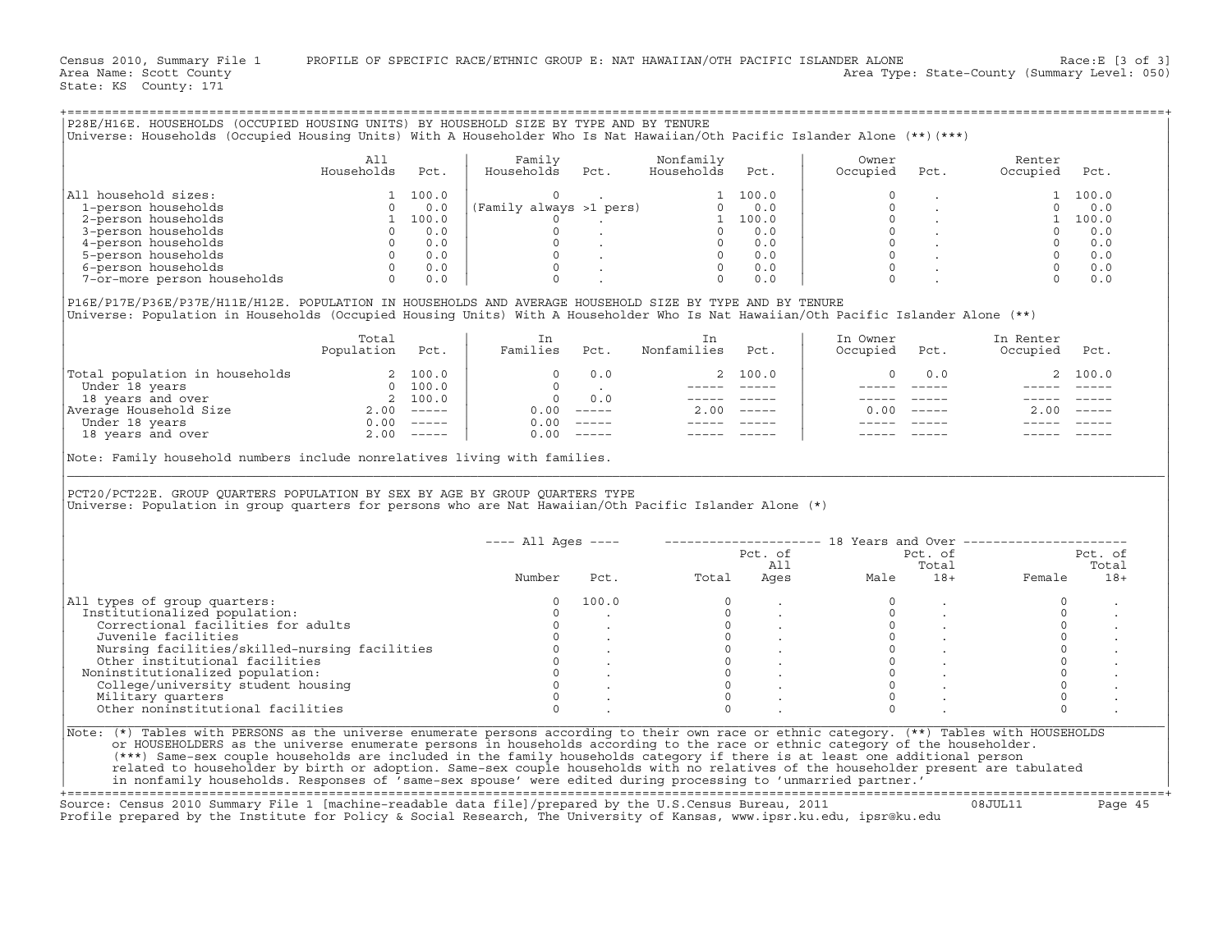| P28E/H16E. HOUSEHOLDS (OCCUPIED HOUSING UNITS) BY HOUSEHOLD SIZE BY TYPE AND BY TENURE                                                                                                                                                                              |                                                                                                                                                                        |      |                                  |                      |              |                      |                                |                                                                          |              |
|---------------------------------------------------------------------------------------------------------------------------------------------------------------------------------------------------------------------------------------------------------------------|------------------------------------------------------------------------------------------------------------------------------------------------------------------------|------|----------------------------------|----------------------|--------------|----------------------|--------------------------------|--------------------------------------------------------------------------|--------------|
| Universe: Households (Occupied Housing Units) With A Householder Who Is Nat Hawaiian/Oth Pacific Islander Alone (**)(***)                                                                                                                                           |                                                                                                                                                                        |      |                                  |                      |              |                      |                                |                                                                          |              |
|                                                                                                                                                                                                                                                                     | All                                                                                                                                                                    |      | Family                           | Nonfamily            |              | Owner                |                                | Renter                                                                   |              |
|                                                                                                                                                                                                                                                                     | Households                                                                                                                                                             | Pct. | Households Pct.                  | Households           | Pct.         | Occupied             | Pct.                           | Occupied                                                                 | Pct.         |
| All household sizes:                                                                                                                                                                                                                                                | $\begin{array}{cccc} 0 & 0 & 0 \\ 1 & 100 & 0 \\ 0 & 0 & 0 \\ 0 & 0 & 0 \\ \end{array}$                                                                                |      | $0$ .<br>(Family always >1 pers) |                      | 1 100.0      | $\Omega$             |                                |                                                                          | 1 100.0      |
| 1-person households                                                                                                                                                                                                                                                 |                                                                                                                                                                        |      |                                  |                      | $0 \t 0.0$   |                      |                                |                                                                          | 0.0          |
| 2-person households                                                                                                                                                                                                                                                 |                                                                                                                                                                        |      |                                  |                      |              |                      |                                |                                                                          | 1 100.0      |
| 3-person households                                                                                                                                                                                                                                                 |                                                                                                                                                                        |      |                                  |                      |              |                      |                                |                                                                          | 0.0          |
| 4-person households                                                                                                                                                                                                                                                 |                                                                                                                                                                        |      |                                  |                      |              |                      |                                |                                                                          | 0.0          |
| 5-person households                                                                                                                                                                                                                                                 |                                                                                                                                                                        |      |                                  |                      |              |                      |                                |                                                                          | 0.0          |
| 6-person households                                                                                                                                                                                                                                                 |                                                                                                                                                                        |      |                                  |                      |              |                      |                                | $\Omega$                                                                 | 0.0          |
| 7-or-more person households                                                                                                                                                                                                                                         | $\begin{array}{cccc} & & & & 0 & & \dots \ 0 & & 0 & 0 \ 0 & & 0 & 0 \end{array}$<br>seholds $\begin{array}{cccc} & & & 0 & 0 \ 0 & & 0 & 0 \ 0 & & 0 & 0 \end{array}$ |      |                                  |                      |              |                      |                                |                                                                          | 0.0          |
| P16E/P17E/P36E/P37E/H11E/H12E. POPULATION IN HOUSEHOLDS AND AVERAGE HOUSEHOLD SIZE BY TYPE AND BY TENURE<br>Universe: Population in Households (Occupied Housing Units) With A Householder Who Is Nat Hawaiian/Oth Pacific Islander Alone (**)                      |                                                                                                                                                                        |      |                                  |                      |              |                      |                                |                                                                          |              |
|                                                                                                                                                                                                                                                                     | Total                                                                                                                                                                  |      | In                               | In                   |              | In Owner             |                                | In Renter                                                                |              |
|                                                                                                                                                                                                                                                                     | Population Pct.                                                                                                                                                        |      | Families Pct.                    | Nonfamilies Pct.     |              | Occupied             | Pct.                           | Occupied Pct.                                                            |              |
|                                                                                                                                                                                                                                                                     |                                                                                                                                                                        |      |                                  |                      | 2 100.0      | $\Omega$             | 0.0                            |                                                                          | 2, 100.0     |
|                                                                                                                                                                                                                                                                     |                                                                                                                                                                        |      |                                  |                      | ----- -----  |                      | _______                        |                                                                          |              |
|                                                                                                                                                                                                                                                                     |                                                                                                                                                                        |      |                                  |                      |              |                      |                                |                                                                          |              |
|                                                                                                                                                                                                                                                                     |                                                                                                                                                                        |      |                                  |                      | $2.00$ ----- |                      | $0.00$ -----<br>______________ | $\frac{1}{2}$                                                            | $2.00$ ----- |
|                                                                                                                                                                                                                                                                     |                                                                                                                                                                        |      |                                  |                      |              |                      |                                |                                                                          |              |
|                                                                                                                                                                                                                                                                     |                                                                                                                                                                        |      |                                  |                      |              |                      |                                |                                                                          |              |
|                                                                                                                                                                                                                                                                     |                                                                                                                                                                        |      |                                  |                      |              |                      |                                |                                                                          |              |
| Note: Family household numbers include nonrelatives living with families.<br>PCT20/PCT22E. GROUP QUARTERS POPULATION BY SEX BY AGE BY GROUP QUARTERS TYPE<br>Universe: Population in group quarters for persons who are Nat Hawaiian/Oth Pacific Islander Alone (*) |                                                                                                                                                                        |      |                                  |                      |              |                      |                                |                                                                          |              |
|                                                                                                                                                                                                                                                                     |                                                                                                                                                                        |      | $---$ All Ages $---$             |                      |              |                      |                                | -------------------- 18 Years and Over ----------------------<br>Pct. of | Pct. of      |
|                                                                                                                                                                                                                                                                     |                                                                                                                                                                        |      |                                  |                      | Pct. of      |                      | Total                          |                                                                          | Total        |
|                                                                                                                                                                                                                                                                     |                                                                                                                                                                        |      | Number                           | Pct. Total           |              |                      |                                | 18+ Female                                                               | $18+$        |
| All types of group quarters:                                                                                                                                                                                                                                        |                                                                                                                                                                        |      | $\overline{0}$                   | 100.0<br>$\circ$     |              | $\circ$              |                                | $\Omega$                                                                 |              |
|                                                                                                                                                                                                                                                                     |                                                                                                                                                                        |      | $\Omega$                         |                      |              | $\Omega$             |                                | $\Omega$                                                                 |              |
| Correctional facilities for adults                                                                                                                                                                                                                                  |                                                                                                                                                                        |      | $0 \qquad \qquad$                |                      |              |                      |                                | $\circ$                                                                  |              |
| Juvenile facilities                                                                                                                                                                                                                                                 |                                                                                                                                                                        |      |                                  |                      |              |                      |                                | $\Omega$                                                                 |              |
| Nursing facilities/skilled-nursing facilities                                                                                                                                                                                                                       |                                                                                                                                                                        |      |                                  |                      |              |                      |                                | $\circ$                                                                  |              |
| Other institutional facilities                                                                                                                                                                                                                                      |                                                                                                                                                                        |      |                                  |                      |              |                      |                                |                                                                          |              |
|                                                                                                                                                                                                                                                                     |                                                                                                                                                                        |      |                                  |                      |              |                      |                                | $\mathbf 0$                                                              |              |
| College/university student housing                                                                                                                                                                                                                                  |                                                                                                                                                                        |      |                                  | $\Omega$             |              | $\Omega$             |                                | $\Omega$                                                                 |              |
| Institutionalized population:<br>Noninstitutionalized population:<br>Military quarters<br>Other noninstitutional facilities                                                                                                                                         |                                                                                                                                                                        |      | $\Omega$                         | $\Omega$<br>$\Omega$ |              | $\Omega$<br>$\Omega$ |                                | $\circ$<br>$\Omega$                                                      |              |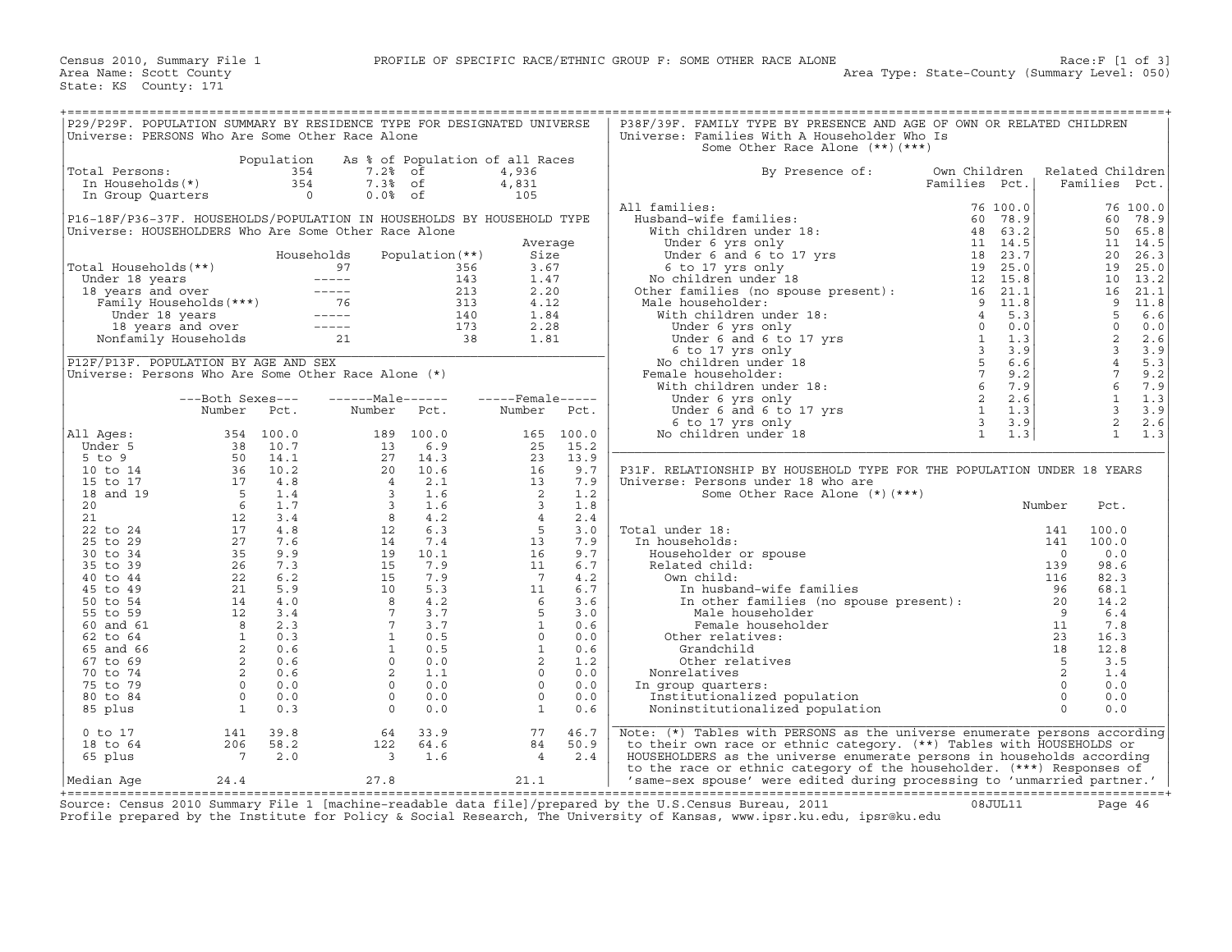| P29/P29F. POPULATION SUMMARY BY RESIDENCE TYPE FOR DESIGNATED UNIVERSE |                                   |                |                                                                                                                                                                                                            |                         |                         |            | P38F/39F. FAMILY TYPE BY PRESENCE AND AGE OF OWN OR RELATED CHILDREN                                                                                                                                                                         |               |          |                          |                  |          |
|------------------------------------------------------------------------|-----------------------------------|----------------|------------------------------------------------------------------------------------------------------------------------------------------------------------------------------------------------------------|-------------------------|-------------------------|------------|----------------------------------------------------------------------------------------------------------------------------------------------------------------------------------------------------------------------------------------------|---------------|----------|--------------------------|------------------|----------|
| Universe: PERSONS Who Are Some Other Race Alone                        |                                   |                |                                                                                                                                                                                                            |                         |                         |            | Universe: Families With A Householder Who Is                                                                                                                                                                                                 |               |          |                          |                  |          |
|                                                                        |                                   |                |                                                                                                                                                                                                            |                         |                         |            | Some Other Race Alone (**) (***)                                                                                                                                                                                                             |               |          |                          |                  |          |
|                                                                        |                                   | Population     | As % of Population of all Races                                                                                                                                                                            |                         |                         |            |                                                                                                                                                                                                                                              |               |          |                          |                  |          |
| Total Persons:                                                         |                                   | 354            | 7.2% of                                                                                                                                                                                                    |                         | 4,936                   |            | By Presence of:                                                                                                                                                                                                                              | Own Children  |          |                          | Related Children |          |
|                                                                        | otal Persons:<br>In Households(*) | 354            | 7.3% of                                                                                                                                                                                                    |                         | 4,831                   |            |                                                                                                                                                                                                                                              | Families Pct. |          |                          | Families Pct.    |          |
| In Group Quarters                                                      |                                   | $\overline{0}$ | $0.0%$ of                                                                                                                                                                                                  |                         | 105                     |            |                                                                                                                                                                                                                                              |               |          |                          |                  |          |
|                                                                        |                                   |                |                                                                                                                                                                                                            |                         |                         |            | All families:                                                                                                                                                                                                                                |               | 76 100.0 |                          |                  | 76 100.0 |
| P16-18F/P36-37F. HOUSEHOLDS/POPULATION IN HOUSEHOLDS BY HOUSEHOLD TYPE |                                   |                |                                                                                                                                                                                                            |                         |                         |            |                                                                                                                                                                                                                                              |               |          |                          | 60               | 78.9     |
| Universe: HOUSEHOLDERS Who Are Some Other Race Alone                   |                                   |                |                                                                                                                                                                                                            |                         |                         |            |                                                                                                                                                                                                                                              |               |          |                          | 50               | 65.8     |
|                                                                        |                                   |                |                                                                                                                                                                                                            |                         | Average                 |            |                                                                                                                                                                                                                                              |               |          |                          |                  | 11 14.5  |
|                                                                        |                                   |                | Households                                                                                                                                                                                                 | Population $(**)$       | Size                    |            |                                                                                                                                                                                                                                              |               |          |                          | 20               | 26.3     |
| Total Households(**)                                                   |                                   |                |                                                                                                                                                                                                            | 356                     | 3.67                    |            |                                                                                                                                                                                                                                              |               |          |                          | 19               | 25.0     |
|                                                                        |                                   |                |                                                                                                                                                                                                            | 143                     | 1.47                    |            | 11 families: 76 100.0<br>Nusband-wife families: 76 100.0<br>With children under 18: 48 63.2<br>Under 6 yrs only 11 14.5<br>Under 6 and 6 to 17 yrs 18 23.7<br>6 to 17 yrs 18 23.7<br>No children under 18 12 15.8<br>No children is (no spou |               |          |                          | 10               | 13.2     |
|                                                                        |                                   |                |                                                                                                                                                                                                            | 213                     | 2.20                    |            |                                                                                                                                                                                                                                              |               |          |                          | 16               | 21.1     |
|                                                                        |                                   |                |                                                                                                                                                                                                            | 313                     | 4.12                    |            | Male householder:                                                                                                                                                                                                                            |               |          |                          | $\overline{9}$   | 11.8     |
|                                                                        |                                   |                |                                                                                                                                                                                                            | 140                     | 1.84                    |            |                                                                                                                                                                                                                                              |               |          |                          | 5                | 6.6      |
|                                                                        |                                   |                |                                                                                                                                                                                                            |                         | 2.28                    |            |                                                                                                                                                                                                                                              |               |          |                          | $\Omega$         | 0.0      |
|                                                                        |                                   |                | otal Households (**)<br>Under 18 years<br>18 years and over<br>Tamily Households (***)<br>Under 18 years<br>18 years and over<br>18 years and over<br>Nonfamily Households<br>21                           | $\frac{1+1}{173}$<br>38 | 1.81                    |            |                                                                                                                                                                                                                                              |               |          |                          | 2                | 2.6      |
|                                                                        |                                   |                |                                                                                                                                                                                                            |                         |                         |            |                                                                                                                                                                                                                                              |               |          |                          | $\overline{3}$   | 3.9      |
| P12F/P13F. POPULATION BY AGE AND SEX                                   |                                   |                |                                                                                                                                                                                                            |                         |                         |            |                                                                                                                                                                                                                                              |               |          |                          | $\overline{4}$   | 5.3      |
| Universe: Persons Who Are Some Other Race Alone $(*)$                  |                                   |                |                                                                                                                                                                                                            |                         |                         |            | Female householder:                                                                                                                                                                                                                          |               |          |                          | $7\overline{ }$  | 9.2      |
|                                                                        |                                   |                |                                                                                                                                                                                                            |                         |                         |            |                                                                                                                                                                                                                                              |               |          |                          | $6^{\circ}$      | 7.9      |
|                                                                        | ---Both Sexes---                  |                | $---Male----$                                                                                                                                                                                              |                         | $---$ Female -----      |            |                                                                                                                                                                                                                                              |               |          |                          | $\mathbf{1}$     | 1.3      |
|                                                                        | Number                            | Pct.           | Number                                                                                                                                                                                                     | Pct.                    | Number Pct.             |            |                                                                                                                                                                                                                                              |               |          |                          | $\overline{3}$   | 3.9      |
|                                                                        |                                   |                |                                                                                                                                                                                                            |                         |                         |            |                                                                                                                                                                                                                                              |               |          |                          | 2                | 2.6      |
| All Ages:                                                              |                                   | 354 100.0      |                                                                                                                                                                                                            | 189 100.0               |                         | 165 100.0  |                                                                                                                                                                                                                                              |               |          |                          | $\mathbf{1}$     | 1.3      |
| Under 5                                                                |                                   |                | 13                                                                                                                                                                                                         | 6.9                     | 25                      | 15.2       |                                                                                                                                                                                                                                              |               |          |                          |                  |          |
| $5$ to $9$                                                             |                                   |                | $\begin{array}{cccc} 13 & & 6\, .9 \\ 27 & & 14\, .3 \\ 20 & & 10\, .6 \\ 4 & & 2\, .1 \\ 3 & & 1\, .6 \\ 3 & & 1\, .6 \\ 8 & & 4\, .2 \\ 12 & & 6\, .3 \\ 14 & & 7\, .4 \\ 19 & & 10\, .1 \\ \end{array}$ |                         | 23                      | 13.9       |                                                                                                                                                                                                                                              |               |          |                          |                  |          |
| 10 to 14                                                               |                                   |                |                                                                                                                                                                                                            |                         | 16                      | 9.7        | P31F. RELATIONSHIP BY HOUSEHOLD TYPE FOR THE POPULATION UNDER 18 YEARS                                                                                                                                                                       |               |          |                          |                  |          |
| 15 to 17                                                               |                                   |                |                                                                                                                                                                                                            |                         | 13                      | 7.9        | Universe: Persons under 18 who are                                                                                                                                                                                                           |               |          |                          |                  |          |
| 18 and 19                                                              |                                   |                |                                                                                                                                                                                                            |                         | $\overline{2}$          | 1.2        | Some Other Race Alone $(*)$ $(***)$                                                                                                                                                                                                          |               |          |                          |                  |          |
| 20                                                                     |                                   |                |                                                                                                                                                                                                            |                         | $\overline{\mathbf{3}}$ | 1.8        |                                                                                                                                                                                                                                              |               |          | Number                   | Pct.             |          |
| 21                                                                     |                                   |                |                                                                                                                                                                                                            |                         | $\overline{4}$          | 2.4        |                                                                                                                                                                                                                                              |               |          |                          |                  |          |
| 22 to 24                                                               |                                   |                |                                                                                                                                                                                                            |                         | $5^{\circ}$             | 3.0        | Total under 18:                                                                                                                                                                                                                              |               |          | 141                      | 100.0            |          |
| 25 to 29                                                               |                                   |                |                                                                                                                                                                                                            |                         | 13                      | 7.9        | In households:                                                                                                                                                                                                                               |               |          | 141                      | 100.0            |          |
| 30 to 34                                                               |                                   |                |                                                                                                                                                                                                            |                         | 16                      | 9.7        | Householder or spouse                                                                                                                                                                                                                        |               |          | $\overline{\phantom{0}}$ | 0.0              |          |
| 35 to 39                                                               |                                   |                | 15                                                                                                                                                                                                         | 7.9                     | 11                      | 6.7        | Related child:                                                                                                                                                                                                                               |               |          | 139                      | 98.6             |          |
| 40 to 44                                                               |                                   |                |                                                                                                                                                                                                            | 7.9                     | $\overline{7}$          | 4.2        | Own child:                                                                                                                                                                                                                                   |               |          | 116                      | 82.3             |          |
| 45 to 49                                                               |                                   |                |                                                                                                                                                                                                            | 5.3                     | 11                      | 6.7        | In husband-wife families                                                                                                                                                                                                                     |               |          | 96                       | 68.1             |          |
| 50 to 54                                                               |                                   |                |                                                                                                                                                                                                            | 4.2                     | $6\overline{6}$         | 3.6        | In husband-wile families<br>In other families (no spouse present): 20<br>Male householder                                                                                                                                                    |               |          |                          | 14.2             |          |
| 55 to 59                                                               |                                   |                | $\begin{array}{r} 15 \\ 15 \\ 10 \\ 8 \\ 7 \\ 1 \\ 1 \\ 0 \\ 2 \\ 0 \end{array}$                                                                                                                           | 3.7                     | $5^{\circ}$             | 3.0        | Male householder                                                                                                                                                                                                                             |               |          | 9                        | 6.4              |          |
| 60 and 61                                                              |                                   |                |                                                                                                                                                                                                            | 3.7                     | $\mathbf{1}$            | 0.6        | Female householder                                                                                                                                                                                                                           |               |          | 11                       | 7.8              |          |
| 62 to 64                                                               |                                   |                | 1                                                                                                                                                                                                          | 0.5                     | $\Omega$                | 0.0        | Other relatives:                                                                                                                                                                                                                             |               |          | 23                       | 16.3             |          |
| 65 and 66                                                              |                                   |                | $\Omega$                                                                                                                                                                                                   | 0.5                     | $\mathbf{1}$            | 0.6        | Grandchild                                                                                                                                                                                                                                   |               |          | 18                       | 12.8             |          |
| 67 to 69                                                               |                                   |                |                                                                                                                                                                                                            | 0.0                     | 2<br>$\circ$            | 1.2        | Other relatives                                                                                                                                                                                                                              |               |          | 5                        | 3.5              |          |
| 70 to 74<br>75 to 79                                                   |                                   |                | $2^{\circ}$<br>$\Omega$                                                                                                                                                                                    | 1.1<br>0.0              | $\Omega$                | 0.0<br>0.0 | Nonrelatives                                                                                                                                                                                                                                 |               |          | 2<br>$\Omega$            | 1.4<br>0.0       |          |
|                                                                        | $\overline{0}$                    |                | $\Omega$                                                                                                                                                                                                   |                         | $\Omega$                |            | In group quarters:                                                                                                                                                                                                                           |               |          | $\Omega$                 | 0.0              |          |
| 80 to 84                                                               | $\begin{matrix}0\\1\end{matrix}$  | 0.0<br>0.3     | $\Omega$                                                                                                                                                                                                   | 0.0<br>0.0              | $\mathbf{1}$            | 0.0<br>0.6 | Institutionalized population<br>Noninstitutionalized population                                                                                                                                                                              |               |          | $\Omega$                 | 0.0              |          |
| 85 plus                                                                |                                   |                |                                                                                                                                                                                                            |                         |                         |            |                                                                                                                                                                                                                                              |               |          |                          |                  |          |
| $0$ to $17$                                                            | 141                               | 39.8           | 64                                                                                                                                                                                                         | 33.9                    | 77                      | 46.7       | Note: (*) Tables with PERSONS as the universe enumerate persons according                                                                                                                                                                    |               |          |                          |                  |          |
| 18 to 64                                                               | 206                               | 58.2           | 122                                                                                                                                                                                                        | 64.6                    | 84                      | 50.9       | to their own race or ethnic category. (**) Tables with HOUSEHOLDS or                                                                                                                                                                         |               |          |                          |                  |          |
| 65 plus                                                                | $\overline{7}$                    | 2.0            |                                                                                                                                                                                                            | 1.6                     | $\overline{4}$          | 2.4        | HOUSEHOLDERS as the universe enumerate persons in households according                                                                                                                                                                       |               |          |                          |                  |          |
|                                                                        |                                   |                | $\overline{\mathbf{3}}$                                                                                                                                                                                    |                         |                         |            | to the race or ethnic category of the householder. (***) Responses of                                                                                                                                                                        |               |          |                          |                  |          |
| Median Aqe                                                             | 24.4                              |                | 27.8                                                                                                                                                                                                       |                         | 21.1                    |            | 'same-sex spouse' were edited during processing to 'unmarried partner.'                                                                                                                                                                      |               |          |                          |                  |          |
|                                                                        |                                   |                |                                                                                                                                                                                                            |                         |                         |            |                                                                                                                                                                                                                                              |               |          |                          |                  |          |

+===================================================================================================================================================+Source: Census 2010 Summary File 1 [machine−readable data file]/prepared by the U.S.Census Bureau, 2011 08JUL11 Page 46 Profile prepared by the Institute for Policy & Social Research, The University of Kansas, www.ipsr.ku.edu, ipsr@ku.edu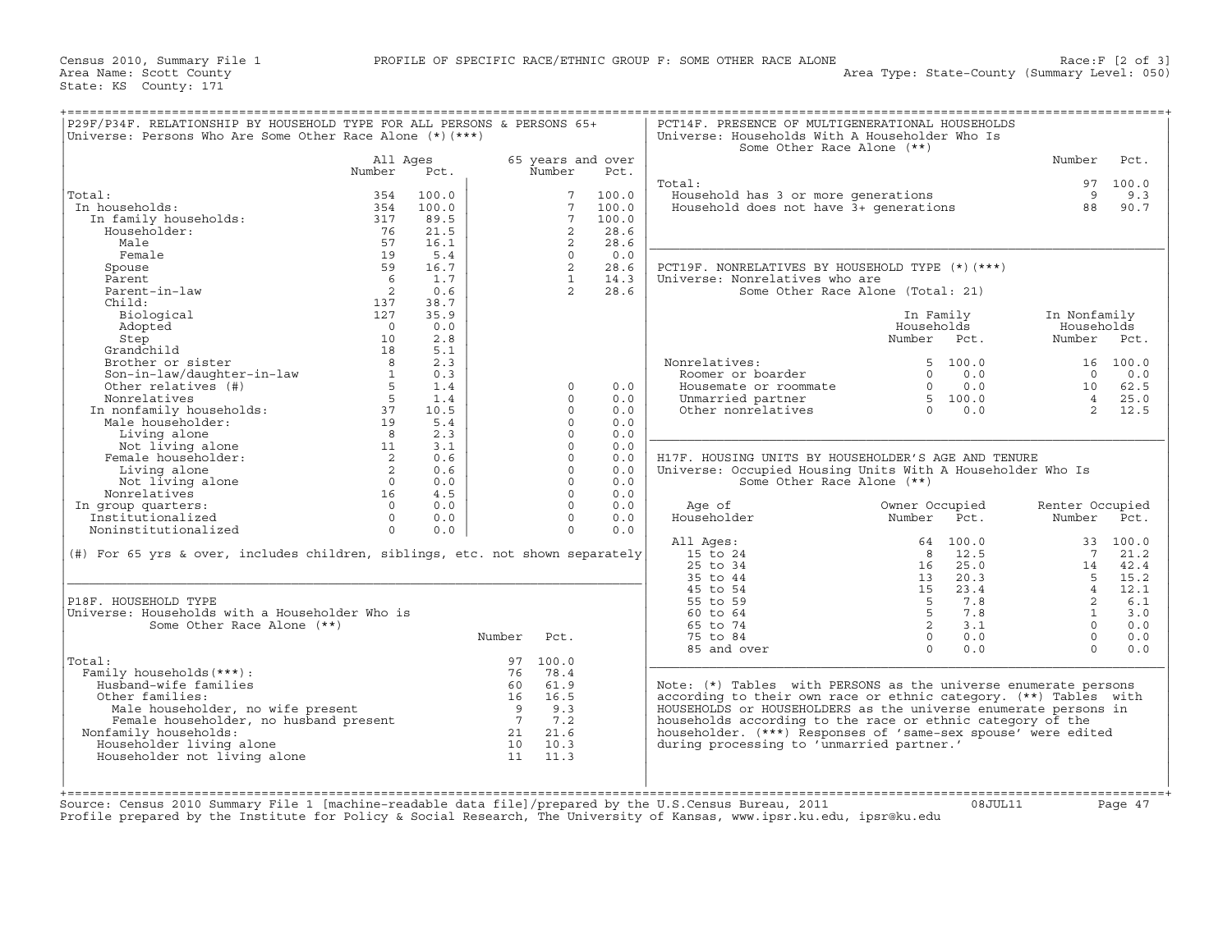| P29F/P34F. RELATIONSHIP BY HOUSEHOLD TYPE FOR ALL PERSONS & PERSONS 65+       |                                           |       |                |                 |                   | PCT14F. PRESENCE OF MULTIGENERATIONAL HOUSEHOLDS                 |                                   |                 |          |
|-------------------------------------------------------------------------------|-------------------------------------------|-------|----------------|-----------------|-------------------|------------------------------------------------------------------|-----------------------------------|-----------------|----------|
| Universe: Persons Who Are Some Other Race Alone $(*)$ (***)                   |                                           |       |                |                 |                   | Universe: Households With A Householder Who Is                   |                                   |                 |          |
|                                                                               | All Ages                                  |       |                |                 | 65 years and over | Some Other Race Alone (**)                                       |                                   | Number          | Pct.     |
|                                                                               | Number                                    | Pct.  |                | Number          | Pct.              |                                                                  |                                   |                 |          |
|                                                                               |                                           |       |                |                 |                   | Total:                                                           |                                   |                 | 97 100.0 |
| Total:                                                                        | 354                                       | 100.0 |                | $7\overline{ }$ | 100.0             | Household has 3 or more generations                              |                                   | 9               | 9.3      |
| In households:                                                                | 354                                       | 100.0 |                | $7\overline{ }$ | 100.0             | Household does not have $3+$ generations                         |                                   | 88              | 90.7     |
| In family households:                                                         | 317                                       | 89.5  |                | $7\phantom{.0}$ | 100.0             |                                                                  |                                   |                 |          |
| Householder:                                                                  | 76                                        | 21.5  |                | 2               | 28.6              |                                                                  |                                   |                 |          |
| Male                                                                          | 57                                        | 16.1  |                | 2               | 28.6              |                                                                  |                                   |                 |          |
| Female                                                                        | 19                                        | 5.4   |                | $\circ$         | 0.0               |                                                                  |                                   |                 |          |
| Spouse                                                                        | 59                                        | 16.7  |                | 2               | 28.6              | PCT19F. NONRELATIVES BY HOUSEHOLD TYPE (*) (***)                 |                                   |                 |          |
| Parent                                                                        | 6                                         | 1.7   |                | $\mathbf{1}$    | 14.3              | Universe: Nonrelatives who are                                   |                                   |                 |          |
| Parent-in-law                                                                 | $\overline{\phantom{0}}^2$                | 0.6   |                | 2               | 28.6              |                                                                  | Some Other Race Alone (Total: 21) |                 |          |
| Child:                                                                        | 137                                       | 38.7  |                |                 |                   |                                                                  |                                   |                 |          |
| Biological                                                                    | 127                                       | 35.9  |                |                 |                   |                                                                  | In Family                         | In Nonfamily    |          |
| Adopted                                                                       | $\overline{0}$                            | 0.0   |                |                 |                   |                                                                  | Households                        | Households      |          |
| Step                                                                          | 10                                        | 2.8   |                |                 |                   |                                                                  | Number Pct.                       | Number Pct.     |          |
| Grandchild                                                                    | 18                                        | 5.1   |                |                 |                   |                                                                  |                                   |                 |          |
| Brother or sister                                                             | 8                                         | 2.3   |                |                 |                   | Nonrelatives:                                                    | 5, 100.0                          |                 | 16 100.0 |
|                                                                               |                                           | 0.3   |                |                 |                   | Roomer or boarder                                                | $\Omega$<br>0.0                   | $\bigcirc$      | 0.0      |
| Son-in-law/daughter-in-law<br>Other relatives (#)                             | $\frac{1}{5}$                             | 1.4   |                | $\Omega$        | 0.0               | Housemate or roommate                                            | $0 \qquad \qquad$<br>0.0          | 10              | 62.5     |
| Nonrelatives                                                                  | 5                                         | 1.4   |                | $\Omega$        | 0.0               | Unmarried partner                                                | 5 100.0                           | $4\degree$      | 25.0     |
| In nonfamily households:                                                      | 37                                        | 10.5  |                | $\Omega$        | 0.0               | Other nonrelatives                                               | $\Omega$<br>0.0                   | $\overline{2}$  | 12.5     |
| Male householder:                                                             | 19                                        | 5.4   |                | $\circ$         | 0.0               |                                                                  |                                   |                 |          |
| Living alone                                                                  | 8                                         | 2.3   |                | $\Omega$        | 0.0               |                                                                  |                                   |                 |          |
| Not living alone                                                              | 11                                        | 3.1   |                | $\circ$         | 0.0               |                                                                  |                                   |                 |          |
| Female householder:                                                           | $\overline{2}$                            | 0.6   |                | $\Omega$        | 0.0               | H17F. HOUSING UNITS BY HOUSEHOLDER'S AGE AND TENURE              |                                   |                 |          |
| Living alone                                                                  | $\overline{\phantom{0}}$ 2                | 0.6   |                | $\circ$         | 0.0               | Universe: Occupied Housing Units With A Householder Who Is       |                                   |                 |          |
| Not living alone                                                              | $\overline{0}$                            | 0.0   |                | $\circ$         | 0.0               | Some Other Race Alone (**)                                       |                                   |                 |          |
| Nonrelatives                                                                  | 16                                        | 4.5   |                | $\Omega$        | 0.0               |                                                                  |                                   |                 |          |
| In group quarters:                                                            | $\Omega$                                  | 0.0   |                | $\Omega$        | 0.0               | Age of                                                           | Owner Occupied                    | Renter Occupied |          |
| Institutionalized                                                             | $\Omega$                                  | 0.0   |                | $\Omega$        | 0.0               | Householder                                                      | Number<br>Pct.                    | Number          | Pct.     |
| Noninstitutionalized                                                          | $\Omega$                                  | 0.0   |                | $\Omega$        | 0.0               |                                                                  |                                   |                 |          |
|                                                                               |                                           |       |                |                 |                   | All Ages:                                                        | 100.0<br>64                       |                 | 33 100.0 |
| (#) For 65 yrs & over, includes children, siblings, etc. not shown separately |                                           |       |                |                 |                   | 15 to 24                                                         | 12.5<br>8                         | 7               | 21.2     |
|                                                                               |                                           |       |                |                 |                   | 25 to 34                                                         | 25.0<br>16                        | 14              | 42.4     |
|                                                                               |                                           |       |                |                 |                   | 35 to 44                                                         | 20.3<br>13                        | 5 <sup>7</sup>  | 15.2     |
|                                                                               |                                           |       |                |                 |                   | 45 to 54                                                         | 15<br>23.4                        | $\overline{4}$  | 12.1     |
| P18F. HOUSEHOLD TYPE                                                          |                                           |       |                |                 |                   | 55 to 59                                                         | 7.8<br>5                          | 2               | 6.1      |
| Universe: Households with a Householder Who is                                |                                           |       |                |                 |                   | 60 to 64                                                         | 5 <sup>5</sup><br>7.8             | $\mathbf{1}$    | 3.0      |
| Some Other Race Alone (**)                                                    |                                           |       |                |                 |                   | 65 to 74                                                         | $\overline{2}$<br>3.1             | $\Omega$        | 0.0      |
|                                                                               |                                           |       | Number         | Pct.            |                   | 75 to 84                                                         | $\overline{0}$<br>0.0             | $\Omega$        | 0.0      |
|                                                                               |                                           |       |                |                 |                   | 85 and over                                                      | $\Omega$<br>0.0                   | $\Omega$        | 0.0      |
| Total:                                                                        |                                           |       |                | 97 100.0        |                   |                                                                  |                                   |                 |          |
| Family households (***) :                                                     |                                           |       | 76             | 78.4            |                   |                                                                  |                                   |                 |          |
| Husband-wife families                                                         |                                           |       | 60             | 61.9            |                   | Note: (*) Tables with PERSONS as the universe enumerate persons  |                                   |                 |          |
| Other families:                                                               |                                           |       | 16             | 16.5            |                   | according to their own race or ethnic category. (**) Tables with |                                   |                 |          |
| Male householder, no wife present                                             |                                           |       | $\overline{9}$ | 9.3             |                   | HOUSEHOLDS or HOUSEHOLDERS as the universe enumerate persons in  |                                   |                 |          |
| Female householder, no husband present                                        |                                           |       | $\overline{7}$ | 7.2             |                   | households according to the race or ethnic category of the       |                                   |                 |          |
| Nonfamily households:                                                         |                                           |       | 21             | 21.6            |                   | householder. (***) Responses of 'same-sex spouse' were edited    |                                   |                 |          |
| Householder living alone                                                      |                                           |       | 10             | 10.3            |                   | during processing to 'unmarried partner.'                        |                                   |                 |          |
| Householder not living alone                                                  |                                           |       | 11             | 11.3            |                   |                                                                  |                                   |                 |          |
|                                                                               |                                           |       |                |                 |                   |                                                                  |                                   |                 |          |
|                                                                               |                                           |       |                |                 |                   |                                                                  |                                   |                 |          |
|                                                                               |                                           |       |                |                 |                   |                                                                  |                                   |                 |          |
|                                                                               | [machine_readable data file] (prepared by |       |                |                 |                   | $the$ II S<br>$2011$                                             | $0.9.$ TTTT $.11$                 |                 |          |

Source: Census 2010 Summary File 1 [machine−readable data file]/prepared by the U.S.Census Bureau, 2011 08JUL11 Page 47 Profile prepared by the Institute for Policy & Social Research, The University of Kansas, www.ipsr.ku.edu, ipsr@ku.edu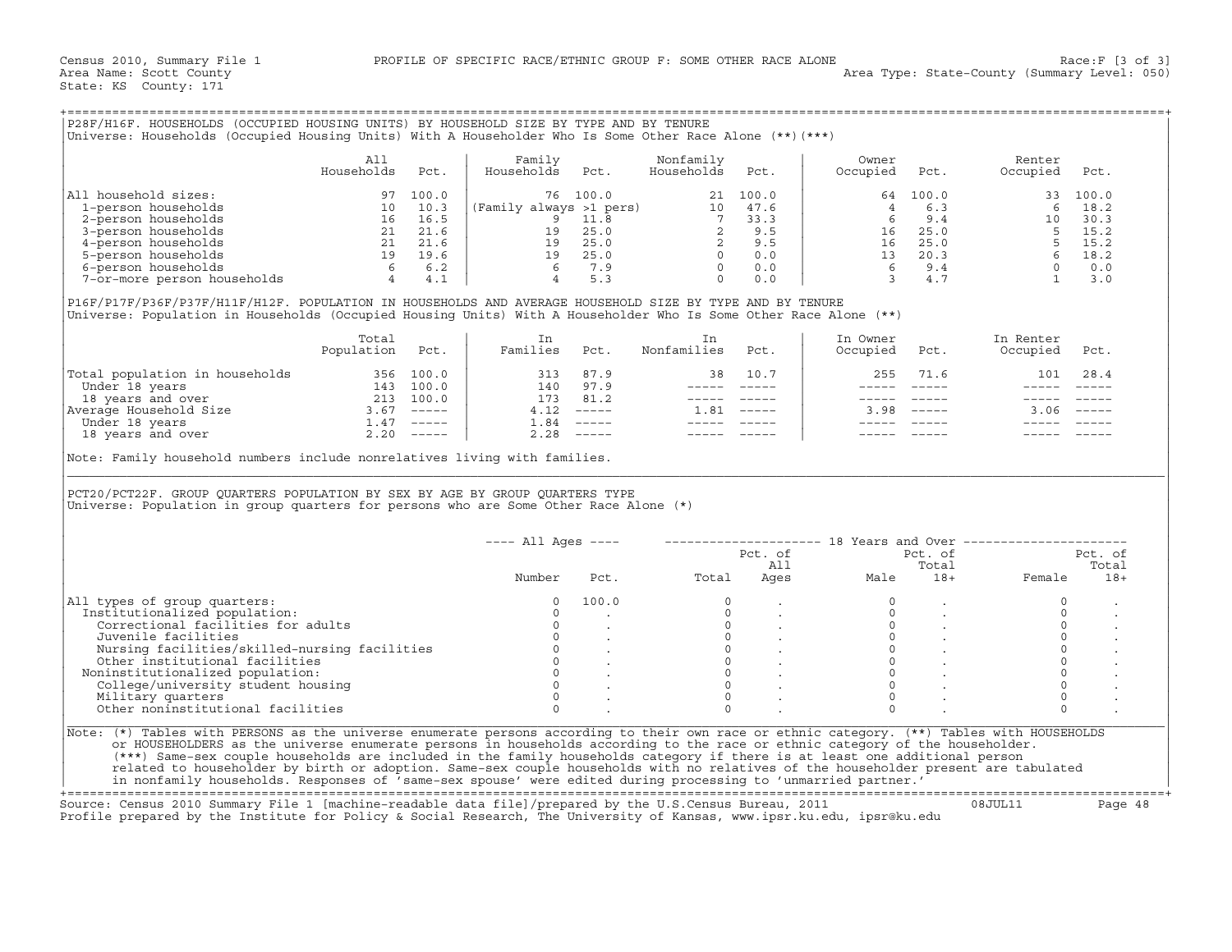| P28F/H16F. HOUSEHOLDS (OCCUPIED HOUSING UNITS) BY HOUSEHOLD SIZE BY TYPE AND BY TENURE<br>(***) Universe: Households (Occupied Housing Units) With A Householder Who Is Some Other Race Alone (**) [***) |                   |       |                         |       |                         |       |                   |       |                    |       |
|----------------------------------------------------------------------------------------------------------------------------------------------------------------------------------------------------------|-------------------|-------|-------------------------|-------|-------------------------|-------|-------------------|-------|--------------------|-------|
|                                                                                                                                                                                                          | All<br>Households | Pct.  | Family<br>Households    | Pct.  | Nonfamily<br>Households | Pct.  | Owner<br>Occupied | Pct.  | Renter<br>Occupied | Pct.  |
| All household sizes:                                                                                                                                                                                     | 97                | 100.0 | 76                      | 100.0 | 21                      | 100.0 | 64                | 100.0 | 33                 | 100.0 |
| 1-person households                                                                                                                                                                                      | 10                | 10.3  | (Family always >1 pers) |       | 10                      | 47.6  |                   | 6.3   |                    | 18.2  |
| 2-person households                                                                                                                                                                                      | 16                | 16.5  |                         | 11.8  |                         | 33.3  |                   | 9.4   | 10                 | 30.3  |
| 3-person households                                                                                                                                                                                      | 21                | 21.6  | 19                      | 25.0  |                         | 9.5   | 16                | 25.0  |                    | 15.2  |
| 4-person households                                                                                                                                                                                      | 21                | 21.6  | 19                      | 25.0  |                         | 9.5   | 16                | 25.0  |                    | 15.2  |
| 5-person households                                                                                                                                                                                      | 19                | 19.6  | 19                      | 25.0  |                         | 0.0   | 13                | 20.3  |                    | 18.2  |
| 6-person households                                                                                                                                                                                      | 6                 | 6.2   |                         | 7.9   |                         | 0.0   |                   | 9.4   |                    | 0.0   |
| 7-or-more person households                                                                                                                                                                              |                   | 4.1   |                         | 5.3   |                         | 0.0   |                   | 4.7   |                    | 3.0   |

|                                | Total<br>Population | Pct.                      | Families | Pct.                      | Nonfamilies | Pct.                      | In Owner<br>Occupied | Pct.                      | In Renter<br>Occupied | Pct.                      |
|--------------------------------|---------------------|---------------------------|----------|---------------------------|-------------|---------------------------|----------------------|---------------------------|-----------------------|---------------------------|
| Total population in households | 356                 | 100.0                     | 313      | 87.9                      | 38          | 10.7                      | 255                  | 71.6                      | 101                   | 28.4                      |
| Under 18 years                 | 143                 | 100.0                     | 140      | 97.9                      |             |                           |                      |                           |                       |                           |
| 18 years and over              | 213                 | 100.0                     | 173      | 81.2                      |             |                           |                      |                           |                       |                           |
| Average Household Size         | 3.67                | $------$                  | 4.12     | $\qquad \qquad - - - - -$ | 81          | $\qquad \qquad - - - - -$ | 3.98                 | $\qquad \qquad - - - - -$ | 3.06                  | $\qquad \qquad - - - - -$ |
| Under 18 years                 | .47                 | $\qquad \qquad - - - - -$ | . . 84   |                           |             |                           |                      |                           |                       |                           |
| 18 years and over              | 2.20                | $\frac{1}{2}$             | 2.28     | $- - - - - -$             |             |                           |                      |                           |                       |                           |

| P28F/H16F. HOUSEHOLDS (OCCUPIED HOUSING UNITS) BY HOUSEHOLD SIZE BY TYPE AND BY TENURE<br>Universe: Households (Occupied Housing Units) With A Householder Who Is Some Other Race Alone (**) (***)                                                                                                                                                                                                                                                                                                                                              |                          |      |                      |                                                                                              |                                                                                                           |                        |                                                                                 |                                                                                                                                                                                                                                                                                                                                                                                              |                                                                                                                                                                                                                             |              |
|-------------------------------------------------------------------------------------------------------------------------------------------------------------------------------------------------------------------------------------------------------------------------------------------------------------------------------------------------------------------------------------------------------------------------------------------------------------------------------------------------------------------------------------------------|--------------------------|------|----------------------|----------------------------------------------------------------------------------------------|-----------------------------------------------------------------------------------------------------------|------------------------|---------------------------------------------------------------------------------|----------------------------------------------------------------------------------------------------------------------------------------------------------------------------------------------------------------------------------------------------------------------------------------------------------------------------------------------------------------------------------------------|-----------------------------------------------------------------------------------------------------------------------------------------------------------------------------------------------------------------------------|--------------|
|                                                                                                                                                                                                                                                                                                                                                                                                                                                                                                                                                 | All<br>Households        | Pct. | Family<br>Households | Pct.                                                                                         | Nonfamily<br>Households                                                                                   | Pct.                   | Owner<br>Occupied                                                               | Pct.                                                                                                                                                                                                                                                                                                                                                                                         | Renter<br>Occupied                                                                                                                                                                                                          | Pct.         |
| All household sizes:                                                                                                                                                                                                                                                                                                                                                                                                                                                                                                                            |                          |      |                      |                                                                                              |                                                                                                           |                        | 64                                                                              | 100.0                                                                                                                                                                                                                                                                                                                                                                                        |                                                                                                                                                                                                                             | 33 100.0     |
|                                                                                                                                                                                                                                                                                                                                                                                                                                                                                                                                                 |                          |      |                      |                                                                                              |                                                                                                           |                        | $\overline{4}$                                                                  | 6.3                                                                                                                                                                                                                                                                                                                                                                                          |                                                                                                                                                                                                                             | 6 18.2       |
|                                                                                                                                                                                                                                                                                                                                                                                                                                                                                                                                                 |                          |      |                      |                                                                                              |                                                                                                           |                        |                                                                                 |                                                                                                                                                                                                                                                                                                                                                                                              |                                                                                                                                                                                                                             |              |
|                                                                                                                                                                                                                                                                                                                                                                                                                                                                                                                                                 |                          |      |                      |                                                                                              |                                                                                                           |                        | $\begin{array}{ccc} 6 & 9.4 \\ 16 & 25.0 \\ 16 & 25.0 \\ 13 & 20.3 \end{array}$ |                                                                                                                                                                                                                                                                                                                                                                                              |                                                                                                                                                                                                                             |              |
|                                                                                                                                                                                                                                                                                                                                                                                                                                                                                                                                                 |                          |      |                      |                                                                                              |                                                                                                           |                        |                                                                                 |                                                                                                                                                                                                                                                                                                                                                                                              |                                                                                                                                                                                                                             |              |
|                                                                                                                                                                                                                                                                                                                                                                                                                                                                                                                                                 |                          |      |                      |                                                                                              |                                                                                                           |                        |                                                                                 |                                                                                                                                                                                                                                                                                                                                                                                              |                                                                                                                                                                                                                             |              |
|                                                                                                                                                                                                                                                                                                                                                                                                                                                                                                                                                 |                          |      |                      |                                                                                              |                                                                                                           |                        |                                                                                 |                                                                                                                                                                                                                                                                                                                                                                                              |                                                                                                                                                                                                                             |              |
|                                                                                                                                                                                                                                                                                                                                                                                                                                                                                                                                                 |                          |      |                      |                                                                                              |                                                                                                           |                        |                                                                                 |                                                                                                                                                                                                                                                                                                                                                                                              | $\begin{array}{cccccc} 4 & 6.3 & & & 6 & 18.2 \\ 6 & 9.4 & & & 10 & 30.3 \\ 16 & 25.0 & & & 5 & 15.2 \\ 16 & 25.0 & & & 5 & 15.2 \\ 13 & 20.3 & & & 6 & 18.2 \\ 6 & 9.4 & & & 0 & 0.0 \\ 3 & 4.7 & & & 1 & 3.0 \end{array}$ |              |
| P16F/P17F/P36F/P37F/H11F/H12F. POPULATION IN HOUSEHOLDS AND AVERAGE HOUSEHOLD SIZE BY TYPE AND BY TENURE<br>Universe: Population in Households (Occupied Housing Units) With A Householder Who Is Some Other Race Alone (**)                                                                                                                                                                                                                                                                                                                    |                          |      |                      |                                                                                              |                                                                                                           |                        |                                                                                 |                                                                                                                                                                                                                                                                                                                                                                                              |                                                                                                                                                                                                                             |              |
|                                                                                                                                                                                                                                                                                                                                                                                                                                                                                                                                                 | Total<br>Population Pct. |      | In<br>Families Pct.  |                                                                                              | In<br>Nonfamilies                                                                                         | Pct.                   | In Owner<br>Occupied                                                            | Pct.                                                                                                                                                                                                                                                                                                                                                                                         | In Renter<br>Occupied                                                                                                                                                                                                       | Pct.         |
| Total population in households 356 100.0<br>Under 18 years 143 100.0<br>18 years and over 213 100.0<br>Nerage Household Size 3.67 -----<br>Under 18 years and over 2.20 -----<br>1.47 -----<br>1.47 -----                                                                                                                                                                                                                                                                                                                                       |                          |      |                      | 313 87.9                                                                                     |                                                                                                           | 38 10.7                | 255                                                                             | 71.6                                                                                                                                                                                                                                                                                                                                                                                         | 101                                                                                                                                                                                                                         | 28.4         |
|                                                                                                                                                                                                                                                                                                                                                                                                                                                                                                                                                 |                          |      |                      | 140 97.9                                                                                     |                                                                                                           | ______________         |                                                                                 | $\frac{1}{2} \frac{1}{2} \frac{1}{2} \frac{1}{2} \frac{1}{2} \frac{1}{2} \frac{1}{2} \frac{1}{2} \frac{1}{2} \frac{1}{2} \frac{1}{2} \frac{1}{2} \frac{1}{2} \frac{1}{2} \frac{1}{2} \frac{1}{2} \frac{1}{2} \frac{1}{2} \frac{1}{2} \frac{1}{2} \frac{1}{2} \frac{1}{2} \frac{1}{2} \frac{1}{2} \frac{1}{2} \frac{1}{2} \frac{1}{2} \frac{1}{2} \frac{1}{2} \frac{1}{2} \frac{1}{2} \frac{$ |                                                                                                                                                                                                                             |              |
|                                                                                                                                                                                                                                                                                                                                                                                                                                                                                                                                                 |                          |      |                      | 173 81.2                                                                                     |                                                                                                           |                        |                                                                                 | $------$                                                                                                                                                                                                                                                                                                                                                                                     |                                                                                                                                                                                                                             |              |
|                                                                                                                                                                                                                                                                                                                                                                                                                                                                                                                                                 |                          |      |                      | $4.12$ -----                                                                                 | $1.81$ -----                                                                                              |                        |                                                                                 | $3.98$ -----                                                                                                                                                                                                                                                                                                                                                                                 |                                                                                                                                                                                                                             | $3.06$ ----- |
|                                                                                                                                                                                                                                                                                                                                                                                                                                                                                                                                                 |                          |      |                      | $1.84$ -----                                                                                 | _______________                                                                                           |                        |                                                                                 |                                                                                                                                                                                                                                                                                                                                                                                              |                                                                                                                                                                                                                             |              |
|                                                                                                                                                                                                                                                                                                                                                                                                                                                                                                                                                 |                          |      |                      | $2.28$ -----                                                                                 | $\begin{array}{cccccc} - & - & - & - & - & - & - \\ & - & - & - & - & - \\ & & - & - & - & - \end{array}$ |                        |                                                                                 |                                                                                                                                                                                                                                                                                                                                                                                              |                                                                                                                                                                                                                             |              |
| PCT20/PCT22F. GROUP QUARTERS POPULATION BY SEX BY AGE BY GROUP QUARTERS TYPE<br>Universe: Population in group quarters for persons who are Some Other Race Alone $(*)$                                                                                                                                                                                                                                                                                                                                                                          |                          |      |                      |                                                                                              |                                                                                                           |                        |                                                                                 |                                                                                                                                                                                                                                                                                                                                                                                              |                                                                                                                                                                                                                             |              |
|                                                                                                                                                                                                                                                                                                                                                                                                                                                                                                                                                 |                          |      | $---$ All Ages $---$ |                                                                                              |                                                                                                           |                        | -------------------- 18 Years and Over ------------------                       |                                                                                                                                                                                                                                                                                                                                                                                              |                                                                                                                                                                                                                             |              |
|                                                                                                                                                                                                                                                                                                                                                                                                                                                                                                                                                 |                          |      |                      |                                                                                              |                                                                                                           | Pct. of<br>All<br>Ages |                                                                                 | Pct. of                                                                                                                                                                                                                                                                                                                                                                                      |                                                                                                                                                                                                                             | Pct. of      |
|                                                                                                                                                                                                                                                                                                                                                                                                                                                                                                                                                 |                          |      |                      |                                                                                              |                                                                                                           |                        |                                                                                 | Total                                                                                                                                                                                                                                                                                                                                                                                        |                                                                                                                                                                                                                             | Total        |
|                                                                                                                                                                                                                                                                                                                                                                                                                                                                                                                                                 |                          |      | Number               | Pct.                                                                                         | Total                                                                                                     |                        | Male                                                                            | $18+$                                                                                                                                                                                                                                                                                                                                                                                        | Female                                                                                                                                                                                                                      | $18+$        |
| All types of group quarters:                                                                                                                                                                                                                                                                                                                                                                                                                                                                                                                    |                          |      | 0                    | 100.0                                                                                        | $\circ$                                                                                                   |                        |                                                                                 |                                                                                                                                                                                                                                                                                                                                                                                              | $\mathbf 0$                                                                                                                                                                                                                 |              |
| Institutionalized population:                                                                                                                                                                                                                                                                                                                                                                                                                                                                                                                   |                          |      | $\Omega$             |                                                                                              |                                                                                                           |                        | $\mathbf 0$                                                                     |                                                                                                                                                                                                                                                                                                                                                                                              | $\mathbf 0$                                                                                                                                                                                                                 |              |
| Correctional facilities for adults                                                                                                                                                                                                                                                                                                                                                                                                                                                                                                              |                          |      | $\circ$              |                                                                                              |                                                                                                           |                        | $\circ$                                                                         |                                                                                                                                                                                                                                                                                                                                                                                              | $\circ$                                                                                                                                                                                                                     |              |
| Juvenile facilities                                                                                                                                                                                                                                                                                                                                                                                                                                                                                                                             |                          |      | $\Omega$             |                                                                                              |                                                                                                           |                        | $\circ$                                                                         | $\sim 10^{-11}$                                                                                                                                                                                                                                                                                                                                                                              | $\circ$                                                                                                                                                                                                                     |              |
| Nursing facilities/skilled-nursing facilities                                                                                                                                                                                                                                                                                                                                                                                                                                                                                                   |                          |      |                      |                                                                                              |                                                                                                           |                        | $\Omega$                                                                        |                                                                                                                                                                                                                                                                                                                                                                                              | $\mathbf 0$                                                                                                                                                                                                                 |              |
| Other institutional facilities                                                                                                                                                                                                                                                                                                                                                                                                                                                                                                                  |                          |      |                      | $\begin{matrix} 0 & & & & \\ 0 & & & & \\ 0 & & & & \\ 0 & & & & \\ & & & & \\ \end{matrix}$ | $\begin{bmatrix} 0 \\ 0 \\ 0 \\ 0 \\ 0 \\ 0 \end{bmatrix}$                                                |                        | $\circ$                                                                         |                                                                                                                                                                                                                                                                                                                                                                                              | $\circ$                                                                                                                                                                                                                     |              |
| Noninstitutionalized population:                                                                                                                                                                                                                                                                                                                                                                                                                                                                                                                |                          |      |                      |                                                                                              | $\circ$                                                                                                   |                        | $\circ$                                                                         |                                                                                                                                                                                                                                                                                                                                                                                              | $\circ$                                                                                                                                                                                                                     |              |
| College/university student housing                                                                                                                                                                                                                                                                                                                                                                                                                                                                                                              |                          |      |                      |                                                                                              | $\overline{0}$                                                                                            |                        | $\Omega$                                                                        |                                                                                                                                                                                                                                                                                                                                                                                              | $\Omega$                                                                                                                                                                                                                    |              |
| Military quarters                                                                                                                                                                                                                                                                                                                                                                                                                                                                                                                               |                          |      |                      |                                                                                              | $\Omega$                                                                                                  |                        | $\Omega$                                                                        |                                                                                                                                                                                                                                                                                                                                                                                              | $\circ$                                                                                                                                                                                                                     |              |
| Other noninstitutional facilities                                                                                                                                                                                                                                                                                                                                                                                                                                                                                                               |                          |      | $\Omega$             |                                                                                              | $\cap$                                                                                                    |                        | $\Omega$                                                                        |                                                                                                                                                                                                                                                                                                                                                                                              | $\Omega$                                                                                                                                                                                                                    |              |
| Note: (*) Tables with PERSONS as the universe enumerate persons according to their own race or ethnic category. (**) Tables with HOUSEHOLDS<br>or HOUSEHOLDERS as the universe enumerate persons in households according to the race or ethnic category of the householder.<br>(***) Same-sex couple households are included in the family households category if there is at least one additional person<br>related to householder by birth or adoption. Same-sex couple households with no relatives of the householder present are tabulated |                          |      |                      |                                                                                              |                                                                                                           |                        |                                                                                 |                                                                                                                                                                                                                                                                                                                                                                                              |                                                                                                                                                                                                                             |              |

+===================================================================================================================================================+ Source: Census 2010 Summary File 1 [machine−readable data file]/prepared by the U.S.Census Bureau, 2011 08JUL11 Page 48

Profile prepared by the Institute for Policy & Social Research, The University of Kansas, www.ipsr.ku.edu, ipsr@ku.edu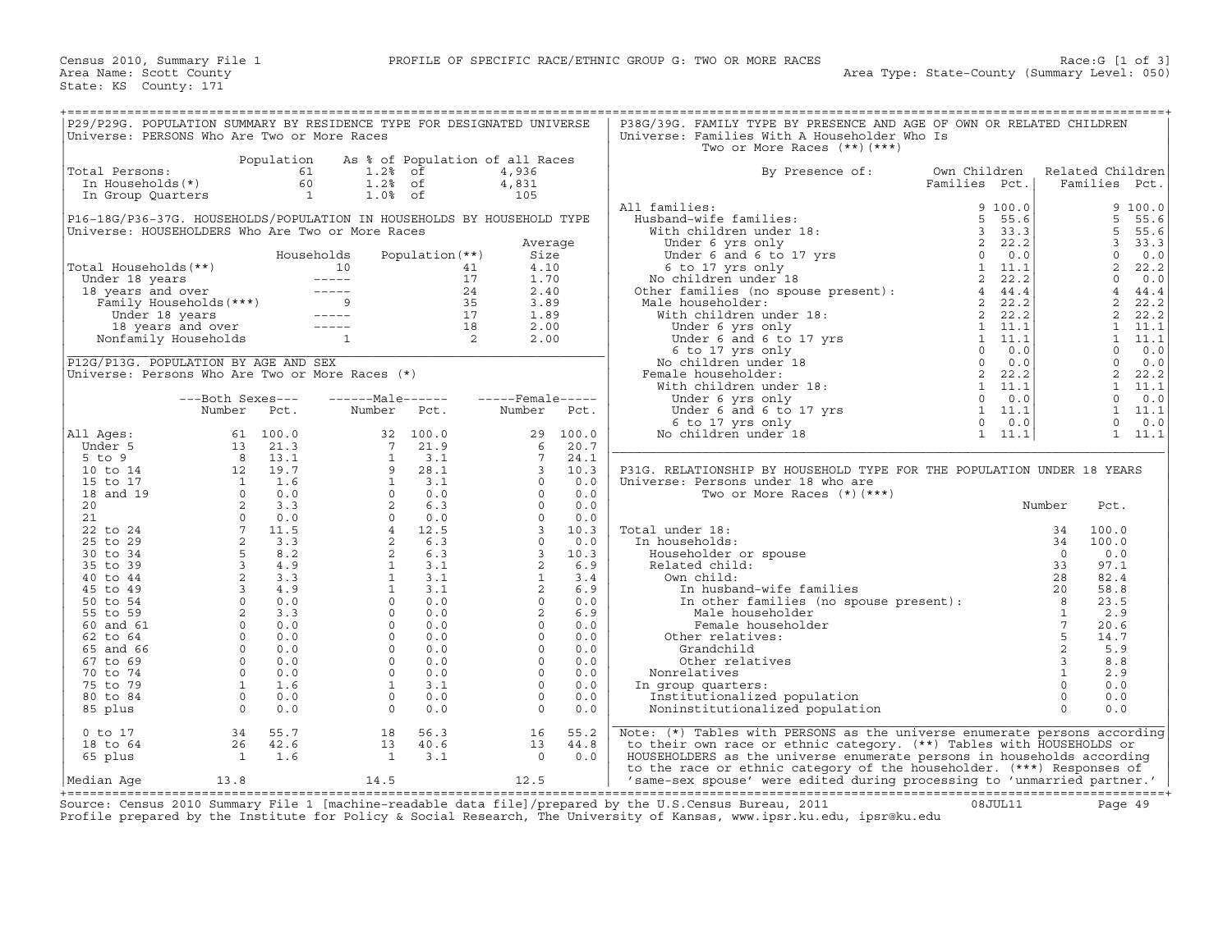| P29/P29G. POPULATION SUMMARY BY RESIDENCE TYPE FOR DESIGNATED UNIVERSE<br>Universe: PERSONS Who Are Two or More Races |                          |                |                                                                                                                                                                                                                                                                                                                                                                                              |                 |                                 |                 |       | P38G/39G. FAMILY TYPE BY PRESENCE AND AGE OF OWN OR RELATED CHILDREN<br>Universe: Families With A Householder Who Is<br>Two or More Races $(**)$ $(***)$                                                                                                                                                                                                                            |              |               |                         |                  |                |
|-----------------------------------------------------------------------------------------------------------------------|--------------------------|----------------|----------------------------------------------------------------------------------------------------------------------------------------------------------------------------------------------------------------------------------------------------------------------------------------------------------------------------------------------------------------------------------------------|-----------------|---------------------------------|-----------------|-------|-------------------------------------------------------------------------------------------------------------------------------------------------------------------------------------------------------------------------------------------------------------------------------------------------------------------------------------------------------------------------------------|--------------|---------------|-------------------------|------------------|----------------|
|                                                                                                                       |                          | Population     |                                                                                                                                                                                                                                                                                                                                                                                              |                 | As % of Population of all Races |                 |       |                                                                                                                                                                                                                                                                                                                                                                                     |              |               |                         |                  |                |
| Total Persons:                                                                                                        |                          | 61             | 1.2%                                                                                                                                                                                                                                                                                                                                                                                         | of              | 4,936                           |                 |       | By Presence of:                                                                                                                                                                                                                                                                                                                                                                     | Own Children |               |                         | Related Children |                |
| In Households(*)                                                                                                      |                          | 60             | $1.2%$ of                                                                                                                                                                                                                                                                                                                                                                                    |                 | 4,831                           |                 |       |                                                                                                                                                                                                                                                                                                                                                                                     |              | Families Pct. |                         | Families Pct.    |                |
| In Group Quarters                                                                                                     |                          | $\overline{1}$ | $1.0%$ of                                                                                                                                                                                                                                                                                                                                                                                    |                 |                                 | 105             |       |                                                                                                                                                                                                                                                                                                                                                                                     |              |               |                         |                  |                |
|                                                                                                                       |                          |                |                                                                                                                                                                                                                                                                                                                                                                                              |                 |                                 |                 |       | All families:                                                                                                                                                                                                                                                                                                                                                                       |              | 9100.0        |                         |                  | 9 100.0        |
| P16-18G/P36-37G. HOUSEHOLDS/POPULATION IN HOUSEHOLDS BY HOUSEHOLD TYPE                                                |                          |                |                                                                                                                                                                                                                                                                                                                                                                                              |                 |                                 |                 |       | Husband-wife families:                                                                                                                                                                                                                                                                                                                                                              |              | 5, 55.6       |                         | 5                | 55.6           |
| Universe: HOUSEHOLDERS Who Are Two or More Races                                                                      |                          |                |                                                                                                                                                                                                                                                                                                                                                                                              |                 |                                 |                 |       | With children under 18:                                                                                                                                                                                                                                                                                                                                                             |              | 3, 33.3       |                         | 5                | 55.6           |
|                                                                                                                       |                          |                |                                                                                                                                                                                                                                                                                                                                                                                              |                 |                                 | Average         |       |                                                                                                                                                                                                                                                                                                                                                                                     |              | 2, 22.2       |                         | 3                | 33.3           |
|                                                                                                                       |                          |                | Households                                                                                                                                                                                                                                                                                                                                                                                   | Population (**) |                                 | Size            |       | Under 6 and 6 to 17 yrs<br>6 to 17 yrs<br>6 to 17 yrs only                                                                                                                                                                                                                                                                                                                          |              | $0 \t 0.0$    |                         | $\mathbf 0$      | 0.0            |
| Total Households(**)                                                                                                  |                          |                | 10                                                                                                                                                                                                                                                                                                                                                                                           |                 | 41                              | 4.10            |       |                                                                                                                                                                                                                                                                                                                                                                                     |              | 1 11.1        |                         | 2                | 22.2           |
| Under 18 years                                                                                                        |                          |                | $\begin{array}{cccccc} - & - & - & - & - \\ \end{array}$                                                                                                                                                                                                                                                                                                                                     |                 | 17                              | 1.70            |       | 6 to 17 yrs only<br>No children under 18<br>Other families (no spouse present):                                                                                                                                                                                                                                                                                                     |              | 2, 22.2       |                         | $\mathbf 0$      | 0.0            |
| 18 years and over                                                                                                     |                          |                |                                                                                                                                                                                                                                                                                                                                                                                              |                 | 24                              | 2.40            |       |                                                                                                                                                                                                                                                                                                                                                                                     |              | 44.4          |                         | $\overline{4}$   | 44.4           |
| B years and over<br>Family Households(***)                                                                            |                          |                | $\frac{---}{9}$                                                                                                                                                                                                                                                                                                                                                                              |                 | 35                              | 3.89            |       | Male householder:                                                                                                                                                                                                                                                                                                                                                                   |              | 2, 22.2       |                         | 2                | 22.2           |
| Under 18 years                                                                                                        |                          |                | $\frac{1}{2} \frac{1}{2} \frac{1}{2} \frac{1}{2} \frac{1}{2} \frac{1}{2} \frac{1}{2} \frac{1}{2} \frac{1}{2} \frac{1}{2} \frac{1}{2} \frac{1}{2} \frac{1}{2} \frac{1}{2} \frac{1}{2} \frac{1}{2} \frac{1}{2} \frac{1}{2} \frac{1}{2} \frac{1}{2} \frac{1}{2} \frac{1}{2} \frac{1}{2} \frac{1}{2} \frac{1}{2} \frac{1}{2} \frac{1}{2} \frac{1}{2} \frac{1}{2} \frac{1}{2} \frac{1}{2} \frac{$ |                 | 17                              | 1.89            |       | With children under 18:                                                                                                                                                                                                                                                                                                                                                             |              |               |                         | $\overline{a}$   | 22.2           |
| 18 years and over                                                                                                     |                          |                | $\frac{1}{2} \frac{1}{2} \frac{1}{2} \frac{1}{2} \frac{1}{2} \frac{1}{2} \frac{1}{2} \frac{1}{2} \frac{1}{2} \frac{1}{2} \frac{1}{2} \frac{1}{2} \frac{1}{2} \frac{1}{2} \frac{1}{2} \frac{1}{2} \frac{1}{2} \frac{1}{2} \frac{1}{2} \frac{1}{2} \frac{1}{2} \frac{1}{2} \frac{1}{2} \frac{1}{2} \frac{1}{2} \frac{1}{2} \frac{1}{2} \frac{1}{2} \frac{1}{2} \frac{1}{2} \frac{1}{2} \frac{$ |                 | 18                              | 2.00            |       |                                                                                                                                                                                                                                                                                                                                                                                     |              |               |                         | 1                | 11.1           |
| Nonfamily Households                                                                                                  |                          |                | $\mathbf{1}$                                                                                                                                                                                                                                                                                                                                                                                 | $\overline{a}$  |                                 | 2.00            |       |                                                                                                                                                                                                                                                                                                                                                                                     |              |               |                         |                  | $1 \quad 11.1$ |
|                                                                                                                       |                          |                |                                                                                                                                                                                                                                                                                                                                                                                              |                 |                                 |                 |       | e householder:<br>$\begin{array}{ccccccc}\n 2 & 22.2 \\  \text{if the children under 18:} & & & 2 & 22.2 \\  \text{Under 6 and 6 to 17 yrs} & & & 1 & 11.1 \\  6 & \text{t} & 17 & \text{yrs} & & & 1 & 11.1 \\  6 & \text{t} & 17 & \text{yrs} & & & 1 & 11.1 \\  7 & \text{t} & 11.1 & & 11.1 \\  8 & \text{t} & 11.1 & & 11.1 \\  9 & \text{t} & 11.1 & & 11.1 \\  10 & \text{t$ |              |               |                         | $\Omega$         | 0.0            |
| P12G/P13G. POPULATION BY AGE AND SEX                                                                                  |                          |                |                                                                                                                                                                                                                                                                                                                                                                                              |                 |                                 |                 |       | No children under 18                                                                                                                                                                                                                                                                                                                                                                |              |               |                         | $\mathbf 0$      | 0.0            |
| Universe: Persons Who Are Two or More Races (*)                                                                       |                          |                |                                                                                                                                                                                                                                                                                                                                                                                              |                 |                                 |                 |       | Female householder:                                                                                                                                                                                                                                                                                                                                                                 |              |               |                         | 2                | 22.2           |
|                                                                                                                       |                          |                |                                                                                                                                                                                                                                                                                                                                                                                              |                 |                                 |                 |       | With children under 18:                                                                                                                                                                                                                                                                                                                                                             |              |               |                         | $\mathbf{1}$     | 11.1           |
|                                                                                                                       | ---Both Sexes---         |                | $---Male----$                                                                                                                                                                                                                                                                                                                                                                                |                 | $---$ Female -----              |                 |       | Under 6 yrs only                                                                                                                                                                                                                                                                                                                                                                    |              | $0 \t 0.0$    |                         | $\mathbf{0}$     | 0.0            |
|                                                                                                                       | Number                   | Pct.           | Number                                                                                                                                                                                                                                                                                                                                                                                       | Pct.            | Number                          |                 | Pct.  |                                                                                                                                                                                                                                                                                                                                                                                     |              |               |                         | $\mathbf{1}$     | 11.1           |
|                                                                                                                       |                          |                |                                                                                                                                                                                                                                                                                                                                                                                              |                 |                                 |                 |       | Under 6 yrs only 0 0.0<br>5 to 17 yrs 1 11.1<br>6 to 17 yrs only 1 11.1<br>0 children under 18 1 11.1                                                                                                                                                                                                                                                                               |              |               |                         | $\Omega$         | 0.0            |
| All Ages:                                                                                                             | 61                       | 100.0          | 32                                                                                                                                                                                                                                                                                                                                                                                           | 100.0           |                                 | 29              | 100.0 | No children under 18                                                                                                                                                                                                                                                                                                                                                                |              |               |                         | $\mathbf{1}$     | 11.1           |
| Under 5                                                                                                               | 13                       | 21.3           | $7\phantom{.0}$                                                                                                                                                                                                                                                                                                                                                                              | 21.9            |                                 | 6               | 20.7  |                                                                                                                                                                                                                                                                                                                                                                                     |              |               |                         |                  |                |
| 5 to 9                                                                                                                |                          | 13.1           |                                                                                                                                                                                                                                                                                                                                                                                              | 3.1             |                                 | $7\overline{ }$ | 24.1  |                                                                                                                                                                                                                                                                                                                                                                                     |              |               |                         |                  |                |
| 10 to 14                                                                                                              | $\frac{8}{12}$           | 19.7           |                                                                                                                                                                                                                                                                                                                                                                                              | 28.1            |                                 | 3               | 10.3  | P31G. RELATIONSHIP BY HOUSEHOLD TYPE FOR THE POPULATION UNDER 18 YEARS                                                                                                                                                                                                                                                                                                              |              |               |                         |                  |                |
| 15 to 17                                                                                                              |                          | 1.6            |                                                                                                                                                                                                                                                                                                                                                                                              | 3.1             |                                 | $\Omega$        | 0.0   | Universe: Persons under 18 who are                                                                                                                                                                                                                                                                                                                                                  |              |               |                         |                  |                |
| 18 and 19                                                                                                             |                          | 0.0            |                                                                                                                                                                                                                                                                                                                                                                                              | 0.0             |                                 | $\Omega$        | 0.0   | Two or More Races $(*)$ $(***)$                                                                                                                                                                                                                                                                                                                                                     |              |               |                         |                  |                |
| 20                                                                                                                    |                          | 3.3            |                                                                                                                                                                                                                                                                                                                                                                                              | 6.3             |                                 | $\Omega$        | 0.0   |                                                                                                                                                                                                                                                                                                                                                                                     |              |               | Number                  | Pct.             |                |
| 21                                                                                                                    |                          | 0.0            |                                                                                                                                                                                                                                                                                                                                                                                              | 0.0             |                                 | $\circ$         | 0.0   |                                                                                                                                                                                                                                                                                                                                                                                     |              |               |                         |                  |                |
| 22 to 24                                                                                                              |                          | 11.5           |                                                                                                                                                                                                                                                                                                                                                                                              | 12.5            |                                 | $\overline{3}$  | 10.3  | Total under 18:                                                                                                                                                                                                                                                                                                                                                                     |              |               | 34                      | 100.0            |                |
| 25 to 29                                                                                                              |                          | 3.3            |                                                                                                                                                                                                                                                                                                                                                                                              | 6.3             |                                 | $\circ$         | 0.0   | In households:                                                                                                                                                                                                                                                                                                                                                                      |              |               | 34                      | 100.0            |                |
| 30 to 34                                                                                                              |                          |                |                                                                                                                                                                                                                                                                                                                                                                                              | 6.3             |                                 | $\overline{3}$  | 10.3  | Householder or spouse                                                                                                                                                                                                                                                                                                                                                               |              |               | $\Omega$                | 0.0              |                |
| 35 to 39                                                                                                              |                          | 4.9            |                                                                                                                                                                                                                                                                                                                                                                                              | 3.1             |                                 | 2               | 6.9   | Related child:                                                                                                                                                                                                                                                                                                                                                                      |              |               | 33                      | 97.1             |                |
| 40 to 44                                                                                                              | $\overline{2}$           |                | 1                                                                                                                                                                                                                                                                                                                                                                                            | 3.1             |                                 | $\mathbf{1}$    | 3.4   | Own child:                                                                                                                                                                                                                                                                                                                                                                          |              |               | 28                      | 82.4             |                |
| 45 to 49                                                                                                              |                          |                |                                                                                                                                                                                                                                                                                                                                                                                              | 3.1             |                                 | 2               | 6.9   | In husband-wife families                                                                                                                                                                                                                                                                                                                                                            |              |               | 20                      | 58.8             |                |
| 50 to 54                                                                                                              |                          |                |                                                                                                                                                                                                                                                                                                                                                                                              | 0.0             |                                 | $\circ$         | 0.0   | In other families (no spouse present):<br>Male householder<br>Engle burstly                                                                                                                                                                                                                                                                                                         |              |               | 8                       | 23.5             |                |
| 55 to 59                                                                                                              |                          | 3.3            | $\Omega$                                                                                                                                                                                                                                                                                                                                                                                     | 0.0             |                                 | 2               | 6.9   |                                                                                                                                                                                                                                                                                                                                                                                     |              |               | $\mathbf{1}$            | 2.9              |                |
| 60 and 61                                                                                                             |                          | 0.0            | $\Omega$                                                                                                                                                                                                                                                                                                                                                                                     | 0.0             |                                 | $\Omega$        | 0.0   | Female householder                                                                                                                                                                                                                                                                                                                                                                  |              |               | $7\overline{ }$         | 20.6             |                |
| 62 to 64                                                                                                              | $\circ$                  | 0.0            | $\Omega$                                                                                                                                                                                                                                                                                                                                                                                     | 0.0             |                                 | $\Omega$        | 0.0   | Other relatives:                                                                                                                                                                                                                                                                                                                                                                    |              |               | 5                       | 14.7             |                |
| 65 and 66                                                                                                             | $\circ$                  | 0.0            | $\Omega$                                                                                                                                                                                                                                                                                                                                                                                     | 0.0             |                                 | $\Omega$        | 0.0   | Grandchild                                                                                                                                                                                                                                                                                                                                                                          |              |               | $\overline{a}$          | 5.9              |                |
| 67 to 69                                                                                                              | $\circ$                  | 0.0            | $\circ$                                                                                                                                                                                                                                                                                                                                                                                      | 0.0             |                                 | $\circ$         | 0.0   | Other relatives                                                                                                                                                                                                                                                                                                                                                                     |              |               | $\overline{\mathbf{3}}$ | 8.8              |                |
| 70 to 74                                                                                                              | $\circ$                  | 0.0            | $\Omega$                                                                                                                                                                                                                                                                                                                                                                                     | 0.0             |                                 | $\Omega$        | 0.0   | Nonrelatives                                                                                                                                                                                                                                                                                                                                                                        |              |               | $\mathbf{1}$            | 2.9              |                |
| 75 to 79                                                                                                              | $\overline{1}$           | 1.6            | $\mathbf{1}$                                                                                                                                                                                                                                                                                                                                                                                 | 3.1             |                                 | $\Omega$        | 0.0   | In group quarters:                                                                                                                                                                                                                                                                                                                                                                  |              |               | $\Omega$                | 0.0              |                |
| 80 to 84                                                                                                              | $\circ$                  | 0.0            | $\Omega$                                                                                                                                                                                                                                                                                                                                                                                     | 0.0             |                                 | $\circ$         | 0.0   | Institutionalized population                                                                                                                                                                                                                                                                                                                                                        |              |               | $\Omega$                | 0.0              |                |
| 85 plus                                                                                                               | $\Omega$                 | 0.0            | $\circ$                                                                                                                                                                                                                                                                                                                                                                                      | 0.0             |                                 | $\circ$         | 0.0   | Noninstitutionalized population                                                                                                                                                                                                                                                                                                                                                     |              |               | $\Omega$                | 0.0              |                |
|                                                                                                                       |                          |                |                                                                                                                                                                                                                                                                                                                                                                                              |                 |                                 |                 |       |                                                                                                                                                                                                                                                                                                                                                                                     |              |               |                         |                  |                |
| $0$ to $17$                                                                                                           | 34                       | 55.7           | 18                                                                                                                                                                                                                                                                                                                                                                                           | 56.3            |                                 | 16              | 55.2  | Note: (*) Tables with PERSONS as the universe enumerate persons according                                                                                                                                                                                                                                                                                                           |              |               |                         |                  |                |
| 18 to 64                                                                                                              | 26                       | 42.6           | 13                                                                                                                                                                                                                                                                                                                                                                                           | 40.6            |                                 | 13              | 44.8  | to their own race or ethnic category. (**) Tables with HOUSEHOLDS or                                                                                                                                                                                                                                                                                                                |              |               |                         |                  |                |
| 65 plus                                                                                                               | $\overline{\phantom{a}}$ | 1.6            | <sup>1</sup>                                                                                                                                                                                                                                                                                                                                                                                 | 3.1             |                                 | $\Omega$        | 0.0   | HOUSEHOLDERS as the universe enumerate persons in households according                                                                                                                                                                                                                                                                                                              |              |               |                         |                  |                |
|                                                                                                                       |                          |                |                                                                                                                                                                                                                                                                                                                                                                                              |                 |                                 |                 |       | to the race or ethnic category of the householder. (***) Responses of                                                                                                                                                                                                                                                                                                               |              |               |                         |                  |                |
| Median Aqe                                                                                                            | 13.8                     |                | 14.5                                                                                                                                                                                                                                                                                                                                                                                         |                 |                                 | 12.5            |       | 'same-sex spouse' were edited during processing to 'unmarried partner.'                                                                                                                                                                                                                                                                                                             |              |               |                         |                  |                |

+===================================================================================================================================================+Source: Census 2010 Summary File 1 [machine−readable data file]/prepared by the U.S.Census Bureau, 2011 08JUL11 Page 49 Profile prepared by the Institute for Policy & Social Research, The University of Kansas, www.ipsr.ku.edu, ipsr@ku.edu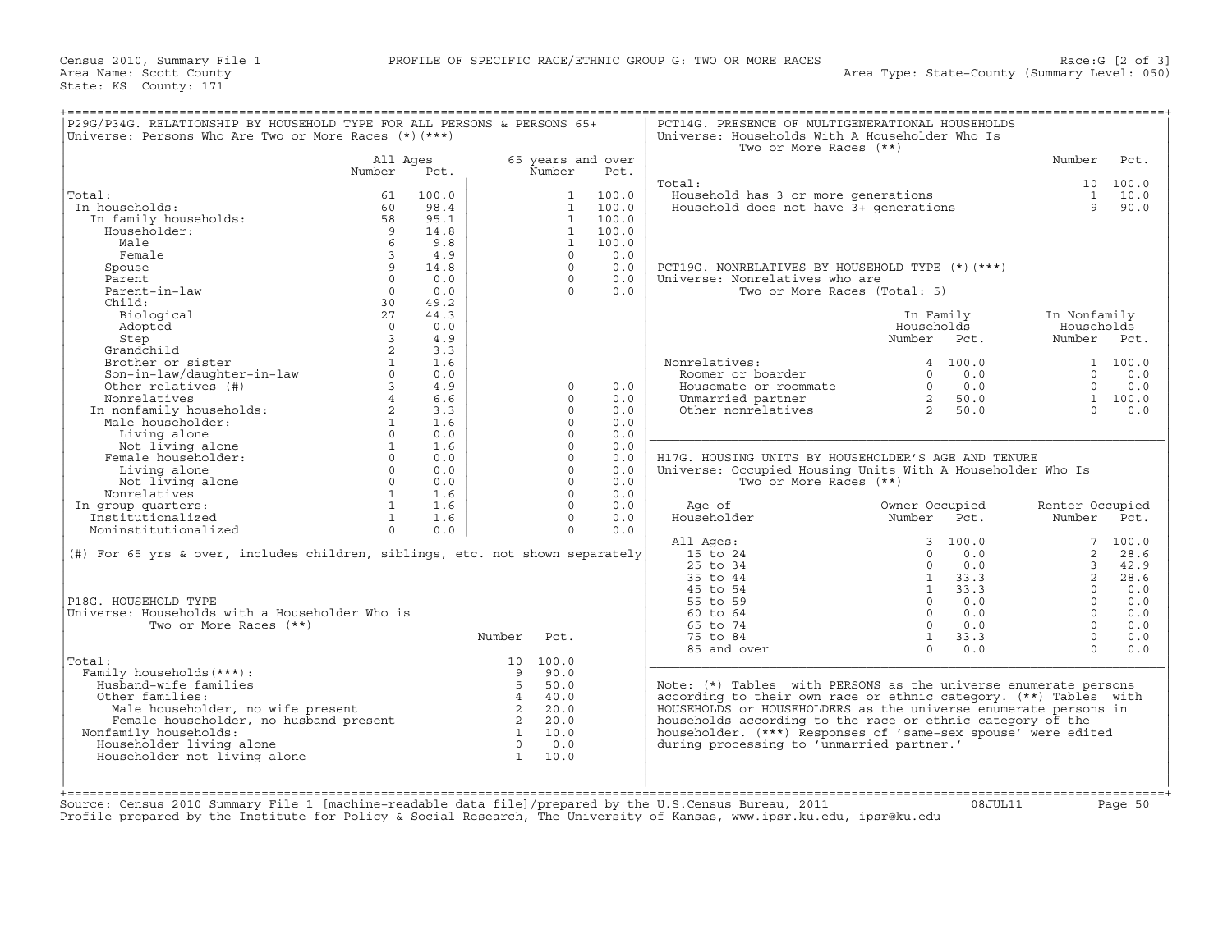| Universe: Persons Who Are Two or More Races $(*)$ $(***)$                     |                         |       |                            |                   |       | Universe: Households With A Householder Who Is<br>Two or More Races (**) |                |            |                 |             |
|-------------------------------------------------------------------------------|-------------------------|-------|----------------------------|-------------------|-------|--------------------------------------------------------------------------|----------------|------------|-----------------|-------------|
|                                                                               | All Ages                |       |                            | 65 years and over |       |                                                                          |                |            | Number          | Pct.        |
|                                                                               | Number                  | Pct.  |                            | Number            | Pct.  |                                                                          |                |            |                 |             |
|                                                                               |                         |       |                            |                   |       | Total:                                                                   |                |            |                 | 10 100.0    |
| Total:                                                                        | 61                      | 100.0 |                            | $\mathbf{1}$      | 100.0 | Household has 3 or more generations                                      |                |            |                 | $1 \t 10.0$ |
| In households:                                                                | 60                      | 98.4  |                            | $\mathbf{1}$      | 100.0 | Household does not have 3+ generations                                   |                |            | 9               | 90.0        |
| In family households:                                                         | 58                      | 95.1  |                            | <sup>1</sup>      | 100.0 |                                                                          |                |            |                 |             |
| Householder:                                                                  | 9                       | 14.8  |                            | $\mathbf{1}$      | 100.0 |                                                                          |                |            |                 |             |
| Male                                                                          | 6                       | 9.8   |                            | $\mathbf{1}$      | 100.0 |                                                                          |                |            |                 |             |
| Female                                                                        | $\overline{\mathbf{3}}$ | 4.9   |                            | $\Omega$          | 0.0   |                                                                          |                |            |                 |             |
| Spouse                                                                        | 9                       | 14.8  |                            | $\Omega$          | 0.0   | PCT19G. NONRELATIVES BY HOUSEHOLD TYPE (*) (***)                         |                |            |                 |             |
| Parent                                                                        | $\circ$                 | 0.0   |                            | $\circ$           | 0.0   | Universe: Nonrelatives who are                                           |                |            |                 |             |
| Parent-in-law                                                                 | $\Omega$                | 0.0   |                            | $\Omega$          | 0.0   | Two or More Races (Total: 5)                                             |                |            |                 |             |
| Child:                                                                        | 30                      | 49.2  |                            |                   |       |                                                                          |                |            |                 |             |
| Biological                                                                    | 27                      | 44.3  |                            |                   |       |                                                                          | In Family      |            | In Nonfamily    |             |
| Adopted                                                                       | $\Omega$                | 0.0   |                            |                   |       |                                                                          | Households     |            | Households      |             |
| Step                                                                          | $\overline{3}$          | 4.9   |                            |                   |       |                                                                          | Number Pct.    |            | Number Pct.     |             |
| Grandchild                                                                    | 2                       | 3.3   |                            |                   |       |                                                                          |                |            |                 |             |
| Brother or sister                                                             | $\mathbf{1}$            | 1.6   |                            |                   |       | Nonrelatives:                                                            |                | 4 100.0    |                 | 1 100.0     |
| Son-in-law/daughter-in-law                                                    | $\Omega$                | 0.0   |                            |                   |       | Roomer or boarder                                                        | $\Omega$       | 0.0        | $\Omega$        | 0.0         |
| Other relatives (#)                                                           | $\overline{3}$          | 4.9   |                            | $\circ$           | 0.0   | Housemate or roommate                                                    | $\circ$        | 0.0        | $\circ$         | 0.0         |
| Nonrelatives                                                                  | $\overline{4}$          | 6.6   |                            | $\Omega$          | 0.0   | Unmarried partner                                                        | $\overline{2}$ | 50.0       |                 | 1 100.0     |
| In nonfamily households:                                                      | $\overline{a}$          | 3.3   |                            | $\Omega$          | 0.0   | Other nonrelatives                                                       | $\overline{2}$ | 50.0       | $\Omega$        | 0.0         |
| Male householder:                                                             | $\mathbf{1}$            | 1.6   |                            | $\Omega$          | 0.0   |                                                                          |                |            |                 |             |
| Living alone                                                                  | $\Omega$                | 0.0   |                            | $\Omega$          | 0.0   |                                                                          |                |            |                 |             |
| Not living alone                                                              | 1                       | 1.6   |                            | $\Omega$          | 0.0   |                                                                          |                |            |                 |             |
| Female householder:                                                           | $\Omega$                | 0.0   |                            | $\Omega$          | 0.0   | H17G. HOUSING UNITS BY HOUSEHOLDER'S AGE AND TENURE                      |                |            |                 |             |
| Living alone                                                                  | $\Omega$                | 0.0   |                            | $\circ$           | 0.0   | Universe: Occupied Housing Units With A Householder Who Is               |                |            |                 |             |
| Not living alone                                                              | $\circ$                 | 0.0   |                            | $\circ$           | 0.0   | Two or More Races (**)                                                   |                |            |                 |             |
| Nonrelatives                                                                  | 1                       | 1.6   |                            | $\Omega$          | 0.0   |                                                                          |                |            |                 |             |
| In group quarters:                                                            | $\mathbf{1}$            | 1.6   |                            | $\Omega$          | 0.0   | Age of                                                                   | Owner Occupied |            | Renter Occupied |             |
| Institutionalized                                                             | $\mathbf{1}$            | 1.6   |                            | $\Omega$          | 0.0   | Householder                                                              | Number         | Pct.       | Number Pct.     |             |
| Noninstitutionalized                                                          | $\Omega$                | 0.0   |                            | $\Omega$          | 0.0   |                                                                          |                |            |                 |             |
|                                                                               |                         |       |                            |                   |       | All Ages:                                                                |                | 3, 100.0   |                 | 7, 100.0    |
| (#) For 65 yrs & over, includes children, siblings, etc. not shown separately |                         |       |                            |                   |       | 15 to 24                                                                 | $\Omega$       | 0.0        | $\overline{2}$  | 28.6        |
|                                                                               |                         |       |                            |                   |       | 25 to 34                                                                 | $\Omega$       | 0.0        | $\overline{3}$  | 42.9        |
|                                                                               |                         |       |                            |                   |       | 35 to 44                                                                 | 1              | 33.3       | $\overline{a}$  | 28.6        |
|                                                                               |                         |       |                            |                   |       | 45 to 54                                                                 | 1              | 33.3       | $\cap$          | 0.0         |
| P18G. HOUSEHOLD TYPE                                                          |                         |       |                            |                   |       | 55 to 59                                                                 | $\Omega$       | 0.0        | $\Omega$        | 0.0         |
| Universe: Households with a Householder Who is                                |                         |       |                            |                   |       | $60$ to $64$                                                             | $\Omega$       | 0.0        | $\Omega$        | 0.0         |
| Two or More Races (**)                                                        |                         |       |                            |                   |       | 65 to 74                                                                 |                | $0 \t 0.0$ | $\Omega$        | 0.0         |
|                                                                               |                         |       | Number                     | Pct.              |       | 75 to 84                                                                 | 1              | 33.3       | $\Omega$        | 0.0         |
|                                                                               |                         |       |                            |                   |       | 85 and over                                                              | $\Omega$       | 0.0        | $\Omega$        | 0.0         |
| Total:                                                                        |                         |       |                            | 10 100.0          |       |                                                                          |                |            |                 |             |
| Family households (***) :                                                     |                         |       | $\mathbf{q}$               | 90.0              |       |                                                                          |                |            |                 |             |
| Husband-wife families                                                         |                         |       | 5                          | 50.0              |       | Note: (*) Tables with PERSONS as the universe enumerate persons          |                |            |                 |             |
| Other families:                                                               |                         |       | $\overline{4}$             | 40.0              |       | according to their own race or ethnic category. (**) Tables with         |                |            |                 |             |
| Male householder, no wife present                                             |                         |       | $\overline{2}$             | 20.0              |       | HOUSEHOLDS or HOUSEHOLDERS as the universe enumerate persons in          |                |            |                 |             |
|                                                                               |                         |       | $\overline{\phantom{a}}$ 2 | 20.0              |       | households according to the race or ethnic category of the               |                |            |                 |             |
|                                                                               |                         |       | $\overline{1}$             | 10.0              |       | householder. (***) Responses of 'same-sex spouse' were edited            |                |            |                 |             |
| Female householder, no husband present                                        |                         |       | $\overline{0}$             | 0.0               |       | during processing to 'unmarried partner.'                                |                |            |                 |             |
| Nonfamily households:                                                         |                         |       |                            |                   |       |                                                                          |                |            |                 |             |
| Householder living alone                                                      |                         |       | $\overline{1}$             | 10.0              |       |                                                                          |                |            |                 |             |
| Householder not living alone                                                  |                         |       |                            |                   |       |                                                                          |                |            |                 |             |

Source: Census 2010 Summary File 1 [machine−readable data file]/prepared by the U.S.Census Bureau, 2011 08JUL11 Page 50 Profile prepared by the Institute for Policy & Social Research, The University of Kansas, www.ipsr.ku.edu, ipsr@ku.edu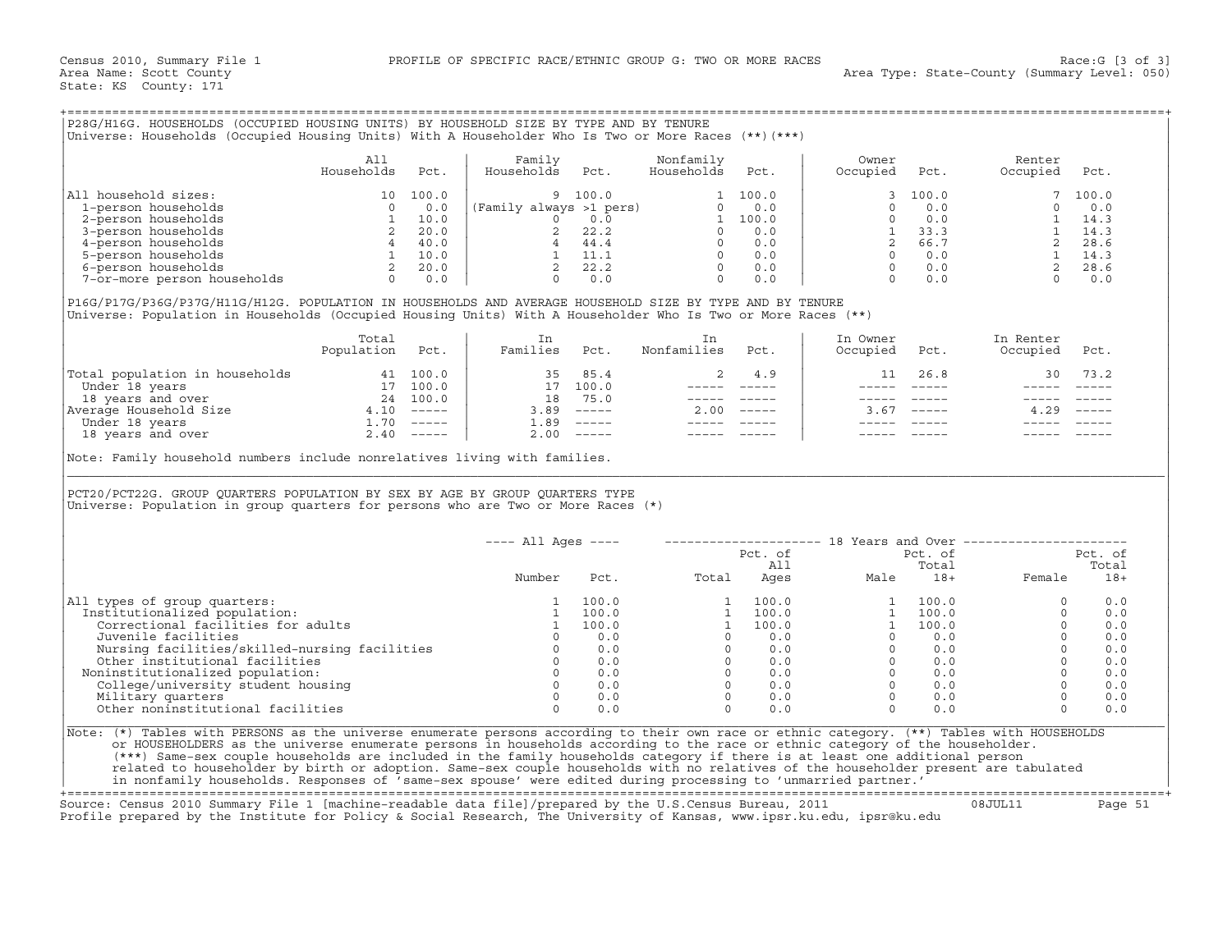| P28G/H16G. HOUSEHOLDS (OCCUPIED HOUSING UNITS) BY HOUSEHOLD SIZE BY TYPE AND BY TENURE<br>(***)   Universe: Households (Occupied Housing Units) With A Householder Who Is Two or More Races (**) |                   |                                                             |                              |                                                       |                         |                                                          |                   |                                                             |                    |                                                               |
|--------------------------------------------------------------------------------------------------------------------------------------------------------------------------------------------------|-------------------|-------------------------------------------------------------|------------------------------|-------------------------------------------------------|-------------------------|----------------------------------------------------------|-------------------|-------------------------------------------------------------|--------------------|---------------------------------------------------------------|
|                                                                                                                                                                                                  | All<br>Households | Pct.                                                        | Family<br>Households         | Pct.                                                  | Nonfamily<br>Households | Pct.                                                     | Owner<br>Occupied | Pct.                                                        | Renter<br>Occupied | Pct.                                                          |
| All household sizes:<br>1-person households<br>2-person households<br>3-person households<br>4-person households<br>5-person households<br>6-person households<br>7-or-more person households    | 1 ດ               | 100.0<br>0.0<br>10.0<br>20.0<br>40.0<br>10.0<br>20.0<br>0.0 | (Family always >1 pers)<br>4 | 9 100.0<br>0.0<br>22.2<br>44.4<br>11.1<br>22.2<br>0.0 | $\Omega$<br>$\Omega$    | 100.0<br>0.0<br>100.0<br>0.0<br>0.0<br>0.0<br>0.0<br>0.0 |                   | 3, 100.0<br>0.0<br>0.0<br>33.3<br>66.7<br>0.0<br>0.0<br>0.0 |                    | 7 100.0<br>0.0<br>14.3<br>14.3<br>28.6<br>14.3<br>28.6<br>0.0 |

|                                | Total<br>Population | Pct.          | Families | Pct.                      | Nonfamilies | Pct.                      | In Owner<br>Occupied | Pct.          | In Renter<br>Occupied | Pct.                      |
|--------------------------------|---------------------|---------------|----------|---------------------------|-------------|---------------------------|----------------------|---------------|-----------------------|---------------------------|
| Total population in households |                     | 41 100.0      | 35.      | 85.4                      |             | 4.9                       | 11                   | 26.8          | 30                    | 73.2                      |
| Under 18 years                 |                     | 100.0         | 17       | 100.0                     |             |                           |                      |               |                       |                           |
| 18 years and over              | 24                  | 100.0         | 18       | 75.0                      |             |                           |                      |               |                       |                           |
| Average Household Size         | 4.10                | $- - - - - -$ | 3.89     | $------$                  | 2.00        | $\qquad \qquad - - - - -$ | 3.67                 | $- - - - - -$ | 4.29                  | $\qquad \qquad - - - - -$ |
| Under 18 years                 | 1.70                | $------$      | 1.89     | $\qquad \qquad - - - - -$ |             |                           |                      |               |                       |                           |
| 18 years and over              | 2.40                | $------$      | 2.00     | $- - - - - -$             |             |                           |                      |               |                       |                           |

| P28G/H16G. HOUSEHOLDS (OCCUPIED HOUSING UNITS) BY HOUSEHOLD SIZE BY TYPE AND BY TENURE<br>Universe: Households (Occupied Housing Units) With A Householder Who Is Two or More Races (**) (***)                                                                                                                                                                                                                                                                                                                                                                                                                                                                   |                          |      |                      |                 |                                                                                                                                                                                                                                                                                                                                                                                                                                                                                 |             |                                                                              |                                                        |                            |                |
|------------------------------------------------------------------------------------------------------------------------------------------------------------------------------------------------------------------------------------------------------------------------------------------------------------------------------------------------------------------------------------------------------------------------------------------------------------------------------------------------------------------------------------------------------------------------------------------------------------------------------------------------------------------|--------------------------|------|----------------------|-----------------|---------------------------------------------------------------------------------------------------------------------------------------------------------------------------------------------------------------------------------------------------------------------------------------------------------------------------------------------------------------------------------------------------------------------------------------------------------------------------------|-------------|------------------------------------------------------------------------------|--------------------------------------------------------|----------------------------|----------------|
|                                                                                                                                                                                                                                                                                                                                                                                                                                                                                                                                                                                                                                                                  | All<br>Households        | Pct. | Family<br>Households | Pct.            | Nonfamily<br>Households                                                                                                                                                                                                                                                                                                                                                                                                                                                         | Pct.        | Owner<br>Occupied                                                            | Pct.                                                   | Renter<br>Occupied         | Pct.           |
| All household sizes:                                                                                                                                                                                                                                                                                                                                                                                                                                                                                                                                                                                                                                             |                          |      |                      |                 |                                                                                                                                                                                                                                                                                                                                                                                                                                                                                 |             |                                                                              | 100.0                                                  | $7^{\circ}$                | 100.0          |
|                                                                                                                                                                                                                                                                                                                                                                                                                                                                                                                                                                                                                                                                  |                          |      |                      |                 |                                                                                                                                                                                                                                                                                                                                                                                                                                                                                 |             | $\Omega$                                                                     | 0.0                                                    |                            | 0.0            |
|                                                                                                                                                                                                                                                                                                                                                                                                                                                                                                                                                                                                                                                                  |                          |      |                      |                 |                                                                                                                                                                                                                                                                                                                                                                                                                                                                                 |             | $\begin{bmatrix} 0 & 0 & 0 \\ 1 & 33.3 \\ 2 & 66.7 \\ 0 & 0.0 \end{bmatrix}$ |                                                        |                            |                |
|                                                                                                                                                                                                                                                                                                                                                                                                                                                                                                                                                                                                                                                                  |                          |      |                      |                 |                                                                                                                                                                                                                                                                                                                                                                                                                                                                                 |             |                                                                              |                                                        |                            |                |
|                                                                                                                                                                                                                                                                                                                                                                                                                                                                                                                                                                                                                                                                  |                          |      |                      |                 |                                                                                                                                                                                                                                                                                                                                                                                                                                                                                 |             |                                                                              |                                                        |                            |                |
|                                                                                                                                                                                                                                                                                                                                                                                                                                                                                                                                                                                                                                                                  |                          |      |                      |                 |                                                                                                                                                                                                                                                                                                                                                                                                                                                                                 |             |                                                                              | $0 \qquad 0.0$                                         |                            |                |
|                                                                                                                                                                                                                                                                                                                                                                                                                                                                                                                                                                                                                                                                  |                          |      |                      |                 |                                                                                                                                                                                                                                                                                                                                                                                                                                                                                 |             |                                                                              | $0$ 0.0<br>0 0.0                                       |                            |                |
|                                                                                                                                                                                                                                                                                                                                                                                                                                                                                                                                                                                                                                                                  |                          |      |                      |                 |                                                                                                                                                                                                                                                                                                                                                                                                                                                                                 |             |                                                                              |                                                        |                            |                |
| P16G/P17G/P36G/P37G/H11G/H12G. POPULATION IN HOUSEHOLDS AND AVERAGE HOUSEHOLD SIZE BY TYPE AND BY TENURE<br>Universe: Population in Households (Occupied Housing Units) With A Householder Who Is Two or More Races (**)                                                                                                                                                                                                                                                                                                                                                                                                                                         |                          |      |                      |                 |                                                                                                                                                                                                                                                                                                                                                                                                                                                                                 |             |                                                                              |                                                        |                            |                |
|                                                                                                                                                                                                                                                                                                                                                                                                                                                                                                                                                                                                                                                                  | Total<br>Population Pct. |      | In<br>Families Pct.  |                 | In<br>Nonfamilies Pct.                                                                                                                                                                                                                                                                                                                                                                                                                                                          |             | In Owner<br>Occupied                                                         | Pct.                                                   | In Renter<br>Occupied Pct. |                |
| $\begin{tabular}{ l l l l l } \hline \texttt{Total population in households} & & & & & & & & & & 35 & 85.4 \\ \hline \texttt{Under 18 years} & & & & & & 17 & 100.0 & & & 35 & 85.4 \\ \texttt{18 years and over} & & & & & 17 & 100.0 & & 17 & 100.0 \\ \texttt{Average Household Size} & & & & & 24 & 100.0 & & 18 & 75.0 \\ \texttt{Under 18 years and over} & & & & 1.70 & ---- & & 3.89 & ----- \\ \texttt{18 years and over} & & & & 2.4$                                                                                                                                                                                                                  |                          |      |                      |                 | 2                                                                                                                                                                                                                                                                                                                                                                                                                                                                               | 4.9         | 11                                                                           | 26.8                                                   |                            | 30 73.2        |
|                                                                                                                                                                                                                                                                                                                                                                                                                                                                                                                                                                                                                                                                  |                          |      |                      |                 |                                                                                                                                                                                                                                                                                                                                                                                                                                                                                 | ----- ----- |                                                                              |                                                        |                            |                |
|                                                                                                                                                                                                                                                                                                                                                                                                                                                                                                                                                                                                                                                                  |                          |      |                      |                 |                                                                                                                                                                                                                                                                                                                                                                                                                                                                                 |             | $------$                                                                     | $\qquad \qquad - - - - -$                              |                            |                |
|                                                                                                                                                                                                                                                                                                                                                                                                                                                                                                                                                                                                                                                                  |                          |      |                      |                 | $2.00$ -----                                                                                                                                                                                                                                                                                                                                                                                                                                                                    |             |                                                                              | $3.67$ -----                                           | $4.29$ -----               |                |
|                                                                                                                                                                                                                                                                                                                                                                                                                                                                                                                                                                                                                                                                  |                          |      |                      |                 |                                                                                                                                                                                                                                                                                                                                                                                                                                                                                 |             |                                                                              |                                                        |                            |                |
|                                                                                                                                                                                                                                                                                                                                                                                                                                                                                                                                                                                                                                                                  |                          |      |                      |                 | $\begin{tabular}{lllllllllll} \multicolumn{2}{l}{} & \multicolumn{2}{l}{} & \multicolumn{2}{l}{} & \multicolumn{2}{l}{} & \multicolumn{2}{l}{} & \multicolumn{2}{l}{} & \multicolumn{2}{l}{} & \multicolumn{2}{l}{} & \multicolumn{2}{l}{} & \multicolumn{2}{l}{} & \multicolumn{2}{l}{} & \multicolumn{2}{l}{} & \multicolumn{2}{l}{} & \multicolumn{2}{l}{} & \multicolumn{2}{l}{} & \multicolumn{2}{l}{} & \multicolumn{2}{l}{} & \multicolumn{2}{l}{} & \multicolumn{2}{l}$ |             |                                                                              |                                                        |                            |                |
| PCT20/PCT22G. GROUP QUARTERS POPULATION BY SEX BY AGE BY GROUP QUARTERS TYPE<br>Universe: Population in group quarters for persons who are Two or More Races (*)                                                                                                                                                                                                                                                                                                                                                                                                                                                                                                 |                          |      |                      |                 |                                                                                                                                                                                                                                                                                                                                                                                                                                                                                 |             |                                                                              |                                                        |                            |                |
|                                                                                                                                                                                                                                                                                                                                                                                                                                                                                                                                                                                                                                                                  |                          |      | $---$ All Ages $---$ |                 |                                                                                                                                                                                                                                                                                                                                                                                                                                                                                 |             | -------------------- 18 Years and Over -----------------                     |                                                        |                            |                |
|                                                                                                                                                                                                                                                                                                                                                                                                                                                                                                                                                                                                                                                                  |                          |      |                      |                 |                                                                                                                                                                                                                                                                                                                                                                                                                                                                                 | Pct. of     |                                                                              | Pct. of                                                |                            | Pct. of        |
|                                                                                                                                                                                                                                                                                                                                                                                                                                                                                                                                                                                                                                                                  |                          |      | Number               | Pct.            |                                                                                                                                                                                                                                                                                                                                                                                                                                                                                 |             |                                                                              |                                                        | Female                     | Total<br>$18+$ |
| All types of group quarters:                                                                                                                                                                                                                                                                                                                                                                                                                                                                                                                                                                                                                                     |                          |      | 1                    | 100.0           | $\begin{array}{cccc} 1 & 100.0 \\ 1 & 100.0 \\ 1 & 100.0 \\ 0 & 0.0 \\ 0 & 0.0 \\ 0 & 0.0 \\ 0 & 0.0 \\ 0 & 0.0 \\ 0 & 0.0 \\ 0 & 0.0 \\ 0 & 0.0 \\ 0 & 0.0 \\ 0 & 0.0 \\ \end{array}$                                                                                                                                                                                                                                                                                          |             | $\mathbf{1}$                                                                 | 100.0                                                  | $\Omega$                   | 0.0            |
| Institutionalized population:                                                                                                                                                                                                                                                                                                                                                                                                                                                                                                                                                                                                                                    |                          |      | 1                    | 100.0           |                                                                                                                                                                                                                                                                                                                                                                                                                                                                                 |             | 1                                                                            | 100.0                                                  | $\Omega$                   | 0.0            |
| Correctional facilities for adults                                                                                                                                                                                                                                                                                                                                                                                                                                                                                                                                                                                                                               |                          |      |                      | 1 100.0         |                                                                                                                                                                                                                                                                                                                                                                                                                                                                                 |             |                                                                              | 1 100.0                                                | $\Omega$                   | 0.0            |
| Juvenile facilities                                                                                                                                                                                                                                                                                                                                                                                                                                                                                                                                                                                                                                              |                          |      |                      | $\Omega$<br>0.0 |                                                                                                                                                                                                                                                                                                                                                                                                                                                                                 |             |                                                                              | $0 \qquad 0.0$                                         | $\Omega$                   | 0.0            |
|                                                                                                                                                                                                                                                                                                                                                                                                                                                                                                                                                                                                                                                                  |                          |      |                      |                 |                                                                                                                                                                                                                                                                                                                                                                                                                                                                                 |             |                                                                              |                                                        | $\Omega$                   | 0.0            |
|                                                                                                                                                                                                                                                                                                                                                                                                                                                                                                                                                                                                                                                                  |                          |      |                      |                 |                                                                                                                                                                                                                                                                                                                                                                                                                                                                                 |             |                                                                              | $\begin{bmatrix} 0 & 0 & 0 \\ 0 & 0 & 0 \end{bmatrix}$ | $\Omega$                   | 0.0            |
| Noninstitutionalized population:                                                                                                                                                                                                                                                                                                                                                                                                                                                                                                                                                                                                                                 |                          |      |                      |                 |                                                                                                                                                                                                                                                                                                                                                                                                                                                                                 |             |                                                                              | $0 \qquad 0.0$                                         | $\Omega$                   | 0.0            |
|                                                                                                                                                                                                                                                                                                                                                                                                                                                                                                                                                                                                                                                                  |                          |      |                      |                 |                                                                                                                                                                                                                                                                                                                                                                                                                                                                                 |             |                                                                              | $0$ 0.0<br>0 0.0                                       | $\Omega$                   | 0.0            |
| University distributions<br>Nursing facilities<br>Other institutional facilities<br>Other institutionalized population:<br>Other institutionalized population:<br>College/university student housing<br>Military quarters<br>$0$ 0.0<br>Milita                                                                                                                                                                                                                                                                                                                                                                                                                   |                          |      |                      |                 |                                                                                                                                                                                                                                                                                                                                                                                                                                                                                 |             |                                                                              |                                                        | $\Omega$                   | 0.0            |
| Other noninstitutional facilities                                                                                                                                                                                                                                                                                                                                                                                                                                                                                                                                                                                                                                |                          |      | $\Omega$             | 0.0             | $\Omega$                                                                                                                                                                                                                                                                                                                                                                                                                                                                        | 0.0         |                                                                              | $\Omega$<br>0.0                                        | $\Omega$                   | 0.0            |
| Note: (*) Tables with PERSONS as the universe enumerate persons according to their own race or ethnic category. (**) Tables with HOUSEHOLDS<br>or HOUSEHOLDERS as the universe enumerate persons in households according to the race or ethnic category of the householder.<br>(***) Same-sex couple households are included in the family households category if there is at least one additional person<br>related to householder by birth or adoption. Same-sex couple households with no relatives of the householder present are tabulated<br>in nonfamily households. Responses of 'same-sex spouse' were edited during processing to 'unmarried partner.' |                          |      |                      |                 |                                                                                                                                                                                                                                                                                                                                                                                                                                                                                 |             |                                                                              |                                                        |                            |                |

+===================================================================================================================================================+ Source: Census 2010 Summary File 1 [machine−readable data file]/prepared by the U.S.Census Bureau, 2011 08JUL11 Page 51 Profile prepared by the Institute for Policy & Social Research, The University of Kansas, www.ipsr.ku.edu, ipsr@ku.edu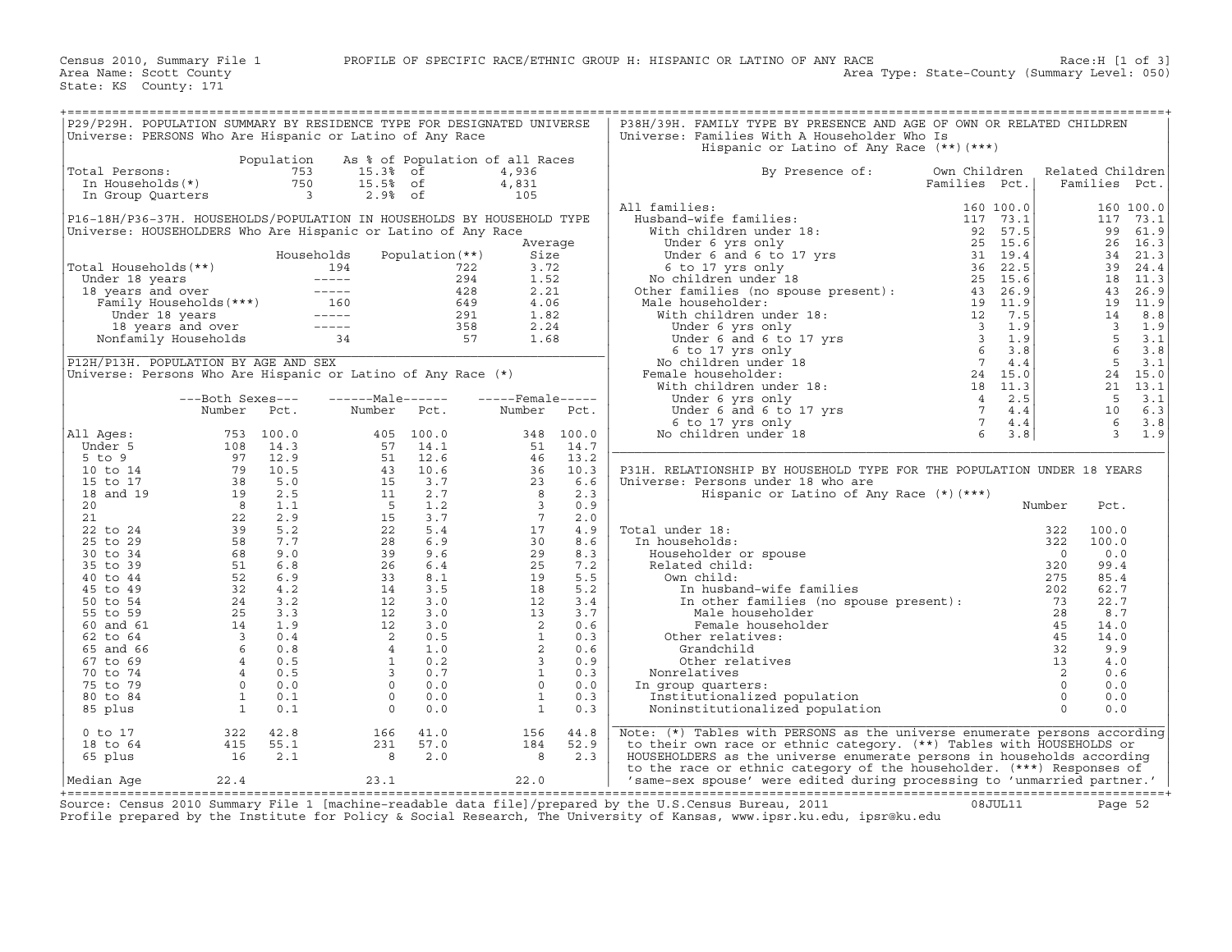| P29/P29H. POPULATION SUMMARY BY RESIDENCE TYPE FOR DESIGNATED UNIVERSE<br>Universe: PERSONS Who Are Hispanic or Latino of Any Race |                                                                                                                                                    |                          |                                                                                                                                                                                                                                                  |                 |                            |             | P38H/39H. FAMILY TYPE BY PRESENCE AND AGE OF OWN OR RELATED CHILDREN<br>Universe: Families With A Householder Who Is<br>Hispanic or Latino of Any Race (**) (***)                                                                                                                                                               |               |           |                            |                         |                 |
|------------------------------------------------------------------------------------------------------------------------------------|----------------------------------------------------------------------------------------------------------------------------------------------------|--------------------------|--------------------------------------------------------------------------------------------------------------------------------------------------------------------------------------------------------------------------------------------------|-----------------|----------------------------|-------------|---------------------------------------------------------------------------------------------------------------------------------------------------------------------------------------------------------------------------------------------------------------------------------------------------------------------------------|---------------|-----------|----------------------------|-------------------------|-----------------|
|                                                                                                                                    |                                                                                                                                                    | Population               | As % of Population of all Races                                                                                                                                                                                                                  |                 |                            |             |                                                                                                                                                                                                                                                                                                                                 |               |           |                            |                         |                 |
| Total Persons:                                                                                                                     |                                                                                                                                                    | 753                      | 15.3% of                                                                                                                                                                                                                                         |                 | 4,936                      |             | By Presence of:                                                                                                                                                                                                                                                                                                                 | Own Children  |           |                            | Related Children        |                 |
| In Households(*)                                                                                                                   |                                                                                                                                                    | 750                      | 15.5% of                                                                                                                                                                                                                                         |                 | 4,831                      |             |                                                                                                                                                                                                                                                                                                                                 | Families Pct. |           |                            | Families Pct.           |                 |
| In Group Quarters                                                                                                                  |                                                                                                                                                    | $\overline{\phantom{a}}$ | $2.9%$ of                                                                                                                                                                                                                                        |                 | 105                        |             |                                                                                                                                                                                                                                                                                                                                 |               |           |                            |                         |                 |
|                                                                                                                                    |                                                                                                                                                    |                          |                                                                                                                                                                                                                                                  |                 |                            |             | All families:<br>$\begin{tabular}{ll} \bf 1.11 families: & \tt 1.60 100.0 \\ \bf 1.11 7 73.1 \\ \bf 1.12 73.1 \\ \bf 1.13 73.1 \\ \bf 1.14 73.1 \\ \bf 1.15 73.1 \\ \bf 1.16 1.17 73.1 \\ \bf 1.17 73.1 \\ \bf 1.17 73.1 \\ \bf 1.17 73.1 \\ \bf 1.17 73.1 \\ \bf 1.17 73.1 \\ \bf 1.17 73.1 \\ \bf 1.17 73.1 \\ \bf 1.17 73.1$ |               | 160 100.0 |                            |                         | 160 100.0       |
| P16-18H/P36-37H. HOUSEHOLDS/POPULATION IN HOUSEHOLDS BY HOUSEHOLD TYPE                                                             |                                                                                                                                                    |                          |                                                                                                                                                                                                                                                  |                 |                            |             |                                                                                                                                                                                                                                                                                                                                 |               |           |                            | 117                     | 73.1            |
| Universe: HOUSEHOLDERS Who Are Hispanic or Latino of Any Race                                                                      |                                                                                                                                                    |                          |                                                                                                                                                                                                                                                  |                 |                            |             |                                                                                                                                                                                                                                                                                                                                 |               |           |                            | 99                      | 61.9            |
|                                                                                                                                    |                                                                                                                                                    |                          |                                                                                                                                                                                                                                                  |                 |                            | Average     |                                                                                                                                                                                                                                                                                                                                 |               |           |                            |                         | 26 16.3         |
|                                                                                                                                    |                                                                                                                                                    |                          | Households                                                                                                                                                                                                                                       | Population (**) | Size                       |             |                                                                                                                                                                                                                                                                                                                                 |               |           |                            |                         | 34 21.3         |
| Total Households(**)                                                                                                               |                                                                                                                                                    |                          | otal Households (**)<br>Under 18 years ----- 194<br>18 years and over ----- 294<br>Tamily Households (***)<br>16 549<br>18 years and over ----- 291<br>18 years and over ----- 295<br>18 years and over ----- 358<br>Nonfamily Households 34<br> |                 | 3.72                       |             |                                                                                                                                                                                                                                                                                                                                 |               |           |                            | 39                      | 24.4            |
|                                                                                                                                    |                                                                                                                                                    |                          |                                                                                                                                                                                                                                                  |                 | 1.52                       |             |                                                                                                                                                                                                                                                                                                                                 |               |           |                            |                         | 18 11.3         |
|                                                                                                                                    |                                                                                                                                                    |                          |                                                                                                                                                                                                                                                  |                 | 2.21<br>4.06               |             |                                                                                                                                                                                                                                                                                                                                 |               |           |                            | 43                      | 26.9<br>19 11.9 |
|                                                                                                                                    |                                                                                                                                                    |                          |                                                                                                                                                                                                                                                  |                 | 1.82                       |             |                                                                                                                                                                                                                                                                                                                                 |               |           |                            | 14                      | 8.8             |
|                                                                                                                                    |                                                                                                                                                    |                          |                                                                                                                                                                                                                                                  |                 |                            | 2.24        |                                                                                                                                                                                                                                                                                                                                 |               |           |                            | $\overline{\mathbf{3}}$ | 1.9             |
|                                                                                                                                    |                                                                                                                                                    |                          |                                                                                                                                                                                                                                                  |                 |                            | 1.68        |                                                                                                                                                                                                                                                                                                                                 |               |           |                            | $5^{\circ}$             | 3.1             |
|                                                                                                                                    |                                                                                                                                                    |                          |                                                                                                                                                                                                                                                  |                 |                            |             |                                                                                                                                                                                                                                                                                                                                 |               |           |                            | $\overline{6}$          | 3.8             |
| P12H/P13H. POPULATION BY AGE AND SEX                                                                                               |                                                                                                                                                    |                          |                                                                                                                                                                                                                                                  |                 |                            |             |                                                                                                                                                                                                                                                                                                                                 |               |           |                            | $5^{\circ}$             | 3.1             |
| Universe: Persons Who Are Hispanic or Latino of Any Race (*)                                                                       |                                                                                                                                                    |                          |                                                                                                                                                                                                                                                  |                 |                            |             |                                                                                                                                                                                                                                                                                                                                 |               |           |                            |                         | 24 15.0         |
|                                                                                                                                    |                                                                                                                                                    |                          |                                                                                                                                                                                                                                                  |                 |                            |             |                                                                                                                                                                                                                                                                                                                                 |               |           |                            | 21                      | 13.1            |
|                                                                                                                                    | ---Both Sexes---                                                                                                                                   |                          | ------Male------                                                                                                                                                                                                                                 |                 | $---$ Female-----          |             |                                                                                                                                                                                                                                                                                                                                 |               |           |                            | 5                       | 3.1             |
|                                                                                                                                    | Number Pct.                                                                                                                                        |                          | Number                                                                                                                                                                                                                                           | Pct.            | Number                     | Pct.        |                                                                                                                                                                                                                                                                                                                                 |               |           |                            | 10                      | 6.3             |
|                                                                                                                                    |                                                                                                                                                    |                          |                                                                                                                                                                                                                                                  |                 |                            |             |                                                                                                                                                                                                                                                                                                                                 |               |           |                            | - 6                     | 3.8             |
| All Ages:                                                                                                                          |                                                                                                                                                    | 753 100.0                |                                                                                                                                                                                                                                                  | 405 100.0       |                            | 348 100.0   |                                                                                                                                                                                                                                                                                                                                 |               |           |                            | $\overline{3}$          | 1.9             |
| Under 5                                                                                                                            |                                                                                                                                                    | 14.3                     | 57                                                                                                                                                                                                                                               | 14.1            | 51                         | 14.7        |                                                                                                                                                                                                                                                                                                                                 |               |           |                            |                         |                 |
| $5$ to $9$                                                                                                                         |                                                                                                                                                    | 12.9                     |                                                                                                                                                                                                                                                  | 12.6            | $\frac{46}{36}$            | 13.2        |                                                                                                                                                                                                                                                                                                                                 |               |           |                            |                         |                 |
| 10 to 14<br>15 to 17                                                                                                               |                                                                                                                                                    | 10.5<br>5.0              |                                                                                                                                                                                                                                                  | 10.6<br>3.7     | 23                         | 10.3<br>6.6 | P31H. RELATIONSHIP BY HOUSEHOLD TYPE FOR THE POPULATION UNDER 18 YEARS<br>Universe: Persons under 18 who are                                                                                                                                                                                                                    |               |           |                            |                         |                 |
| 18 and 19                                                                                                                          | $108$<br>97<br>98<br>98<br>98<br>98<br>82<br>22<br>58<br>58<br>67                                                                                  | 2.5                      | $\frac{51}{15}$<br>$\frac{43}{15}$<br>$\frac{15}{5}$                                                                                                                                                                                             | 2.7             | $\overline{\phantom{0}}$ 8 | 2.3         | Hispanic or Latino of Any Race (*) (***)                                                                                                                                                                                                                                                                                        |               |           |                            |                         |                 |
| 20                                                                                                                                 |                                                                                                                                                    | 1.1                      |                                                                                                                                                                                                                                                  | 1.2             | $\frac{3}{2}$              | 0.9         |                                                                                                                                                                                                                                                                                                                                 |               |           | Number                     | Pct.                    |                 |
| 21                                                                                                                                 |                                                                                                                                                    | 2.9                      | 15                                                                                                                                                                                                                                               | 3.7             | $7\overline{7}$            | 2.0         |                                                                                                                                                                                                                                                                                                                                 |               |           |                            |                         |                 |
| 22 to 24                                                                                                                           |                                                                                                                                                    | 5.2                      | 22                                                                                                                                                                                                                                               | 5.4             | 17                         | 4.9         | milies<br>and the contract of the contract of the contract of the contract of the contract of the contract of the contra<br>in the contract of the contract of the contract of the contract of the contract of the contract of the<br>Total under 18:                                                                           |               |           | 322                        | 100.0                   |                 |
| 25 to 29                                                                                                                           |                                                                                                                                                    | 7.7                      | 28                                                                                                                                                                                                                                               | 6.9             | 30                         | 8.6         | In households:                                                                                                                                                                                                                                                                                                                  |               |           | 322                        | 100.0                   |                 |
| 30 to 34                                                                                                                           |                                                                                                                                                    | 9.0                      | 39                                                                                                                                                                                                                                               | 9.6             | 29                         | 8.3         | Householder or spouse                                                                                                                                                                                                                                                                                                           |               |           | $\overline{0}$             | 0.0                     |                 |
| 35 to 39                                                                                                                           |                                                                                                                                                    | 6.8                      | 26                                                                                                                                                                                                                                               | 6.4             | 25                         | 7.2         | Related child:                                                                                                                                                                                                                                                                                                                  |               |           | 320                        | 99.4                    |                 |
| 40 to 44                                                                                                                           | $\begin{array}{c} 51 \\ 52 \\ 32 \end{array}$                                                                                                      | 6.9                      | 33                                                                                                                                                                                                                                               | 8.1             | 19                         | 5.5         | Own child:                                                                                                                                                                                                                                                                                                                      |               |           | 275                        | 85.4                    |                 |
| 45 to 49                                                                                                                           |                                                                                                                                                    | 4.2                      | 14                                                                                                                                                                                                                                               | 3.5             | 18                         | 5.2         | In husband-wife families                                                                                                                                                                                                                                                                                                        |               |           | 202                        | 62.7                    |                 |
| 50 to 54                                                                                                                           |                                                                                                                                                    |                          | 12                                                                                                                                                                                                                                               | 3.0             | 12                         | 3.4         | In nusband-wile families<br>In other families (no spouse present):<br>Male householder                                                                                                                                                                                                                                          |               |           | 73                         | 22.7                    |                 |
| 55 to 59                                                                                                                           |                                                                                                                                                    |                          | $\begin{array}{c} 12 \\ 12 \\ 12 \\ 2 \\ 4 \\ 1 \\ 3 \end{array}$                                                                                                                                                                                | 3.0             | 13 <sup>°</sup>            | 3.7         | Male householder                                                                                                                                                                                                                                                                                                                |               |           | 28                         | 8.7                     |                 |
| 60 and 61                                                                                                                          |                                                                                                                                                    |                          |                                                                                                                                                                                                                                                  | 3.0             | $\overline{\phantom{a}}$   | 0.6         | Female householder                                                                                                                                                                                                                                                                                                              |               |           | 45                         | 14.0                    |                 |
| 62 to 64<br>65 and 66                                                                                                              |                                                                                                                                                    |                          |                                                                                                                                                                                                                                                  | 0.5<br>1.0      | $\frac{1}{2}$              | 0.3<br>0.6  | Other relatives:<br>Grandchild                                                                                                                                                                                                                                                                                                  |               |           | 45<br>32                   | 14.0<br>9.9             |                 |
| 67 to 69                                                                                                                           |                                                                                                                                                    |                          |                                                                                                                                                                                                                                                  | 0.2             | $\overline{3}$             | 0.9         | Other relatives                                                                                                                                                                                                                                                                                                                 |               |           | 13                         | 4.0                     |                 |
| 70 to 74                                                                                                                           |                                                                                                                                                    |                          | $\overline{\mathbf{3}}$                                                                                                                                                                                                                          | 0.7             |                            | 1<br>0.3    | Nonrelatives                                                                                                                                                                                                                                                                                                                    |               |           | $\overline{\phantom{0}}$ 2 | 0.6                     |                 |
| 75 to 79                                                                                                                           |                                                                                                                                                    |                          | $\circ$                                                                                                                                                                                                                                          | 0.0             | $\circ$                    | 0.0         | In group quarters:                                                                                                                                                                                                                                                                                                              |               |           | $\overline{0}$             | 0.0                     |                 |
| 80 to 84                                                                                                                           |                                                                                                                                                    |                          | $\Omega$                                                                                                                                                                                                                                         | 0.0             | $\mathbf{1}$               | 0.3         | Institutionalized population                                                                                                                                                                                                                                                                                                    |               |           | $\circ$                    | 0.0                     |                 |
| 85 plus                                                                                                                            | $\begin{array}{rrrr} 24 & 3.2 \\ 25 & 3.3 \\ 14 & 1.9 \\ 3 & 0.4 \\ 6 & 0.8 \\ 4 & 0.5 \\ 4 & 0.5 \\ 0 & 0.0 \\ 1 & 0.1 \\ 1 & 0.1 \\ \end{array}$ |                          | $\circ$                                                                                                                                                                                                                                          | 0.0             | $\overline{1}$             | 0.3         | Noninstitutionalized population                                                                                                                                                                                                                                                                                                 |               |           | $\Omega$                   | 0.0                     |                 |
|                                                                                                                                    |                                                                                                                                                    |                          |                                                                                                                                                                                                                                                  |                 |                            |             |                                                                                                                                                                                                                                                                                                                                 |               |           |                            |                         |                 |
| $0$ to $17$                                                                                                                        | 322                                                                                                                                                | 42.8                     | 166                                                                                                                                                                                                                                              | 41.0            | 156                        | 44.8        | Note: (*) Tables with PERSONS as the universe enumerate persons according                                                                                                                                                                                                                                                       |               |           |                            |                         |                 |
| 18 to 64                                                                                                                           | 415<br>16                                                                                                                                          | 55.1                     | 231                                                                                                                                                                                                                                              | 57.0            | 184<br>8                   | 52.9        | to their own race or ethnic category. (**) Tables with HOUSEHOLDS or                                                                                                                                                                                                                                                            |               |           |                            |                         |                 |
| 65 plus                                                                                                                            |                                                                                                                                                    | 2.1                      | 8 <sup>8</sup>                                                                                                                                                                                                                                   | 2.0             |                            | 2.3         | HOUSEHOLDERS as the universe enumerate persons in households according<br>to the race or ethnic category of the householder. (***) Responses of                                                                                                                                                                                 |               |           |                            |                         |                 |
| Median Aqe                                                                                                                         | 22.4                                                                                                                                               |                          | 23.1                                                                                                                                                                                                                                             |                 | 22.0                       |             | 'same-sex spouse' were edited during processing to 'unmarried partner.'                                                                                                                                                                                                                                                         |               |           |                            |                         |                 |
|                                                                                                                                    |                                                                                                                                                    |                          |                                                                                                                                                                                                                                                  |                 |                            |             |                                                                                                                                                                                                                                                                                                                                 |               |           |                            |                         |                 |

+===================================================================================================================================================+Source: Census 2010 Summary File 1 [machine−readable data file]/prepared by the U.S.Census Bureau, 2011 08JUL11 Page 52 Profile prepared by the Institute for Policy & Social Research, The University of Kansas, www.ipsr.ku.edu, ipsr@ku.edu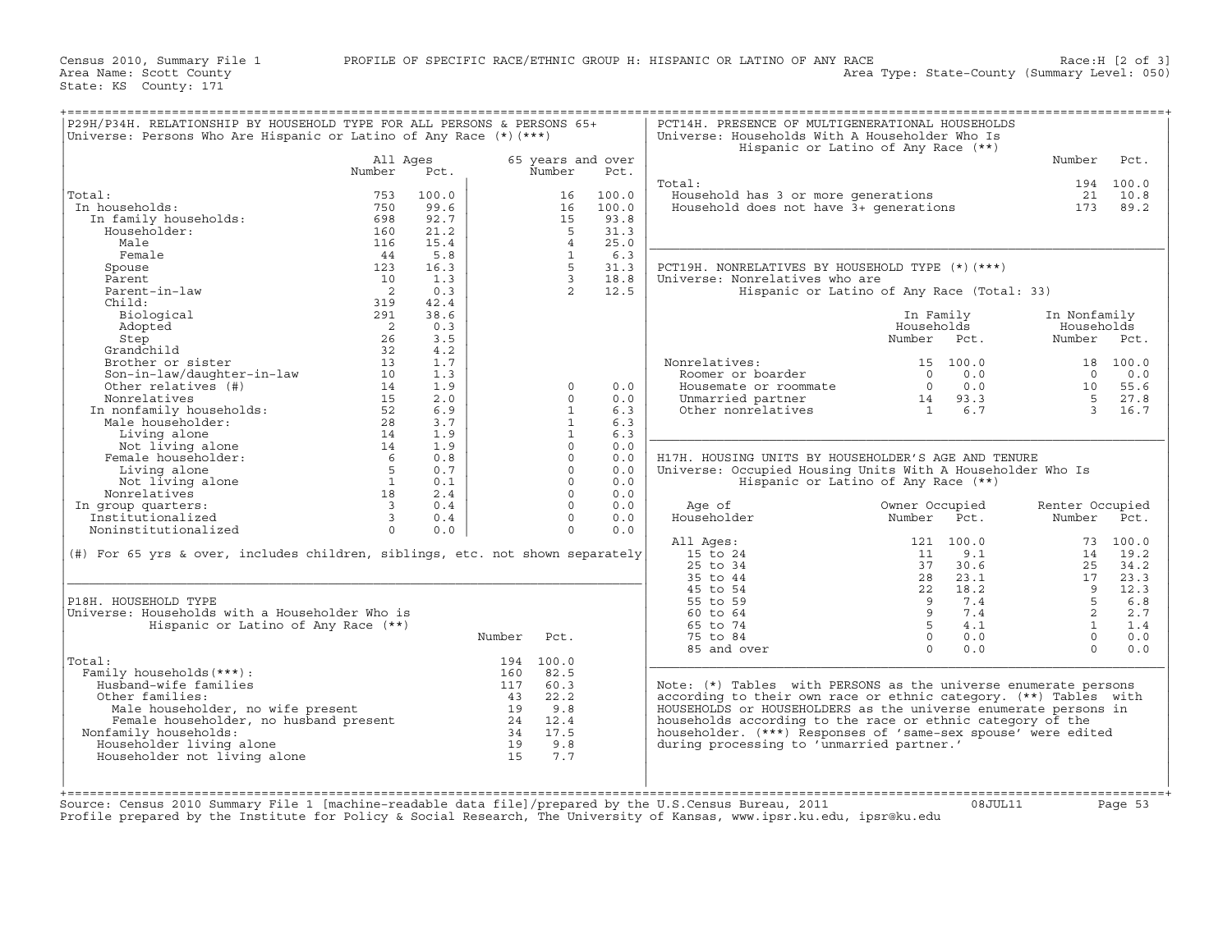| Universe: Persons Who Are Hispanic or Latino of Any Race $(*)$ (***)          |                            |       |        |                |                   | Universe: Households With A Householder Who Is<br>Hispanic or Latino of Any Race (**) |                |           |                 |           |
|-------------------------------------------------------------------------------|----------------------------|-------|--------|----------------|-------------------|---------------------------------------------------------------------------------------|----------------|-----------|-----------------|-----------|
|                                                                               | All Ages                   |       |        |                | 65 years and over |                                                                                       |                |           | Number          | Pct.      |
|                                                                               | Number                     | Pct.  |        | Number         | Pct.              |                                                                                       |                |           |                 |           |
|                                                                               |                            |       |        |                |                   | Total:                                                                                |                |           |                 | 194 100.0 |
| Total:                                                                        | 753                        | 100.0 |        | 16             | 100.0             | Household has 3 or more generations                                                   |                |           | 21              | 10.8      |
| In households:                                                                | 750                        | 99.6  |        | 16             | 100.0             | Household does not have $\tilde{3}$ + generations                                     |                |           | 173             | 89.2      |
| In family households:                                                         | 698                        | 92.7  |        | 15             | 93.8              |                                                                                       |                |           |                 |           |
| Householder:                                                                  | 160                        | 21.2  |        | $5^{\circ}$    | 31.3              |                                                                                       |                |           |                 |           |
| Male                                                                          | 116                        | 15.4  |        | $\overline{4}$ | 25.0              |                                                                                       |                |           |                 |           |
| Female                                                                        | 44                         | 5.8   |        | $\mathbf{1}$   | 6.3               |                                                                                       |                |           |                 |           |
| Spouse                                                                        | 123                        | 16.3  |        | $5^{\circ}$    | 31.3              | PCT19H. NONRELATIVES BY HOUSEHOLD TYPE (*)(***)                                       |                |           |                 |           |
| Parent                                                                        | 10                         | 1.3   |        | $\overline{3}$ | 18.8              | Universe: Nonrelatives who are                                                        |                |           |                 |           |
| Parent-in-law                                                                 | $\overline{2}$             | 0.3   |        | $\overline{2}$ | 12.5              | Hispanic or Latino of Any Race (Total: 33)                                            |                |           |                 |           |
| Child:                                                                        | 319                        | 42.4  |        |                |                   |                                                                                       |                |           |                 |           |
| Biological                                                                    | 291                        | 38.6  |        |                |                   |                                                                                       | In Family      |           | In Nonfamily    |           |
| Adopted                                                                       | $\overline{\phantom{0}}^2$ | 0.3   |        |                |                   |                                                                                       | Households     |           | Households      |           |
| Step                                                                          | 26                         | 3.5   |        |                |                   |                                                                                       | Number Pct.    |           | Number          | Pct.      |
| Grandchild                                                                    | 32                         | 4.2   |        |                |                   |                                                                                       |                |           |                 |           |
| Brother or sister                                                             | 13                         | 1.7   |        |                |                   | Nonrelatives:                                                                         |                | 15 100.0  |                 | 18 100.0  |
| Son-in-law/daughter-in-law                                                    | 10                         | 1.3   |        |                |                   | Roomer or boarder                                                                     | $\cap$         | 0.0       | $\Omega$        | 0.0       |
| Other relatives (#)                                                           | 14                         | 1.9   |        | $\Omega$       | 0.0               | Housemate or roommate                                                                 | $\Omega$       | 0.0       | 10              | 55.6      |
| Nonrelatives                                                                  | 15                         | 2.0   |        | $\Omega$       | 0.0               | Unmarried partner                                                                     | 14             | 93.3      | $5^{\circ}$     | 27.8      |
| In nonfamily households:                                                      | 52                         | 6.9   |        | $\mathbf{1}$   | 6.3               | Other nonrelatives                                                                    | $\mathbf{1}$   | 6.7       | $\mathbf{3}$    | 16.7      |
|                                                                               |                            |       |        | $\mathbf{1}$   |                   |                                                                                       |                |           |                 |           |
| Male householder:                                                             | 28                         | 3.7   |        |                | 6.3               |                                                                                       |                |           |                 |           |
| Living alone                                                                  | 14                         | 1.9   |        | $\mathbf{1}$   | 6.3               |                                                                                       |                |           |                 |           |
| Not living alone                                                              | 14                         | 1.9   |        | $\cap$         | 0.0               |                                                                                       |                |           |                 |           |
| Female householder:                                                           | 6                          | 0.8   |        | $\Omega$       | 0.0               | H17H. HOUSING UNITS BY HOUSEHOLDER'S AGE AND TENURE                                   |                |           |                 |           |
| Living alone                                                                  | 5                          | 0.7   |        | $\Omega$       | 0.0               | Universe: Occupied Housing Units With A Householder Who Is                            |                |           |                 |           |
| Not living alone                                                              | $\mathbf{1}$               | 0.1   |        | $\Omega$       | 0.0               | Hispanic or Latino of Any Race (**)                                                   |                |           |                 |           |
| Nonrelatives                                                                  | 18                         | 2.4   |        | $\cap$         | 0.0               |                                                                                       |                |           |                 |           |
| In group quarters:                                                            | $\overline{3}$             | 0.4   |        | $\Omega$       | 0.0               | Age of                                                                                | Owner Occupied |           | Renter Occupied |           |
| Institutionalized                                                             | $\mathbf{3}$               | 0.4   |        | $\Omega$       | 0.0               | Householder                                                                           | Number         | Pct.      | Number          | Pct.      |
| Noninstitutionalized                                                          | $\Omega$                   | 0.0   |        | $\Omega$       | 0.0               |                                                                                       |                |           |                 |           |
|                                                                               |                            |       |        |                |                   | All Ages:                                                                             |                | 121 100.0 |                 | 73 100.0  |
| (#) For 65 yrs & over, includes children, siblings, etc. not shown separately |                            |       |        |                |                   | 15 to 24                                                                              | 11             | 9.1       | 14              | 19.2      |
|                                                                               |                            |       |        |                |                   | 25 to 34                                                                              | 37             | 30.6      | 2.5             | 34.2      |
|                                                                               |                            |       |        |                |                   | 35 to 44                                                                              | 28             | 23.1      | 17              | 23.3      |
|                                                                               |                            |       |        |                |                   | 45 to 54                                                                              | 22             | 18.2      | $\mathsf{Q}$    | 12.3      |
| P18H. HOUSEHOLD TYPE                                                          |                            |       |        |                |                   | 55 to 59                                                                              | - 9            | 7.4       | 5               | 6.8       |
| Universe: Households with a Householder Who is                                |                            |       |        |                |                   | 60 to 64                                                                              | 9              | 7.4       | $\overline{2}$  | 2.7       |
| Hispanic or Latino of Any Race (**)                                           |                            |       |        |                |                   | 65 to 74                                                                              | $5 -$          | 4.1       | $\mathbf{1}$    | 1.4       |
|                                                                               |                            |       | Number | Pct.           |                   | 75 to 84                                                                              | $\Omega$       | 0.0       | $\Omega$        | 0.0       |
|                                                                               |                            |       |        |                |                   |                                                                                       | $\Omega$       | 0.0       | $\Omega$        |           |
|                                                                               |                            |       |        |                |                   | 85 and over                                                                           |                |           |                 | 0.0       |
| Total:                                                                        |                            |       |        | 194 100.0      |                   |                                                                                       |                |           |                 |           |
| Family households (***) :                                                     |                            |       | 160    | 82.5           |                   |                                                                                       |                |           |                 |           |
| Husband-wife families                                                         |                            |       | 117    | 60.3           |                   | Note: (*) Tables with PERSONS as the universe enumerate persons                       |                |           |                 |           |
| Other families:                                                               |                            |       | 43     | 22.2           |                   | according to their own race or ethnic category. (**) Tables with                      |                |           |                 |           |
| Male householder, no wife present                                             |                            |       | 19     | 9.8            |                   | HOUSEHOLDS or HOUSEHOLDERS as the universe enumerate persons in                       |                |           |                 |           |
| Female householder, no husband present                                        |                            |       |        | 24 12.4        |                   | households according to the race or ethnic category of the                            |                |           |                 |           |
| Nonfamily households:                                                         |                            |       | 34     | 17.5           |                   | householder. (***) Responses of 'same-sex spouse' were edited                         |                |           |                 |           |
| Householder living alone                                                      |                            |       | 19     | 9.8            |                   | during processing to 'unmarried partner.'                                             |                |           |                 |           |
|                                                                               |                            |       | 15     | 7.7            |                   |                                                                                       |                |           |                 |           |
| Householder not living alone                                                  |                            |       |        |                |                   |                                                                                       |                |           |                 |           |
|                                                                               |                            |       |        |                |                   |                                                                                       |                |           |                 |           |
|                                                                               |                            |       |        |                |                   |                                                                                       |                |           |                 |           |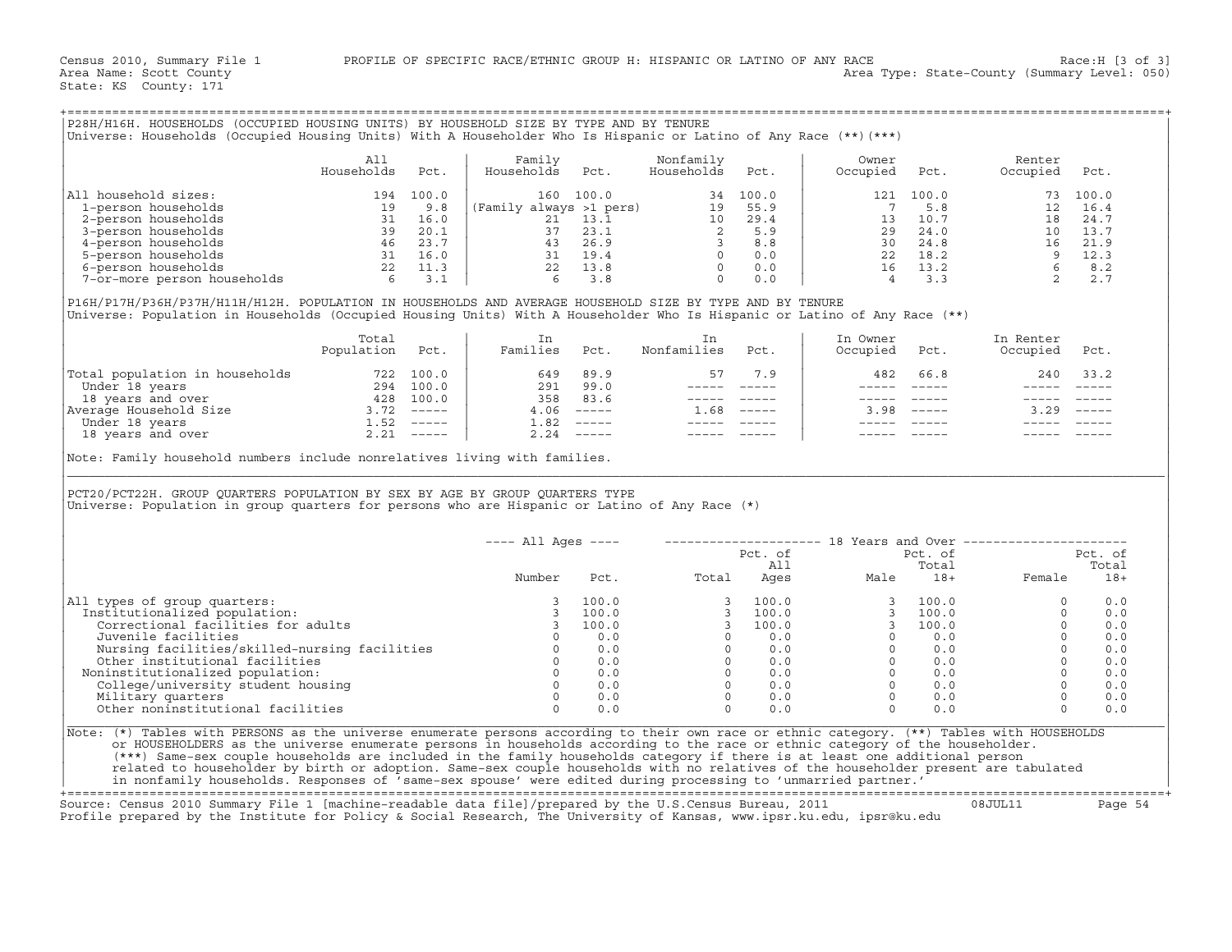| Universe: Households (Occupied Housing Units) With A Householder Who Is Hispanic or Latino of Any Race (**)(***)                                                                                                                                                 |                          |           | P28H/H16H. HOUSEHOLDS (OCCUPIED HOUSING UNITS) BY HOUSEHOLD SIZE BY TYPE AND BY TENURE                                   |              |                                                                                                                                                                                                                                                                                                                                                     |                |                           |                           |                            |              |
|------------------------------------------------------------------------------------------------------------------------------------------------------------------------------------------------------------------------------------------------------------------|--------------------------|-----------|--------------------------------------------------------------------------------------------------------------------------|--------------|-----------------------------------------------------------------------------------------------------------------------------------------------------------------------------------------------------------------------------------------------------------------------------------------------------------------------------------------------------|----------------|---------------------------|---------------------------|----------------------------|--------------|
|                                                                                                                                                                                                                                                                  | All                      |           | Family                                                                                                                   |              | Nonfamily                                                                                                                                                                                                                                                                                                                                           |                | Owner                     |                           | Renter                     |              |
|                                                                                                                                                                                                                                                                  | Households               | Pct.      | Households                                                                                                               | Pct.         | Households                                                                                                                                                                                                                                                                                                                                          | Pct.           | Occupied                  | Pct.                      | Occupied                   | Pct.         |
| All household sizes:                                                                                                                                                                                                                                             |                          | 194 100.0 |                                                                                                                          | 160 100.0    |                                                                                                                                                                                                                                                                                                                                                     | 34 100.0       |                           | 121 100.0                 |                            | 73 100.0     |
|                                                                                                                                                                                                                                                                  |                          |           |                                                                                                                          |              |                                                                                                                                                                                                                                                                                                                                                     |                | $\overline{7}$            | 5.8                       |                            | 12 16.4      |
|                                                                                                                                                                                                                                                                  |                          |           |                                                                                                                          |              |                                                                                                                                                                                                                                                                                                                                                     |                |                           |                           |                            | 24.7         |
|                                                                                                                                                                                                                                                                  |                          |           |                                                                                                                          |              |                                                                                                                                                                                                                                                                                                                                                     |                |                           |                           |                            | 13.7         |
|                                                                                                                                                                                                                                                                  |                          |           |                                                                                                                          |              |                                                                                                                                                                                                                                                                                                                                                     |                |                           |                           |                            | 21.9<br>12.3 |
|                                                                                                                                                                                                                                                                  |                          |           |                                                                                                                          |              |                                                                                                                                                                                                                                                                                                                                                     |                |                           |                           |                            | 8.2          |
| 1 Ioasiou a 122 :<br>1 Ioasion households<br>2-person households<br>3 - person households<br>4 - person households<br>4 - person households<br>6 - person households<br>5 - person households<br>5 - person households<br>5 - person households<br>              |                          |           | (Family always >1 pers)<br>21 13.1 10 29.4<br>37 23.1 2 55.9<br>43 26.9<br>31 19.4 0 0.0<br>22 13.8 0 0.0<br>6 3.8 0 0.0 |              |                                                                                                                                                                                                                                                                                                                                                     |                |                           |                           |                            | 2.7          |
| P16H/P17H/P36H/P37H/H11H/H12H. POPULATION IN HOUSEHOLDS AND AVERAGE HOUSEHOLD SIZE BY TYPE AND BY TENURE<br>Universe: Population in Households (Occupied Housing Units) With A Householder Who Is Hispanic or Latino of Any Race (**)                            |                          |           |                                                                                                                          |              |                                                                                                                                                                                                                                                                                                                                                     |                |                           |                           |                            |              |
|                                                                                                                                                                                                                                                                  | Total<br>Population Pct. |           | In<br>Families                                                                                                           | Pct.         | In<br>Nonfamilies                                                                                                                                                                                                                                                                                                                                   | Pct.           | In Owner<br>Occupied Pct. |                           | In Renter<br>Occupied Pct. |              |
| Total population in households<br>Under 18 years<br>18 years<br>18 years and over<br>18 years and over<br>294 100.0<br>Average Household Size<br>1.52 -----<br>1.52 -----<br>18 years and over<br>2.21 -----<br>2.21 -----                                       |                          |           | 649<br>291 99.0                                                                                                          | 89.9         | 57<br>$------$                                                                                                                                                                                                                                                                                                                                      | 7.9            | 482                       | 66.8                      | 240                        | 33.2         |
|                                                                                                                                                                                                                                                                  |                          |           | 358                                                                                                                      | 83.6         |                                                                                                                                                                                                                                                                                                                                                     |                | $\frac{1}{2}$             | $\qquad \qquad - - - - -$ | $\frac{1}{2}$              |              |
|                                                                                                                                                                                                                                                                  |                          |           |                                                                                                                          | $4.06$ ----- | $1.68$ -----                                                                                                                                                                                                                                                                                                                                        |                | 3.98                      | $- - - - - -$             | $3.29$ -----               |              |
|                                                                                                                                                                                                                                                                  |                          |           | 1.82                                                                                                                     | $2.24$ ----- | $\qquad \qquad - - - - -$<br>$------$                                                                                                                                                                                                                                                                                                               |                |                           |                           |                            |              |
| Note: Family household numbers include nonrelatives living with families.                                                                                                                                                                                        |                          |           |                                                                                                                          |              |                                                                                                                                                                                                                                                                                                                                                     |                |                           |                           |                            |              |
| PCT20/PCT22H. GROUP OUARTERS POPULATION BY SEX BY AGE BY GROUP OUARTERS TYPE<br>Universe: Population in group quarters for persons who are Hispanic or Latino of Any Race $(*)$                                                                                  |                          |           |                                                                                                                          |              |                                                                                                                                                                                                                                                                                                                                                     |                |                           |                           |                            |              |
|                                                                                                                                                                                                                                                                  |                          |           |                                                                                                                          |              |                                                                                                                                                                                                                                                                                                                                                     |                |                           |                           |                            |              |
|                                                                                                                                                                                                                                                                  |                          |           |                                                                                                                          |              | ---- All Ages ----    --------------------    18 Years and Over -----------------                                                                                                                                                                                                                                                                   |                |                           | Pct. of                   |                            | Pct. of      |
|                                                                                                                                                                                                                                                                  |                          |           |                                                                                                                          |              |                                                                                                                                                                                                                                                                                                                                                     | Pct. of<br>All |                           |                           |                            | Total        |
|                                                                                                                                                                                                                                                                  |                          |           | Number                                                                                                                   |              | All Total Durante Male Total Pot. Potal Ages Male 18+ Female                                                                                                                                                                                                                                                                                        |                |                           |                           |                            | $18+$        |
|                                                                                                                                                                                                                                                                  |                          |           |                                                                                                                          | 100.0        |                                                                                                                                                                                                                                                                                                                                                     |                |                           |                           | $\circ$                    | 0.0          |
|                                                                                                                                                                                                                                                                  |                          |           | $\overline{\mathbf{3}}$                                                                                                  | 100.0        |                                                                                                                                                                                                                                                                                                                                                     |                |                           |                           | $\Omega$                   | 0.0          |
| Correctional facilities for adults                                                                                                                                                                                                                               |                          |           | $\overline{\mathbf{3}}$                                                                                                  | 100.0        |                                                                                                                                                                                                                                                                                                                                                     |                |                           |                           | $\Omega$                   | 0.0          |
| Juvenile facilities                                                                                                                                                                                                                                              |                          |           | $\Omega$                                                                                                                 | 0.0          |                                                                                                                                                                                                                                                                                                                                                     |                |                           |                           | $\Omega$                   | 0.0          |
| Institutionalized population:                                                                                                                                                                                                                                    |                          |           |                                                                                                                          |              |                                                                                                                                                                                                                                                                                                                                                     |                |                           |                           | $\Omega$                   | 0.0          |
|                                                                                                                                                                                                                                                                  |                          |           |                                                                                                                          |              |                                                                                                                                                                                                                                                                                                                                                     |                |                           |                           | $\Omega$                   | 0.0          |
| Noninstitutionalized population:                                                                                                                                                                                                                                 |                          |           | $\Omega$                                                                                                                 | 0.0          |                                                                                                                                                                                                                                                                                                                                                     |                |                           |                           | $\Omega$<br>$\Omega$       | 0.0<br>0.0   |
| College/university student housing                                                                                                                                                                                                                               |                          |           | $\Omega$                                                                                                                 | 0.0          | $\begin{array}{cccccc} 3 & 100.0 & & & & & 3 & 100.0 \\ 3 & 100.0 & & & & 3 & 100.0 \\ 3 & 100.0 & & & & 3 & 100.0 \\ 0 & & 0.0 & & & & 0 & 0.0 \\ 0 & 0.0 & & & & 0 & 0.0 \\ 0 & 0.0 & & & & 0 & 0.0 \\ 0 & 0.0 & & & & 0 & 0.0 \\ 0 & 0.0 & & & & 0 & 0.0 \\ 0 & 0.0 & & & & 0 & 0.0 \\ 0 & 0.0 & & & & 0 & 0.0 \\ \end{array}$<br>$\overline{0}$ | 0.0            | $\overline{0}$            | 0.0                       | $\Omega$                   | 0.0          |
| All types of group quarters:<br>Military quarters<br>Other noninstitutional facilities                                                                                                                                                                           |                          |           | $\Omega$                                                                                                                 | 0.0          | $\Omega$                                                                                                                                                                                                                                                                                                                                            | 0.0            | $\Omega$                  | 0.0                       | $\Omega$                   | 0.0          |
| Note: (*) Tables with PERSONS as the universe enumerate persons according to their own race or ethnic category. (**) Tables with HOUSEHOLDS                                                                                                                      |                          |           |                                                                                                                          |              |                                                                                                                                                                                                                                                                                                                                                     |                |                           |                           |                            |              |
| or HOUSEHOLDERS as the universe enumerate persons in households according to the race or ethnic category of the householder.                                                                                                                                     |                          |           |                                                                                                                          |              |                                                                                                                                                                                                                                                                                                                                                     |                |                           |                           |                            |              |
| (***) Same-sex couple households are included in the family households category if there is at least one additional person<br>related to householder by birth or adoption. Same-sex couple households with no relatives of the householder present are tabulated |                          |           |                                                                                                                          |              |                                                                                                                                                                                                                                                                                                                                                     |                |                           |                           |                            |              |

|                                               | $--- All Aqes ---$ |       | --------------------- |         | 18 Years and Over | ---------------- |        |         |
|-----------------------------------------------|--------------------|-------|-----------------------|---------|-------------------|------------------|--------|---------|
|                                               |                    |       |                       | Pct. of |                   | Pct. of          |        | Pct. of |
|                                               |                    |       |                       | All     |                   | Total            |        | Total   |
|                                               | Number             | Pct.  | Total                 | Ages    | Male              | $18+$            | Female | $18+$   |
| All types of group quarters:                  |                    | 100.0 |                       | 100.0   |                   | 100.0            |        | 0.0     |
| Institutionalized population:                 |                    | 100.0 |                       | 100.0   |                   | 100.0            |        | 0.0     |
| Correctional facilities for adults            |                    | 100.0 |                       | 100.0   |                   | 100.0            |        | 0.0     |
| Juvenile facilities                           |                    | 0.0   |                       | 0.0     |                   | 0.0              |        | 0.0     |
| Nursing facilities/skilled-nursing facilities |                    | 0.0   |                       | 0.0     |                   | 0.0              |        | 0.0     |
| Other institutional facilities                |                    | 0.0   |                       | 0.0     |                   | 0.0              |        | 0.0     |
| Noninstitutionalized population:              |                    | 0.0   |                       | 0.0     |                   | 0.0              |        | 0.0     |
| College/university student housing            |                    | 0.0   |                       | 0.0     |                   | 0.0              |        | 0.0     |
| Military quarters                             |                    | 0.0   |                       | 0.0     |                   | 0.0              |        | 0.0     |
| Other noninstitutional facilities             |                    | 0.0   |                       | 0.0     |                   | 0.0              |        | 0.0     |

+===================================================================================================================================================+

Source: Census 2010 Summary File 1 [machine−readable data file]/prepared by the U.S.Census Bureau, 2011 08JUL11 Page 54 Profile prepared by the Institute for Policy & Social Research, The University of Kansas, www.ipsr.ku.edu, ipsr@ku.edu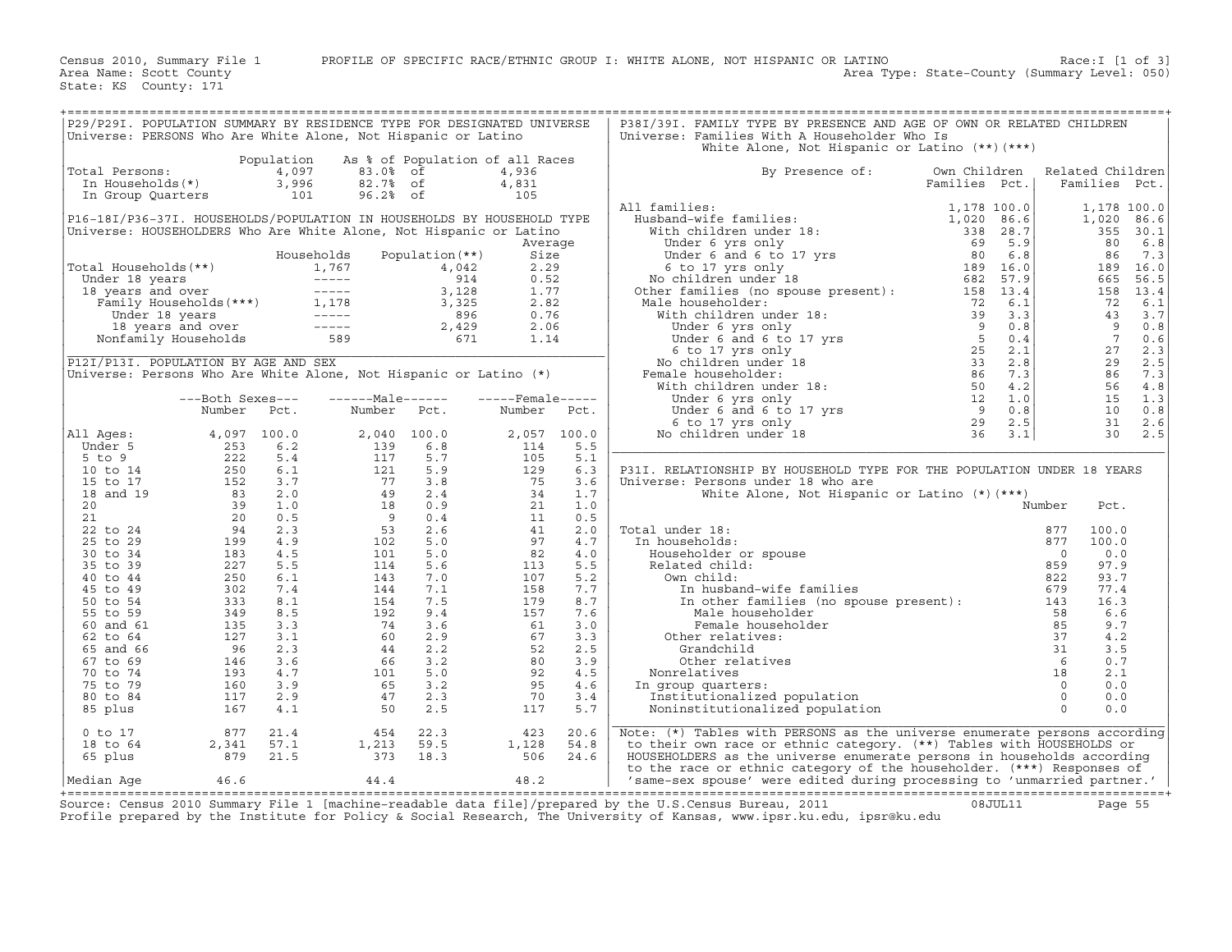| P29/P29I. POPULATION SUMMARY BY RESIDENCE TYPE FOR DESIGNATED UNIVERSE |                                             |            |                                                                                                                                                                                                                                                            |                                 |                   |       | P38I/39I. FAMILY TYPE BY PRESENCE AND AGE OF OWN OR RELATED CHILDREN                                                                                                                                                                                               |               |                  |                |             |
|------------------------------------------------------------------------|---------------------------------------------|------------|------------------------------------------------------------------------------------------------------------------------------------------------------------------------------------------------------------------------------------------------------------|---------------------------------|-------------------|-------|--------------------------------------------------------------------------------------------------------------------------------------------------------------------------------------------------------------------------------------------------------------------|---------------|------------------|----------------|-------------|
| Universe: PERSONS Who Are White Alone, Not Hispanic or Latino          |                                             |            |                                                                                                                                                                                                                                                            |                                 |                   |       | Universe: Families With A Householder Who Is                                                                                                                                                                                                                       |               |                  |                |             |
|                                                                        |                                             |            |                                                                                                                                                                                                                                                            |                                 |                   |       | White Alone, Not Hispanic or Latino $(**)$ $(***)$                                                                                                                                                                                                                 |               |                  |                |             |
|                                                                        |                                             | Population |                                                                                                                                                                                                                                                            | As % of Population of all Races |                   |       |                                                                                                                                                                                                                                                                    |               |                  |                |             |
| Total Persons:                                                         |                                             | 4,097      | 83.0% of                                                                                                                                                                                                                                                   |                                 | 4,936             |       | By Presence of:                                                                                                                                                                                                                                                    | Own Children  | Related Children |                |             |
| In Households(*)                                                       |                                             | 3,996      | 82.7% of                                                                                                                                                                                                                                                   |                                 |                   |       |                                                                                                                                                                                                                                                                    | Families Pct. |                  | Families Pct.  |             |
|                                                                        |                                             |            |                                                                                                                                                                                                                                                            |                                 | 4,831             |       |                                                                                                                                                                                                                                                                    |               |                  |                |             |
| In Group Quarters                                                      |                                             | 101        | 96.2% of                                                                                                                                                                                                                                                   |                                 | 105               |       |                                                                                                                                                                                                                                                                    |               |                  |                |             |
|                                                                        |                                             |            |                                                                                                                                                                                                                                                            |                                 |                   |       | All families:<br>11 families:<br>Husband-wife families:<br>With children under 18:<br>Under 6 and 6 to 17 yrs<br>5 6 6 17 yrs only 189 16.0<br>No children under 18<br>20 6.8<br>6 6 17 yrs 119 16.0<br>No children under 18<br>20 189 16.0<br>20 57.9<br>Male hou |               |                  |                | 1,178 100.0 |
| P16-18I/P36-37I. HOUSEHOLDS/POPULATION IN HOUSEHOLDS BY HOUSEHOLD TYPE |                                             |            |                                                                                                                                                                                                                                                            |                                 |                   |       |                                                                                                                                                                                                                                                                    |               |                  | 1,020          | 86.6        |
| Universe: HOUSEHOLDERS Who Are White Alone, Not Hispanic or Latino     |                                             |            |                                                                                                                                                                                                                                                            |                                 |                   |       |                                                                                                                                                                                                                                                                    |               |                  |                | 355 30.1    |
|                                                                        |                                             |            |                                                                                                                                                                                                                                                            |                                 | Average           |       |                                                                                                                                                                                                                                                                    |               |                  | 80             | 6.8         |
|                                                                        |                                             |            | Households                                                                                                                                                                                                                                                 | Population $(**)$               | Size              |       |                                                                                                                                                                                                                                                                    |               |                  | 86             | 7.3         |
| Total Households(**)                                                   |                                             |            | otal Households (**)<br>Under 18 years<br>18 years and over<br>Tamily Households (***)<br>Under 18 years and over<br>Family Households (***)<br>1, 1, 1767<br>1, 1, 1767<br>1, 1, 1767<br>1, 1, 1767<br>1, 1, 1767<br>1, 1767<br>2, 042<br>3, 128<br>3, 12 |                                 | 2.29              |       |                                                                                                                                                                                                                                                                    |               |                  | 189            | 16.0        |
|                                                                        |                                             |            |                                                                                                                                                                                                                                                            |                                 | 0.52              |       |                                                                                                                                                                                                                                                                    |               |                  | 665            | 56.5        |
|                                                                        |                                             |            |                                                                                                                                                                                                                                                            |                                 | 1.77              |       |                                                                                                                                                                                                                                                                    |               |                  | 158            | 13.4        |
|                                                                        |                                             |            |                                                                                                                                                                                                                                                            |                                 | 2.82              |       | Male householder:                                                                                                                                                                                                                                                  |               |                  | 72             | 6.1         |
|                                                                        |                                             |            |                                                                                                                                                                                                                                                            |                                 | 0.76              |       |                                                                                                                                                                                                                                                                    |               |                  | 43             | 3.7         |
|                                                                        |                                             |            |                                                                                                                                                                                                                                                            |                                 | 2.06              |       |                                                                                                                                                                                                                                                                    |               |                  | - 9            | 0.8         |
|                                                                        |                                             |            |                                                                                                                                                                                                                                                            |                                 | 1.14              |       |                                                                                                                                                                                                                                                                    |               |                  | $\overline{7}$ | 0.6         |
|                                                                        |                                             |            |                                                                                                                                                                                                                                                            |                                 |                   |       |                                                                                                                                                                                                                                                                    |               |                  | 27             |             |
|                                                                        |                                             |            |                                                                                                                                                                                                                                                            |                                 |                   |       |                                                                                                                                                                                                                                                                    |               |                  |                | 2.3         |
| P12I/P13I. POPULATION BY AGE AND SEX                                   |                                             |            |                                                                                                                                                                                                                                                            |                                 |                   |       |                                                                                                                                                                                                                                                                    |               |                  | 29             | 2.5         |
| Universe: Persons Who Are White Alone, Not Hispanic or Latino (*)      |                                             |            |                                                                                                                                                                                                                                                            |                                 |                   |       |                                                                                                                                                                                                                                                                    |               |                  | 86             | 7.3         |
|                                                                        |                                             |            |                                                                                                                                                                                                                                                            |                                 |                   |       |                                                                                                                                                                                                                                                                    |               |                  | 56             | 4.8         |
|                                                                        | ---Both Sexes---                            |            | $---Male----$                                                                                                                                                                                                                                              |                                 | $---$ Female----- |       |                                                                                                                                                                                                                                                                    |               |                  | 15             | 1.3         |
|                                                                        | Number                                      | Pct.       | Number                                                                                                                                                                                                                                                     | Pct.                            | Number            | Pct.  |                                                                                                                                                                                                                                                                    |               |                  | 10             | 0.8         |
|                                                                        |                                             |            |                                                                                                                                                                                                                                                            |                                 |                   |       |                                                                                                                                                                                                                                                                    |               |                  | 31             | 2.6         |
| All Ages:                                                              | 4,097                                       | 100.0      | 2,040                                                                                                                                                                                                                                                      | 100.0                           | 2,057             | 100.0 |                                                                                                                                                                                                                                                                    |               |                  | 30             | 2.5         |
| Under 5                                                                | 253                                         | 6.2        | 139                                                                                                                                                                                                                                                        | 6.8                             | 114               | 5.5   |                                                                                                                                                                                                                                                                    |               |                  |                |             |
| $5$ to $9$                                                             | $222$<br>220<br>250<br>52<br>83<br>39<br>20 | 5.4        | 117                                                                                                                                                                                                                                                        | 5.7                             | 105               | 5.1   |                                                                                                                                                                                                                                                                    |               |                  |                |             |
| 10 to 14                                                               |                                             | 6.1        | 121                                                                                                                                                                                                                                                        | 5.9                             | 129               | 6.3   | P31I. RELATIONSHIP BY HOUSEHOLD TYPE FOR THE POPULATION UNDER 18 YEARS                                                                                                                                                                                             |               |                  |                |             |
| 15 to 17                                                               |                                             | 3.7        | 77                                                                                                                                                                                                                                                         | 3.8                             | 75                | 3.6   | Universe: Persons under 18 who are                                                                                                                                                                                                                                 |               |                  |                |             |
| 18 and 19                                                              |                                             | 2.0        | 49                                                                                                                                                                                                                                                         | 2.4                             | 34                | 1.7   | White Alone, Not Hispanic or Latino $(*)$ (***)                                                                                                                                                                                                                    |               |                  |                |             |
| 20                                                                     |                                             | 1.0        | 18                                                                                                                                                                                                                                                         | 0.9                             | 21                | 1.0   |                                                                                                                                                                                                                                                                    |               | Number           | Pct.           |             |
| 21                                                                     |                                             | 0.5        | - 9                                                                                                                                                                                                                                                        | 0.4                             | 11                | 0.5   |                                                                                                                                                                                                                                                                    |               |                  |                |             |
| 22 to 24                                                               | 94                                          | 2.3        | 53                                                                                                                                                                                                                                                         | 2.6                             | 41                | 2.0   | Total under 18:                                                                                                                                                                                                                                                    |               | 877              | 100.0          |             |
|                                                                        | 199                                         |            |                                                                                                                                                                                                                                                            |                                 | 97                |       |                                                                                                                                                                                                                                                                    |               |                  |                |             |
| 25 to 29                                                               |                                             | 4.9        | 102                                                                                                                                                                                                                                                        | 5.0                             |                   | 4.7   | In households:                                                                                                                                                                                                                                                     |               | 877              | 100.0          |             |
| 30 to 34                                                               | 183                                         | 4.5        | 101                                                                                                                                                                                                                                                        | 5.0                             | 82                | 4.0   | Householder or spouse                                                                                                                                                                                                                                              |               | $\overline{0}$   | 0.0            |             |
| 35 to 39                                                               | 227                                         | 5.5        | 114                                                                                                                                                                                                                                                        | 5.6                             | 113               | 5.5   | Related child:                                                                                                                                                                                                                                                     |               | 859              | 97.9           |             |
| 40 to 44                                                               | 250                                         | 6.1        | 143                                                                                                                                                                                                                                                        | 7.0                             | 107               | 5.2   | Own child:                                                                                                                                                                                                                                                         |               | 822              | 93.7           |             |
| 45 to 49                                                               | 302                                         | 7.4        | 144                                                                                                                                                                                                                                                        | 7.1                             | 158               | 7.7   | In husband-wife families                                                                                                                                                                                                                                           |               | 679              | 77.4           |             |
| 50 to 54                                                               | 333                                         | 8.1        | 154                                                                                                                                                                                                                                                        | 7.5                             | 179               | 8.7   | In other families (no spouse present):                                                                                                                                                                                                                             |               | 143              | 16.3           |             |
| 55 to 59                                                               | 349                                         | 8.5        | 192                                                                                                                                                                                                                                                        | 9.4                             | 157               | 7.6   | Male householder                                                                                                                                                                                                                                                   |               | 58               | 6.6            |             |
| 60 and 61                                                              | 135                                         | 3.3        | 74                                                                                                                                                                                                                                                         | 3.6                             | 61                | 3.0   | Female householder                                                                                                                                                                                                                                                 |               | 85               | 9.7            |             |
| 62 to 64                                                               | 127                                         | 3.1        | 60                                                                                                                                                                                                                                                         | 2.9                             | 67                | 3.3   | Other relatives:                                                                                                                                                                                                                                                   |               | 37               | 4.2            |             |
| 65 and 66                                                              | 96                                          | 2.3        | 44                                                                                                                                                                                                                                                         | 2.2                             | 52                | 2.5   | Grandchild                                                                                                                                                                                                                                                         |               | 31               | 3.5            |             |
| 67 to 69                                                               | 146                                         | 3.6        | 66                                                                                                                                                                                                                                                         | 3.2                             | 80                | 3.9   | Other relatives                                                                                                                                                                                                                                                    |               | 6                | 0.7            |             |
| 70 to 74                                                               | 193                                         | 4.7        | 101                                                                                                                                                                                                                                                        | 5.0                             | 92                | 4.5   | Nonrelatives                                                                                                                                                                                                                                                       |               | 18               | 2.1            |             |
| 75 to 79                                                               | 160                                         | 3.9        | 65                                                                                                                                                                                                                                                         | 3.2                             | 95                | 4.6   | In group quarters:                                                                                                                                                                                                                                                 |               | $\Omega$         | 0.0            |             |
| 80 to 84                                                               | 117                                         | 2.9        | 47                                                                                                                                                                                                                                                         | 2.3                             | 70                | 3.4   | Institutionalized population                                                                                                                                                                                                                                       |               | $\overline{0}$   | 0.0            |             |
| 85 plus                                                                | 167                                         | 4.1        | 50                                                                                                                                                                                                                                                         | 2.5                             | 117               | 5.7   | Noninstitutionalized population                                                                                                                                                                                                                                    |               | $\Omega$         | 0.0            |             |
|                                                                        |                                             |            |                                                                                                                                                                                                                                                            |                                 |                   |       |                                                                                                                                                                                                                                                                    |               |                  |                |             |
|                                                                        | 877                                         | 21.4       |                                                                                                                                                                                                                                                            | 22.3                            | 423               | 20.6  |                                                                                                                                                                                                                                                                    |               |                  |                |             |
| 0 to 17                                                                |                                             |            | 454                                                                                                                                                                                                                                                        |                                 |                   |       | Note: $(*)$ Tables with PERSONS as the universe enumerate persons according                                                                                                                                                                                        |               |                  |                |             |
| 18 to 64                                                               | 2,341                                       | 57.1       | 1,213                                                                                                                                                                                                                                                      | 59.5                            | 1,128             | 54.8  | to their own race or ethnic category. (**) Tables with HOUSEHOLDS or                                                                                                                                                                                               |               |                  |                |             |
| 65 plus                                                                | 879                                         | 21.5       | 373                                                                                                                                                                                                                                                        | 18.3                            | 506               | 24.6  | HOUSEHOLDERS as the universe enumerate persons in households according                                                                                                                                                                                             |               |                  |                |             |
|                                                                        |                                             |            |                                                                                                                                                                                                                                                            |                                 |                   |       | to the race or ethnic category of the householder. (***) Responses of                                                                                                                                                                                              |               |                  |                |             |
| Median Aqe                                                             | 46.6                                        |            | 44.4                                                                                                                                                                                                                                                       |                                 | 48.2              |       | 'same-sex spouse' were edited during processing to 'unmarried partner.'                                                                                                                                                                                            |               |                  |                |             |
|                                                                        |                                             |            |                                                                                                                                                                                                                                                            |                                 |                   |       |                                                                                                                                                                                                                                                                    |               |                  |                |             |

+===================================================================================================================================================+Source: Census 2010 Summary File 1 [machine−readable data file]/prepared by the U.S.Census Bureau, 2011 08JUL11 Page 55 Profile prepared by the Institute for Policy & Social Research, The University of Kansas, www.ipsr.ku.edu, ipsr@ku.edu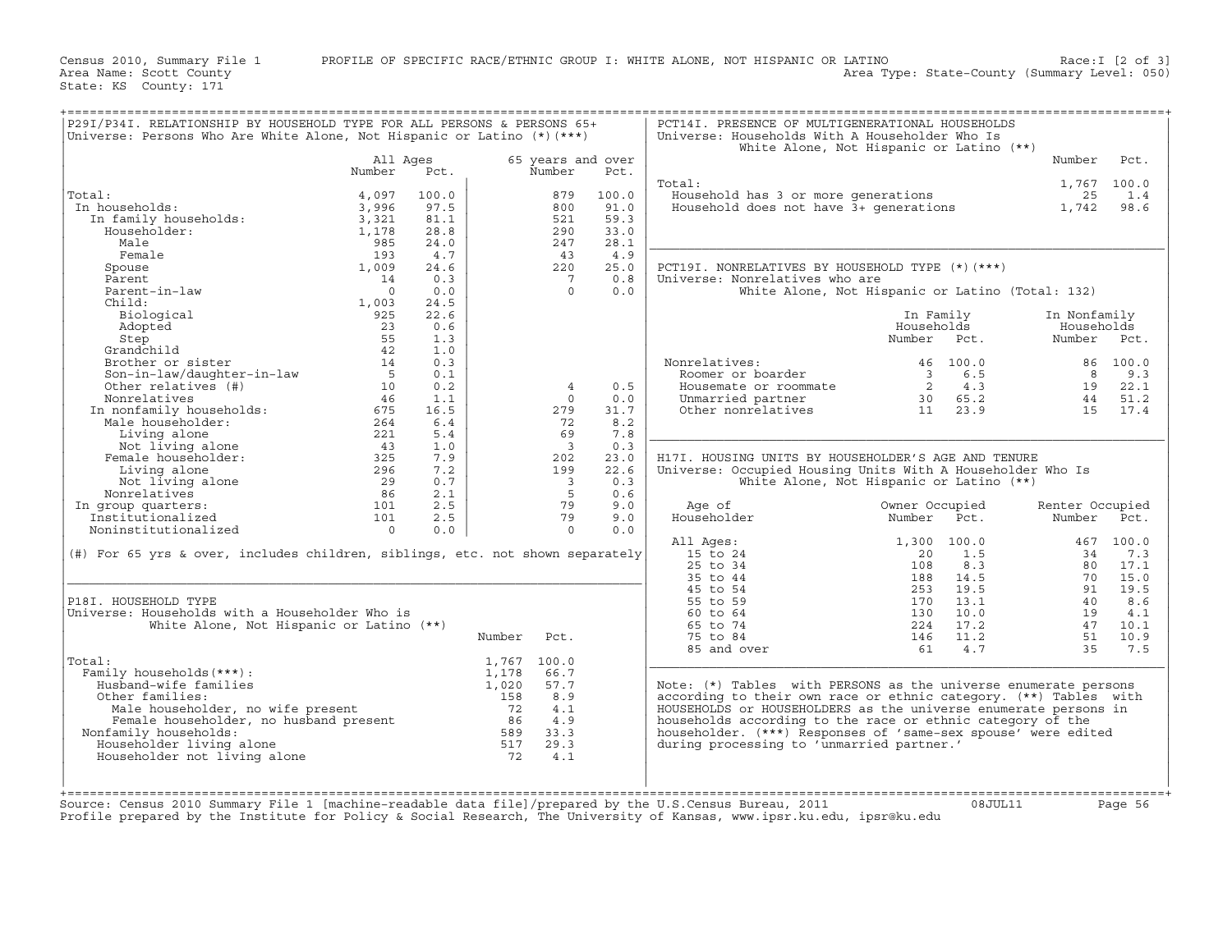Census 2010, Summary File 1 PROFILE OF SPECIFIC RACE/ETHNIC GROUP I: WHITE ALONE, NOT HISPANIC OR LATINO Race:I [2 of 3]<br>Area Name: Scott County (summary Level: 050) Area Type: State-County (Summary Level: 050)

State: KS County: 171

| P29I/P34I. RELATIONSHIP BY HOUSEHOLD TYPE FOR ALL PERSONS & PERSONS 65+<br>Universe: Persons Who Are White Alone, Not Hispanic or Latino $(*)$ (***)                                                                                                                      |                                    |       |        |                         |       | PCT14I. PRESENCE OF MULTIGENERATIONAL HOUSEHOLDS<br>Universe: Households With A Householder Who Is |                                                    |                 |             |
|---------------------------------------------------------------------------------------------------------------------------------------------------------------------------------------------------------------------------------------------------------------------------|------------------------------------|-------|--------|-------------------------|-------|----------------------------------------------------------------------------------------------------|----------------------------------------------------|-----------------|-------------|
|                                                                                                                                                                                                                                                                           |                                    |       |        |                         |       |                                                                                                    | White Alone, Not Hispanic or Latino (**)           |                 |             |
|                                                                                                                                                                                                                                                                           | All Ages                           |       |        | 65 years and over       |       |                                                                                                    |                                                    | Number          | Pct.        |
|                                                                                                                                                                                                                                                                           | Number                             | Pct.  |        | Number                  | Pct.  |                                                                                                    |                                                    |                 |             |
|                                                                                                                                                                                                                                                                           |                                    |       |        |                         |       | Total:                                                                                             |                                                    |                 | 1,767 100.0 |
| Total:<br>al:<br>1 households:<br>In family households:<br>"Householder:                                                                                                                                                                                                  | 4,097                              | 100.0 |        | 879                     | 100.0 | Value hold has 3 or more generations<br>Household does not have 3+ generations 1,742               |                                                    |                 | 1.4         |
| In households:                                                                                                                                                                                                                                                            | 3,996                              | 97.5  |        | 800                     | 91.0  |                                                                                                    |                                                    |                 | 98.6        |
|                                                                                                                                                                                                                                                                           | 3,321                              | 81.1  |        | 521                     | 59.3  |                                                                                                    |                                                    |                 |             |
|                                                                                                                                                                                                                                                                           | 1,178                              | 28.8  |        | 290                     | 33.0  |                                                                                                    |                                                    |                 |             |
| Male                                                                                                                                                                                                                                                                      | 985                                | 24.0  |        | 247                     | 28.1  |                                                                                                    |                                                    |                 |             |
| Female                                                                                                                                                                                                                                                                    | 193                                | 4.7   |        | 43                      | 4.9   |                                                                                                    |                                                    |                 |             |
| Spouse                                                                                                                                                                                                                                                                    | 1,009                              | 24.6  |        | 220                     | 25.0  | PCT19I. NONRELATIVES BY HOUSEHOLD TYPE (*) (***)                                                   |                                                    |                 |             |
| Parent                                                                                                                                                                                                                                                                    | 14                                 | 0.3   |        | $7\phantom{0}$          | 0.8   | Universe: Nonrelatives who are                                                                     |                                                    |                 |             |
| Parent-in-law                                                                                                                                                                                                                                                             | $\bigcap$                          | 0.0   |        | $\Omega$                | 0.0   |                                                                                                    | White Alone, Not Hispanic or Latino (Total: 132)   |                 |             |
| Child:                                                                                                                                                                                                                                                                    | 1,003                              | 24.5  |        |                         |       |                                                                                                    |                                                    |                 |             |
| Biological                                                                                                                                                                                                                                                                | 925                                | 22.6  |        |                         |       |                                                                                                    | In Family                                          | In Nonfamily    |             |
| Adopted                                                                                                                                                                                                                                                                   | 23                                 | 0.6   |        |                         |       |                                                                                                    | Households                                         | Households      |             |
|                                                                                                                                                                                                                                                                           |                                    | 1.3   |        |                         |       |                                                                                                    | Number Pct.                                        | Number Pct.     |             |
|                                                                                                                                                                                                                                                                           |                                    | 1.0   |        |                         |       |                                                                                                    |                                                    |                 |             |
|                                                                                                                                                                                                                                                                           |                                    | 0.3   |        |                         |       | Nonrelatives:<br>Roomer or boarder                                                                 | 46 100.0                                           |                 | 86 100.0    |
|                                                                                                                                                                                                                                                                           |                                    | 0.1   |        |                         |       |                                                                                                    | $\begin{array}{cc} 3 & 6.5 \\ 2 & 4.3 \end{array}$ | $\overline{8}$  | 9.3         |
|                                                                                                                                                                                                                                                                           |                                    | 0.2   |        | $\overline{4}$          | 0.5   | Housemate or roommate                                                                              |                                                    |                 | 19 22.1     |
|                                                                                                                                                                                                                                                                           |                                    | 1.1   |        | $\circ$                 | 0.0   | Housemate or roommate $2$ 4.3<br>Unmarried partner 30 65.2<br>Other nonrelatives 11 23.9           |                                                    |                 | 44 51.2     |
|                                                                                                                                                                                                                                                                           |                                    | 16.5  |        | 279                     | 31.7  |                                                                                                    |                                                    |                 | 15 17.4     |
|                                                                                                                                                                                                                                                                           |                                    | 6.4   |        | 72                      | 8.2   |                                                                                                    |                                                    |                 |             |
|                                                                                                                                                                                                                                                                           |                                    | 5.4   |        | 69                      | 7.8   |                                                                                                    |                                                    |                 |             |
|                                                                                                                                                                                                                                                                           |                                    | 1.0   |        | $\overline{\mathbf{3}}$ | 0.3   |                                                                                                    |                                                    |                 |             |
|                                                                                                                                                                                                                                                                           |                                    | 7.9   |        | 202                     | 23.0  | H17I. HOUSING UNITS BY HOUSEHOLDER'S AGE AND TENURE                                                |                                                    |                 |             |
| Living alone                                                                                                                                                                                                                                                              | $\frac{2}{296}$<br>$\frac{29}{86}$ | 7.2   |        | 199                     | 22.6  | Universe: Occupied Housing Units With A Householder Who Is                                         |                                                    |                 |             |
| Not living alone                                                                                                                                                                                                                                                          |                                    | 0.7   |        | $\overline{\mathbf{3}}$ | 0.3   |                                                                                                    | White Alone, Not Hispanic or Latino (**)           |                 |             |
| Nonrelatives                                                                                                                                                                                                                                                              |                                    | 2.1   |        | $5^{\circ}$             | 0.6   |                                                                                                    |                                                    |                 |             |
| In group quarters:                                                                                                                                                                                                                                                        |                                    | 2.5   |        | 79                      | 9.0   | Age of                                                                                             |                                                    | Renter Occupied |             |
| Institutionalized                                                                                                                                                                                                                                                         | 101                                | 2.5   |        | 79                      | 9.0   | Householder                                                                                        | Owner Uture<br>Number Pct.                         | Number Pct.     |             |
| Noninstitutionalized                                                                                                                                                                                                                                                      | $\overline{0}$                     | 0.0   |        | $\Omega$                | 0.0   |                                                                                                    |                                                    |                 |             |
|                                                                                                                                                                                                                                                                           |                                    |       |        |                         |       | All Ages:                                                                                          | 1,300 100.0                                        |                 | 467 100.0   |
| (#) For 65 yrs & over, includes children, siblings, etc. not shown separately                                                                                                                                                                                             |                                    |       |        |                         |       | 15 to 24                                                                                           | 1.5<br>20                                          | 34              | 7.3         |
|                                                                                                                                                                                                                                                                           |                                    |       |        |                         |       | 25 to 34                                                                                           | 8.3<br>108                                         | 80              | 17.1        |
|                                                                                                                                                                                                                                                                           |                                    |       |        |                         |       | 35 to 44                                                                                           | 188<br>14.5                                        |                 | 70 15.0     |
|                                                                                                                                                                                                                                                                           |                                    |       |        |                         |       | $45$ to $54$                                                                                       | 19.5<br>253                                        | 91              | 19.5        |
| P18I. HOUSEHOLD TYPE                                                                                                                                                                                                                                                      |                                    |       |        |                         |       | 55 to 59                                                                                           | 13.1                                               | 40              | 8.6         |
| Universe: Households with a Householder Who is                                                                                                                                                                                                                            |                                    |       |        |                         |       | 60 to 64                                                                                           | 10.0                                               | 19              | 4.1         |
| White Alone, Not Hispanic or Latino (**)                                                                                                                                                                                                                                  |                                    |       |        |                         |       | 65 to 74                                                                                           | $\frac{170}{224}$<br>17.2                          | 47              | 10.1        |
|                                                                                                                                                                                                                                                                           |                                    |       | Number | Pct.                    |       | 75 to 84                                                                                           | 146<br>11.2                                        | 51              | 10.9        |
|                                                                                                                                                                                                                                                                           |                                    |       |        |                         |       | 85 and over                                                                                        | 61<br>4.7                                          | 35              | 7.5         |
| Total:                                                                                                                                                                                                                                                                    |                                    |       |        | 1,767 100.0             |       |                                                                                                    |                                                    |                 |             |
| Family households (***) :                                                                                                                                                                                                                                                 |                                    |       | 1,178  | 66.7                    |       |                                                                                                    |                                                    |                 |             |
| Husband-wife families                                                                                                                                                                                                                                                     |                                    |       | 1,020  | 57.7                    |       | Note: (*) Tables with PERSONS as the universe enumerate persons                                    |                                                    |                 |             |
| Other families:                                                                                                                                                                                                                                                           |                                    |       |        | 8.9                     |       | according to their own race or ethnic category. (**) Tables with                                   |                                                    |                 |             |
|                                                                                                                                                                                                                                                                           |                                    |       |        | 4.1                     |       | HOUSEHOLDS or HOUSEHOLDERS as the universe enumerate persons in                                    |                                                    |                 |             |
|                                                                                                                                                                                                                                                                           |                                    |       |        | 4.9                     |       | households according to the race or ethnic category of the                                         |                                                    |                 |             |
| Nonfamily households:                                                                                                                                                                                                                                                     |                                    |       |        | 33.3                    |       | householder. (***) Responses of 'same-sex spouse' were edited                                      |                                                    |                 |             |
| Householder living alone                                                                                                                                                                                                                                                  |                                    |       |        | 29.3                    |       | during processing to 'unmarried partner.'                                                          |                                                    |                 |             |
| Usband-wife families:<br>ther families:<br>Male householder, no wife present<br>Female householder, no husband present<br>family households:<br>Say iouseholder living alone<br>The same start of the same start of the same start of the<br>Householder not living alone |                                    |       |        | 4.1                     |       |                                                                                                    |                                                    |                 |             |
|                                                                                                                                                                                                                                                                           |                                    |       |        |                         |       |                                                                                                    |                                                    |                 |             |
|                                                                                                                                                                                                                                                                           |                                    |       |        |                         |       |                                                                                                    |                                                    |                 |             |
|                                                                                                                                                                                                                                                                           |                                    |       |        |                         |       |                                                                                                    |                                                    |                 |             |

Profile prepared by the Institute for Policy & Social Research, The University of Kansas, www.ipsr.ku.edu, ipsr@ku.edu